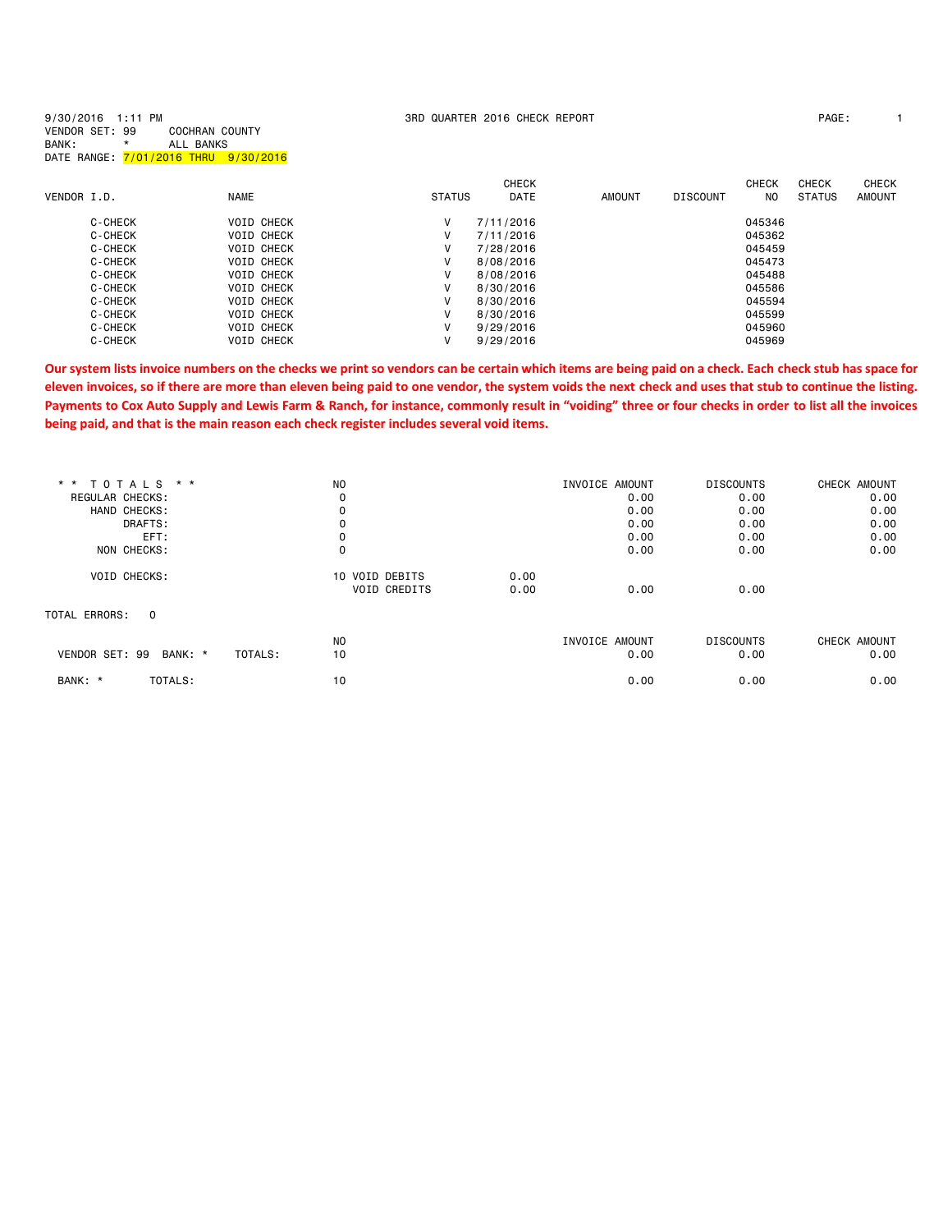| 9/30/2016 1:11 PM<br>VENDOR SET: 99<br>BANK:<br>$\star$ | COCHRAN COUNTY<br>ALL BANKS<br>DATE RANGE: 7/01/2016 THRU 9/30/2016 |               | 3RD QUARTER 2016 CHECK REPORT |               |                 |              | PAGE:         |               |
|---------------------------------------------------------|---------------------------------------------------------------------|---------------|-------------------------------|---------------|-----------------|--------------|---------------|---------------|
|                                                         |                                                                     |               | <b>CHECK</b>                  |               |                 | <b>CHECK</b> | <b>CHECK</b>  | CHECK         |
| VENDOR I.D.                                             | <b>NAME</b>                                                         | <b>STATUS</b> | <b>DATE</b>                   | <b>AMOUNT</b> | <b>DISCOUNT</b> | NO.          | <b>STATUS</b> | <b>AMOUNT</b> |
| C-CHECK                                                 | <b>VOID CHECK</b>                                                   | V             | 7/11/2016                     |               |                 | 045346       |               |               |
| C-CHECK                                                 | <b>VOID CHECK</b>                                                   | v             | 7/11/2016                     |               |                 | 045362       |               |               |
| C-CHECK                                                 | <b>VOID CHECK</b>                                                   | v             | 7/28/2016                     |               |                 | 045459       |               |               |
| C-CHECK                                                 | <b>VOID CHECK</b>                                                   | v             | 8/08/2016                     |               |                 | 045473       |               |               |
| C-CHECK                                                 | <b>VOID CHECK</b>                                                   | V             | 8/08/2016                     |               |                 | 045488       |               |               |
| C-CHECK                                                 | <b>VOID CHECK</b>                                                   | v             | 8/30/2016                     |               |                 | 045586       |               |               |
| C-CHECK                                                 | <b>VOID CHECK</b>                                                   | v             | 8/30/2016                     |               |                 | 045594       |               |               |
| C-CHECK                                                 | <b>VOID CHECK</b>                                                   | v             | 8/30/2016                     |               |                 | 045599       |               |               |
| C-CHECK                                                 | <b>VOID CHECK</b>                                                   | v             | 9/29/2016                     |               |                 | 045960       |               |               |
| C-CHECK                                                 | <b>VOID CHECK</b>                                                   | ٧             | 9/29/2016                     |               |                 | 045969       |               |               |

**Our system lists invoice numbers on the checks we print so vendors can be certain which items are being paid on a check. Each check stub has space for eleven invoices, so if there are more than eleven being paid to one vendor, the system voids the next check and uses that stub to continue the listing. Payments to Cox Auto Supply and Lewis Farm & Ranch, for instance, commonly result in "voiding" three or four checks in order to list all the invoices being paid, and that is the main reason each check register includes several void items.**

| <b>TOTALS</b><br>$* *$<br>$\star$ $\star$ | N <sub>O</sub> |                             | INVOICE AMOUNT | <b>DISCOUNTS</b> | CHECK AMOUNT |
|-------------------------------------------|----------------|-----------------------------|----------------|------------------|--------------|
| REGULAR CHECKS:                           | 0              |                             | 0.00           | 0.00             | 0.00         |
| HAND CHECKS:                              | 0              |                             | 0.00           | 0.00             | 0.00         |
| DRAFTS:                                   | 0              |                             | 0.00           | 0.00             | 0.00         |
| EFT:                                      | 0              |                             | 0.00           | 0.00             | 0.00         |
| NON CHECKS:                               | 0              |                             | 0.00           | 0.00             | 0.00         |
| <b>VOID CHECKS:</b>                       |                | 10 VOID DEBITS<br>0.00      |                |                  |              |
|                                           |                | <b>VOID CREDITS</b><br>0.00 | 0.00           | 0.00             |              |
| TOTAL ERRORS:<br>$\Omega$                 |                |                             |                |                  |              |
|                                           | N <sub>O</sub> |                             | INVOICE AMOUNT | <b>DISCOUNTS</b> | CHECK AMOUNT |
| VENDOR SET: 99<br>BANK: *                 | TOTALS:<br>10  |                             | 0.00           | 0.00             | 0.00         |
| BANK: *<br>TOTALS:                        | 10             |                             | 0.00           | 0.00             | 0.00         |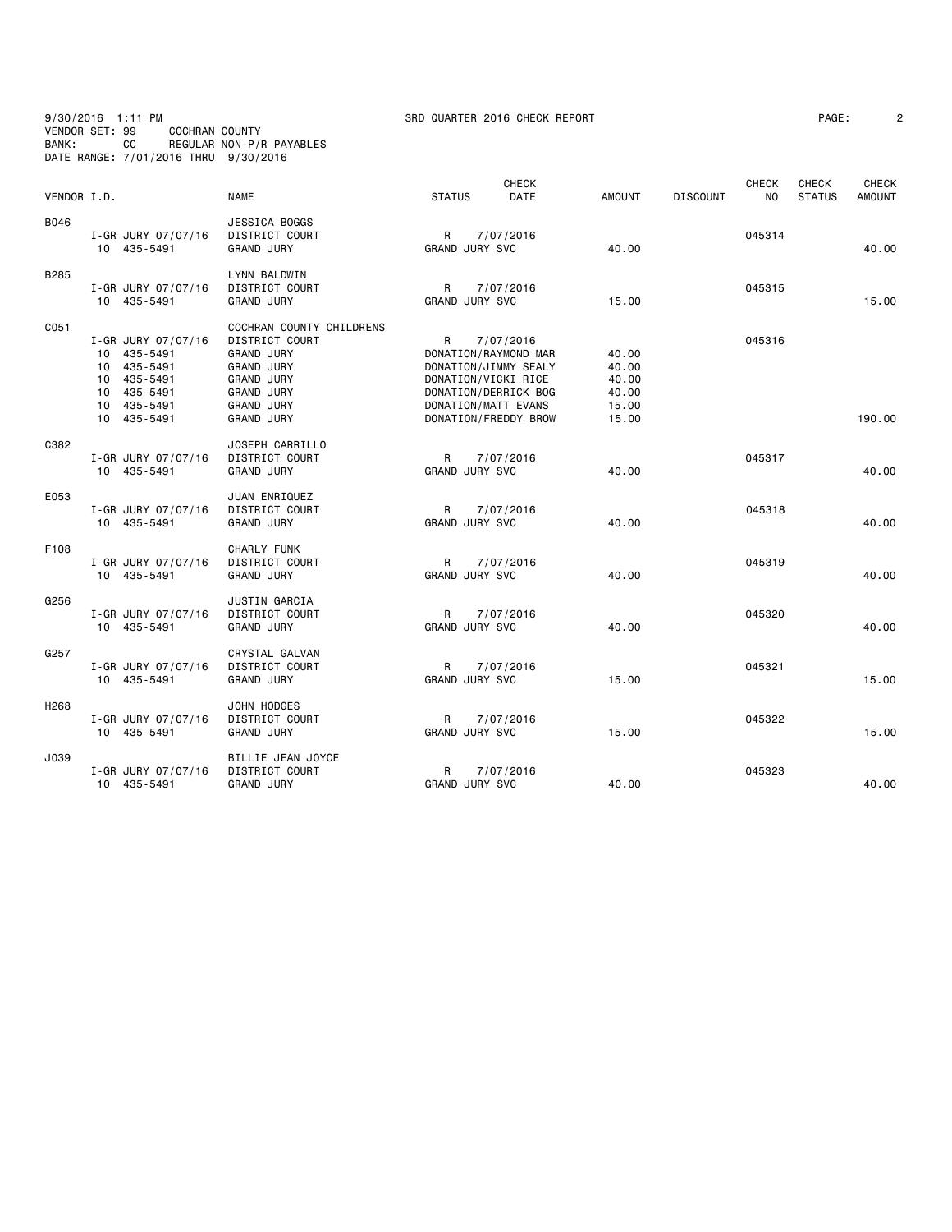### 9/30/2016 1:11 PM 3RD QUARTER 2016 CHECK REPORT PAGE: 2 VENDOR SET: 99 COCHRAN COUNTY BANK: CC REGULAR NON-P/R PAYABLES DATE RANGE: 7/01/2016 THRU 9/30/2016

| PAGE : |  |  |  |  |
|--------|--|--|--|--|
|        |  |  |  |  |

| VENDOR I.D.      |                    | <b>NAME</b>              | <b>STATUS</b>         | <b>CHECK</b><br><b>DATE</b> | <b>AMOUNT</b> | <b>DISCOUNT</b> | <b>CHECK</b><br>NO. | <b>CHECK</b><br><b>STATUS</b> | <b>CHECK</b><br><b>AMOUNT</b> |
|------------------|--------------------|--------------------------|-----------------------|-----------------------------|---------------|-----------------|---------------------|-------------------------------|-------------------------------|
| B046             |                    | JESSICA BOGGS            |                       |                             |               |                 |                     |                               |                               |
|                  | I-GR JURY 07/07/16 | <b>DISTRICT COURT</b>    | R                     | 7/07/2016                   |               |                 | 045314              |                               |                               |
|                  | 10 435-5491        | <b>GRAND JURY</b>        | GRAND JURY SVC        |                             | 40.00         |                 |                     |                               | 40.00                         |
| B285             |                    | LYNN BALDWIN             |                       |                             |               |                 |                     |                               |                               |
|                  | I-GR JURY 07/07/16 | DISTRICT COURT           | R                     | 7/07/2016                   |               |                 | 045315              |                               |                               |
|                  | 10 435-5491        | <b>GRAND JURY</b>        | <b>GRAND JURY SVC</b> |                             | 15.00         |                 |                     |                               | 15.00                         |
| C051             |                    | COCHRAN COUNTY CHILDRENS |                       |                             |               |                 |                     |                               |                               |
|                  | I-GR JURY 07/07/16 | DISTRICT COURT           | R                     | 7/07/2016                   |               |                 | 045316              |                               |                               |
|                  | 10 435-5491        | <b>GRAND JURY</b>        |                       | DONATION/RAYMOND MAR        | 40.00         |                 |                     |                               |                               |
|                  | 10 435-5491        | <b>GRAND JURY</b>        |                       | DONATION/JIMMY SEALY        | 40.00         |                 |                     |                               |                               |
|                  | 10 435-5491        | <b>GRAND JURY</b>        | DONATION/VICKI RICE   |                             | 40.00         |                 |                     |                               |                               |
|                  | 10 435-5491        | <b>GRAND JURY</b>        |                       | DONATION/DERRICK BOG        | 40.00         |                 |                     |                               |                               |
|                  | 10 435-5491        | <b>GRAND JURY</b>        | DONATION/MATT EVANS   |                             | 15.00         |                 |                     |                               |                               |
|                  | 10 435-5491        | <b>GRAND JURY</b>        |                       | DONATION/FREDDY BROW        | 15.00         |                 |                     |                               | 190.00                        |
| C382             |                    | JOSEPH CARRILLO          |                       |                             |               |                 |                     |                               |                               |
|                  | I-GR JURY 07/07/16 | DISTRICT COURT           | R                     | 7/07/2016                   |               |                 | 045317              |                               |                               |
|                  | 10 435-5491        | <b>GRAND JURY</b>        | <b>GRAND JURY SVC</b> |                             | 40.00         |                 |                     |                               | 40.00                         |
| E053             |                    | JUAN ENRIQUEZ            |                       |                             |               |                 |                     |                               |                               |
|                  | I-GR JURY 07/07/16 | <b>DISTRICT COURT</b>    | R.                    | 7/07/2016                   |               |                 | 045318              |                               |                               |
|                  | 10 435-5491        | <b>GRAND JURY</b>        | <b>GRAND JURY SVC</b> |                             | 40.00         |                 |                     |                               | 40.00                         |
| F108             |                    | <b>CHARLY FUNK</b>       |                       |                             |               |                 |                     |                               |                               |
|                  | I-GR JURY 07/07/16 | DISTRICT COURT           | R                     | 7/07/2016                   |               |                 | 045319              |                               |                               |
|                  | 10 435-5491        | <b>GRAND JURY</b>        | <b>GRAND JURY SVC</b> |                             | 40.00         |                 |                     |                               | 40.00                         |
| G256             |                    | JUSTIN GARCIA            |                       |                             |               |                 |                     |                               |                               |
|                  | I-GR JURY 07/07/16 | <b>DISTRICT COURT</b>    | R                     | 7/07/2016                   |               |                 | 045320              |                               |                               |
|                  | 10 435-5491        | <b>GRAND JURY</b>        | <b>GRAND JURY SVC</b> |                             | 40.00         |                 |                     |                               | 40.00                         |
| G257             |                    | CRYSTAL GALVAN           |                       |                             |               |                 |                     |                               |                               |
|                  | I-GR JURY 07/07/16 | <b>DISTRICT COURT</b>    | R                     | 7/07/2016                   |               |                 | 045321              |                               |                               |
|                  | 10 435-5491        | <b>GRAND JURY</b>        | <b>GRAND JURY SVC</b> |                             | 15.00         |                 |                     |                               | 15.00                         |
| H <sub>268</sub> |                    | JOHN HODGES              |                       |                             |               |                 |                     |                               |                               |
|                  | I-GR JURY 07/07/16 | DISTRICT COURT           | R                     | 7/07/2016                   |               |                 | 045322              |                               |                               |
|                  | 10 435-5491        | <b>GRAND JURY</b>        | <b>GRAND JURY SVC</b> |                             | 15.00         |                 |                     |                               | 15.00                         |
| J039             |                    | BILLIE JEAN JOYCE        |                       |                             |               |                 |                     |                               |                               |
|                  | I-GR JURY 07/07/16 | DISTRICT COURT           | R                     | 7/07/2016                   |               |                 | 045323              |                               |                               |
|                  | 10 435-5491        | <b>GRAND JURY</b>        | <b>GRAND JURY SVC</b> |                             | 40.00         |                 |                     |                               | 40.00                         |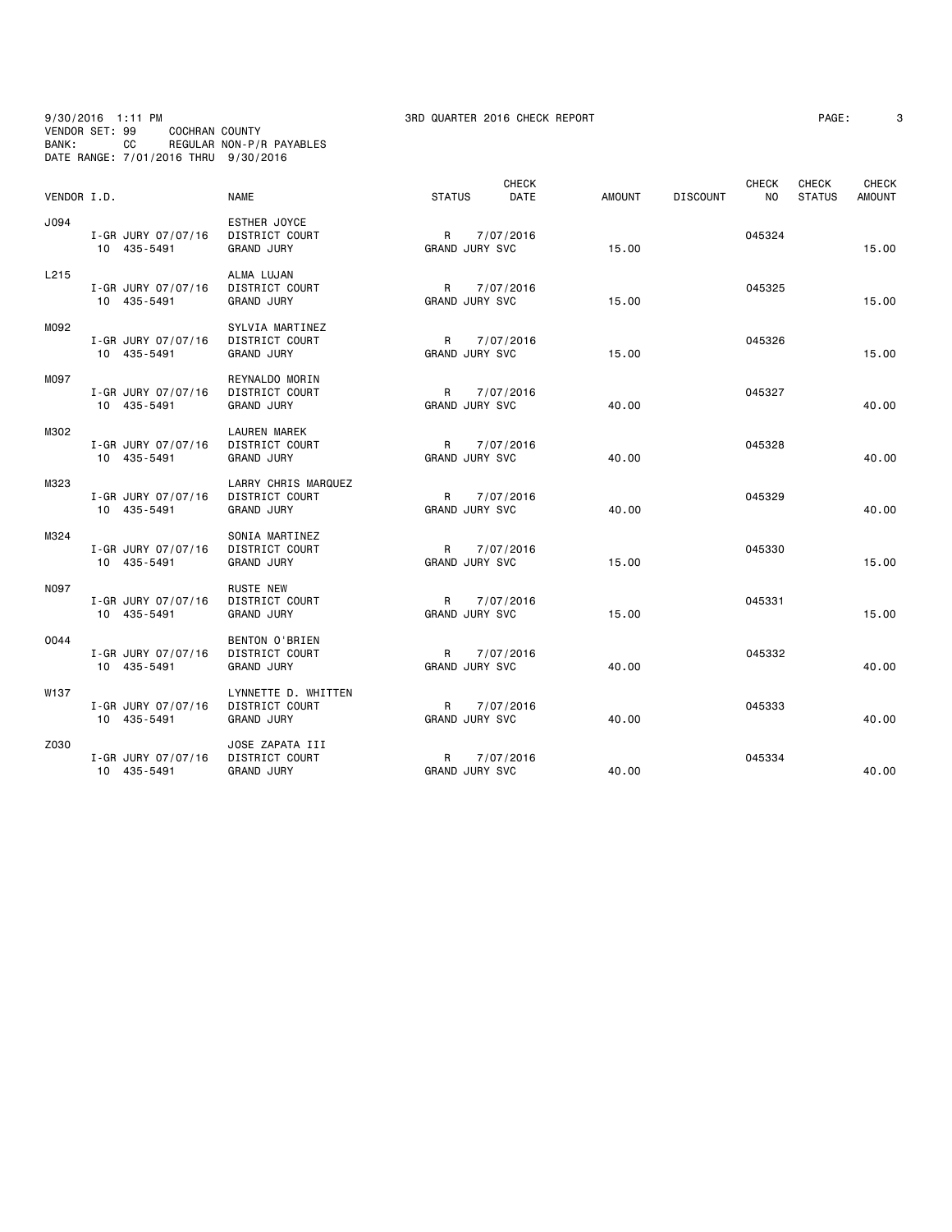# 9/30/2016 1:11 PM 3RD QUARTER 2016 CHECK REPORT PAGE: 3 VENDOR SET: 99 COCHRAN COUNTY BANK: CC REGULAR NON-P/R PAYABLES DATE RANGE: 7/01/2016 THRU 9/30/2016

| PAGE : |  |  |
|--------|--|--|
|        |  |  |

| VENDOR I.D. |                                   | <b>NAME</b>                                                | <b>STATUS</b>                         | <b>CHECK</b><br>DATE | <b>AMOUNT</b> | <b>DISCOUNT</b> | <b>CHECK</b><br>N <sub>O</sub> | CHECK<br><b>STATUS</b> | CHECK<br><b>AMOUNT</b> |
|-------------|-----------------------------------|------------------------------------------------------------|---------------------------------------|----------------------|---------------|-----------------|--------------------------------|------------------------|------------------------|
| J094        | I-GR JURY 07/07/16<br>10 435-5491 | ESTHER JOYCE<br>DISTRICT COURT<br><b>GRAND JURY</b>        | R<br><b>GRAND JURY SVC</b>            | 7/07/2016            | 15.00         |                 | 045324                         |                        | 15.00                  |
| L215        | I-GR JURY 07/07/16<br>10 435-5491 | ALMA LUJAN<br>DISTRICT COURT<br><b>GRAND JURY</b>          | R<br><b>GRAND JURY SVC</b>            | 7/07/2016            | 15.00         |                 | 045325                         |                        | 15.00                  |
| M092        | I-GR JURY 07/07/16<br>10 435-5491 | SYLVIA MARTINEZ<br>DISTRICT COURT<br><b>GRAND JURY</b>     | R<br><b>GRAND JURY SVC</b>            | 7/07/2016            | 15.00         |                 | 045326                         |                        | 15.00                  |
| M097        | I-GR JURY 07/07/16<br>10 435-5491 | REYNALDO MORIN<br>DISTRICT COURT<br><b>GRAND JURY</b>      | $\mathsf{R}$<br><b>GRAND JURY SVC</b> | 7/07/2016            | 40.00         |                 | 045327                         |                        | 40.00                  |
| M302        | I-GR JURY 07/07/16<br>10 435-5491 | LAUREN MAREK<br><b>DISTRICT COURT</b><br><b>GRAND JURY</b> | R<br><b>GRAND JURY SVC</b>            | 7/07/2016            | 40.00         |                 | 045328                         |                        | 40.00                  |
| M323        | I-GR JURY 07/07/16<br>10 435-5491 | LARRY CHRIS MARQUEZ<br>DISTRICT COURT<br><b>GRAND JURY</b> | R<br><b>GRAND JURY SVC</b>            | 7/07/2016            | 40.00         |                 | 045329                         |                        | 40.00                  |
| M324        | I-GR JURY 07/07/16<br>10 435-5491 | SONIA MARTINEZ<br>DISTRICT COURT<br><b>GRAND JURY</b>      | R<br><b>GRAND JURY SVC</b>            | 7/07/2016            | 15.00         |                 | 045330                         |                        | 15.00                  |
| <b>N097</b> | I-GR JURY 07/07/16<br>10 435-5491 | <b>RUSTE NEW</b><br>DISTRICT COURT<br><b>GRAND JURY</b>    | $\mathsf{R}$<br>GRAND JURY SVC        | 7/07/2016            | 15.00         |                 | 045331                         |                        | 15.00                  |
| 0044        | I-GR JURY 07/07/16<br>10 435-5491 | BENTON O'BRIEN<br>DISTRICT COURT<br><b>GRAND JURY</b>      | R<br><b>GRAND JURY SVC</b>            | 7/07/2016            | 40.00         |                 | 045332                         |                        | 40.00                  |
| W137        | I-GR JURY 07/07/16<br>10 435-5491 | LYNNETTE D. WHITTEN<br>DISTRICT COURT<br><b>GRAND JURY</b> | R<br>GRAND JURY SVC                   | 7/07/2016            | 40.00         |                 | 045333                         |                        | 40.00                  |
| Z030        | I-GR JURY 07/07/16<br>10 435-5491 | JOSE ZAPATA III<br>DISTRICT COURT<br><b>GRAND JURY</b>     | R<br>GRAND JURY SVC                   | 7/07/2016            | 40.00         |                 | 045334                         |                        | 40.00                  |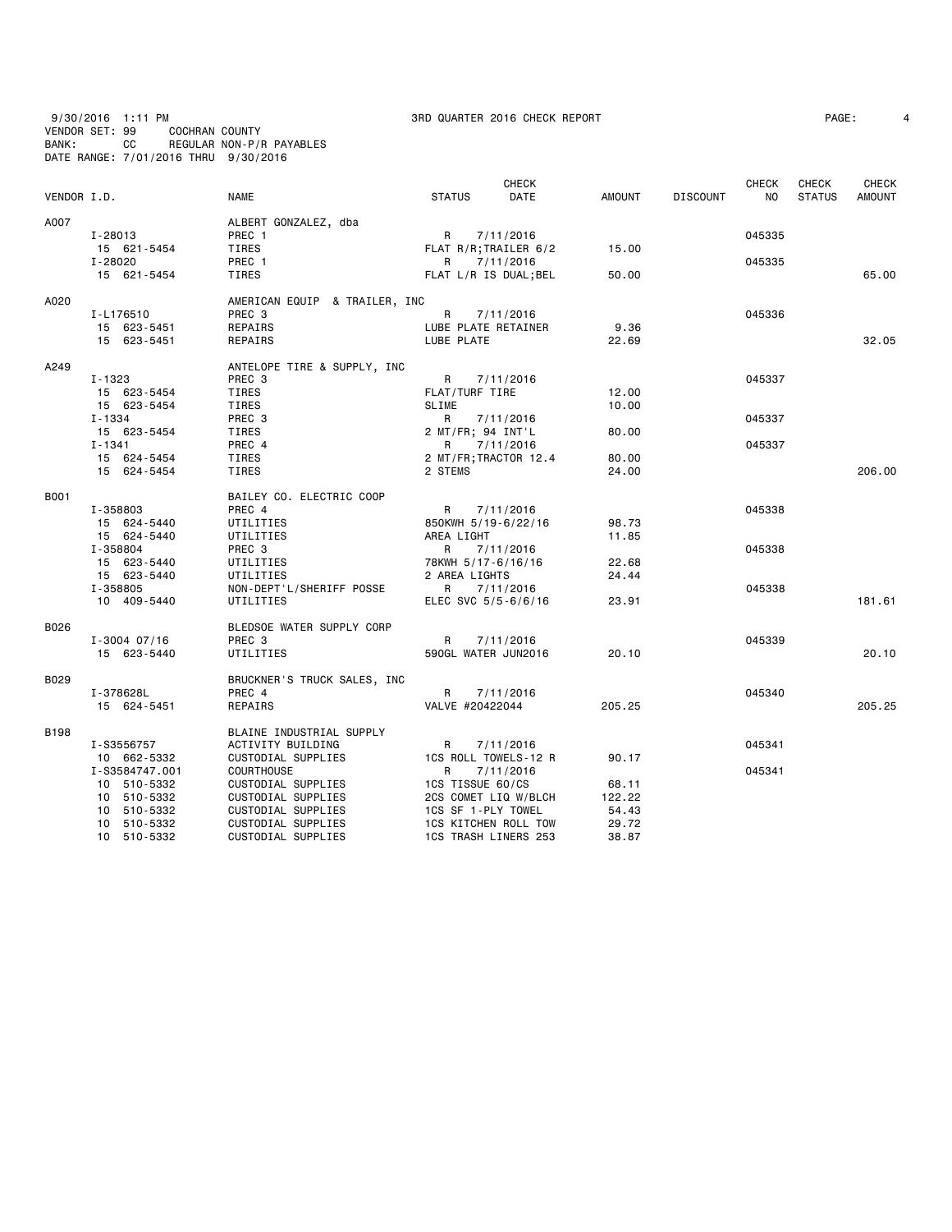9/30/2016 1:11 PM 3RD QUARTER 2016 CHECK REPORT PAGE: 4 VENDOR SET: 99 COCHRAN COUNTY BANK: CC REGULAR NON-P/R PAYABLES DATE RANGE: 7/01/2016 THRU 9/30/2016

| VENDOR I.D. |                  | <b>NAME</b>                   | <b>STATUS</b>       | <b>CHECK</b><br>DATE  | AMOUNT | <b>DISCOUNT</b> | <b>CHECK</b><br>NO. | CHECK<br><b>STATUS</b> | CHECK<br><b>AMOUNT</b> |
|-------------|------------------|-------------------------------|---------------------|-----------------------|--------|-----------------|---------------------|------------------------|------------------------|
|             |                  |                               |                     |                       |        |                 |                     |                        |                        |
| A007        |                  | ALBERT GONZALEZ, dba          |                     |                       |        |                 |                     |                        |                        |
|             | I-28013          | PREC 1                        | R                   | 7/11/2016             |        |                 | 045335              |                        |                        |
|             | 15 621-5454      | TIRES                         |                     | FLAT R/R; TRAILER 6/2 | 15.00  |                 |                     |                        |                        |
|             | I-28020          | PREC 1                        |                     | R 7/11/2016           |        |                 | 045335              |                        |                        |
|             | 15 621-5454      | TIRES                         |                     | FLAT L/R IS DUAL; BEL | 50.00  |                 |                     |                        | 65,00                  |
| A020        |                  | AMERICAN EQUIP & TRAILER, INC |                     |                       |        |                 |                     |                        |                        |
|             | I-L176510        | PREC 3                        | R                   | 7/11/2016             |        |                 | 045336              |                        |                        |
|             | 15 623-5451      | REPAIRS                       | LUBE PLATE RETAINER |                       | 9.36   |                 |                     |                        |                        |
|             | 15 623-5451      | REPAIRS                       | LUBE PLATE          |                       | 22.69  |                 |                     |                        | 32.05                  |
| A249        |                  | ANTELOPE TIRE & SUPPLY, INC   |                     |                       |        |                 |                     |                        |                        |
|             | $I - 1323$       | PREC <sub>3</sub>             | R                   | 7/11/2016             |        |                 | 045337              |                        |                        |
|             | 15 623-5454      | TIRES                         | FLAT/TURF TIRE      |                       | 12.00  |                 |                     |                        |                        |
|             | 15 623-5454      | TIRES                         | <b>SLIME</b>        |                       | 10.00  |                 |                     |                        |                        |
|             | $I - 1334$       | PREC 3                        | R                   | 7/11/2016             |        |                 | 045337              |                        |                        |
|             | 15 623-5454      | TIRES                         | 2 MT/FR; 94 INT'L   |                       | 80.00  |                 |                     |                        |                        |
|             | $I - 1341$       | PREC 4                        | R                   | 7/11/2016             |        |                 | 045337              |                        |                        |
|             | 15 624-5454      | TIRES                         |                     | 2 MT/FR; TRACTOR 12.4 | 80.00  |                 |                     |                        |                        |
|             | 15 624-5454      | TIRES                         | 2 STEMS             |                       | 24.00  |                 |                     |                        | 206.00                 |
| B001        |                  | BAILEY CO. ELECTRIC COOP      |                     |                       |        |                 |                     |                        |                        |
|             | I-358803         | PREC 4                        | R                   | 7/11/2016             |        |                 | 045338              |                        |                        |
|             | 15 624-5440      | UTILITIES                     | 850KWH 5/19-6/22/16 |                       | 98.73  |                 |                     |                        |                        |
|             | 15 624-5440      | UTILITIES                     | AREA LIGHT          |                       | 11.85  |                 |                     |                        |                        |
|             | I-358804         | PREC 3                        | R                   | 7/11/2016             |        |                 | 045338              |                        |                        |
|             | 15 623-5440      | UTILITIES                     | 78KWH 5/17-6/16/16  |                       | 22.68  |                 |                     |                        |                        |
|             | 15 623-5440      | UTILITIES                     | 2 AREA LIGHTS       |                       | 24.44  |                 |                     |                        |                        |
|             | I-358805         | NON-DEPT'L/SHERIFF POSSE      | R                   | 7/11/2016             |        |                 | 045338              |                        |                        |
|             | 10 409-5440      | UTILITIES                     | ELEC SVC 5/5-6/6/16 |                       | 23.91  |                 |                     |                        | 181.61                 |
| B026        |                  | BLEDSOE WATER SUPPLY CORP     |                     |                       |        |                 |                     |                        |                        |
|             | $I - 3004$ 07/16 | PREC <sub>3</sub>             | R                   | 7/11/2016             |        |                 | 045339              |                        |                        |
|             | 15 623-5440      | UTILITIES                     | 590GL WATER JUN2016 |                       | 20.10  |                 |                     |                        | 20.10                  |
| B029        |                  | BRUCKNER'S TRUCK SALES, INC   |                     |                       |        |                 |                     |                        |                        |
|             | I-378628L        | PREC 4                        | R                   | 7/11/2016             |        |                 | 045340              |                        |                        |
|             | 15 624-5451      | REPAIRS                       | VALVE #20422044     |                       | 205.25 |                 |                     |                        | 205.25                 |
| B198        |                  | BLAINE INDUSTRIAL SUPPLY      |                     |                       |        |                 |                     |                        |                        |
|             | I-S3556757       | ACTIVITY BUILDING             | R                   | 7/11/2016             |        |                 | 045341              |                        |                        |
|             | 10 662-5332      | CUSTODIAL SUPPLIES            |                     | 1CS ROLL TOWELS-12 R  | 90.17  |                 |                     |                        |                        |
|             | I-S3584747.001   | <b>COURTHOUSE</b>             | R                   | 7/11/2016             |        |                 | 045341              |                        |                        |
|             | 10 510-5332      | CUSTODIAL SUPPLIES            | 1CS TISSUE 60/CS    |                       | 68.11  |                 |                     |                        |                        |
|             | 10 510-5332      | CUSTODIAL SUPPLIES            |                     | 2CS COMET LIQ W/BLCH  | 122.22 |                 |                     |                        |                        |
|             | 10 510-5332      | CUSTODIAL SUPPLIES            | 1CS SF 1-PLY TOWEL  |                       | 54.43  |                 |                     |                        |                        |
|             | 10 510-5332      | CUSTODIAL SUPPLIES            |                     | 1CS KITCHEN ROLL TOW  | 29.72  |                 |                     |                        |                        |

10 510-5332 CUSTODIAL SUPPLIES 1CS TRASH LINERS 253 38.87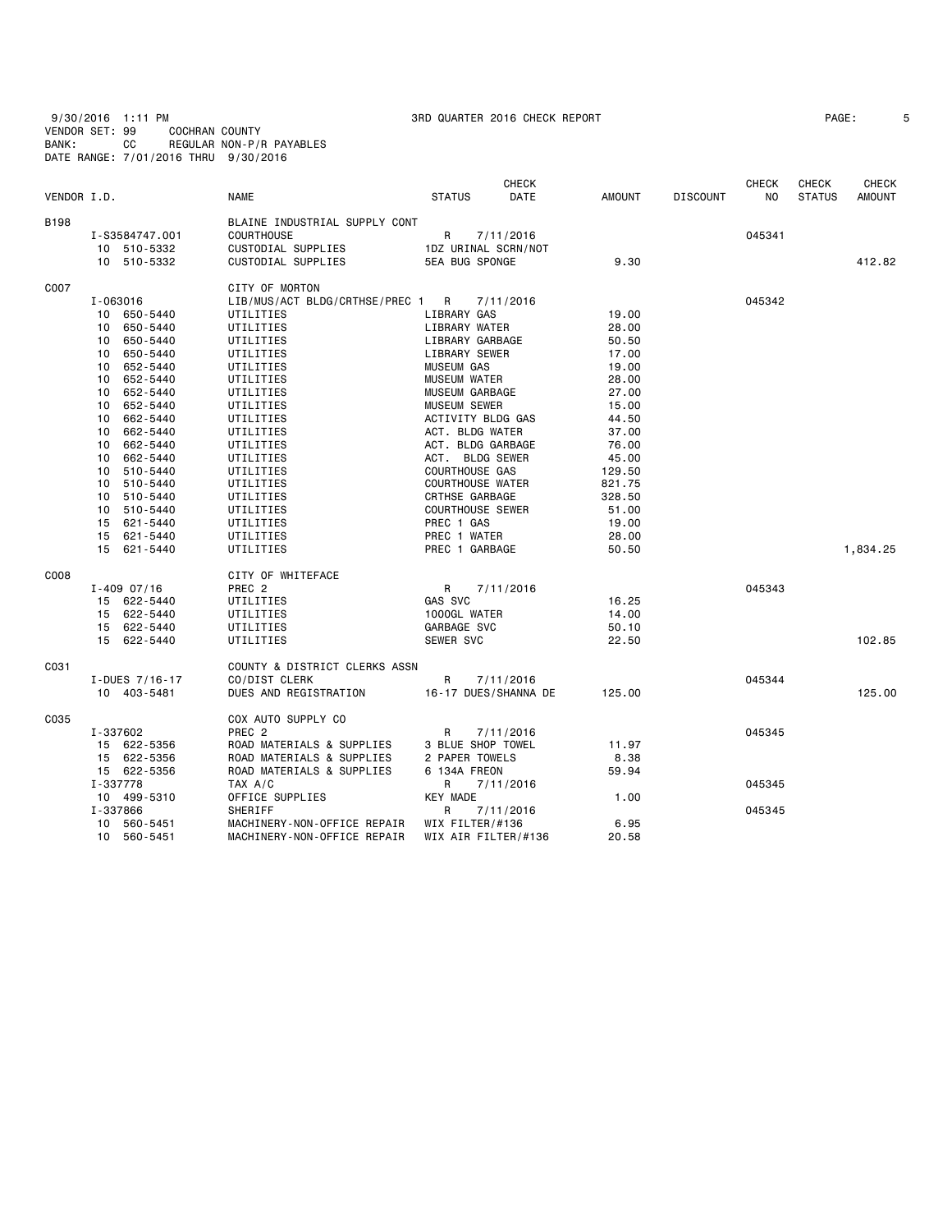9/30/2016 1:11 PM 3RD QUARTER 2016 CHECK REPORT PAGE: 5 VENDOR SET: 99 COCHRAN COUNTY BANK: CC REGULAR NON-P/R PAYABLES DATE RANGE: 7/01/2016 THRU 9/30/2016

| PAGE: |  |
|-------|--|
|       |  |

|             |          |                 |                                |                         | <b>CHECK</b>         |               |                 | <b>CHECK</b>   | <b>CHECK</b>  | CHECK         |
|-------------|----------|-----------------|--------------------------------|-------------------------|----------------------|---------------|-----------------|----------------|---------------|---------------|
| VENDOR I.D. |          |                 | <b>NAME</b>                    | <b>STATUS</b>           | DATE                 | <b>AMOUNT</b> | <b>DISCOUNT</b> | N <sub>O</sub> | <b>STATUS</b> | <b>AMOUNT</b> |
| <b>B198</b> |          |                 | BLAINE INDUSTRIAL SUPPLY CONT  |                         |                      |               |                 |                |               |               |
|             |          | I-S3584747.001  | <b>COURTHOUSE</b>              | R                       | 7/11/2016            |               |                 | 045341         |               |               |
|             |          | 10 510-5332     | CUSTODIAL SUPPLIES             | 1DZ URINAL SCRN/NOT     |                      |               |                 |                |               |               |
|             |          | 10 510-5332     | CUSTODIAL SUPPLIES             | <b>5EA BUG SPONGE</b>   |                      | 9.30          |                 |                |               | 412.82        |
| C007        |          |                 | CITY OF MORTON                 |                         |                      |               |                 |                |               |               |
|             |          | I-063016        | LIB/MUS/ACT BLDG/CRTHSE/PREC 1 | $\mathsf{R}$            | 7/11/2016            |               |                 | 045342         |               |               |
|             |          | 10 650-5440     | UTILITIES                      | LIBRARY GAS             |                      | 19.00         |                 |                |               |               |
|             |          | 10 650-5440     | UTILITIES                      | LIBRARY WATER           |                      | 28.00         |                 |                |               |               |
|             |          | 10 650-5440     | UTILITIES                      | LIBRARY GARBAGE         |                      | 50.50         |                 |                |               |               |
|             | 10       | 650-5440        | UTILITIES                      | LIBRARY SEWER           |                      | 17.00         |                 |                |               |               |
|             |          | 10 652-5440     | UTILITIES                      | <b>MUSEUM GAS</b>       |                      | 19.00         |                 |                |               |               |
|             |          | 10 652-5440     | UTILITIES                      | <b>MUSEUM WATER</b>     |                      | 28.00         |                 |                |               |               |
|             | 10       | 652-5440        | UTILITIES                      | MUSEUM GARBAGE          |                      | 27.00         |                 |                |               |               |
|             |          | 10 652-5440     | UTILITIES                      | <b>MUSEUM SEWER</b>     |                      | 15.00         |                 |                |               |               |
|             |          | 10 662-5440     | UTILITIES                      | ACTIVITY BLDG GAS       |                      | 44.50         |                 |                |               |               |
|             |          | 10 662-5440     | UTILITIES                      | ACT. BLDG WATER         |                      | 37.00         |                 |                |               |               |
|             |          | 10 662-5440     | UTILITIES                      | ACT. BLDG GARBAGE       |                      | 76.00         |                 |                |               |               |
|             |          | 10 662-5440     | UTILITIES                      | ACT. BLDG SEWER         |                      | 45.00         |                 |                |               |               |
|             |          | 10 510-5440     | UTILITIES                      | <b>COURTHOUSE GAS</b>   |                      | 129.50        |                 |                |               |               |
|             |          | 10 510-5440     | UTILITIES                      | <b>COURTHOUSE WATER</b> |                      | 821.75        |                 |                |               |               |
|             |          | 10 510-5440     | UTILITIES                      | CRTHSE GARBAGE          |                      | 328.50        |                 |                |               |               |
|             |          | 10 510-5440     | UTILITIES                      | <b>COURTHOUSE SEWER</b> |                      | 51.00         |                 |                |               |               |
|             |          | 15 621-5440     | UTILITIES                      | PREC 1 GAS              |                      | 19.00         |                 |                |               |               |
|             |          | 15 621-5440     | UTILITIES                      | PREC 1 WATER            |                      | 28.00         |                 |                |               |               |
|             |          | 15 621-5440     | UTILITIES                      | PREC 1 GARBAGE          |                      | 50.50         |                 |                |               | 1,834.25      |
| C008        |          |                 | CITY OF WHITEFACE              |                         |                      |               |                 |                |               |               |
|             |          | $I - 409$ 07/16 | PREC <sub>2</sub>              | R                       | 7/11/2016            |               |                 | 045343         |               |               |
|             |          | 15 622-5440     | UTILITIES                      | GAS SVC                 |                      | 16.25         |                 |                |               |               |
|             |          | 15 622-5440     | UTILITIES                      | 1000GL WATER            |                      | 14.00         |                 |                |               |               |
|             |          | 15 622-5440     | UTILITIES                      | GARBAGE SVC             |                      | 50.10         |                 |                |               |               |
|             |          | 15 622-5440     | UTILITIES                      | SEWER SVC               |                      | 22.50         |                 |                |               | 102.85        |
| C031        |          |                 | COUNTY & DISTRICT CLERKS ASSN  |                         |                      |               |                 |                |               |               |
|             |          | I-DUES 7/16-17  | CO/DIST CLERK                  | R                       | 7/11/2016            |               |                 | 045344         |               |               |
|             |          | 10 403-5481     | DUES AND REGISTRATION          |                         | 16-17 DUES/SHANNA DE | 125.00        |                 |                |               | 125,00        |
| C035        |          |                 | COX AUTO SUPPLY CO             |                         |                      |               |                 |                |               |               |
|             | I-337602 |                 | PREC <sub>2</sub>              | R                       | 7/11/2016            |               |                 | 045345         |               |               |
|             |          | 15 622-5356     | ROAD MATERIALS & SUPPLIES      | 3 BLUE SHOP TOWEL       |                      | 11.97         |                 |                |               |               |
|             |          | 15 622-5356     | ROAD MATERIALS & SUPPLIES      | 2 PAPER TOWELS          |                      | 8.38          |                 |                |               |               |
|             |          | 15 622-5356     | ROAD MATERIALS & SUPPLIES      | 6 134A FREON            |                      | 59.94         |                 |                |               |               |
|             | I-337778 |                 | TAX A/C                        | R                       | 7/11/2016            |               |                 | 045345         |               |               |
|             |          | 10 499-5310     | OFFICE SUPPLIES                | <b>KEY MADE</b>         |                      | 1.00          |                 |                |               |               |
|             | I-337866 |                 | SHERIFF                        | R                       | 7/11/2016            |               |                 | 045345         |               |               |
|             |          | 10 560-5451     | MACHINERY-NON-OFFICE REPAIR    | WIX FILTER/#136         |                      | 6.95          |                 |                |               |               |
|             |          | 10 560-5451     | MACHINERY-NON-OFFICE REPAIR    | WIX AIR FILTER/#136     |                      | 20.58         |                 |                |               |               |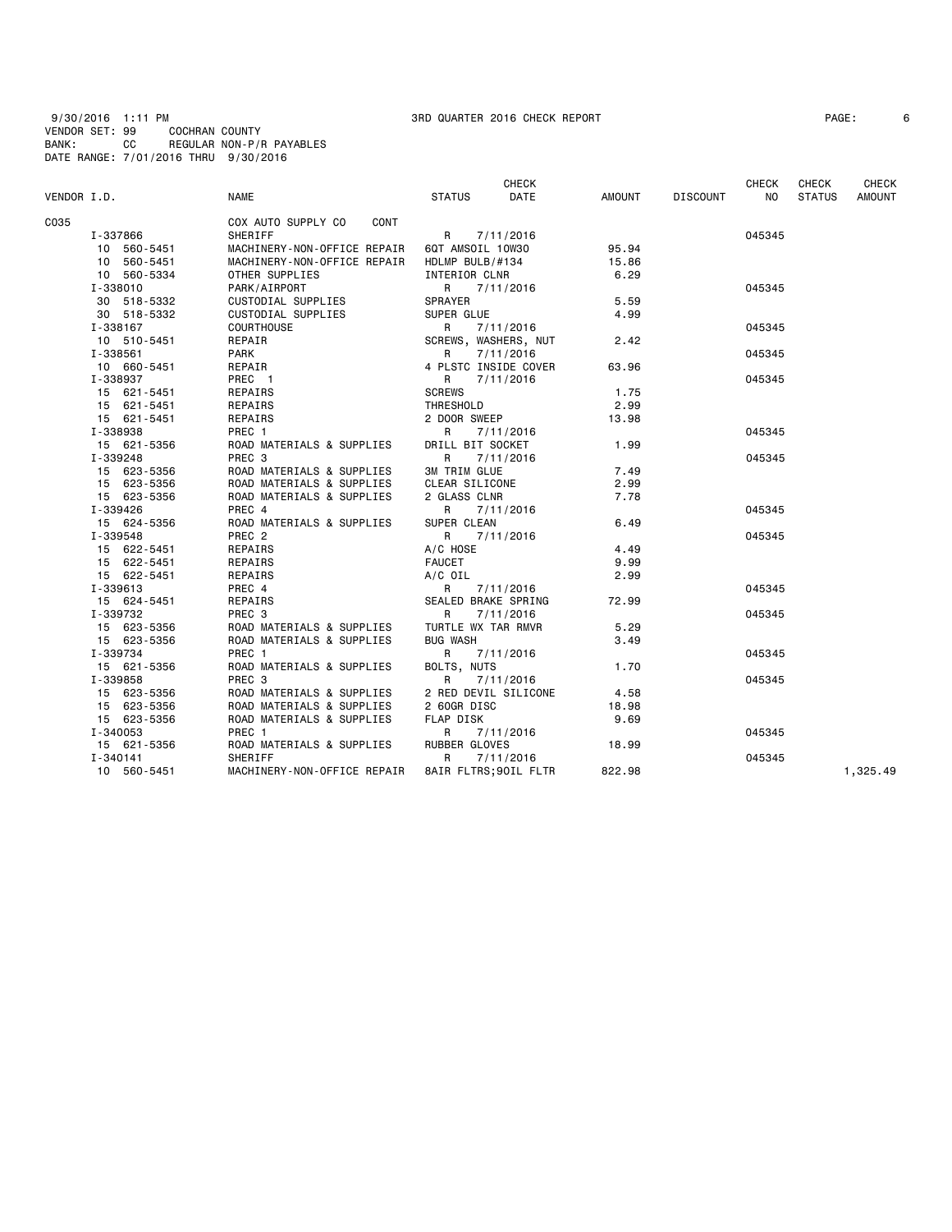| VENDOR I.D. |             | <b>NAME</b>                       | <b>CHECK</b><br>DATE<br><b>STATUS</b> | AMOUNT | <b>DISCOUNT</b> | <b>CHECK</b><br>NO. | CHECK<br><b>STATUS</b> | <b>CHECK</b><br><b>AMOUNT</b> |
|-------------|-------------|-----------------------------------|---------------------------------------|--------|-----------------|---------------------|------------------------|-------------------------------|
|             |             |                                   |                                       |        |                 |                     |                        |                               |
| C035        |             | COX AUTO SUPPLY CO<br><b>CONT</b> |                                       |        |                 |                     |                        |                               |
|             | I-337866    | SHERIFF                           | 7/11/2016<br>R a                      |        |                 | 045345              |                        |                               |
|             | 10 560-5451 | MACHINERY-NON-OFFICE REPAIR       | 6QT AMSOIL 10W30                      | 95.94  |                 |                     |                        |                               |
|             | 10 560-5451 | MACHINERY-NON-OFFICE REPAIR       | HDLMP BULB/#134                       | 15.86  |                 |                     |                        |                               |
|             | 10 560-5334 | OTHER SUPPLIES                    | INTERIOR CLNR                         | 6.29   |                 |                     |                        |                               |
|             | I-338010    | PARK/AIRPORT                      | R<br>7/11/2016                        |        |                 | 045345              |                        |                               |
|             | 30 518-5332 | CUSTODIAL SUPPLIES                | <b>SPRAYER</b>                        | 5.59   |                 |                     |                        |                               |
|             | 30 518-5332 | CUSTODIAL SUPPLIES                | SUPER GLUE                            | 4.99   |                 |                     |                        |                               |
|             | I-338167    | <b>COURTHOUSE</b>                 | 7/11/2016<br>R                        |        |                 | 045345              |                        |                               |
|             | 10 510-5451 | REPAIR                            | SCREWS, WASHERS, NUT                  | 2.42   |                 |                     |                        |                               |
|             | I-338561    | <b>PARK</b>                       | R<br>7/11/2016                        |        |                 | 045345              |                        |                               |
|             | 10 660-5451 | REPAIR                            | 4 PLSTC INSIDE COVER                  | 63.96  |                 |                     |                        |                               |
|             | I-338937    | PREC 1                            | 7/11/2016<br>R                        |        |                 | 045345              |                        |                               |
|             | 15 621-5451 | REPAIRS                           | <b>SCREWS</b>                         | 1.75   |                 |                     |                        |                               |
|             | 15 621-5451 | REPAIRS                           | THRESHOLD                             | 2.99   |                 |                     |                        |                               |
|             | 15 621-5451 | REPAIRS                           | 2 DOOR SWEEP                          | 13.98  |                 |                     |                        |                               |
|             | I-338938    | PREC 1                            | R<br>7/11/2016                        |        |                 | 045345              |                        |                               |
|             | 15 621-5356 | ROAD MATERIALS & SUPPLIES         | DRILL BIT SOCKET                      | 1.99   |                 |                     |                        |                               |
|             | I-339248    | PREC <sub>3</sub>                 | R<br>7/11/2016                        |        |                 | 045345              |                        |                               |
|             | 15 623-5356 | ROAD MATERIALS & SUPPLIES         | <b>3M TRIM GLUE</b>                   | 7.49   |                 |                     |                        |                               |
|             | 15 623-5356 | ROAD MATERIALS & SUPPLIES         | CLEAR SILICONE                        | 2.99   |                 |                     |                        |                               |
|             | 15 623-5356 | ROAD MATERIALS & SUPPLIES         | 2 GLASS CLNR                          | 7.78   |                 |                     |                        |                               |
|             | I-339426    | PREC 4                            | R<br>7/11/2016                        |        |                 | 045345              |                        |                               |
|             | 15 624-5356 | ROAD MATERIALS & SUPPLIES         | SUPER CLEAN                           | 6.49   |                 |                     |                        |                               |
|             | I-339548    | PREC <sub>2</sub>                 | R.<br>7/11/2016                       |        |                 | 045345              |                        |                               |
|             | 15 622-5451 | REPAIRS                           | A/C HOSE                              | 4.49   |                 |                     |                        |                               |
|             | 15 622-5451 | REPAIRS                           | <b>FAUCET</b>                         | 9.99   |                 |                     |                        |                               |
|             | 15 622-5451 | REPAIRS                           | A/C OIL                               | 2.99   |                 |                     |                        |                               |
|             | I-339613    | PREC 4                            | R<br>7/11/2016                        |        |                 | 045345              |                        |                               |
|             | 15 624-5451 | REPAIRS                           | SEALED BRAKE SPRING                   | 72.99  |                 |                     |                        |                               |
|             | I-339732    | PREC 3                            | 7/11/2016<br>R                        |        |                 | 045345              |                        |                               |
|             | 15 623-5356 | ROAD MATERIALS & SUPPLIES         | TURTLE WX TAR RMVR                    | 5.29   |                 |                     |                        |                               |
|             | 15 623-5356 | ROAD MATERIALS & SUPPLIES         | <b>BUG WASH</b>                       | 3.49   |                 |                     |                        |                               |
|             | I-339734    | PREC 1                            | R<br>7/11/2016                        |        |                 | 045345              |                        |                               |
|             | 15 621-5356 | ROAD MATERIALS & SUPPLIES         | BOLTS, NUTS                           | 1.70   |                 |                     |                        |                               |
|             | I-339858    | PREC 3                            | R<br>7/11/2016                        |        |                 | 045345              |                        |                               |
|             | 15 623-5356 | ROAD MATERIALS & SUPPLIES         | 2 RED DEVIL SILICONE                  | 4.58   |                 |                     |                        |                               |
|             | 15 623-5356 | ROAD MATERIALS & SUPPLIES         | 2 60GR DISC                           | 18.98  |                 |                     |                        |                               |
|             | 15 623-5356 | ROAD MATERIALS & SUPPLIES         | FLAP DISK                             | 9.69   |                 |                     |                        |                               |
|             | I-340053    | PREC 1                            | R<br>7/11/2016                        |        |                 | 045345              |                        |                               |
|             | 15 621-5356 | ROAD MATERIALS & SUPPLIES         | RUBBER GLOVES                         | 18.99  |                 |                     |                        |                               |
|             | I-340141    | <b>SHERIFF</b>                    | R<br>7/11/2016                        |        |                 | 045345              |                        |                               |
|             | 10 560-5451 | MACHINERY-NON-OFFICE REPAIR       | 8AIR FLTRS; 90IL FLTR                 | 822.98 |                 |                     |                        | 1,325.49                      |
|             |             |                                   |                                       |        |                 |                     |                        |                               |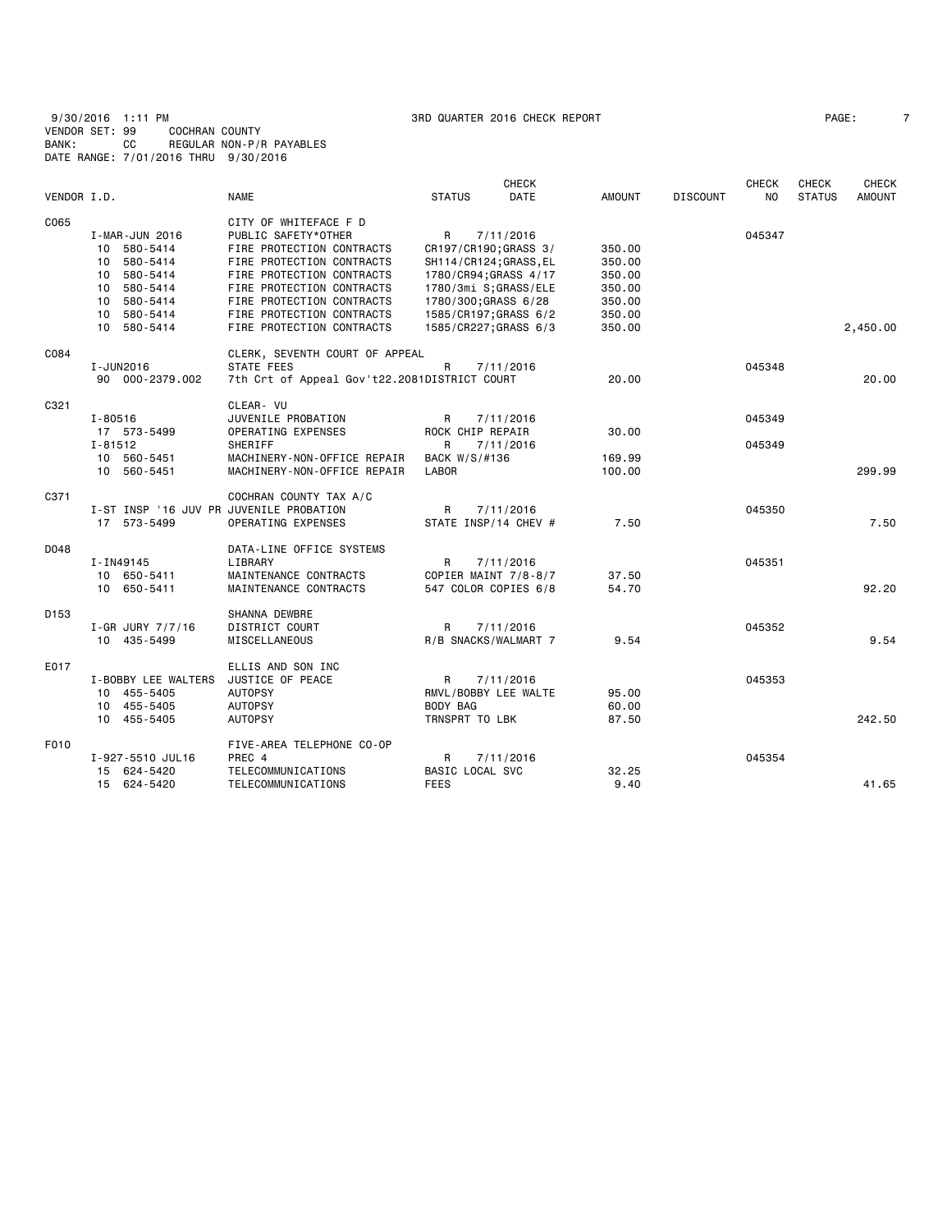9/30/2016 1:11 PM 3RD QUARTER 2016 CHECK REPORT PAGE: 7 VENDOR SET: 99 COCHRAN COUNTY BANK: CC REGULAR NON-P/R PAYABLES DATE RANGE: 7/01/2016 THRU 9/30/2016

| PAGE: |
|-------|
|-------|

|                  |                                         |                                              |                        | <b>CHECK</b>          |               |                 | <b>CHECK</b>   | <b>CHECK</b>  | <b>CHECK</b>  |
|------------------|-----------------------------------------|----------------------------------------------|------------------------|-----------------------|---------------|-----------------|----------------|---------------|---------------|
| VENDOR I.D.      |                                         | <b>NAME</b>                                  | <b>STATUS</b>          | <b>DATE</b>           | <b>AMOUNT</b> | <b>DISCOUNT</b> | N <sub>0</sub> | <b>STATUS</b> | <b>AMOUNT</b> |
| C065             |                                         | CITY OF WHITEFACE F D                        |                        |                       |               |                 |                |               |               |
|                  | I-MAR-JUN 2016                          | PUBLIC SAFETY*OTHER                          | R                      | 7/11/2016             |               |                 | 045347         |               |               |
|                  | 10 580-5414                             | FIRE PROTECTION CONTRACTS                    | CR197/CR190; GRASS 3/  |                       | 350.00        |                 |                |               |               |
|                  | 10 580-5414                             | FIRE PROTECTION CONTRACTS                    | SH114/CR124; GRASS, EL |                       | 350.00        |                 |                |               |               |
|                  | 580-5414<br>10                          | FIRE PROTECTION CONTRACTS                    | 1780/CR94;GRASS 4/17   |                       | 350.00        |                 |                |               |               |
|                  | 10 580-5414                             | FIRE PROTECTION CONTRACTS                    | 1780/3mi S;GRASS/ELE   |                       | 350.00        |                 |                |               |               |
|                  | 10 580-5414                             | FIRE PROTECTION CONTRACTS                    | 1780/300;GRASS 6/28    |                       | 350.00        |                 |                |               |               |
|                  | 10 580-5414                             | FIRE PROTECTION CONTRACTS                    | 1585/CR197;GRASS 6/2   |                       | 350.00        |                 |                |               |               |
|                  | 10 580-5414                             | FIRE PROTECTION CONTRACTS                    |                        | 1585/CR227; GRASS 6/3 | 350.00        |                 |                |               | 2,450.00      |
| C084             |                                         | CLERK, SEVENTH COURT OF APPEAL               |                        |                       |               |                 |                |               |               |
|                  | I-JUN2016                               | STATE FEES                                   | R                      | 7/11/2016             |               |                 | 045348         |               |               |
|                  | 90 000-2379.002                         | 7th Crt of Appeal Gov't22.2081DISTRICT COURT |                        |                       | 20,00         |                 |                |               | 20,00         |
| C321             |                                         | CLEAR- VU                                    |                        |                       |               |                 |                |               |               |
|                  | I-80516                                 | JUVENILE PROBATION                           | R                      | 7/11/2016             |               |                 | 045349         |               |               |
|                  | 17 573-5499                             | OPERATING EXPENSES                           | ROCK CHIP REPAIR       |                       | 30.00         |                 |                |               |               |
|                  | $I - 81512$                             | SHERIFF                                      | R                      | 7/11/2016             |               |                 | 045349         |               |               |
|                  | 10 560-5451                             | MACHINERY-NON-OFFICE REPAIR                  | BACK W/S/#136          |                       | 169.99        |                 |                |               |               |
|                  | 10 560-5451                             | MACHINERY-NON-OFFICE REPAIR                  | LABOR                  |                       | 100.00        |                 |                |               | 299.99        |
| C371             |                                         | COCHRAN COUNTY TAX A/C                       |                        |                       |               |                 |                |               |               |
|                  | I-ST INSP '16 JUV PR JUVENILE PROBATION |                                              | R                      | 7/11/2016             |               |                 | 045350         |               |               |
|                  | 17 573-5499                             | OPERATING EXPENSES                           | STATE INSP/14 CHEV #   |                       | 7.50          |                 |                |               | 7.50          |
| D048             |                                         | DATA-LINE OFFICE SYSTEMS                     |                        |                       |               |                 |                |               |               |
|                  | I-IN49145                               | LIBRARY                                      | R                      | 7/11/2016             |               |                 | 045351         |               |               |
|                  | 10 650-5411                             | MAINTENANCE CONTRACTS                        |                        | COPIER MAINT 7/8-8/7  | 37.50         |                 |                |               |               |
|                  | 10 650-5411                             | MAINTENANCE CONTRACTS                        | 547 COLOR COPIES 6/8   |                       | 54.70         |                 |                |               | 92.20         |
| D <sub>153</sub> |                                         | SHANNA DEWBRE                                |                        |                       |               |                 |                |               |               |
|                  | $I-GR$ JURY $7/7/16$                    | DISTRICT COURT                               | R                      | 7/11/2016             |               |                 | 045352         |               |               |
|                  | 10 435-5499                             | MISCELLANEOUS                                | R/B SNACKS/WALMART 7   |                       | 9.54          |                 |                |               | 9.54          |
| E017             |                                         | ELLIS AND SON INC                            |                        |                       |               |                 |                |               |               |
|                  | I-BOBBY LEE WALTERS                     | JUSTICE OF PEACE                             | R                      | 7/11/2016             |               |                 | 045353         |               |               |
|                  | 10 455-5405                             | <b>AUTOPSY</b>                               | RMVL/BOBBY LEE WALTE   |                       | 95.00         |                 |                |               |               |
|                  | 10 455-5405                             | <b>AUTOPSY</b>                               | BODY BAG               |                       | 60.00         |                 |                |               |               |
|                  | 10 455-5405                             | <b>AUTOPSY</b>                               | TRNSPRT TO LBK         |                       | 87.50         |                 |                |               | 242.50        |
| F010             |                                         | FIVE-AREA TELEPHONE CO-OP                    |                        |                       |               |                 |                |               |               |
|                  | I-927-5510 JUL16                        | PREC 4                                       | R                      | 7/11/2016             |               |                 | 045354         |               |               |
|                  | 15 624-5420                             | TELECOMMUNICATIONS                           | BASIC LOCAL SVC        |                       | 32.25         |                 |                |               |               |
|                  | 15 624-5420                             | TELECOMMUNICATIONS                           | <b>FEES</b>            |                       | 9.40          |                 |                |               | 41.65         |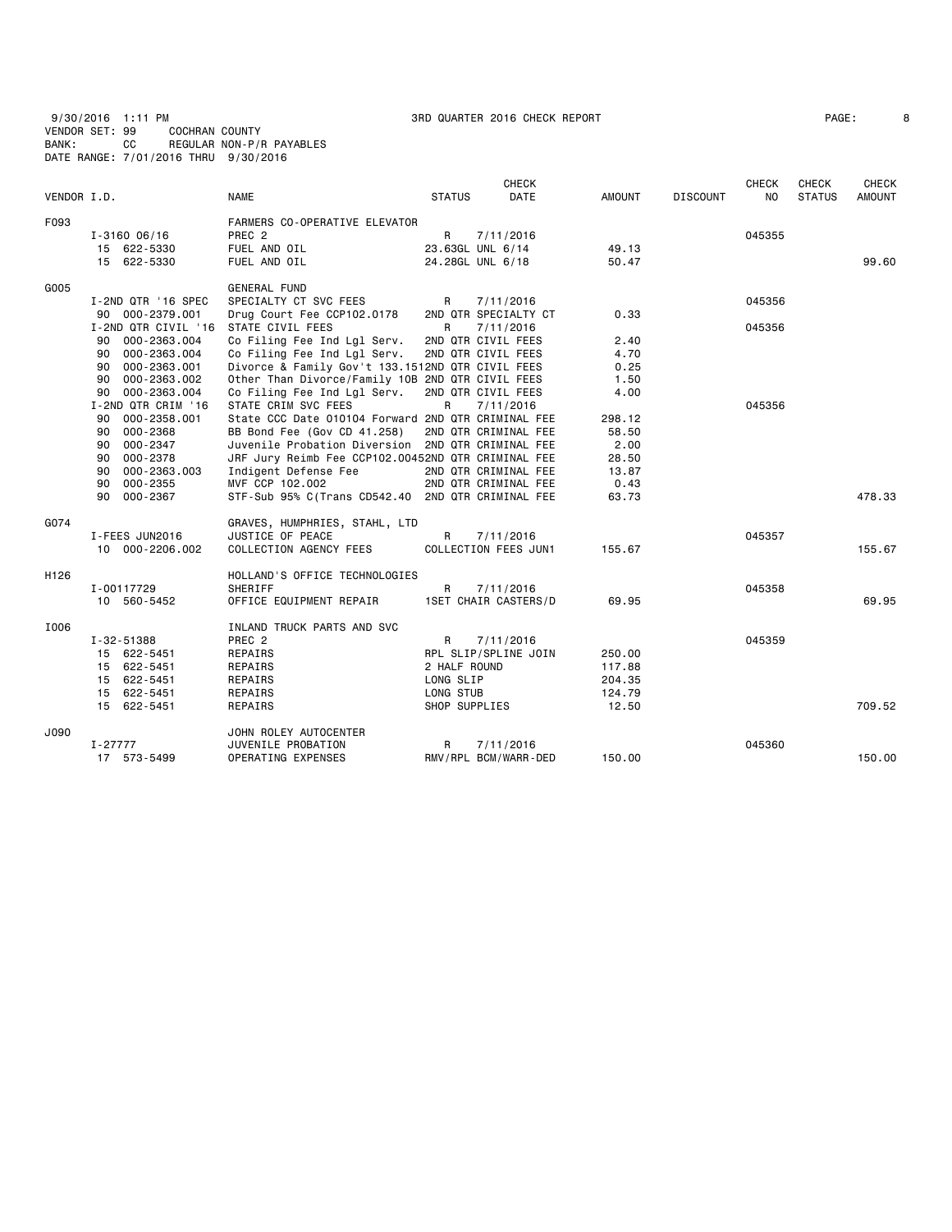9/30/2016 1:11 PM 3RD QUARTER 2016 CHECK REPORT PAGE: 8 VENDOR SET: 99 COCHRAN COUNTY BANK: CC REGULAR NON-P/R PAYABLES DATE RANGE: 7/01/2016 THRU 9/30/2016

| PAGE: |  |
|-------|--|
|       |  |

|                  |                     |                                                    |               | <b>CHECK</b>                |               |                 | <b>CHECK</b> | CHECK         | <b>CHECK</b>  |
|------------------|---------------------|----------------------------------------------------|---------------|-----------------------------|---------------|-----------------|--------------|---------------|---------------|
| VENDOR I.D.      |                     | <b>NAME</b>                                        | <b>STATUS</b> | DATE                        | <b>AMOUNT</b> | <b>DISCOUNT</b> | NO.          | <b>STATUS</b> | <b>AMOUNT</b> |
| F093             |                     | FARMERS CO-OPERATIVE ELEVATOR                      |               |                             |               |                 |              |               |               |
|                  | $I - 316006/16$     | PREC <sub>2</sub>                                  | R             | 7/11/2016                   |               |                 | 045355       |               |               |
|                  | 15 622-5330         | FUEL AND OIL                                       |               | 23.63GL UNL 6/14            | 49.13         |                 |              |               |               |
|                  | 15 622-5330         | FUEL AND OIL                                       |               | 24.28GL UNL 6/18            | 50.47         |                 |              |               | 99.60         |
| G005             |                     | <b>GENERAL FUND</b>                                |               |                             |               |                 |              |               |               |
|                  | I-2ND QTR '16 SPEC  | SPECIALTY CT SVC FEES                              | R             | 7/11/2016                   |               |                 | 045356       |               |               |
|                  | 000-2379.001<br>90  | Drug Court Fee CCP102.0178                         |               | 2ND QTR SPECIALTY CT        | 0.33          |                 |              |               |               |
|                  | I-2ND QTR CIVIL '16 | STATE CIVIL FEES                                   | R             | 7/11/2016                   |               |                 | 045356       |               |               |
|                  | 000-2363.004<br>90  | Co Filing Fee Ind Lgl Serv.                        |               | 2ND QTR CIVIL FEES          | 2.40          |                 |              |               |               |
|                  | 000-2363.004<br>90  | Co Filing Fee Ind Lgl Serv.                        |               | 2ND QTR CIVIL FEES          | 4.70          |                 |              |               |               |
|                  | 000-2363.001<br>90  | Divorce & Family Gov't 133.1512ND QTR CIVIL FEES   |               |                             | 0.25          |                 |              |               |               |
|                  | 90<br>000-2363.002  | Other Than Divorce/Family 10B 2ND QTR CIVIL FEES   |               |                             | 1.50          |                 |              |               |               |
|                  | 90<br>000-2363.004  | Co Filing Fee Ind Lgl Serv.                        |               | 2ND QTR CIVIL FEES          | 4.00          |                 |              |               |               |
|                  | I-2ND QTR CRIM '16  | STATE CRIM SVC FEES                                | R             | 7/11/2016                   |               |                 | 045356       |               |               |
|                  | 000-2358.001<br>90  | State CCC Date 010104 Forward 2ND QTR CRIMINAL FEE |               |                             | 298.12        |                 |              |               |               |
|                  | 000-2368<br>90      | BB Bond Fee (Gov CD 41.258)                        |               | 2ND QTR CRIMINAL FEE        | 58.50         |                 |              |               |               |
|                  | 000-2347<br>90      | Juvenile Probation Diversion 2ND QTR CRIMINAL FEE  |               |                             | 2.00          |                 |              |               |               |
|                  | 000-2378<br>90      | JRF Jury Reimb Fee CCP102.00452ND QTR CRIMINAL FEE |               |                             | 28.50         |                 |              |               |               |
|                  | 000-2363.003<br>90  | Indigent Defense Fee                               |               | 2ND QTR CRIMINAL FEE        | 13.87         |                 |              |               |               |
|                  | 90<br>000-2355      | MVF CCP 102.002                                    |               | 2ND QTR CRIMINAL FEE        | 0.43          |                 |              |               |               |
|                  | 000-2367<br>90      | STF-Sub 95% C(Trans CD542.40 2ND QTR CRIMINAL FEE  |               |                             | 63.73         |                 |              |               | 478.33        |
| G074             |                     | GRAVES, HUMPHRIES, STAHL, LTD                      |               |                             |               |                 |              |               |               |
|                  | I-FEES JUN2016      | JUSTICE OF PEACE                                   | R             | 7/11/2016                   |               |                 | 045357       |               |               |
|                  | 10 000-2206.002     | COLLECTION AGENCY FEES                             |               | COLLECTION FEES JUN1        | 155.67        |                 |              |               | 155.67        |
| H <sub>126</sub> |                     | HOLLAND'S OFFICE TECHNOLOGIES                      |               |                             |               |                 |              |               |               |
|                  | I-00117729          | SHERIFF                                            | R             | 7/11/2016                   |               |                 | 045358       |               |               |
|                  | 10 560-5452         | OFFICE EQUIPMENT REPAIR                            |               | <b>1SET CHAIR CASTERS/D</b> | 69.95         |                 |              |               | 69.95         |
| I006             |                     | INLAND TRUCK PARTS AND SVC                         |               |                             |               |                 |              |               |               |
|                  | I-32-51388          | PREC <sub>2</sub>                                  | R             | 7/11/2016                   |               |                 | 045359       |               |               |
|                  | 15 622-5451         | REPAIRS                                            |               | RPL SLIP/SPLINE JOIN        | 250.00        |                 |              |               |               |
|                  | 15 622-5451         | REPAIRS                                            | 2 HALF ROUND  |                             | 117.88        |                 |              |               |               |
|                  | 15 622-5451         | REPAIRS                                            | LONG SLIP     |                             | 204.35        |                 |              |               |               |
|                  | 15 622-5451         | REPAIRS                                            | LONG STUB     |                             | 124.79        |                 |              |               |               |
|                  | 15 622-5451         | REPAIRS                                            | SHOP SUPPLIES |                             | 12.50         |                 |              |               | 709.52        |
| J090             |                     | JOHN ROLEY AUTOCENTER                              |               |                             |               |                 |              |               |               |
|                  | I-27777             | JUVENILE PROBATION                                 | R             | 7/11/2016                   |               |                 | 045360       |               |               |
|                  | 17 573-5499         | OPERATING EXPENSES                                 |               | RMV/RPL BCM/WARR-DED        | 150.00        |                 |              |               | 150.00        |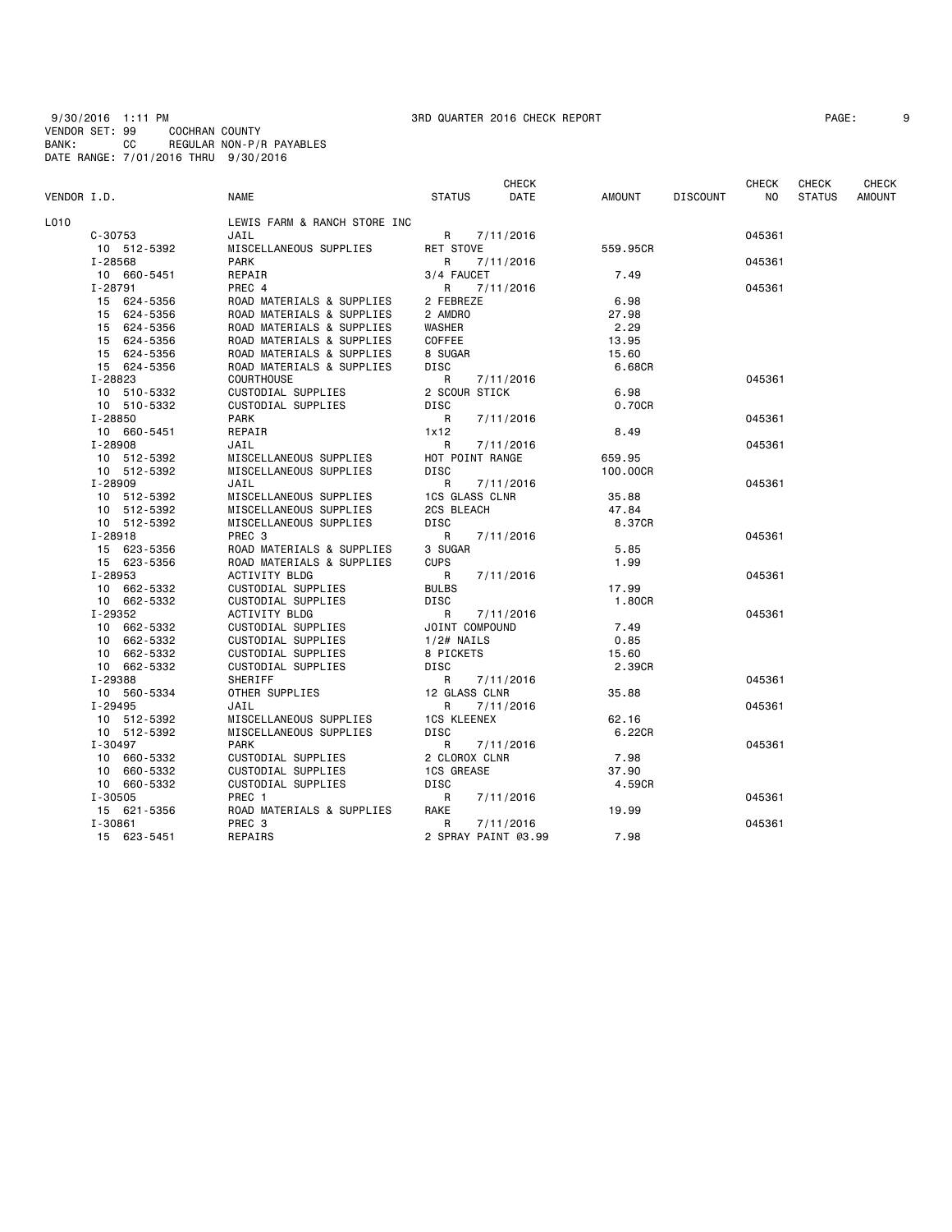9/30/2016 1:11 PM 3RD QUARTER 2016 CHECK REPORT PAGE: 9 VENDOR SET: 99 COCHRAN COUNTY BANK: CC REGULAR NON-P/R PAYABLES DATE RANGE: 7/01/2016 THRU 9/30/2016

| PAGE: |
|-------|
|-------|

| VENDOR I.D. |                        | <b>NAME</b>                              | <b>STATUS</b>          | <b>CHECK</b><br>DATE | AMOUNT       | <b>DISCOUNT</b> | <b>CHECK</b><br>NO. | <b>CHECK</b><br><b>STATUS</b> | CHECK<br><b>AMOUNT</b> |
|-------------|------------------------|------------------------------------------|------------------------|----------------------|--------------|-----------------|---------------------|-------------------------------|------------------------|
| L010        |                        | LEWIS FARM & RANCH STORE INC             |                        |                      |              |                 |                     |                               |                        |
|             | $C - 30753$            | JAIL                                     | R                      | 7/11/2016            |              |                 | 045361              |                               |                        |
|             | 10 512-5392            | MISCELLANEOUS SUPPLIES                   | RET STOVE              |                      | 559.95CR     |                 |                     |                               |                        |
|             | I-28568                | <b>PARK</b>                              | R                      | 7/11/2016            |              |                 | 045361              |                               |                        |
|             | 10 660-5451            | REPAIR                                   | 3/4 FAUCET             |                      | 7.49         |                 |                     |                               |                        |
|             | $I - 28791$            | PREC 4                                   | R                      | 7/11/2016            |              |                 | 045361              |                               |                        |
|             | 15 624-5356            | ROAD MATERIALS & SUPPLIES                | 2 FEBREZE              |                      | 6.98         |                 |                     |                               |                        |
|             | 15 624-5356            | ROAD MATERIALS & SUPPLIES                | 2 AMDRO                |                      | 27.98        |                 |                     |                               |                        |
|             | 15 624-5356            | ROAD MATERIALS & SUPPLIES                | <b>WASHER</b>          |                      | 2.29         |                 |                     |                               |                        |
|             | 15 624-5356            | ROAD MATERIALS & SUPPLIES                | COFFEE                 |                      | 13.95        |                 |                     |                               |                        |
|             | 15 624-5356            | ROAD MATERIALS & SUPPLIES                | 8 SUGAR                |                      | 15.60        |                 |                     |                               |                        |
|             | 15 624-5356            | ROAD MATERIALS & SUPPLIES                | <b>DISC</b>            |                      | 6.68CR       |                 |                     |                               |                        |
|             | I-28823                | <b>COURTHOUSE</b>                        | R                      | 7/11/2016            |              |                 | 045361              |                               |                        |
|             | 10 510-5332            | CUSTODIAL SUPPLIES                       | 2 SCOUR STICK          |                      | 6.98         |                 |                     |                               |                        |
|             | 10 510-5332            | CUSTODIAL SUPPLIES                       | DISC                   |                      | 0.70CR       |                 |                     |                               |                        |
|             | I-28850                | <b>PARK</b>                              | R                      | 7/11/2016            |              |                 | 045361              |                               |                        |
|             | 10 660-5451            | REPAIR                                   | 1x12                   |                      | 8.49         |                 |                     |                               |                        |
|             | I-28908                | JAIL                                     | R                      | 7/11/2016            |              |                 | 045361              |                               |                        |
|             | 10 512-5392            | MISCELLANEOUS SUPPLIES                   | HOT POINT RANGE        |                      | 659.95       |                 |                     |                               |                        |
|             | 10 512-5392            | MISCELLANEOUS SUPPLIES                   | <b>DISC</b>            |                      | 100.00CR     |                 |                     |                               |                        |
|             | I-28909                | JAIL                                     | R                      | 7/11/2016            |              |                 | 045361              |                               |                        |
|             | 10 512-5392            | MISCELLANEOUS SUPPLIES                   | <b>1CS GLASS CLNR</b>  |                      | 35.88        |                 |                     |                               |                        |
|             | 10 512-5392            | MISCELLANEOUS SUPPLIES                   | 2CS BLEACH             |                      | 47.84        |                 |                     |                               |                        |
|             | 10 512-5392            | MISCELLANEOUS SUPPLIES                   | <b>DISC</b>            |                      | 8.37CR       |                 |                     |                               |                        |
|             | $I - 28918$            | PREC 3                                   | R                      | 7/11/2016            |              |                 | 045361              |                               |                        |
|             | 15 623-5356            | ROAD MATERIALS & SUPPLIES                | 3 SUGAR<br><b>CUPS</b> |                      | 5.85<br>1.99 |                 |                     |                               |                        |
|             | 15 623-5356            | ROAD MATERIALS & SUPPLIES                |                        |                      |              |                 |                     |                               |                        |
|             | I-28953<br>10 662-5332 | <b>ACTIVITY BLDG</b>                     | R<br><b>BULBS</b>      | 7/11/2016            | 17.99        |                 | 045361              |                               |                        |
|             | 10 662-5332            | CUSTODIAL SUPPLIES<br>CUSTODIAL SUPPLIES | <b>DISC</b>            |                      | 1,80CR       |                 |                     |                               |                        |
|             | I-29352                | <b>ACTIVITY BLDG</b>                     | R                      | 7/11/2016            |              |                 | 045361              |                               |                        |
|             | 10 662-5332            | CUSTODIAL SUPPLIES                       | JOINT COMPOUND         |                      | 7.49         |                 |                     |                               |                        |
|             | 10 662-5332            | CUSTODIAL SUPPLIES                       | $1/2#$ NAILS           |                      | 0.85         |                 |                     |                               |                        |
|             | 10 662-5332            | CUSTODIAL SUPPLIES                       | 8 PICKETS              |                      | 15.60        |                 |                     |                               |                        |
|             | 10 662-5332            | CUSTODIAL SUPPLIES                       | <b>DISC</b>            |                      | 2.39CR       |                 |                     |                               |                        |
|             | I-29388                | SHERIFF                                  | R                      | 7/11/2016            |              |                 | 045361              |                               |                        |
|             | 10 560-5334            | OTHER SUPPLIES                           | 12 GLASS CLNR          |                      | 35.88        |                 |                     |                               |                        |
|             | I-29495                | JAIL                                     | R                      | 7/11/2016            |              |                 | 045361              |                               |                        |
|             | 10 512-5392            | MISCELLANEOUS SUPPLIES                   | <b>1CS KLEENEX</b>     |                      | 62.16        |                 |                     |                               |                        |
|             | 10 512-5392            | MISCELLANEOUS SUPPLIES                   | <b>DISC</b>            |                      | 6.22CR       |                 |                     |                               |                        |
|             | I-30497                | <b>PARK</b>                              | R                      | 7/11/2016            |              |                 | 045361              |                               |                        |
|             | 10 660-5332            | CUSTODIAL SUPPLIES                       | 2 CLOROX CLNR          |                      | 7.98         |                 |                     |                               |                        |
|             | 10 660-5332            | CUSTODIAL SUPPLIES                       | <b>1CS GREASE</b>      |                      | 37.90        |                 |                     |                               |                        |
|             | 10 660-5332            | CUSTODIAL SUPPLIES                       | <b>DISC</b>            |                      | 4.59CR       |                 |                     |                               |                        |
|             | $I - 30505$            | PREC 1                                   | R                      | 7/11/2016            |              |                 | 045361              |                               |                        |
|             | 15 621-5356            | ROAD MATERIALS & SUPPLIES                | RAKE                   |                      | 19.99        |                 |                     |                               |                        |
|             | $I - 30861$            | PREC 3                                   | R                      | 7/11/2016            |              |                 | 045361              |                               |                        |
|             | 15 623-5451            | REPAIRS                                  | 2 SPRAY PAINT @3.99    |                      | 7.98         |                 |                     |                               |                        |
|             |                        |                                          |                        |                      |              |                 |                     |                               |                        |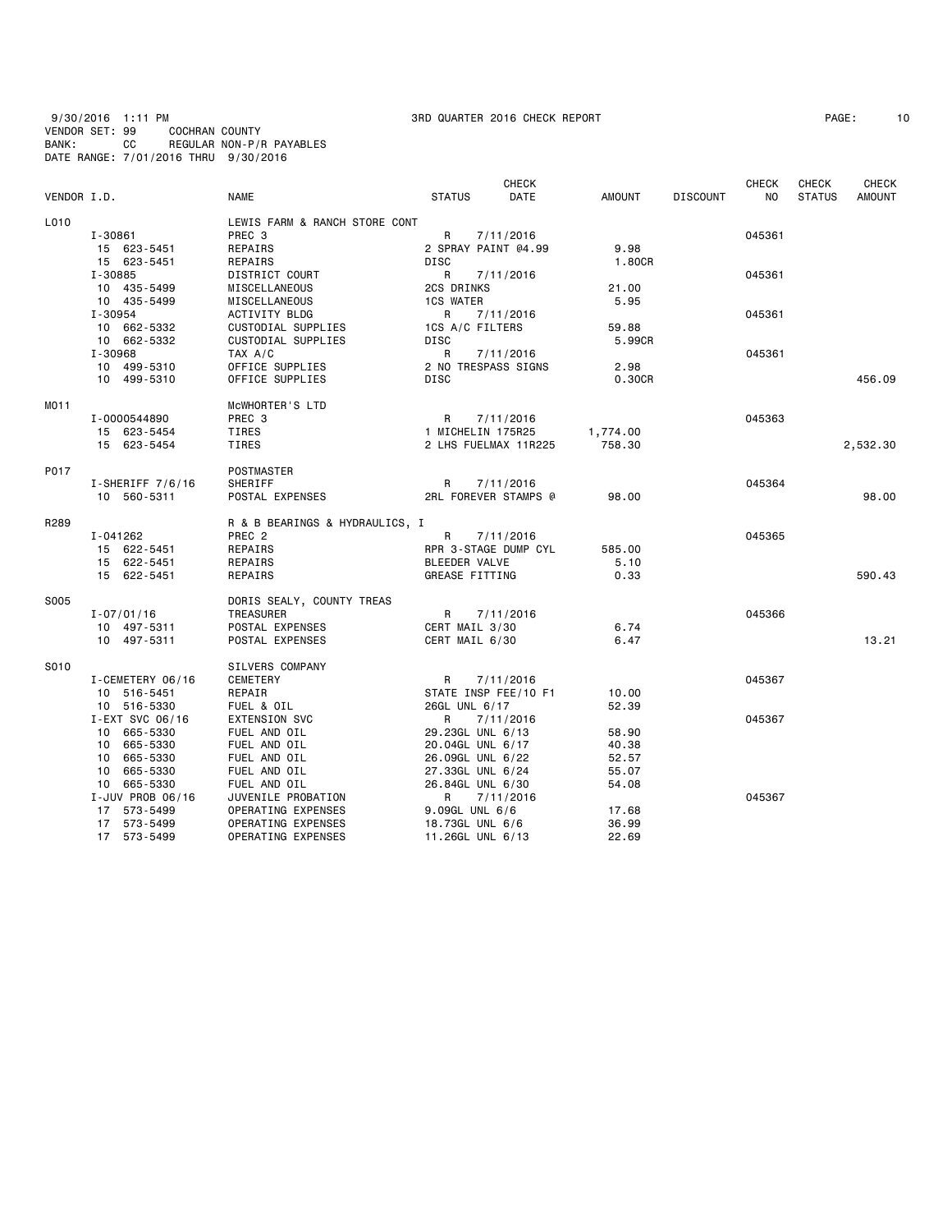9/30/2016 1:11 PM 3RD QUARTER 2016 CHECK REPORT PAGE: 10 VENDOR SET: 99 COCHRAN COUNTY BANK: CC REGULAR NON-P/R PAYABLES DATE RANGE: 7/01/2016 THRU 9/30/2016

|             |                    |                                |                     | <b>CHECK</b>         |          |                 | <b>CHECK</b> | CHECK         | CHECK         |
|-------------|--------------------|--------------------------------|---------------------|----------------------|----------|-----------------|--------------|---------------|---------------|
| VENDOR I.D. |                    | <b>NAME</b>                    | <b>STATUS</b>       | <b>DATE</b>          | AMOUNT   | <b>DISCOUNT</b> | NO           | <b>STATUS</b> | <b>AMOUNT</b> |
| L010        |                    | LEWIS FARM & RANCH STORE CONT  |                     |                      |          |                 |              |               |               |
|             | I-30861            | PREC 3                         | R                   | 7/11/2016            |          |                 | 045361       |               |               |
|             | 15 623-5451        | REPAIRS                        | 2 SPRAY PAINT @4.99 |                      | 9.98     |                 |              |               |               |
|             | 15 623-5451        | REPAIRS                        | <b>DISC</b>         |                      | 1.80CR   |                 |              |               |               |
|             | I-30885            | DISTRICT COURT                 | $\mathsf{R}$        | 7/11/2016            |          |                 | 045361       |               |               |
|             | 10 435-5499        | MISCELLANEOUS                  | 2CS DRINKS          |                      | 21.00    |                 |              |               |               |
|             | 10 435-5499        | MISCELLANEOUS                  | <b>1CS WATER</b>    |                      | 5.95     |                 |              |               |               |
|             | I-30954            | ACTIVITY BLDG                  | R                   | 7/11/2016            |          |                 | 045361       |               |               |
|             | 10 662-5332        | CUSTODIAL SUPPLIES             | 1CS A/C FILTERS     |                      | 59.88    |                 |              |               |               |
|             | 10 662-5332        | CUSTODIAL SUPPLIES             | DISC                |                      | 5.99CR   |                 |              |               |               |
|             | I-30968            | TAX A/C                        | R                   | 7/11/2016            |          |                 | 045361       |               |               |
|             | 10 499-5310        | OFFICE SUPPLIES                | 2 NO TRESPASS SIGNS |                      | 2.98     |                 |              |               |               |
|             | 10 499-5310        | OFFICE SUPPLIES                | <b>DISC</b>         |                      | 0.30CR   |                 |              |               | 456.09        |
| MO11        |                    | MCWHORTER'S LTD                |                     |                      |          |                 |              |               |               |
|             | I-0000544890       | PREC 3                         | R                   | 7/11/2016            |          |                 | 045363       |               |               |
|             | 15 623-5454        | TIRES                          | 1 MICHELIN 175R25   |                      | 1,774.00 |                 |              |               |               |
|             | 15 623-5454        | TIRES                          |                     | 2 LHS FUELMAX 11R225 | 758.30   |                 |              |               | 2,532.30      |
|             |                    |                                |                     |                      |          |                 |              |               |               |
| P017        |                    | POSTMASTER                     |                     |                      |          |                 |              |               |               |
|             | $I-SHERIFF 7/6/16$ | SHERIFF                        | R                   | 7/11/2016            |          |                 | 045364       |               |               |
|             | 10 560-5311        | POSTAL EXPENSES                |                     | 2RL FOREVER STAMPS @ | 98.00    |                 |              |               | 98,00         |
| R289        |                    | R & B BEARINGS & HYDRAULICS, I |                     |                      |          |                 |              |               |               |
|             | I-041262           | PREC <sub>2</sub>              | R                   | 7/11/2016            |          |                 | 045365       |               |               |
|             | 15 622-5451        | REPAIRS                        |                     | RPR 3-STAGE DUMP CYL | 585.00   |                 |              |               |               |
|             | 15 622-5451        | REPAIRS                        | BLEEDER VALVE       |                      | 5.10     |                 |              |               |               |
|             | 15 622-5451        | REPAIRS                        | GREASE FITTING      |                      | 0.33     |                 |              |               | 590.43        |
| S005        |                    | DORIS SEALY, COUNTY TREAS      |                     |                      |          |                 |              |               |               |
|             | $I - 07/01/16$     | TREASURER                      |                     | R 7/11/2016          |          |                 | 045366       |               |               |
|             | 10 497-5311        | POSTAL EXPENSES                | CERT MAIL 3/30      |                      | 6.74     |                 |              |               |               |
|             | 10 497-5311        | POSTAL EXPENSES                | CERT MAIL 6/30      |                      | 6.47     |                 |              |               | 13.21         |
| S010        |                    | SILVERS COMPANY                |                     |                      |          |                 |              |               |               |
|             | I-CEMETERY 06/16   | CEMETERY                       | R                   | 7/11/2016            |          |                 | 045367       |               |               |
|             | 10 516-5451        | REPAIR                         |                     | STATE INSP FEE/10 F1 | 10.00    |                 |              |               |               |
|             | 10 516-5330        | FUEL & OIL                     | 26GL UNL 6/17       |                      | 52.39    |                 |              |               |               |
|             | I-EXT SVC 06/16    | <b>EXTENSION SVC</b>           | $\mathsf{R}$        | 7/11/2016            |          |                 | 045367       |               |               |
|             | 10 665-5330        | FUEL AND OIL                   | 29.23GL UNL 6/13    |                      | 58.90    |                 |              |               |               |
|             | 10 665-5330        | FUEL AND OIL                   | 20.04GL UNL 6/17    |                      | 40.38    |                 |              |               |               |
|             | 10 665-5330        | FUEL AND OIL                   | 26.09GL UNL 6/22    |                      | 52.57    |                 |              |               |               |
|             | 10 665-5330        | FUEL AND OIL                   | 27.33GL UNL 6/24    |                      | 55.07    |                 |              |               |               |
|             | 10 665-5330        | FUEL AND OIL                   | 26.84GL UNL 6/30    |                      | 54.08    |                 |              |               |               |
|             | I-JUV PROB 06/16   | JUVENILE PROBATION             | R                   | 7/11/2016            |          |                 | 045367       |               |               |
|             | 17 573-5499        | OPERATING EXPENSES             | $9.09$ GL UNL $6/6$ |                      | 17.68    |                 |              |               |               |
|             | 17 573-5499        | OPERATING EXPENSES             | 18.73GL UNL 6/6     |                      | 36.99    |                 |              |               |               |
|             | 17 573-5499        | OPERATING EXPENSES             | 11.26GL UNL 6/13    |                      | 22.69    |                 |              |               |               |
|             |                    |                                |                     |                      |          |                 |              |               |               |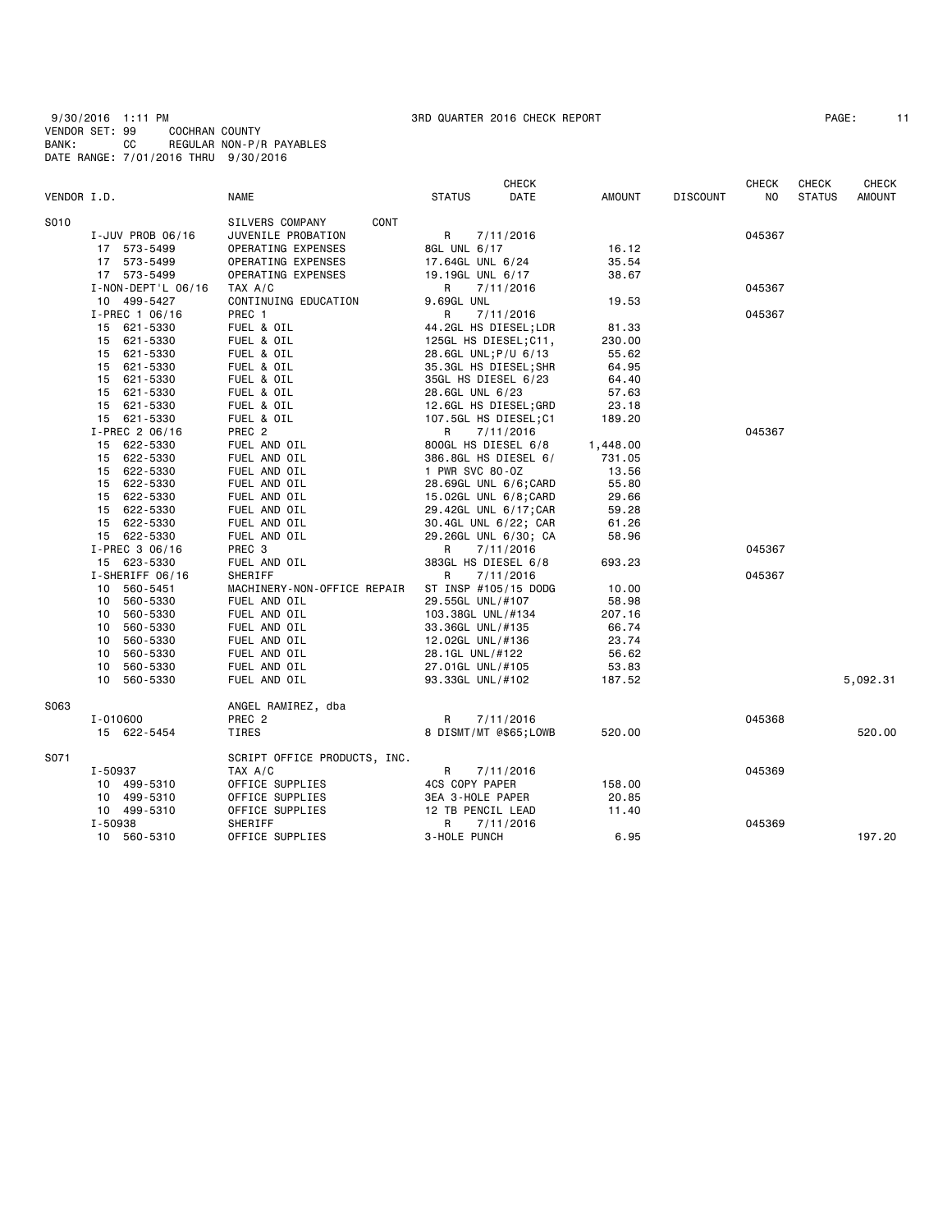9/30/2016 1:11 PM 3RD QUARTER 2016 CHECK REPORT PAGE: 11 VENDOR SET: 99 COCHRAN COUNTY BANK: CC REGULAR NON-P/R PAYABLES DATE RANGE: 7/01/2016 THRU 9/30/2016

| PAGE: |  |  |
|-------|--|--|
|-------|--|--|

|             |                    |                              |                       | <b>CHECK</b> |          |                 | <b>CHECK</b> | <b>CHECK</b>  | <b>CHECK</b>  |
|-------------|--------------------|------------------------------|-----------------------|--------------|----------|-----------------|--------------|---------------|---------------|
| VENDOR I.D. |                    | NAME                         | <b>STATUS</b>         | DATE         | AMOUNT   | <b>DISCOUNT</b> | NO           | <b>STATUS</b> | <b>AMOUNT</b> |
| S010        |                    | SILVERS COMPANY<br>CONT      |                       |              |          |                 |              |               |               |
|             | I-JUV PROB 06/16   | JUVENILE PROBATION           | R                     | 7/11/2016    |          |                 | 045367       |               |               |
|             | 17 573-5499        | OPERATING EXPENSES           | 8GL UNL 6/17          |              | 16.12    |                 |              |               |               |
|             | 17 573-5499        | OPERATING EXPENSES           | 17.64GL UNL 6/24      |              | 35.54    |                 |              |               |               |
|             | 17 573-5499        | OPERATING EXPENSES           | 19.19GL UNL 6/17      |              | 38.67    |                 |              |               |               |
|             | I-NON-DEPT'L 06/16 | TAX A/C                      | R                     | 7/11/2016    |          |                 | 045367       |               |               |
|             | 10 499-5427        | CONTINUING EDUCATION         | 9.69GL UNL            |              | 19.53    |                 |              |               |               |
|             | I-PREC 1 06/16     | PREC 1                       | R                     | 7/11/2016    |          |                 | 045367       |               |               |
|             | 15 621-5330        | FUEL & OIL                   | 44.2GL HS DIESEL;LDR  |              | 81.33    |                 |              |               |               |
|             | 621-5330<br>15     | FUEL & OIL                   | 125GL HS DIESEL;C11,  |              | 230.00   |                 |              |               |               |
|             | 621-5330<br>15     | FUEL & OIL                   | 28.6GL UNL; P/U 6/13  |              | 55.62    |                 |              |               |               |
|             | 621-5330<br>15     | FUEL & OIL                   | 35.3GL HS DIESEL; SHR |              | 64.95    |                 |              |               |               |
|             | 15 621-5330        | FUEL & OIL                   | 35GL HS DIESEL 6/23   |              | 64.40    |                 |              |               |               |
|             | 15<br>621-5330     | FUEL & OIL                   | 28.6GL UNL 6/23       |              | 57.63    |                 |              |               |               |
|             | 15<br>621-5330     | FUEL & OIL                   | 12.6GL HS DIESEL;GRD  |              | 23.18    |                 |              |               |               |
|             | 15 621-5330        | FUEL & OIL                   | 107.5GL HS DIESEL;C1  |              | 189.20   |                 |              |               |               |
|             | I-PREC 2 06/16     | PREC <sub>2</sub>            | R                     | 7/11/2016    |          |                 | 045367       |               |               |
|             | 15 622-5330        | FUEL AND OIL                 | 800GL HS DIESEL 6/8   |              | 1,448.00 |                 |              |               |               |
|             | 15 622-5330        | FUEL AND OIL                 | 386.8GL HS DIESEL 6/  |              | 731.05   |                 |              |               |               |
|             | 622-5330<br>15     | FUEL AND OIL                 | 1 PWR SVC 80-0Z       |              | 13.56    |                 |              |               |               |
|             | 15<br>622-5330     | FUEL AND OIL                 | 28.69GL UNL 6/6; CARD |              | 55.80    |                 |              |               |               |
|             | 15<br>622-5330     | FUEL AND OIL                 | 15.02GL UNL 6/8:CARD  |              | 29.66    |                 |              |               |               |
|             | 15<br>622-5330     | FUEL AND OIL                 | 29.42GL UNL 6/17; CAR |              | 59.28    |                 |              |               |               |
|             | 622-5330<br>15     | FUEL AND OIL                 | 30.4GL UNL 6/22; CAR  |              | 61.26    |                 |              |               |               |
|             | 15 622-5330        | FUEL AND OIL                 | 29.26GL UNL 6/30; CA  |              | 58.96    |                 |              |               |               |
|             | I-PREC 3 06/16     | PREC 3                       | R                     | 7/11/2016    |          |                 | 045367       |               |               |
|             | 15 623-5330        | FUEL AND OIL                 | 383GL HS DIESEL 6/8   |              | 693.23   |                 |              |               |               |
|             | I-SHERIFF 06/16    | SHERIFF                      | R                     | 7/11/2016    |          |                 | 045367       |               |               |
|             | 10<br>560-5451     | MACHINERY-NON-OFFICE REPAIR  | ST INSP #105/15 DODG  |              | 10.00    |                 |              |               |               |
|             | 10<br>560-5330     | FUEL AND OIL                 | 29.55GL UNL/#107      |              | 58.98    |                 |              |               |               |
|             | 560-5330<br>10     | FUEL AND OIL                 | 103.38GL UNL/#134     |              | 207.16   |                 |              |               |               |
|             | 10<br>560-5330     | FUEL AND OIL                 | 33.36GL UNL/#135      |              | 66.74    |                 |              |               |               |
|             | 10<br>560-5330     | FUEL AND OIL                 | 12.02GL UNL/#136      |              | 23.74    |                 |              |               |               |
|             | 10<br>560-5330     | FUEL AND OIL                 | 28.1GL UNL/#122       |              | 56.62    |                 |              |               |               |
|             | 10<br>560-5330     | FUEL AND OIL                 | 27.01GL UNL/#105      |              | 53.83    |                 |              |               |               |
|             | 10<br>560-5330     | FUEL AND OIL                 | 93.33GL UNL/#102      |              | 187.52   |                 |              |               | 5,092.31      |
| S063        |                    | ANGEL RAMIREZ, dba           |                       |              |          |                 |              |               |               |
|             | $I - 010600$       | PREC 2                       | R                     | 7/11/2016    |          |                 | 045368       |               |               |
|             | 15 622-5454        | TIRES                        | 8 DISMT/MT @\$65;LOWB |              | 520.00   |                 |              |               | 520.00        |
| S071        |                    | SCRIPT OFFICE PRODUCTS, INC. |                       |              |          |                 |              |               |               |
|             | I-50937            | TAX A/C                      | R                     | 7/11/2016    |          |                 | 045369       |               |               |
|             | 10 499-5310        | OFFICE SUPPLIES              | 4CS COPY PAPER        |              | 158.00   |                 |              |               |               |
|             | 10 499-5310        | OFFICE SUPPLIES              | 3EA 3-HOLE PAPER      |              | 20.85    |                 |              |               |               |
|             | 10 499-5310        | OFFICE SUPPLIES              | 12 TB PENCIL LEAD     |              | 11.40    |                 |              |               |               |
|             | I-50938            | SHERIFF                      | R                     | 7/11/2016    |          |                 | 045369       |               |               |
|             | 10 560-5310        | OFFICE SUPPLIES              | 3-HOLE PUNCH          |              | 6.95     |                 |              |               | 197.20        |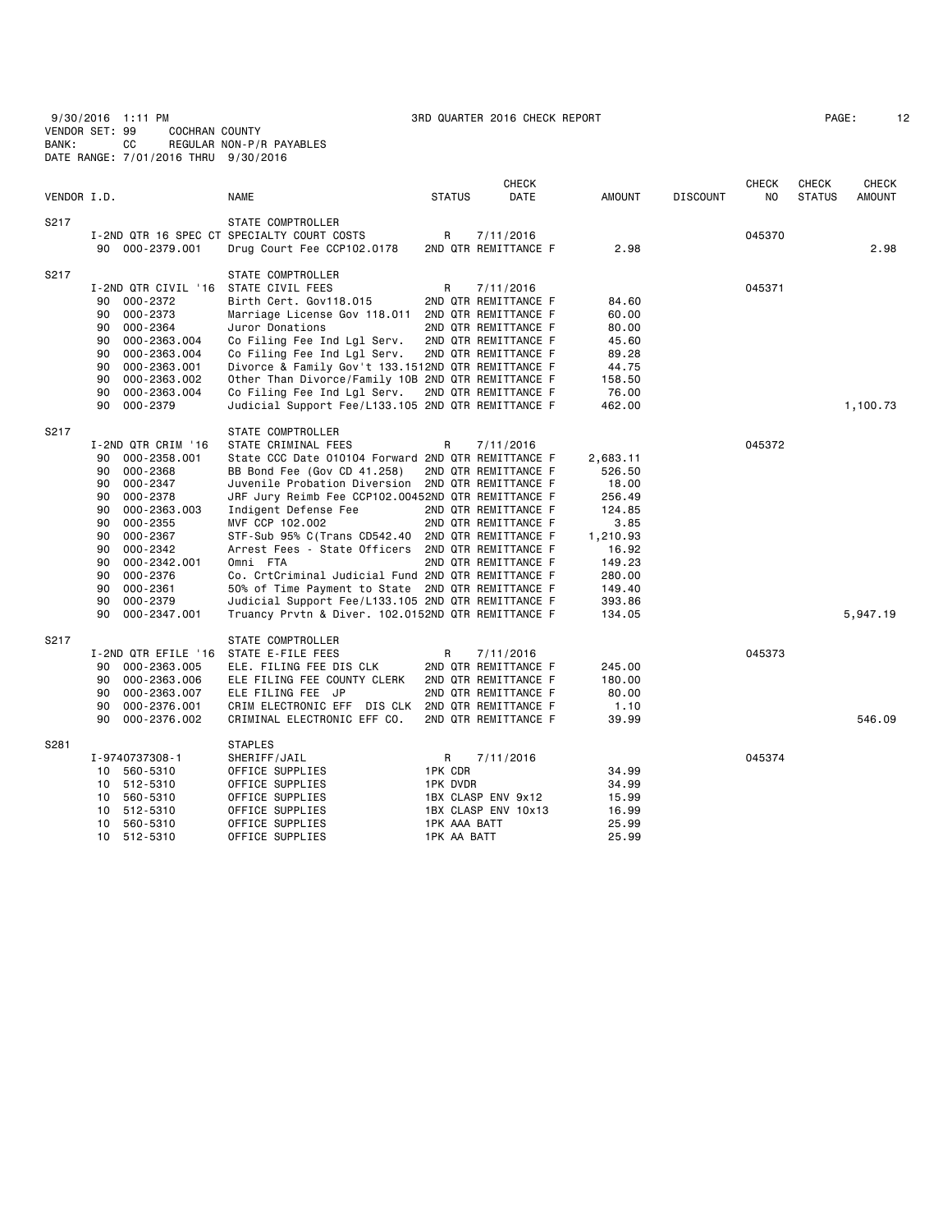9/30/2016 1:11 PM 3RD QUARTER 2016 CHECK REPORT PAGE: 12 VENDOR SET: 99 COCHRAN COUNTY BANK: CC REGULAR NON-P/R PAYABLES DATE RANGE: 7/01/2016 THRU 9/30/2016

| PAGE : |  |
|--------|--|
|        |  |

| VENDOR I.D. |                                                                                                                                                                                                                                                                                              | <b>NAME</b>                                                                                                                                                                                                                                                                                                                                                                                                                                                                                                                                                                                                                      | <b>STATUS</b>                                                  | CHECK<br>DATE                                                                                                                     | <b>AMOUNT</b>                                                                                                                  | <b>DISCOUNT</b> | <b>CHECK</b><br>NO | CHECK<br><b>STATUS</b> | <b>CHECK</b><br><b>AMOUNT</b> |
|-------------|----------------------------------------------------------------------------------------------------------------------------------------------------------------------------------------------------------------------------------------------------------------------------------------------|----------------------------------------------------------------------------------------------------------------------------------------------------------------------------------------------------------------------------------------------------------------------------------------------------------------------------------------------------------------------------------------------------------------------------------------------------------------------------------------------------------------------------------------------------------------------------------------------------------------------------------|----------------------------------------------------------------|-----------------------------------------------------------------------------------------------------------------------------------|--------------------------------------------------------------------------------------------------------------------------------|-----------------|--------------------|------------------------|-------------------------------|
| S217        | 000-2379.001<br>90                                                                                                                                                                                                                                                                           | STATE COMPTROLLER<br>I-2ND QTR 16 SPEC CT SPECIALTY COURT COSTS<br>Drug Court Fee CCP102.0178                                                                                                                                                                                                                                                                                                                                                                                                                                                                                                                                    | R                                                              | 7/11/2016<br>2ND QTR REMITTANCE F                                                                                                 | 2.98                                                                                                                           |                 | 045370             |                        | 2.98                          |
| S217        | I-2ND QTR CIVIL '16<br>90<br>000-2372<br>000-2373<br>90<br>000-2364<br>90<br>90<br>000-2363.004<br>90<br>000-2363.004<br>90<br>000-2363.001<br>000-2363.002<br>90<br>90<br>000-2363.004<br>90<br>000-2379                                                                                    | STATE COMPTROLLER<br>STATE CIVIL FEES<br>Birth Cert. Gov118.015<br>Marriage License Gov 118.011 2ND QTR REMITTANCE F<br>Juror Donations<br>Co Filing Fee Ind Lgl Serv.<br>Co Filing Fee Ind Lgl Serv.<br>Divorce & Family Gov't 133.1512ND QTR REMITTANCE F<br>Other Than Divorce/Family 10B 2ND QTR REMITTANCE F<br>Co Filing Fee Ind Lgl Serv.<br>Judicial Support Fee/L133.105 2ND QTR REMITTANCE F                                                                                                                                                                                                                           | R                                                              | 7/11/2016<br>2ND QTR REMITTANCE F<br>2ND QTR REMITTANCE F<br>2ND QTR REMITTANCE F<br>2ND QTR REMITTANCE F<br>2ND QTR REMITTANCE F | 84.60<br>60.00<br>80.00<br>45.60<br>89.28<br>44.75<br>158.50<br>76.00<br>462.00                                                |                 | 045371             |                        | 1,100.73                      |
| S217        | I-2ND QTR CRIM '16<br>000-2358.001<br>90<br>90<br>$000 - 2368$<br>90<br>$000 - 2347$<br>000-2378<br>90<br>90<br>000-2363.003<br>90<br>$000 - 2355$<br>000-2367<br>90<br>90<br>000-2342<br>90<br>000-2342.001<br>90<br>000-2376<br>$000 - 2361$<br>90<br>90<br>000-2379<br>90<br>000-2347.001 | STATE COMPTROLLER<br>STATE CRIMINAL FEES<br>State CCC Date 010104 Forward 2ND QTR REMITTANCE F<br>BB Bond Fee (Gov CD 41.258)<br>Juvenile Probation Diversion 2ND QTR REMITTANCE F<br>JRF Jury Reimb Fee CCP102.00452ND QTR REMITTANCE F<br>Indigent Defense Fee<br>MVF CCP 102.002<br>STF-Sub 95% C(Trans CD542.40 2ND QTR REMITTANCE F<br>Arrest Fees - State Officers 2ND QTR REMITTANCE F<br>Omni FTA<br>Co. CrtCriminal Judicial Fund 2ND QTR REMITTANCE F<br>50% of Time Payment to State 2ND QTR REMITTANCE F<br>Judicial Support Fee/L133.105 2ND QTR REMITTANCE F<br>Truancy Prvtn & Diver. 102.0152ND QTR REMITTANCE F | R                                                              | 7/11/2016<br>2ND QTR REMITTANCE F<br>2ND QTR REMITTANCE F<br>2ND QTR REMITTANCE F<br>2ND QTR REMITTANCE F                         | 2,683.11<br>526.50<br>18.00<br>256.49<br>124.85<br>3.85<br>1,210.93<br>16.92<br>149.23<br>280.00<br>149.40<br>393.86<br>134.05 |                 | 045372             |                        | 5,947.19                      |
| S217        | I-2ND QTR EFILE '16<br>000-2363.005<br>90<br>000-2363.006<br>90<br>000-2363.007<br>90<br>90<br>000-2376.001<br>90<br>000-2376.002                                                                                                                                                            | STATE COMPTROLLER<br>STATE E-FILE FEES<br>ELE. FILING FEE DIS CLK<br>ELE FILING FEE COUNTY CLERK<br>ELE FILING FEE JP<br>CRIM ELECTRONIC EFF DIS CLK 2ND QTR REMITTANCE F<br>CRIMINAL ELECTRONIC EFF CO.                                                                                                                                                                                                                                                                                                                                                                                                                         | R                                                              | 7/11/2016<br>2ND QTR REMITTANCE F<br>2ND QTR REMITTANCE F<br>2ND QTR REMITTANCE F<br>2ND QTR REMITTANCE F                         | 245.00<br>180.00<br>80.00<br>1.10<br>39.99                                                                                     |                 | 045373             |                        | 546.09                        |
| S281        | I-9740737308-1<br>10 560-5310<br>10 512-5310<br>560-5310<br>10<br>10<br>512-5310<br>560-5310<br>10<br>512-5310<br>10                                                                                                                                                                         | <b>STAPLES</b><br>SHERIFF/JAIL<br>OFFICE SUPPLIES<br>OFFICE SUPPLIES<br>OFFICE SUPPLIES<br>OFFICE SUPPLIES<br>OFFICE SUPPLIES<br>OFFICE SUPPLIES                                                                                                                                                                                                                                                                                                                                                                                                                                                                                 | R<br>1PK CDR<br><b>1PK DVDR</b><br>1PK AAA BATT<br>1PK AA BATT | 7/11/2016<br>1BX CLASP ENV 9x12<br>1BX CLASP ENV 10x13                                                                            | 34.99<br>34.99<br>15.99<br>16.99<br>25.99<br>25.99                                                                             |                 | 045374             |                        |                               |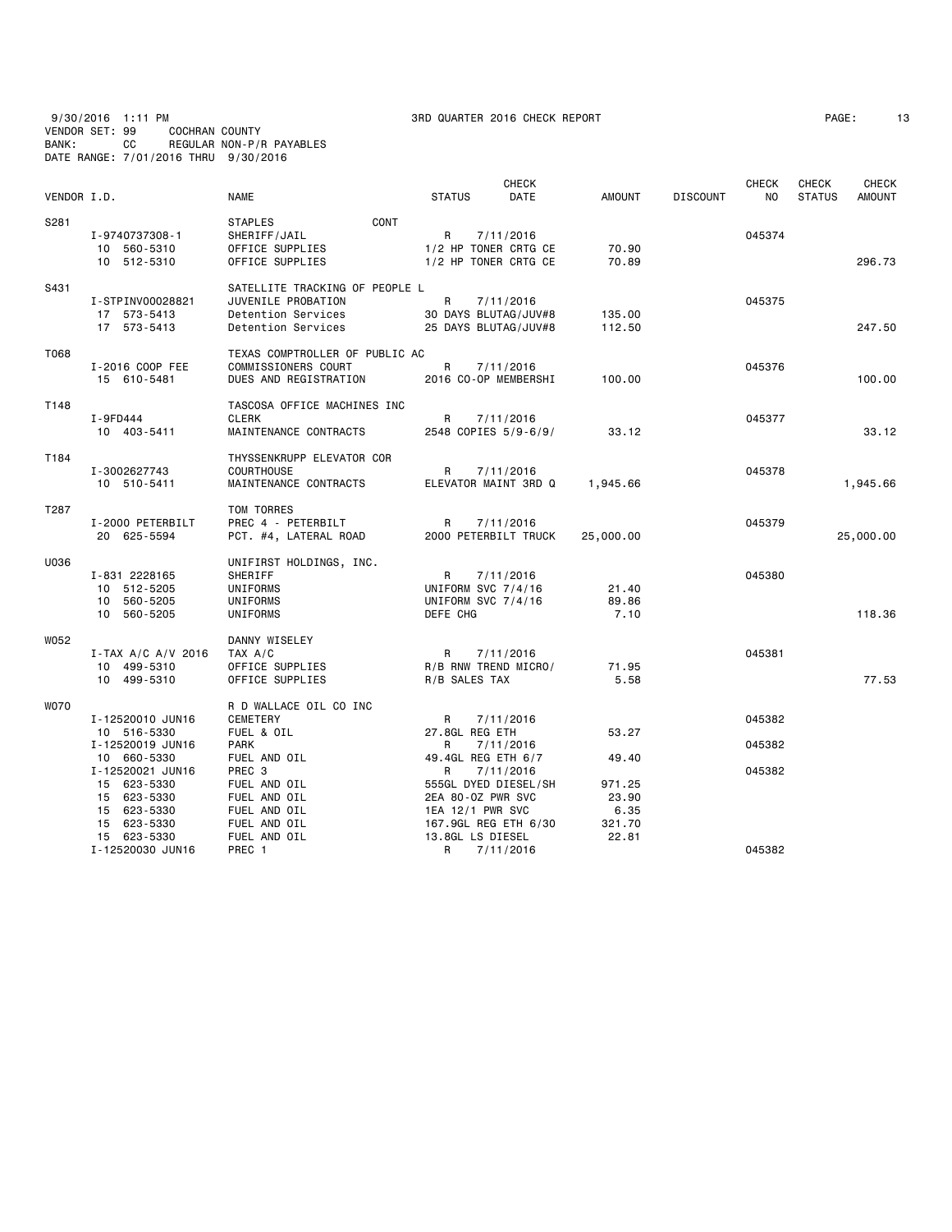### 9/30/2016 1:11 PM 3RD QUARTER 2016 CHECK REPORT PAGE: 13 VENDOR SET: 99 COCHRAN COUNTY BANK: CC REGULAR NON-P/R PAYABLES DATE RANGE: 7/01/2016 THRU 9/30/2016

| VENDOR I.D. |                                                                                                                 | <b>NAME</b>                                                                                                 | <b>STATUS</b>                                                                                                       | <b>CHECK</b><br>DATE   | <b>AMOUNT</b>                              | <b>DISCOUNT</b> | <b>CHECK</b><br>NO. | CHECK<br><b>STATUS</b> | <b>CHECK</b><br><b>AMOUNT</b> |
|-------------|-----------------------------------------------------------------------------------------------------------------|-------------------------------------------------------------------------------------------------------------|---------------------------------------------------------------------------------------------------------------------|------------------------|--------------------------------------------|-----------------|---------------------|------------------------|-------------------------------|
| S281        | I-9740737308-1<br>10 560-5310<br>10 512-5310                                                                    | CONT<br><b>STAPLES</b><br>SHERIFF/JAIL<br>OFFICE SUPPLIES<br>OFFICE SUPPLIES                                | R<br>1/2 HP TONER CRTG CE<br>1/2 HP TONER CRTG CE                                                                   | 7/11/2016              | 70.90<br>70.89                             |                 | 045374              |                        | 296.73                        |
| S431        | I-STPINV00028821<br>17 573-5413<br>17 573-5413                                                                  | SATELLITE TRACKING OF PEOPLE L<br>JUVENILE PROBATION<br>Detention Services<br>Detention Services            | $\mathsf{R}$<br>30 DAYS BLUTAG/JUV#8<br>25 DAYS BLUTAG/JUV#8                                                        | 7/11/2016              | 135.00<br>112.50                           |                 | 045375              |                        | 247.50                        |
| T068        | I-2016 COOP FEE<br>15 610-5481                                                                                  | TEXAS COMPTROLLER OF PUBLIC AC<br>COMMISSIONERS COURT<br>DUES AND REGISTRATION                              | R<br>2016 CO-OP MEMBERSHI                                                                                           | 7/11/2016              | 100.00                                     |                 | 045376              |                        | 100.00                        |
| T148        | I-9FD444<br>10 403-5411                                                                                         | TASCOSA OFFICE MACHINES INC<br><b>CLERK</b><br>MAINTENANCE CONTRACTS                                        | R<br>2548 COPIES 5/9-6/9/                                                                                           | 7/11/2016              | 33.12                                      |                 | 045377              |                        | 33.12                         |
| T184        | I-3002627743<br>10 510-5411                                                                                     | THYSSENKRUPP ELEVATOR COR<br><b>COURTHOUSE</b><br>MAINTENANCE CONTRACTS                                     | R<br>ELEVATOR MAINT 3RD Q                                                                                           | 7/11/2016              | 1,945.66                                   |                 | 045378              |                        | 1,945.66                      |
| T287        | I-2000 PETERBILT<br>20 625-5594                                                                                 | TOM TORRES<br>PREC 4 - PETERBILT<br>PCT. #4, LATERAL ROAD                                                   | R<br>2000 PETERBILT TRUCK                                                                                           | 7/11/2016              | 25,000.00                                  |                 | 045379              |                        | 25,000.00                     |
| U036        | I-831 2228165<br>10 512-5205<br>10 560-5205<br>10 560-5205                                                      | UNIFIRST HOLDINGS, INC.<br>SHERIFF<br>UNIFORMS<br>UNIFORMS<br>UNIFORMS                                      | R<br>UNIFORM SVC 7/4/16<br>UNIFORM SVC 7/4/16<br>DEFE CHG                                                           | 7/11/2016              | 21.40<br>89.86<br>7.10                     |                 | 045380              |                        | 118,36                        |
| W052        | I-TAX A/C A/V 2016<br>10 499-5310<br>10 499-5310                                                                | DANNY WISELEY<br>TAX A/C<br>OFFICE SUPPLIES<br>OFFICE SUPPLIES                                              | R<br>R/B RNW TREND MICRO/<br>R/B SALES TAX                                                                          | 7/11/2016              | 71.95<br>5.58                              |                 | 045381              |                        | 77.53                         |
| <b>WO70</b> | I-12520010 JUN16<br>10 516-5330                                                                                 | R D WALLACE OIL CO INC<br>CEMETERY<br>FUEL & OIL                                                            | R<br>27.8GL REG ETH                                                                                                 | 7/11/2016              | 53.27                                      |                 | 045382              |                        |                               |
|             | I-12520019 JUN16<br>10 660-5330                                                                                 | <b>PARK</b><br>FUEL AND OIL                                                                                 | R<br>49.4GL REG ETH 6/7                                                                                             | 7/11/2016              | 49.40                                      |                 | 045382              |                        |                               |
|             | I-12520021 JUN16<br>15 623-5330<br>15 623-5330<br>15 623-5330<br>15 623-5330<br>15 623-5330<br>I-12520030 JUN16 | PREC <sub>3</sub><br>FUEL AND OIL<br>FUEL AND OIL<br>FUEL AND OIL<br>FUEL AND OIL<br>FUEL AND OIL<br>PREC 1 | R<br>555GL DYED DIESEL/SH<br>2EA 80-0Z PWR SVC<br>1EA 12/1 PWR SVC<br>167.9GL REG ETH 6/30<br>13.8GL LS DIESEL<br>R | 7/11/2016<br>7/11/2016 | 971.25<br>23.90<br>6.35<br>321.70<br>22.81 |                 | 045382<br>045382    |                        |                               |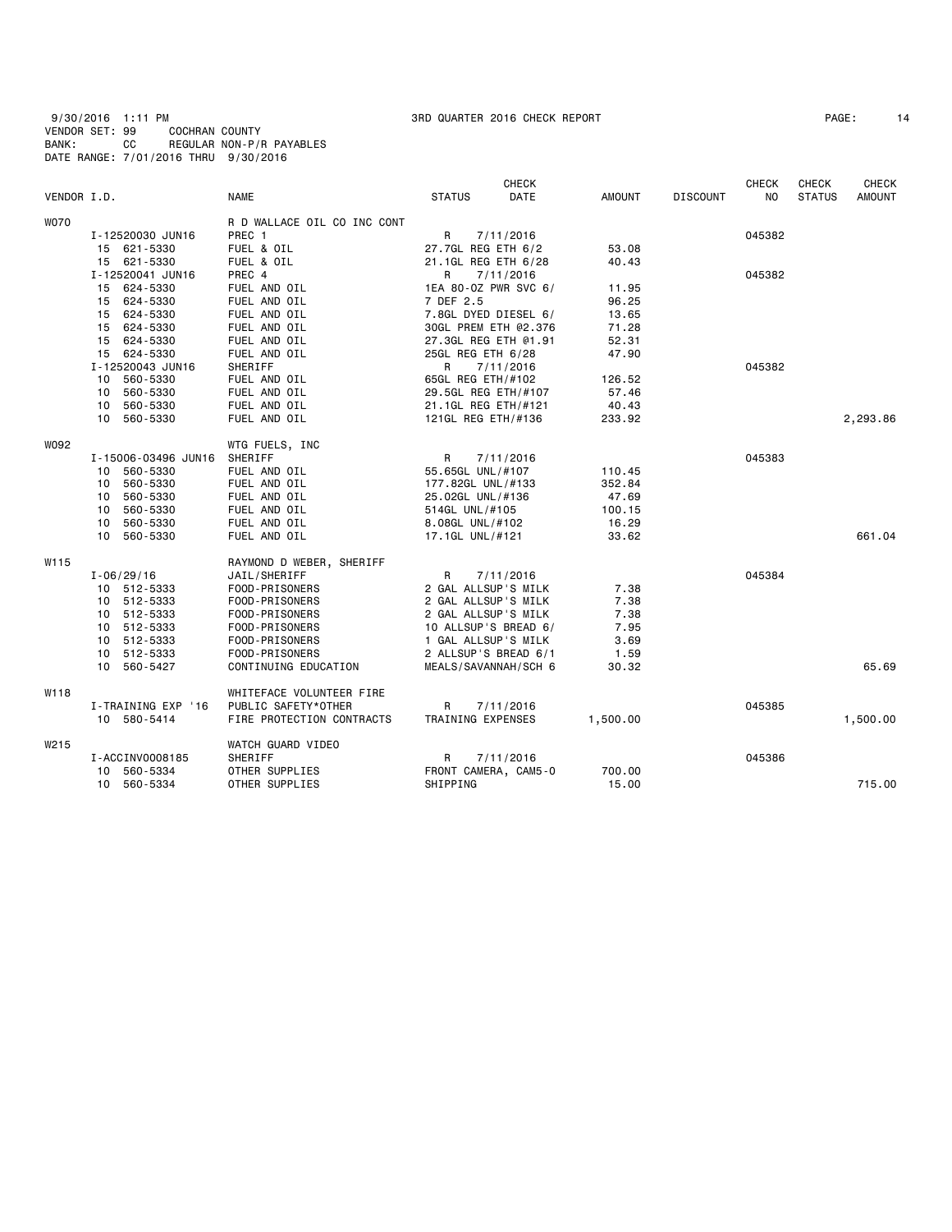9/30/2016 1:11 PM 3RD QUARTER 2016 CHECK REPORT PAGE: 14 VENDOR SET: 99 COCHRAN COUNTY BANK: CC REGULAR NON-P/R PAYABLES DATE RANGE: 7/01/2016 THRU 9/30/2016

|             |                     |                             | <b>CHECK</b>              |               |                 | <b>CHECK</b>   | CHECK         | <b>CHECK</b>  |
|-------------|---------------------|-----------------------------|---------------------------|---------------|-----------------|----------------|---------------|---------------|
| VENDOR I.D. |                     | <b>NAME</b>                 | <b>STATUS</b><br>DATE     | <b>AMOUNT</b> | <b>DISCOUNT</b> | N <sub>O</sub> | <b>STATUS</b> | <b>AMOUNT</b> |
| <b>WO70</b> |                     | R D WALLACE OIL CO INC CONT |                           |               |                 |                |               |               |
|             | I-12520030 JUN16    | PREC 1                      | R<br>7/11/2016            |               |                 | 045382         |               |               |
|             | 15 621-5330         | FUEL & OIL                  | 27.7GL REG ETH 6/2        | 53.08         |                 |                |               |               |
|             | 15 621-5330         | FUEL & OIL                  | 21.1GL REG ETH 6/28       | 40.43         |                 |                |               |               |
|             | I-12520041 JUN16    | PREC 4                      | R<br>7/11/2016            |               |                 | 045382         |               |               |
|             | 15 624-5330         | FUEL AND OIL                | 1EA 80-0Z PWR SVC 6/      | 11.95         |                 |                |               |               |
|             | 15 624-5330         | FUEL AND OIL                | 7 DEF 2.5                 | 96.25         |                 |                |               |               |
|             | 15 624-5330         | FUEL AND OIL                | 7.8GL DYED DIESEL 6/      | 13.65         |                 |                |               |               |
|             | 15 624-5330         | FUEL AND OIL                | 30GL PREM ETH @2.376      | 71.28         |                 |                |               |               |
|             | 15 624-5330         | FUEL AND OIL                | 27.3GL REG ETH @1.91      | 52.31         |                 |                |               |               |
|             | 15 624-5330         | FUEL AND OIL                | 25GL REG ETH 6/28         | 47.90         |                 |                |               |               |
|             | I-12520043 JUN16    | SHERIFF                     | R<br>7/11/2016            |               |                 | 045382         |               |               |
|             | 10 560-5330         | FUEL AND OIL                | 65GL REG ETH/#102         | 126.52        |                 |                |               |               |
|             | 10 560-5330         | FUEL AND OIL                | 29.5GL REG ETH/#107       | 57.46         |                 |                |               |               |
|             | 560-5330<br>10      | FUEL AND OIL                | 21.1GL REG ETH/#121       | 40.43         |                 |                |               |               |
|             | 10 560-5330         | FUEL AND OIL                | 121GL REG ETH/#136        | 233.92        |                 |                |               | 2,293.86      |
| W092        |                     | WTG FUELS, INC              |                           |               |                 |                |               |               |
|             | I-15006-03496 JUN16 | SHERIFF                     | R<br>7/11/2016            |               |                 | 045383         |               |               |
|             | 10 560-5330         | FUEL AND OIL                | 55.65GL UNL/#107          | 110.45        |                 |                |               |               |
|             | 560-5330<br>10      | FUEL AND OIL                | 177.82GL UNL/#133         | 352.84        |                 |                |               |               |
|             | 560-5330<br>10      | FUEL AND OIL                | 25.02GL UNL/#136          | 47.69         |                 |                |               |               |
|             | 560-5330<br>10      | FUEL AND OIL                | 514GL UNL/#105            | 100.15        |                 |                |               |               |
|             | 560-5330<br>10      | FUEL AND OIL                | 8.08GL UNL/#102           | 16.29         |                 |                |               |               |
|             | 10<br>560-5330      | FUEL AND OIL                | 17.1GL UNL/#121           | 33.62         |                 |                |               | 661.04        |
|             |                     |                             |                           |               |                 |                |               |               |
| W115        |                     | RAYMOND D WEBER, SHERIFF    |                           |               |                 |                |               |               |
|             | $I - 06/29/16$      | JAIL/SHERIFF                | R<br>7/11/2016            |               |                 | 045384         |               |               |
|             | 10 512-5333         | FOOD-PRISONERS              | 2 GAL ALLSUP'S MILK       | 7.38          |                 |                |               |               |
|             | 10 512-5333         | FOOD-PRISONERS              | 2 GAL ALLSUP'S MILK       | 7.38          |                 |                |               |               |
|             | 512-5333<br>10      | FOOD-PRISONERS              | 2 GAL ALLSUP'S MILK       | 7.38          |                 |                |               |               |
|             | 10 512-5333         | FOOD-PRISONERS              | 10 ALLSUP'S BREAD 6/      | 7.95          |                 |                |               |               |
|             | 10 512-5333         | FOOD-PRISONERS              | 1 GAL ALLSUP'S MILK       | 3.69          |                 |                |               |               |
|             | 10 512-5333         | FOOD-PRISONERS              | 2 ALLSUP'S BREAD 6/1      | 1.59          |                 |                |               |               |
|             | 10 560-5427         | CONTINUING EDUCATION        | MEALS/SAVANNAH/SCH 6      | 30.32         |                 |                |               | 65.69         |
| W118        |                     | WHITEFACE VOLUNTEER FIRE    |                           |               |                 |                |               |               |
|             | I-TRAINING EXP '16  | PUBLIC SAFETY*OTHER         | $\mathsf{R}$<br>7/11/2016 |               |                 | 045385         |               |               |
|             | 10 580-5414         | FIRE PROTECTION CONTRACTS   | TRAINING EXPENSES         | 1,500.00      |                 |                |               | 1,500.00      |
| W215        |                     | WATCH GUARD VIDEO           |                           |               |                 |                |               |               |
|             | I-ACCINV0008185     | SHERIFF                     | R<br>7/11/2016            |               |                 | 045386         |               |               |
|             | 560-5334<br>10      | OTHER SUPPLIES              | FRONT CAMERA, CAM5-0      | 700.00        |                 |                |               |               |
|             | 10 560-5334         | OTHER SUPPLIES              | SHIPPING                  | 15.00         |                 |                |               | 715.00        |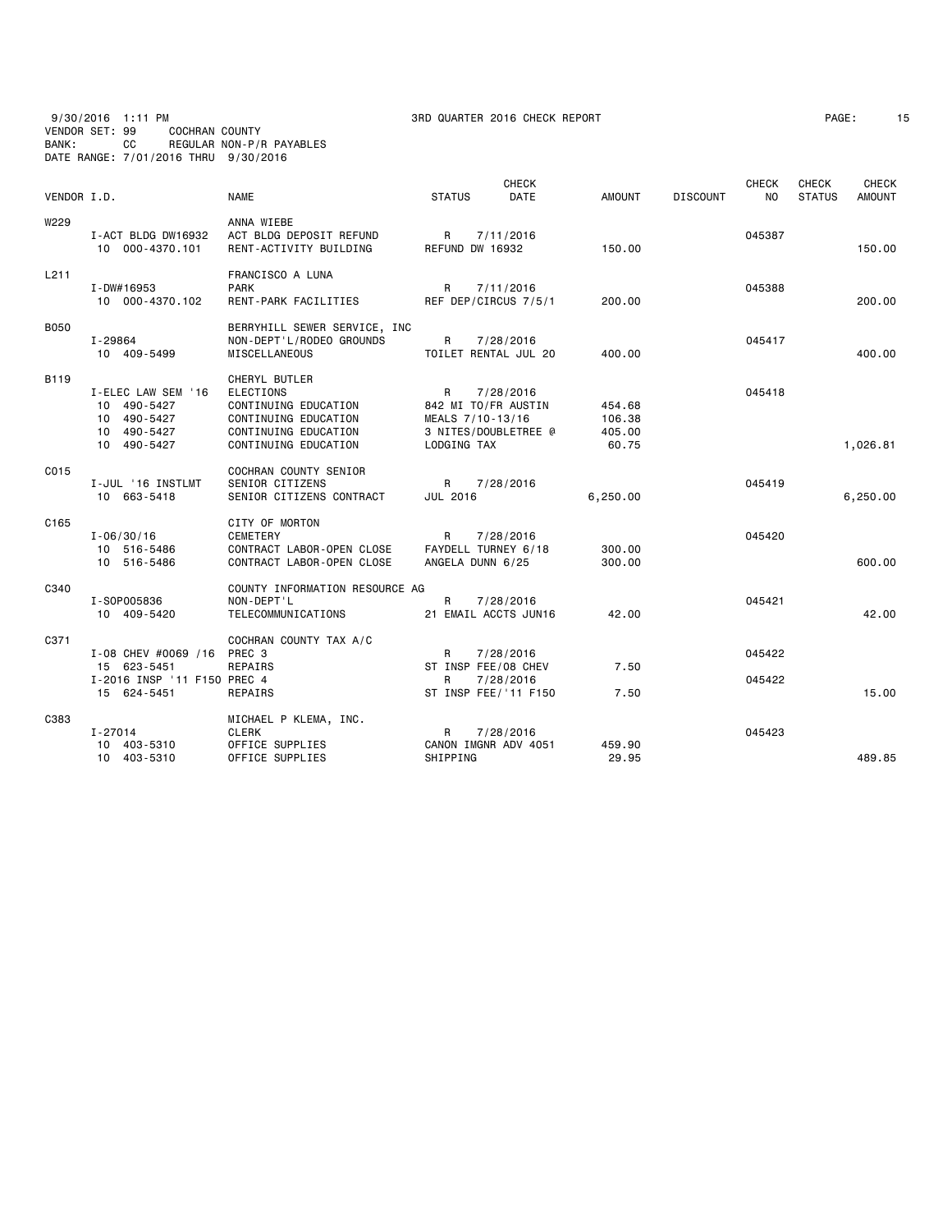9/30/2016 1:11 PM 3RD QUARTER 2016 CHECK REPORT PAGE: 15 VENDOR SET: 99 COCHRAN COUNTY BANK: CC REGULAR NON-P/R PAYABLES DATE RANGE: 7/01/2016 THRU 9/30/2016

| PAGE : |  |
|--------|--|
|        |  |

| VENDOR I.D.      |                                                                                | <b>NAME</b>                                                                                                                       | <b>STATUS</b>                                                                       | <b>CHECK</b><br>DATE   | <b>AMOUNT</b>                       | <b>DISCOUNT</b> | <b>CHECK</b><br>NO. | <b>CHECK</b><br><b>STATUS</b> | <b>CHECK</b><br><b>AMOUNT</b> |
|------------------|--------------------------------------------------------------------------------|-----------------------------------------------------------------------------------------------------------------------------------|-------------------------------------------------------------------------------------|------------------------|-------------------------------------|-----------------|---------------------|-------------------------------|-------------------------------|
| W229             | I-ACT BLDG DW16932<br>10 000-4370.101                                          | ANNA WIEBE<br>ACT BLDG DEPOSIT REFUND<br>RENT-ACTIVITY BUILDING                                                                   | R<br>REFUND DW 16932                                                                | 7/11/2016              | 150.00                              |                 | 045387              |                               | 150.00                        |
| L <sub>211</sub> | $I - DW#16953$<br>10 000-4370.102                                              | FRANCISCO A LUNA<br><b>PARK</b><br><b>RENT-PARK FACILITIES</b>                                                                    | $\mathsf{R}$<br>REF DEP/CIRCUS 7/5/1                                                | 7/11/2016              | 200.00                              |                 | 045388              |                               | 200.00                        |
| <b>B050</b>      | I-29864<br>10 409-5499                                                         | BERRYHILL SEWER SERVICE, INC<br>NON-DEPT'L/RODEO GROUNDS<br>MISCELLANEOUS                                                         | R<br>TOILET RENTAL JUL 20                                                           | 7/28/2016              | 400.00                              |                 | 045417              |                               | 400.00                        |
| B <sub>119</sub> | I-ELEC LAW SEM '16<br>10 490-5427<br>10 490-5427<br>10 490-5427<br>10 490-5427 | CHERYL BUTLER<br><b>ELECTIONS</b><br>CONTINUING EDUCATION<br>CONTINUING EDUCATION<br>CONTINUING EDUCATION<br>CONTINUING EDUCATION | R<br>842 MI TO/FR AUSTIN<br>MEALS 7/10-13/16<br>3 NITES/DOUBLETREE @<br>LODGING TAX | 7/28/2016              | 454.68<br>106.38<br>405.00<br>60.75 |                 | 045418              |                               | 1,026.81                      |
| C015             | I-JUL '16 INSTLMT<br>10 663-5418                                               | COCHRAN COUNTY SENIOR<br>SENIOR CITIZENS<br>SENIOR CITIZENS CONTRACT                                                              | R<br>JUL 2016                                                                       | 7/28/2016              | 6,250.00                            |                 | 045419              |                               | 6,250.00                      |
| C <sub>165</sub> | $I - 06/30/16$<br>10 516-5486<br>10 516-5486                                   | CITY OF MORTON<br><b>CEMETERY</b><br>CONTRACT LABOR-OPEN CLOSE<br>CONTRACT LABOR-OPEN CLOSE                                       | R<br>FAYDELL TURNEY 6/18<br>ANGELA DUNN 6/25                                        | 7/28/2016              | 300.00<br>300.00                    |                 | 045420              |                               | 600.00                        |
| C340             | I-S0P005836<br>10 409-5420                                                     | COUNTY INFORMATION RESOURCE AG<br>NON-DEPT'L<br>TELECOMMUNICATIONS                                                                | R<br>21 EMAIL ACCTS JUN16                                                           | 7/28/2016              | 42.00                               |                 | 045421              |                               | 42.00                         |
| C371             | I-08 CHEV #0069 /16<br>15 623-5451<br>I-2016 INSP '11 F150 PREC 4              | COCHRAN COUNTY TAX A/C<br>PREC <sub>3</sub><br>REPAIRS                                                                            | R<br>ST INSP FEE/08 CHEV<br>R                                                       | 7/28/2016<br>7/28/2016 | 7.50                                |                 | 045422<br>045422    |                               |                               |
| C383             | 15 624-5451<br>$I - 27014$<br>403-5310<br>10<br>10 403-5310                    | REPAIRS<br>MICHAEL P KLEMA, INC.<br><b>CLERK</b><br>OFFICE SUPPLIES<br>OFFICE SUPPLIES                                            | ST INSP FEE/'11 F150<br>R<br>CANON IMGNR ADV 4051<br>SHIPPING                       | 7/28/2016              | 7.50<br>459.90<br>29.95             |                 | 045423              |                               | 15.00<br>489.85               |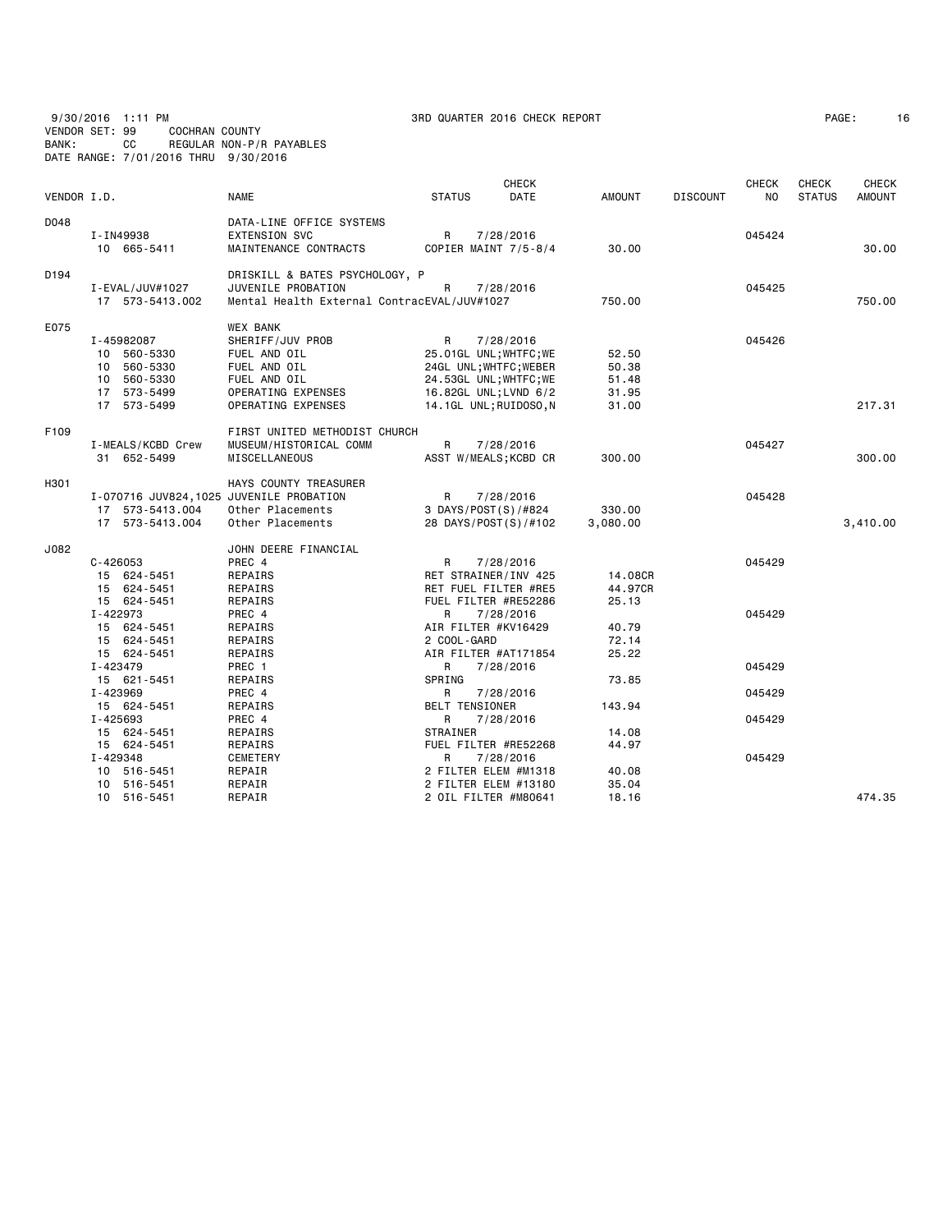9/30/2016 1:11 PM 3RD QUARTER 2016 CHECK REPORT PAGE: 16 VENDOR SET: 99 COCHRAN COUNTY BANK: CC REGULAR NON-P/R PAYABLES DATE RANGE: 7/01/2016 THRU 9/30/2016

| PAGE : |  |
|--------|--|
|        |  |

| VENDOR I.D.      |                                         | <b>NAME</b>                                 | <b>STATUS</b>          | <b>CHECK</b><br>DATE | <b>AMOUNT</b> | <b>DISCOUNT</b> | <b>CHECK</b><br>N <sub>O</sub> | <b>CHECK</b><br><b>STATUS</b> | <b>CHECK</b><br><b>AMOUNT</b> |
|------------------|-----------------------------------------|---------------------------------------------|------------------------|----------------------|---------------|-----------------|--------------------------------|-------------------------------|-------------------------------|
| D048             |                                         | DATA-LINE OFFICE SYSTEMS                    |                        |                      |               |                 |                                |                               |                               |
|                  | I-IN49938                               | <b>EXTENSION SVC</b>                        | R                      | 7/28/2016            |               |                 | 045424                         |                               |                               |
|                  | 10 665-5411                             | MAINTENANCE CONTRACTS                       | COPIER MAINT 7/5-8/4   |                      | 30.00         |                 |                                |                               | 30.00                         |
| D <sub>194</sub> |                                         | DRISKILL & BATES PSYCHOLOGY, P              |                        |                      |               |                 |                                |                               |                               |
|                  | I - EVAL / JUV#1027                     | JUVENILE PROBATION                          | R                      | 7/28/2016            |               |                 | 045425                         |                               |                               |
|                  | 17 573-5413.002                         | Mental Health External ContracEVAL/JUV#1027 |                        |                      | 750.00        |                 |                                |                               | 750.00                        |
| E075             |                                         | <b>WEX BANK</b>                             |                        |                      |               |                 |                                |                               |                               |
|                  | I-45982087                              | SHERIFF/JUV PROB                            | R                      | 7/28/2016            |               |                 | 045426                         |                               |                               |
|                  | 10 560-5330                             | FUEL AND OIL                                | 25.01GL UNL; WHTFC; WE |                      | 52.50         |                 |                                |                               |                               |
|                  | 10 560-5330                             | FUEL AND OIL                                | 24GL UNL; WHTFC; WEBER |                      | 50.38         |                 |                                |                               |                               |
|                  | 10 560-5330                             | FUEL AND OIL                                | 24.53GL UNL; WHTFC; WE |                      | 51.48         |                 |                                |                               |                               |
|                  | 17 573-5499                             | OPERATING EXPENSES                          | 16.82GL UNL; LVND 6/2  |                      | 31.95         |                 |                                |                               |                               |
|                  | 17 573-5499                             | OPERATING EXPENSES                          | 14.1GL UNL; RUIDOSO, N |                      | 31.00         |                 |                                |                               | 217.31                        |
| F109             |                                         | FIRST UNITED METHODIST CHURCH               |                        |                      |               |                 |                                |                               |                               |
|                  | I-MEALS/KCBD Crew                       | MUSEUM/HISTORICAL COMM                      | R                      | 7/28/2016            |               |                 | 045427                         |                               |                               |
|                  | 31 652-5499                             | MISCELLANEOUS                               | ASST W/MEALS; KCBD CR  |                      | 300.00        |                 |                                |                               | 300,00                        |
| H301             |                                         | HAYS COUNTY TREASURER                       |                        |                      |               |                 |                                |                               |                               |
|                  | I-070716 JUV824,1025 JUVENILE PROBATION |                                             | R                      | 7/28/2016            |               |                 | 045428                         |                               |                               |
|                  | 17 573-5413.004                         | Other Placements                            | 3 DAYS/POST(S)/#824    |                      | 330.00        |                 |                                |                               |                               |
|                  | 17 573-5413.004                         | Other Placements                            | 28 DAYS/POST(S)/#102   |                      | 3,080.00      |                 |                                |                               | 3,410.00                      |
| J082             |                                         | JOHN DEERE FINANCIAL                        |                        |                      |               |                 |                                |                               |                               |
|                  | $C - 426053$                            | PREC 4                                      | R                      | 7/28/2016            |               |                 | 045429                         |                               |                               |
|                  | 15 624-5451                             | REPAIRS                                     | RET STRAINER/INV 425   |                      | 14.08CR       |                 |                                |                               |                               |
|                  | 15 624-5451                             | REPAIRS                                     | RET FUEL FILTER #RE5   |                      | 44.97CR       |                 |                                |                               |                               |
|                  | 15 624-5451                             | REPAIRS                                     | FUEL FILTER #RE52286   |                      | 25.13         |                 |                                |                               |                               |
|                  | I-422973                                | PREC 4                                      | R                      | 7/28/2016            |               |                 | 045429                         |                               |                               |
|                  | 15 624-5451                             | REPAIRS                                     | AIR FILTER #KV16429    |                      | 40.79         |                 |                                |                               |                               |
|                  | 15 624-5451                             | REPAIRS                                     | 2 COOL-GARD            |                      | 72.14         |                 |                                |                               |                               |
|                  | 15 624-5451                             | REPAIRS                                     | AIR FILTER #AT171854   |                      | 25.22         |                 |                                |                               |                               |
|                  | I-423479                                | PREC 1                                      | R                      | 7/28/2016            |               |                 | 045429                         |                               |                               |
|                  | 15 621-5451                             | REPAIRS                                     | SPRING                 |                      | 73.85         |                 |                                |                               |                               |
|                  | I-423969                                | PREC 4                                      | R                      | 7/28/2016            |               |                 | 045429                         |                               |                               |
|                  | 15 624-5451                             | REPAIRS                                     | <b>BELT TENSIONER</b>  |                      | 143.94        |                 |                                |                               |                               |
|                  | I-425693                                | PREC 4                                      | R                      | 7/28/2016            |               |                 | 045429                         |                               |                               |
|                  | 15 624-5451                             | REPAIRS                                     | <b>STRAINER</b>        |                      | 14.08         |                 |                                |                               |                               |
|                  | 15 624-5451                             | REPAIRS                                     | FUEL FILTER #RE52268   |                      | 44.97         |                 |                                |                               |                               |
|                  | I-429348                                | CEMETERY                                    | R                      | 7/28/2016            |               |                 | 045429                         |                               |                               |
|                  | 10 516-5451                             | REPAIR                                      | 2 FILTER ELEM #M1318   |                      | 40.08         |                 |                                |                               |                               |
|                  | 10 516-5451                             | REPAIR                                      | 2 FILTER ELEM #13180   |                      | 35.04         |                 |                                |                               |                               |
|                  | 10 516-5451                             | REPAIR                                      | 2 OIL FILTER #M80641   |                      | 18.16         |                 |                                |                               | 474.35                        |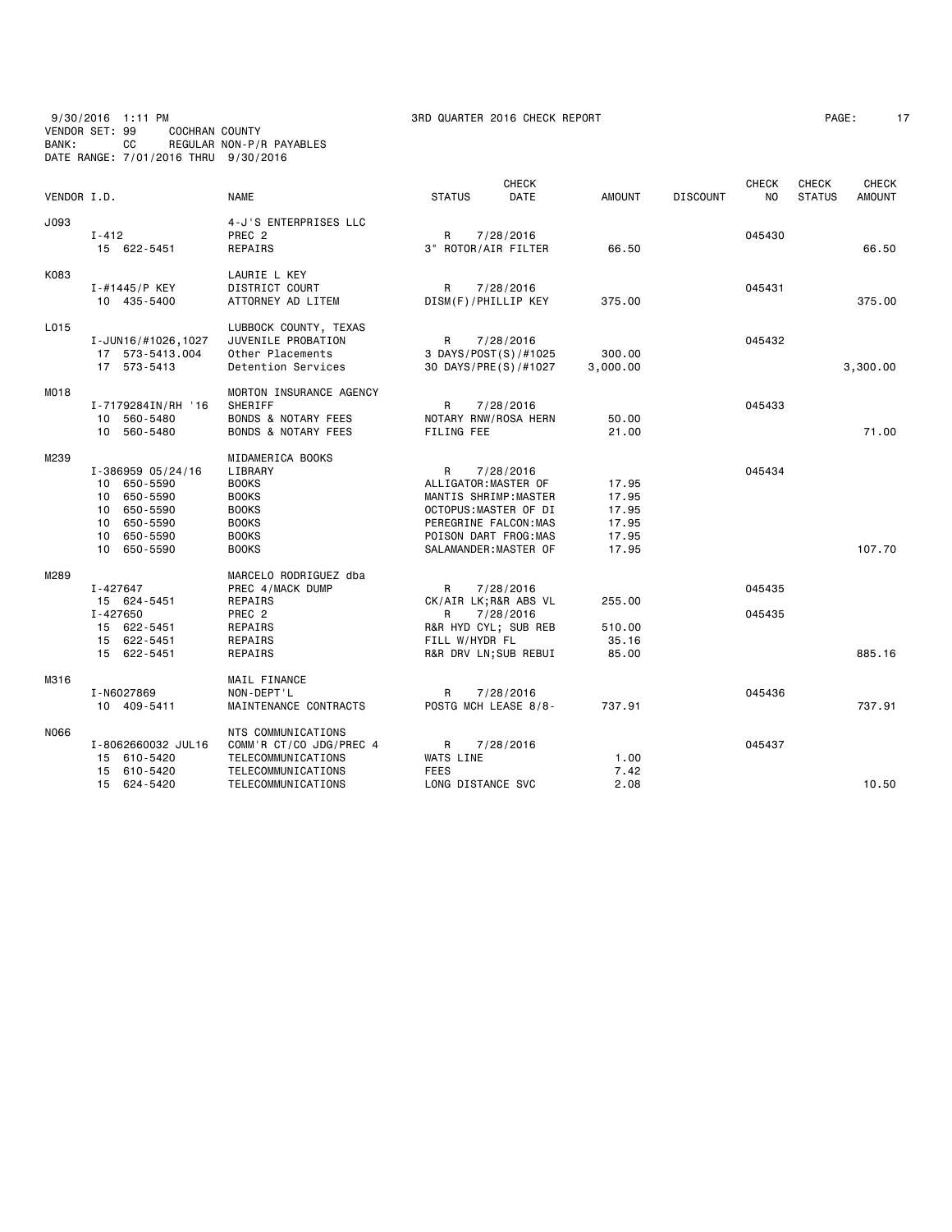## 9/30/2016 1:11 PM 3RD QUARTER 2016 CHECK REPORT PAGE: 17 VENDOR SET: 99 COCHRAN COUNTY BANK: CC REGULAR NON-P/R PAYABLES DATE RANGE: 7/01/2016 THRU 9/30/2016

|             |                                  |                                |                      | <b>CHECK</b>                                  |                |                 | <b>CHECK</b> | CHECK         | <b>CHECK</b>  |
|-------------|----------------------------------|--------------------------------|----------------------|-----------------------------------------------|----------------|-----------------|--------------|---------------|---------------|
| VENDOR I.D. |                                  | NAME                           | <b>STATUS</b>        | DATE                                          | <b>AMOUNT</b>  | <b>DISCOUNT</b> | NO           | <b>STATUS</b> | <b>AMOUNT</b> |
| J093        |                                  | 4-J'S ENTERPRISES LLC          |                      |                                               |                |                 |              |               |               |
|             | $I - 412$                        | PREC <sub>2</sub>              | R                    | 7/28/2016                                     |                |                 | 045430       |               |               |
|             | 15 622-5451                      | REPAIRS                        | 3" ROTOR/AIR FILTER  |                                               | 66.50          |                 |              |               | 66.50         |
| K083        |                                  | LAURIE L KEY                   |                      |                                               |                |                 |              |               |               |
|             | I-#1445/P KEY                    | <b>DISTRICT COURT</b>          | R                    | 7/28/2016                                     |                |                 | 045431       |               |               |
|             | 10 435-5400                      | ATTORNEY AD LITEM              | DISM(F)/PHILLIP KEY  |                                               | 375.00         |                 |              |               | 375.00        |
| L015        |                                  | LUBBOCK COUNTY, TEXAS          |                      |                                               |                |                 |              |               |               |
|             | I-JUN16/#1026,1027               | JUVENILE PROBATION             | R                    | 7/28/2016                                     |                |                 | 045432       |               |               |
|             | 17 573-5413.004                  | Other Placements               |                      | 3 DAYS/POST(S)/#1025                          | 300.00         |                 |              |               |               |
|             | 17 573-5413                      | Detention Services             |                      | 30 DAYS/PRE(S)/#1027                          | 3,000.00       |                 |              |               | 3,300.00      |
| M018        |                                  | MORTON INSURANCE AGENCY        |                      |                                               |                |                 |              |               |               |
|             | I-7179284IN/RH '16               | SHERIFF                        | R                    | 7/28/2016                                     |                |                 | 045433       |               |               |
|             | 10 560-5480                      | <b>BONDS &amp; NOTARY FEES</b> |                      | NOTARY RNW/ROSA HERN                          | 50.00          |                 |              |               |               |
|             | 10 560-5480                      | <b>BONDS &amp; NOTARY FEES</b> | FILING FEE           |                                               | 21.00          |                 |              |               | 71.00         |
| M239        |                                  | MIDAMERICA BOOKS               |                      |                                               |                |                 |              |               |               |
|             | I-386959 05/24/16                | LIBRARY                        | R                    | 7/28/2016                                     |                |                 | 045434       |               |               |
|             | 10 650-5590                      | <b>BOOKS</b>                   | ALLIGATOR: MASTER OF |                                               | 17.95          |                 |              |               |               |
|             | 650-5590<br>10                   | <b>BOOKS</b>                   |                      | MANTIS SHRIMP:MASTER                          | 17.95          |                 |              |               |               |
|             | 650-5590<br>10                   | <b>BOOKS</b>                   |                      | OCTOPUS:MASTER OF DI                          | 17.95          |                 |              |               |               |
|             | 10<br>650-5590<br>650-5590<br>10 | <b>BOOKS</b><br><b>BOOKS</b>   |                      | PEREGRINE FALCON: MAS<br>POISON DART FROG:MAS | 17.95          |                 |              |               |               |
|             | 650-5590<br>10                   | <b>BOOKS</b>                   |                      | SALAMANDER: MASTER OF                         | 17.95<br>17.95 |                 |              |               | 107.70        |
|             |                                  |                                |                      |                                               |                |                 |              |               |               |
| M289        |                                  | MARCELO RODRIGUEZ dba          |                      |                                               |                |                 |              |               |               |
|             | I-427647                         | PREC 4/MACK DUMP               | R                    | 7/28/2016                                     |                |                 | 045435       |               |               |
|             | 15 624-5451<br>I-427650          | REPAIRS<br>PREC <sub>2</sub>   |                      | CK/AIR LK; R&R ABS VL                         | 255.00         |                 | 045435       |               |               |
|             | 15 622-5451                      | REPAIRS                        | R                    | 7/28/2016<br>R&R HYD CYL; SUB REB             | 510.00         |                 |              |               |               |
|             | 622-5451<br>15                   | REPAIRS                        | FILL W/HYDR FL       |                                               | 35.16          |                 |              |               |               |
|             | 15 622-5451                      | REPAIRS                        |                      | R&R DRV LN; SUB REBUI                         | 85.00          |                 |              |               | 885.16        |
| M316        |                                  | MAIL FINANCE                   |                      |                                               |                |                 |              |               |               |
|             | I-N6027869                       | NON-DEPT'L                     | R                    | 7/28/2016                                     |                |                 | 045436       |               |               |
|             | 10 409-5411                      | MAINTENANCE CONTRACTS          |                      | POSTG MCH LEASE 8/8-                          | 737.91         |                 |              |               | 737.91        |
| N066        |                                  | NTS COMMUNICATIONS             |                      |                                               |                |                 |              |               |               |
|             | I-8062660032 JUL16               | COMM'R CT/CO JDG/PREC 4        | R                    | 7/28/2016                                     |                |                 | 045437       |               |               |
|             | 15 610-5420                      | TELECOMMUNICATIONS             | WATS LINE            |                                               | 1.00           |                 |              |               |               |
|             | 610-5420<br>15                   | TELECOMMUNICATIONS             | <b>FEES</b>          |                                               | 7.42           |                 |              |               |               |
|             | 15 624-5420                      | TELECOMMUNICATIONS             | LONG DISTANCE SVC    |                                               | 2.08           |                 |              |               | 10.50         |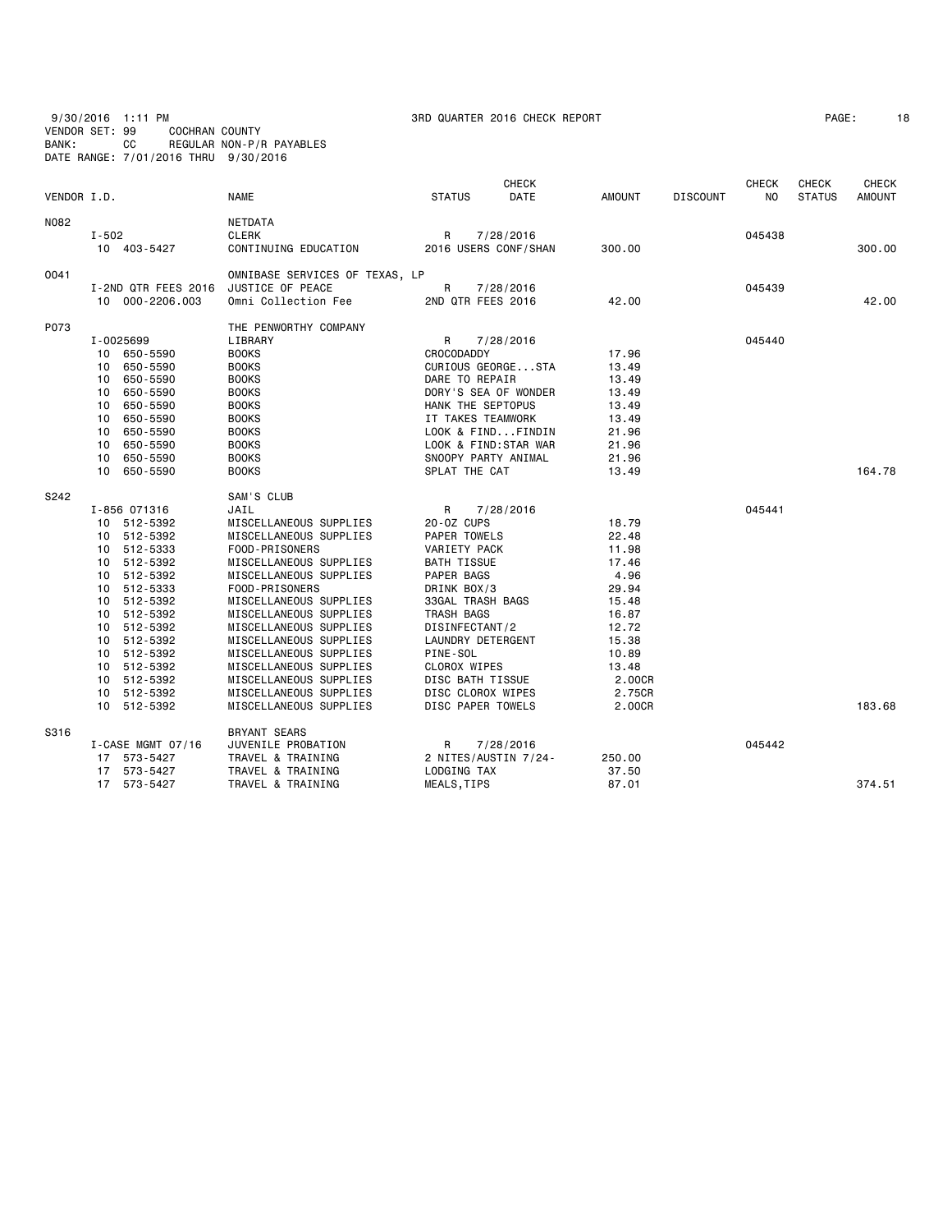9/30/2016 1:11 PM 3RD QUARTER 2016 CHECK REPORT PAGE: 18 VENDOR SET: 99 COCHRAN COUNTY BANK: CC REGULAR NON-P/R PAYABLES DATE RANGE: 7/01/2016 THRU 9/30/2016

| PAGE : |  |
|--------|--|
|--------|--|

| VENDOR I.D. |                                                                                                                                                                                                                                                              | <b>NAME</b>                                                                                                                                                                                                                                                                                                                                                                                              | <b>CHECK</b><br><b>STATUS</b><br>DATE                                                                                                                                                                                                                                              | AMOUNT                                                                                                                                | <b>CHECK</b><br><b>DISCOUNT</b><br>NO | CHECK<br><b>STATUS</b> | <b>CHECK</b><br><b>AMOUNT</b> |
|-------------|--------------------------------------------------------------------------------------------------------------------------------------------------------------------------------------------------------------------------------------------------------------|----------------------------------------------------------------------------------------------------------------------------------------------------------------------------------------------------------------------------------------------------------------------------------------------------------------------------------------------------------------------------------------------------------|------------------------------------------------------------------------------------------------------------------------------------------------------------------------------------------------------------------------------------------------------------------------------------|---------------------------------------------------------------------------------------------------------------------------------------|---------------------------------------|------------------------|-------------------------------|
| N082        | $I - 502$<br>10 403-5427                                                                                                                                                                                                                                     | NETDATA<br>CLERK<br>CONTINUING EDUCATION                                                                                                                                                                                                                                                                                                                                                                 | R<br>7/28/2016<br>2016 USERS CONF/SHAN                                                                                                                                                                                                                                             | 300.00                                                                                                                                | 045438                                |                        | 300.00                        |
| 0041        | I-2ND QTR FEES 2016<br>10 000-2206.003                                                                                                                                                                                                                       | OMNIBASE SERVICES OF TEXAS, LP<br>JUSTICE OF PEACE<br>Omni Collection Fee                                                                                                                                                                                                                                                                                                                                | R<br>7/28/2016<br>2ND QTR FEES 2016                                                                                                                                                                                                                                                | 42.00                                                                                                                                 | 045439                                |                        | 42.00                         |
| P073        | I-0025699<br>10 650-5590<br>650-5590<br>10<br>650-5590<br>10<br>650-5590<br>10<br>650-5590<br>10<br>650-5590<br>10<br>650-5590<br>10<br>650-5590<br>10<br>10<br>650-5590<br>650-5590<br>10                                                                   | THE PENWORTHY COMPANY<br>LIBRARY<br><b>BOOKS</b><br><b>BOOKS</b><br><b>BOOKS</b><br><b>BOOKS</b><br><b>BOOKS</b><br><b>BOOKS</b><br><b>BOOKS</b><br><b>BOOKS</b><br><b>BOOKS</b><br><b>BOOKS</b>                                                                                                                                                                                                         | R<br>7/28/2016<br><b>CROCODADDY</b><br>CURIOUS GEORGESTA<br>DARE TO REPAIR<br>DORY'S SEA OF WONDER<br>HANK THE SEPTOPUS<br>IT TAKES TEAMWORK<br>LOOK & FINDFINDIN<br>LOOK & FIND:STAR WAR<br>SNOOPY PARTY ANIMAL<br>SPLAT THE CAT                                                  | 17.96<br>13.49<br>13.49<br>13.49<br>13.49<br>13.49<br>21.96<br>21.96<br>21.96<br>13.49                                                | 045440                                |                        | 164.78                        |
| S242        | I-856 071316<br>10 512-5392<br>512-5392<br>10<br>10 512-5333<br>512-5392<br>10<br>10 512-5392<br>10 512-5333<br>512-5392<br>10<br>10 512-5392<br>512-5392<br>10<br>10 512-5392<br>10 512-5392<br>10 512-5392<br>10 512-5392<br>512-5392<br>10<br>10 512-5392 | SAM'S CLUB<br>JAIL<br>MISCELLANEOUS SUPPLIES<br>MISCELLANEOUS SUPPLIES<br>FOOD-PRISONERS<br>MISCELLANEOUS SUPPLIES<br>MISCELLANEOUS SUPPLIES<br>FOOD-PRISONERS<br>MISCELLANEOUS SUPPLIES<br>MISCELLANEOUS SUPPLIES<br>MISCELLANEOUS SUPPLIES<br>MISCELLANEOUS SUPPLIES<br>MISCELLANEOUS SUPPLIES<br>MISCELLANEOUS SUPPLIES<br>MISCELLANEOUS SUPPLIES<br>MISCELLANEOUS SUPPLIES<br>MISCELLANEOUS SUPPLIES | R<br>7/28/2016<br>20-0Z CUPS<br>PAPER TOWELS<br>VARIETY PACK<br><b>BATH TISSUE</b><br>PAPER BAGS<br>DRINK BOX/3<br>33GAL TRASH BAGS<br>TRASH BAGS<br>DISINFECTANT/2<br>LAUNDRY DETERGENT<br>PINE-SOL<br>CLOROX WIPES<br>DISC BATH TISSUE<br>DISC CLOROX WIPES<br>DISC PAPER TOWELS | 18.79<br>22.48<br>11.98<br>17.46<br>4.96<br>29.94<br>15.48<br>16.87<br>12.72<br>15.38<br>10.89<br>13.48<br>2.00CR<br>2.75CR<br>2.00CR | 045441                                |                        | 183.68                        |
| S316        | I-CASE MGMT 07/16<br>17 573-5427                                                                                                                                                                                                                             | <b>BRYANT SEARS</b><br>JUVENILE PROBATION<br>TRAVEL & TRAINING                                                                                                                                                                                                                                                                                                                                           | R<br>7/28/2016<br>2 NITES/AUSTIN 7/24-                                                                                                                                                                                                                                             | 250.00                                                                                                                                | 045442                                |                        |                               |
|             | 573-5427<br>17<br>17<br>573-5427                                                                                                                                                                                                                             | TRAVEL & TRAINING<br>TRAVEL & TRAINING                                                                                                                                                                                                                                                                                                                                                                   | LODGING TAX<br>MEALS, TIPS                                                                                                                                                                                                                                                         | 37.50<br>87.01                                                                                                                        |                                       |                        | 374.51                        |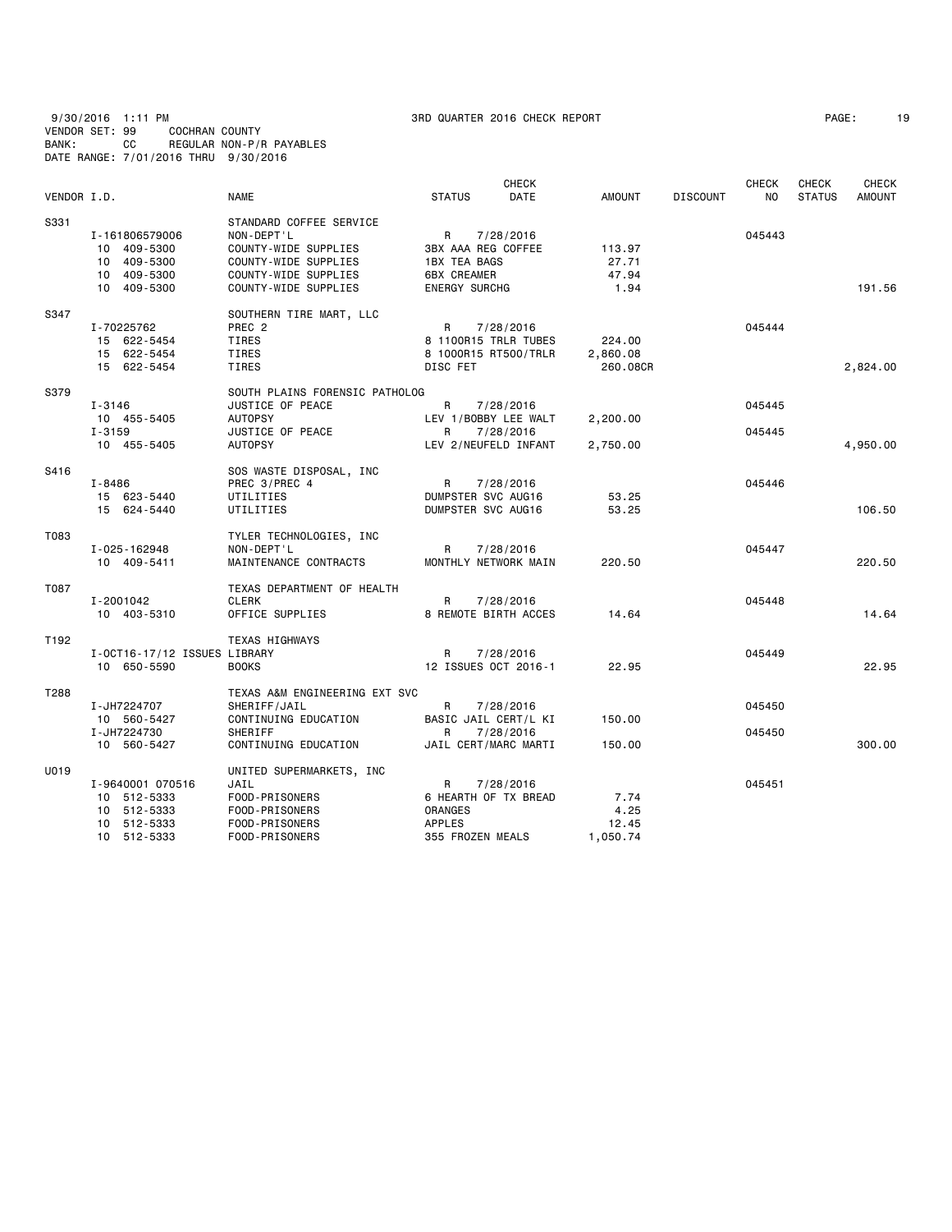| 9/30/2016 1:11 PM                    |     |                |                          |  |
|--------------------------------------|-----|----------------|--------------------------|--|
| VENDOR SET: 99                       |     | COCHRAN COUNTY |                          |  |
| BANK:                                | CC. |                | REGULAR NON-P/R PAYABLES |  |
| DATE RANGE: 7/01/2016 THRU 9/30/2016 |     |                |                          |  |

| VENDOR I.D.      |                                                                              | <b>NAME</b>                                                                                                                           | <b>STATUS</b>                                                                                | <b>CHECK</b><br>DATE   | <b>AMOUNT</b>                     | <b>DISCOUNT</b> | <b>CHECK</b><br>NO. | <b>CHECK</b><br><b>STATUS</b> | <b>CHECK</b><br><b>AMOUNT</b> |
|------------------|------------------------------------------------------------------------------|---------------------------------------------------------------------------------------------------------------------------------------|----------------------------------------------------------------------------------------------|------------------------|-----------------------------------|-----------------|---------------------|-------------------------------|-------------------------------|
| S331             | I-161806579006<br>10 409-5300<br>10 409-5300<br>10 409-5300<br>10 409-5300   | STANDARD COFFEE SERVICE<br>NON-DEPT'L<br>COUNTY-WIDE SUPPLIES<br>COUNTY-WIDE SUPPLIES<br>COUNTY-WIDE SUPPLIES<br>COUNTY-WIDE SUPPLIES | R<br>3BX AAA REG COFFEE<br><b>1BX TEA BAGS</b><br><b>6BX CREAMER</b><br><b>ENERGY SURCHG</b> | 7/28/2016              | 113.97<br>27.71<br>47.94<br>1.94  |                 | 045443              |                               | 191.56                        |
| S347             | I-70225762<br>15 622-5454<br>15 622-5454<br>15 622-5454                      | SOUTHERN TIRE MART, LLC<br>PREC <sub>2</sub><br>TIRES<br>TIRES<br>TIRES                                                               | R<br>8 1100R15 TRLR TUBES<br>8 1000R15 RT500/TRLR<br>DISC FET                                | 7/28/2016              | 224.00<br>2,860.08<br>260.08CR    |                 | 045444              |                               | 2,824.00                      |
| S379             | I-3146<br>10 455-5405<br>$I - 3159$<br>10 455-5405                           | SOUTH PLAINS FORENSIC PATHOLOG<br>JUSTICE OF PEACE<br><b>AUTOPSY</b><br>JUSTICE OF PEACE<br><b>AUTOPSY</b>                            | R<br>LEV 1/BOBBY LEE WALT<br>R<br>LEV 2/NEUFELD INFANT                                       | 7/28/2016<br>7/28/2016 | 2,200.00<br>2,750.00              |                 | 045445<br>045445    |                               | 4,950.00                      |
| S416             | I-8486<br>15 623-5440<br>15 624-5440                                         | SOS WASTE DISPOSAL, INC<br>PREC 3/PREC 4<br>UTILITIES<br>UTILITIES                                                                    | R<br>DUMPSTER SVC AUG16<br>DUMPSTER SVC AUG16                                                | 7/28/2016              | 53.25<br>53.25                    |                 | 045446              |                               | 106.50                        |
| T083             | I-025-162948<br>10 409-5411                                                  | TYLER TECHNOLOGIES, INC<br>NON-DEPT'L<br>MAINTENANCE CONTRACTS                                                                        | R<br>MONTHLY NETWORK MAIN                                                                    | 7/28/2016              | 220.50                            |                 | 045447              |                               | 220.50                        |
| T087             | I-2001042<br>10 403-5310                                                     | TEXAS DEPARTMENT OF HEALTH<br><b>CLERK</b><br>OFFICE SUPPLIES                                                                         | R<br>8 REMOTE BIRTH ACCES                                                                    | 7/28/2016              | 14.64                             |                 | 045448              |                               | 14.64                         |
| T <sub>192</sub> | I-OCT16-17/12 ISSUES LIBRARY<br>10 650-5590                                  | <b>TEXAS HIGHWAYS</b><br><b>BOOKS</b>                                                                                                 | R<br>12 ISSUES OCT 2016-1                                                                    | 7/28/2016              | 22.95                             |                 | 045449              |                               | 22.95                         |
| T288             | I-JH7224707<br>10 560-5427                                                   | TEXAS A&M ENGINEERING EXT SVC<br>SHERIFF/JAIL<br>CONTINUING EDUCATION                                                                 | R<br>BASIC JAIL CERT/L KI                                                                    | 7/28/2016              | 150.00                            |                 | 045450              |                               |                               |
|                  | I-JH7224730<br>10 560-5427                                                   | <b>SHERIFF</b><br>CONTINUING EDUCATION                                                                                                | R<br>JAIL CERT/MARC MARTI                                                                    | 7/28/2016              | 150.00                            |                 | 045450              |                               | 300.00                        |
| U019             | I-9640001 070516<br>10 512-5333<br>10 512-5333<br>10 512-5333<br>10 512-5333 | UNITED SUPERMARKETS, INC<br>JAIL<br>FOOD-PRISONERS<br>FOOD-PRISONERS<br>FOOD-PRISONERS<br>FOOD-PRISONERS                              | R<br>6 HEARTH OF TX BREAD<br><b>ORANGES</b><br><b>APPLES</b><br>355 FROZEN MEALS             | 7/28/2016              | 7.74<br>4.25<br>12.45<br>1,050.74 |                 | 045451              |                               |                               |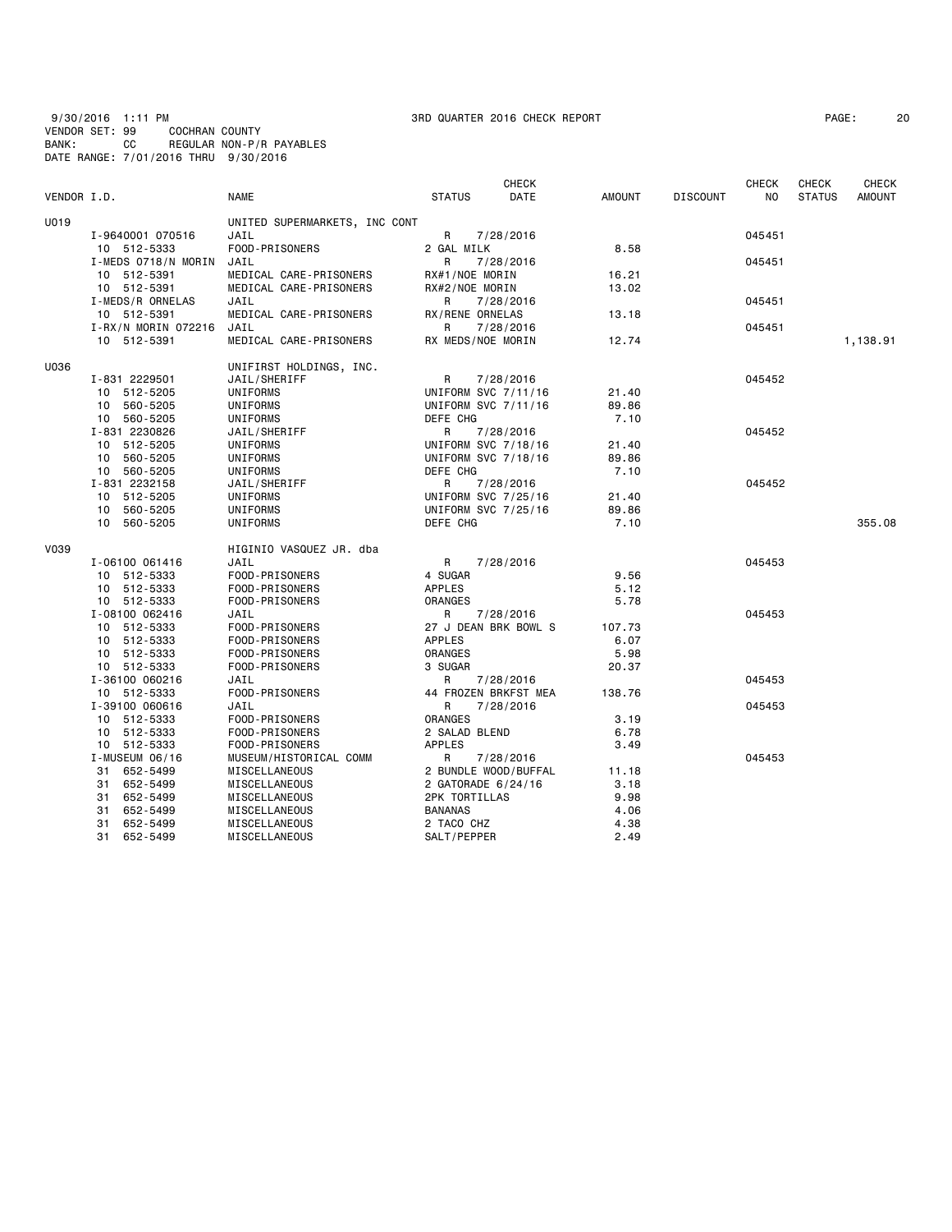9/30/2016 1:11 PM 3RD QUARTER 2016 CHECK REPORT PAGE: 20 VENDOR SET: 99 COCHRAN COUNTY BANK: CC REGULAR NON-P/R PAYABLES DATE RANGE: 7/01/2016 THRU 9/30/2016

| VENDOR I.D. |                               | <b>NAME</b>                    | <b>STATUS</b>                              | <b>CHECK</b><br>DATE | AMOUNT       | <b>DISCOUNT</b> | <b>CHECK</b><br>NO | <b>CHECK</b><br><b>STATUS</b> | <b>CHECK</b><br><b>AMOUNT</b> |
|-------------|-------------------------------|--------------------------------|--------------------------------------------|----------------------|--------------|-----------------|--------------------|-------------------------------|-------------------------------|
| U019        |                               | UNITED SUPERMARKETS, INC CONT  |                                            |                      |              |                 |                    |                               |                               |
|             | I-9640001 070516              | JAIL                           | R                                          | 7/28/2016            |              |                 | 045451             |                               |                               |
|             | 10 512-5333                   | FOOD-PRISONERS                 | 2 GAL MILK                                 |                      | 8.58         |                 |                    |                               |                               |
|             | I-MEDS 0718/N MORIN           | JAIL                           | R                                          | 7/28/2016            |              |                 | 045451             |                               |                               |
|             | 10 512-5391                   | MEDICAL CARE-PRISONERS         | RX#1/NOE MORIN                             |                      | 16.21        |                 |                    |                               |                               |
|             | 10 512-5391                   | MEDICAL CARE-PRISONERS         | RX#2/NOE MORIN                             |                      | 13.02        |                 |                    |                               |                               |
|             | I-MEDS/R ORNELAS              | JAIL                           | R                                          | 7/28/2016            |              |                 | 045451             |                               |                               |
|             | 10 512-5391                   | MEDICAL CARE-PRISONERS         | RX/RENE ORNELAS                            |                      | 13.18        |                 |                    |                               |                               |
|             | I-RX/N MORIN 072216           | JAIL                           | R                                          | 7/28/2016            |              |                 | 045451             |                               |                               |
|             | 10 512-5391                   | MEDICAL CARE-PRISONERS         | RX MEDS/NOE MORIN                          |                      | 12.74        |                 |                    |                               | 1,138.91                      |
| U036        |                               | UNIFIRST HOLDINGS, INC.        |                                            |                      |              |                 |                    |                               |                               |
|             | I-831 2229501                 | JAIL/SHERIFF                   | R                                          | 7/28/2016            |              |                 | 045452             |                               |                               |
|             | 10 512-5205                   | UNIFORMS                       | UNIFORM SVC 7/11/16                        |                      | 21.40        |                 |                    |                               |                               |
|             | 10 560-5205                   | UNIFORMS                       | UNIFORM SVC 7/11/16                        |                      | 89.86        |                 |                    |                               |                               |
|             | 10 560-5205                   | UNIFORMS                       | DEFE CHG                                   |                      | 7.10         |                 |                    |                               |                               |
|             | I-831 2230826                 | JAIL/SHERIFF                   | R                                          | 7/28/2016            |              |                 | 045452             |                               |                               |
|             | 10 512-5205                   | UNIFORMS                       | UNIFORM SVC 7/18/16                        |                      | 21.40        |                 |                    |                               |                               |
|             | 10 560-5205                   | UNIFORMS                       | UNIFORM SVC 7/18/16                        |                      | 89.86        |                 |                    |                               |                               |
|             | 10 560-5205                   | UNIFORMS                       | DEFE CHG                                   |                      | 7.10         |                 |                    |                               |                               |
|             | I-831 2232158                 | JAIL/SHERIFF                   | R                                          | 7/28/2016            |              |                 | 045452             |                               |                               |
|             | 10 512-5205                   | UNIFORMS                       | UNIFORM SVC 7/25/16                        |                      | 21.40        |                 |                    |                               |                               |
|             | 10 560-5205                   | UNIFORMS                       | UNIFORM SVC 7/25/16                        |                      | 89.86        |                 |                    |                               |                               |
|             | 10 560-5205                   | UNIFORMS                       | DEFE CHG                                   |                      | 7.10         |                 |                    |                               | 355.08                        |
| V039        |                               | HIGINIO VASQUEZ JR. dba        |                                            |                      |              |                 |                    |                               |                               |
|             | I-06100 061416                | JAIL                           | R                                          | 7/28/2016            |              |                 | 045453             |                               |                               |
|             | 10 512-5333                   | FOOD-PRISONERS                 | 4 SUGAR                                    |                      | 9.56         |                 |                    |                               |                               |
|             | 10 512-5333                   | FOOD-PRISONERS                 | APPLES                                     |                      | 5.12         |                 |                    |                               |                               |
|             | 10 512-5333                   | FOOD-PRISONERS                 | ORANGES                                    |                      | 5.78         |                 |                    |                               |                               |
|             | I-08100 062416                | JAIL                           | R                                          | 7/28/2016            |              |                 | 045453             |                               |                               |
|             | 10 512-5333                   | FOOD-PRISONERS                 |                                            | 27 J DEAN BRK BOWL S | 107.73       |                 |                    |                               |                               |
|             | 10 512-5333                   | FOOD-PRISONERS                 | APPLES                                     |                      | 6.07         |                 |                    |                               |                               |
|             | 10 512-5333                   | FOOD-PRISONERS                 | ORANGES                                    |                      | 5.98         |                 |                    |                               |                               |
|             | 10 512-5333                   | FOOD-PRISONERS                 | 3 SUGAR                                    |                      | 20.37        |                 |                    |                               |                               |
|             | I-36100 060216                | JAIL                           | R                                          | 7/28/2016            |              |                 | 045453             |                               |                               |
|             | 10 512-5333                   | FOOD-PRISONERS                 |                                            | 44 FROZEN BRKFST MEA | 138.76       |                 |                    |                               |                               |
|             | I-39100 060616                | JAIL                           | R                                          | 7/28/2016            |              |                 | 045453             |                               |                               |
|             | 10 512-5333                   | FOOD-PRISONERS                 | <b>ORANGES</b>                             |                      | 3.19         |                 |                    |                               |                               |
|             | 10 512-5333                   | FOOD-PRISONERS                 | 2 SALAD BLEND                              |                      | 6.78         |                 |                    |                               |                               |
|             | 10 512-5333                   | FOOD-PRISONERS                 | <b>APPLES</b>                              |                      | 3.49         |                 |                    |                               |                               |
|             | I-MUSEUM 06/16                | MUSEUM/HISTORICAL COMM         | R                                          | 7/28/2016            |              |                 | 045453             |                               |                               |
|             | 31 652-5499                   | MISCELLANEOUS                  |                                            | 2 BUNDLE WOOD/BUFFAL | 11.18        |                 |                    |                               |                               |
|             | 31 652-5499                   | MISCELLANEOUS                  | 2 GATORADE 6/24/16<br><b>2PK TORTILLAS</b> |                      | 3.18<br>9.98 |                 |                    |                               |                               |
|             | 31 652-5499<br>652-5499<br>31 | MISCELLANEOUS                  |                                            |                      | 4.06         |                 |                    |                               |                               |
|             | 652-5499<br>31                | MISCELLANEOUS<br>MISCELLANEOUS | <b>BANANAS</b><br>2 TACO CHZ               |                      | 4.38         |                 |                    |                               |                               |
|             | 31<br>652-5499                | MISCELLANEOUS                  | SALT/PEPPER                                |                      | 2.49         |                 |                    |                               |                               |
|             |                               |                                |                                            |                      |              |                 |                    |                               |                               |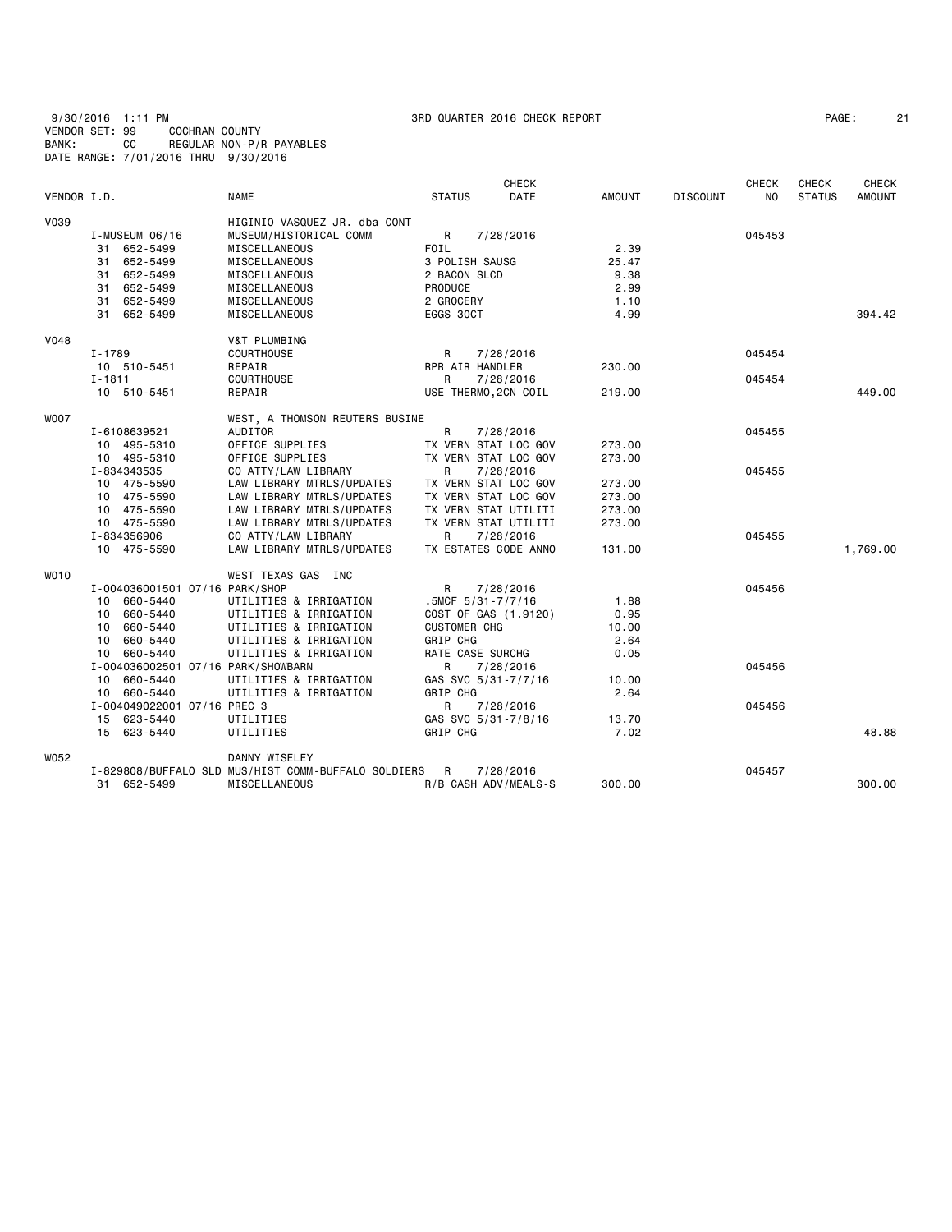9/30/2016 1:11 PM 3RD QUARTER 2016 CHECK REPORT PAGE: 21 VENDOR SET: 99 COCHRAN COUNTY BANK: CC REGULAR NON-P/R PAYABLES DATE RANGE: 7/01/2016 THRU 9/30/2016

| PAGE: |  |
|-------|--|
|-------|--|

|             |                                    |                                                     | <b>CHECK</b>                 |               |                 | <b>CHECK</b>   | <b>CHECK</b>  | <b>CHECK</b>  |
|-------------|------------------------------------|-----------------------------------------------------|------------------------------|---------------|-----------------|----------------|---------------|---------------|
| VENDOR I.D. |                                    | <b>NAME</b>                                         | <b>DATE</b><br><b>STATUS</b> | <b>AMOUNT</b> | <b>DISCOUNT</b> | N <sub>O</sub> | <b>STATUS</b> | <b>AMOUNT</b> |
| V039        |                                    | HIGINIO VASQUEZ JR. dba CONT                        |                              |               |                 |                |               |               |
|             | $I-MUSEUM$ 06/16                   | MUSEUM/HISTORICAL COMM                              | R<br>7/28/2016               |               |                 | 045453         |               |               |
|             | 31 652-5499                        | MISCELLANEOUS                                       | FOIL                         | 2.39          |                 |                |               |               |
|             | 31 652-5499                        | MISCELLANEOUS                                       | 3 POLISH SAUSG               | 25.47         |                 |                |               |               |
|             | 31 652-5499                        | MISCELLANEOUS                                       | 2 BACON SLCD                 | 9.38          |                 |                |               |               |
|             | 31 652-5499                        | MISCELLANEOUS                                       | PRODUCE                      | 2.99          |                 |                |               |               |
|             | 31 652-5499                        | MISCELLANEOUS                                       | 2 GROCERY                    | 1.10          |                 |                |               |               |
|             | 31 652-5499                        | MISCELLANEOUS                                       | EGGS 30CT                    | 4.99          |                 |                |               | 394.42        |
| <b>V048</b> |                                    | V&T PLUMBING                                        |                              |               |                 |                |               |               |
|             | I-1789                             | <b>COURTHOUSE</b>                                   | R<br>7/28/2016               |               |                 | 045454         |               |               |
|             | 10 510-5451                        | REPAIR                                              | RPR AIR HANDLER              | 230.00        |                 |                |               |               |
|             | $I - 1811$                         | <b>COURTHOUSE</b>                                   | R<br>7/28/2016               |               |                 | 045454         |               |               |
|             | 10 510-5451                        | REPAIR                                              | USE THERMO, 2CN COIL         | 219.00        |                 |                |               | 449.00        |
| <b>WOO7</b> |                                    | WEST, A THOMSON REUTERS BUSINE                      |                              |               |                 |                |               |               |
|             | I-6108639521                       | AUDITOR                                             | R<br>7/28/2016               |               |                 | 045455         |               |               |
|             | 10 495-5310                        | OFFICE SUPPLIES                                     | TX VERN STAT LOC GOV         | 273.00        |                 |                |               |               |
|             | 10 495-5310                        | OFFICE SUPPLIES                                     | TX VERN STAT LOC GOV         | 273.00        |                 |                |               |               |
|             | I-834343535                        | CO ATTY/LAW LIBRARY                                 | R<br>7/28/2016               |               |                 | 045455         |               |               |
|             | 10 475-5590                        | LAW LIBRARY MTRLS/UPDATES                           | TX VERN STAT LOC GOV         | 273.00        |                 |                |               |               |
|             | 10 475-5590                        | LAW LIBRARY MTRLS/UPDATES                           | TX VERN STAT LOC GOV         | 273.00        |                 |                |               |               |
|             | 10 475-5590                        | LAW LIBRARY MTRLS/UPDATES                           | TX VERN STAT UTILITI         | 273.00        |                 |                |               |               |
|             | 10 475-5590                        | LAW LIBRARY MTRLS/UPDATES                           | TX VERN STAT UTILITI         | 273.00        |                 |                |               |               |
|             | I-834356906                        | CO ATTY/LAW LIBRARY                                 | R<br>7/28/2016               |               |                 | 045455         |               |               |
|             | 10 475-5590                        | LAW LIBRARY MTRLS/UPDATES                           | TX ESTATES CODE ANNO         | 131.00        |                 |                |               | 1,769.00      |
| <b>WO10</b> |                                    | WEST TEXAS GAS INC                                  |                              |               |                 |                |               |               |
|             | I-004036001501 07/16 PARK/SHOP     |                                                     | R<br>7/28/2016               |               |                 | 045456         |               |               |
|             | 10 660-5440                        | UTILITIES & IRRIGATION                              | $.5MCF$ 5/31-7/7/16          | 1.88          |                 |                |               |               |
|             | 10 660-5440                        | UTILITIES & IRRIGATION                              | COST OF GAS (1.9120)         | 0.95          |                 |                |               |               |
|             | 10 660-5440                        | UTILITIES & IRRIGATION                              | <b>CUSTOMER CHG</b>          | 10.00         |                 |                |               |               |
|             | 10 660-5440                        | UTILITIES & IRRIGATION                              | GRIP CHG                     | 2.64          |                 |                |               |               |
|             | 10 660-5440                        | UTILITIES & IRRIGATION                              | RATE CASE SURCHG             | 0.05          |                 |                |               |               |
|             | I-004036002501 07/16 PARK/SHOWBARN |                                                     | R<br>7/28/2016               |               |                 | 045456         |               |               |
|             | 10 660-5440                        | UTILITIES & IRRIGATION                              | GAS SVC 5/31-7/7/16          | 10.00         |                 |                |               |               |
|             | 10 660-5440                        | UTILITIES & IRRIGATION                              | GRIP CHG                     | 2.64          |                 |                |               |               |
|             | I-004049022001 07/16 PREC 3        |                                                     | R<br>7/28/2016               |               |                 | 045456         |               |               |
|             | 15 623-5440                        | UTILITIES                                           | GAS SVC 5/31-7/8/16          | 13.70         |                 |                |               |               |
|             | 15 623-5440                        | UTILITIES                                           | GRIP CHG                     | 7.02          |                 |                |               | 48.88         |
| W052        |                                    | DANNY WISELEY                                       |                              |               |                 |                |               |               |
|             |                                    | I-829808/BUFFALO SLD MUS/HIST COMM-BUFFALO SOLDIERS | R<br>7/28/2016               |               |                 | 045457         |               |               |
|             | 31 652-5499                        | MISCELLANEOUS                                       | R/B CASH ADV/MEALS-S         | 300.00        |                 |                |               | 300.00        |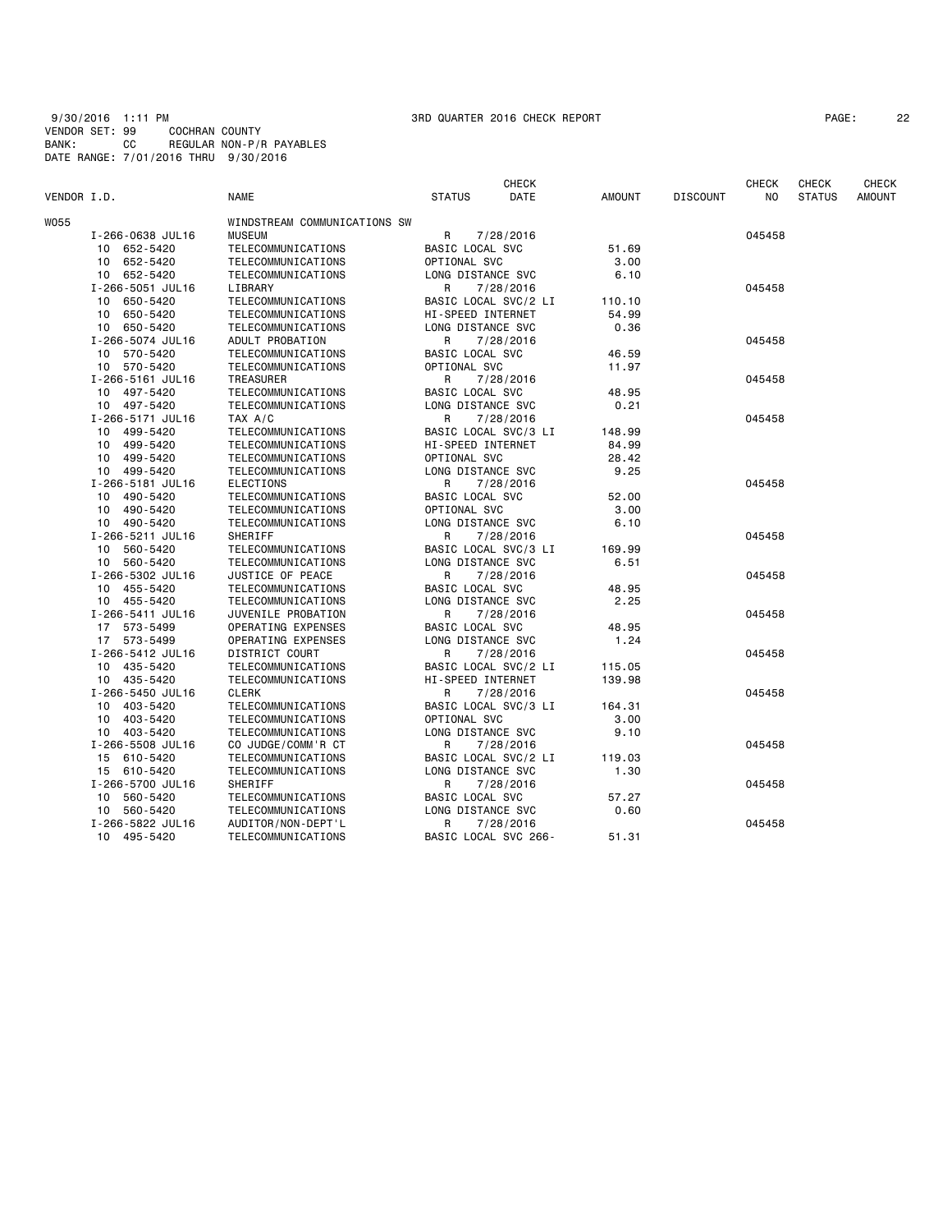9/30/2016 1:11 PM 3RD QUARTER 2016 CHECK REPORT PAGE: 22 VENDOR SET: 99 COCHRAN COUNTY BANK: CC REGULAR NON-P/R PAYABLES DATE RANGE: 7/01/2016 THRU 9/30/2016

| PAGE : | 2: |
|--------|----|
|--------|----|

|             |                  |                              |                        | <b>CHECK</b> |               |                 | <b>CHECK</b> | <b>CHECK</b>  | CHECK         |
|-------------|------------------|------------------------------|------------------------|--------------|---------------|-----------------|--------------|---------------|---------------|
| VENDOR I.D. |                  | <b>NAME</b>                  | <b>STATUS</b>          | DATE         | <b>AMOUNT</b> | <b>DISCOUNT</b> | NO.          | <b>STATUS</b> | <b>AMOUNT</b> |
| W055        |                  | WINDSTREAM COMMUNICATIONS SW |                        |              |               |                 |              |               |               |
|             | I-266-0638 JUL16 | <b>MUSEUM</b>                | R                      | 7/28/2016    |               |                 | 045458       |               |               |
|             | 10 652-5420      | TELECOMMUNICATIONS           | BASIC LOCAL SVC        |              | 51.69         |                 |              |               |               |
|             | 10 652-5420      | TELECOMMUNICATIONS           | OPTIONAL SVC           |              | 3,00          |                 |              |               |               |
|             | 10 652-5420      | TELECOMMUNICATIONS           | LONG DISTANCE SVC      |              | 6.10          |                 |              |               |               |
|             | I-266-5051 JUL16 | LIBRARY                      | R                      | 7/28/2016    |               |                 | 045458       |               |               |
|             | 10 650-5420      | TELECOMMUNICATIONS           | BASIC LOCAL SVC/2 LI   |              | 110.10        |                 |              |               |               |
|             | 10 650-5420      | TELECOMMUNICATIONS           | HI-SPEED INTERNET      |              | 54.99         |                 |              |               |               |
|             | 10 650-5420      | TELECOMMUNICATIONS           | LONG DISTANCE SVC      |              | 0.36          |                 |              |               |               |
|             | I-266-5074 JUL16 | ADULT PROBATION              | R                      | 7/28/2016    |               |                 | 045458       |               |               |
|             | 10 570-5420      | TELECOMMUNICATIONS           | <b>BASIC LOCAL SVC</b> |              | 46.59         |                 |              |               |               |
|             | 10 570-5420      | TELECOMMUNICATIONS           | OPTIONAL SVC           |              | 11.97         |                 |              |               |               |
|             | I-266-5161 JUL16 | TREASURER                    | R                      | 7/28/2016    |               |                 | 045458       |               |               |
|             | 10 497-5420      | TELECOMMUNICATIONS           | BASIC LOCAL SVC        |              | 48.95         |                 |              |               |               |
|             | 10 497-5420      | TELECOMMUNICATIONS           | LONG DISTANCE SVC      |              | 0.21          |                 |              |               |               |
|             | I-266-5171 JUL16 | TAX A/C                      | R                      | 7/28/2016    |               |                 | 045458       |               |               |
|             | 10 499-5420      | TELECOMMUNICATIONS           | BASIC LOCAL SVC/3 LI   |              | 148.99        |                 |              |               |               |
|             | 10 499-5420      | TELECOMMUNICATIONS           | HI-SPEED INTERNET      |              | 84.99         |                 |              |               |               |
|             | 10 499-5420      | TELECOMMUNICATIONS           | OPTIONAL SVC           |              | 28.42         |                 |              |               |               |
|             | 10 499-5420      | TELECOMMUNICATIONS           | LONG DISTANCE SVC      |              | 9.25          |                 |              |               |               |
|             | I-266-5181 JUL16 | <b>ELECTIONS</b>             | R                      | 7/28/2016    |               |                 | 045458       |               |               |
|             | 490-5420<br>10   | TELECOMMUNICATIONS           | BASIC LOCAL SVC        |              | 52.00         |                 |              |               |               |
|             | 10 490-5420      | TELECOMMUNICATIONS           | OPTIONAL SVC           |              | 3.00          |                 |              |               |               |
|             | 10 490-5420      | TELECOMMUNICATIONS           | LONG DISTANCE SVC      |              | 6.10          |                 |              |               |               |
|             | I-266-5211 JUL16 | SHERIFF                      | R                      | 7/28/2016    |               |                 | 045458       |               |               |
|             | 10 560-5420      | TELECOMMUNICATIONS           | BASIC LOCAL SVC/3 LI   |              | 169.99        |                 |              |               |               |
|             | 10 560-5420      | TELECOMMUNICATIONS           | LONG DISTANCE SVC      |              | 6.51          |                 |              |               |               |
|             | I-266-5302 JUL16 | JUSTICE OF PEACE             | R                      | 7/28/2016    |               |                 | 045458       |               |               |
|             | 10 455-5420      | TELECOMMUNICATIONS           | BASIC LOCAL SVC        |              | 48.95         |                 |              |               |               |
|             | 10 455-5420      | TELECOMMUNICATIONS           | LONG DISTANCE SVC      |              | 2.25          |                 |              |               |               |
|             | I-266-5411 JUL16 | JUVENILE PROBATION           | R                      | 7/28/2016    |               |                 | 045458       |               |               |
|             | 17 573-5499      | OPERATING EXPENSES           | BASIC LOCAL SVC        |              | 48.95         |                 |              |               |               |
|             | 17 573-5499      | OPERATING EXPENSES           | LONG DISTANCE SVC      |              | 1.24          |                 |              |               |               |
|             | I-266-5412 JUL16 | DISTRICT COURT               | R                      | 7/28/2016    |               |                 | 045458       |               |               |
|             | 10 435-5420      | TELECOMMUNICATIONS           | BASIC LOCAL SVC/2 LI   |              | 115.05        |                 |              |               |               |
|             | 10 435-5420      | TELECOMMUNICATIONS           | HI-SPEED INTERNET      |              | 139.98        |                 |              |               |               |
|             | I-266-5450 JUL16 | CLERK                        | R                      | 7/28/2016    |               |                 | 045458       |               |               |
|             | 10 403-5420      | TELECOMMUNICATIONS           | BASIC LOCAL SVC/3 LI   |              | 164.31        |                 |              |               |               |
|             | 10 403-5420      | TELECOMMUNICATIONS           | OPTIONAL SVC           |              | 3.00          |                 |              |               |               |
|             | 10 403-5420      | TELECOMMUNICATIONS           | LONG DISTANCE SVC      |              | 9.10          |                 |              |               |               |
|             | I-266-5508 JUL16 | CO JUDGE/COMM'R CT           | R                      | 7/28/2016    |               |                 | 045458       |               |               |
|             | 15 610-5420      | TELECOMMUNICATIONS           | BASIC LOCAL SVC/2 LI   |              | 119.03        |                 |              |               |               |
|             | 15 610-5420      | TELECOMMUNICATIONS           | LONG DISTANCE SVC      |              | 1.30          |                 |              |               |               |
|             | I-266-5700 JUL16 | SHERIFF                      | R                      | 7/28/2016    |               |                 | 045458       |               |               |
|             | 10 560-5420      | TELECOMMUNICATIONS           | BASIC LOCAL SVC        |              | 57.27         |                 |              |               |               |
|             | 10 560-5420      | TELECOMMUNICATIONS           | LONG DISTANCE SVC      |              | 0.60          |                 |              |               |               |
|             | I-266-5822 JUL16 | AUDITOR/NON-DEPT'L           | R                      | 7/28/2016    |               |                 | 045458       |               |               |
|             | 10 495-5420      | TELECOMMUNICATIONS           | BASIC LOCAL SVC 266-   |              | 51.31         |                 |              |               |               |
|             |                  |                              |                        |              |               |                 |              |               |               |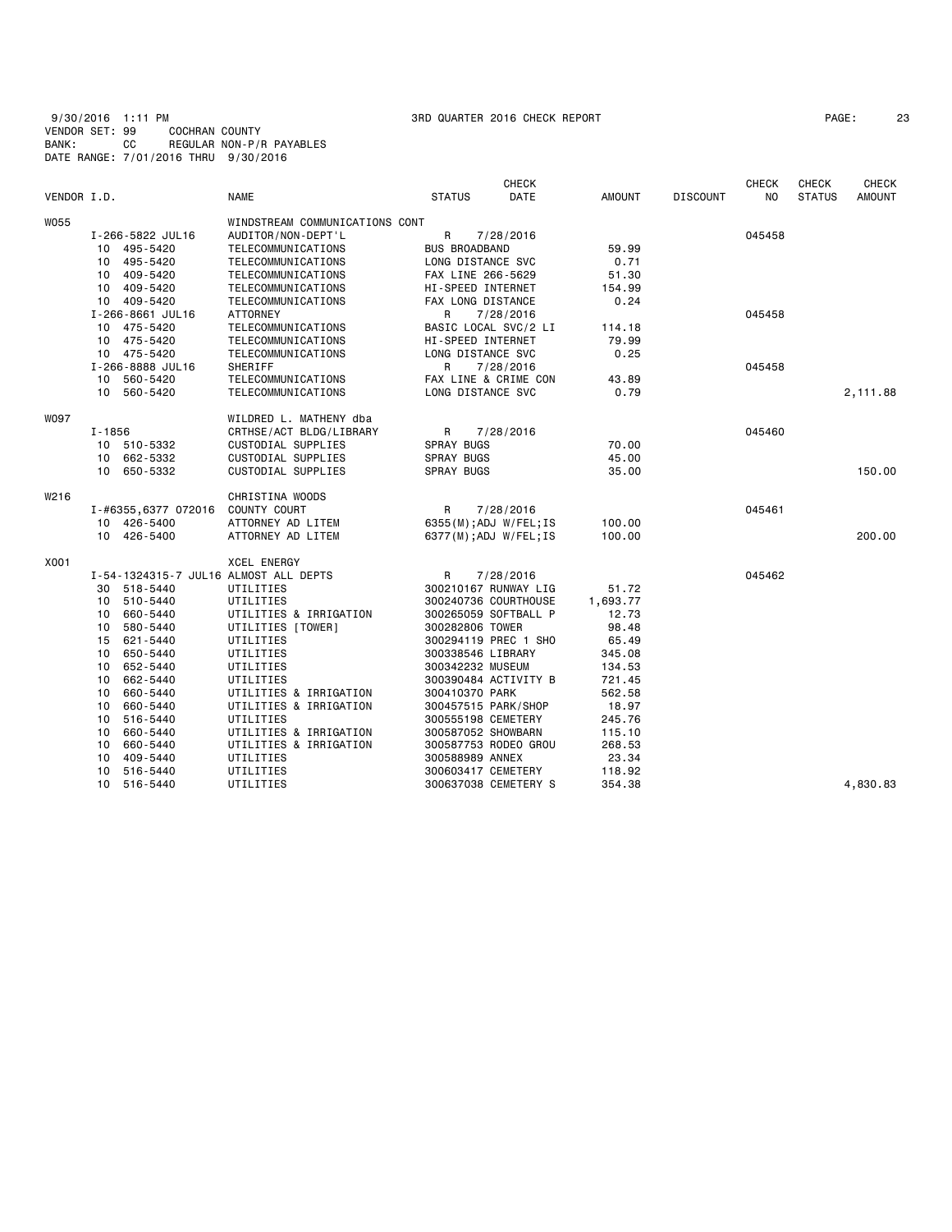9/30/2016 1:11 PM 3RD QUARTER 2016 CHECK REPORT PAGE: 23 VENDOR SET: 99 COCHRAN COUNTY BANK: CC REGULAR NON-P/R PAYABLES DATE RANGE: 7/01/2016 THRU 9/30/2016

| PAGE : | 2: |
|--------|----|
|--------|----|

|             |                                       |                                |                      | <b>CHECK</b>           |          |                 | <b>CHECK</b> | <b>CHECK</b>  | <b>CHECK</b> |
|-------------|---------------------------------------|--------------------------------|----------------------|------------------------|----------|-----------------|--------------|---------------|--------------|
| VENDOR I.D. |                                       | NAME                           | <b>STATUS</b>        | DATE                   | AMOUNT   | <b>DISCOUNT</b> | NO.          | <b>STATUS</b> | AMOUNT       |
| <b>W055</b> |                                       | WINDSTREAM COMMUNICATIONS CONT |                      |                        |          |                 |              |               |              |
|             | I-266-5822 JUL16                      | AUDITOR/NON-DEPT'L             | R                    | 7/28/2016              |          |                 | 045458       |               |              |
|             | 10 495-5420                           | TELECOMMUNICATIONS             | <b>BUS BROADBAND</b> |                        | 59.99    |                 |              |               |              |
|             | 10 495-5420                           | TELECOMMUNICATIONS             | LONG DISTANCE SVC    |                        | 0.71     |                 |              |               |              |
|             | 10 409-5420                           | TELECOMMUNICATIONS             | FAX LINE 266-5629    |                        | 51.30    |                 |              |               |              |
|             | 10 409-5420                           | TELECOMMUNICATIONS             | HI-SPEED INTERNET    |                        | 154.99   |                 |              |               |              |
|             | 10 409-5420                           | TELECOMMUNICATIONS             | FAX LONG DISTANCE    |                        | 0.24     |                 |              |               |              |
|             | I-266-8661 JUL16                      | ATTORNEY                       | R                    | 7/28/2016              |          |                 | 045458       |               |              |
|             | 10 475-5420                           | TELECOMMUNICATIONS             |                      | BASIC LOCAL SVC/2 LI   | 114.18   |                 |              |               |              |
|             | 10 475-5420                           | TELECOMMUNICATIONS             | HI-SPEED INTERNET    |                        | 79.99    |                 |              |               |              |
|             | 10 475-5420                           | TELECOMMUNICATIONS             | LONG DISTANCE SVC    |                        | 0.25     |                 |              |               |              |
|             | I-266-8888 JUL16                      | SHERIFF                        | R                    | 7/28/2016              |          |                 | 045458       |               |              |
|             | 10 560-5420                           | TELECOMMUNICATIONS             |                      | FAX LINE & CRIME CON   | 43.89    |                 |              |               |              |
|             | 10 560-5420                           | TELECOMMUNICATIONS             | LONG DISTANCE SVC    |                        | 0.79     |                 |              |               | 2,111.88     |
| <b>WO97</b> |                                       | WILDRED L. MATHENY dba         |                      |                        |          |                 |              |               |              |
|             | I-1856                                | CRTHSE/ACT BLDG/LIBRARY        | R                    | 7/28/2016              |          |                 | 045460       |               |              |
|             | 10 510-5332                           | CUSTODIAL SUPPLIES             | <b>SPRAY BUGS</b>    |                        | 70.00    |                 |              |               |              |
|             | 10 662-5332                           | CUSTODIAL SUPPLIES             | <b>SPRAY BUGS</b>    |                        | 45.00    |                 |              |               |              |
|             | 10 650-5332                           | CUSTODIAL SUPPLIES             | SPRAY BUGS           |                        | 35.00    |                 |              |               | 150.00       |
| W216        |                                       | CHRISTINA WOODS                |                      |                        |          |                 |              |               |              |
|             | I-#6355,6377 072016 COUNTY COURT      |                                | R                    | 7/28/2016              |          |                 | 045461       |               |              |
|             | 10 426-5400                           | ATTORNEY AD LITEM              |                      | 6355(M); ADJ W/FEL; IS | 100.00   |                 |              |               |              |
|             | 10 426-5400                           | ATTORNEY AD LITEM              |                      | 6377(M); ADJ W/FEL; IS | 100.00   |                 |              |               | 200,00       |
| X001        |                                       | <b>XCEL ENERGY</b>             |                      |                        |          |                 |              |               |              |
|             | I-54-1324315-7 JUL16 ALMOST ALL DEPTS |                                | R                    | 7/28/2016              |          |                 | 045462       |               |              |
|             | 30 518-5440                           | UTILITIES                      |                      | 300210167 RUNWAY LIG   | 51.72    |                 |              |               |              |
|             | 10 510-5440                           | UTILITIES                      |                      | 300240736 COURTHOUSE   | 1,693.77 |                 |              |               |              |
|             | 660-5440<br>10                        | UTILITIES & IRRIGATION         |                      | 300265059 SOFTBALL P   | 12.73    |                 |              |               |              |
|             | 580-5440<br>10                        | UTILITIES [TOWER]              | 300282806 TOWER      |                        | 98.48    |                 |              |               |              |
|             | 15 621-5440                           | UTILITIES                      |                      | 300294119 PREC 1 SHO   | 65.49    |                 |              |               |              |
|             | 650-5440<br>10                        | UTILITIES                      | 300338546 LIBRARY    |                        | 345.08   |                 |              |               |              |
|             | 652-5440<br>10                        | UTILITIES                      | 300342232 MUSEUM     |                        | 134.53   |                 |              |               |              |
|             | 662-5440<br>10                        | UTILITIES                      |                      | 300390484 ACTIVITY B   | 721.45   |                 |              |               |              |
|             | 660-5440<br>10                        | UTILITIES & IRRIGATION         | 300410370 PARK       |                        | 562.58   |                 |              |               |              |
|             | 10<br>660-5440                        | UTILITIES & IRRIGATION         | 300457515 PARK/SHOP  |                        | 18.97    |                 |              |               |              |
|             | 10<br>516-5440                        | UTILITIES                      | 300555198 CEMETERY   |                        | 245.76   |                 |              |               |              |
|             | 10<br>660-5440                        | UTILITIES & IRRIGATION         | 300587052 SHOWBARN   |                        | 115.10   |                 |              |               |              |
|             | 660-5440<br>10                        | UTILITIES & IRRIGATION         |                      | 300587753 RODEO GROU   | 268.53   |                 |              |               |              |
|             | 409-5440<br>10                        | UTILITIES                      | 300588989 ANNEX      |                        | 23.34    |                 |              |               |              |
|             | 516-5440<br>10                        | UTILITIES                      | 300603417 CEMETERY   |                        | 118.92   |                 |              |               |              |
|             | 10<br>516-5440                        | UTILITIES                      |                      | 300637038 CEMETERY S   | 354.38   |                 |              |               | 4,830.83     |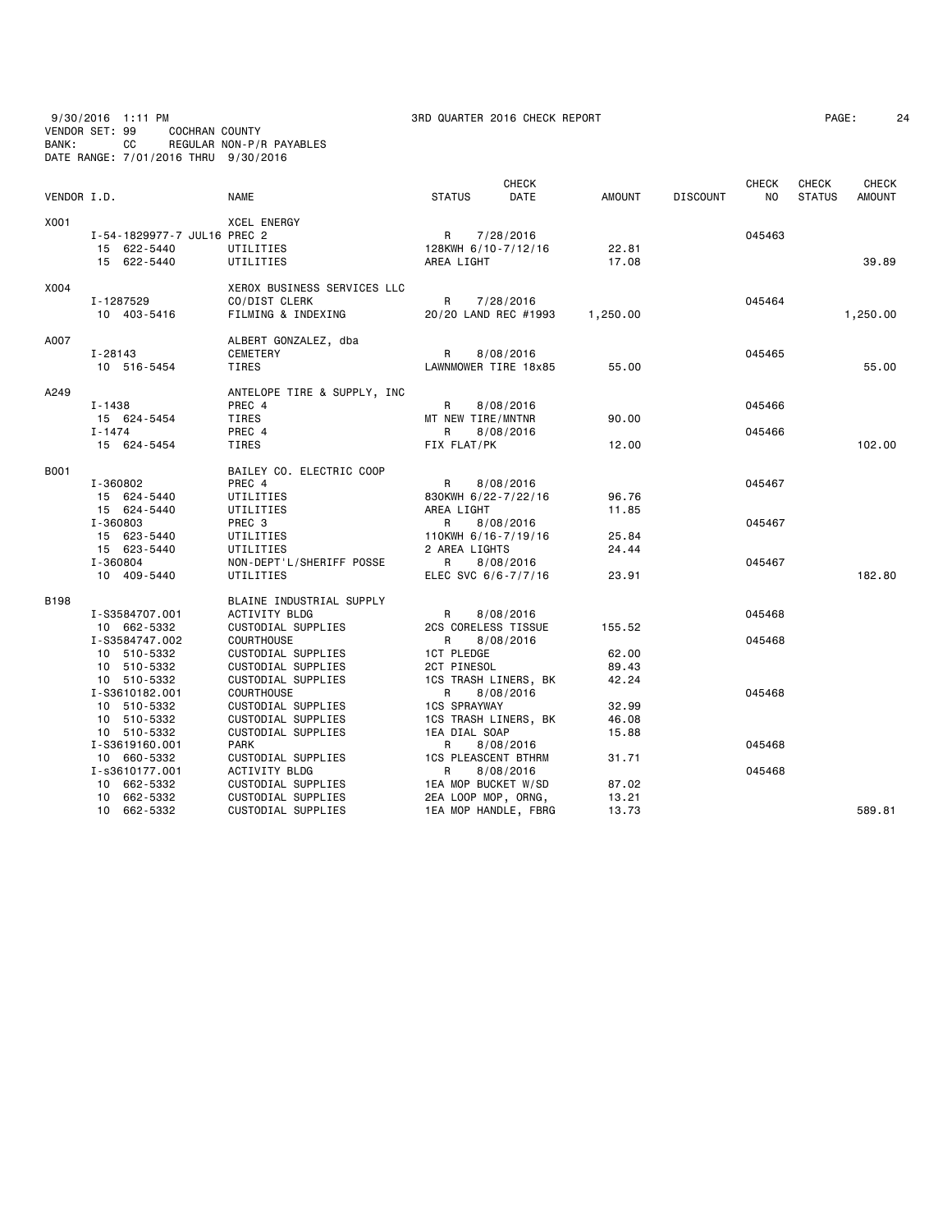| VENDOR SET: 99<br>BANK: |                                  | 9/30/2016 1:11 PM<br>CC                                                                                                                                                                                                                      | COCHRAN COUNTY              | REGULAR NON-P/R PAYABLES<br>DATE RANGE: 7/01/2016 THRU 9/30/2016                                                                                                                                                                                                                                                                                       |                                                                                                                                                                                                      | 3RD QUARTER 2016 CHECK REPORT                                                                                 |                                                                                         |                 |                                                | PAGE:                  |                               | 24 |
|-------------------------|----------------------------------|----------------------------------------------------------------------------------------------------------------------------------------------------------------------------------------------------------------------------------------------|-----------------------------|--------------------------------------------------------------------------------------------------------------------------------------------------------------------------------------------------------------------------------------------------------------------------------------------------------------------------------------------------------|------------------------------------------------------------------------------------------------------------------------------------------------------------------------------------------------------|---------------------------------------------------------------------------------------------------------------|-----------------------------------------------------------------------------------------|-----------------|------------------------------------------------|------------------------|-------------------------------|----|
| VENDOR I.D.             |                                  |                                                                                                                                                                                                                                              |                             | <b>NAME</b>                                                                                                                                                                                                                                                                                                                                            | <b>STATUS</b>                                                                                                                                                                                        | CHECK<br>DATE                                                                                                 | <b>AMOUNT</b>                                                                           | <b>DISCOUNT</b> | CHECK<br>NO.                                   | CHECK<br><b>STATUS</b> | <b>CHECK</b><br><b>AMOUNT</b> |    |
| X001                    |                                  | 15 622-5440<br>15 622-5440                                                                                                                                                                                                                   | I-54-1829977-7 JUL16 PREC 2 | <b>XCEL ENERGY</b><br>UTILITIES<br>UTILITIES                                                                                                                                                                                                                                                                                                           | R<br>128KWH 6/10-7/12/16<br>AREA LIGHT                                                                                                                                                               | 7/28/2016                                                                                                     | 22.81<br>17.08                                                                          |                 | 045463                                         |                        | 39.89                         |    |
| X004                    |                                  | I-1287529<br>10 403-5416                                                                                                                                                                                                                     |                             | XEROX BUSINESS SERVICES LLC<br>CO/DIST CLERK<br>FILMING & INDEXING                                                                                                                                                                                                                                                                                     | R                                                                                                                                                                                                    | 7/28/2016<br>20/20 LAND REC #1993                                                                             | 1,250.00                                                                                |                 | 045464                                         |                        | 1,250.00                      |    |
| A007                    | I-28143                          | 10 516-5454                                                                                                                                                                                                                                  |                             | ALBERT GONZALEZ, dba<br><b>CEMETERY</b><br>TIRES                                                                                                                                                                                                                                                                                                       | R                                                                                                                                                                                                    | 8/08/2016<br>LAWNMOWER TIRE 18x85                                                                             | 55.00                                                                                   |                 | 045465                                         |                        | 55.00                         |    |
| A249                    | I-1438                           | 15 624-5454                                                                                                                                                                                                                                  |                             | ANTELOPE TIRE & SUPPLY, INC<br>PREC 4<br>TIRES                                                                                                                                                                                                                                                                                                         | R<br>MT NEW TIRE/MNTNR                                                                                                                                                                               | 8/08/2016                                                                                                     | 90.00                                                                                   |                 | 045466                                         |                        |                               |    |
|                         | $I - 1474$                       | 15 624-5454                                                                                                                                                                                                                                  |                             | PREC 4<br>TIRES                                                                                                                                                                                                                                                                                                                                        | R<br>FIX FLAT/PK                                                                                                                                                                                     | 8/08/2016                                                                                                     | 12.00                                                                                   |                 | 045466                                         |                        | 102.00                        |    |
| B001                    | I-360802<br>I-360803<br>I-360804 | 15 624-5440<br>15 624-5440<br>15 623-5440<br>15 623-5440<br>10 409-5440                                                                                                                                                                      |                             | BAILEY CO. ELECTRIC COOP<br>PREC 4<br>UTILITIES<br>UTILITIES<br>PREC 3<br>UTILITIES<br>UTILITIES<br>NON-DEPT'L/SHERIFF POSSE<br>UTILITIES                                                                                                                                                                                                              | R<br>830KWH 6/22-7/22/16<br>AREA LIGHT<br>R<br>110KWH 6/16-7/19/16<br>2 AREA LIGHTS<br>R<br>ELEC SVC 6/6-7/7/16                                                                                      | 8/08/2016<br>8/08/2016<br>8/08/2016                                                                           | 96.76<br>11.85<br>25.84<br>24.44<br>23.91                                               |                 | 045467<br>045467<br>045467                     |                        | 182.80                        |    |
| B198                    |                                  | I-S3584707.001<br>10 662-5332<br>I-S3584747.002<br>10 510-5332<br>10 510-5332<br>10 510-5332<br>I-S3610182.001<br>10 510-5332<br>10 510-5332<br>10 510-5332<br>I-S3619160.001<br>10 660-5332<br>I-s3610177.001<br>10 662-5332<br>10 662-5332 |                             | BLAINE INDUSTRIAL SUPPLY<br>ACTIVITY BLDG<br>CUSTODIAL SUPPLIES<br><b>COURTHOUSE</b><br>CUSTODIAL SUPPLIES<br>CUSTODIAL SUPPLIES<br>CUSTODIAL SUPPLIES<br><b>COURTHOUSE</b><br>CUSTODIAL SUPPLIES<br>CUSTODIAL SUPPLIES<br>CUSTODIAL SUPPLIES<br><b>PARK</b><br>CUSTODIAL SUPPLIES<br><b>ACTIVITY BLDG</b><br>CUSTODIAL SUPPLIES<br>CUSTODIAL SUPPLIES | R<br>2CS CORELESS TISSUE<br>R<br><b>1CT PLEDGE</b><br>2CT PINESOL<br>R<br><b>1CS SPRAYWAY</b><br>1EA DIAL SOAP<br>R<br><b>1CS PLEASCENT BTHRM</b><br>R<br>1EA MOP BUCKET W/SD<br>2EA LOOP MOP, ORNG, | 8/08/2016<br>8/08/2016<br>1CS TRASH LINERS, BK<br>8/08/2016<br>1CS TRASH LINERS, BK<br>8/08/2016<br>8/08/2016 | 155.52<br>62.00<br>89.43<br>42.24<br>32.99<br>46.08<br>15.88<br>31.71<br>87.02<br>13.21 |                 | 045468<br>045468<br>045468<br>045468<br>045468 |                        |                               |    |
|                         |                                  | 10 662-5332                                                                                                                                                                                                                                  |                             | CUSTODIAL SUPPLIES                                                                                                                                                                                                                                                                                                                                     |                                                                                                                                                                                                      | 1EA MOP HANDLE, FBRG                                                                                          | 13.73                                                                                   |                 |                                                |                        | 589.81                        |    |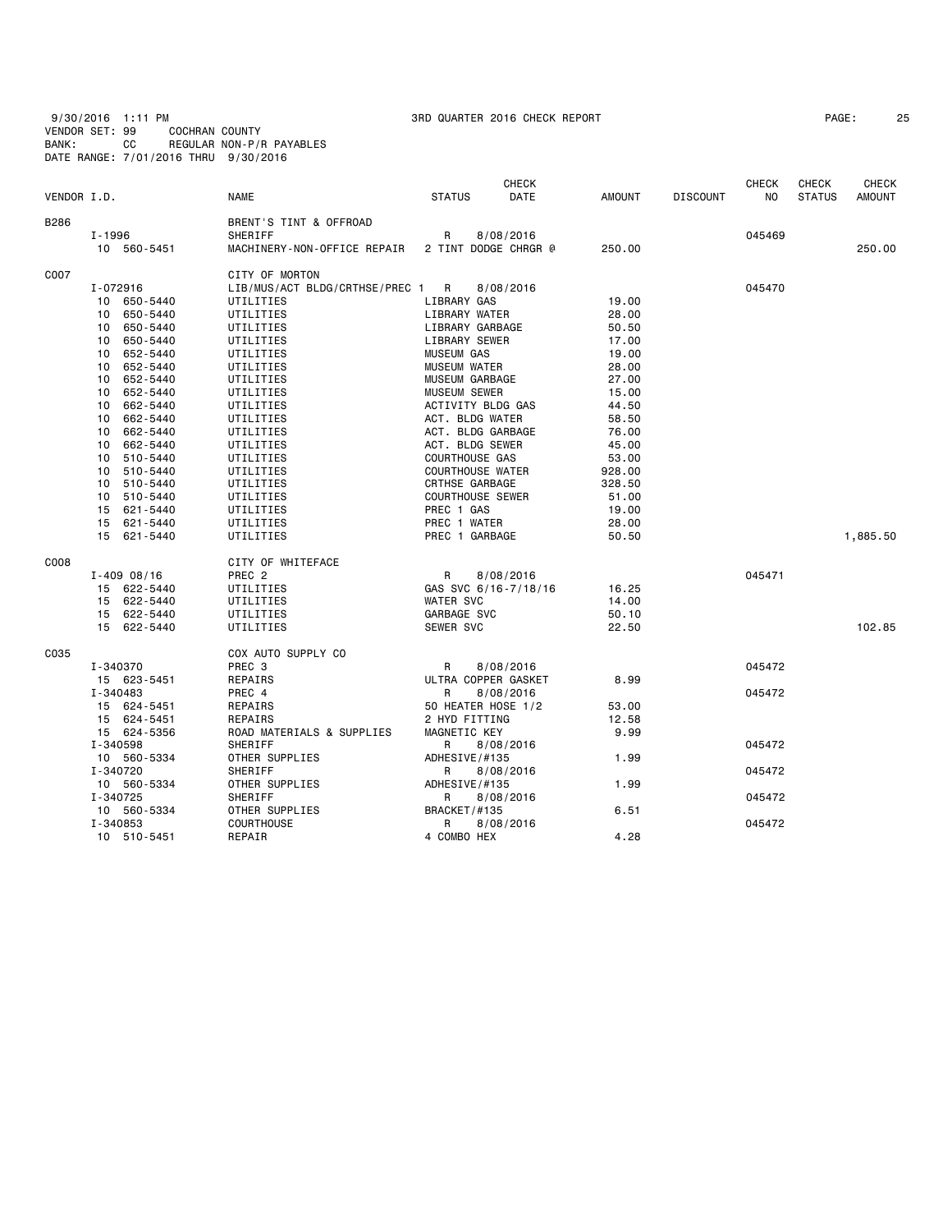9/30/2016 1:11 PM 3RD QUARTER 2016 CHECK REPORT PAGE: 25 VENDOR SET: 99 COCHRAN COUNTY BANK: CC REGULAR NON-P/R PAYABLES DATE RANGE: 7/01/2016 THRU 9/30/2016

| PAGE: |  |
|-------|--|
|-------|--|

| VENDOR I.D. |                 | <b>NAME</b>                      | <b>STATUS</b>           | <b>CHECK</b><br>DATE | <b>AMOUNT</b> | <b>DISCOUNT</b> | <b>CHECK</b><br>N <sub>O</sub> | <b>CHECK</b><br><b>STATUS</b> | CHECK<br><b>AMOUNT</b> |
|-------------|-----------------|----------------------------------|-------------------------|----------------------|---------------|-----------------|--------------------------------|-------------------------------|------------------------|
|             |                 |                                  |                         |                      |               |                 |                                |                               |                        |
| B286        |                 | BRENT'S TINT & OFFROAD           |                         |                      |               |                 |                                |                               |                        |
|             | I-1996          | SHERIFF                          | R                       | 8/08/2016            |               |                 | 045469                         |                               |                        |
|             | 10 560-5451     | MACHINERY-NON-OFFICE REPAIR      | 2 TINT DODGE CHRGR @    |                      | 250,00        |                 |                                |                               | 250,00                 |
| C007        |                 | CITY OF MORTON                   |                         |                      |               |                 |                                |                               |                        |
|             | I-072916        | LIB/MUS/ACT BLDG/CRTHSE/PREC 1 R |                         | 8/08/2016            |               |                 | 045470                         |                               |                        |
|             | 10 650-5440     | UTILITIES                        | LIBRARY GAS             |                      | 19.00         |                 |                                |                               |                        |
|             | 650-5440<br>10  | UTILITIES                        | LIBRARY WATER           |                      | 28.00         |                 |                                |                               |                        |
|             | 650-5440<br>10  | UTILITIES                        | LIBRARY GARBAGE         |                      | 50.50         |                 |                                |                               |                        |
|             | 10 650-5440     | UTILITIES                        | LIBRARY SEWER           |                      | 17.00         |                 |                                |                               |                        |
|             | 652-5440<br>10  | UTILITIES                        | <b>MUSEUM GAS</b>       |                      | 19.00         |                 |                                |                               |                        |
|             | 652-5440<br>10  | UTILITIES                        | <b>MUSEUM WATER</b>     |                      | 28.00         |                 |                                |                               |                        |
|             | 652-5440<br>10  | UTILITIES                        | MUSEUM GARBAGE          |                      | 27.00         |                 |                                |                               |                        |
|             | 652-5440<br>10  | UTILITIES                        | MUSEUM SEWER            |                      | 15.00         |                 |                                |                               |                        |
|             | 662-5440<br>10  | UTILITIES                        | ACTIVITY BLDG GAS       |                      | 44.50         |                 |                                |                               |                        |
|             | 662-5440<br>10  | UTILITIES                        | ACT. BLDG WATER         |                      | 58.50         |                 |                                |                               |                        |
|             | 10 662-5440     | UTILITIES                        | ACT. BLDG GARBAGE       |                      | 76.00         |                 |                                |                               |                        |
|             | 662-5440<br>10  | UTILITIES                        | ACT. BLDG SEWER         |                      | 45.00         |                 |                                |                               |                        |
|             | 10 510-5440     | UTILITIES                        | <b>COURTHOUSE GAS</b>   |                      | 53.00         |                 |                                |                               |                        |
|             | 10<br>510-5440  | UTILITIES                        | <b>COURTHOUSE WATER</b> |                      | 928.00        |                 |                                |                               |                        |
|             | 10 510-5440     | UTILITIES                        | CRTHSE GARBAGE          |                      | 328.50        |                 |                                |                               |                        |
|             | 10<br>510-5440  | UTILITIES                        | <b>COURTHOUSE SEWER</b> |                      | 51.00         |                 |                                |                               |                        |
|             | 15<br>621-5440  | UTILITIES                        | PREC 1 GAS              |                      | 19.00         |                 |                                |                               |                        |
|             | 15 621-5440     | UTILITIES                        | PREC 1 WATER            |                      | 28.00         |                 |                                |                               |                        |
|             | 15 621-5440     | UTILITIES                        | PREC 1 GARBAGE          |                      | 50.50         |                 |                                |                               | 1,885.50               |
| C008        |                 | CITY OF WHITEFACE                |                         |                      |               |                 |                                |                               |                        |
|             | $I - 409008/16$ | PREC <sub>2</sub>                | $\mathsf{R}$            | 8/08/2016            |               |                 | 045471                         |                               |                        |
|             | 15 622-5440     | UTILITIES                        | GAS SVC 6/16-7/18/16    |                      | 16.25         |                 |                                |                               |                        |
|             | 15 622-5440     | UTILITIES                        | <b>WATER SVC</b>        |                      | 14.00         |                 |                                |                               |                        |
|             | 15 622-5440     | UTILITIES                        | GARBAGE SVC             |                      | 50.10         |                 |                                |                               |                        |
|             | 15 622-5440     | UTILITIES                        | SEWER SVC               |                      | 22.50         |                 |                                |                               | 102.85                 |
| C035        |                 | COX AUTO SUPPLY CO               |                         |                      |               |                 |                                |                               |                        |
|             | I-340370        | PREC 3                           | R                       | 8/08/2016            |               |                 | 045472                         |                               |                        |
|             | 15 623-5451     | REPAIRS                          | ULTRA COPPER GASKET     |                      | 8.99          |                 |                                |                               |                        |
|             | I-340483        | PREC 4                           | R                       | 8/08/2016            |               |                 | 045472                         |                               |                        |
|             | 15 624-5451     | REPAIRS                          | 50 HEATER HOSE 1/2      |                      | 53.00         |                 |                                |                               |                        |
|             | 15 624-5451     | <b>REPAIRS</b>                   | 2 HYD FITTING           |                      | 12.58         |                 |                                |                               |                        |
|             | 15 624-5356     | ROAD MATERIALS & SUPPLIES        | MAGNETIC KEY            |                      | 9.99          |                 |                                |                               |                        |
|             | I-340598        | SHERIFF                          | R                       | 8/08/2016            |               |                 | 045472                         |                               |                        |
|             | 10 560-5334     | OTHER SUPPLIES                   | ADHESIVE/#135           |                      | 1.99          |                 |                                |                               |                        |
|             | I-340720        | SHERIFF                          | R                       | 8/08/2016            |               |                 | 045472                         |                               |                        |
|             | 10 560-5334     | OTHER SUPPLIES                   | ADHESIVE/#135           |                      | 1.99          |                 |                                |                               |                        |
|             | I-340725        | SHERIFF                          | R                       | 8/08/2016            |               |                 | 045472                         |                               |                        |
|             | 10 560-5334     | OTHER SUPPLIES                   | BRACKET/#135            |                      | 6.51          |                 |                                |                               |                        |
|             | I-340853        | <b>COURTHOUSE</b>                | R                       | 8/08/2016            |               |                 | 045472                         |                               |                        |
|             | 10 510-5451     | REPAIR                           | 4 COMBO HEX             |                      | 4.28          |                 |                                |                               |                        |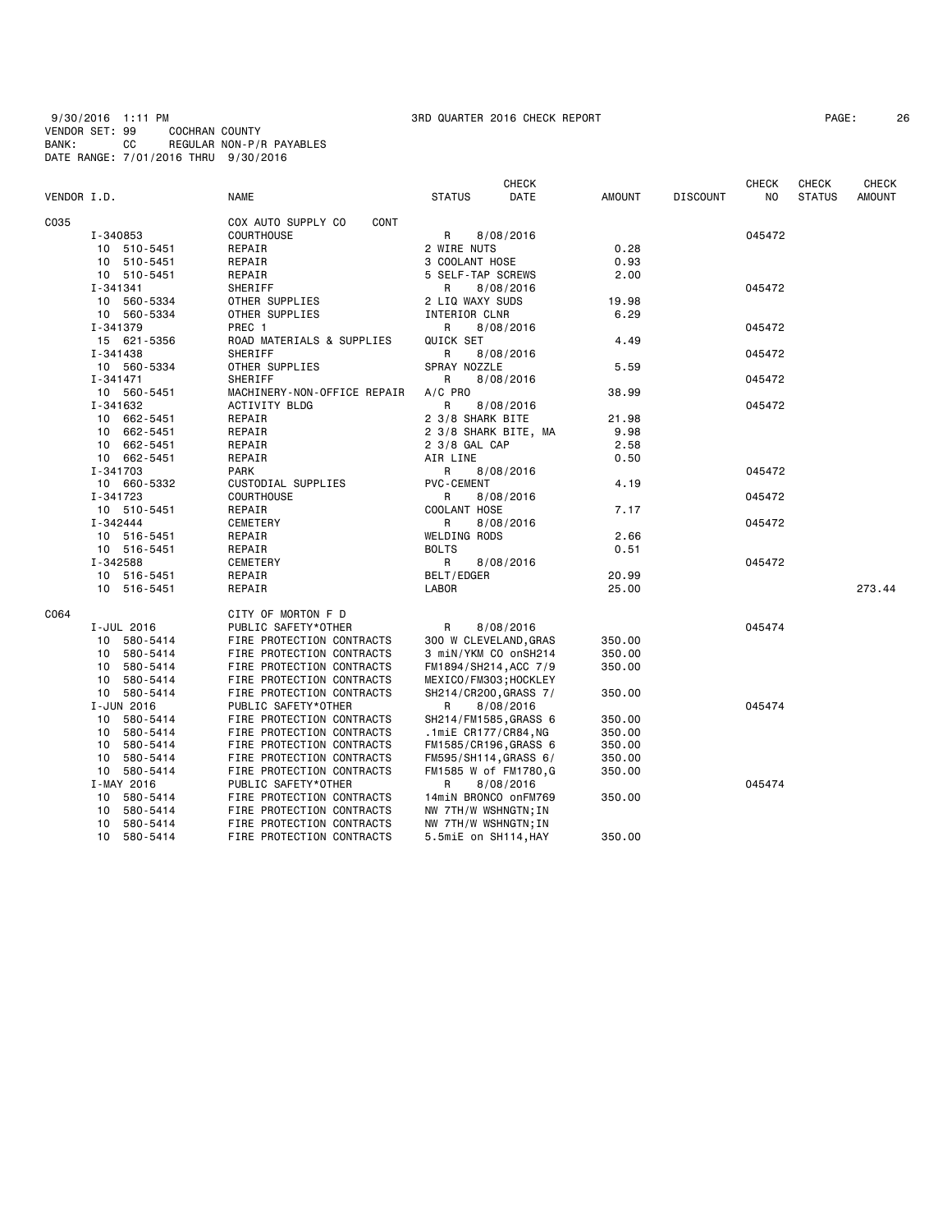9/30/2016 1:11 PM 3RD QUARTER 2016 CHECK REPORT PAGE: 26 VENDOR SET: 99 COCHRAN COUNTY BANK: CC REGULAR NON-P/R PAYABLES DATE RANGE: 7/01/2016 THRU 9/30/2016

|             |                             |                             |                       | <b>CHECK</b> |               |                 | <b>CHECK</b> | <b>CHECK</b>  | <b>CHECK</b>  |
|-------------|-----------------------------|-----------------------------|-----------------------|--------------|---------------|-----------------|--------------|---------------|---------------|
| VENDOR I.D. |                             | <b>NAME</b>                 | <b>STATUS</b>         | DATE         | <b>AMOUNT</b> | <b>DISCOUNT</b> | NO.          | <b>STATUS</b> | <b>AMOUNT</b> |
| C035        |                             | COX AUTO SUPPLY CO<br>CONT  |                       |              |               |                 |              |               |               |
|             | I-340853                    | <b>COURTHOUSE</b>           | R                     | 8/08/2016    |               |                 | 045472       |               |               |
|             | 10 510-5451                 | REPAIR                      | 2 WIRE NUTS           |              | 0.28          |                 |              |               |               |
|             | 10 510-5451                 | REPAIR                      | 3 COOLANT HOSE        |              | 0.93          |                 |              |               |               |
|             | 10 510-5451                 | REPAIR                      | 5 SELF-TAP SCREWS     |              | 2.00          |                 |              |               |               |
|             | I-341341                    | SHERIFF                     | R                     | 8/08/2016    |               |                 | 045472       |               |               |
|             | 10 560-5334                 | OTHER SUPPLIES              | 2 LIQ WAXY SUDS       |              | 19.98         |                 |              |               |               |
|             | 10 560-5334                 | OTHER SUPPLIES              | INTERIOR CLNR         |              | 6.29          |                 |              |               |               |
|             | I-341379                    | PREC 1                      | R                     | 8/08/2016    |               |                 | 045472       |               |               |
|             | 15 621-5356                 | ROAD MATERIALS & SUPPLIES   | QUICK SET             |              | 4.49          |                 |              |               |               |
|             | I-341438                    | SHERIFF                     | R                     | 8/08/2016    |               |                 | 045472       |               |               |
|             | 10 560-5334                 | OTHER SUPPLIES              | SPRAY NOZZLE          |              | 5.59          |                 |              |               |               |
|             | I-341471                    | SHERIFF                     | R                     | 8/08/2016    |               |                 | 045472       |               |               |
|             | 10 560-5451                 | MACHINERY-NON-OFFICE REPAIR | $A/C$ PRO             |              | 38.99         |                 |              |               |               |
|             | I-341632                    | ACTIVITY BLDG               | R                     | 8/08/2016    |               |                 | 045472       |               |               |
|             | 10 662-5451                 | REPAIR                      | 2 3/8 SHARK BITE      |              | 21.98         |                 |              |               |               |
|             | 10 662-5451                 | REPAIR                      | 2 3/8 SHARK BITE, MA  |              | 9.98          |                 |              |               |               |
|             | 10 662-5451                 | REPAIR                      | 2 3/8 GAL CAP         |              | 2.58          |                 |              |               |               |
|             | 10 662-5451                 | REPAIR                      | AIR LINE              |              | 0.50          |                 |              |               |               |
|             | I-341703                    | <b>PARK</b>                 | R                     | 8/08/2016    |               |                 | 045472       |               |               |
|             | 10 660-5332                 | CUSTODIAL SUPPLIES          | <b>PVC-CEMENT</b>     |              | 4.19          |                 |              |               |               |
|             |                             | <b>COURTHOUSE</b>           |                       |              |               |                 |              |               |               |
|             | I-341723<br>10 510-5451     | REPAIR                      | R.<br>COOLANT HOSE    | 8/08/2016    | 7.17          |                 | 045472       |               |               |
|             | I-342444                    | CEMETERY                    | R                     | 8/08/2016    |               |                 | 045472       |               |               |
|             |                             |                             |                       |              |               |                 |              |               |               |
|             | 10 516-5451                 | REPAIR                      | WELDING RODS          |              | 2.66<br>0.51  |                 |              |               |               |
|             | 10 516-5451                 | REPAIR                      | <b>BOLTS</b>          |              |               |                 | 045472       |               |               |
|             | I-342588                    | CEMETERY                    | R                     | 8/08/2016    |               |                 |              |               |               |
|             | 10 516-5451                 | REPAIR                      | BELT/EDGER            |              | 20.99         |                 |              |               | 273.44        |
|             | 10 516-5451                 | REPAIR                      | LABOR                 |              | 25.00         |                 |              |               |               |
| C064        |                             | CITY OF MORTON F D          |                       |              |               |                 |              |               |               |
|             | I-JUL 2016                  | PUBLIC SAFETY*OTHER         | R                     | 8/08/2016    |               |                 | 045474       |               |               |
|             | 10 580-5414                 | FIRE PROTECTION CONTRACTS   | 300 W CLEVELAND, GRAS |              | 350.00        |                 |              |               |               |
|             | 10 580-5414                 | FIRE PROTECTION CONTRACTS   | 3 miN/YKM CO onSH214  |              | 350.00        |                 |              |               |               |
|             | 580-5414<br>10              | FIRE PROTECTION CONTRACTS   | FM1894/SH214, ACC 7/9 |              | 350.00        |                 |              |               |               |
|             | 580-5414<br>10              | FIRE PROTECTION CONTRACTS   | MEXICO/FM303;HOCKLEY  |              |               |                 |              |               |               |
|             | 10 580-5414                 | FIRE PROTECTION CONTRACTS   | SH214/CR200, GRASS 7/ |              | 350.00        |                 |              |               |               |
|             | I-JUN 2016                  | PUBLIC SAFETY*OTHER         | R                     | 8/08/2016    |               |                 | 045474       |               |               |
|             | 10 580-5414                 | FIRE PROTECTION CONTRACTS   | SH214/FM1585, GRASS 6 |              | 350.00        |                 |              |               |               |
|             | 10 580-5414                 | FIRE PROTECTION CONTRACTS   | .1miE CR177/CR84,NG   |              | 350.00        |                 |              |               |               |
|             | 10 580-5414                 | FIRE PROTECTION CONTRACTS   | FM1585/CR196,GRASS 6  |              | 350.00        |                 |              |               |               |
|             | 10 580-5414                 | FIRE PROTECTION CONTRACTS   | FM595/SH114,GRASS 6/  |              | 350.00        |                 |              |               |               |
|             | 10 580-5414                 | FIRE PROTECTION CONTRACTS   | FM1585 W of FM1780,G  |              | 350.00        |                 |              |               |               |
|             | I-MAY 2016                  | PUBLIC SAFETY*OTHER         | R                     | 8/08/2016    |               |                 | 045474       |               |               |
|             | 580-5414<br>10              | FIRE PROTECTION CONTRACTS   | 14miN BRONCO onFM769  |              | 350.00        |                 |              |               |               |
|             | 580-5414<br>10              | FIRE PROTECTION CONTRACTS   | NW 7TH/W WSHNGTN; IN  |              |               |                 |              |               |               |
|             | 580-5414<br>10              | FIRE PROTECTION CONTRACTS   | NW 7TH/W WSHNGTN; IN  |              |               |                 |              |               |               |
|             | 10 <sup>1</sup><br>580-5414 | FIRE PROTECTION CONTRACTS   | 5.5miE on SH114, HAY  |              | 350.00        |                 |              |               |               |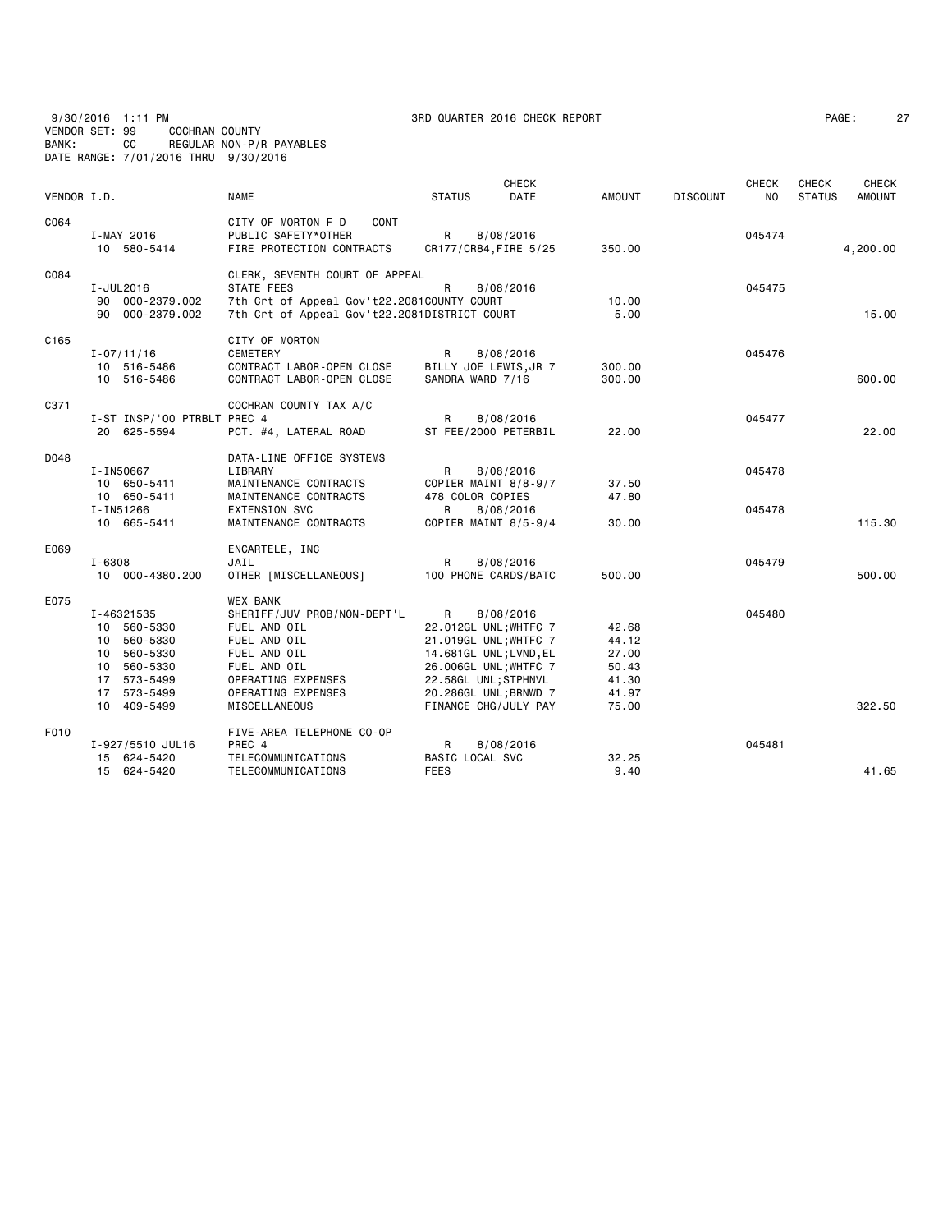9/30/2016 1:11 PM 3RD QUARTER 2016 CHECK REPORT PAGE: 27 VENDOR SET: 99 COCHRAN COUNTY BANK: CC REGULAR NON-P/R PAYABLES DATE RANGE: 7/01/2016 THRU 9/30/2016

|  | PAGE : |  |  |
|--|--------|--|--|
|--|--------|--|--|

| VENDOR I.D. |                              | <b>NAME</b>                                              | <b>STATUS</b>                             | <b>CHECK</b><br>DATE | <b>AMOUNT</b>    | <b>DISCOUNT</b> | <b>CHECK</b><br>NO. | CHECK<br><b>STATUS</b> | CHECK<br><b>AMOUNT</b> |
|-------------|------------------------------|----------------------------------------------------------|-------------------------------------------|----------------------|------------------|-----------------|---------------------|------------------------|------------------------|
| C064        |                              | CONT<br>CITY OF MORTON F D                               |                                           |                      |                  |                 |                     |                        |                        |
|             | I-MAY 2016<br>10 580-5414    | PUBLIC SAFETY*OTHER<br>FIRE PROTECTION CONTRACTS         | R<br>CR177/CR84, FIRE 5/25                | 8/08/2016            | 350.00           |                 | 045474              |                        | 4,200.00               |
|             |                              |                                                          |                                           |                      |                  |                 |                     |                        |                        |
| C084        |                              | CLERK, SEVENTH COURT OF APPEAL                           |                                           |                      |                  |                 |                     |                        |                        |
|             | I-JUL2016<br>90 000-2379.002 | STATE FEES<br>7th Crt of Appeal Gov't22.2081COUNTY COURT | R                                         | 8/08/2016            | 10.00            |                 | 045475              |                        |                        |
|             | 90 000-2379.002              | 7th Crt of Appeal Gov't22.2081DISTRICT COURT             |                                           |                      | 5.00             |                 |                     |                        | 15.00                  |
|             |                              |                                                          |                                           |                      |                  |                 |                     |                        |                        |
| C165        |                              | CITY OF MORTON                                           |                                           |                      |                  |                 |                     |                        |                        |
|             | $I - 07/11/16$               | <b>CEMETERY</b>                                          | R                                         | 8/08/2016            |                  |                 | 045476              |                        |                        |
|             | 10 516-5486<br>10 516-5486   | CONTRACT LABOR-OPEN CLOSE<br>CONTRACT LABOR-OPEN CLOSE   | BILLY JOE LEWIS, JR 7<br>SANDRA WARD 7/16 |                      | 300.00<br>300.00 |                 |                     |                        | 600.00                 |
|             |                              |                                                          |                                           |                      |                  |                 |                     |                        |                        |
| C371        |                              | COCHRAN COUNTY TAX A/C                                   |                                           |                      |                  |                 |                     |                        |                        |
|             | I-ST INSP/'00 PTRBLT PREC 4  |                                                          | R                                         | 8/08/2016            |                  |                 | 045477              |                        |                        |
|             | 20 625-5594                  | PCT. #4, LATERAL ROAD                                    | ST FEE/2000 PETERBIL                      |                      | 22.00            |                 |                     |                        | 22,00                  |
| D048        |                              | DATA-LINE OFFICE SYSTEMS                                 |                                           |                      |                  |                 |                     |                        |                        |
|             | I-IN50667                    | LIBRARY                                                  | $\mathsf{R}$                              | 8/08/2016            |                  |                 | 045478              |                        |                        |
|             | 10 650-5411                  | MAINTENANCE CONTRACTS                                    | COPIER MAINT 8/8-9/7                      |                      | 37.50            |                 |                     |                        |                        |
|             | 10 650-5411                  | MAINTENANCE CONTRACTS                                    | 478 COLOR COPIES                          |                      | 47.80            |                 |                     |                        |                        |
|             | I-IN51266                    | <b>EXTENSION SVC</b>                                     | R                                         | 8/08/2016            |                  |                 | 045478              |                        |                        |
|             | 10 665-5411                  | MAINTENANCE CONTRACTS                                    | COPIER MAINT 8/5-9/4                      |                      | 30.00            |                 |                     |                        | 115.30                 |
| E069        |                              | ENCARTELE, INC                                           |                                           |                      |                  |                 |                     |                        |                        |
|             | I-6308                       | JAIL                                                     | R                                         | 8/08/2016            |                  |                 | 045479              |                        |                        |
|             | 10 000-4380.200              | OTHER [MISCELLANEOUS]                                    | 100 PHONE CARDS/BATC                      |                      | 500.00           |                 |                     |                        | 500.00                 |
| E075        |                              | <b>WEX BANK</b>                                          |                                           |                      |                  |                 |                     |                        |                        |
|             | I-46321535                   | SHERIFF/JUV PROB/NON-DEPT'L                              | $\mathsf{R}$                              | 8/08/2016            |                  |                 | 045480              |                        |                        |
|             | 10 560-5330                  | FUEL AND OIL                                             | 22.012GL UNL; WHTFC 7                     |                      | 42.68            |                 |                     |                        |                        |
|             | 10 560-5330                  | FUEL AND OIL                                             | 21.019GL UNL; WHTFC 7                     |                      | 44.12            |                 |                     |                        |                        |
|             | 10 560-5330                  | FUEL AND OIL                                             | 14.681GL UNL;LVND, EL                     |                      | 27.00            |                 |                     |                        |                        |
|             | 10 560-5330                  | FUEL AND OIL                                             | 26.006GL UNL; WHTFC 7                     |                      | 50.43            |                 |                     |                        |                        |
|             | 17 573-5499                  | OPERATING EXPENSES                                       | 22.58GL UNL;STPHNVL                       |                      | 41.30            |                 |                     |                        |                        |
|             | 17 573-5499                  | OPERATING EXPENSES                                       | 20.286GL UNL; BRNWD 7                     |                      | 41.97            |                 |                     |                        |                        |
|             | 10 409-5499                  | MISCELLANEOUS                                            | FINANCE CHG/JULY PAY                      |                      | 75.00            |                 |                     |                        | 322.50                 |
| F010        |                              | FIVE-AREA TELEPHONE CO-OP                                |                                           |                      |                  |                 |                     |                        |                        |
|             | I-927/5510 JUL16             | PREC 4                                                   | R                                         | 8/08/2016            |                  |                 | 045481              |                        |                        |
|             | 15 624-5420                  | TELECOMMUNICATIONS                                       | BASIC LOCAL SVC                           |                      | 32.25            |                 |                     |                        |                        |
|             | 15 624-5420                  | TELECOMMUNICATIONS                                       | <b>FEES</b>                               |                      | 9.40             |                 |                     |                        | 41.65                  |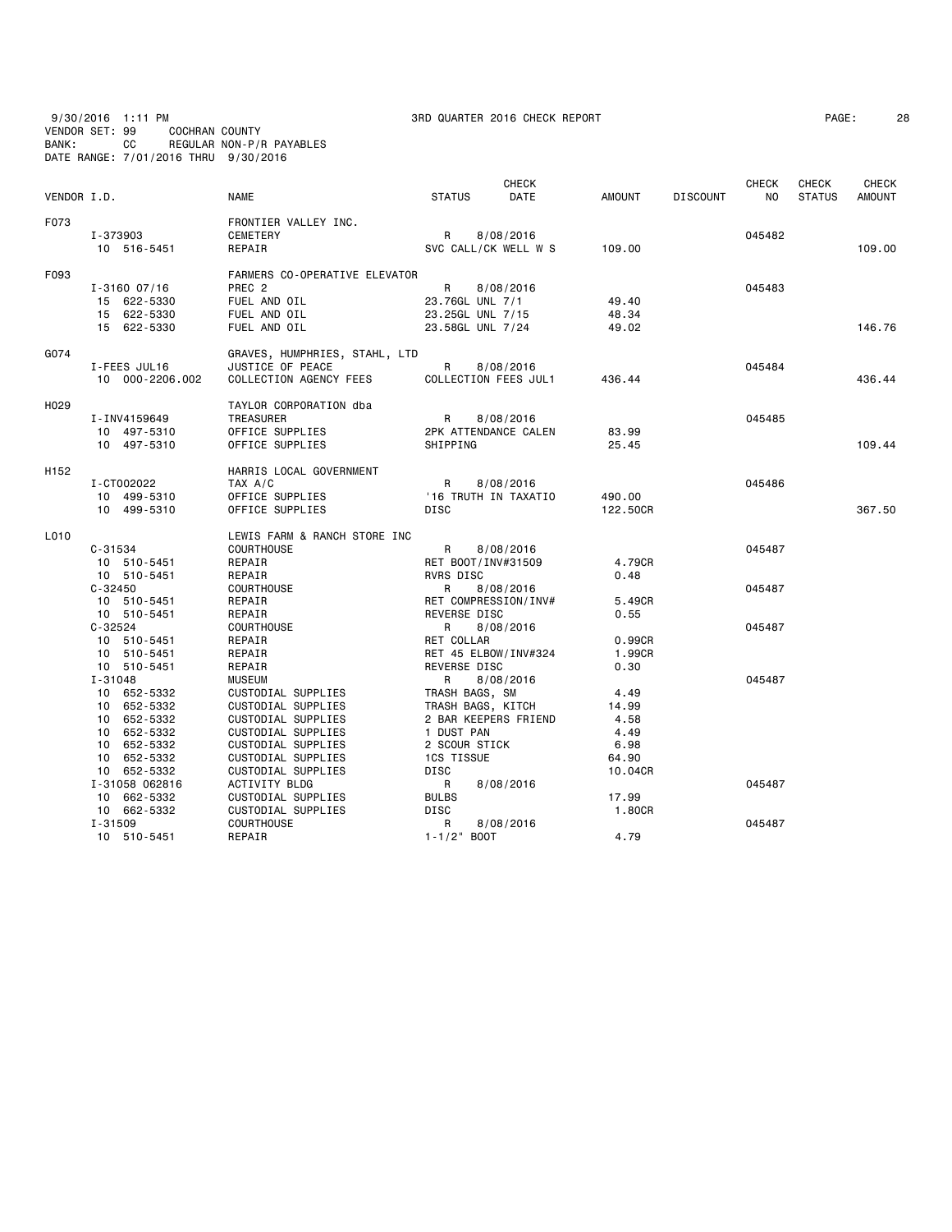9/30/2016 1:11 PM 3RD QUARTER 2016 CHECK REPORT PAGE: 28 VENDOR SET: 99 COCHRAN COUNTY BANK: CC REGULAR NON-P/R PAYABLES DATE RANGE: 7/01/2016 THRU 9/30/2016

| PAGE : |  |  |
|--------|--|--|
|--------|--|--|

| VENDOR I.D.      |                            | <b>NAME</b>                      | <b>STATUS</b>        | <b>CHECK</b><br><b>DATE</b> | <b>AMOUNT</b> | <b>DISCOUNT</b> | <b>CHECK</b><br>NO. | <b>CHECK</b><br><b>STATUS</b> | <b>CHECK</b><br>AMOUNT |
|------------------|----------------------------|----------------------------------|----------------------|-----------------------------|---------------|-----------------|---------------------|-------------------------------|------------------------|
|                  |                            |                                  |                      |                             |               |                 |                     |                               |                        |
| F073             | I-373903                   | FRONTIER VALLEY INC.<br>CEMETERY | R                    | 8/08/2016                   |               |                 | 045482              |                               |                        |
|                  | 10 516-5451                | REPAIR                           |                      | SVC CALL/CK WELL W S        | 109.00        |                 |                     |                               | 109,00                 |
|                  |                            |                                  |                      |                             |               |                 |                     |                               |                        |
| F093             |                            | FARMERS CO-OPERATIVE ELEVATOR    |                      |                             |               |                 |                     |                               |                        |
|                  | $I - 3160007/16$           | PREC <sub>2</sub>                | R.                   | 8/08/2016                   |               |                 | 045483              |                               |                        |
|                  | 15 622-5330                | FUEL AND OIL                     | 23.76GL UNL 7/1      |                             | 49.40         |                 |                     |                               |                        |
|                  | 15 622-5330                | FUEL AND OIL                     | 23.25GL UNL 7/15     |                             | 48.34         |                 |                     |                               |                        |
|                  | 15 622-5330                | FUEL AND OIL                     | 23.58GL UNL 7/24     |                             | 49.02         |                 |                     |                               | 146.76                 |
| G074             |                            | GRAVES, HUMPHRIES, STAHL, LTD    |                      |                             |               |                 |                     |                               |                        |
|                  | I-FEES JUL16               | JUSTICE OF PEACE                 | R                    | 8/08/2016                   |               |                 | 045484              |                               |                        |
|                  | 10 000-2206.002            | COLLECTION AGENCY FEES           | COLLECTION FEES JUL1 |                             | 436.44        |                 |                     |                               | 436.44                 |
| H029             |                            | TAYLOR CORPORATION dba           |                      |                             |               |                 |                     |                               |                        |
|                  | I-INV4159649               | TREASURER                        | R                    | 8/08/2016                   |               |                 | 045485              |                               |                        |
|                  | 10 497-5310                | OFFICE SUPPLIES                  | 2PK ATTENDANCE CALEN |                             | 83.99         |                 |                     |                               |                        |
|                  | 10 497-5310                | OFFICE SUPPLIES                  | SHIPPING             |                             | 25.45         |                 |                     |                               | 109.44                 |
| H <sub>152</sub> |                            | HARRIS LOCAL GOVERNMENT          |                      |                             |               |                 |                     |                               |                        |
|                  | I-CT002022                 | TAX A/C                          | R                    | 8/08/2016                   |               |                 | 045486              |                               |                        |
|                  | 10 499-5310                | OFFICE SUPPLIES                  | '16 TRUTH IN TAXATIO |                             | 490.00        |                 |                     |                               |                        |
|                  | 10 499-5310                | OFFICE SUPPLIES                  | DISC                 |                             | 122.50CR      |                 |                     |                               | 367.50                 |
| L010             |                            | LEWIS FARM & RANCH STORE INC     |                      |                             |               |                 |                     |                               |                        |
|                  | $C - 31534$                | <b>COURTHOUSE</b>                | R                    | 8/08/2016                   |               |                 | 045487              |                               |                        |
|                  | 10 510-5451                | REPAIR                           | RET BOOT/INV#31509   |                             | 4.79CR        |                 |                     |                               |                        |
|                  | 10 510-5451                | REPAIR                           | <b>RVRS DISC</b>     |                             | 0.48          |                 |                     |                               |                        |
|                  | $C - 32450$                | COURTHOUSE                       | R                    | 8/08/2016                   |               |                 | 045487              |                               |                        |
|                  | 10 510-5451                | REPAIR                           | RET COMPRESSION/INV# |                             | 5.49CR        |                 |                     |                               |                        |
|                  | 10 510-5451                | REPAIR                           | REVERSE DISC         |                             | 0.55          |                 |                     |                               |                        |
|                  | $C - 32524$                | <b>COURTHOUSE</b>                | R                    | 8/08/2016                   |               |                 | 045487              |                               |                        |
|                  | 10 510-5451                | REPAIR                           | RET COLLAR           |                             | 0.99CR        |                 |                     |                               |                        |
|                  | 10 510-5451                | REPAIR                           | RET 45 ELBOW/INV#324 |                             | 1.99CR        |                 |                     |                               |                        |
|                  | 10 510-5451                | REPAIR                           | REVERSE DISC         |                             | 0.30          |                 |                     |                               |                        |
|                  | $I - 31048$                | <b>MUSEUM</b>                    | R                    | 8/08/2016                   |               |                 | 045487              |                               |                        |
|                  | 10 652-5332                | CUSTODIAL SUPPLIES               | TRASH BAGS, SM       |                             | 4.49          |                 |                     |                               |                        |
|                  | 10 652-5332                | CUSTODIAL SUPPLIES               | TRASH BAGS, KITCH    |                             | 14.99         |                 |                     |                               |                        |
|                  | 10 652-5332                | CUSTODIAL SUPPLIES               | 2 BAR KEEPERS FRIEND |                             | 4.58          |                 |                     |                               |                        |
|                  | 10 652-5332                | CUSTODIAL SUPPLIES               | 1 DUST PAN           |                             | 4.49          |                 |                     |                               |                        |
|                  | 10 652-5332                | CUSTODIAL SUPPLIES               | 2 SCOUR STICK        |                             | 6.98          |                 |                     |                               |                        |
|                  | 10 652-5332                | CUSTODIAL SUPPLIES               | 1CS TISSUE           |                             | 64.90         |                 |                     |                               |                        |
|                  | 10 652-5332                | CUSTODIAL SUPPLIES               | DISC                 |                             | 10.04CR       |                 |                     |                               |                        |
|                  | I-31058 062816             | <b>ACTIVITY BLDG</b>             | R                    | 8/08/2016                   |               |                 | 045487              |                               |                        |
|                  | 10 662-5332                | CUSTODIAL SUPPLIES               | <b>BULBS</b>         |                             | 17.99         |                 |                     |                               |                        |
|                  | 10 662-5332                | CUSTODIAL SUPPLIES               | <b>DISC</b>          |                             | 1.80CR        |                 |                     |                               |                        |
|                  | $I - 31509$<br>10 510-5451 | <b>COURTHOUSE</b><br>REPAIR      | R<br>$1 - 1/2$ BOOT  | 8/08/2016                   | 4.79          |                 | 045487              |                               |                        |
|                  |                            |                                  |                      |                             |               |                 |                     |                               |                        |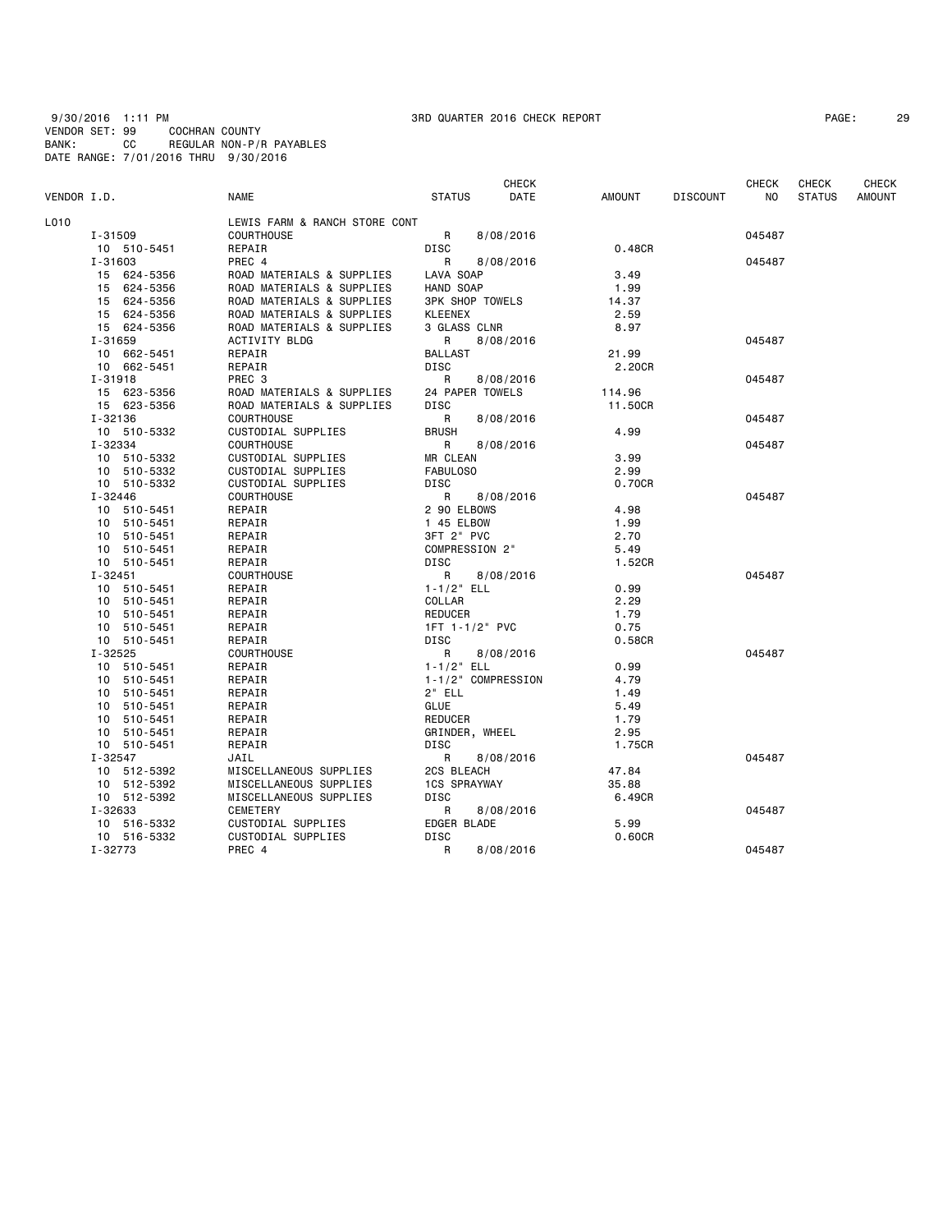9/30/2016 1:11 PM 3RD QUARTER 2016 CHECK REPORT PAGE: 29 VENDOR SET: 99 COCHRAN COUNTY BANK: CC REGULAR NON-P/R PAYABLES DATE RANGE: 7/01/2016 THRU 9/30/2016

| PAGE : | 2! |
|--------|----|
|--------|----|

| VENDOR I.D. |                | <b>NAME</b>                   | <b>STATUS</b>          | CHECK<br>DATE | AMOUNT  | <b>DISCOUNT</b> | <b>CHECK</b><br>NO. | <b>CHECK</b><br><b>STATUS</b> | CHECK<br><b>AMOUNT</b> |
|-------------|----------------|-------------------------------|------------------------|---------------|---------|-----------------|---------------------|-------------------------------|------------------------|
| L010        |                | LEWIS FARM & RANCH STORE CONT |                        |               |         |                 |                     |                               |                        |
|             | I-31509        | <b>COURTHOUSE</b>             | R                      | 8/08/2016     |         |                 | 045487              |                               |                        |
|             | 10 510-5451    | REPAIR                        | DISC                   |               | 0.48CR  |                 |                     |                               |                        |
|             | $I - 31603$    | PREC 4                        | $\mathsf{R}$           | 8/08/2016     |         |                 | 045487              |                               |                        |
|             | 15 624-5356    | ROAD MATERIALS & SUPPLIES     | LAVA SOAP              |               | 3.49    |                 |                     |                               |                        |
|             | 15 624-5356    | ROAD MATERIALS & SUPPLIES     | HAND SOAP              |               | 1.99    |                 |                     |                               |                        |
|             | 15 624-5356    | ROAD MATERIALS & SUPPLIES     | <b>3PK SHOP TOWELS</b> |               | 14.37   |                 |                     |                               |                        |
|             | 15 624-5356    | ROAD MATERIALS & SUPPLIES     | <b>KLEENEX</b>         |               | 2.59    |                 |                     |                               |                        |
|             | 15 624-5356    | ROAD MATERIALS & SUPPLIES     | 3 GLASS CLNR           |               | 8.97    |                 |                     |                               |                        |
|             | I-31659        | ACTIVITY BLDG                 | R                      | 8/08/2016     |         |                 | 045487              |                               |                        |
|             | 10 662-5451    | REPAIR                        | <b>BALLAST</b>         |               | 21.99   |                 |                     |                               |                        |
|             | 10 662-5451    | REPAIR                        | DISC                   |               | 2.20CR  |                 |                     |                               |                        |
|             | I-31918        | PREC 3                        | R                      | 8/08/2016     |         |                 | 045487              |                               |                        |
|             | 15 623-5356    | ROAD MATERIALS & SUPPLIES     | 24 PAPER TOWELS        |               | 114.96  |                 |                     |                               |                        |
|             | 15 623-5356    | ROAD MATERIALS & SUPPLIES     | DISC                   |               | 11.50CR |                 |                     |                               |                        |
|             | I-32136        | <b>COURTHOUSE</b>             | R                      | 8/08/2016     |         |                 | 045487              |                               |                        |
|             | 10 510-5332    | CUSTODIAL SUPPLIES            | <b>BRUSH</b>           |               | 4.99    |                 |                     |                               |                        |
|             | I-32334        | <b>COURTHOUSE</b>             | R                      | 8/08/2016     |         |                 | 045487              |                               |                        |
|             | 10 510-5332    | CUSTODIAL SUPPLIES            | MR CLEAN               |               | 3.99    |                 |                     |                               |                        |
|             | 10 510-5332    | CUSTODIAL SUPPLIES            | FABULOS0               |               | 2.99    |                 |                     |                               |                        |
|             | 10 510-5332    | CUSTODIAL SUPPLIES            | <b>DISC</b>            |               | 0.70CR  |                 |                     |                               |                        |
|             | $I - 32446$    | <b>COURTHOUSE</b>             | R                      | 8/08/2016     |         |                 | 045487              |                               |                        |
|             | 10 510-5451    | REPAIR                        | 2 90 ELBOWS            |               | 4.98    |                 |                     |                               |                        |
|             | 10 510-5451    | REPAIR                        | 1 45 ELBOW             |               | 1.99    |                 |                     |                               |                        |
|             | 10 510-5451    | REPAIR                        | 3FT 2" PVC             |               | 2.70    |                 |                     |                               |                        |
|             | 10 510-5451    | REPAIR                        | COMPRESSION 2"         |               | 5.49    |                 |                     |                               |                        |
|             | 10 510-5451    | REPAIR                        | <b>DISC</b>            |               | 1.52CR  |                 |                     |                               |                        |
|             | $I - 32451$    | COURTHOUSE                    | R                      | 8/08/2016     |         |                 | 045487              |                               |                        |
|             | 10 510-5451    | REPAIR                        | $1 - 1/2$ ELL          |               | 0.99    |                 |                     |                               |                        |
|             | 10 510-5451    | REPAIR                        | COLLAR                 |               | 2.29    |                 |                     |                               |                        |
|             | 10 510-5451    | REPAIR                        | <b>REDUCER</b>         |               | 1.79    |                 |                     |                               |                        |
|             | 10 510-5451    | REPAIR                        | 1FT 1-1/2" PVC         |               | 0.75    |                 |                     |                               |                        |
|             | 10 510-5451    | REPAIR                        | <b>DISC</b>            |               | 0.58CR  |                 |                     |                               |                        |
|             | $I - 32525$    | COURTHOUSE                    | R                      | 8/08/2016     |         |                 | 045487              |                               |                        |
|             | 10 510-5451    | REPAIR                        | $1 - 1/2$ ELL          |               | 0.99    |                 |                     |                               |                        |
|             | 10 510-5451    | REPAIR                        | 1-1/2" COMPRESSION     |               | 4.79    |                 |                     |                               |                        |
|             | 10 510-5451    | REPAIR                        | $2"$ ELL               |               | 1.49    |                 |                     |                               |                        |
|             | 510-5451<br>10 | REPAIR                        | GLUE                   |               | 5.49    |                 |                     |                               |                        |
|             | 510-5451<br>10 | REPAIR                        | <b>REDUCER</b>         |               | 1.79    |                 |                     |                               |                        |
|             | 10 510-5451    | REPAIR                        | GRINDER, WHEEL         |               | 2.95    |                 |                     |                               |                        |
|             | 10 510-5451    | REPAIR                        | DISC                   |               | 1.75CR  |                 |                     |                               |                        |
|             | $I - 32547$    | JAIL                          | R                      | 8/08/2016     |         |                 | 045487              |                               |                        |
|             | 10 512-5392    | MISCELLANEOUS SUPPLIES        | 2CS BLEACH             |               | 47.84   |                 |                     |                               |                        |
|             | 10 512-5392    | MISCELLANEOUS SUPPLIES        | <b>1CS SPRAYWAY</b>    |               | 35.88   |                 |                     |                               |                        |
|             | 10 512-5392    | MISCELLANEOUS SUPPLIES        | <b>DISC</b>            |               | 6.49CR  |                 |                     |                               |                        |
|             | I-32633        | CEMETERY                      | R                      | 8/08/2016     |         |                 | 045487              |                               |                        |
|             | 10 516-5332    | CUSTODIAL SUPPLIES            | EDGER BLADE            |               | 5.99    |                 |                     |                               |                        |
|             | 10 516-5332    | CUSTODIAL SUPPLIES            | <b>DISC</b>            |               | 0.60CR  |                 |                     |                               |                        |
|             | I-32773        | PREC 4                        | R                      | 8/08/2016     |         |                 | 045487              |                               |                        |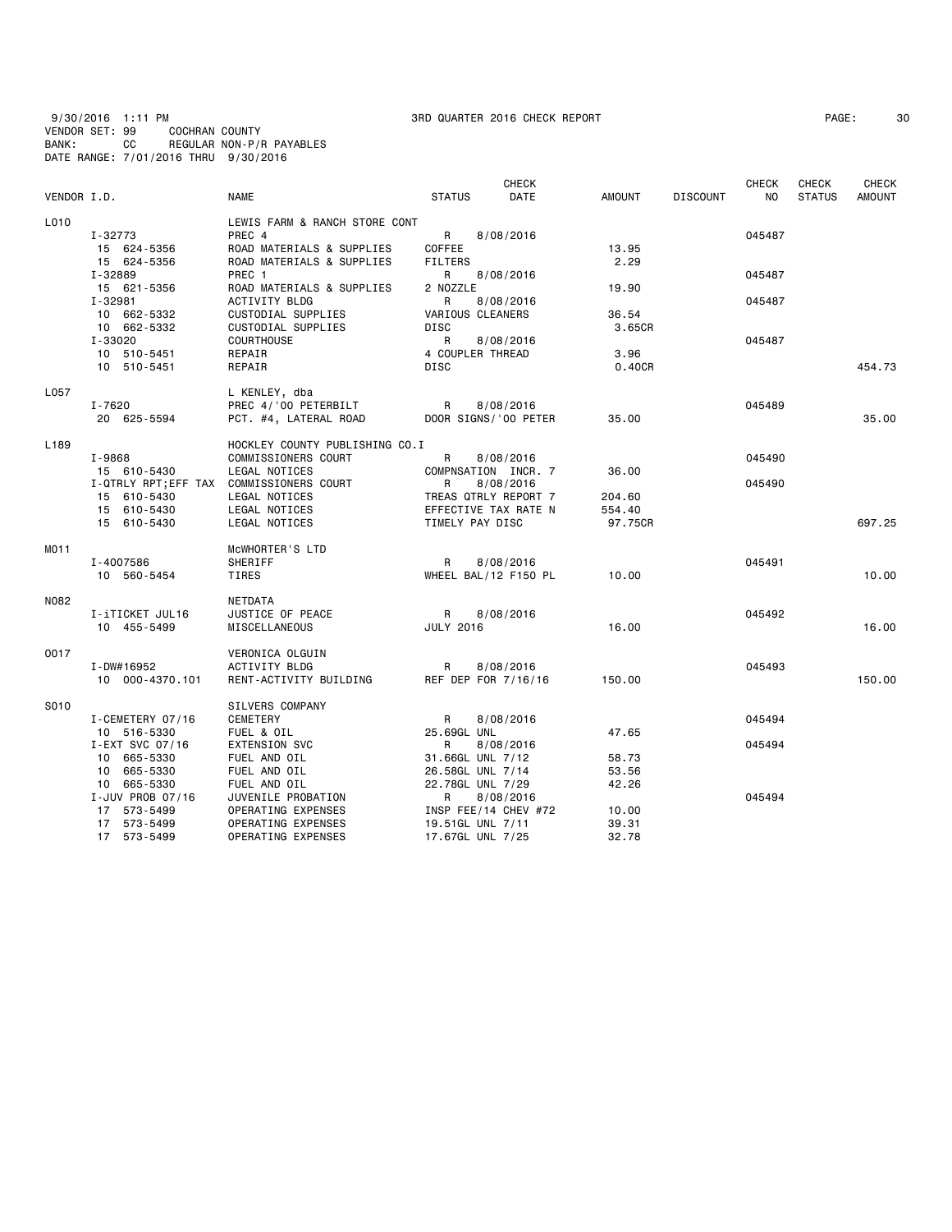9/30/2016 1:11 PM 3RD QUARTER 2016 CHECK REPORT PAGE: 30 VENDOR SET: 99 COCHRAN COUNTY BANK: CC REGULAR NON-P/R PAYABLES DATE RANGE: 7/01/2016 THRU 9/30/2016

|                  |                  |                                          |                  | CHECK                |               |                 | <b>CHECK</b> | <b>CHECK</b>  | <b>CHECK</b>  |
|------------------|------------------|------------------------------------------|------------------|----------------------|---------------|-----------------|--------------|---------------|---------------|
| VENDOR I.D.      |                  | <b>NAME</b>                              | <b>STATUS</b>    | <b>DATE</b>          | <b>AMOUNT</b> | <b>DISCOUNT</b> | NO.          | <b>STATUS</b> | <b>AMOUNT</b> |
| L010             |                  | LEWIS FARM & RANCH STORE CONT            |                  |                      |               |                 |              |               |               |
|                  | I-32773          | PREC 4                                   | R                | 8/08/2016            |               |                 | 045487       |               |               |
|                  | 15 624-5356      | ROAD MATERIALS & SUPPLIES                | COFFEE           |                      | 13.95         |                 |              |               |               |
|                  | 15 624-5356      | ROAD MATERIALS & SUPPLIES                | <b>FILTERS</b>   |                      | 2.29          |                 |              |               |               |
|                  | I-32889          | PREC 1                                   | R                | 8/08/2016            |               |                 | 045487       |               |               |
|                  | 15 621-5356      | ROAD MATERIALS & SUPPLIES                | 2 NOZZLE         |                      | 19.90         |                 |              |               |               |
|                  | I-32981          | ACTIVITY BLDG                            | R                | 8/08/2016            |               |                 | 045487       |               |               |
|                  | 10 662-5332      | CUSTODIAL SUPPLIES                       | VARIOUS CLEANERS |                      | 36.54         |                 |              |               |               |
|                  | 10 662-5332      | CUSTODIAL SUPPLIES                       | <b>DISC</b>      |                      | 3.65CR        |                 |              |               |               |
|                  | I-33020          | <b>COURTHOUSE</b>                        | R                | 8/08/2016            |               |                 | 045487       |               |               |
|                  | 10 510-5451      | REPAIR                                   | 4 COUPLER THREAD |                      | 3.96          |                 |              |               |               |
|                  | 10 510-5451      | REPAIR                                   | DISC             |                      | 0.40CR        |                 |              |               | 454.73        |
| L057             |                  | L KENLEY, dba                            |                  |                      |               |                 |              |               |               |
|                  | $I - 7620$       | PREC 4/'00 PETERBILT                     | R                | 8/08/2016            |               |                 | 045489       |               |               |
|                  | 20 625-5594      | PCT. #4, LATERAL ROAD                    |                  | DOOR SIGNS/'00 PETER | 35.00         |                 |              |               | 35.00         |
| L <sub>189</sub> |                  | HOCKLEY COUNTY PUBLISHING CO.I           |                  |                      |               |                 |              |               |               |
|                  | I-9868           | COMMISSIONERS COURT                      | R                | 8/08/2016            |               |                 | 045490       |               |               |
|                  | 15 610-5430      | LEGAL NOTICES                            |                  | COMPNSATION INCR. 7  | 36.00         |                 |              |               |               |
|                  |                  | I-QTRLY RPT; EFF TAX COMMISSIONERS COURT | R                | 8/08/2016            |               |                 | 045490       |               |               |
|                  | 15 610-5430      | LEGAL NOTICES                            |                  | TREAS QTRLY REPORT 7 | 204.60        |                 |              |               |               |
|                  | 15 610-5430      | LEGAL NOTICES                            |                  | EFFECTIVE TAX RATE N | 554.40        |                 |              |               |               |
|                  | 15 610-5430      | LEGAL NOTICES                            | TIMELY PAY DISC  |                      | 97.75CR       |                 |              |               | 697.25        |
| MO11             |                  | MCWHORTER'S LTD                          |                  |                      |               |                 |              |               |               |
|                  | I-4007586        | SHERIFF                                  | R                | 8/08/2016            |               |                 | 045491       |               |               |
|                  | 10 560-5454      | TIRES                                    |                  | WHEEL BAL/12 F150 PL | 10.00         |                 |              |               | 10.00         |
| N082             |                  | NETDATA                                  |                  |                      |               |                 |              |               |               |
|                  | I-iTICKET JUL16  | JUSTICE OF PEACE                         | R                | 8/08/2016            |               |                 | 045492       |               |               |
|                  | 10 455-5499      | MISCELLANEOUS                            | <b>JULY 2016</b> |                      | 16.00         |                 |              |               | 16.00         |
| 0017             |                  | VERONICA OLGUIN                          |                  |                      |               |                 |              |               |               |
|                  | I-DW#16952       | ACTIVITY BLDG                            | R                | 8/08/2016            |               |                 | 045493       |               |               |
|                  | 10 000-4370.101  | RENT-ACTIVITY BUILDING                   |                  | REF DEP FOR 7/16/16  | 150.00        |                 |              |               | 150.00        |
| S010             |                  | SILVERS COMPANY                          |                  |                      |               |                 |              |               |               |
|                  | I-CEMETERY 07/16 | CEMETERY                                 | R                | 8/08/2016            |               |                 | 045494       |               |               |
|                  | 10 516-5330      | FUEL & OIL                               | 25.69GL UNL      |                      | 47.65         |                 |              |               |               |
|                  | I-EXT SVC 07/16  | <b>EXTENSION SVC</b>                     | R                | 8/08/2016            |               |                 | 045494       |               |               |
|                  | 10 665-5330      | FUEL AND OIL                             | 31.66GL UNL 7/12 |                      | 58.73         |                 |              |               |               |
|                  | 10 665-5330      | FUEL AND OIL                             | 26.58GL UNL 7/14 |                      | 53.56         |                 |              |               |               |
|                  | 10 665-5330      | FUEL AND OIL                             | 22.78GL UNL 7/29 |                      | 42.26         |                 |              |               |               |
|                  | I-JUV PROB 07/16 | JUVENILE PROBATION                       | R                | 8/08/2016            |               |                 | 045494       |               |               |
|                  | 17 573-5499      | OPERATING EXPENSES                       |                  | INSP FEE/14 CHEV #72 | 10.00         |                 |              |               |               |
|                  | 17 573-5499      | OPERATING EXPENSES                       | 19.51GL UNL 7/11 |                      | 39.31         |                 |              |               |               |
|                  | 17 573-5499      | OPERATING EXPENSES                       | 17.67GL UNL 7/25 |                      | 32.78         |                 |              |               |               |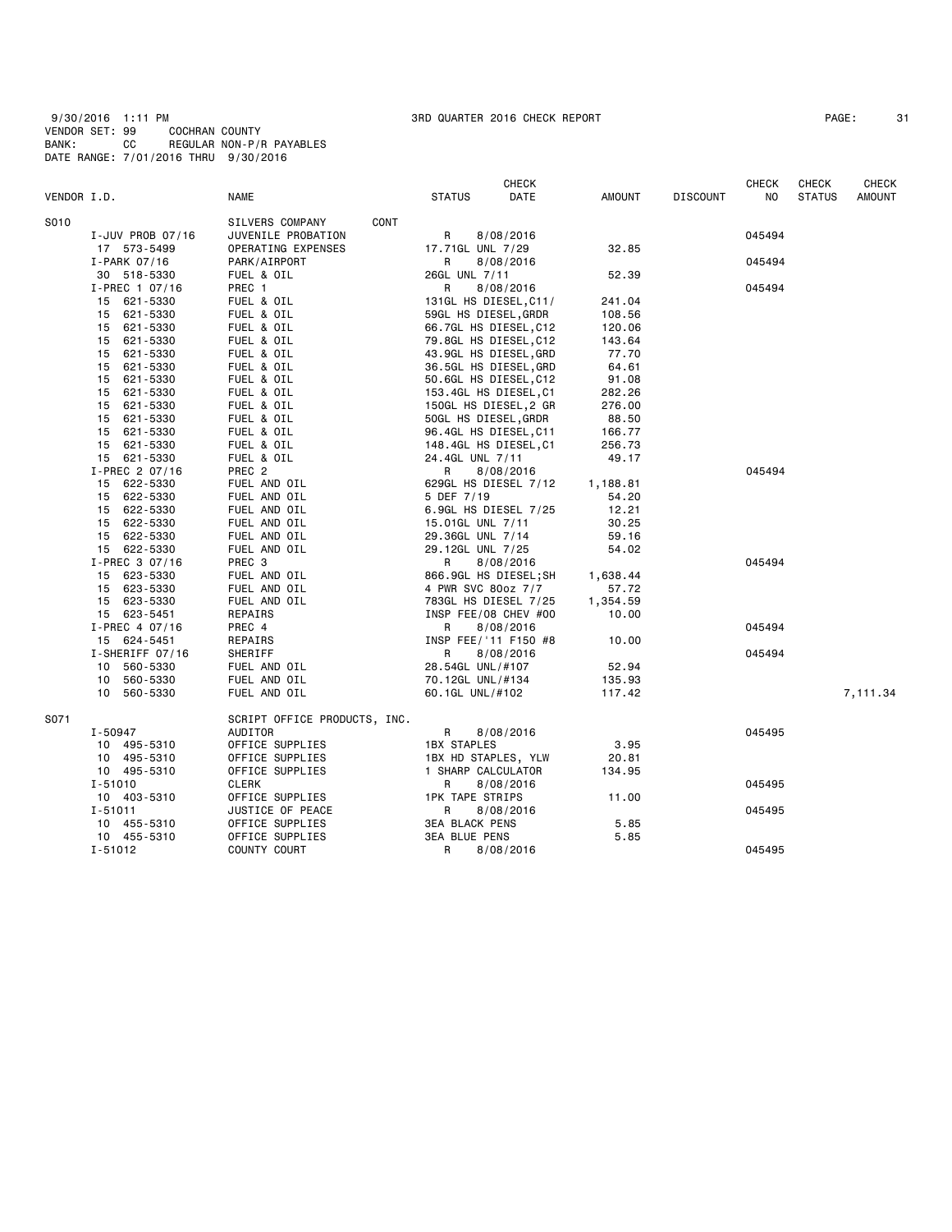9/30/2016 1:11 PM 3RD QUARTER 2016 CHECK REPORT PAGE: 31 VENDOR SET: 99 COCHRAN COUNTY BANK: CC REGULAR NON-P/R PAYABLES DATE RANGE: 7/01/2016 THRU 9/30/2016

| PAGE : | 3 |
|--------|---|
|--------|---|

|             |                  |                              |                        | <b>CHECK</b>          |               |                 | CHECK  | <b>CHECK</b>  | CHECK    |
|-------------|------------------|------------------------------|------------------------|-----------------------|---------------|-----------------|--------|---------------|----------|
| VENDOR I.D. |                  | NAME                         | <b>STATUS</b>          | DATE                  | <b>AMOUNT</b> | <b>DISCOUNT</b> | NO     | <b>STATUS</b> | AMOUNT   |
| S010        |                  | SILVERS COMPANY<br>CONT      |                        |                       |               |                 |        |               |          |
|             | I-JUV PROB 07/16 | JUVENILE PROBATION           | R                      | 8/08/2016             |               |                 | 045494 |               |          |
|             | 17 573-5499      | OPERATING EXPENSES           | 17.71GL UNL 7/29       |                       | 32.85         |                 |        |               |          |
|             | $I-PARK$ 07/16   | PARK/AIRPORT                 | R                      | 8/08/2016             |               |                 | 045494 |               |          |
|             | 30 518-5330      | FUEL & OIL                   | 26GL UNL 7/11          |                       | 52.39         |                 |        |               |          |
|             | I-PREC 1 07/16   | PREC 1                       | R                      | 8/08/2016             |               |                 | 045494 |               |          |
|             | 621-5330<br>15   | FUEL & OIL                   |                        | 131GL HS DIESEL, C11/ | 241.04        |                 |        |               |          |
|             | 15 621-5330      | FUEL & OIL                   | 59GL HS DIESEL, GRDR   |                       | 108.56        |                 |        |               |          |
|             | 15 621-5330      | FUEL & OIL                   |                        | 66.7GL HS DIESEL, C12 | 120.06        |                 |        |               |          |
|             | 621-5330<br>15   | FUEL & OIL                   |                        | 79.8GL HS DIESEL,C12  | 143.64        |                 |        |               |          |
|             | 621-5330<br>15   | FUEL & OIL                   |                        | 43.9GL HS DIESEL,GRD  | 77.70         |                 |        |               |          |
|             | 621-5330<br>15   | FUEL & OIL                   |                        | 36.5GL HS DIESEL,GRD  | 64.61         |                 |        |               |          |
|             | 621-5330<br>15   | FUEL & OIL                   |                        | 50.6GL HS DIESEL, C12 | 91.08         |                 |        |               |          |
|             | 15 621-5330      | FUEL & OIL                   |                        | 153.4GL HS DIESEL, C1 | 282.26        |                 |        |               |          |
|             | 621-5330<br>15   | FUEL & OIL                   |                        | 150GL HS DIESEL,2 GR  | 276.00        |                 |        |               |          |
|             | 15 621-5330      | FUEL & OIL                   | 50GL HS DIESEL, GRDR   |                       | 88.50         |                 |        |               |          |
|             | 621-5330<br>15   | FUEL & OIL                   |                        | 96.4GL HS DIESEL, C11 | 166.77        |                 |        |               |          |
|             | 621-5330<br>15   | FUEL & OIL                   |                        | 148.4GL HS DIESEL, C1 | 256.73        |                 |        |               |          |
|             | 15 621-5330      | FUEL & OIL                   | 24.4GL UNL 7/11        |                       | 49.17         |                 |        |               |          |
|             | I-PREC 2 07/16   | PREC <sub>2</sub>            | R                      | 8/08/2016             |               |                 | 045494 |               |          |
|             | 15 622-5330      | FUEL AND OIL                 |                        | 629GL HS DIESEL 7/12  | 1,188.81      |                 |        |               |          |
|             | 15 622-5330      | FUEL AND OIL                 | 5 DEF 7/19             |                       | 54.20         |                 |        |               |          |
|             | 15 622-5330      | FUEL AND OIL                 |                        | 6.9GL HS DIESEL 7/25  | 12.21         |                 |        |               |          |
|             | 15 622-5330      | FUEL AND OIL                 | 15.01GL UNL 7/11       |                       | 30.25         |                 |        |               |          |
|             | 15 622-5330      | FUEL AND OIL                 | 29.36GL UNL 7/14       |                       | 59.16         |                 |        |               |          |
|             | 15 622-5330      | FUEL AND OIL                 | 29.12GL UNL 7/25       |                       | 54.02         |                 |        |               |          |
|             | I-PREC 3 07/16   | PREC 3                       | R                      | 8/08/2016             |               |                 | 045494 |               |          |
|             | 15 623-5330      | FUEL AND OIL                 |                        | 866.9GL HS DIESEL;SH  | 1,638.44      |                 |        |               |          |
|             | 15 623-5330      | FUEL AND OIL                 | 4 PWR SVC 80oz 7/7     |                       | 57.72         |                 |        |               |          |
|             | 15 623-5330      | FUEL AND OIL                 |                        | 783GL HS DIESEL 7/25  | 1,354.59      |                 |        |               |          |
|             | 15 623-5451      | REPAIRS                      |                        | INSP FEE/08 CHEV #00  | 10.00         |                 |        |               |          |
|             | I-PREC 4 07/16   | PREC 4                       | R                      | 8/08/2016             |               |                 | 045494 |               |          |
|             | 15 624-5451      | REPAIRS                      |                        | INSP FEE/'11 F150 #8  | 10.00         |                 |        |               |          |
|             | I-SHERIFF 07/16  | SHERIFF                      | R                      | 8/08/2016             |               |                 | 045494 |               |          |
|             | 560-5330<br>10   | FUEL AND OIL                 | 28.54GL UNL/#107       |                       | 52.94         |                 |        |               |          |
|             | 560-5330<br>10   | FUEL AND OIL                 | 70.12GL UNL/#134       |                       | 135.93        |                 |        |               |          |
|             | 10 560-5330      | FUEL AND OIL                 | 60.1GL UNL/#102        |                       | 117.42        |                 |        |               | 7,111.34 |
| S071        |                  | SCRIPT OFFICE PRODUCTS, INC. |                        |                       |               |                 |        |               |          |
|             | I-50947          | AUDITOR                      | R                      | 8/08/2016             |               |                 | 045495 |               |          |
|             | 10 495-5310      | OFFICE SUPPLIES              | <b>1BX STAPLES</b>     |                       | 3.95          |                 |        |               |          |
|             | 10 495-5310      | OFFICE SUPPLIES              | 1BX HD STAPLES, YLW    |                       | 20.81         |                 |        |               |          |
|             | 10 495-5310      | OFFICE SUPPLIES              | 1 SHARP CALCULATOR     |                       | 134.95        |                 |        |               |          |
|             | I-51010          | CLERK                        | R                      | 8/08/2016             |               |                 | 045495 |               |          |
|             | 10 403-5310      | OFFICE SUPPLIES              | <b>1PK TAPE STRIPS</b> |                       | 11.00         |                 |        |               |          |
|             | $I - 51011$      | JUSTICE OF PEACE             | R                      | 8/08/2016             |               |                 | 045495 |               |          |
|             | 10 455-5310      | OFFICE SUPPLIES              | <b>3EA BLACK PENS</b>  |                       | 5.85          |                 |        |               |          |
|             | 10 455-5310      | OFFICE SUPPLIES              | <b>3EA BLUE PENS</b>   |                       | 5.85          |                 |        |               |          |
|             | $I - 51012$      | COUNTY COURT                 | R                      | 8/08/2016             |               |                 | 045495 |               |          |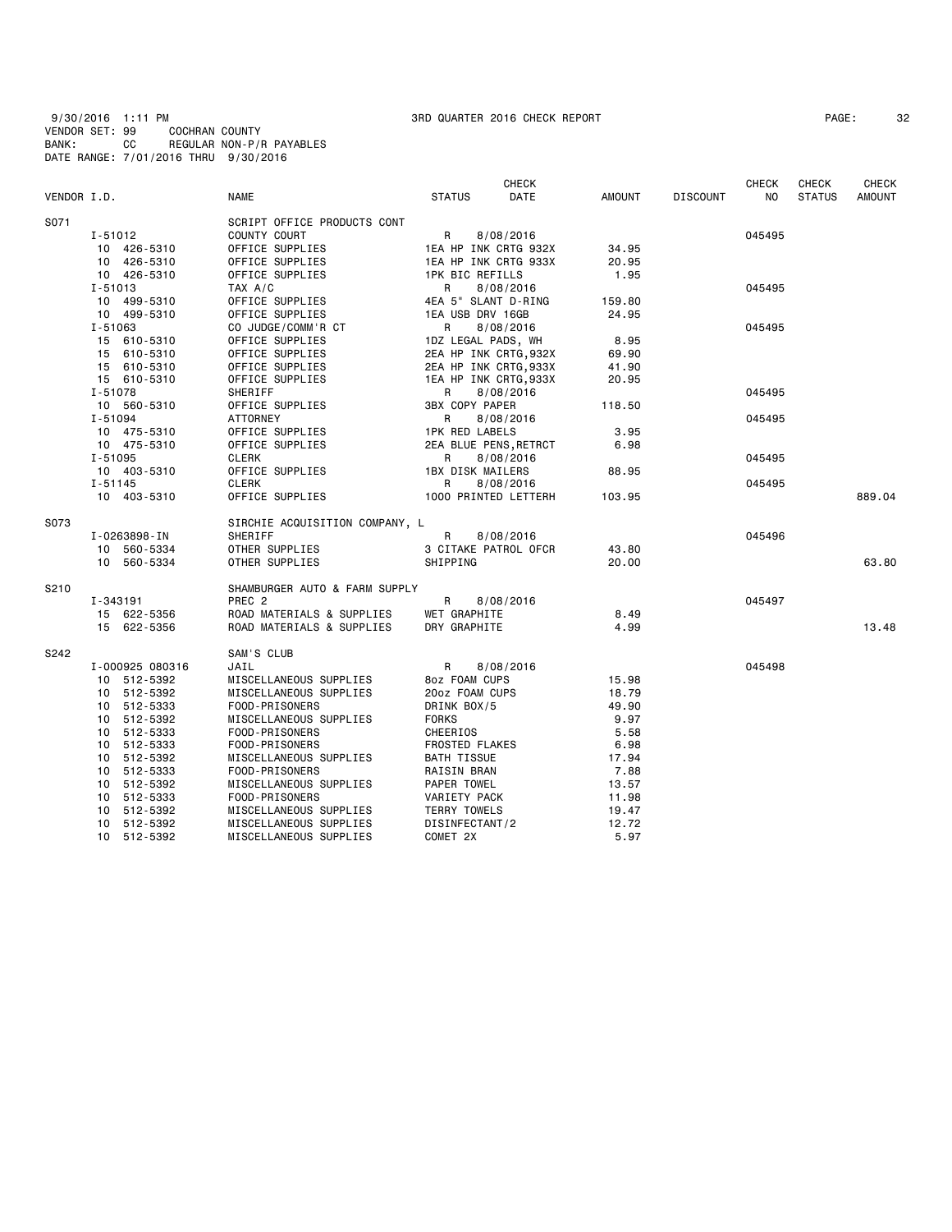9/30/2016 1:11 PM 3RD QUARTER 2016 CHECK REPORT PAGE: 32 VENDOR SET: 99 COCHRAN COUNTY BANK: CC REGULAR NON-P/R PAYABLES DATE RANGE: 7/01/2016 THRU 9/30/2016

|             |                 |                                |                        | CHECK     |               |                 | <b>CHECK</b> | <b>CHECK</b>  | <b>CHECK</b>  |
|-------------|-----------------|--------------------------------|------------------------|-----------|---------------|-----------------|--------------|---------------|---------------|
| VENDOR I.D. |                 | <b>NAME</b>                    | <b>STATUS</b>          | DATE      | <b>AMOUNT</b> | <b>DISCOUNT</b> | NO.          | <b>STATUS</b> | <b>AMOUNT</b> |
| S071        |                 | SCRIPT OFFICE PRODUCTS CONT    |                        |           |               |                 |              |               |               |
|             | I-51012         | COUNTY COURT                   | R                      | 8/08/2016 |               |                 | 045495       |               |               |
|             | 10 426-5310     | OFFICE SUPPLIES                | 1EA HP INK CRTG 932X   |           | 34.95         |                 |              |               |               |
|             | 10 426-5310     | OFFICE SUPPLIES                | 1EA HP INK CRTG 933X   |           | 20.95         |                 |              |               |               |
|             | 10 426-5310     | OFFICE SUPPLIES                | <b>1PK BIC REFILLS</b> |           | 1.95          |                 |              |               |               |
|             | I-51013         | TAX A/C                        | R                      | 8/08/2016 |               |                 | 045495       |               |               |
|             | 10 499-5310     | OFFICE SUPPLIES                | 4EA 5" SLANT D-RING    |           | 159.80        |                 |              |               |               |
|             | 10 499-5310     | OFFICE SUPPLIES                | 1EA USB DRV 16GB       |           | 24.95         |                 |              |               |               |
|             | I-51063         | CO JUDGE/COMM'R CT             | R                      | 8/08/2016 |               |                 | 045495       |               |               |
|             | 15 610-5310     | OFFICE SUPPLIES                | 1DZ LEGAL PADS, WH     |           | 8.95          |                 |              |               |               |
|             | 15 610-5310     | OFFICE SUPPLIES                | 2EA HP INK CRTG, 932X  |           | 69.90         |                 |              |               |               |
|             | 15 610-5310     | OFFICE SUPPLIES                | 2EA HP INK CRTG, 933X  |           | 41.90         |                 |              |               |               |
|             | 15 610-5310     | OFFICE SUPPLIES                | 1EA HP INK CRTG, 933X  |           | 20.95         |                 |              |               |               |
|             | I-51078         | SHERIFF                        | R                      | 8/08/2016 |               |                 | 045495       |               |               |
|             | 10 560-5310     | OFFICE SUPPLIES                | <b>3BX COPY PAPER</b>  |           | 118.50        |                 |              |               |               |
|             | I-51094         | <b>ATTORNEY</b>                | R                      | 8/08/2016 |               |                 | 045495       |               |               |
|             | 10 475-5310     | OFFICE SUPPLIES                | <b>1PK RED LABELS</b>  |           | 3.95          |                 |              |               |               |
|             | 10 475-5310     | OFFICE SUPPLIES                | 2EA BLUE PENS, RETRCT  |           | 6.98          |                 |              |               |               |
|             | I-51095         | CLERK                          | R                      | 8/08/2016 |               |                 | 045495       |               |               |
|             | 10 403-5310     | OFFICE SUPPLIES                | 1BX DISK MAILERS       |           | 88.95         |                 |              |               |               |
|             | I-51145         | <b>CLERK</b>                   | R                      | 8/08/2016 |               |                 | 045495       |               |               |
|             | 10 403-5310     | OFFICE SUPPLIES                | 1000 PRINTED LETTERH   |           | 103.95        |                 |              |               | 889.04        |
| S073        |                 | SIRCHIE ACQUISITION COMPANY, L |                        |           |               |                 |              |               |               |
|             | I-0263898-IN    | SHERIFF                        | R                      | 8/08/2016 |               |                 | 045496       |               |               |
|             | 10 560-5334     | OTHER SUPPLIES                 | 3 CITAKE PATROL OFCR   |           | 43.80         |                 |              |               |               |
|             | 10 560-5334     | OTHER SUPPLIES                 | SHIPPING               |           | 20.00         |                 |              |               | 63.80         |
| S210        |                 | SHAMBURGER AUTO & FARM SUPPLY  |                        |           |               |                 |              |               |               |
|             | I-343191        | PREC <sub>2</sub>              | R                      | 8/08/2016 |               |                 | 045497       |               |               |
|             | 15 622-5356     | ROAD MATERIALS & SUPPLIES      | WET GRAPHITE           |           | 8.49          |                 |              |               |               |
|             | 15 622-5356     | ROAD MATERIALS & SUPPLIES      | DRY GRAPHITE           |           | 4.99          |                 |              |               | 13.48         |
| S242        |                 | SAM'S CLUB                     |                        |           |               |                 |              |               |               |
|             | I-000925 080316 | JAIL                           | R                      | 8/08/2016 |               |                 | 045498       |               |               |
|             | 10 512-5392     | MISCELLANEOUS SUPPLIES         | 8oz FOAM CUPS          |           | 15.98         |                 |              |               |               |
|             | 10 512-5392     | MISCELLANEOUS SUPPLIES         | 20oz FOAM CUPS         |           | 18.79         |                 |              |               |               |
|             | 10 512-5333     | FOOD-PRISONERS                 | DRINK BOX/5            |           | 49.90         |                 |              |               |               |
|             | 10 512-5392     | MISCELLANEOUS SUPPLIES         | <b>FORKS</b>           |           | 9.97          |                 |              |               |               |
|             | 10 512-5333     | FOOD-PRISONERS                 | CHEERIOS               |           | 5.58          |                 |              |               |               |
|             | 512-5333<br>10  | FOOD-PRISONERS                 | <b>FROSTED FLAKES</b>  |           | 6.98          |                 |              |               |               |
|             | 10 512-5392     | MISCELLANEOUS SUPPLIES         | <b>BATH TISSUE</b>     |           | 17.94         |                 |              |               |               |
|             | 10 512-5333     | FOOD-PRISONERS                 | RAISIN BRAN            |           | 7.88          |                 |              |               |               |
|             | 10 512-5392     | MISCELLANEOUS SUPPLIES         | PAPER TOWEL            |           | 13.57         |                 |              |               |               |
|             | 10 512-5333     | FOOD-PRISONERS                 | VARIETY PACK           |           | 11.98         |                 |              |               |               |
|             | 10 512-5392     | MISCELLANEOUS SUPPLIES         | TERRY TOWELS           |           | 19.47         |                 |              |               |               |
|             | 512-5392<br>10  | MISCELLANEOUS SUPPLIES         | DISINFECTANT/2         |           | 12.72         |                 |              |               |               |
|             | 10<br>512-5392  | MISCELLANEOUS SUPPLIES         | COMET 2X               |           | 5.97          |                 |              |               |               |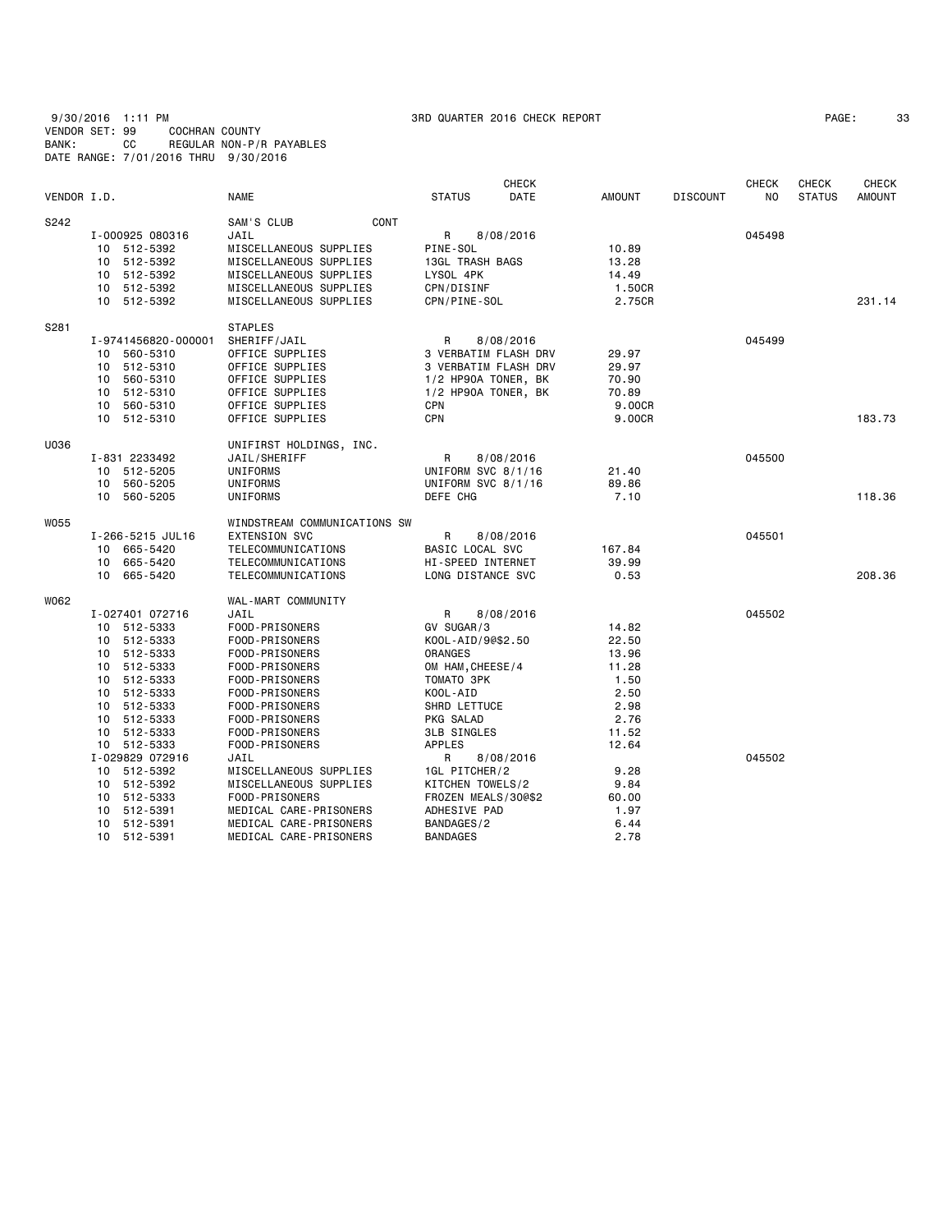|             |                     |                              |                      | <b>CHECK</b> |               |                 | <b>CHECK</b>   | <b>CHECK</b>  | <b>CHECK</b>  |
|-------------|---------------------|------------------------------|----------------------|--------------|---------------|-----------------|----------------|---------------|---------------|
| VENDOR I.D. |                     | NAME                         | <b>STATUS</b>        | DATE         | <b>AMOUNT</b> | <b>DISCOUNT</b> | N <sub>O</sub> | <b>STATUS</b> | <b>AMOUNT</b> |
| S242        |                     | SAM'S CLUB<br>CONT           |                      |              |               |                 |                |               |               |
|             | I-000925 080316     | JAIL                         | R                    | 8/08/2016    |               |                 | 045498         |               |               |
|             | 10 512-5392         | MISCELLANEOUS SUPPLIES       | PINE-SOL             |              | 10.89         |                 |                |               |               |
|             | 512-5392<br>10      | MISCELLANEOUS SUPPLIES       | 13GL TRASH BAGS      |              | 13.28         |                 |                |               |               |
|             | 10 512-5392         | MISCELLANEOUS SUPPLIES       | LYSOL 4PK            |              | 14.49         |                 |                |               |               |
|             | 512-5392<br>10      | MISCELLANEOUS SUPPLIES       | CPN/DISINF           |              | 1.50CR        |                 |                |               |               |
|             | 10 512-5392         | MISCELLANEOUS SUPPLIES       | CPN/PINE-SOL         |              | 2.75CR        |                 |                |               | 231.14        |
|             |                     |                              |                      |              |               |                 |                |               |               |
| S281        |                     | <b>STAPLES</b>               |                      |              |               |                 |                |               |               |
|             | I-9741456820-000001 | SHERIFF/JAIL                 | R                    | 8/08/2016    |               |                 | 045499         |               |               |
|             | 560-5310<br>10      | OFFICE SUPPLIES              | 3 VERBATIM FLASH DRV |              | 29.97         |                 |                |               |               |
|             | 512-5310<br>10      | OFFICE SUPPLIES              | 3 VERBATIM FLASH DRV |              | 29.97         |                 |                |               |               |
|             | 560-5310<br>10      | OFFICE SUPPLIES              | 1/2 HP90A TONER, BK  |              | 70.90         |                 |                |               |               |
|             | 10<br>512-5310      | OFFICE SUPPLIES              | 1/2 HP90A TONER, BK  |              | 70.89         |                 |                |               |               |
|             | 560-5310<br>10      | OFFICE SUPPLIES              | <b>CPN</b>           |              | 9.00CR        |                 |                |               |               |
|             | 512-5310<br>10      | OFFICE SUPPLIES              | <b>CPN</b>           |              | 9.00CR        |                 |                |               | 183.73        |
| U036        |                     | UNIFIRST HOLDINGS, INC.      |                      |              |               |                 |                |               |               |
|             | I-831 2233492       | JAIL/SHERIFF                 | R                    | 8/08/2016    |               |                 | 045500         |               |               |
|             | 512-5205<br>10      | UNIFORMS                     | UNIFORM SVC 8/1/16   |              | 21.40         |                 |                |               |               |
|             | 560-5205<br>10      | UNIFORMS                     | UNIFORM SVC 8/1/16   |              | 89.86         |                 |                |               |               |
|             | 10 560-5205         | UNIFORMS                     | DEFE CHG             |              | 7.10          |                 |                |               | 118.36        |
| W055        |                     | WINDSTREAM COMMUNICATIONS SW |                      |              |               |                 |                |               |               |
|             | I-266-5215 JUL16    | <b>EXTENSION SVC</b>         | R                    | 8/08/2016    |               |                 | 045501         |               |               |
|             | 10 665-5420         | TELECOMMUNICATIONS           | BASIC LOCAL SVC      |              | 167.84        |                 |                |               |               |
|             | 665-5420<br>10      | TELECOMMUNICATIONS           | HI-SPEED INTERNET    |              | 39.99         |                 |                |               |               |
|             | 10<br>665-5420      | TELECOMMUNICATIONS           | LONG DISTANCE SVC    |              | 0.53          |                 |                |               | 208,36        |
|             |                     |                              |                      |              |               |                 |                |               |               |
| W062        |                     | WAL-MART COMMUNITY           |                      |              |               |                 |                |               |               |
|             | I-027401 072716     | JAIL                         | R                    | 8/08/2016    |               |                 | 045502         |               |               |
|             | 10 512-5333         | FOOD-PRISONERS               | GV SUGAR/3           |              | 14.82         |                 |                |               |               |
|             | 512-5333<br>10      | FOOD-PRISONERS               | K00L-AID/9@\$2.50    |              | 22.50         |                 |                |               |               |
|             | 512-5333<br>10      | FOOD-PRISONERS               | <b>ORANGES</b>       |              | 13.96         |                 |                |               |               |
|             | 512-5333<br>10      | FOOD-PRISONERS               | OM HAM, CHEESE/4     |              | 11.28         |                 |                |               |               |
|             | 512-5333<br>10      | FOOD-PRISONERS               | TOMATO 3PK           |              | 1.50          |                 |                |               |               |
|             | 512-5333<br>10      | FOOD-PRISONERS               | KOOL-AID             |              | 2.50          |                 |                |               |               |
|             | 512-5333<br>10      | FOOD-PRISONERS               | SHRD LETTUCE         |              | 2.98          |                 |                |               |               |
|             | 512-5333<br>10      | FOOD-PRISONERS               | PKG SALAD            |              | 2.76          |                 |                |               |               |
|             | 512-5333<br>10      | FOOD-PRISONERS               | <b>3LB SINGLES</b>   |              | 11.52         |                 |                |               |               |
|             | 512-5333<br>10      | FOOD-PRISONERS               | <b>APPLES</b>        |              | 12.64         |                 |                |               |               |
|             | I-029829 072916     | JAIL                         | R                    | 8/08/2016    |               |                 | 045502         |               |               |
|             | 512-5392<br>10      | MISCELLANEOUS SUPPLIES       | 1GL PITCHER/2        |              | 9.28          |                 |                |               |               |
|             | 512-5392<br>10      | MISCELLANEOUS SUPPLIES       | KITCHEN TOWELS/2     |              | 9.84          |                 |                |               |               |
|             | 512-5333<br>10      | FOOD-PRISONERS               | FROZEN MEALS/30@\$2  |              | 60.00         |                 |                |               |               |
|             | 512-5391<br>10      | MEDICAL CARE-PRISONERS       | ADHESIVE PAD         |              | 1.97          |                 |                |               |               |
|             | 512-5391<br>10      | MEDICAL CARE-PRISONERS       | BANDAGES/2           |              | 6.44          |                 |                |               |               |
|             | 10<br>512-5391      | MEDICAL CARE-PRISONERS       | <b>BANDAGES</b>      |              | 2.78          |                 |                |               |               |
|             |                     |                              |                      |              |               |                 |                |               |               |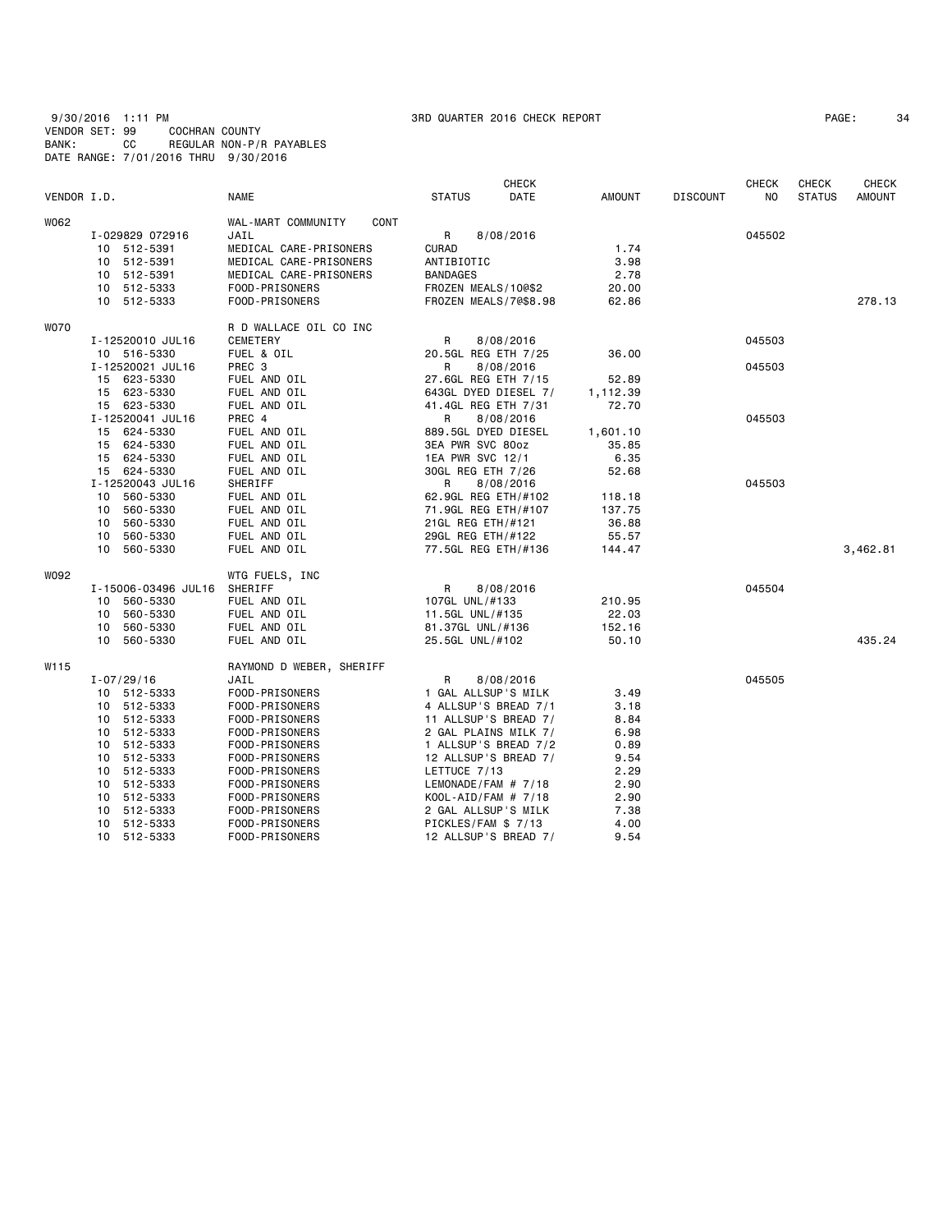9/30/2016 1:11 PM 3RD QUARTER 2016 CHECK REPORT PAGE: 34 VENDOR SET: 99 COCHRAN COUNTY BANK: CC REGULAR NON-P/R PAYABLES DATE RANGE: 7/01/2016 THRU 9/30/2016

|             |                     |                                   |                       | <b>CHECK</b> |               |                 | <b>CHECK</b> | <b>CHECK</b>  | <b>CHECK</b>  |
|-------------|---------------------|-----------------------------------|-----------------------|--------------|---------------|-----------------|--------------|---------------|---------------|
| VENDOR I.D. |                     | <b>NAME</b>                       | <b>STATUS</b>         | DATE         | <b>AMOUNT</b> | <b>DISCOUNT</b> | NO.          | <b>STATUS</b> | <b>AMOUNT</b> |
| W062        |                     | WAL-MART COMMUNITY<br><b>CONT</b> |                       |              |               |                 |              |               |               |
|             | I-029829 072916     | JAIL                              | R                     | 8/08/2016    |               |                 | 045502       |               |               |
|             | 10 512-5391         | MEDICAL CARE-PRISONERS            | <b>CURAD</b>          |              | 1.74          |                 |              |               |               |
|             | 10 512-5391         | MEDICAL CARE-PRISONERS            | ANTIBIOTIC            |              | 3.98          |                 |              |               |               |
|             | 10 512-5391         | MEDICAL CARE-PRISONERS            | <b>BANDAGES</b>       |              | 2.78          |                 |              |               |               |
|             | 10 512-5333         | FOOD-PRISONERS                    | FROZEN MEALS/100\$2   |              | 20.00         |                 |              |               |               |
|             | 10 512-5333         | FOOD-PRISONERS                    | FROZEN MEALS/7@\$8.98 |              | 62.86         |                 |              |               | 278.13        |
| WO70        |                     | R D WALLACE OIL CO INC            |                       |              |               |                 |              |               |               |
|             | I-12520010 JUL16    | <b>CEMETERY</b>                   | R                     | 8/08/2016    |               |                 | 045503       |               |               |
|             | 10 516-5330         | FUEL & OIL                        | 20.5GL REG ETH 7/25   |              | 36.00         |                 |              |               |               |
|             | I-12520021 JUL16    | PREC 3                            | R                     | 8/08/2016    |               |                 | 045503       |               |               |
|             | 15 623-5330         | FUEL AND OIL                      | 27.6GL REG ETH 7/15   |              | 52.89         |                 |              |               |               |
|             | 15 623-5330         | FUEL AND OIL                      | 643GL DYED DIESEL 7/  |              | 1,112.39      |                 |              |               |               |
|             | 15 623-5330         | FUEL AND OIL                      | 41.4GL REG ETH 7/31   |              | 72.70         |                 |              |               |               |
|             | I-12520041 JUL16    | PREC 4                            | R                     | 8/08/2016    |               |                 | 045503       |               |               |
|             | 15 624-5330         | FUEL AND OIL                      | 889.5GL DYED DIESEL   |              | 1,601.10      |                 |              |               |               |
|             | 15 624-5330         | FUEL AND OIL                      | 3EA PWR SVC 80oz      |              | 35.85         |                 |              |               |               |
|             | 15 624-5330         | FUEL AND OIL                      | 1EA PWR SVC 12/1      |              | 6.35          |                 |              |               |               |
|             | 15 624-5330         | FUEL AND OIL                      | 30GL REG ETH 7/26     |              | 52.68         |                 |              |               |               |
|             | I-12520043 JUL16    | SHERIFF                           | R                     | 8/08/2016    |               |                 | 045503       |               |               |
|             | 560-5330<br>10      | FUEL AND OIL                      | 62.9GL REG ETH/#102   |              | 118.18        |                 |              |               |               |
|             | 10 560-5330         | FUEL AND OIL                      | 71.9GL REG ETH/#107   |              | 137.75        |                 |              |               |               |
|             | 10 560-5330         | FUEL AND OIL                      | 21GL REG ETH/#121     |              | 36.88         |                 |              |               |               |
|             | 560-5330<br>10      | FUEL AND OIL                      | 29GL REG ETH/#122     |              | 55.57         |                 |              |               |               |
|             | 10 560-5330         | FUEL AND OIL                      | 77.5GL REG ETH/#136   |              | 144.47        |                 |              |               | 3,462.81      |
| WO92        |                     | WTG FUELS, INC                    |                       |              |               |                 |              |               |               |
|             | I-15006-03496 JUL16 | SHERIFF                           | R                     | 8/08/2016    |               |                 | 045504       |               |               |
|             | 10 560-5330         | FUEL AND OIL                      | 107GL UNL/#133        |              | 210.95        |                 |              |               |               |
|             | 10 560-5330         | FUEL AND OIL                      | 11.5GL UNL/#135       |              | 22.03         |                 |              |               |               |
|             | 10 560-5330         | FUEL AND OIL                      | 81.37GL UNL/#136      |              | 152.16        |                 |              |               |               |
|             | 10<br>560-5330      | FUEL AND OIL                      | 25.5GL UNL/#102       |              | 50.10         |                 |              |               | 435.24        |
| W115        |                     | RAYMOND D WEBER, SHERIFF          |                       |              |               |                 |              |               |               |
|             | $I - 07/29/16$      | JAIL                              | R                     | 8/08/2016    |               |                 | 045505       |               |               |
|             | 10 512-5333         | FOOD-PRISONERS                    | 1 GAL ALLSUP'S MILK   |              | 3.49          |                 |              |               |               |
|             | 10 512-5333         | FOOD-PRISONERS                    | 4 ALLSUP'S BREAD 7/1  |              | 3.18          |                 |              |               |               |
|             | 10 512-5333         | FOOD-PRISONERS                    | 11 ALLSUP'S BREAD 7/  |              | 8.84          |                 |              |               |               |
|             | 10 512-5333         | FOOD-PRISONERS                    | 2 GAL PLAINS MILK 7/  |              | 6.98          |                 |              |               |               |
|             | 10 512-5333         | FOOD-PRISONERS                    | 1 ALLSUP'S BREAD 7/2  |              | 0.89          |                 |              |               |               |
|             | 10 512-5333         | FOOD-PRISONERS                    | 12 ALLSUP'S BREAD 7/  |              | 9.54          |                 |              |               |               |
|             | 10 512-5333         | FOOD-PRISONERS                    | LETTUCE 7/13          |              | 2.29          |                 |              |               |               |
|             | 10 512-5333         | FOOD-PRISONERS                    | LEMONADE/FAM # 7/18   |              | 2.90          |                 |              |               |               |
|             | 10 512-5333         | FOOD-PRISONERS                    | $KOOL-AID/FAM # 7/18$ |              | 2.90          |                 |              |               |               |
|             | 512-5333<br>10      | FOOD-PRISONERS                    | 2 GAL ALLSUP'S MILK   |              | 7.38          |                 |              |               |               |
|             | 10 512-5333         | FOOD-PRISONERS                    | PICKLES/FAM \$7/13    |              | 4.00          |                 |              |               |               |
|             | 10 512-5333         | FOOD-PRISONERS                    | 12 ALLSUP'S BREAD 7/  |              | 9.54          |                 |              |               |               |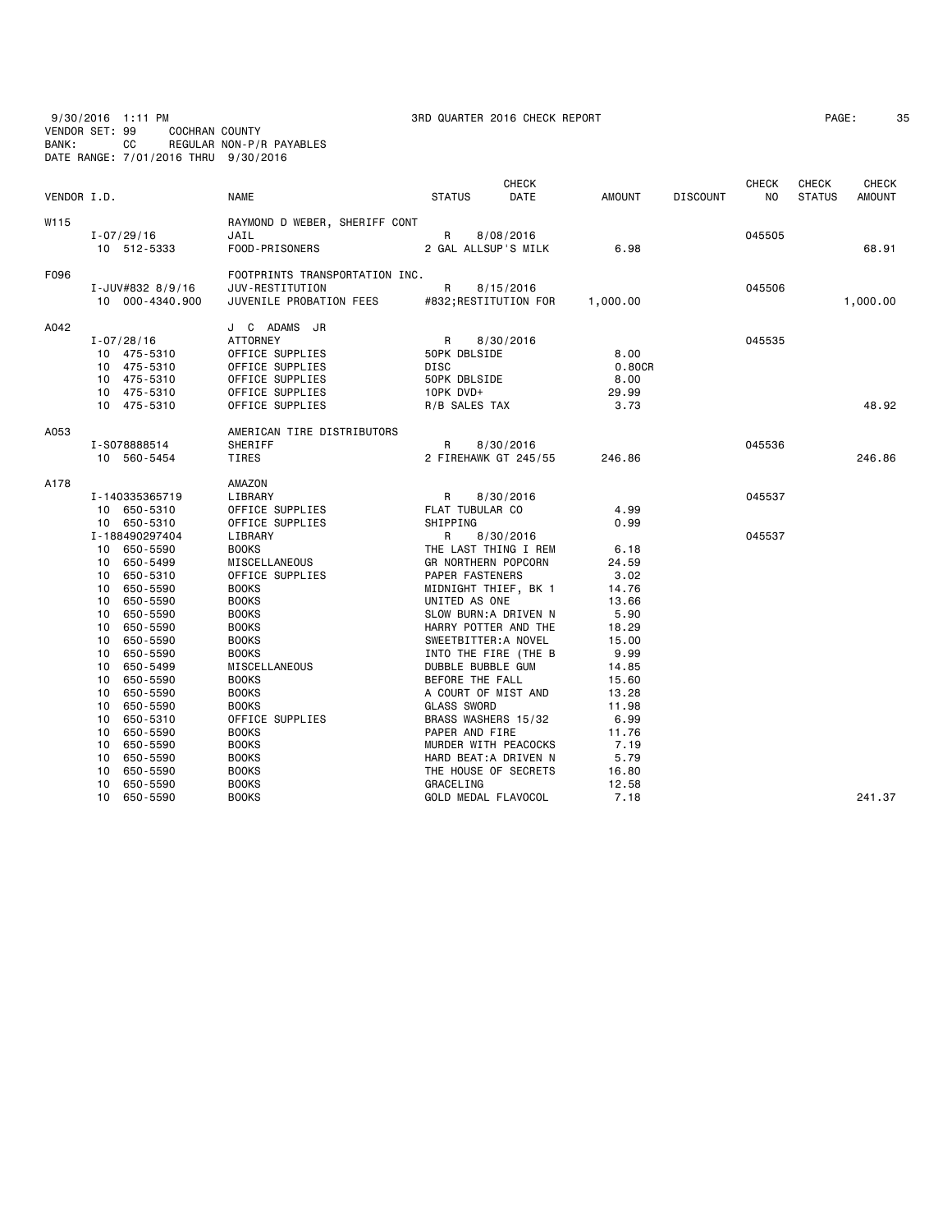9/30/2016 1:11 PM 3RD QUARTER 2016 CHECK REPORT PAGE: 35 VENDOR SET: 99 COCHRAN COUNTY BANK: CC REGULAR NON-P/R PAYABLES DATE RANGE: 7/01/2016 THRU 9/30/2016

| 'AGE : | 3! |
|--------|----|
|--------|----|

| VENDOR I.D. |                             | <b>NAME</b>                    | <b>STATUS</b>        | <b>CHECK</b><br>DATE  | <b>AMOUNT</b> | <b>DISCOUNT</b> | <b>CHECK</b><br>NO. | <b>CHECK</b><br><b>STATUS</b> | <b>CHECK</b><br>AMOUNT |
|-------------|-----------------------------|--------------------------------|----------------------|-----------------------|---------------|-----------------|---------------------|-------------------------------|------------------------|
| W115        |                             | RAYMOND D WEBER, SHERIFF CONT  |                      |                       |               |                 |                     |                               |                        |
|             | $I - 07/29/16$              | JAIL                           | R                    | 8/08/2016             |               |                 | 045505              |                               |                        |
|             | 10 512-5333                 | FOOD-PRISONERS                 | 2 GAL ALLSUP'S MILK  |                       | 6.98          |                 |                     |                               | 68.91                  |
| F096        |                             | FOOTPRINTS TRANSPORTATION INC. |                      |                       |               |                 |                     |                               |                        |
|             | I-JUV#832 8/9/16            | JUV-RESTITUTION                | R                    | 8/15/2016             |               |                 | 045506              |                               |                        |
|             | 10 000-4340.900             | JUVENILE PROBATION FEES        |                      | #832;RESTITUTION FOR  | 1,000.00      |                 |                     |                               | 1,000.00               |
| A042        |                             | J C ADAMS JR                   |                      |                       |               |                 |                     |                               |                        |
|             | $I - 07/28/16$              | ATTORNEY                       | R                    | 8/30/2016             |               |                 | 045535              |                               |                        |
|             | 10 475-5310                 | OFFICE SUPPLIES                | 50PK DBLSIDE         |                       | 8.00          |                 |                     |                               |                        |
|             | 10 475-5310                 | OFFICE SUPPLIES                | DISC                 |                       | 0.80CR        |                 |                     |                               |                        |
|             | 10 475-5310                 | OFFICE SUPPLIES                | 50PK DBLSIDE         |                       | 8.00          |                 |                     |                               |                        |
|             | 10 475-5310                 | OFFICE SUPPLIES                | 10PK DVD+            |                       | 29.99         |                 |                     |                               |                        |
|             | 10 475-5310                 | OFFICE SUPPLIES                | R/B SALES TAX        |                       | 3.73          |                 |                     |                               | 48.92                  |
| A053        |                             | AMERICAN TIRE DISTRIBUTORS     |                      |                       |               |                 |                     |                               |                        |
|             | I-S078888514                | SHERIFF                        | R                    | 8/30/2016             |               |                 | 045536              |                               |                        |
|             | 10 560-5454                 | TIRES                          |                      | 2 FIREHAWK GT 245/55  | 246.86        |                 |                     |                               | 246.86                 |
| A178        |                             | AMAZON                         |                      |                       |               |                 |                     |                               |                        |
|             | I-140335365719              | LIBRARY                        | R                    | 8/30/2016             |               |                 | 045537              |                               |                        |
|             | 10 650-5310                 | OFFICE SUPPLIES                | FLAT TUBULAR CO      |                       | 4.99          |                 |                     |                               |                        |
|             | 10 650-5310                 | OFFICE SUPPLIES                | SHIPPING             |                       | 0.99          |                 |                     |                               |                        |
|             | I-188490297404              | LIBRARY                        | R                    | 8/30/2016             |               |                 | 045537              |                               |                        |
|             | 10 650-5590                 | <b>BOOKS</b>                   |                      | THE LAST THING I REM  | 6.18          |                 |                     |                               |                        |
|             | 10 650-5499                 | MISCELLANEOUS                  | GR NORTHERN POPCORN  |                       | 24.59         |                 |                     |                               |                        |
|             | 10 650-5310                 | OFFICE SUPPLIES                | PAPER FASTENERS      |                       | 3.02          |                 |                     |                               |                        |
|             | 10 650-5590                 | <b>BOOKS</b>                   |                      | MIDNIGHT THIEF, BK 1  | 14.76         |                 |                     |                               |                        |
|             | 10 650-5590                 | <b>BOOKS</b>                   | UNITED AS ONE        |                       | 13.66         |                 |                     |                               |                        |
|             | 10 650-5590                 | <b>BOOKS</b>                   |                      | SLOW BURN: A DRIVEN N | 5.90          |                 |                     |                               |                        |
|             | 10<br>650-5590              | <b>BOOKS</b>                   |                      | HARRY POTTER AND THE  | 18.29         |                 |                     |                               |                        |
|             | 10<br>650-5590              | <b>BOOKS</b>                   | SWEETBITTER: A NOVEL |                       | 15.00         |                 |                     |                               |                        |
|             | 650-5590<br>10              | <b>BOOKS</b>                   |                      | INTO THE FIRE (THE B  | 9.99          |                 |                     |                               |                        |
|             | 10 650-5499                 | MISCELLANEOUS                  | DUBBLE BUBBLE GUM    |                       | 14.85         |                 |                     |                               |                        |
|             | 650-5590<br>10              | <b>BOOKS</b>                   | BEFORE THE FALL      |                       | 15.60         |                 |                     |                               |                        |
|             | 10<br>650-5590              | <b>BOOKS</b>                   | A COURT OF MIST AND  |                       | 13.28         |                 |                     |                               |                        |
|             | 650-5590<br>10              | <b>BOOKS</b>                   | <b>GLASS SWORD</b>   |                       | 11.98         |                 |                     |                               |                        |
|             | 650-5310<br>10              | OFFICE SUPPLIES                | BRASS WASHERS 15/32  |                       | 6.99          |                 |                     |                               |                        |
|             | 10 <sup>1</sup><br>650-5590 | <b>BOOKS</b>                   | PAPER AND FIRE       |                       | 11.76         |                 |                     |                               |                        |
|             | 10<br>650-5590              | <b>BOOKS</b>                   |                      | MURDER WITH PEACOCKS  | 7.19          |                 |                     |                               |                        |
|             | 10<br>650-5590              | <b>BOOKS</b>                   |                      | HARD BEAT:A DRIVEN N  | 5.79          |                 |                     |                               |                        |
|             | 10<br>650-5590              | <b>BOOKS</b>                   |                      | THE HOUSE OF SECRETS  | 16.80         |                 |                     |                               |                        |
|             | 650-5590<br>10              | <b>BOOKS</b>                   | GRACELING            |                       | 12.58         |                 |                     |                               |                        |
|             | 10<br>650-5590              | <b>BOOKS</b>                   | GOLD MEDAL FLAVOCOL  |                       | 7.18          |                 |                     |                               | 241.37                 |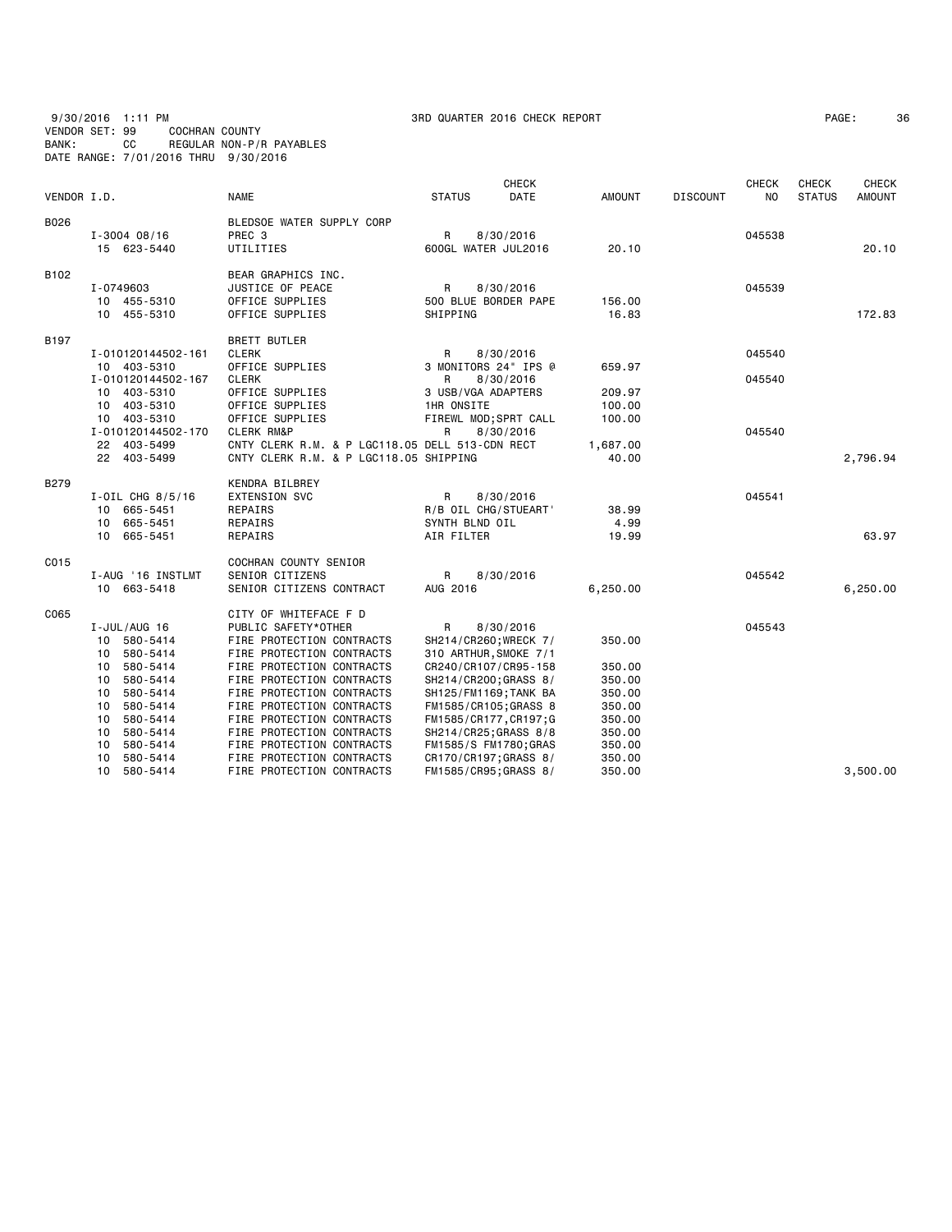9/30/2016 1:11 PM 3RD QUARTER 2016 CHECK REPORT PAGE: 36 VENDOR SET: 99 COCHRAN COUNTY BANK: CC REGULAR NON-P/R PAYABLES DATE RANGE: 7/01/2016 THRU 9/30/2016

|                  |                     |                                                 |                    |  | <b>CHECK</b>           |          |                 | <b>CHECK</b> | <b>CHECK</b>  | <b>CHECK</b>  |
|------------------|---------------------|-------------------------------------------------|--------------------|--|------------------------|----------|-----------------|--------------|---------------|---------------|
| VENDOR I.D.      |                     | <b>NAME</b>                                     | <b>STATUS</b>      |  | DATE                   | AMOUNT   | <b>DISCOUNT</b> | NO.          | <b>STATUS</b> | <b>AMOUNT</b> |
| B026             |                     | BLEDSOE WATER SUPPLY CORP                       |                    |  |                        |          |                 |              |               |               |
|                  | $I - 3004 08/16$    | PREC 3                                          | R                  |  | 8/30/2016              |          |                 | 045538       |               |               |
|                  | 15 623-5440         | UTILITIES                                       |                    |  | 600GL WATER JUL2016    | 20.10    |                 |              |               | 20.10         |
| B <sub>102</sub> |                     | BEAR GRAPHICS INC.                              |                    |  |                        |          |                 |              |               |               |
|                  | I-0749603           | JUSTICE OF PEACE                                | R                  |  | 8/30/2016              |          |                 | 045539       |               |               |
|                  | 10 455-5310         | OFFICE SUPPLIES                                 |                    |  | 500 BLUE BORDER PAPE   | 156.00   |                 |              |               |               |
|                  | 10 455-5310         | OFFICE SUPPLIES                                 | SHIPPING           |  |                        | 16.83    |                 |              |               | 172.83        |
| B197             |                     | <b>BRETT BUTLER</b>                             |                    |  |                        |          |                 |              |               |               |
|                  | I-010120144502-161  | <b>CLERK</b>                                    | R                  |  | 8/30/2016              |          |                 | 045540       |               |               |
|                  | 10 403-5310         | OFFICE SUPPLIES                                 |                    |  | 3 MONITORS 24" IPS @   | 659.97   |                 |              |               |               |
|                  | I-010120144502-167  | <b>CLERK</b>                                    | R                  |  | 8/30/2016              |          |                 | 045540       |               |               |
|                  | 10 403-5310         | OFFICE SUPPLIES                                 | 3 USB/VGA ADAPTERS |  |                        | 209.97   |                 |              |               |               |
|                  | 10 403-5310         | OFFICE SUPPLIES                                 | 1HR ONSITE         |  |                        | 100.00   |                 |              |               |               |
|                  | 10 403-5310         | OFFICE SUPPLIES                                 |                    |  | FIREWL MOD; SPRT CALL  | 100.00   |                 |              |               |               |
|                  | I-010120144502-170  | <b>CLERK RM&amp;P</b>                           | R                  |  | 8/30/2016              |          |                 | 045540       |               |               |
|                  | 22 403-5499         | CNTY CLERK R.M. & P LGC118.05 DELL 513-CDN RECT |                    |  |                        | 1,687.00 |                 |              |               |               |
|                  | 22 403-5499         | CNTY CLERK R.M. & P LGC118.05 SHIPPING          |                    |  |                        | 40.00    |                 |              |               | 2,796.94      |
| B279             |                     | KENDRA BILBREY                                  |                    |  |                        |          |                 |              |               |               |
|                  | $I$ -OIL CHG 8/5/16 | <b>EXTENSION SVC</b>                            | R                  |  | 8/30/2016              |          |                 | 045541       |               |               |
|                  | 10 665-5451         | REPAIRS                                         |                    |  | R/B OIL CHG/STUEART'   | 38.99    |                 |              |               |               |
|                  | 10 665-5451         | REPAIRS                                         | SYNTH BLND OIL     |  |                        | 4.99     |                 |              |               |               |
|                  | 10 665-5451         | REPAIRS                                         | AIR FILTER         |  |                        | 19.99    |                 |              |               | 63.97         |
| C015             |                     | COCHRAN COUNTY SENIOR                           |                    |  |                        |          |                 |              |               |               |
|                  | I-AUG '16 INSTLMT   | SENIOR CITIZENS                                 | R                  |  | 8/30/2016              |          |                 | 045542       |               |               |
|                  | 10 663-5418         | SENIOR CITIZENS CONTRACT                        | AUG 2016           |  |                        | 6,250.00 |                 |              |               | 6,250.00      |
| C065             |                     | CITY OF WHITEFACE F D                           |                    |  |                        |          |                 |              |               |               |
|                  | $I$ -JUL/AUG 16     | PUBLIC SAFETY*OTHER                             | R                  |  | 8/30/2016              |          |                 | 045543       |               |               |
|                  | 10 580-5414         | FIRE PROTECTION CONTRACTS                       |                    |  | SH214/CR260; WRECK 7/  | 350.00   |                 |              |               |               |
|                  | 10 580-5414         | FIRE PROTECTION CONTRACTS                       |                    |  | 310 ARTHUR, SMOKE 7/1  |          |                 |              |               |               |
|                  | 580-5414<br>10      | FIRE PROTECTION CONTRACTS                       |                    |  | CR240/CR107/CR95-158   | 350.00   |                 |              |               |               |
|                  | 580-5414<br>10      | FIRE PROTECTION CONTRACTS                       |                    |  | SH214/CR200; GRASS 8/  | 350.00   |                 |              |               |               |
|                  | 580-5414<br>10      | FIRE PROTECTION CONTRACTS                       |                    |  | SH125/FM1169; TANK BA  | 350.00   |                 |              |               |               |
|                  | 580-5414<br>10      | FIRE PROTECTION CONTRACTS                       |                    |  | FM1585/CR105;GRASS 8   | 350.00   |                 |              |               |               |
|                  | 580-5414<br>10      | FIRE PROTECTION CONTRACTS                       |                    |  | FM1585/CR177, CR197; G | 350.00   |                 |              |               |               |
|                  | 580-5414<br>10      | FIRE PROTECTION CONTRACTS                       |                    |  | SH214/CR25; GRASS 8/8  | 350.00   |                 |              |               |               |
|                  | 580-5414<br>10      | FIRE PROTECTION CONTRACTS                       |                    |  | FM1585/S FM1780; GRAS  | 350.00   |                 |              |               |               |
|                  | 580-5414<br>10      | FIRE PROTECTION CONTRACTS                       |                    |  | CR170/CR197;GRASS 8/   | 350.00   |                 |              |               |               |
|                  | 580-5414<br>10      | FIRE PROTECTION CONTRACTS                       |                    |  | FM1585/CR95;GRASS 8/   | 350.00   |                 |              |               | 3,500.00      |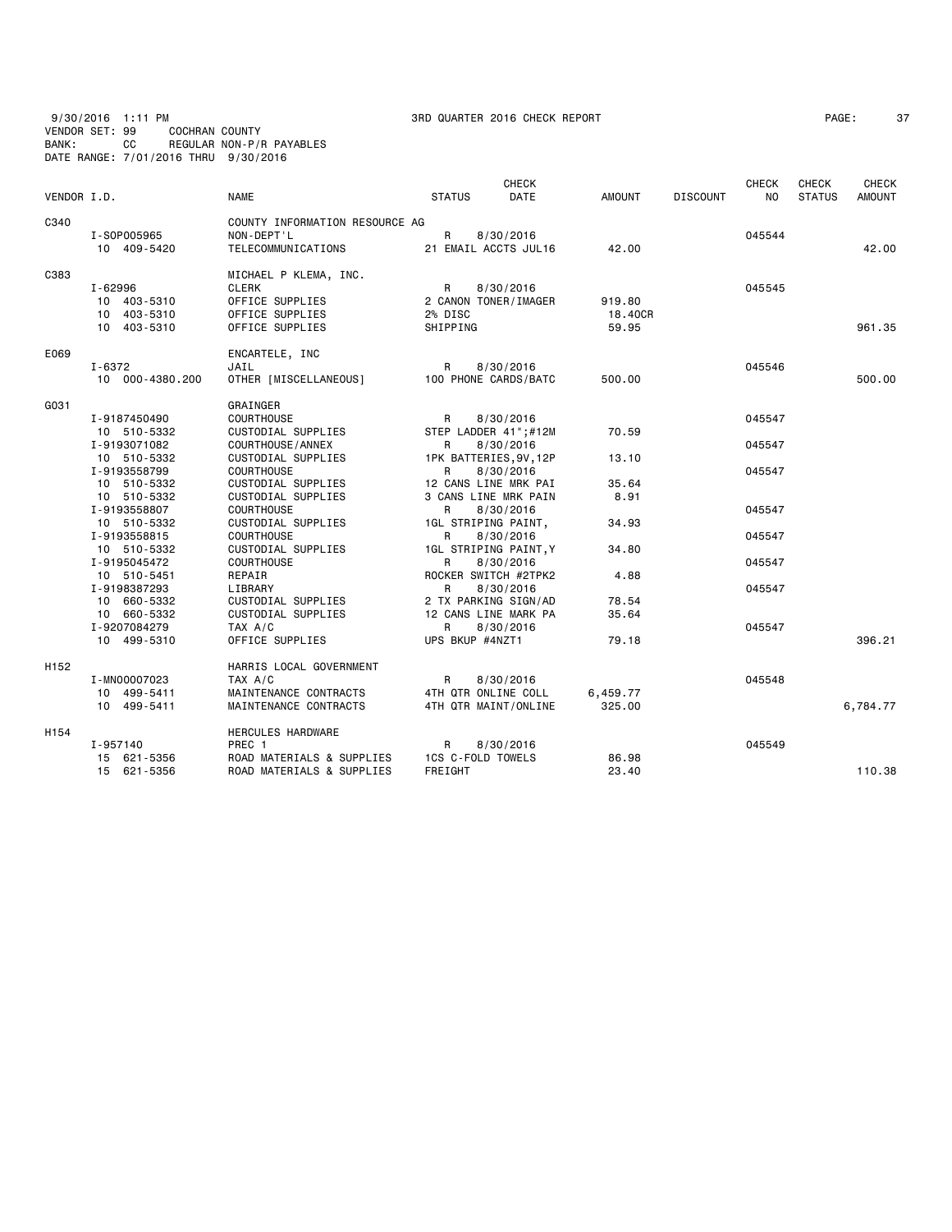9/30/2016 1:11 PM 3RD QUARTER 2016 CHECK REPORT PAGE: 37 VENDOR SET: 99 COCHRAN COUNTY BANK: CC REGULAR NON-P/R PAYABLES DATE RANGE: 7/01/2016 THRU 9/30/2016

|                  |                 |                                |                      | <b>CHECK</b>           |               |                 | <b>CHECK</b>   | <b>CHECK</b>  | CHECK    |
|------------------|-----------------|--------------------------------|----------------------|------------------------|---------------|-----------------|----------------|---------------|----------|
| VENDOR I.D.      |                 | <b>NAME</b>                    | <b>STATUS</b>        | <b>DATE</b>            | <b>AMOUNT</b> | <b>DISCOUNT</b> | N <sub>O</sub> | <b>STATUS</b> | AMOUNT   |
| C340             |                 | COUNTY INFORMATION RESOURCE AG |                      |                        |               |                 |                |               |          |
|                  | I-S0P005965     | NON-DEPT'L                     | R                    | 8/30/2016              |               |                 | 045544         |               |          |
|                  | 10 409-5420     | TELECOMMUNICATIONS             |                      | 21 EMAIL ACCTS JUL16   | 42.00         |                 |                |               | 42.00    |
| C383             |                 | MICHAEL P KLEMA, INC.          |                      |                        |               |                 |                |               |          |
|                  | I-62996         | CLERK                          | R                    | 8/30/2016              |               |                 | 045545         |               |          |
|                  | 10 403-5310     | OFFICE SUPPLIES                | 2 CANON TONER/IMAGER |                        | 919.80        |                 |                |               |          |
|                  | 10 403-5310     | OFFICE SUPPLIES                | 2% DISC              |                        | 18.40CR       |                 |                |               |          |
|                  | 10 403-5310     | OFFICE SUPPLIES                | SHIPPING             |                        | 59.95         |                 |                |               | 961.35   |
| E069             |                 | ENCARTELE, INC                 |                      |                        |               |                 |                |               |          |
|                  | I-6372          | JAIL                           | R                    | 8/30/2016              |               |                 | 045546         |               |          |
|                  | 10 000-4380.200 | OTHER [MISCELLANEOUS]          |                      | 100 PHONE CARDS/BATC   | 500.00        |                 |                |               | 500.00   |
| G031             |                 | GRAINGER                       |                      |                        |               |                 |                |               |          |
|                  | I-9187450490    | <b>COURTHOUSE</b>              | R                    | 8/30/2016              |               |                 | 045547         |               |          |
|                  | 10 510-5332     | CUSTODIAL SUPPLIES             |                      | STEP LADDER 41";#12M   | 70.59         |                 |                |               |          |
|                  | I-9193071082    | COURTHOUSE / ANNEX             | R                    | 8/30/2016              |               |                 | 045547         |               |          |
|                  | 10 510-5332     | CUSTODIAL SUPPLIES             |                      | 1PK BATTERIES, 9V, 12P | 13.10         |                 |                |               |          |
|                  | I-9193558799    | <b>COURTHOUSE</b>              | R                    | 8/30/2016              |               |                 | 045547         |               |          |
|                  | 10 510-5332     | CUSTODIAL SUPPLIES             |                      | 12 CANS LINE MRK PAI   | 35.64         |                 |                |               |          |
|                  | 10 510-5332     | CUSTODIAL SUPPLIES             |                      | 3 CANS LINE MRK PAIN   | 8.91          |                 |                |               |          |
|                  | I-9193558807    | COURTHOUSE                     | R                    | 8/30/2016              |               |                 | 045547         |               |          |
|                  | 10 510-5332     | CUSTODIAL SUPPLIES             | 1GL STRIPING PAINT,  |                        | 34.93         |                 |                |               |          |
|                  | I-9193558815    | <b>COURTHOUSE</b>              | R                    | 8/30/2016              |               |                 | 045547         |               |          |
|                  | 10 510-5332     | CUSTODIAL SUPPLIES             |                      | 1GL STRIPING PAINT, Y  | 34.80         |                 |                |               |          |
|                  | I-9195045472    | COURTHOUSE                     | R                    | 8/30/2016              |               |                 | 045547         |               |          |
|                  | 10 510-5451     | REPAIR                         |                      | ROCKER SWITCH #2TPK2   | 4.88          |                 |                |               |          |
|                  | I-9198387293    | LIBRARY                        | R                    | 8/30/2016              |               |                 | 045547         |               |          |
|                  | 10 660-5332     | CUSTODIAL SUPPLIES             | 2 TX PARKING SIGN/AD |                        | 78.54         |                 |                |               |          |
|                  | 10 660-5332     | CUSTODIAL SUPPLIES             |                      | 12 CANS LINE MARK PA   | 35.64         |                 |                |               |          |
|                  | I-9207084279    | TAX A/C                        | R                    | 8/30/2016              |               |                 | 045547         |               |          |
|                  | 10 499-5310     | OFFICE SUPPLIES                | UPS BKUP #4NZT1      |                        | 79.18         |                 |                |               | 396.21   |
| H <sub>152</sub> |                 | HARRIS LOCAL GOVERNMENT        |                      |                        |               |                 |                |               |          |
|                  | I-MN00007023    | TAX A/C                        | R                    | 8/30/2016              |               |                 | 045548         |               |          |
|                  | 10 499-5411     | MAINTENANCE CONTRACTS          | 4TH QTR ONLINE COLL  |                        | 6,459.77      |                 |                |               |          |
|                  | 10 499-5411     | MAINTENANCE CONTRACTS          |                      | 4TH QTR MAINT/ONLINE   | 325,00        |                 |                |               | 6,784.77 |
| H154             |                 | HERCULES HARDWARE              |                      |                        |               |                 |                |               |          |
|                  | I-957140        | PREC 1                         | R                    | 8/30/2016              |               |                 | 045549         |               |          |
|                  | 15 621-5356     | ROAD MATERIALS & SUPPLIES      | 1CS C-FOLD TOWELS    |                        | 86.98         |                 |                |               |          |
|                  | 15 621-5356     | ROAD MATERIALS & SUPPLIES      | FREIGHT              |                        | 23.40         |                 |                |               | 110.38   |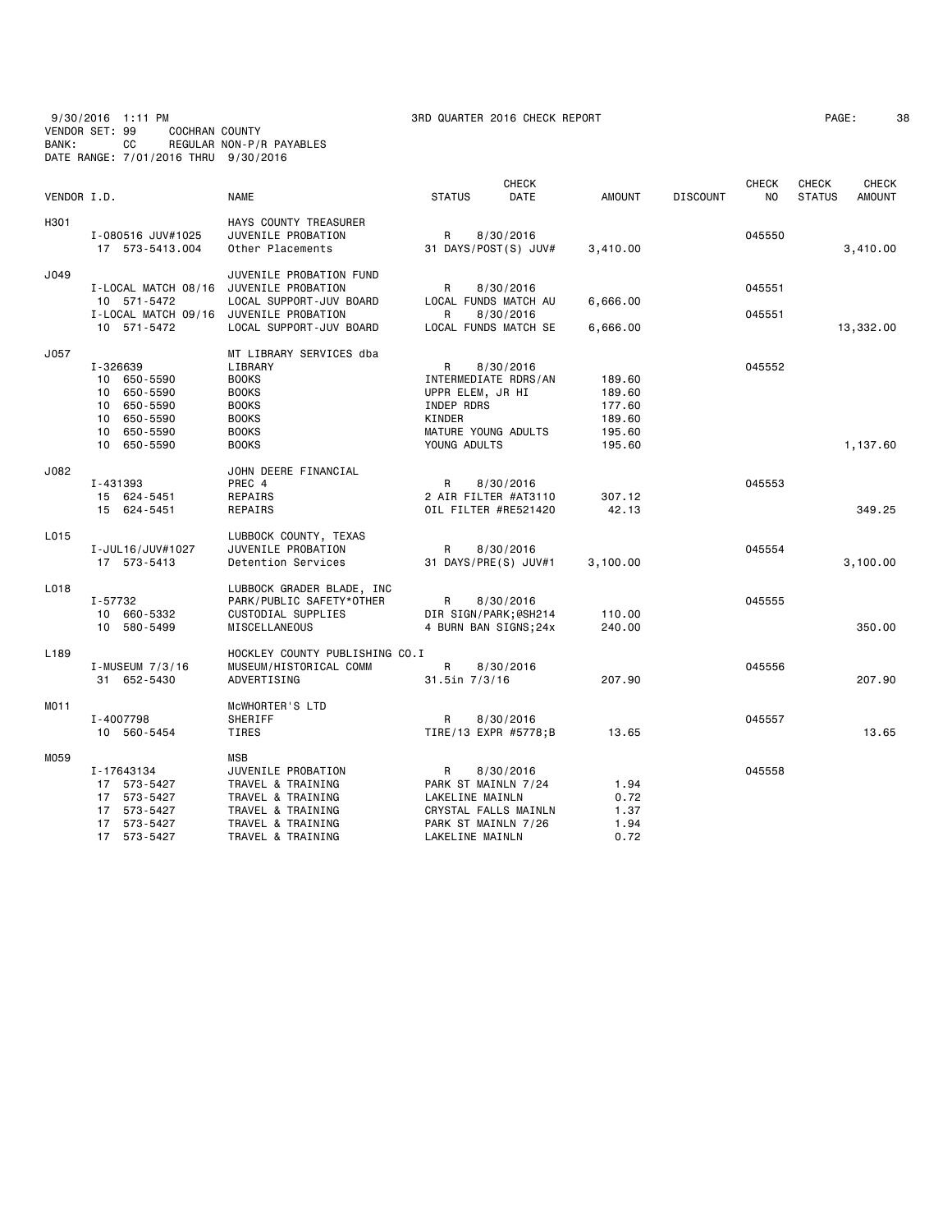9/30/2016 1:11 PM 3RD QUARTER 2016 CHECK REPORT PAGE: 38 VENDOR SET: 99 COCHRAN COUNTY BANK: CC REGULAR NON-P/R PAYABLES DATE RANGE: 7/01/2016 THRU 9/30/2016

| PAGE : | 3 |
|--------|---|
|--------|---|

|             |                     |                                |                      | <b>CHECK</b>         |               |                 | <b>CHECK</b> | <b>CHECK</b>  | <b>CHECK</b>  |
|-------------|---------------------|--------------------------------|----------------------|----------------------|---------------|-----------------|--------------|---------------|---------------|
| VENDOR I.D. |                     | <b>NAME</b>                    | <b>STATUS</b>        | <b>DATE</b>          | <b>AMOUNT</b> | <b>DISCOUNT</b> | NO.          | <b>STATUS</b> | <b>AMOUNT</b> |
| H301        |                     | HAYS COUNTY TREASURER          |                      |                      |               |                 |              |               |               |
|             | I-080516 JUV#1025   | JUVENILE PROBATION             | R                    | 8/30/2016            |               |                 | 045550       |               |               |
|             | 17 573-5413.004     | Other Placements               | 31 DAYS/POST(S) JUV# |                      | 3,410.00      |                 |              |               | 3,410.00      |
| J049        |                     | JUVENILE PROBATION FUND        |                      |                      |               |                 |              |               |               |
|             | I-LOCAL MATCH 08/16 | JUVENILE PROBATION             | R                    | 8/30/2016            |               |                 | 045551       |               |               |
|             | 10 571-5472         | LOCAL SUPPORT-JUV BOARD        |                      | LOCAL FUNDS MATCH AU | 6,666.00      |                 |              |               |               |
|             | I-LOCAL MATCH 09/16 | JUVENILE PROBATION             | R                    | 8/30/2016            |               |                 | 045551       |               |               |
|             | 10 571-5472         | LOCAL SUPPORT-JUV BOARD        |                      | LOCAL FUNDS MATCH SE | 6,666.00      |                 |              |               | 13,332.00     |
| J057        |                     | MT LIBRARY SERVICES dba        |                      |                      |               |                 |              |               |               |
|             | I-326639            | LIBRARY                        | R                    | 8/30/2016            |               |                 | 045552       |               |               |
|             | 10 650-5590         | <b>BOOKS</b>                   | INTERMEDIATE RDRS/AN |                      | 189.60        |                 |              |               |               |
|             | 650-5590<br>10      | <b>BOOKS</b>                   | UPPR ELEM, JR HI     |                      | 189.60        |                 |              |               |               |
|             | 650-5590<br>10      | <b>BOOKS</b>                   | INDEP RDRS           |                      | 177.60        |                 |              |               |               |
|             | 650-5590<br>10      | <b>BOOKS</b>                   | KINDER               |                      | 189.60        |                 |              |               |               |
|             | 10 650-5590         | <b>BOOKS</b>                   | MATURE YOUNG ADULTS  |                      | 195.60        |                 |              |               |               |
|             | 10 650-5590         | <b>BOOKS</b>                   | YOUNG ADULTS         |                      | 195.60        |                 |              |               | 1,137.60      |
| J082        |                     | JOHN DEERE FINANCIAL           |                      |                      |               |                 |              |               |               |
|             | I-431393            | PREC 4                         | R                    | 8/30/2016            |               |                 | 045553       |               |               |
|             | 15 624-5451         | REPAIRS                        | 2 AIR FILTER #AT3110 |                      | 307.12        |                 |              |               |               |
|             | 15 624-5451         | REPAIRS                        | OIL FILTER #RE521420 |                      | 42.13         |                 |              |               | 349.25        |
| L015        |                     | LUBBOCK COUNTY, TEXAS          |                      |                      |               |                 |              |               |               |
|             | I-JUL16/JUV#1027    | JUVENILE PROBATION             | R                    | 8/30/2016            |               |                 | 045554       |               |               |
|             | 17 573-5413         | Detention Services             | 31 DAYS/PRE(S) JUV#1 |                      | 3,100.00      |                 |              |               | 3,100.00      |
| L018        |                     | LUBBOCK GRADER BLADE, INC      |                      |                      |               |                 |              |               |               |
|             | I-57732             | PARK/PUBLIC SAFETY*OTHER       | R                    | 8/30/2016            |               |                 | 045555       |               |               |
|             | 10 660-5332         | CUSTODIAL SUPPLIES             | DIR SIGN/PARK;@SH214 |                      | 110.00        |                 |              |               |               |
|             | 10 580-5499         | MISCELLANEOUS                  |                      | 4 BURN BAN SIGNS;24x | 240.00        |                 |              |               | 350.00        |
| L189        |                     | HOCKLEY COUNTY PUBLISHING CO.I |                      |                      |               |                 |              |               |               |
|             | I-MUSEUM 7/3/16     | MUSEUM/HISTORICAL COMM         | R                    | 8/30/2016            |               |                 | 045556       |               |               |
|             | 31 652-5430         | ADVERTISING                    | 31.5in 7/3/16        |                      | 207.90        |                 |              |               | 207.90        |
| MO11        |                     | MCWHORTER'S LTD                |                      |                      |               |                 |              |               |               |
|             | I-4007798           | SHERIFF                        | R                    | 8/30/2016            |               |                 | 045557       |               |               |
|             | 10 560-5454         | TIRES                          | TIRE/13 EXPR #5778;B |                      | 13.65         |                 |              |               | 13.65         |
| M059        |                     | MSB                            |                      |                      |               |                 |              |               |               |
|             | I-17643134          | JUVENILE PROBATION             | R                    | 8/30/2016            |               |                 | 045558       |               |               |
|             | 17 573-5427         | TRAVEL & TRAINING              | PARK ST MAINLN 7/24  |                      | 1.94          |                 |              |               |               |
|             | 17 573-5427         | TRAVEL & TRAINING              | LAKELINE MAINLN      |                      | 0.72          |                 |              |               |               |
|             | 17 573-5427         | TRAVEL & TRAINING              | CRYSTAL FALLS MAINLN |                      | 1.37          |                 |              |               |               |
|             | 17 573-5427         | TRAVEL & TRAINING              | PARK ST MAINLN 7/26  |                      | 1.94          |                 |              |               |               |
|             | 17<br>573-5427      | TRAVEL & TRAINING              | LAKELINE MAINLN      |                      | 0.72          |                 |              |               |               |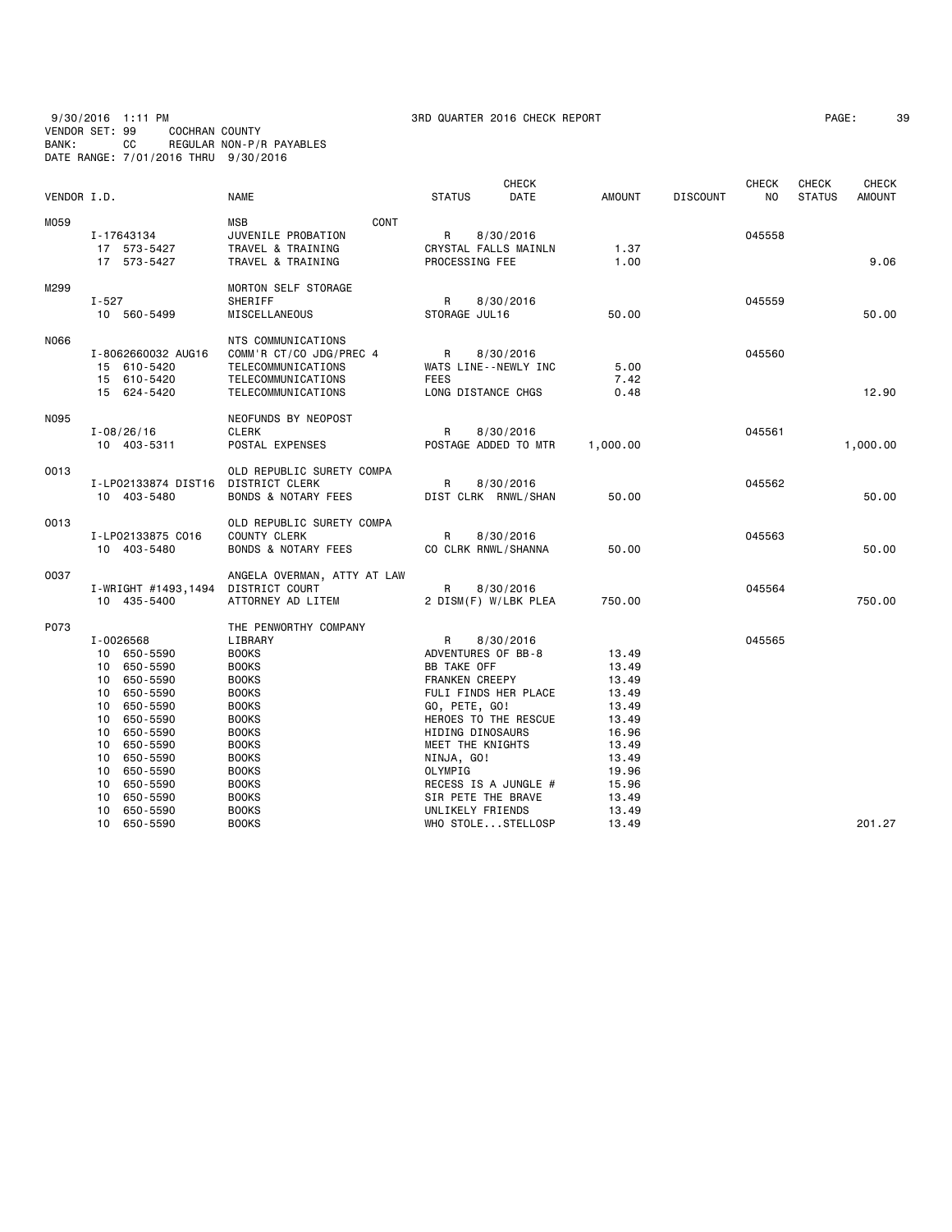## 9/30/2016 1:11 PM 3RD QUARTER 2016 CHECK REPORT PAGE: 39 VENDOR SET: 99 COCHRAN COUNTY BANK: CC REGULAR NON-P/R PAYABLES DATE RANGE: 7/01/2016 THRU 9/30/2016

|             |                            |                      |                                          |      |                       | <b>CHECK</b>         |                |                 | <b>CHECK</b> | <b>CHECK</b>  | <b>CHECK</b>  |
|-------------|----------------------------|----------------------|------------------------------------------|------|-----------------------|----------------------|----------------|-----------------|--------------|---------------|---------------|
| VENDOR I.D. |                            |                      | <b>NAME</b>                              |      | <b>STATUS</b>         | DATE                 | <b>AMOUNT</b>  | <b>DISCOUNT</b> | NO           | <b>STATUS</b> | <b>AMOUNT</b> |
| M059        |                            |                      | <b>MSB</b>                               | CONT |                       |                      |                |                 |              |               |               |
|             | I-17643134                 |                      | JUVENILE PROBATION                       |      | $\mathsf{R}$          | 8/30/2016            |                |                 | 045558       |               |               |
|             | 17 573-5427                |                      | TRAVEL & TRAINING                        |      |                       | CRYSTAL FALLS MAINLN | 1.37           |                 |              |               |               |
|             | 17 573-5427                |                      | TRAVEL & TRAINING                        |      | PROCESSING FEE        |                      | 1.00           |                 |              |               | 9.06          |
| M299        |                            |                      | MORTON SELF STORAGE                      |      |                       |                      |                |                 |              |               |               |
|             | $I - 527$                  |                      | SHERIFF                                  |      | R                     | 8/30/2016            |                |                 | 045559       |               |               |
|             | 10 560-5499                |                      | MISCELLANEOUS                            |      | STORAGE JUL16         |                      | 50.00          |                 |              |               | 50,00         |
|             |                            |                      |                                          |      |                       |                      |                |                 |              |               |               |
| N066        |                            |                      | NTS COMMUNICATIONS                       |      |                       |                      |                |                 |              |               |               |
|             |                            | I-8062660032 AUG16   | COMM'R CT/CO JDG/PREC 4                  |      | R                     | 8/30/2016            |                |                 | 045560       |               |               |
|             | 15 610-5420                |                      | TELECOMMUNICATIONS                       |      |                       | WATS LINE--NEWLY INC | 5.00           |                 |              |               |               |
|             | 15 610-5420<br>15 624-5420 |                      | TELECOMMUNICATIONS<br>TELECOMMUNICATIONS |      | <b>FEES</b>           | LONG DISTANCE CHGS   | 7.42<br>0.48   |                 |              |               | 12.90         |
|             |                            |                      |                                          |      |                       |                      |                |                 |              |               |               |
| N095        |                            |                      | NEOFUNDS BY NEOPOST                      |      |                       |                      |                |                 |              |               |               |
|             | $I - 08/26/16$             |                      | <b>CLERK</b>                             |      | R                     | 8/30/2016            |                |                 | 045561       |               |               |
|             | 10 403-5311                |                      | POSTAL EXPENSES                          |      |                       | POSTAGE ADDED TO MTR | 1,000.00       |                 |              |               | 1,000.00      |
| 0013        |                            |                      | OLD REPUBLIC SURETY COMPA                |      |                       |                      |                |                 |              |               |               |
|             |                            | I-LP02133874 DIST16  | <b>DISTRICT CLERK</b>                    |      | R                     | 8/30/2016            |                |                 | 045562       |               |               |
|             | 10 403-5480                |                      | <b>BONDS &amp; NOTARY FEES</b>           |      |                       | DIST CLRK RNWL/SHAN  | 50.00          |                 |              |               | 50.00         |
| 0013        |                            |                      | OLD REPUBLIC SURETY COMPA                |      |                       |                      |                |                 |              |               |               |
|             |                            | I-LP02133875 C016    | <b>COUNTY CLERK</b>                      |      | R                     | 8/30/2016            |                |                 | 045563       |               |               |
|             | 10 403-5480                |                      | <b>BONDS &amp; NOTARY FEES</b>           |      |                       | CO CLRK RNWL/SHANNA  | 50.00          |                 |              |               | 50.00         |
| 0037        |                            |                      | ANGELA OVERMAN, ATTY AT LAW              |      |                       |                      |                |                 |              |               |               |
|             |                            | I-WRIGHT #1493,1494  | DISTRICT COURT                           |      | R                     | 8/30/2016            |                |                 | 045564       |               |               |
|             | 10 435-5400                |                      | ATTORNEY AD LITEM                        |      |                       | 2 DISM(F) W/LBK PLEA | 750.00         |                 |              |               | 750.00        |
| P073        |                            |                      | THE PENWORTHY COMPANY                    |      |                       |                      |                |                 |              |               |               |
|             | I-0026568                  |                      | LIBRARY                                  |      | R                     | 8/30/2016            |                |                 | 045565       |               |               |
|             | 10 650-5590                |                      | <b>BOOKS</b>                             |      |                       | ADVENTURES OF BB-8   | 13.49          |                 |              |               |               |
|             | 10                         | 650-5590             | <b>BOOKS</b>                             |      | <b>BB TAKE OFF</b>    |                      | 13.49          |                 |              |               |               |
|             | 10                         | 650-5590             | <b>BOOKS</b>                             |      | <b>FRANKEN CREEPY</b> |                      | 13.49          |                 |              |               |               |
|             | 10                         | 650-5590             | <b>BOOKS</b>                             |      |                       | FULI FINDS HER PLACE | 13.49          |                 |              |               |               |
|             | 10                         | 650-5590             | <b>BOOKS</b>                             |      | GO, PETE, GO!         |                      | 13.49          |                 |              |               |               |
|             | 10                         | 650-5590             | <b>BOOKS</b>                             |      |                       | HEROES TO THE RESCUE | 13.49          |                 |              |               |               |
|             | 10                         | 650-5590             | <b>BOOKS</b>                             |      | HIDING DINOSAURS      |                      | 16.96          |                 |              |               |               |
|             | 10                         | 650-5590             | <b>BOOKS</b>                             |      | MEET THE KNIGHTS      |                      | 13.49          |                 |              |               |               |
|             | 10                         | 650-5590             | <b>BOOKS</b>                             |      | NINJA, GO!            |                      | 13.49          |                 |              |               |               |
|             | 10                         | 650-5590             | <b>BOOKS</b>                             |      | OLYMPIG               |                      | 19.96          |                 |              |               |               |
|             | 10                         | 650-5590             | <b>BOOKS</b>                             |      |                       | RECESS IS A JUNGLE # | 15.96          |                 |              |               |               |
|             | 10                         | 650-5590             | <b>BOOKS</b>                             |      |                       | SIR PETE THE BRAVE   | 13.49          |                 |              |               |               |
|             | 10<br>10                   | 650-5590<br>650-5590 | <b>BOOKS</b><br><b>BOOKS</b>             |      | UNLIKELY FRIENDS      | WHO STOLESTELLOSP    | 13.49<br>13.49 |                 |              |               | 201.27        |
|             |                            |                      |                                          |      |                       |                      |                |                 |              |               |               |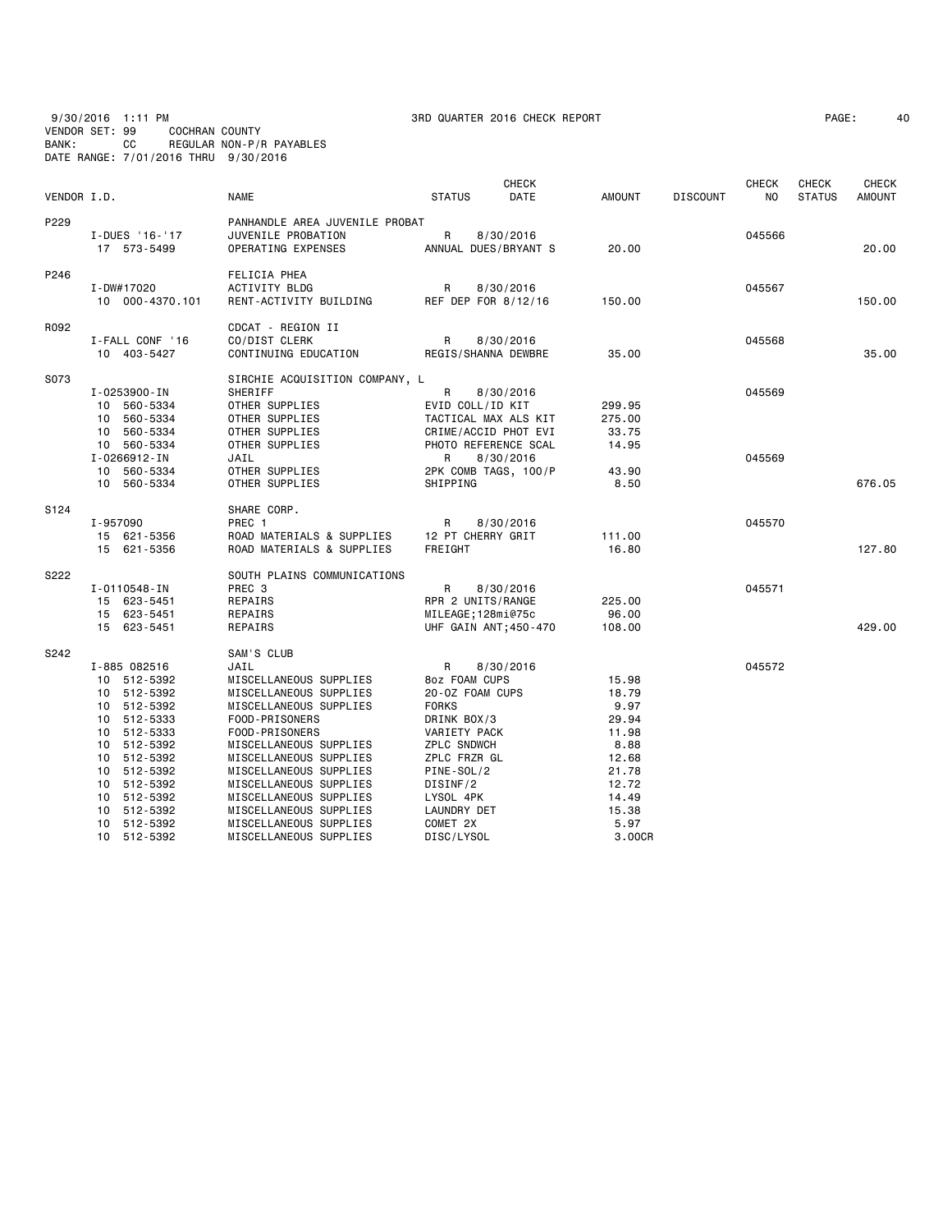9/30/2016 1:11 PM 3RD QUARTER 2016 CHECK REPORT PAGE: 40 VENDOR SET: 99 COCHRAN COUNTY BANK: CC REGULAR NON-P/R PAYABLES DATE RANGE: 7/01/2016 THRU 9/30/2016

| AGE: |  | $\overline{4}$ |
|------|--|----------------|
|------|--|----------------|

| VENDOR I.D. |                                                                                                                                                                                                                    | <b>NAME</b>                                                                                                                                                                                                                                                                                                                                          | <b>STATUS</b>                                                                                                                                                                                              | <b>CHECK</b><br>DATE   | <b>AMOUNT</b>                                                                                                   | <b>DISCOUNT</b> | CHECK<br>NO      | <b>CHECK</b><br><b>STATUS</b> | <b>CHECK</b><br><b>AMOUNT</b> |
|-------------|--------------------------------------------------------------------------------------------------------------------------------------------------------------------------------------------------------------------|------------------------------------------------------------------------------------------------------------------------------------------------------------------------------------------------------------------------------------------------------------------------------------------------------------------------------------------------------|------------------------------------------------------------------------------------------------------------------------------------------------------------------------------------------------------------|------------------------|-----------------------------------------------------------------------------------------------------------------|-----------------|------------------|-------------------------------|-------------------------------|
| P229        | I-DUES '16-'17<br>17 573-5499                                                                                                                                                                                      | PANHANDLE AREA JUVENILE PROBAT<br>JUVENILE PROBATION<br>OPERATING EXPENSES                                                                                                                                                                                                                                                                           | R<br>ANNUAL DUES/BRYANT S                                                                                                                                                                                  | 8/30/2016              | 20.00                                                                                                           |                 | 045566           |                               | 20,00                         |
| P246        | I-DW#17020<br>10 000-4370.101                                                                                                                                                                                      | FELICIA PHEA<br><b>ACTIVITY BLDG</b><br>RENT-ACTIVITY BUILDING                                                                                                                                                                                                                                                                                       | R<br>REF DEP FOR 8/12/16                                                                                                                                                                                   | 8/30/2016              | 150.00                                                                                                          |                 | 045567           |                               | 150.00                        |
| R092        | I-FALL CONF '16<br>10 403-5427                                                                                                                                                                                     | CDCAT - REGION II<br>CO/DIST CLERK<br>CONTINUING EDUCATION                                                                                                                                                                                                                                                                                           | R<br>REGIS/SHANNA DEWBRE                                                                                                                                                                                   | 8/30/2016              | 35.00                                                                                                           |                 | 045568           |                               | 35.00                         |
| S073        | I-0253900-IN<br>10 560-5334<br>10 560-5334<br>10 560-5334<br>10 560-5334<br>I-0266912-IN<br>10 560-5334<br>10 560-5334                                                                                             | SIRCHIE ACQUISITION COMPANY, L<br>SHERIFF<br>OTHER SUPPLIES<br>OTHER SUPPLIES<br>OTHER SUPPLIES<br>OTHER SUPPLIES<br>JAIL<br>OTHER SUPPLIES<br>OTHER SUPPLIES                                                                                                                                                                                        | R<br>EVID COLL/ID KIT<br>TACTICAL MAX ALS KIT<br>CRIME/ACCID PHOT EVI<br>PHOTO REFERENCE SCAL<br>R<br>2PK COMB TAGS, 100/P<br>SHIPPING                                                                     | 8/30/2016<br>8/30/2016 | 299.95<br>275.00<br>33.75<br>14.95<br>43.90<br>8.50                                                             |                 | 045569<br>045569 |                               | 676.05                        |
| S124        | I-957090<br>15 621-5356<br>15 621-5356                                                                                                                                                                             | SHARE CORP.<br>PREC 1<br>ROAD MATERIALS & SUPPLIES<br>ROAD MATERIALS & SUPPLIES                                                                                                                                                                                                                                                                      | R<br>12 PT CHERRY GRIT<br>FREIGHT                                                                                                                                                                          | 8/30/2016              | 111.00<br>16.80                                                                                                 |                 | 045570           |                               | 127.80                        |
| S222        | I-0110548-IN<br>15 623-5451<br>15 623-5451<br>15 623-5451                                                                                                                                                          | SOUTH PLAINS COMMUNICATIONS<br>PREC 3<br>REPAIRS<br>REPAIRS<br>REPAIRS                                                                                                                                                                                                                                                                               | R<br>RPR 2 UNITS/RANGE<br>MILEAGE;128mi@75c<br>UHF GAIN ANT; 450-470                                                                                                                                       | 8/30/2016              | 225.00<br>96.00<br>108.00                                                                                       |                 | 045571           |                               | 429.00                        |
| S242        | I-885 082516<br>10 512-5392<br>10 512-5392<br>10 512-5392<br>10 512-5333<br>10 512-5333<br>10 512-5392<br>10 512-5392<br>10 512-5392<br>10 512-5392<br>10 512-5392<br>512-5392<br>10<br>10 512-5392<br>10 512-5392 | SAM'S CLUB<br>JAIL<br>MISCELLANEOUS SUPPLIES<br>MISCELLANEOUS SUPPLIES<br>MISCELLANEOUS SUPPLIES<br>FOOD-PRISONERS<br>FOOD-PRISONERS<br>MISCELLANEOUS SUPPLIES<br>MISCELLANEOUS SUPPLIES<br>MISCELLANEOUS SUPPLIES<br>MISCELLANEOUS SUPPLIES<br>MISCELLANEOUS SUPPLIES<br>MISCELLANEOUS SUPPLIES<br>MISCELLANEOUS SUPPLIES<br>MISCELLANEOUS SUPPLIES | R<br>8oz FOAM CUPS<br>20-0Z FOAM CUPS<br><b>FORKS</b><br>DRINK BOX/3<br>VARIETY PACK<br><b>ZPLC SNDWCH</b><br>ZPLC FRZR GL<br>PINE-SOL/2<br>DISINF/2<br>LYSOL 4PK<br>LAUNDRY DET<br>COMET 2X<br>DISC/LYSOL | 8/30/2016              | 15.98<br>18.79<br>9.97<br>29.94<br>11.98<br>8.88<br>12.68<br>21.78<br>12.72<br>14.49<br>15.38<br>5.97<br>3.00CR |                 | 045572           |                               |                               |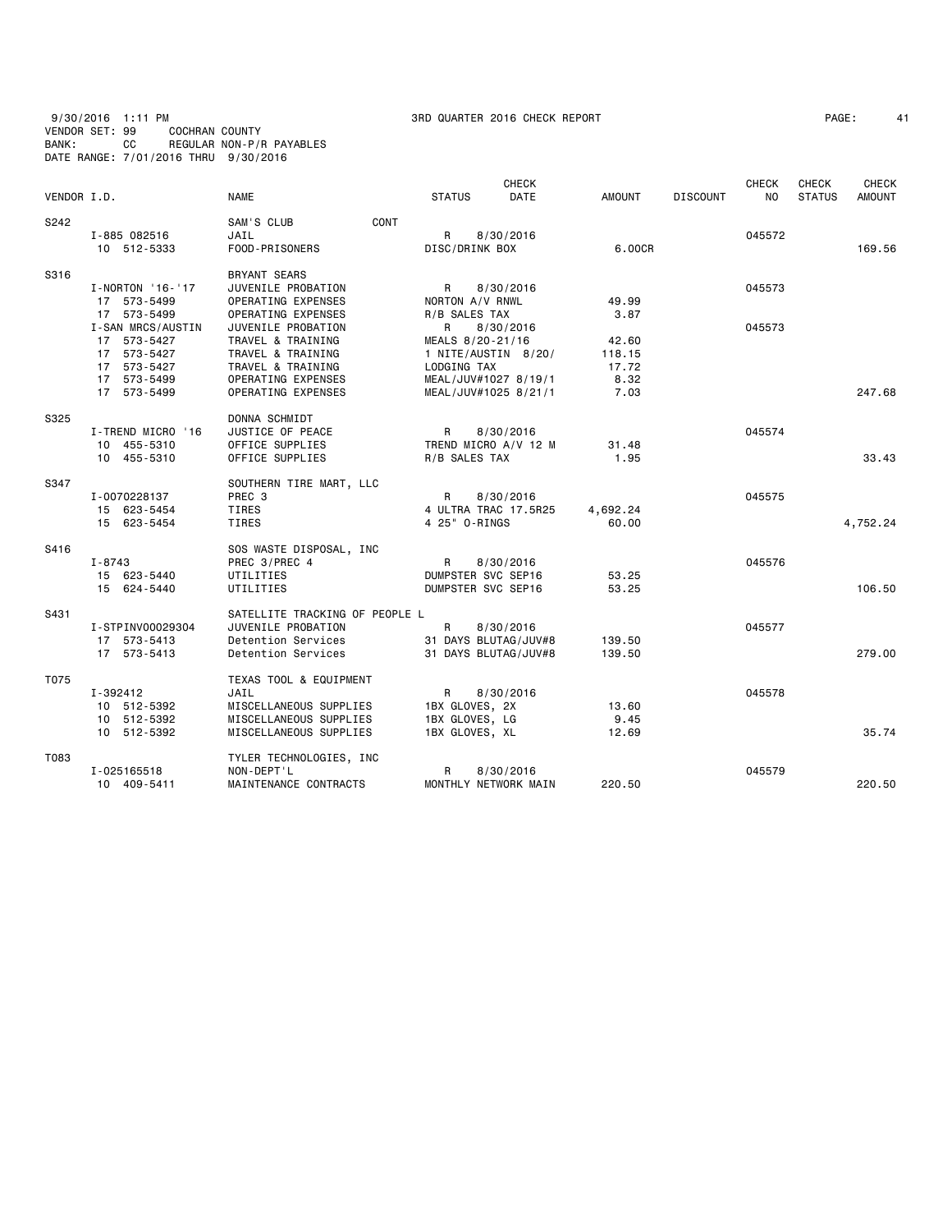### 9/30/2016 1:11 PM 3RD QUARTER 2016 CHECK REPORT PAGE: 41 VENDOR SET: 99 COCHRAN COUNTY BANK: CC REGULAR NON-P/R PAYABLES DATE RANGE: 7/01/2016 THRU 9/30/2016

| PAGE: |  |
|-------|--|
|-------|--|

|             |                            |                                                  |                                  | <b>CHECK</b>                      |               |                 | <b>CHECK</b> | CHECK         | <b>CHECK</b> |
|-------------|----------------------------|--------------------------------------------------|----------------------------------|-----------------------------------|---------------|-----------------|--------------|---------------|--------------|
| VENDOR I.D. |                            | <b>NAME</b>                                      | <b>STATUS</b>                    | <b>DATE</b>                       | AMOUNT        | <b>DISCOUNT</b> | NO.          | <b>STATUS</b> | AMOUNT       |
| S242        |                            | CONT<br>SAM'S CLUB                               |                                  |                                   |               |                 |              |               |              |
|             | I-885 082516               | JAIL                                             | R.                               | 8/30/2016                         |               |                 | 045572       |               |              |
|             | 10 512-5333                | FOOD-PRISONERS                                   | DISC/DRINK BOX                   |                                   | 6.00CR        |                 |              |               | 169.56       |
| S316        |                            | <b>BRYANT SEARS</b>                              |                                  |                                   |               |                 |              |               |              |
|             | I-NORTON '16-'17           | JUVENILE PROBATION                               | R                                | 8/30/2016                         |               |                 | 045573       |               |              |
|             | 17 573-5499                | OPERATING EXPENSES                               | NORTON A/V RNWL                  |                                   | 49.99         |                 |              |               |              |
|             | 17 573-5499                | OPERATING EXPENSES                               | R/B SALES TAX                    |                                   | 3.87          |                 |              |               |              |
|             | I-SAN MRCS/AUSTIN          | JUVENILE PROBATION                               | R                                | 8/30/2016                         |               |                 | 045573       |               |              |
|             | 17 573-5427                | TRAVEL & TRAINING                                | MEALS 8/20-21/16                 |                                   | 42.60         |                 |              |               |              |
|             | 17 573-5427                | TRAVEL & TRAINING                                | 1 NITE/AUSTIN 8/20/              |                                   | 118.15        |                 |              |               |              |
|             | 17 573-5427                | TRAVEL & TRAINING                                | LODGING TAX                      |                                   | 17.72         |                 |              |               |              |
|             | 17 573-5499                | OPERATING EXPENSES                               | MEAL/JUV#1027 8/19/1             |                                   | 8.32          |                 |              |               |              |
|             | 17 573-5499                | OPERATING EXPENSES                               | MEAL/JUV#1025 8/21/1             |                                   | 7.03          |                 |              |               | 247.68       |
| S325        |                            | DONNA SCHMIDT                                    |                                  |                                   |               |                 |              |               |              |
|             | I-TREND MICRO '16          | JUSTICE OF PEACE                                 | R                                | 8/30/2016                         |               |                 | 045574       |               |              |
|             | 10 455-5310                | OFFICE SUPPLIES                                  | TREND MICRO A/V 12 M             |                                   | 31.48         |                 |              |               |              |
|             | 10 455-5310                | OFFICE SUPPLIES                                  | R/B SALES TAX                    |                                   | 1.95          |                 |              |               | 33.43        |
| S347        |                            | SOUTHERN TIRE MART, LLC                          |                                  |                                   |               |                 |              |               |              |
|             | I-0070228137               | PREC 3                                           | R.                               | 8/30/2016                         |               |                 | 045575       |               |              |
|             | 15 623-5454                | <b>TIRES</b>                                     | 4 ULTRA TRAC 17.5R25             |                                   | 4,692.24      |                 |              |               |              |
|             | 15 623-5454                | TIRES                                            | 4 25" 0-RINGS                    |                                   | 60.00         |                 |              |               | 4,752.24     |
| S416        |                            | SOS WASTE DISPOSAL, INC                          |                                  |                                   |               |                 |              |               |              |
|             | $I - 8743$                 | PREC 3/PREC 4                                    | $\mathsf{R}$                     | 8/30/2016                         |               |                 | 045576       |               |              |
|             | 15 623-5440                | UTILITIES                                        | DUMPSTER SVC SEP16               |                                   | 53.25         |                 |              |               |              |
|             | 15 624-5440                | UTILITIES                                        | DUMPSTER SVC SEP16               |                                   | 53.25         |                 |              |               | 106.50       |
| S431        |                            | SATELLITE TRACKING OF PEOPLE L                   |                                  |                                   |               |                 |              |               |              |
|             | I-STPINV00029304           | JUVENILE PROBATION                               | $\mathsf{R}$                     | 8/30/2016                         |               |                 | 045577       |               |              |
|             | 17 573-5413                | Detention Services                               | 31 DAYS BLUTAG/JUV#8             |                                   | 139.50        |                 |              |               |              |
|             | 17 573-5413                | Detention Services                               | 31 DAYS BLUTAG/JUV#8             |                                   | 139.50        |                 |              |               | 279.00       |
| T075        |                            | TEXAS TOOL & EQUIPMENT                           |                                  |                                   |               |                 |              |               |              |
|             | I-392412                   | JAIL                                             | R                                | 8/30/2016                         |               |                 | 045578       |               |              |
|             | 10 512-5392                | MISCELLANEOUS SUPPLIES                           | 1BX GLOVES, 2X                   |                                   | 13.60         |                 |              |               |              |
|             | 10 512-5392<br>10 512-5392 | MISCELLANEOUS SUPPLIES<br>MISCELLANEOUS SUPPLIES | 1BX GLOVES, LG<br>1BX GLOVES, XL |                                   | 9.45<br>12.69 |                 |              |               | 35.74        |
|             |                            |                                                  |                                  |                                   |               |                 |              |               |              |
| T083        |                            | TYLER TECHNOLOGIES, INC                          |                                  |                                   |               |                 |              |               |              |
|             | I-025165518<br>10 409-5411 | NON-DEPT'L<br>MAINTENANCE CONTRACTS              | R                                | 8/30/2016<br>MONTHLY NETWORK MAIN | 220.50        |                 | 045579       |               | 220.50       |
|             |                            |                                                  |                                  |                                   |               |                 |              |               |              |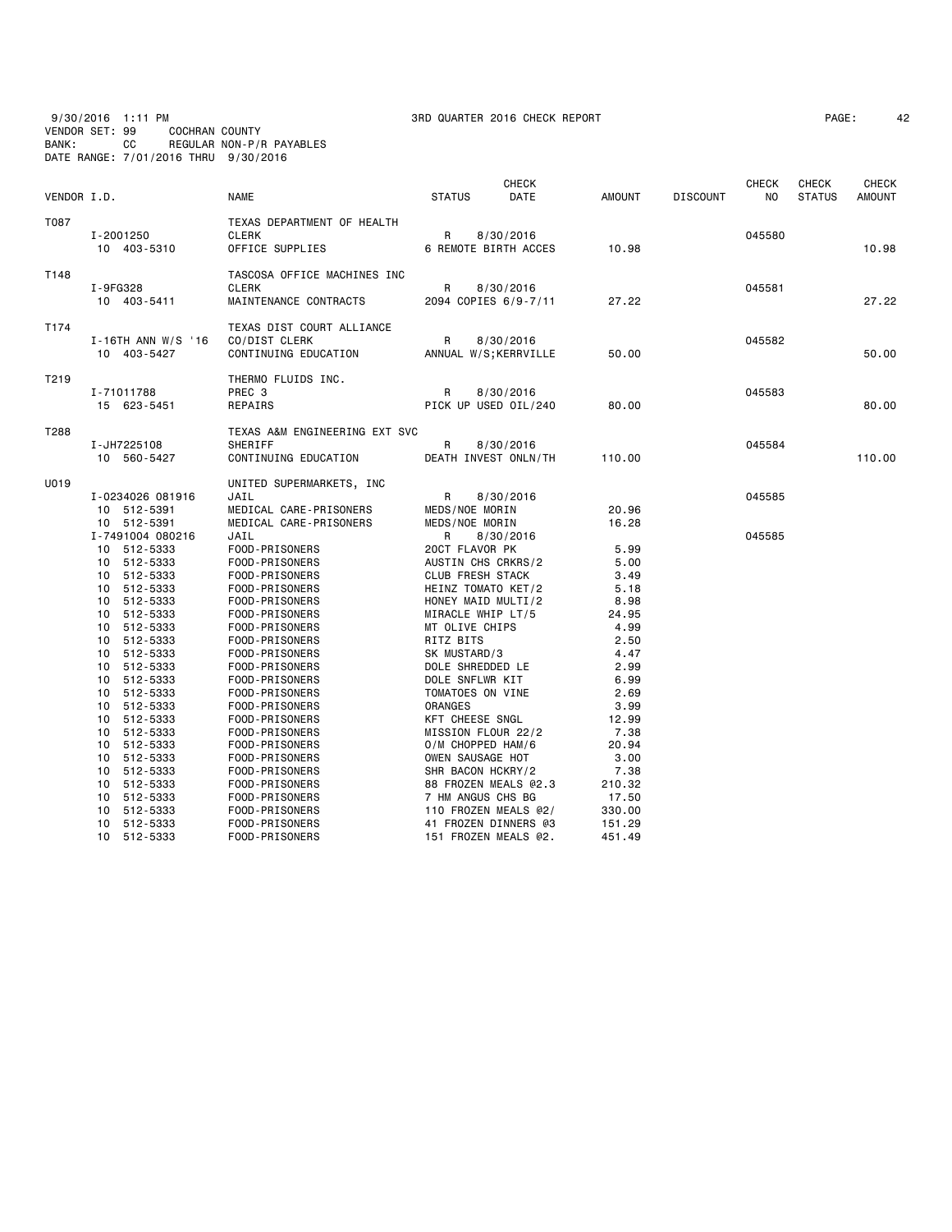9/30/2016 1:11 PM 3RD QUARTER 2016 CHECK REPORT PAGE: 42 VENDOR SET: 99 COCHRAN COUNTY BANK: CC REGULAR NON-P/R PAYABLES DATE RANGE: 7/01/2016 THRU 9/30/2016

| VENDOR I.D. |                                                                      | <b>NAME</b>                                                                          | <b>CHECK</b><br>DATE<br><b>STATUS</b>                                                     | AMOUNT                              | <b>DISCOUNT</b> | <b>CHECK</b><br>N <sub>0</sub> | <b>CHECK</b><br><b>STATUS</b> | <b>CHECK</b><br><b>AMOUNT</b> |
|-------------|----------------------------------------------------------------------|--------------------------------------------------------------------------------------|-------------------------------------------------------------------------------------------|-------------------------------------|-----------------|--------------------------------|-------------------------------|-------------------------------|
| T087        | I-2001250<br>10 403-5310                                             | TEXAS DEPARTMENT OF HEALTH<br><b>CLERK</b><br>OFFICE SUPPLIES                        | R<br>8/30/2016<br>6 REMOTE BIRTH ACCES                                                    | 10.98                               |                 | 045580                         |                               | 10.98                         |
| T148        | I-9FG328<br>10 403-5411                                              | TASCOSA OFFICE MACHINES INC<br><b>CLERK</b><br>MAINTENANCE CONTRACTS                 | R<br>8/30/2016<br>2094 COPIES 6/9-7/11                                                    | 27.22                               |                 | 045581                         |                               | 27.22                         |
| T174        | $I-16TH$ ANN W/S '16<br>10 403-5427                                  | TEXAS DIST COURT ALLIANCE<br>CO/DIST CLERK<br>CONTINUING EDUCATION                   | R<br>8/30/2016<br>ANNUAL W/S; KERRVILLE                                                   | 50.00                               |                 | 045582                         |                               | 50.00                         |
| T219        | I-71011788<br>15 623-5451                                            | THERMO FLUIDS INC.<br>PREC 3<br>REPAIRS                                              | R<br>8/30/2016<br>PICK UP USED OIL/240                                                    | 80.00                               |                 | 045583                         |                               | 80,00                         |
| T288        | I-JH7225108<br>10 560-5427                                           | TEXAS A&M ENGINEERING EXT SVC<br>SHERIFF<br>CONTINUING EDUCATION                     | R<br>8/30/2016<br>DEATH INVEST ONLN/TH                                                    | 110.00                              |                 | 045584                         |                               | 110.00                        |
| U019        | I-0234026 081916<br>10 512-5391<br>10 512-5391                       | UNITED SUPERMARKETS, INC<br>JAIL<br>MEDICAL CARE-PRISONERS<br>MEDICAL CARE-PRISONERS | R<br>8/30/2016<br>MEDS/NOE MORIN<br>MEDS/NOE MORIN                                        | 20.96<br>16.28                      |                 | 045585                         |                               |                               |
|             | I-7491004 080216<br>10 512-5333<br>10 512-5333<br>10 512-5333        | JAIL<br>FOOD-PRISONERS<br>FOOD-PRISONERS<br>FOOD-PRISONERS                           | R<br>8/30/2016<br>20CT FLAVOR PK<br>AUSTIN CHS CRKRS/2<br><b>CLUB FRESH STACK</b>         | 5.99<br>5.00<br>3.49                |                 | 045585                         |                               |                               |
|             | 10 512-5333<br>10 512-5333<br>10 512-5333<br>512-5333<br>10          | FOOD-PRISONERS<br>FOOD-PRISONERS<br>FOOD-PRISONERS<br>FOOD-PRISONERS                 | HEINZ TOMATO KET/2<br>HONEY MAID MULTI/2<br>MIRACLE WHIP LT/5<br>MT OLIVE CHIPS           | 5.18<br>8.98<br>24.95<br>4.99       |                 |                                |                               |                               |
|             | 512-5333<br>10<br>10<br>512-5333<br>512-5333<br>10<br>10 512-5333    | FOOD-PRISONERS<br>FOOD-PRISONERS<br>FOOD-PRISONERS<br>FOOD-PRISONERS                 | RITZ BITS<br>SK MUSTARD/3<br>DOLE SHREDDED LE<br>DOLE SNFLWR KIT                          | 2.50<br>4.47<br>2.99<br>6.99        |                 |                                |                               |                               |
|             | 512-5333<br>10<br>512-5333<br>10<br>512-5333<br>10<br>512-5333<br>10 | FOOD-PRISONERS<br>FOOD-PRISONERS<br>FOOD-PRISONERS<br>FOOD-PRISONERS                 | TOMATOES ON VINE<br><b>ORANGES</b><br>KFT CHEESE SNGL<br>MISSION FLOUR 22/2               | 2.69<br>3.99<br>12.99<br>7.38       |                 |                                |                               |                               |
|             | 512-5333<br>10<br>512-5333<br>10<br>512-5333<br>10<br>512-5333<br>10 | FOOD-PRISONERS<br>FOOD-PRISONERS<br>FOOD-PRISONERS<br>FOOD-PRISONERS                 | O/M CHOPPED HAM/6<br>OWEN SAUSAGE HOT<br>SHR BACON HCKRY/2<br>88 FROZEN MEALS @2.3        | 20.94<br>3.00<br>7.38<br>210.32     |                 |                                |                               |                               |
|             | 10 512-5333<br>512-5333<br>10<br>10 512-5333<br>10 512-5333          | FOOD-PRISONERS<br>FOOD-PRISONERS<br>FOOD-PRISONERS<br>FOOD-PRISONERS                 | 7 HM ANGUS CHS BG<br>110 FROZEN MEALS @2/<br>41 FROZEN DINNERS @3<br>151 FROZEN MEALS @2. | 17.50<br>330.00<br>151.29<br>451.49 |                 |                                |                               |                               |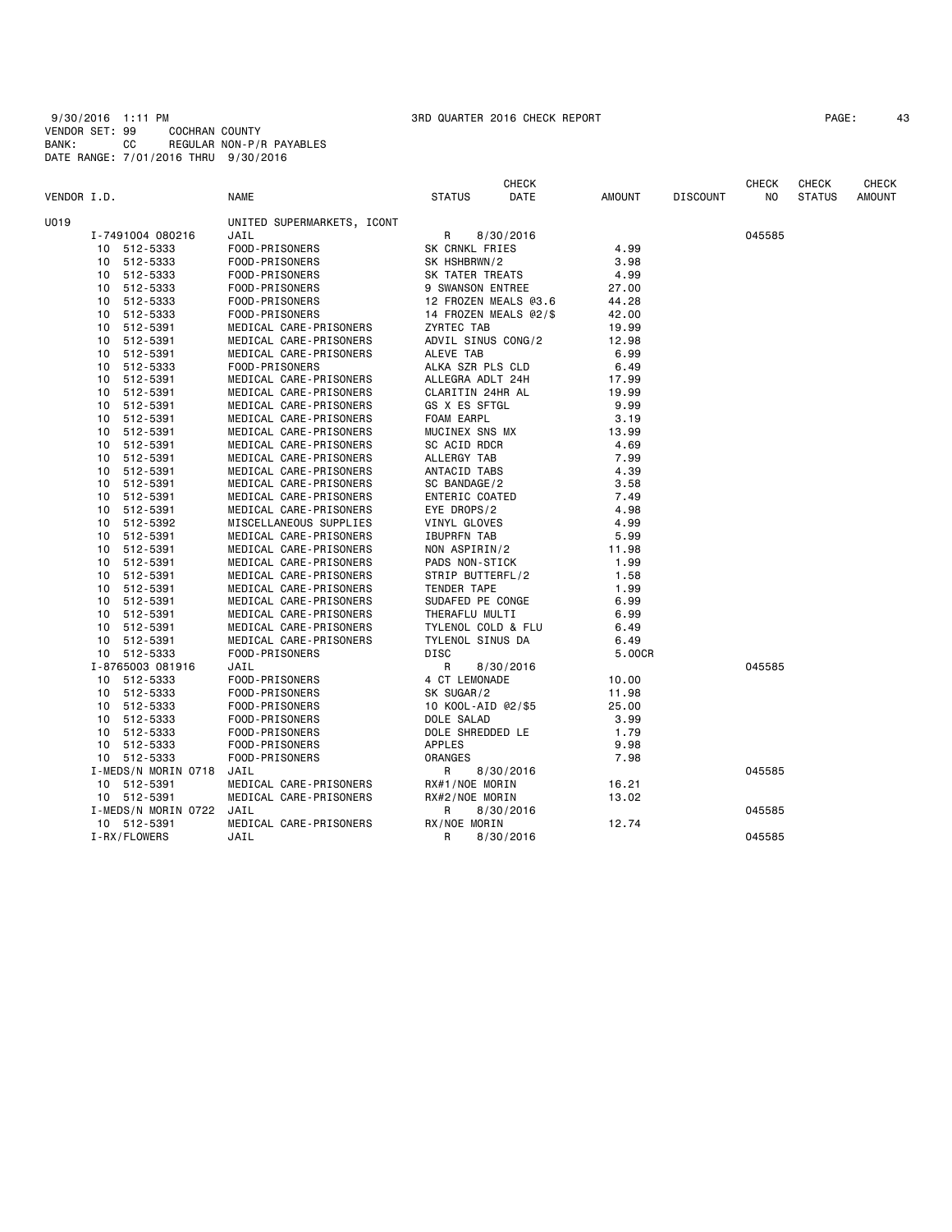| PAGE: |  |
|-------|--|
|       |  |

|             |    |                     |                            |                       | <b>CHECK</b> |               |                 | <b>CHECK</b> | <b>CHECK</b>  | <b>CHECK</b>  |
|-------------|----|---------------------|----------------------------|-----------------------|--------------|---------------|-----------------|--------------|---------------|---------------|
| VENDOR I.D. |    |                     | <b>NAME</b>                | <b>STATUS</b>         | DATE         | <b>AMOUNT</b> | <b>DISCOUNT</b> | NO.          | <b>STATUS</b> | <b>AMOUNT</b> |
| U019        |    |                     | UNITED SUPERMARKETS, ICONT |                       |              |               |                 |              |               |               |
|             |    | I-7491004 080216    | JAIL                       | R                     | 8/30/2016    |               |                 | 045585       |               |               |
|             |    | 10 512-5333         | FOOD-PRISONERS             | SK CRNKL FRIES        |              | 4.99          |                 |              |               |               |
|             |    | 10 512-5333         | FOOD-PRISONERS             | SK HSHBRWN/2          |              | 3.98          |                 |              |               |               |
|             |    | 10 512-5333         | FOOD-PRISONERS             | SK TATER TREATS       |              | 4.99          |                 |              |               |               |
|             |    | 10 512-5333         | FOOD-PRISONERS             | 9 SWANSON ENTREE      |              | 27.00         |                 |              |               |               |
|             |    | 10 512-5333         | FOOD-PRISONERS             | 12 FROZEN MEALS @3.6  |              | 44.28         |                 |              |               |               |
|             | 10 | 512-5333            | FOOD-PRISONERS             | 14 FROZEN MEALS @2/\$ |              | 42.00         |                 |              |               |               |
|             |    | 10 512-5391         | MEDICAL CARE-PRISONERS     | ZYRTEC TAB            |              | 19.99         |                 |              |               |               |
|             |    | 10 512-5391         | MEDICAL CARE-PRISONERS     | ADVIL SINUS CONG/2    |              | 12.98         |                 |              |               |               |
|             |    | 10 512-5391         | MEDICAL CARE-PRISONERS     | ALEVE TAB             |              | 6.99          |                 |              |               |               |
|             |    | 10 512-5333         | FOOD-PRISONERS             | ALKA SZR PLS CLD      |              | 6.49          |                 |              |               |               |
|             |    | 10 512-5391         | MEDICAL CARE-PRISONERS     | ALLEGRA ADLT 24H      |              | 17.99         |                 |              |               |               |
|             |    | 10 512-5391         | MEDICAL CARE-PRISONERS     | CLARITIN 24HR AL      |              | 19.99         |                 |              |               |               |
|             |    | 10 512-5391         | MEDICAL CARE-PRISONERS     | GS X ES SFTGL         |              | 9.99          |                 |              |               |               |
|             |    | 10 512-5391         | MEDICAL CARE-PRISONERS     | FOAM EARPL            |              | 3.19          |                 |              |               |               |
|             |    | 10 512-5391         | MEDICAL CARE-PRISONERS     | MUCINEX SNS MX        |              | 13.99         |                 |              |               |               |
|             |    | 10 512-5391         | MEDICAL CARE-PRISONERS     | SC ACID RDCR          |              | 4.69          |                 |              |               |               |
|             |    | 10 512-5391         | MEDICAL CARE-PRISONERS     | ALLERGY TAB           |              | 7.99          |                 |              |               |               |
|             |    | 10 512-5391         | MEDICAL CARE-PRISONERS     | ANTACID TABS          |              | 4.39          |                 |              |               |               |
|             |    | 10 512-5391         | MEDICAL CARE-PRISONERS     | SC BANDAGE/2          |              | 3.58          |                 |              |               |               |
|             | 10 | 512-5391            | MEDICAL CARE-PRISONERS     | ENTERIC COATED        |              | 7.49          |                 |              |               |               |
|             |    | 10 512-5391         | MEDICAL CARE-PRISONERS     | EYE DROPS/2           |              | 4.98          |                 |              |               |               |
|             |    | 10 512-5392         | MISCELLANEOUS SUPPLIES     | VINYL GLOVES          |              | 4.99          |                 |              |               |               |
|             |    | 10 512-5391         | MEDICAL CARE-PRISONERS     | <b>IBUPRFN TAB</b>    |              | 5.99          |                 |              |               |               |
|             |    | 10 512-5391         | MEDICAL CARE-PRISONERS     | NON ASPIRIN/2         |              | 11.98         |                 |              |               |               |
|             |    | 10 512-5391         | MEDICAL CARE-PRISONERS     | PADS NON-STICK        |              | 1.99          |                 |              |               |               |
|             |    | 10 512-5391         | MEDICAL CARE-PRISONERS     | STRIP BUTTERFL/2      |              | 1.58          |                 |              |               |               |
|             |    | 10 512-5391         | MEDICAL CARE-PRISONERS     | TENDER TAPE           |              | 1.99          |                 |              |               |               |
|             |    | 10 512-5391         | MEDICAL CARE-PRISONERS     | SUDAFED PE CONGE      |              | 6.99          |                 |              |               |               |
|             |    | 10 512-5391         | MEDICAL CARE-PRISONERS     | THERAFLU MULTI        |              | 6.99          |                 |              |               |               |
|             |    | 10 512-5391         | MEDICAL CARE-PRISONERS     | TYLENOL COLD & FLU    |              | 6.49          |                 |              |               |               |
|             |    | 10 512-5391         | MEDICAL CARE-PRISONERS     | TYLENOL SINUS DA      |              | 6.49          |                 |              |               |               |
|             |    | 10 512-5333         | FOOD-PRISONERS             | DISC                  |              | 5.00CR        |                 |              |               |               |
|             |    | I-8765003 081916    | JAIL                       | R                     | 8/30/2016    |               |                 | 045585       |               |               |
|             |    | 10 512-5333         | FOOD-PRISONERS             | 4 CT LEMONADE         |              | 10.00         |                 |              |               |               |
|             |    | 10 512-5333         | FOOD-PRISONERS             | SK SUGAR/2            |              | 11.98         |                 |              |               |               |
|             |    | 10 512-5333         | FOOD-PRISONERS             | 10 KOOL-AID @2/\$5    |              | 25.00         |                 |              |               |               |
|             |    | 10 512-5333         | FOOD-PRISONERS             | DOLE SALAD            |              | 3.99          |                 |              |               |               |
|             |    | 10 512-5333         | FOOD-PRISONERS             | DOLE SHREDDED LE      |              | 1.79          |                 |              |               |               |
|             |    | 10 512-5333         | FOOD-PRISONERS             | APPLES                |              | 9.98          |                 |              |               |               |
|             |    | 10 512-5333         | FOOD-PRISONERS             | ORANGES               |              | 7.98          |                 |              |               |               |
|             |    | I-MEDS/N MORIN 0718 | JAIL                       | R                     | 8/30/2016    |               |                 | 045585       |               |               |
|             |    | 10 512-5391         | MEDICAL CARE-PRISONERS     | RX#1/NOE MORIN        |              | 16.21         |                 |              |               |               |
|             |    | 10 512-5391         | MEDICAL CARE-PRISONERS     | RX#2/NOE MORIN        |              | 13.02         |                 |              |               |               |
|             |    | I-MEDS/N MORIN 0722 | JAIL                       | R                     | 8/30/2016    |               |                 | 045585       |               |               |
|             |    | 10 512-5391         | MEDICAL CARE-PRISONERS     | RX/NOE MORIN          |              | 12.74         |                 |              |               |               |
|             |    | I-RX/FLOWERS        | JAIL                       | R                     | 8/30/2016    |               |                 | 045585       |               |               |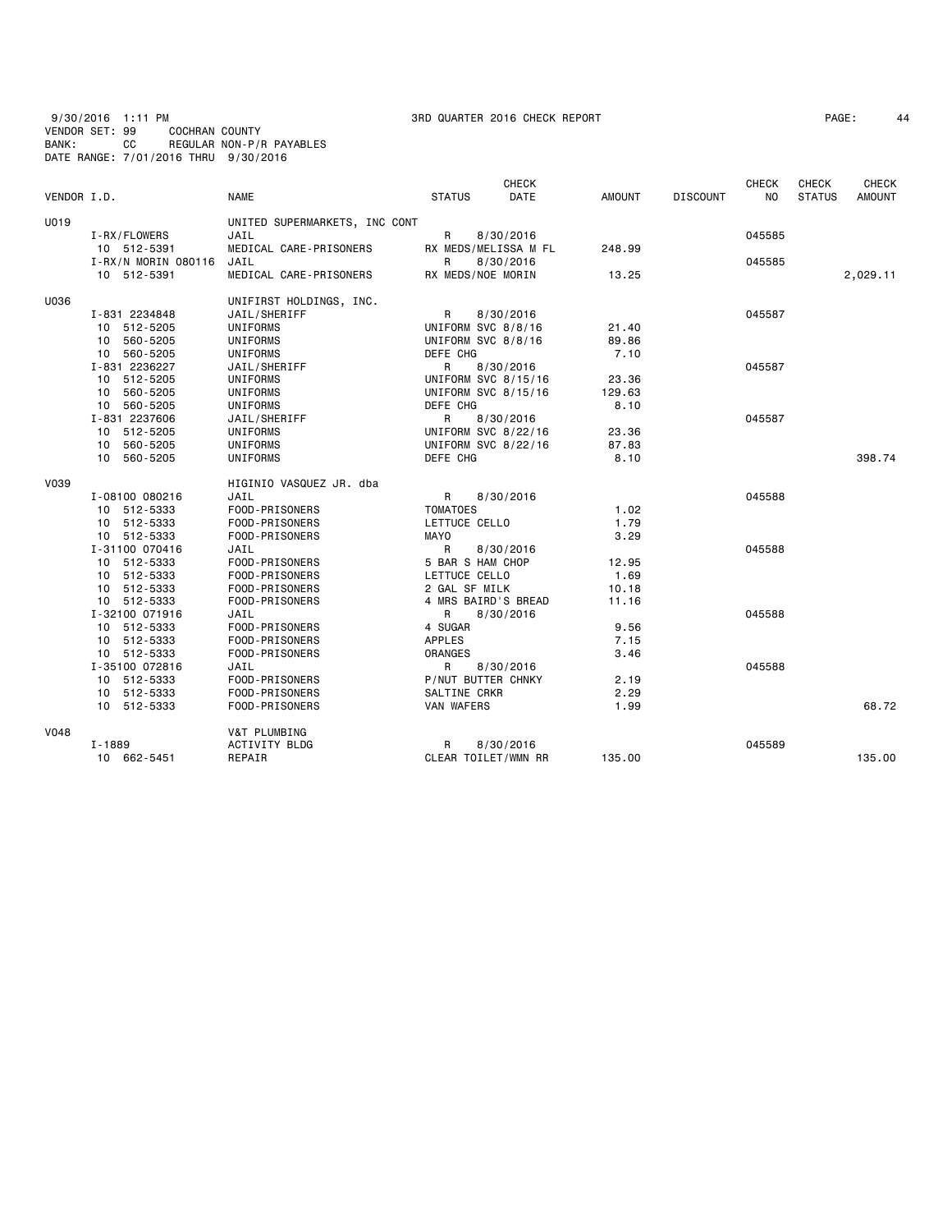9/30/2016 1:11 PM 3RD QUARTER 2016 CHECK REPORT PAGE: 44 VENDOR SET: 99 COCHRAN COUNTY BANK: CC REGULAR NON-P/R PAYABLES DATE RANGE: 7/01/2016 THRU 9/30/2016

| PAGE : |
|--------|
|--------|

|             |                     |                               |                     | <b>CHECK</b>         |               |                 | <b>CHECK</b>   | <b>CHECK</b>  | <b>CHECK</b>  |
|-------------|---------------------|-------------------------------|---------------------|----------------------|---------------|-----------------|----------------|---------------|---------------|
| VENDOR I.D. |                     | <b>NAME</b>                   | <b>STATUS</b>       | DATE                 | <b>AMOUNT</b> | <b>DISCOUNT</b> | N <sub>O</sub> | <b>STATUS</b> | <b>AMOUNT</b> |
| U019        |                     | UNITED SUPERMARKETS, INC CONT |                     |                      |               |                 |                |               |               |
|             | I-RX/FLOWERS        | JAIL                          | R                   | 8/30/2016            |               |                 | 045585         |               |               |
|             | 10 512-5391         | MEDICAL CARE-PRISONERS        |                     | RX MEDS/MELISSA M FL | 248.99        |                 |                |               |               |
|             | I-RX/N MORIN 080116 | JAIL                          | R                   | 8/30/2016            |               |                 | 045585         |               |               |
|             | 10 512-5391         | MEDICAL CARE-PRISONERS        | RX MEDS/NOE MORIN   |                      | 13.25         |                 |                |               | 2,029.11      |
| U036        |                     | UNIFIRST HOLDINGS, INC.       |                     |                      |               |                 |                |               |               |
|             | I-831 2234848       | JAIL/SHERIFF                  | R                   | 8/30/2016            |               |                 | 045587         |               |               |
|             | 10 512-5205         | UNIFORMS                      | UNIFORM SVC 8/8/16  |                      | 21.40         |                 |                |               |               |
|             | 10 560-5205         | UNIFORMS                      | UNIFORM SVC 8/8/16  |                      | 89.86         |                 |                |               |               |
|             | 10 560-5205         | UNIFORMS                      | DEFE CHG            |                      | 7.10          |                 |                |               |               |
|             | I-831 2236227       | JAIL/SHERIFF                  | R                   | 8/30/2016            |               |                 | 045587         |               |               |
|             | 10 512-5205         | UNIFORMS                      | UNIFORM SVC 8/15/16 |                      | 23.36         |                 |                |               |               |
|             | 10 560-5205         | UNIFORMS                      | UNIFORM SVC 8/15/16 |                      | 129.63        |                 |                |               |               |
|             | 10 560-5205         | UNIFORMS                      | DEFE CHG            |                      | 8.10          |                 |                |               |               |
|             | I-831 2237606       | JAIL/SHERIFF                  | R                   | 8/30/2016            |               |                 | 045587         |               |               |
|             | 10 512-5205         | UNIFORMS                      | UNIFORM SVC 8/22/16 |                      | 23.36         |                 |                |               |               |
|             | 10 560-5205         | UNIFORMS                      | UNIFORM SVC 8/22/16 |                      | 87.83         |                 |                |               |               |
|             | 10 560-5205         | UNIFORMS                      | DEFE CHG            |                      | 8.10          |                 |                |               | 398.74        |
|             |                     |                               |                     |                      |               |                 |                |               |               |
| V039        |                     | HIGINIO VASQUEZ JR. dba       |                     |                      |               |                 |                |               |               |
|             | I-08100 080216      | JAIL                          | R                   | 8/30/2016            |               |                 | 045588         |               |               |
|             | 10 512-5333         | FOOD-PRISONERS                | <b>TOMATOES</b>     |                      | 1.02          |                 |                |               |               |
|             | 10 512-5333         | FOOD-PRISONERS                | LETTUCE CELLO       |                      | 1.79          |                 |                |               |               |
|             | 10 512-5333         | FOOD-PRISONERS                | <b>MAYO</b>         |                      | 3.29          |                 |                |               |               |
|             | I-31100 070416      | JAIL                          | R                   | 8/30/2016            |               |                 | 045588         |               |               |
|             | 10 512-5333         | FOOD-PRISONERS                | 5 BAR S HAM CHOP    |                      | 12.95         |                 |                |               |               |
|             | 10 512-5333         | FOOD-PRISONERS                | LETTUCE CELLO       |                      | 1.69          |                 |                |               |               |
|             | 10 512-5333         | FOOD-PRISONERS                | 2 GAL SF MILK       |                      | 10.18         |                 |                |               |               |
|             | 10 512-5333         | FOOD-PRISONERS                | 4 MRS BAIRD'S BREAD |                      | 11.16         |                 |                |               |               |
|             | I-32100 071916      | JAIL                          | R                   | 8/30/2016            |               |                 | 045588         |               |               |
|             | 10 512-5333         | FOOD-PRISONERS                | 4 SUGAR             |                      | 9.56          |                 |                |               |               |
|             | 10 512-5333         | FOOD-PRISONERS                | APPLES              |                      | 7.15          |                 |                |               |               |
|             | 10 512-5333         | FOOD-PRISONERS                | ORANGES             |                      | 3.46          |                 |                |               |               |
|             | I-35100 072816      | JAIL                          | R                   | 8/30/2016            |               |                 | 045588         |               |               |
|             | 10 512-5333         | FOOD-PRISONERS                | P/NUT BUTTER CHNKY  |                      | 2.19          |                 |                |               |               |
|             | 10 512-5333         | FOOD-PRISONERS                | SALTINE CRKR        |                      | 2.29          |                 |                |               |               |
|             | 10 512-5333         | FOOD-PRISONERS                | VAN WAFERS          |                      | 1.99          |                 |                |               | 68.72         |
|             |                     |                               |                     |                      |               |                 |                |               |               |
| <b>V048</b> |                     | V&T PLUMBING                  |                     |                      |               |                 |                |               |               |
|             | $I - 1889$          | <b>ACTIVITY BLDG</b>          | R                   | 8/30/2016            |               |                 | 045589         |               |               |
|             | 10 662-5451         | REPAIR                        | CLEAR TOILET/WMN RR |                      | 135.00        |                 |                |               | 135.00        |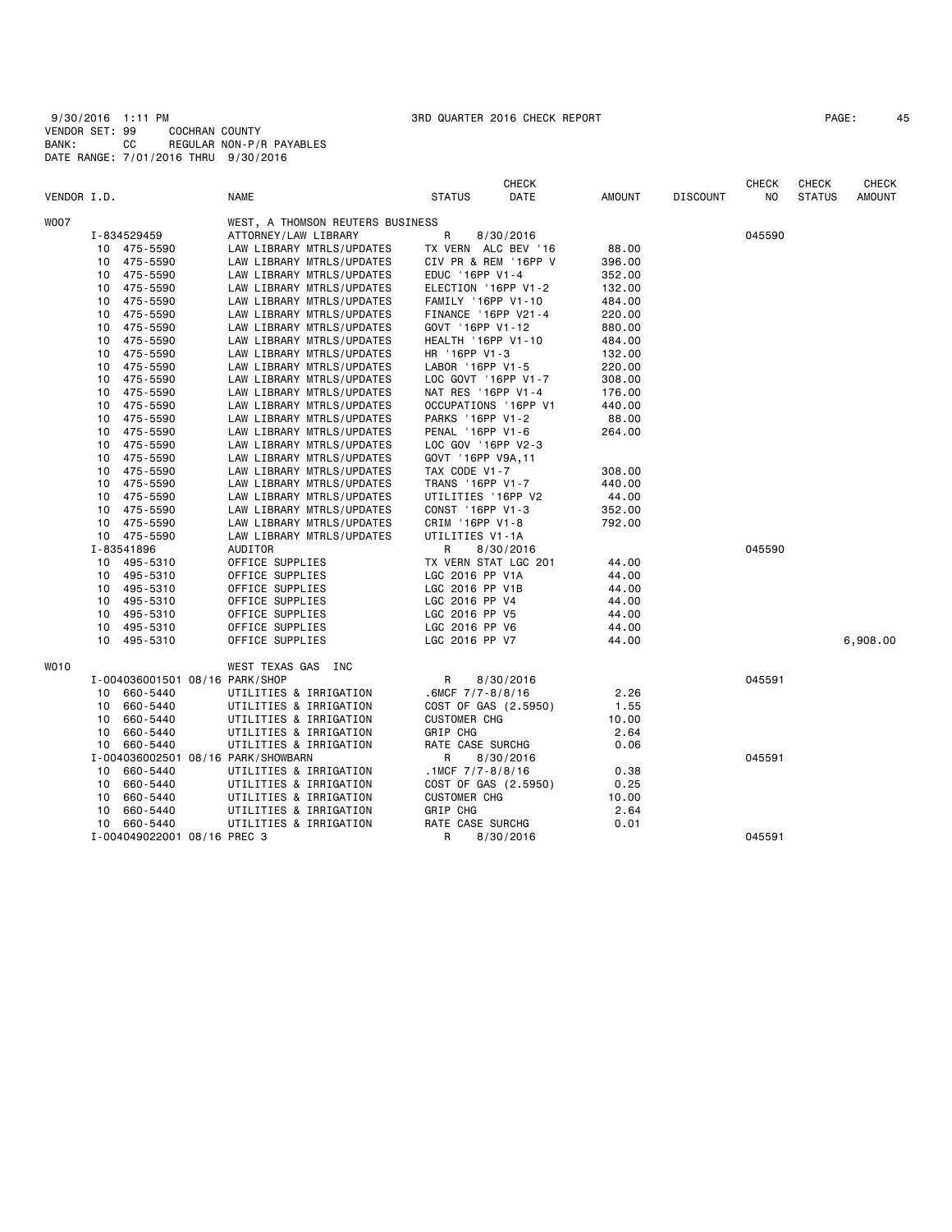| PAGE: | 4 |
|-------|---|
|-------|---|

| VENDOR I.D. |    |                                | <b>NAME</b>                        | <b>STATUS</b>             | <b>CHECK</b><br>DATE | AMOUNT | <b>DISCOUNT</b> | <b>CHECK</b><br>NO | <b>CHECK</b><br><b>STATUS</b> | <b>CHECK</b><br><b>AMOUNT</b> |
|-------------|----|--------------------------------|------------------------------------|---------------------------|----------------------|--------|-----------------|--------------------|-------------------------------|-------------------------------|
|             |    |                                |                                    |                           |                      |        |                 |                    |                               |                               |
| W007        |    |                                | WEST, A THOMSON REUTERS BUSINESS   |                           |                      |        |                 |                    |                               |                               |
|             |    | I-834529459                    | ATTORNEY/LAW LIBRARY               | R                         | 8/30/2016            |        |                 | 045590             |                               |                               |
|             |    | 10 475-5590                    | LAW LIBRARY MTRLS/UPDATES          |                           | TX VERN ALC BEV '16  | 88.00  |                 |                    |                               |                               |
|             | 10 | 475-5590                       | LAW LIBRARY MTRLS/UPDATES          |                           | CIV PR & REM '16PP V | 396.00 |                 |                    |                               |                               |
|             | 10 | 475-5590                       | LAW LIBRARY MTRLS/UPDATES          | EDUC '16PP V1-4           |                      | 352.00 |                 |                    |                               |                               |
|             |    | 10 475-5590                    | LAW LIBRARY MTRLS/UPDATES          | ELECTION '16PP V1-2       |                      | 132.00 |                 |                    |                               |                               |
|             | 10 | 475-5590                       | LAW LIBRARY MTRLS/UPDATES          | FAMILY '16PP V1-10        |                      | 484.00 |                 |                    |                               |                               |
|             | 10 | 475-5590                       | LAW LIBRARY MTRLS/UPDATES          | FINANCE '16PP V21-4       |                      | 220.00 |                 |                    |                               |                               |
|             | 10 | 475-5590                       | LAW LIBRARY MTRLS/UPDATES          | GOVT '16PP V1-12          |                      | 880.00 |                 |                    |                               |                               |
|             | 10 | 475-5590                       | LAW LIBRARY MTRLS/UPDATES          | <b>HEALTH '16PP V1-10</b> |                      | 484.00 |                 |                    |                               |                               |
|             | 10 | 475-5590                       | LAW LIBRARY MTRLS/UPDATES          | HR '16PP V1-3             |                      | 132.00 |                 |                    |                               |                               |
|             | 10 | 475-5590                       | LAW LIBRARY MTRLS/UPDATES          | LABOR '16PP V1-5          |                      | 220.00 |                 |                    |                               |                               |
|             | 10 | 475-5590                       | LAW LIBRARY MTRLS/UPDATES          | LOC GOVT '16PP V1-7       |                      | 308.00 |                 |                    |                               |                               |
|             | 10 | 475-5590                       | LAW LIBRARY MTRLS/UPDATES          | NAT RES '16PP V1-4        |                      | 176.00 |                 |                    |                               |                               |
|             | 10 | 475-5590                       | LAW LIBRARY MTRLS/UPDATES          |                           | OCCUPATIONS '16PP V1 | 440.00 |                 |                    |                               |                               |
|             | 10 | 475-5590                       | LAW LIBRARY MTRLS/UPDATES          | PARKS '16PP V1-2          |                      | 88.00  |                 |                    |                               |                               |
|             | 10 | 475-5590                       | LAW LIBRARY MTRLS/UPDATES          | PENAL '16PP V1-6          |                      | 264.00 |                 |                    |                               |                               |
|             | 10 | 475-5590                       | LAW LIBRARY MTRLS/UPDATES          | LOC GOV '16PP V2-3        |                      |        |                 |                    |                               |                               |
|             | 10 | 475-5590                       | LAW LIBRARY MTRLS/UPDATES          | GOVT '16PP V9A, 11        |                      |        |                 |                    |                               |                               |
|             | 10 | 475-5590                       | LAW LIBRARY MTRLS/UPDATES          | TAX CODE V1-7             |                      | 308.00 |                 |                    |                               |                               |
|             | 10 | 475-5590                       | LAW LIBRARY MTRLS/UPDATES          | TRANS '16PP V1-7          |                      | 440.00 |                 |                    |                               |                               |
|             | 10 | 475-5590                       | LAW LIBRARY MTRLS/UPDATES          | UTILITIES '16PP V2        |                      | 44.00  |                 |                    |                               |                               |
|             | 10 | 475-5590                       | LAW LIBRARY MTRLS/UPDATES          | CONST '16PP V1-3          |                      | 352.00 |                 |                    |                               |                               |
|             | 10 | 475-5590                       | LAW LIBRARY MTRLS/UPDATES          | CRIM '16PP V1-8           |                      | 792.00 |                 |                    |                               |                               |
|             |    | 10 475-5590                    | LAW LIBRARY MTRLS/UPDATES          | UTILITIES V1-1A           |                      |        |                 |                    |                               |                               |
|             |    | I-83541896                     | AUDITOR                            | R                         | 8/30/2016            |        |                 | 045590             |                               |                               |
|             |    | 10 495-5310                    | OFFICE SUPPLIES                    |                           | TX VERN STAT LGC 201 | 44.00  |                 |                    |                               |                               |
|             | 10 | 495-5310                       | OFFICE SUPPLIES                    | LGC 2016 PP V1A           |                      | 44.00  |                 |                    |                               |                               |
|             |    | 10 495-5310                    | OFFICE SUPPLIES                    | LGC 2016 PP V1B           |                      | 44.00  |                 |                    |                               |                               |
|             | 10 | 495-5310                       | OFFICE SUPPLIES                    | LGC 2016 PP V4            |                      | 44.00  |                 |                    |                               |                               |
|             | 10 | 495-5310                       | OFFICE SUPPLIES                    | LGC 2016 PP V5            |                      | 44.00  |                 |                    |                               |                               |
|             | 10 | 495-5310                       | OFFICE SUPPLIES                    | LGC 2016 PP V6            |                      | 44.00  |                 |                    |                               |                               |
|             |    | 10 495-5310                    | OFFICE SUPPLIES                    | LGC 2016 PP V7            |                      | 44.00  |                 |                    |                               | 6,908.00                      |
| WO10        |    |                                | WEST TEXAS GAS INC                 |                           |                      |        |                 |                    |                               |                               |
|             |    | I-004036001501 08/16 PARK/SHOP |                                    | R                         | 8/30/2016            |        |                 | 045591             |                               |                               |
|             |    | 10 660-5440                    | UTILITIES & IRRIGATION             | $.6MCF$ $7/7 - 8/8/16$    |                      | 2.26   |                 |                    |                               |                               |
|             | 10 | 660-5440                       | UTILITIES & IRRIGATION             |                           | COST OF GAS (2.5950) | 1.55   |                 |                    |                               |                               |
|             | 10 | 660-5440                       | UTILITIES & IRRIGATION             | <b>CUSTOMER CHG</b>       |                      | 10.00  |                 |                    |                               |                               |
|             | 10 | 660-5440                       | UTILITIES & IRRIGATION             | GRIP CHG                  |                      | 2.64   |                 |                    |                               |                               |
|             | 10 | 660-5440                       | UTILITIES & IRRIGATION             | RATE CASE SURCHG          |                      | 0.06   |                 |                    |                               |                               |
|             |    |                                | I-004036002501 08/16 PARK/SHOWBARN | R                         | 8/30/2016            |        |                 | 045591             |                               |                               |
|             |    | 10 660-5440                    | UTILITIES & IRRIGATION             | .1MCF $7/7 - 8/8/16$      |                      | 0.38   |                 |                    |                               |                               |
|             | 10 | 660-5440                       | UTILITIES & IRRIGATION             |                           | COST OF GAS (2.5950) | 0.25   |                 |                    |                               |                               |
|             | 10 | 660-5440                       | UTILITIES & IRRIGATION             | <b>CUSTOMER CHG</b>       |                      | 10.00  |                 |                    |                               |                               |
|             | 10 | 660-5440                       | UTILITIES & IRRIGATION             | GRIP CHG                  |                      | 2.64   |                 |                    |                               |                               |
|             |    | 10 660-5440                    | UTILITIES & IRRIGATION             | RATE CASE SURCHG          |                      | 0.01   |                 |                    |                               |                               |
|             |    | I-004049022001 08/16 PREC 3    |                                    | R                         | 8/30/2016            |        |                 | 045591             |                               |                               |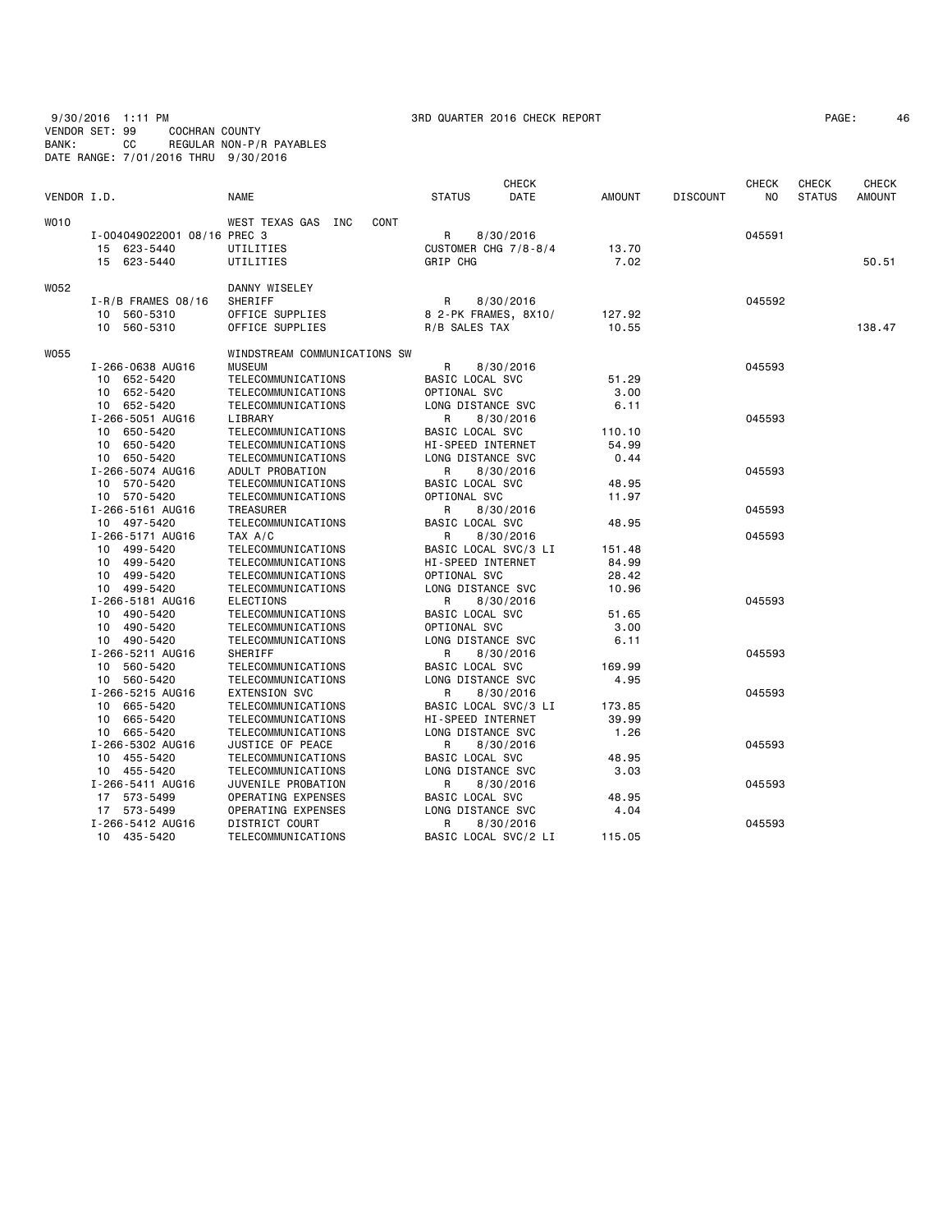9/30/2016 1:11 PM 3RD QUARTER 2016 CHECK REPORT PAGE: 46 VENDOR SET: 99 COCHRAN COUNTY BANK: CC REGULAR NON-P/R PAYABLES DATE RANGE: 7/01/2016 THRU 9/30/2016

| PAGE: |  | $\overline{\mathbf{A}}$ |
|-------|--|-------------------------|
|-------|--|-------------------------|

|             |                             |                                   |                      | <b>CHECK</b> |               |                 | <b>CHECK</b> | <b>CHECK</b>  | CHECK         |
|-------------|-----------------------------|-----------------------------------|----------------------|--------------|---------------|-----------------|--------------|---------------|---------------|
| VENDOR I.D. |                             | <b>NAME</b>                       | <b>STATUS</b>        | DATE         | <b>AMOUNT</b> | <b>DISCOUNT</b> | NO.          | <b>STATUS</b> | <b>AMOUNT</b> |
| WO10        |                             | WEST TEXAS GAS INC<br><b>CONT</b> |                      |              |               |                 |              |               |               |
|             | I-004049022001 08/16 PREC 3 |                                   | R                    | 8/30/2016    |               |                 | 045591       |               |               |
|             | 15 623-5440                 | UTILITIES                         | CUSTOMER CHG 7/8-8/4 |              | 13.70         |                 |              |               |               |
|             | 15 623-5440                 | UTILITIES                         | GRIP CHG             |              | 7.02          |                 |              |               | 50.51         |
| W052        |                             | DANNY WISELEY                     |                      |              |               |                 |              |               |               |
|             | $I - R/B$ FRAMES 08/16      | SHERIFF                           | R                    | 8/30/2016    |               |                 | 045592       |               |               |
|             | 10 560-5310                 | OFFICE SUPPLIES                   | 8 2-PK FRAMES, 8X10/ |              | 127.92        |                 |              |               |               |
|             | 10 560-5310                 | OFFICE SUPPLIES                   | R/B SALES TAX        |              | 10.55         |                 |              |               | 138.47        |
| <b>W055</b> |                             | WINDSTREAM COMMUNICATIONS SW      |                      |              |               |                 |              |               |               |
|             | I-266-0638 AUG16            | <b>MUSEUM</b>                     | R                    | 8/30/2016    |               |                 | 045593       |               |               |
|             | 10 652-5420                 | TELECOMMUNICATIONS                | BASIC LOCAL SVC      |              | 51.29         |                 |              |               |               |
|             | 10 652-5420                 | TELECOMMUNICATIONS                | OPTIONAL SVC         |              | 3.00          |                 |              |               |               |
|             | 10 652-5420                 | TELECOMMUNICATIONS                | LONG DISTANCE SVC    |              | 6.11          |                 |              |               |               |
|             | I-266-5051 AUG16            | LIBRARY                           | R                    | 8/30/2016    |               |                 | 045593       |               |               |
|             | 10 650-5420                 | TELECOMMUNICATIONS                | BASIC LOCAL SVC      |              | 110.10        |                 |              |               |               |
|             | 10 650-5420                 | TELECOMMUNICATIONS                | HI-SPEED INTERNET    |              | 54.99         |                 |              |               |               |
|             | 10 650-5420                 | TELECOMMUNICATIONS                | LONG DISTANCE SVC    |              | 0.44          |                 |              |               |               |
|             | I-266-5074 AUG16            | ADULT PROBATION                   | R                    | 8/30/2016    |               |                 | 045593       |               |               |
|             | 10 570-5420                 | TELECOMMUNICATIONS                | BASIC LOCAL SVC      |              | 48.95         |                 |              |               |               |
|             | 10 570-5420                 | TELECOMMUNICATIONS                | OPTIONAL SVC         |              | 11.97         |                 |              |               |               |
|             | I-266-5161 AUG16            | <b>TREASURER</b>                  | R                    | 8/30/2016    |               |                 | 045593       |               |               |
|             | 10 497-5420                 | TELECOMMUNICATIONS                | BASIC LOCAL SVC      |              | 48.95         |                 |              |               |               |
|             | I-266-5171 AUG16            | TAX A/C                           | R                    | 8/30/2016    |               |                 | 045593       |               |               |
|             | 10 499-5420                 | TELECOMMUNICATIONS                | BASIC LOCAL SVC/3 LI |              | 151.48        |                 |              |               |               |
|             | 10 499-5420                 | TELECOMMUNICATIONS                | HI-SPEED INTERNET    |              | 84.99         |                 |              |               |               |
|             | 10 499-5420                 | TELECOMMUNICATIONS                | OPTIONAL SVC         |              | 28.42         |                 |              |               |               |
|             | 10 499-5420                 | TELECOMMUNICATIONS                | LONG DISTANCE SVC    |              | 10.96         |                 |              |               |               |
|             | I-266-5181 AUG16            | <b>ELECTIONS</b>                  | R                    | 8/30/2016    |               |                 | 045593       |               |               |
|             | 10 490-5420                 | TELECOMMUNICATIONS                | BASIC LOCAL SVC      |              | 51.65         |                 |              |               |               |
|             | 10 490-5420                 | TELECOMMUNICATIONS                | OPTIONAL SVC         |              | 3.00          |                 |              |               |               |
|             | 10 490-5420                 | TELECOMMUNICATIONS                | LONG DISTANCE SVC    |              | 6.11          |                 |              |               |               |
|             | I-266-5211 AUG16            | SHERIFF                           | R                    | 8/30/2016    |               |                 | 045593       |               |               |
|             | 10 560-5420                 | TELECOMMUNICATIONS                | BASIC LOCAL SVC      |              | 169.99        |                 |              |               |               |
|             | 10 560-5420                 | TELECOMMUNICATIONS                | LONG DISTANCE SVC    |              | 4.95          |                 |              |               |               |
|             | I-266-5215 AUG16            | <b>EXTENSION SVC</b>              | R                    | 8/30/2016    |               |                 | 045593       |               |               |
|             | 10 665-5420                 | TELECOMMUNICATIONS                | BASIC LOCAL SVC/3 LI |              | 173.85        |                 |              |               |               |
|             | 10 665-5420                 | TELECOMMUNICATIONS                | HI-SPEED INTERNET    |              | 39.99         |                 |              |               |               |
|             | 10 665-5420                 | TELECOMMUNICATIONS                | LONG DISTANCE SVC    |              | 1.26          |                 |              |               |               |
|             | I-266-5302 AUG16            | JUSTICE OF PEACE                  | R                    | 8/30/2016    |               |                 | 045593       |               |               |
|             | 10 455-5420                 | TELECOMMUNICATIONS                | BASIC LOCAL SVC      |              | 48.95         |                 |              |               |               |
|             | 10 455-5420                 | TELECOMMUNICATIONS                | LONG DISTANCE SVC    |              | 3.03          |                 |              |               |               |
|             | I-266-5411 AUG16            | JUVENILE PROBATION                | R                    | 8/30/2016    |               |                 | 045593       |               |               |
|             | 17 573-5499                 | OPERATING EXPENSES                | BASIC LOCAL SVC      |              | 48.95         |                 |              |               |               |
|             | 17 573-5499                 | OPERATING EXPENSES                | LONG DISTANCE SVC    |              | 4.04          |                 |              |               |               |
|             | I-266-5412 AUG16            | DISTRICT COURT                    | R                    | 8/30/2016    |               |                 | 045593       |               |               |
|             | 10 435-5420                 | TELECOMMUNICATIONS                | BASIC LOCAL SVC/2 LI |              | 115.05        |                 |              |               |               |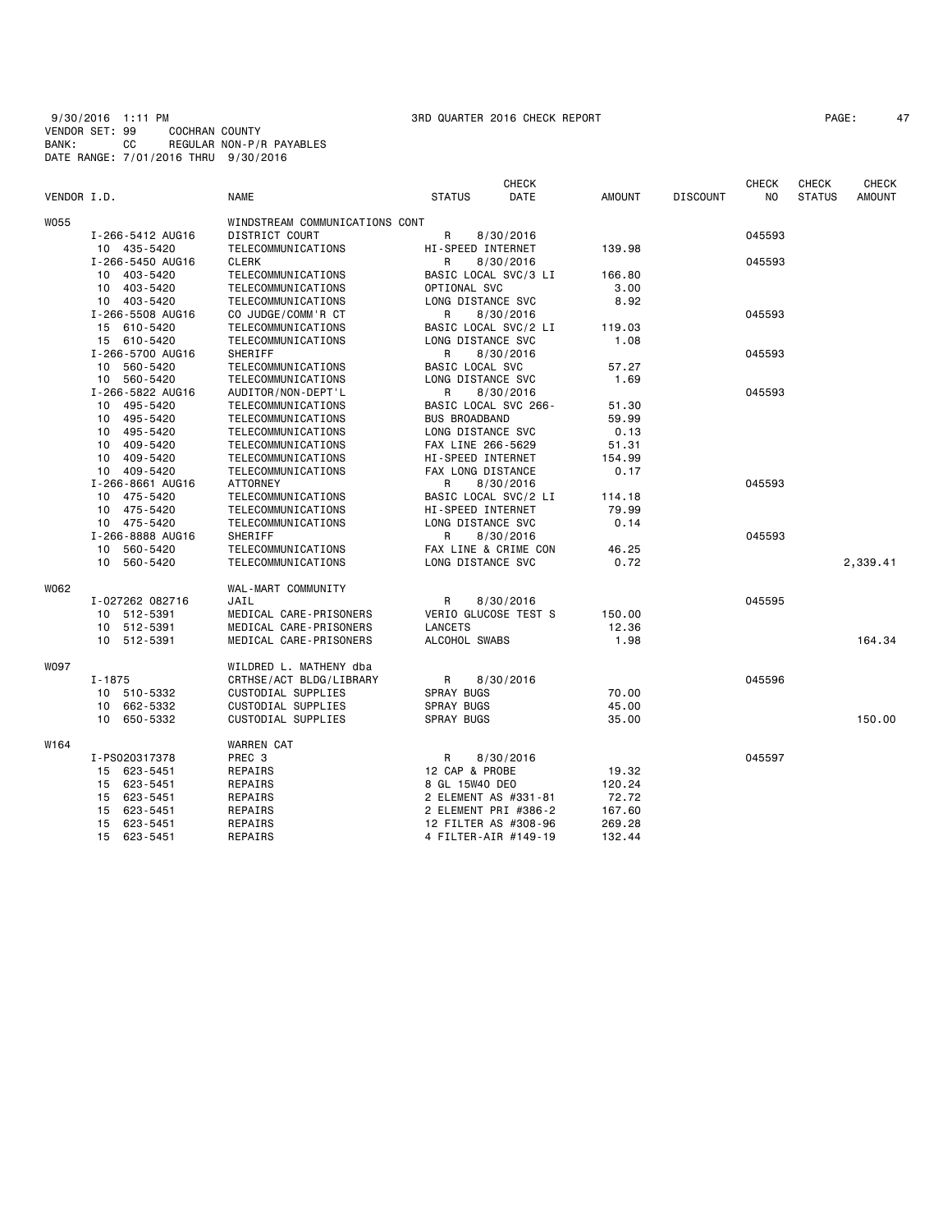9/30/2016 1:11 PM 3RD QUARTER 2016 CHECK REPORT PAGE: 47 VENDOR SET: 99 COCHRAN COUNTY BANK: CC REGULAR NON-P/R PAYABLES DATE RANGE: 7/01/2016 THRU 9/30/2016

| PAGE: |
|-------|
|-------|

| VENDOR I.D.<br><b>NAME</b><br><b>STATUS</b><br>DATE<br><b>AMOUNT</b><br><b>DISCOUNT</b><br>NO<br><b>STATUS</b><br><b>AMOUNT</b><br><b>W055</b><br>WINDSTREAM COMMUNICATIONS CONT<br>DISTRICT COURT<br>R<br>I-266-5412 AUG16<br>045593<br>8/30/2016<br>10 435-5420<br>TELECOMMUNICATIONS<br>HI-SPEED INTERNET<br>139.98<br>I-266-5450 AUG16<br><b>CLERK</b><br>R<br>8/30/2016<br>045593<br>403-5420<br>TELECOMMUNICATIONS<br>BASIC LOCAL SVC/3 LI<br>166.80<br>10<br>403-5420<br>OPTIONAL SVC<br>TELECOMMUNICATIONS<br>3.00<br>10<br>LONG DISTANCE SVC<br>8.92<br>403-5420<br>TELECOMMUNICATIONS<br>10<br>I-266-5508 AUG16<br>R<br>045593<br>CO JUDGE/COMM'R CT<br>8/30/2016<br>15 610-5420<br>BASIC LOCAL SVC/2 LI<br>119.03<br>TELECOMMUNICATIONS<br>15 610-5420<br>TELECOMMUNICATIONS<br>LONG DISTANCE SVC<br>1.08<br>I-266-5700 AUG16<br>R<br>8/30/2016<br>045593<br>SHERIFF<br>10 560-5420<br>TELECOMMUNICATIONS<br>BASIC LOCAL SVC<br>57.27<br>10 560-5420<br>LONG DISTANCE SVC<br>1.69<br>TELECOMMUNICATIONS<br>I-266-5822 AUG16<br>045593<br>AUDITOR/NON-DEPT'L<br>R<br>8/30/2016<br>495-5420<br>TELECOMMUNICATIONS<br>BASIC LOCAL SVC 266-<br>51.30<br>10<br>495-5420<br><b>BUS BROADBAND</b><br>59.99<br>10<br>TELECOMMUNICATIONS<br>495-5420<br>TELECOMMUNICATIONS<br>LONG DISTANCE SVC<br>0.13<br>10<br>409-5420<br>FAX LINE 266-5629<br>51.31<br>10<br>TELECOMMUNICATIONS<br>10<br>409-5420<br>TELECOMMUNICATIONS<br>HI-SPEED INTERNET<br>154.99<br>409-5420<br>FAX LONG DISTANCE<br>0.17<br>10<br>TELECOMMUNICATIONS<br>I-266-8661 AUG16<br><b>ATTORNEY</b><br>R<br>8/30/2016<br>045593<br>475-5420<br>TELECOMMUNICATIONS<br>BASIC LOCAL SVC/2 LI<br>10<br>114.18<br>10 475-5420<br>HI-SPEED INTERNET<br>TELECOMMUNICATIONS<br>79.99<br>10 475-5420<br>LONG DISTANCE SVC<br>TELECOMMUNICATIONS<br>0.14<br>I-266-8888 AUG16<br>SHERIFF<br>045593<br>R<br>8/30/2016<br>560-5420<br>TELECOMMUNICATIONS<br>FAX LINE & CRIME CON<br>46.25<br>10<br>10 560-5420<br>LONG DISTANCE SVC<br>0.72<br>2,339.41<br>TELECOMMUNICATIONS<br>W062<br>WAL-MART COMMUNITY<br>R<br>045595<br>I-027262 082716<br>JAIL<br>8/30/2016<br>VERIO GLUCOSE TEST S<br>10<br>512-5391<br>MEDICAL CARE-PRISONERS<br>150.00<br>10 512-5391<br><b>LANCETS</b><br>MEDICAL CARE-PRISONERS<br>12.36<br>10 512-5391<br>MEDICAL CARE-PRISONERS<br>ALCOHOL SWABS<br>1.98<br>164.34<br>W097<br>WILDRED L. MATHENY dba<br>R<br>045596<br>$I - 1875$<br>CRTHSE/ACT BLDG/LIBRARY<br>8/30/2016<br><b>SPRAY BUGS</b><br>70.00<br>510-5332<br>CUSTODIAL SUPPLIES<br>10<br>662-5332<br>CUSTODIAL SUPPLIES<br><b>SPRAY BUGS</b><br>45.00<br>10<br>650-5332<br>CUSTODIAL SUPPLIES<br><b>SPRAY BUGS</b><br>150.00<br>10<br>35.00<br>W164<br><b>WARREN CAT</b><br>I-PS020317378<br>PREC 3<br>R<br>8/30/2016<br>045597<br>12 CAP & PROBE<br>623-5451<br>REPAIRS<br>19.32<br>15<br>623-5451<br>8 GL 15W40 DEO<br>120.24<br>15<br>REPAIRS<br>623-5451<br>REPAIRS<br>2 ELEMENT AS #331-81<br>72.72<br>15<br>623-5451<br>REPAIRS<br>2 ELEMENT PRI #386-2<br>167.60<br>15<br>12 FILTER AS #308-96<br>623-5451<br>REPAIRS<br>269.28<br>15<br>15<br>623-5451<br>REPAIRS<br>4 FILTER-AIR #149-19<br>132.44 |  |  | <b>CHECK</b> |  | <b>CHECK</b> | <b>CHECK</b> | <b>CHECK</b> |
|-------------------------------------------------------------------------------------------------------------------------------------------------------------------------------------------------------------------------------------------------------------------------------------------------------------------------------------------------------------------------------------------------------------------------------------------------------------------------------------------------------------------------------------------------------------------------------------------------------------------------------------------------------------------------------------------------------------------------------------------------------------------------------------------------------------------------------------------------------------------------------------------------------------------------------------------------------------------------------------------------------------------------------------------------------------------------------------------------------------------------------------------------------------------------------------------------------------------------------------------------------------------------------------------------------------------------------------------------------------------------------------------------------------------------------------------------------------------------------------------------------------------------------------------------------------------------------------------------------------------------------------------------------------------------------------------------------------------------------------------------------------------------------------------------------------------------------------------------------------------------------------------------------------------------------------------------------------------------------------------------------------------------------------------------------------------------------------------------------------------------------------------------------------------------------------------------------------------------------------------------------------------------------------------------------------------------------------------------------------------------------------------------------------------------------------------------------------------------------------------------------------------------------------------------------------------------------------------------------------------------------------------------------------------------------------------------------------------------------------------------------------------------------------------------------------------------------------------------------------------------------------------------------------------------------------------------------------------------------------------------------------------------------------------------------------------------------------------------------------------------------------------------------------|--|--|--------------|--|--------------|--------------|--------------|
|                                                                                                                                                                                                                                                                                                                                                                                                                                                                                                                                                                                                                                                                                                                                                                                                                                                                                                                                                                                                                                                                                                                                                                                                                                                                                                                                                                                                                                                                                                                                                                                                                                                                                                                                                                                                                                                                                                                                                                                                                                                                                                                                                                                                                                                                                                                                                                                                                                                                                                                                                                                                                                                                                                                                                                                                                                                                                                                                                                                                                                                                                                                                                             |  |  |              |  |              |              |              |
|                                                                                                                                                                                                                                                                                                                                                                                                                                                                                                                                                                                                                                                                                                                                                                                                                                                                                                                                                                                                                                                                                                                                                                                                                                                                                                                                                                                                                                                                                                                                                                                                                                                                                                                                                                                                                                                                                                                                                                                                                                                                                                                                                                                                                                                                                                                                                                                                                                                                                                                                                                                                                                                                                                                                                                                                                                                                                                                                                                                                                                                                                                                                                             |  |  |              |  |              |              |              |
|                                                                                                                                                                                                                                                                                                                                                                                                                                                                                                                                                                                                                                                                                                                                                                                                                                                                                                                                                                                                                                                                                                                                                                                                                                                                                                                                                                                                                                                                                                                                                                                                                                                                                                                                                                                                                                                                                                                                                                                                                                                                                                                                                                                                                                                                                                                                                                                                                                                                                                                                                                                                                                                                                                                                                                                                                                                                                                                                                                                                                                                                                                                                                             |  |  |              |  |              |              |              |
|                                                                                                                                                                                                                                                                                                                                                                                                                                                                                                                                                                                                                                                                                                                                                                                                                                                                                                                                                                                                                                                                                                                                                                                                                                                                                                                                                                                                                                                                                                                                                                                                                                                                                                                                                                                                                                                                                                                                                                                                                                                                                                                                                                                                                                                                                                                                                                                                                                                                                                                                                                                                                                                                                                                                                                                                                                                                                                                                                                                                                                                                                                                                                             |  |  |              |  |              |              |              |
|                                                                                                                                                                                                                                                                                                                                                                                                                                                                                                                                                                                                                                                                                                                                                                                                                                                                                                                                                                                                                                                                                                                                                                                                                                                                                                                                                                                                                                                                                                                                                                                                                                                                                                                                                                                                                                                                                                                                                                                                                                                                                                                                                                                                                                                                                                                                                                                                                                                                                                                                                                                                                                                                                                                                                                                                                                                                                                                                                                                                                                                                                                                                                             |  |  |              |  |              |              |              |
|                                                                                                                                                                                                                                                                                                                                                                                                                                                                                                                                                                                                                                                                                                                                                                                                                                                                                                                                                                                                                                                                                                                                                                                                                                                                                                                                                                                                                                                                                                                                                                                                                                                                                                                                                                                                                                                                                                                                                                                                                                                                                                                                                                                                                                                                                                                                                                                                                                                                                                                                                                                                                                                                                                                                                                                                                                                                                                                                                                                                                                                                                                                                                             |  |  |              |  |              |              |              |
|                                                                                                                                                                                                                                                                                                                                                                                                                                                                                                                                                                                                                                                                                                                                                                                                                                                                                                                                                                                                                                                                                                                                                                                                                                                                                                                                                                                                                                                                                                                                                                                                                                                                                                                                                                                                                                                                                                                                                                                                                                                                                                                                                                                                                                                                                                                                                                                                                                                                                                                                                                                                                                                                                                                                                                                                                                                                                                                                                                                                                                                                                                                                                             |  |  |              |  |              |              |              |
|                                                                                                                                                                                                                                                                                                                                                                                                                                                                                                                                                                                                                                                                                                                                                                                                                                                                                                                                                                                                                                                                                                                                                                                                                                                                                                                                                                                                                                                                                                                                                                                                                                                                                                                                                                                                                                                                                                                                                                                                                                                                                                                                                                                                                                                                                                                                                                                                                                                                                                                                                                                                                                                                                                                                                                                                                                                                                                                                                                                                                                                                                                                                                             |  |  |              |  |              |              |              |
|                                                                                                                                                                                                                                                                                                                                                                                                                                                                                                                                                                                                                                                                                                                                                                                                                                                                                                                                                                                                                                                                                                                                                                                                                                                                                                                                                                                                                                                                                                                                                                                                                                                                                                                                                                                                                                                                                                                                                                                                                                                                                                                                                                                                                                                                                                                                                                                                                                                                                                                                                                                                                                                                                                                                                                                                                                                                                                                                                                                                                                                                                                                                                             |  |  |              |  |              |              |              |
|                                                                                                                                                                                                                                                                                                                                                                                                                                                                                                                                                                                                                                                                                                                                                                                                                                                                                                                                                                                                                                                                                                                                                                                                                                                                                                                                                                                                                                                                                                                                                                                                                                                                                                                                                                                                                                                                                                                                                                                                                                                                                                                                                                                                                                                                                                                                                                                                                                                                                                                                                                                                                                                                                                                                                                                                                                                                                                                                                                                                                                                                                                                                                             |  |  |              |  |              |              |              |
|                                                                                                                                                                                                                                                                                                                                                                                                                                                                                                                                                                                                                                                                                                                                                                                                                                                                                                                                                                                                                                                                                                                                                                                                                                                                                                                                                                                                                                                                                                                                                                                                                                                                                                                                                                                                                                                                                                                                                                                                                                                                                                                                                                                                                                                                                                                                                                                                                                                                                                                                                                                                                                                                                                                                                                                                                                                                                                                                                                                                                                                                                                                                                             |  |  |              |  |              |              |              |
|                                                                                                                                                                                                                                                                                                                                                                                                                                                                                                                                                                                                                                                                                                                                                                                                                                                                                                                                                                                                                                                                                                                                                                                                                                                                                                                                                                                                                                                                                                                                                                                                                                                                                                                                                                                                                                                                                                                                                                                                                                                                                                                                                                                                                                                                                                                                                                                                                                                                                                                                                                                                                                                                                                                                                                                                                                                                                                                                                                                                                                                                                                                                                             |  |  |              |  |              |              |              |
|                                                                                                                                                                                                                                                                                                                                                                                                                                                                                                                                                                                                                                                                                                                                                                                                                                                                                                                                                                                                                                                                                                                                                                                                                                                                                                                                                                                                                                                                                                                                                                                                                                                                                                                                                                                                                                                                                                                                                                                                                                                                                                                                                                                                                                                                                                                                                                                                                                                                                                                                                                                                                                                                                                                                                                                                                                                                                                                                                                                                                                                                                                                                                             |  |  |              |  |              |              |              |
|                                                                                                                                                                                                                                                                                                                                                                                                                                                                                                                                                                                                                                                                                                                                                                                                                                                                                                                                                                                                                                                                                                                                                                                                                                                                                                                                                                                                                                                                                                                                                                                                                                                                                                                                                                                                                                                                                                                                                                                                                                                                                                                                                                                                                                                                                                                                                                                                                                                                                                                                                                                                                                                                                                                                                                                                                                                                                                                                                                                                                                                                                                                                                             |  |  |              |  |              |              |              |
|                                                                                                                                                                                                                                                                                                                                                                                                                                                                                                                                                                                                                                                                                                                                                                                                                                                                                                                                                                                                                                                                                                                                                                                                                                                                                                                                                                                                                                                                                                                                                                                                                                                                                                                                                                                                                                                                                                                                                                                                                                                                                                                                                                                                                                                                                                                                                                                                                                                                                                                                                                                                                                                                                                                                                                                                                                                                                                                                                                                                                                                                                                                                                             |  |  |              |  |              |              |              |
|                                                                                                                                                                                                                                                                                                                                                                                                                                                                                                                                                                                                                                                                                                                                                                                                                                                                                                                                                                                                                                                                                                                                                                                                                                                                                                                                                                                                                                                                                                                                                                                                                                                                                                                                                                                                                                                                                                                                                                                                                                                                                                                                                                                                                                                                                                                                                                                                                                                                                                                                                                                                                                                                                                                                                                                                                                                                                                                                                                                                                                                                                                                                                             |  |  |              |  |              |              |              |
|                                                                                                                                                                                                                                                                                                                                                                                                                                                                                                                                                                                                                                                                                                                                                                                                                                                                                                                                                                                                                                                                                                                                                                                                                                                                                                                                                                                                                                                                                                                                                                                                                                                                                                                                                                                                                                                                                                                                                                                                                                                                                                                                                                                                                                                                                                                                                                                                                                                                                                                                                                                                                                                                                                                                                                                                                                                                                                                                                                                                                                                                                                                                                             |  |  |              |  |              |              |              |
|                                                                                                                                                                                                                                                                                                                                                                                                                                                                                                                                                                                                                                                                                                                                                                                                                                                                                                                                                                                                                                                                                                                                                                                                                                                                                                                                                                                                                                                                                                                                                                                                                                                                                                                                                                                                                                                                                                                                                                                                                                                                                                                                                                                                                                                                                                                                                                                                                                                                                                                                                                                                                                                                                                                                                                                                                                                                                                                                                                                                                                                                                                                                                             |  |  |              |  |              |              |              |
|                                                                                                                                                                                                                                                                                                                                                                                                                                                                                                                                                                                                                                                                                                                                                                                                                                                                                                                                                                                                                                                                                                                                                                                                                                                                                                                                                                                                                                                                                                                                                                                                                                                                                                                                                                                                                                                                                                                                                                                                                                                                                                                                                                                                                                                                                                                                                                                                                                                                                                                                                                                                                                                                                                                                                                                                                                                                                                                                                                                                                                                                                                                                                             |  |  |              |  |              |              |              |
|                                                                                                                                                                                                                                                                                                                                                                                                                                                                                                                                                                                                                                                                                                                                                                                                                                                                                                                                                                                                                                                                                                                                                                                                                                                                                                                                                                                                                                                                                                                                                                                                                                                                                                                                                                                                                                                                                                                                                                                                                                                                                                                                                                                                                                                                                                                                                                                                                                                                                                                                                                                                                                                                                                                                                                                                                                                                                                                                                                                                                                                                                                                                                             |  |  |              |  |              |              |              |
|                                                                                                                                                                                                                                                                                                                                                                                                                                                                                                                                                                                                                                                                                                                                                                                                                                                                                                                                                                                                                                                                                                                                                                                                                                                                                                                                                                                                                                                                                                                                                                                                                                                                                                                                                                                                                                                                                                                                                                                                                                                                                                                                                                                                                                                                                                                                                                                                                                                                                                                                                                                                                                                                                                                                                                                                                                                                                                                                                                                                                                                                                                                                                             |  |  |              |  |              |              |              |
|                                                                                                                                                                                                                                                                                                                                                                                                                                                                                                                                                                                                                                                                                                                                                                                                                                                                                                                                                                                                                                                                                                                                                                                                                                                                                                                                                                                                                                                                                                                                                                                                                                                                                                                                                                                                                                                                                                                                                                                                                                                                                                                                                                                                                                                                                                                                                                                                                                                                                                                                                                                                                                                                                                                                                                                                                                                                                                                                                                                                                                                                                                                                                             |  |  |              |  |              |              |              |
|                                                                                                                                                                                                                                                                                                                                                                                                                                                                                                                                                                                                                                                                                                                                                                                                                                                                                                                                                                                                                                                                                                                                                                                                                                                                                                                                                                                                                                                                                                                                                                                                                                                                                                                                                                                                                                                                                                                                                                                                                                                                                                                                                                                                                                                                                                                                                                                                                                                                                                                                                                                                                                                                                                                                                                                                                                                                                                                                                                                                                                                                                                                                                             |  |  |              |  |              |              |              |
|                                                                                                                                                                                                                                                                                                                                                                                                                                                                                                                                                                                                                                                                                                                                                                                                                                                                                                                                                                                                                                                                                                                                                                                                                                                                                                                                                                                                                                                                                                                                                                                                                                                                                                                                                                                                                                                                                                                                                                                                                                                                                                                                                                                                                                                                                                                                                                                                                                                                                                                                                                                                                                                                                                                                                                                                                                                                                                                                                                                                                                                                                                                                                             |  |  |              |  |              |              |              |
|                                                                                                                                                                                                                                                                                                                                                                                                                                                                                                                                                                                                                                                                                                                                                                                                                                                                                                                                                                                                                                                                                                                                                                                                                                                                                                                                                                                                                                                                                                                                                                                                                                                                                                                                                                                                                                                                                                                                                                                                                                                                                                                                                                                                                                                                                                                                                                                                                                                                                                                                                                                                                                                                                                                                                                                                                                                                                                                                                                                                                                                                                                                                                             |  |  |              |  |              |              |              |
|                                                                                                                                                                                                                                                                                                                                                                                                                                                                                                                                                                                                                                                                                                                                                                                                                                                                                                                                                                                                                                                                                                                                                                                                                                                                                                                                                                                                                                                                                                                                                                                                                                                                                                                                                                                                                                                                                                                                                                                                                                                                                                                                                                                                                                                                                                                                                                                                                                                                                                                                                                                                                                                                                                                                                                                                                                                                                                                                                                                                                                                                                                                                                             |  |  |              |  |              |              |              |
|                                                                                                                                                                                                                                                                                                                                                                                                                                                                                                                                                                                                                                                                                                                                                                                                                                                                                                                                                                                                                                                                                                                                                                                                                                                                                                                                                                                                                                                                                                                                                                                                                                                                                                                                                                                                                                                                                                                                                                                                                                                                                                                                                                                                                                                                                                                                                                                                                                                                                                                                                                                                                                                                                                                                                                                                                                                                                                                                                                                                                                                                                                                                                             |  |  |              |  |              |              |              |
|                                                                                                                                                                                                                                                                                                                                                                                                                                                                                                                                                                                                                                                                                                                                                                                                                                                                                                                                                                                                                                                                                                                                                                                                                                                                                                                                                                                                                                                                                                                                                                                                                                                                                                                                                                                                                                                                                                                                                                                                                                                                                                                                                                                                                                                                                                                                                                                                                                                                                                                                                                                                                                                                                                                                                                                                                                                                                                                                                                                                                                                                                                                                                             |  |  |              |  |              |              |              |
|                                                                                                                                                                                                                                                                                                                                                                                                                                                                                                                                                                                                                                                                                                                                                                                                                                                                                                                                                                                                                                                                                                                                                                                                                                                                                                                                                                                                                                                                                                                                                                                                                                                                                                                                                                                                                                                                                                                                                                                                                                                                                                                                                                                                                                                                                                                                                                                                                                                                                                                                                                                                                                                                                                                                                                                                                                                                                                                                                                                                                                                                                                                                                             |  |  |              |  |              |              |              |
|                                                                                                                                                                                                                                                                                                                                                                                                                                                                                                                                                                                                                                                                                                                                                                                                                                                                                                                                                                                                                                                                                                                                                                                                                                                                                                                                                                                                                                                                                                                                                                                                                                                                                                                                                                                                                                                                                                                                                                                                                                                                                                                                                                                                                                                                                                                                                                                                                                                                                                                                                                                                                                                                                                                                                                                                                                                                                                                                                                                                                                                                                                                                                             |  |  |              |  |              |              |              |
|                                                                                                                                                                                                                                                                                                                                                                                                                                                                                                                                                                                                                                                                                                                                                                                                                                                                                                                                                                                                                                                                                                                                                                                                                                                                                                                                                                                                                                                                                                                                                                                                                                                                                                                                                                                                                                                                                                                                                                                                                                                                                                                                                                                                                                                                                                                                                                                                                                                                                                                                                                                                                                                                                                                                                                                                                                                                                                                                                                                                                                                                                                                                                             |  |  |              |  |              |              |              |
|                                                                                                                                                                                                                                                                                                                                                                                                                                                                                                                                                                                                                                                                                                                                                                                                                                                                                                                                                                                                                                                                                                                                                                                                                                                                                                                                                                                                                                                                                                                                                                                                                                                                                                                                                                                                                                                                                                                                                                                                                                                                                                                                                                                                                                                                                                                                                                                                                                                                                                                                                                                                                                                                                                                                                                                                                                                                                                                                                                                                                                                                                                                                                             |  |  |              |  |              |              |              |
|                                                                                                                                                                                                                                                                                                                                                                                                                                                                                                                                                                                                                                                                                                                                                                                                                                                                                                                                                                                                                                                                                                                                                                                                                                                                                                                                                                                                                                                                                                                                                                                                                                                                                                                                                                                                                                                                                                                                                                                                                                                                                                                                                                                                                                                                                                                                                                                                                                                                                                                                                                                                                                                                                                                                                                                                                                                                                                                                                                                                                                                                                                                                                             |  |  |              |  |              |              |              |
|                                                                                                                                                                                                                                                                                                                                                                                                                                                                                                                                                                                                                                                                                                                                                                                                                                                                                                                                                                                                                                                                                                                                                                                                                                                                                                                                                                                                                                                                                                                                                                                                                                                                                                                                                                                                                                                                                                                                                                                                                                                                                                                                                                                                                                                                                                                                                                                                                                                                                                                                                                                                                                                                                                                                                                                                                                                                                                                                                                                                                                                                                                                                                             |  |  |              |  |              |              |              |
|                                                                                                                                                                                                                                                                                                                                                                                                                                                                                                                                                                                                                                                                                                                                                                                                                                                                                                                                                                                                                                                                                                                                                                                                                                                                                                                                                                                                                                                                                                                                                                                                                                                                                                                                                                                                                                                                                                                                                                                                                                                                                                                                                                                                                                                                                                                                                                                                                                                                                                                                                                                                                                                                                                                                                                                                                                                                                                                                                                                                                                                                                                                                                             |  |  |              |  |              |              |              |
|                                                                                                                                                                                                                                                                                                                                                                                                                                                                                                                                                                                                                                                                                                                                                                                                                                                                                                                                                                                                                                                                                                                                                                                                                                                                                                                                                                                                                                                                                                                                                                                                                                                                                                                                                                                                                                                                                                                                                                                                                                                                                                                                                                                                                                                                                                                                                                                                                                                                                                                                                                                                                                                                                                                                                                                                                                                                                                                                                                                                                                                                                                                                                             |  |  |              |  |              |              |              |
|                                                                                                                                                                                                                                                                                                                                                                                                                                                                                                                                                                                                                                                                                                                                                                                                                                                                                                                                                                                                                                                                                                                                                                                                                                                                                                                                                                                                                                                                                                                                                                                                                                                                                                                                                                                                                                                                                                                                                                                                                                                                                                                                                                                                                                                                                                                                                                                                                                                                                                                                                                                                                                                                                                                                                                                                                                                                                                                                                                                                                                                                                                                                                             |  |  |              |  |              |              |              |
|                                                                                                                                                                                                                                                                                                                                                                                                                                                                                                                                                                                                                                                                                                                                                                                                                                                                                                                                                                                                                                                                                                                                                                                                                                                                                                                                                                                                                                                                                                                                                                                                                                                                                                                                                                                                                                                                                                                                                                                                                                                                                                                                                                                                                                                                                                                                                                                                                                                                                                                                                                                                                                                                                                                                                                                                                                                                                                                                                                                                                                                                                                                                                             |  |  |              |  |              |              |              |
|                                                                                                                                                                                                                                                                                                                                                                                                                                                                                                                                                                                                                                                                                                                                                                                                                                                                                                                                                                                                                                                                                                                                                                                                                                                                                                                                                                                                                                                                                                                                                                                                                                                                                                                                                                                                                                                                                                                                                                                                                                                                                                                                                                                                                                                                                                                                                                                                                                                                                                                                                                                                                                                                                                                                                                                                                                                                                                                                                                                                                                                                                                                                                             |  |  |              |  |              |              |              |
|                                                                                                                                                                                                                                                                                                                                                                                                                                                                                                                                                                                                                                                                                                                                                                                                                                                                                                                                                                                                                                                                                                                                                                                                                                                                                                                                                                                                                                                                                                                                                                                                                                                                                                                                                                                                                                                                                                                                                                                                                                                                                                                                                                                                                                                                                                                                                                                                                                                                                                                                                                                                                                                                                                                                                                                                                                                                                                                                                                                                                                                                                                                                                             |  |  |              |  |              |              |              |
|                                                                                                                                                                                                                                                                                                                                                                                                                                                                                                                                                                                                                                                                                                                                                                                                                                                                                                                                                                                                                                                                                                                                                                                                                                                                                                                                                                                                                                                                                                                                                                                                                                                                                                                                                                                                                                                                                                                                                                                                                                                                                                                                                                                                                                                                                                                                                                                                                                                                                                                                                                                                                                                                                                                                                                                                                                                                                                                                                                                                                                                                                                                                                             |  |  |              |  |              |              |              |
|                                                                                                                                                                                                                                                                                                                                                                                                                                                                                                                                                                                                                                                                                                                                                                                                                                                                                                                                                                                                                                                                                                                                                                                                                                                                                                                                                                                                                                                                                                                                                                                                                                                                                                                                                                                                                                                                                                                                                                                                                                                                                                                                                                                                                                                                                                                                                                                                                                                                                                                                                                                                                                                                                                                                                                                                                                                                                                                                                                                                                                                                                                                                                             |  |  |              |  |              |              |              |
|                                                                                                                                                                                                                                                                                                                                                                                                                                                                                                                                                                                                                                                                                                                                                                                                                                                                                                                                                                                                                                                                                                                                                                                                                                                                                                                                                                                                                                                                                                                                                                                                                                                                                                                                                                                                                                                                                                                                                                                                                                                                                                                                                                                                                                                                                                                                                                                                                                                                                                                                                                                                                                                                                                                                                                                                                                                                                                                                                                                                                                                                                                                                                             |  |  |              |  |              |              |              |
|                                                                                                                                                                                                                                                                                                                                                                                                                                                                                                                                                                                                                                                                                                                                                                                                                                                                                                                                                                                                                                                                                                                                                                                                                                                                                                                                                                                                                                                                                                                                                                                                                                                                                                                                                                                                                                                                                                                                                                                                                                                                                                                                                                                                                                                                                                                                                                                                                                                                                                                                                                                                                                                                                                                                                                                                                                                                                                                                                                                                                                                                                                                                                             |  |  |              |  |              |              |              |
|                                                                                                                                                                                                                                                                                                                                                                                                                                                                                                                                                                                                                                                                                                                                                                                                                                                                                                                                                                                                                                                                                                                                                                                                                                                                                                                                                                                                                                                                                                                                                                                                                                                                                                                                                                                                                                                                                                                                                                                                                                                                                                                                                                                                                                                                                                                                                                                                                                                                                                                                                                                                                                                                                                                                                                                                                                                                                                                                                                                                                                                                                                                                                             |  |  |              |  |              |              |              |
|                                                                                                                                                                                                                                                                                                                                                                                                                                                                                                                                                                                                                                                                                                                                                                                                                                                                                                                                                                                                                                                                                                                                                                                                                                                                                                                                                                                                                                                                                                                                                                                                                                                                                                                                                                                                                                                                                                                                                                                                                                                                                                                                                                                                                                                                                                                                                                                                                                                                                                                                                                                                                                                                                                                                                                                                                                                                                                                                                                                                                                                                                                                                                             |  |  |              |  |              |              |              |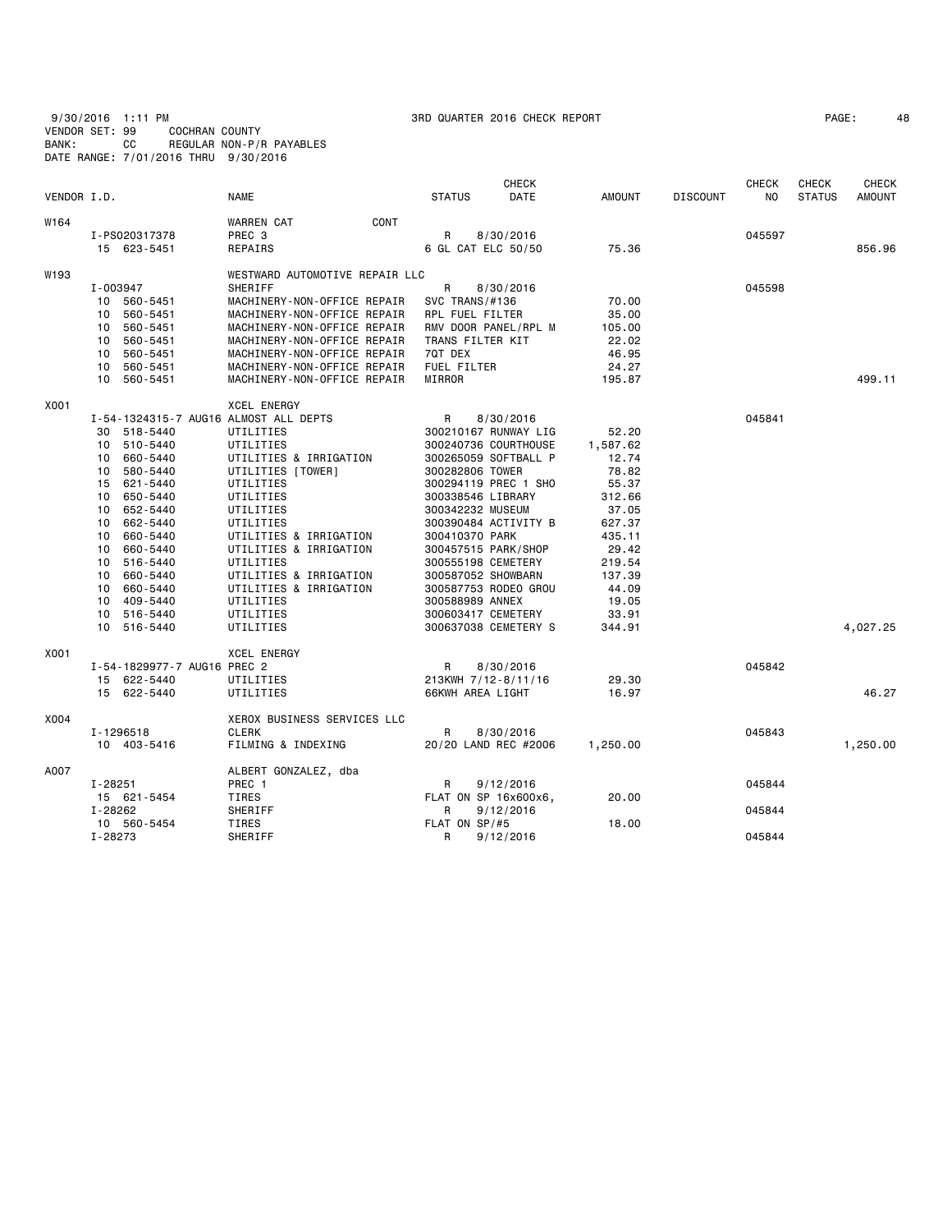9/30/2016 1:11 PM 3RD QUARTER 2016 CHECK REPORT PAGE: 48 VENDOR SET: 99 COCHRAN COUNTY BANK: CC REGULAR NON-P/R PAYABLES DATE RANGE: 7/01/2016 THRU 9/30/2016

| PAGE: |  |
|-------|--|
|-------|--|

| VENDOR I.D. |                                       | <b>NAME</b>                                 | <b>STATUS</b>                                | <b>CHECK</b><br><b>DATE</b> | <b>AMOUNT</b>     | <b>DISCOUNT</b> | <b>CHECK</b><br>NO. | <b>CHECK</b><br><b>STATUS</b> | <b>CHECK</b><br><b>AMOUNT</b> |
|-------------|---------------------------------------|---------------------------------------------|----------------------------------------------|-----------------------------|-------------------|-----------------|---------------------|-------------------------------|-------------------------------|
| W164        |                                       | CONT<br><b>WARREN CAT</b>                   |                                              |                             |                   |                 |                     |                               |                               |
|             | I-PS020317378                         | PREC 3                                      | R                                            | 8/30/2016                   |                   |                 | 045597              |                               |                               |
|             | 15 623-5451                           | REPAIRS                                     | 6 GL CAT ELC 50/50                           |                             | 75.36             |                 |                     |                               | 856.96                        |
| W193        |                                       | WESTWARD AUTOMOTIVE REPAIR LLC              |                                              |                             |                   |                 |                     |                               |                               |
|             | I-003947                              | <b>SHERIFF</b>                              | R                                            | 8/30/2016                   |                   |                 | 045598              |                               |                               |
|             | 10 560-5451                           | MACHINERY-NON-OFFICE REPAIR                 | SVC TRANS/#136                               |                             | 70.00             |                 |                     |                               |                               |
|             | 10 560-5451                           | MACHINERY-NON-OFFICE REPAIR                 | RPL FUEL FILTER                              |                             | 35.00             |                 |                     |                               |                               |
|             | 560-5451<br>10                        | MACHINERY-NON-OFFICE REPAIR                 | RMV DOOR PANEL/RPL M                         |                             | 105.00            |                 |                     |                               |                               |
|             | 10 560-5451                           | MACHINERY-NON-OFFICE REPAIR                 | TRANS FILTER KIT                             |                             | 22.02             |                 |                     |                               |                               |
|             | 10<br>560-5451                        | MACHINERY-NON-OFFICE REPAIR                 | 7QT DEX                                      |                             | 46.95             |                 |                     |                               |                               |
|             | 560-5451<br>10<br>10                  | MACHINERY-NON-OFFICE REPAIR                 | FUEL FILTER                                  |                             | 24.27             |                 |                     |                               |                               |
|             | 560-5451                              | MACHINERY-NON-OFFICE REPAIR                 | MIRROR                                       |                             | 195.87            |                 |                     |                               | 499.11                        |
| X001        |                                       | <b>XCEL ENERGY</b>                          |                                              |                             |                   |                 |                     |                               |                               |
|             | I-54-1324315-7 AUG16 ALMOST ALL DEPTS |                                             | R                                            | 8/30/2016                   |                   |                 | 045841              |                               |                               |
|             | 518-5440<br>30                        | UTILITIES                                   | 300210167 RUNWAY LIG                         |                             | 52.20             |                 |                     |                               |                               |
|             | 10 510-5440<br>660-5440<br>10         | UTILITIES                                   | 300240736 COURTHOUSE<br>300265059 SOFTBALL P |                             | 1,587.62<br>12.74 |                 |                     |                               |                               |
|             | 580-5440<br>10                        | UTILITIES & IRRIGATION<br>UTILITIES [TOWER] | 300282806 TOWER                              |                             | 78.82             |                 |                     |                               |                               |
|             | 15 621-5440                           | UTILITIES                                   | 300294119 PREC 1 SHO                         |                             | 55.37             |                 |                     |                               |                               |
|             | 650-5440<br>10                        | UTILITIES                                   | 300338546 LIBRARY                            |                             | 312.66            |                 |                     |                               |                               |
|             | 652-5440<br>10                        | UTILITIES                                   | 300342232 MUSEUM                             |                             | 37.05             |                 |                     |                               |                               |
|             | 662-5440<br>10                        | UTILITIES                                   | 300390484 ACTIVITY B                         |                             | 627.37            |                 |                     |                               |                               |
|             | 660-5440<br>10                        | UTILITIES & IRRIGATION                      | 300410370 PARK                               |                             | 435.11            |                 |                     |                               |                               |
|             | 660-5440<br>10                        | UTILITIES & IRRIGATION                      | 300457515 PARK/SHOP                          |                             | 29.42             |                 |                     |                               |                               |
|             | 516-5440<br>10                        | UTILITIES                                   | 300555198 CEMETERY                           |                             | 219.54            |                 |                     |                               |                               |
|             | 660-5440<br>10                        | UTILITIES & IRRIGATION                      | 300587052 SHOWBARN                           |                             | 137.39            |                 |                     |                               |                               |
|             | 10<br>660-5440                        | UTILITIES & IRRIGATION                      | 300587753 RODEO GROU                         |                             | 44.09             |                 |                     |                               |                               |
|             | 409-5440<br>10                        | UTILITIES                                   | 300588989 ANNEX                              |                             | 19.05             |                 |                     |                               |                               |
|             | 10 516-5440                           | UTILITIES                                   | 300603417 CEMETERY                           |                             | 33.91             |                 |                     |                               |                               |
|             | 10 516-5440                           | UTILITIES                                   | 300637038 CEMETERY S                         |                             | 344.91            |                 |                     |                               | 4,027.25                      |
| X001        |                                       | XCEL ENERGY                                 |                                              |                             |                   |                 |                     |                               |                               |
|             | I-54-1829977-7 AUG16 PREC 2           |                                             | R                                            | 8/30/2016                   |                   |                 | 045842              |                               |                               |
|             | 15 622-5440                           | UTILITIES                                   | 213KWH 7/12-8/11/16                          |                             | 29.30             |                 |                     |                               |                               |
|             | 15 622-5440                           | UTILITIES                                   | 66KWH AREA LIGHT                             |                             | 16.97             |                 |                     |                               | 46.27                         |
| X004        |                                       | XEROX BUSINESS SERVICES LLC                 |                                              |                             |                   |                 |                     |                               |                               |
|             | I-1296518                             | <b>CLERK</b>                                | R                                            | 8/30/2016                   |                   |                 | 045843              |                               |                               |
|             | 10 403-5416                           | FILMING & INDEXING                          | 20/20 LAND REC #2006                         |                             | 1,250.00          |                 |                     |                               | 1,250.00                      |
| A007        |                                       | ALBERT GONZALEZ, dba                        |                                              |                             |                   |                 |                     |                               |                               |
|             | I-28251                               | PREC 1                                      | R                                            | 9/12/2016                   |                   |                 | 045844              |                               |                               |
|             | 15 621-5454                           | TIRES                                       | FLAT ON SP 16x600x6,                         |                             | 20.00             |                 |                     |                               |                               |
|             | I-28262                               | SHERIFF                                     | R                                            | 9/12/2016                   |                   |                 | 045844              |                               |                               |
|             | 10 560-5454<br>I-28273                | TIRES<br>SHERIFF                            | FLAT ON $SP/H5$<br>R                         | 9/12/2016                   | 18.00             |                 | 045844              |                               |                               |
|             |                                       |                                             |                                              |                             |                   |                 |                     |                               |                               |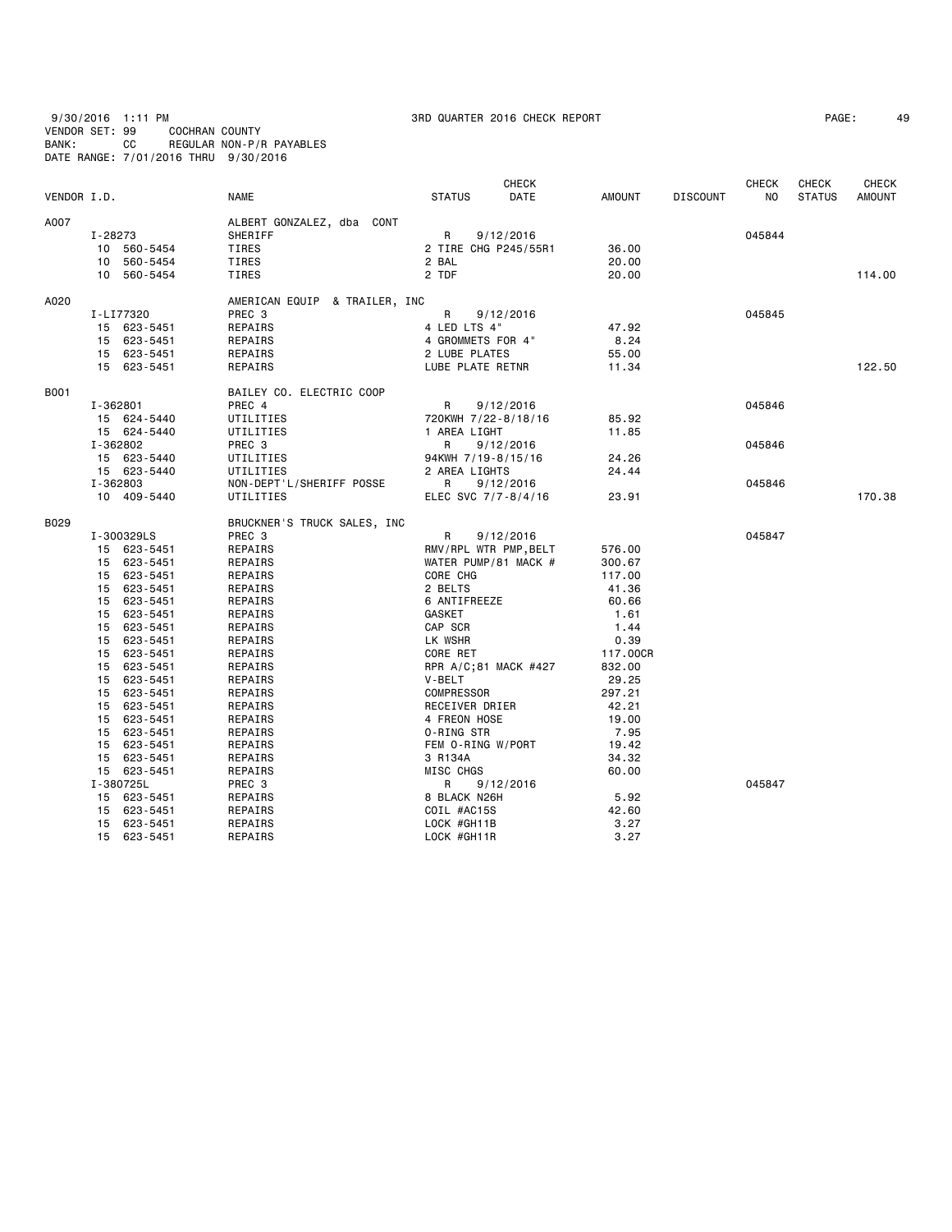9/30/2016 1:11 PM 3RD QUARTER 2016 CHECK REPORT PAGE: 49 VENDOR SET: 99 COCHRAN COUNTY BANK: CC REGULAR NON-P/R PAYABLES DATE RANGE: 7/01/2016 THRU 9/30/2016

|             |                |                               | <b>CHECK</b>          |          |                 | <b>CHECK</b> | <b>CHECK</b>  | CHECK         |
|-------------|----------------|-------------------------------|-----------------------|----------|-----------------|--------------|---------------|---------------|
| VENDOR I.D. |                | NAME                          | DATE<br><b>STATUS</b> | AMOUNT   | <b>DISCOUNT</b> | <b>NO</b>    | <b>STATUS</b> | <b>AMOUNT</b> |
| A007        |                | ALBERT GONZALEZ, dba CONT     |                       |          |                 |              |               |               |
|             | I-28273        | SHERIFF                       | R<br>9/12/2016        |          |                 | 045844       |               |               |
|             | 10 560-5454    | TIRES                         | 2 TIRE CHG P245/55R1  | 36.00    |                 |              |               |               |
|             | 10 560-5454    | TIRES                         | 2 BAL                 | 20.00    |                 |              |               |               |
|             | 10 560-5454    | TIRES                         | 2 TDF                 | 20.00    |                 |              |               | 114.00        |
| A020        |                | AMERICAN EQUIP & TRAILER, INC |                       |          |                 |              |               |               |
|             | I-LI77320      | PREC 3                        | R<br>9/12/2016        |          |                 | 045845       |               |               |
|             | 15 623-5451    | REPAIRS                       | 4 LED LTS 4"          | 47.92    |                 |              |               |               |
|             | 15 623-5451    | REPAIRS                       | 4 GROMMETS FOR 4"     | 8.24     |                 |              |               |               |
|             | 15 623-5451    | REPAIRS                       | 2 LUBE PLATES         | 55.00    |                 |              |               |               |
|             | 15 623-5451    | REPAIRS                       | LUBE PLATE RETNR      | 11.34    |                 |              |               | 122,50        |
| B001        |                | BAILEY CO. ELECTRIC COOP      |                       |          |                 |              |               |               |
|             | I-362801       | PREC 4                        | R<br>9/12/2016        |          |                 | 045846       |               |               |
|             | 15 624-5440    | UTILITIES                     | 720KWH 7/22-8/18/16   | 85.92    |                 |              |               |               |
|             | 15 624-5440    | UTILITIES                     | 1 AREA LIGHT          | 11.85    |                 |              |               |               |
|             | I-362802       | PREC 3                        | R<br>9/12/2016        |          |                 | 045846       |               |               |
|             | 15 623-5440    | UTILITIES                     | 94KWH 7/19-8/15/16    | 24.26    |                 |              |               |               |
|             | 15 623-5440    | UTILITIES                     | 2 AREA LIGHTS         | 24.44    |                 |              |               |               |
|             | I-362803       | NON-DEPT'L/SHERIFF POSSE      | R<br>9/12/2016        |          |                 | 045846       |               |               |
|             | 10 409-5440    | UTILITIES                     | ELEC SVC 7/7-8/4/16   | 23.91    |                 |              |               | 170.38        |
| B029        |                | BRUCKNER'S TRUCK SALES, INC   |                       |          |                 |              |               |               |
|             | I-300329LS     | PREC 3                        | R<br>9/12/2016        |          |                 | 045847       |               |               |
|             | 15 623-5451    | REPAIRS                       | RMV/RPL WTR PMP, BELT | 576.00   |                 |              |               |               |
|             | 15 623-5451    | REPAIRS                       | WATER PUMP/81 MACK #  | 300.67   |                 |              |               |               |
|             | 15 623-5451    | REPAIRS                       | CORE CHG              | 117.00   |                 |              |               |               |
|             | 15 623-5451    | REPAIRS                       | 2 BELTS               | 41.36    |                 |              |               |               |
|             | 15 623-5451    | REPAIRS                       | 6 ANTIFREEZE          | 60.66    |                 |              |               |               |
|             | 15 623-5451    | REPAIRS                       | GASKET                | 1.61     |                 |              |               |               |
|             | 15 623-5451    | REPAIRS                       | CAP SCR               | 1.44     |                 |              |               |               |
|             | 15 623-5451    | REPAIRS                       | LK WSHR               | 0.39     |                 |              |               |               |
|             | 15 623-5451    | REPAIRS                       | CORE RET              | 117.00CR |                 |              |               |               |
|             | 15<br>623-5451 | REPAIRS                       | RPR A/C;81 MACK #427  | 832.00   |                 |              |               |               |
|             | 15 623-5451    | REPAIRS                       | V-BELT                | 29.25    |                 |              |               |               |
|             | 15 623-5451    | REPAIRS                       | <b>COMPRESSOR</b>     | 297.21   |                 |              |               |               |
|             | 15 623-5451    | REPAIRS                       | RECEIVER DRIER        | 42.21    |                 |              |               |               |
|             | 15 623-5451    | REPAIRS                       | 4 FREON HOSE          | 19.00    |                 |              |               |               |
|             | 15<br>623-5451 | REPAIRS                       | 0-RING STR            | 7.95     |                 |              |               |               |
|             | 15 623-5451    | REPAIRS                       | FEM O-RING W/PORT     | 19.42    |                 |              |               |               |
|             | 15 623-5451    | REPAIRS                       | 3 R134A               | 34.32    |                 |              |               |               |
|             | 15 623-5451    | REPAIRS                       | MISC CHGS             | 60.00    |                 |              |               |               |
|             | I-380725L      | PREC 3                        | R<br>9/12/2016        |          |                 | 045847       |               |               |
|             | 15 623-5451    | REPAIRS                       | 8 BLACK N26H          | 5.92     |                 |              |               |               |
|             | 15 623-5451    | REPAIRS                       | COIL #AC15S           | 42.60    |                 |              |               |               |
|             | 15 623-5451    | REPAIRS                       | LOCK #GH11B           | 3.27     |                 |              |               |               |
|             |                |                               |                       |          |                 |              |               |               |
|             | 15 623-5451    | REPAIRS                       | LOCK #GH11R           | 3.27     |                 |              |               |               |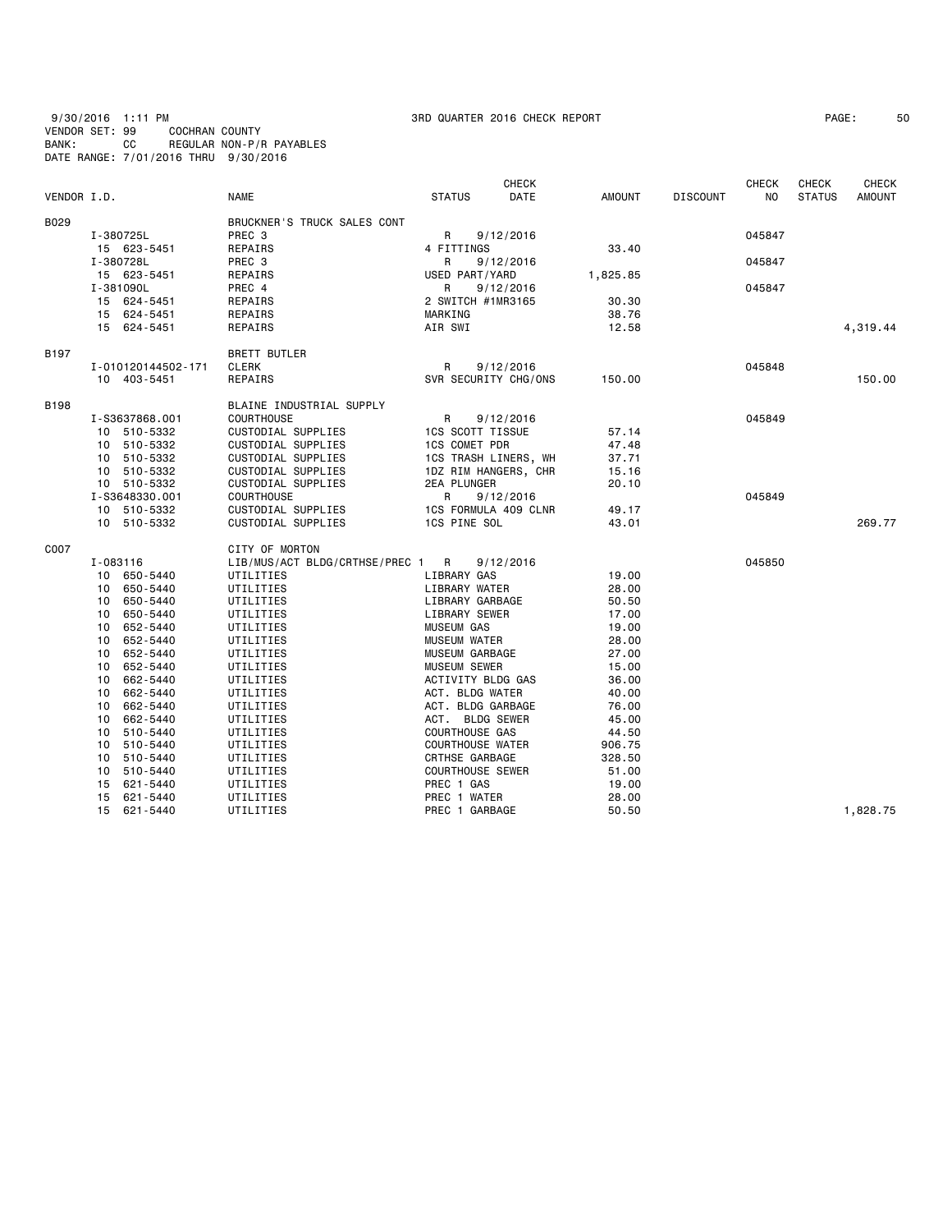9/30/2016 1:11 PM 3RD QUARTER 2016 CHECK REPORT PAGE: 50 VENDOR SET: 99 COCHRAN COUNTY BANK: CC REGULAR NON-P/R PAYABLES DATE RANGE: 7/01/2016 THRU 9/30/2016

| PAGE : | 5 |
|--------|---|
|--------|---|

|             |                    |                                  |                         | <b>CHECK</b>         |          |                 | <b>CHECK</b>   | <b>CHECK</b>  | <b>CHECK</b>  |
|-------------|--------------------|----------------------------------|-------------------------|----------------------|----------|-----------------|----------------|---------------|---------------|
| VENDOR I.D. |                    | <b>NAME</b>                      | <b>STATUS</b>           | DATE                 | AMOUNT   | <b>DISCOUNT</b> | N <sub>O</sub> | <b>STATUS</b> | <b>AMOUNT</b> |
| B029        |                    | BRUCKNER'S TRUCK SALES CONT      |                         |                      |          |                 |                |               |               |
|             | I-380725L          | PREC <sub>3</sub>                | R                       | 9/12/2016            |          |                 | 045847         |               |               |
|             | 15 623-5451        | REPAIRS                          | 4 FITTINGS              |                      | 33.40    |                 |                |               |               |
|             | I-380728L          | PREC 3                           | R                       | 9/12/2016            |          |                 | 045847         |               |               |
|             | 15 623-5451        | REPAIRS                          | USED PART/YARD          |                      | 1,825.85 |                 |                |               |               |
|             | I-381090L          | PREC 4                           | R                       | 9/12/2016            |          |                 | 045847         |               |               |
|             | 15 624-5451        | REPAIRS                          | 2 SWITCH #1MR3165       |                      | 30.30    |                 |                |               |               |
|             | 15 624-5451        | REPAIRS                          | MARKING                 |                      | 38.76    |                 |                |               |               |
|             | 15 624-5451        | REPAIRS                          | AIR SWI                 |                      | 12.58    |                 |                |               | 4,319.44      |
| B197        |                    | <b>BRETT BUTLER</b>              |                         |                      |          |                 |                |               |               |
|             | I-010120144502-171 | <b>CLERK</b>                     | R                       | 9/12/2016            |          |                 | 045848         |               |               |
|             | 10 403-5451        | REPAIRS                          |                         | SVR SECURITY CHG/ONS | 150.00   |                 |                |               | 150.00        |
| B198        |                    | BLAINE INDUSTRIAL SUPPLY         |                         |                      |          |                 |                |               |               |
|             | I-S3637868.001     | <b>COURTHOUSE</b>                | R                       | 9/12/2016            |          |                 | 045849         |               |               |
|             | 10 510-5332        | CUSTODIAL SUPPLIES               | <b>1CS SCOTT TISSUE</b> |                      | 57.14    |                 |                |               |               |
|             | 10 510-5332        | CUSTODIAL SUPPLIES               | <b>1CS COMET PDR</b>    |                      | 47.48    |                 |                |               |               |
|             | 10 510-5332        | CUSTODIAL SUPPLIES               | 1CS TRASH LINERS, WH    |                      | 37.71    |                 |                |               |               |
|             | 10 510-5332        | CUSTODIAL SUPPLIES               |                         | 1DZ RIM HANGERS, CHR | 15.16    |                 |                |               |               |
|             | 10 510-5332        | CUSTODIAL SUPPLIES               | 2EA PLUNGER             |                      | 20.10    |                 |                |               |               |
|             | I-S3648330.001     | <b>COURTHOUSE</b>                | R                       | 9/12/2016            |          |                 | 045849         |               |               |
|             | 10 510-5332        | CUSTODIAL SUPPLIES               |                         | 1CS FORMULA 409 CLNR | 49.17    |                 |                |               |               |
|             | 10 510-5332        | CUSTODIAL SUPPLIES               | 1CS PINE SOL            |                      | 43.01    |                 |                |               | 269.77        |
| C007        |                    | CITY OF MORTON                   |                         |                      |          |                 |                |               |               |
|             | I-083116           | LIB/MUS/ACT BLDG/CRTHSE/PREC 1 R |                         | 9/12/2016            |          |                 | 045850         |               |               |
|             | 10 650-5440        | UTILITIES                        | LIBRARY GAS             |                      | 19.00    |                 |                |               |               |
|             | 10 650-5440        | UTILITIES                        | LIBRARY WATER           |                      | 28.00    |                 |                |               |               |
|             | 10 650-5440        | UTILITIES                        | LIBRARY GARBAGE         |                      | 50.50    |                 |                |               |               |
|             | 10 650-5440        | UTILITIES                        | LIBRARY SEWER           |                      | 17.00    |                 |                |               |               |
|             | 10 652-5440        | UTILITIES                        | <b>MUSEUM GAS</b>       |                      | 19.00    |                 |                |               |               |
|             | 652-5440<br>10     | UTILITIES                        | <b>MUSEUM WATER</b>     |                      | 28.00    |                 |                |               |               |
|             | 10 652-5440        | UTILITIES                        | MUSEUM GARBAGE          |                      | 27.00    |                 |                |               |               |
|             | 10 652-5440        | UTILITIES                        | <b>MUSEUM SEWER</b>     |                      | 15.00    |                 |                |               |               |
|             | 10 662-5440        | UTILITIES                        | ACTIVITY BLDG GAS       |                      | 36.00    |                 |                |               |               |
|             | 10 662-5440        | UTILITIES                        | ACT. BLDG WATER         |                      | 40.00    |                 |                |               |               |
|             | 10<br>662-5440     | UTILITIES                        | ACT. BLDG GARBAGE       |                      | 76.00    |                 |                |               |               |
|             | 10<br>662-5440     | UTILITIES                        | ACT. BLDG SEWER         |                      | 45.00    |                 |                |               |               |
|             | 10 510-5440        | UTILITIES                        | <b>COURTHOUSE GAS</b>   |                      | 44.50    |                 |                |               |               |
|             | 510-5440<br>10     | UTILITIES                        | <b>COURTHOUSE WATER</b> |                      | 906.75   |                 |                |               |               |
|             | 510-5440<br>10     | UTILITIES                        | CRTHSE GARBAGE          |                      | 328.50   |                 |                |               |               |
|             | 510-5440<br>10     | UTILITIES                        | <b>COURTHOUSE SEWER</b> |                      | 51.00    |                 |                |               |               |
|             | 15 621-5440        | UTILITIES                        | PREC 1 GAS              |                      | 19.00    |                 |                |               |               |
|             | 15 621-5440        | UTILITIES                        | PREC 1 WATER            |                      | 28.00    |                 |                |               |               |
|             | 15 621-5440        | UTILITIES                        | PREC 1 GARBAGE          |                      | 50.50    |                 |                |               | 1,828.75      |
|             |                    |                                  |                         |                      |          |                 |                |               |               |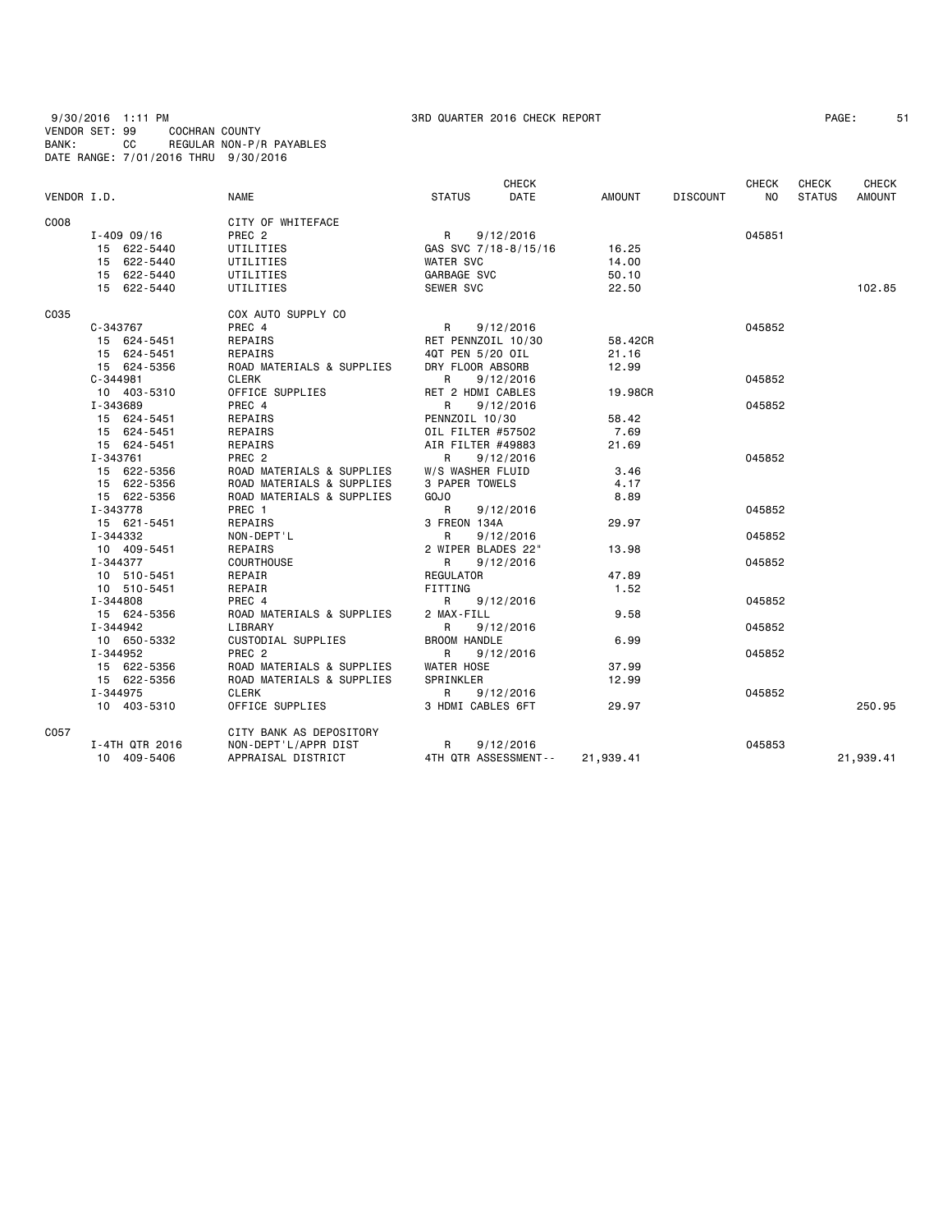9/30/2016 1:11 PM 3RD QUARTER 2016 CHECK REPORT PAGE: 51 VENDOR SET: 99 COCHRAN COUNTY BANK: CC REGULAR NON-P/R PAYABLES DATE RANGE: 7/01/2016 THRU 9/30/2016

| PAGE: |  |
|-------|--|
|-------|--|

|             |                 |                           |                     | <b>CHECK</b>         |           |                 | <b>CHECK</b>   | <b>CHECK</b>  | <b>CHECK</b>  |
|-------------|-----------------|---------------------------|---------------------|----------------------|-----------|-----------------|----------------|---------------|---------------|
| VENDOR I.D. |                 | <b>NAME</b>               | <b>STATUS</b>       | DATE                 | AMOUNT    | <b>DISCOUNT</b> | N <sub>0</sub> | <b>STATUS</b> | <b>AMOUNT</b> |
| C008        |                 | CITY OF WHITEFACE         |                     |                      |           |                 |                |               |               |
|             | $I - 409 09/16$ | PREC <sub>2</sub>         | R                   | 9/12/2016            |           |                 | 045851         |               |               |
|             | 15 622-5440     | UTILITIES                 |                     | GAS SVC 7/18-8/15/16 | 16.25     |                 |                |               |               |
|             | 15 622-5440     | UTILITIES                 | <b>WATER SVC</b>    |                      | 14.00     |                 |                |               |               |
|             | 15 622-5440     | UTILITIES                 | GARBAGE SVC         |                      | 50.10     |                 |                |               |               |
|             | 15 622-5440     | UTILITIES                 | SEWER SVC           |                      | 22.50     |                 |                |               | 102.85        |
| C035        |                 | COX AUTO SUPPLY CO        |                     |                      |           |                 |                |               |               |
|             | C-343767        | PREC 4                    | R                   | 9/12/2016            |           |                 | 045852         |               |               |
|             | 15 624-5451     | REPAIRS                   | RET PENNZOIL 10/30  |                      | 58.42CR   |                 |                |               |               |
|             | 15 624-5451     | REPAIRS                   | 4QT PEN 5/20 OIL    |                      | 21.16     |                 |                |               |               |
|             | 15 624-5356     | ROAD MATERIALS & SUPPLIES | DRY FLOOR ABSORB    |                      | 12.99     |                 |                |               |               |
|             | $C - 344981$    | CLERK                     | R.                  | 9/12/2016            |           |                 | 045852         |               |               |
|             | 10 403-5310     | OFFICE SUPPLIES           | RET 2 HDMI CABLES   |                      | 19,98CR   |                 |                |               |               |
|             | I-343689        | PREC 4                    | R                   | 9/12/2016            |           |                 | 045852         |               |               |
|             | 15 624-5451     | REPAIRS                   | PENNZOIL 10/30      |                      | 58.42     |                 |                |               |               |
|             | 15 624-5451     | REPAIRS                   | OIL FILTER #57502   |                      | 7.69      |                 |                |               |               |
|             | 15 624-5451     | REPAIRS                   | AIR FILTER #49883   |                      | 21.69     |                 |                |               |               |
|             | I-343761        | PREC 2                    | R                   | 9/12/2016            |           |                 | 045852         |               |               |
|             | 15 622-5356     | ROAD MATERIALS & SUPPLIES | W/S WASHER FLUID    |                      | 3.46      |                 |                |               |               |
|             | 15 622-5356     | ROAD MATERIALS & SUPPLIES | 3 PAPER TOWELS      |                      | 4.17      |                 |                |               |               |
|             | 15 622-5356     | ROAD MATERIALS & SUPPLIES | GOJ0                |                      | 8.89      |                 |                |               |               |
|             | I-343778        | PREC 1                    | R                   | 9/12/2016            |           |                 | 045852         |               |               |
|             | 15 621-5451     | REPAIRS                   | 3 FREON 134A        |                      | 29.97     |                 |                |               |               |
|             | I-344332        | NON-DEPT'L                | R                   | 9/12/2016            |           |                 | 045852         |               |               |
|             | 10 409-5451     | REPAIRS                   | 2 WIPER BLADES 22"  |                      | 13.98     |                 |                |               |               |
|             | I-344377        | <b>COURTHOUSE</b>         | R                   | 9/12/2016            |           |                 | 045852         |               |               |
|             | 10 510-5451     | REPAIR                    | REGULATOR           |                      | 47.89     |                 |                |               |               |
|             | 10 510-5451     | REPAIR                    | FITTING             |                      | 1.52      |                 |                |               |               |
|             | I-344808        | PREC 4                    | R                   | 9/12/2016            |           |                 | 045852         |               |               |
|             | 15 624-5356     | ROAD MATERIALS & SUPPLIES | 2 MAX-FILL          |                      | 9.58      |                 |                |               |               |
|             | I-344942        | LIBRARY                   | R                   | 9/12/2016            |           |                 | 045852         |               |               |
|             | 10 650-5332     | CUSTODIAL SUPPLIES        | <b>BROOM HANDLE</b> |                      | 6.99      |                 |                |               |               |
|             | I-344952        | PREC <sub>2</sub>         | R                   | 9/12/2016            |           |                 | 045852         |               |               |
|             | 15 622-5356     | ROAD MATERIALS & SUPPLIES | WATER HOSE          |                      | 37.99     |                 |                |               |               |
|             | 15 622-5356     | ROAD MATERIALS & SUPPLIES | SPRINKLER           |                      | 12.99     |                 |                |               |               |
|             | I-344975        | <b>CLERK</b>              | R                   | 9/12/2016            |           |                 | 045852         |               |               |
|             | 10 403-5310     | OFFICE SUPPLIES           | 3 HDMI CABLES 6FT   |                      | 29.97     |                 |                |               | 250.95        |
| C057        |                 | CITY BANK AS DEPOSITORY   |                     |                      |           |                 |                |               |               |
|             | I-4TH QTR 2016  | NON-DEPT'L/APPR DIST      | R                   | 9/12/2016            |           |                 | 045853         |               |               |
|             | 10 409-5406     | APPRAISAL DISTRICT        |                     | 4TH QTR ASSESSMENT-- | 21,939.41 |                 |                |               | 21,939.41     |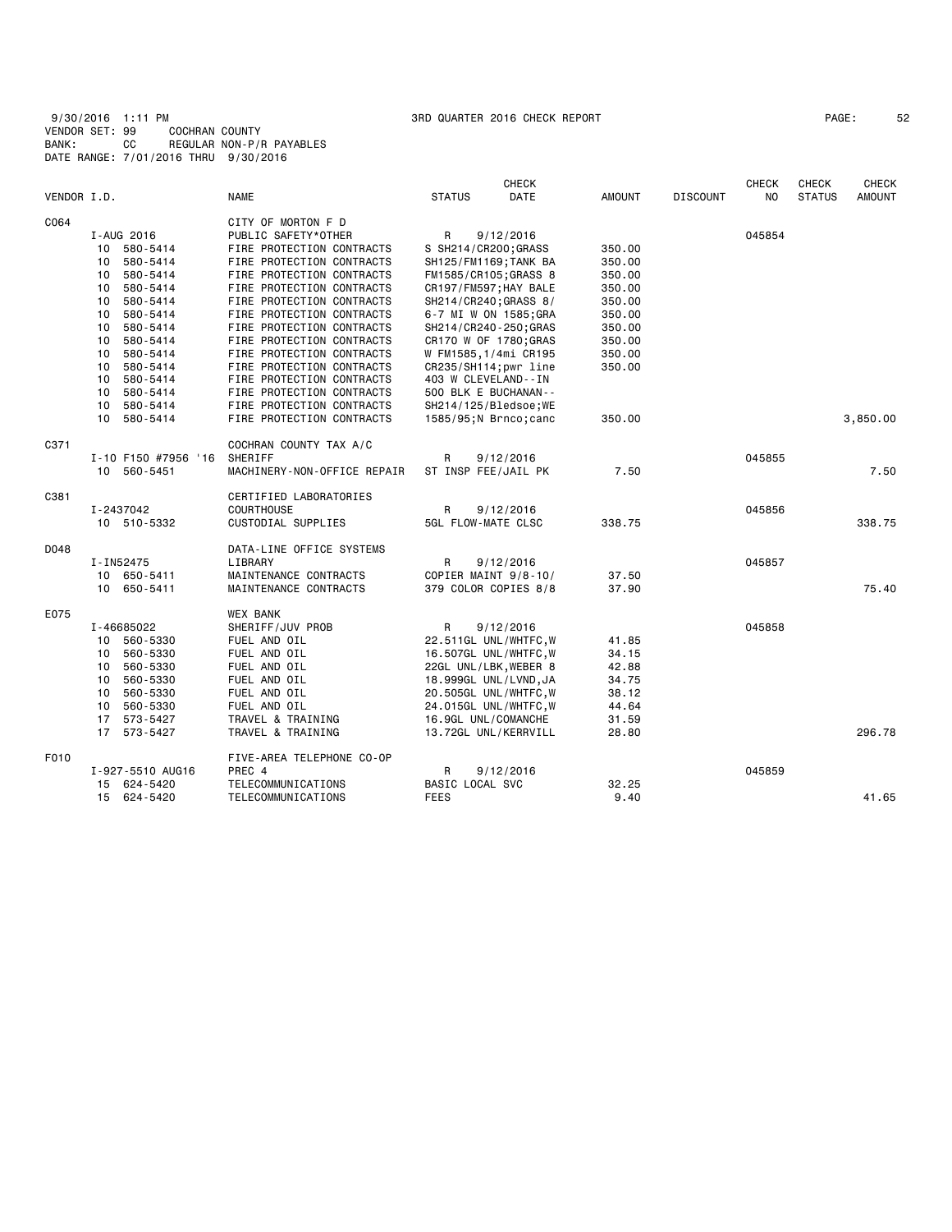| VENDOR I.D. |          |                          | <b>NAME</b>                                            | <b>STATUS</b>                                  | <b>CHECK</b><br>DATE | AMOUNT           | DISCOUNT | <b>CHECK</b><br>NO. | <b>CHECK</b><br><b>STATUS</b> | <b>CHECK</b><br><b>AMOUNT</b> |
|-------------|----------|--------------------------|--------------------------------------------------------|------------------------------------------------|----------------------|------------------|----------|---------------------|-------------------------------|-------------------------------|
|             |          |                          |                                                        |                                                |                      |                  |          |                     |                               |                               |
| C064        |          |                          | CITY OF MORTON F D                                     |                                                |                      |                  |          |                     |                               |                               |
|             |          | I-AUG 2016               | PUBLIC SAFETY*OTHER                                    | R                                              | 9/12/2016            |                  |          | 045854              |                               |                               |
|             | 10       | 580-5414                 | FIRE PROTECTION CONTRACTS                              | S SH214/CR200;GRASS                            |                      | 350.00           |          |                     |                               |                               |
|             | 10       | 580-5414                 | FIRE PROTECTION CONTRACTS                              | SH125/FM1169; TANK BA                          |                      | 350.00           |          |                     |                               |                               |
|             | 10       | 580-5414<br>580-5414     | FIRE PROTECTION CONTRACTS                              | FM1585/CR105;GRASS 8                           |                      | 350.00           |          |                     |                               |                               |
|             | 10<br>10 | 580-5414                 | FIRE PROTECTION CONTRACTS<br>FIRE PROTECTION CONTRACTS | CR197/FM597; HAY BALE<br>SH214/CR240; GRASS 8/ |                      | 350.00<br>350.00 |          |                     |                               |                               |
|             | 10       | 580-5414                 | FIRE PROTECTION CONTRACTS                              | 6-7 MI W ON 1585;GRA                           |                      | 350.00           |          |                     |                               |                               |
|             | 10       | 580-5414                 | FIRE PROTECTION CONTRACTS                              | SH214/CR240-250; GRAS                          |                      | 350.00           |          |                     |                               |                               |
|             | 10       | 580-5414                 | FIRE PROTECTION CONTRACTS                              | CR170 W OF 1780; GRAS                          |                      | 350.00           |          |                     |                               |                               |
|             | 10       | 580-5414                 | FIRE PROTECTION CONTRACTS                              | W FM1585,1/4mi CR195                           |                      | 350.00           |          |                     |                               |                               |
|             | 10       | 580-5414                 | FIRE PROTECTION CONTRACTS                              | CR235/SH114;pwr line                           |                      | 350.00           |          |                     |                               |                               |
|             | 10       | 580-5414                 | FIRE PROTECTION CONTRACTS                              | 403 W CLEVELAND--IN                            |                      |                  |          |                     |                               |                               |
|             | 10       | 580-5414                 | FIRE PROTECTION CONTRACTS                              | 500 BLK E BUCHANAN--                           |                      |                  |          |                     |                               |                               |
|             | 10       | 580-5414                 | FIRE PROTECTION CONTRACTS                              | SH214/125/Bledsoe;WE                           |                      |                  |          |                     |                               |                               |
|             | 10       | 580-5414                 | FIRE PROTECTION CONTRACTS                              | 1585/95; N Brnco; canc                         |                      | 350.00           |          |                     |                               | 3,850.00                      |
| C371        |          |                          | COCHRAN COUNTY TAX A/C                                 |                                                |                      |                  |          |                     |                               |                               |
|             |          | I-10 F150 #7956 '16      | SHERIFF                                                | R                                              | 9/12/2016            |                  |          | 045855              |                               |                               |
|             |          | 10 560-5451              | MACHINERY-NON-OFFICE REPAIR                            | ST INSP FEE/JAIL PK                            |                      | 7.50             |          |                     |                               | 7.50                          |
| C381        |          |                          | CERTIFIED LABORATORIES                                 |                                                |                      |                  |          |                     |                               |                               |
|             |          | I-2437042                | <b>COURTHOUSE</b>                                      | R                                              | 9/12/2016            |                  |          | 045856              |                               |                               |
|             |          | 10 510-5332              | CUSTODIAL SUPPLIES                                     | 5GL FLOW-MATE CLSC                             |                      | 338.75           |          |                     |                               | 338.75                        |
| D048        |          |                          | DATA-LINE OFFICE SYSTEMS                               |                                                |                      |                  |          |                     |                               |                               |
|             |          | I-IN52475<br>10 650-5411 | LIBRARY<br>MAINTENANCE CONTRACTS                       | R<br>COPIER MAINT 9/8-10/                      | 9/12/2016            | 37.50            |          | 045857              |                               |                               |
|             |          | 10 650-5411              | MAINTENANCE CONTRACTS                                  | 379 COLOR COPIES 8/8                           |                      | 37.90            |          |                     |                               | 75.40                         |
| E075        |          |                          | <b>WEX BANK</b>                                        |                                                |                      |                  |          |                     |                               |                               |
|             |          | I-46685022               | SHERIFF/JUV PROB                                       | R                                              | 9/12/2016            |                  |          | 045858              |                               |                               |
|             |          | 10 560-5330              | FUEL AND OIL                                           | 22.511GL UNL/WHTFC,W                           |                      | 41.85            |          |                     |                               |                               |
|             | 10       | 560-5330                 | FUEL AND OIL                                           | 16.507GL UNL/WHTFC, W                          |                      | 34.15            |          |                     |                               |                               |
|             | 10       | 560-5330                 | FUEL AND OIL                                           | 22GL UNL/LBK,WEBER 8                           |                      | 42.88            |          |                     |                               |                               |
|             | 10       | 560-5330                 | FUEL AND OIL                                           | 18.999GL UNL/LVND,JA                           |                      | 34.75            |          |                     |                               |                               |
|             | 10       | 560-5330                 | FUEL AND OIL                                           | 20.505GL UNL/WHTFC,W                           |                      | 38.12            |          |                     |                               |                               |
|             | 10       | 560-5330                 | FUEL AND OIL                                           | 24.015GL UNL/WHTFC,W                           |                      | 44.64            |          |                     |                               |                               |
|             | 17       | 573-5427                 | TRAVEL & TRAINING                                      | 16.9GL UNL/COMANCHE                            |                      | 31.59            |          |                     |                               |                               |
|             |          | 17 573-5427              | TRAVEL & TRAINING                                      | 13.72GL UNL/KERRVILL                           |                      | 28.80            |          |                     |                               | 296.78                        |
| F010        |          |                          | FIVE-AREA TELEPHONE CO-OP                              |                                                |                      |                  |          |                     |                               |                               |
|             |          | I-927-5510 AUG16         | PREC 4                                                 | R                                              | 9/12/2016            |                  |          | 045859              |                               |                               |
|             |          | 15 624-5420              | TELECOMMUNICATIONS                                     | <b>BASIC LOCAL SVC</b>                         |                      | 32.25            |          |                     |                               |                               |
|             |          | 15 624-5420              | TELECOMMUNICATIONS                                     | FEES                                           |                      | 9.40             |          |                     |                               | 41.65                         |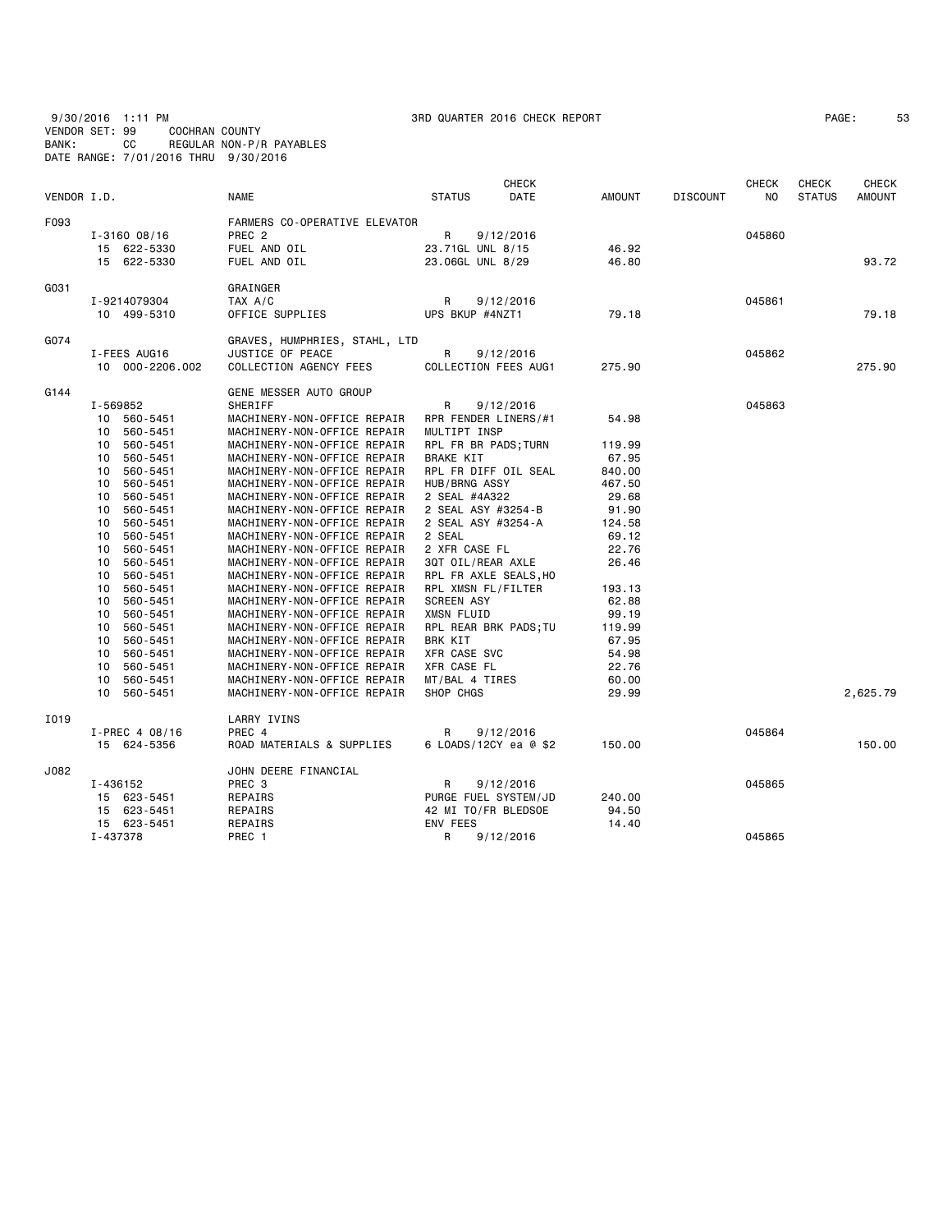9/30/2016 1:11 PM 3RD QUARTER 2016 CHECK REPORT PAGE: 53 VENDOR SET: 99 COCHRAN COUNTY BANK: CC REGULAR NON-P/R PAYABLES DATE RANGE: 7/01/2016 THRU 9/30/2016

| PAGE : |  | 5 |
|--------|--|---|
|--------|--|---|

| VENDOR I.D. |                      | <b>NAME</b>                                                | <b>CHECK</b><br><b>STATUS</b><br>DATE | AMOUNT         | <b>DISCOUNT</b> | <b>CHECK</b><br>NO. | <b>CHECK</b><br><b>STATUS</b> | <b>CHECK</b><br>AMOUNT |
|-------------|----------------------|------------------------------------------------------------|---------------------------------------|----------------|-----------------|---------------------|-------------------------------|------------------------|
| F093        |                      | FARMERS CO-OPERATIVE ELEVATOR                              |                                       |                |                 |                     |                               |                        |
|             | $I - 3160008/16$     | PREC <sub>2</sub>                                          | R<br>9/12/2016                        |                |                 | 045860              |                               |                        |
|             | 15 622-5330          | FUEL AND OIL                                               | 23.71GL UNL 8/15                      | 46.92          |                 |                     |                               |                        |
|             | 15 622-5330          | FUEL AND OIL                                               | 23.06GL UNL 8/29                      | 46.80          |                 |                     |                               | 93.72                  |
| G031        |                      | GRAINGER                                                   |                                       |                |                 |                     |                               |                        |
|             | I-9214079304         | TAX A/C                                                    | R<br>9/12/2016                        |                |                 | 045861              |                               |                        |
|             | 10 499-5310          | OFFICE SUPPLIES                                            | UPS BKUP #4NZT1                       | 79.18          |                 |                     |                               | 79.18                  |
|             |                      |                                                            |                                       |                |                 |                     |                               |                        |
| G074        |                      | GRAVES, HUMPHRIES, STAHL, LTD                              |                                       |                |                 |                     |                               |                        |
|             | I-FEES AUG16         | JUSTICE OF PEACE                                           | R<br>9/12/2016                        |                |                 | 045862              |                               |                        |
|             | 10 000-2206.002      | COLLECTION AGENCY FEES                                     | COLLECTION FEES AUG1                  | 275.90         |                 |                     |                               | 275.90                 |
| G144        |                      | GENE MESSER AUTO GROUP                                     |                                       |                |                 |                     |                               |                        |
|             | I-569852             | SHERIFF                                                    | R<br>9/12/2016                        |                |                 | 045863              |                               |                        |
|             | 10 560-5451          | MACHINERY-NON-OFFICE REPAIR                                | RPR FENDER LINERS/#1                  | 54.98          |                 |                     |                               |                        |
|             | 10<br>560-5451       | MACHINERY-NON-OFFICE REPAIR                                | MULTIPT INSP                          |                |                 |                     |                               |                        |
|             | 560-5451<br>10       | MACHINERY-NON-OFFICE REPAIR                                | RPL FR BR PADS; TURN                  | 119.99         |                 |                     |                               |                        |
|             | 560-5451<br>10       | MACHINERY-NON-OFFICE REPAIR                                | <b>BRAKE KIT</b>                      | 67.95          |                 |                     |                               |                        |
|             | 560-5451<br>10       | MACHINERY-NON-OFFICE REPAIR                                | RPL FR DIFF OIL SEAL                  | 840.00         |                 |                     |                               |                        |
|             | 560-5451<br>10       | MACHINERY-NON-OFFICE REPAIR                                | HUB/BRNG ASSY                         | 467.50         |                 |                     |                               |                        |
|             | 10<br>560-5451       | MACHINERY-NON-OFFICE REPAIR                                | 2 SEAL #4A322                         | 29.68          |                 |                     |                               |                        |
|             | 560-5451<br>10       | MACHINERY-NON-OFFICE REPAIR                                | 2 SEAL ASY #3254-B                    | 91.90          |                 |                     |                               |                        |
|             | 10<br>560-5451       | MACHINERY-NON-OFFICE REPAIR                                | 2 SEAL ASY #3254-A                    | 124.58         |                 |                     |                               |                        |
|             | 560-5451<br>10       | MACHINERY-NON-OFFICE REPAIR                                | 2 SEAL                                | 69.12          |                 |                     |                               |                        |
|             | 560-5451<br>10       | MACHINERY-NON-OFFICE REPAIR                                | 2 XFR CASE FL                         | 22.76          |                 |                     |                               |                        |
|             | 10<br>560-5451       | MACHINERY-NON-OFFICE REPAIR                                | 3QT OIL/REAR AXLE                     | 26.46          |                 |                     |                               |                        |
|             | 10<br>560-5451       | MACHINERY-NON-OFFICE REPAIR                                | RPL FR AXLE SEALS, HO                 |                |                 |                     |                               |                        |
|             | 560-5451<br>10       | MACHINERY-NON-OFFICE REPAIR                                | RPL XMSN FL/FILTER                    | 193.13         |                 |                     |                               |                        |
|             | 560-5451<br>10       | MACHINERY-NON-OFFICE REPAIR                                | <b>SCREEN ASY</b>                     | 62.88          |                 |                     |                               |                        |
|             | 560-5451<br>10       | MACHINERY-NON-OFFICE REPAIR                                | XMSN FLUID                            | 99.19          |                 |                     |                               |                        |
|             | 560-5451<br>10       | MACHINERY-NON-OFFICE REPAIR                                | RPL REAR BRK PADS; TU                 | 119.99         |                 |                     |                               |                        |
|             | 10<br>560-5451       | MACHINERY-NON-OFFICE REPAIR                                | BRK KIT                               | 67.95          |                 |                     |                               |                        |
|             | 560-5451<br>10<br>10 | MACHINERY-NON-OFFICE REPAIR                                | XFR CASE SVC                          | 54.98<br>22.76 |                 |                     |                               |                        |
|             | 560-5451<br>560-5451 | MACHINERY-NON-OFFICE REPAIR                                | XFR CASE FL                           |                |                 |                     |                               |                        |
|             | 10<br>10<br>560-5451 | MACHINERY-NON-OFFICE REPAIR<br>MACHINERY-NON-OFFICE REPAIR | MT/BAL 4 TIRES<br>SHOP CHGS           | 60.00<br>29.99 |                 |                     |                               | 2,625.79               |
|             |                      |                                                            |                                       |                |                 |                     |                               |                        |
| I019        |                      | LARRY IVINS<br>PREC 4                                      |                                       |                |                 | 045864              |                               |                        |
|             | I-PREC 4 08/16       |                                                            | R<br>9/12/2016                        |                |                 |                     |                               | 150.00                 |
|             | 15 624-5356          | ROAD MATERIALS & SUPPLIES                                  | 6 LOADS/12CY ea @ \$2                 | 150.00         |                 |                     |                               |                        |
| J082        |                      | JOHN DEERE FINANCIAL                                       |                                       |                |                 |                     |                               |                        |
|             | I-436152             | PREC 3                                                     | R<br>9/12/2016                        |                |                 | 045865              |                               |                        |
|             | 15 623-5451          | REPAIRS                                                    | PURGE FUEL SYSTEM/JD                  | 240.00         |                 |                     |                               |                        |
|             | 15 623-5451          | REPAIRS                                                    | 42 MI TO/FR BLEDSOE                   | 94.50          |                 |                     |                               |                        |
|             | 15 623-5451          | REPAIRS                                                    | ENV FEES                              | 14.40          |                 |                     |                               |                        |
|             | I-437378             | PREC 1                                                     | R<br>9/12/2016                        |                |                 | 045865              |                               |                        |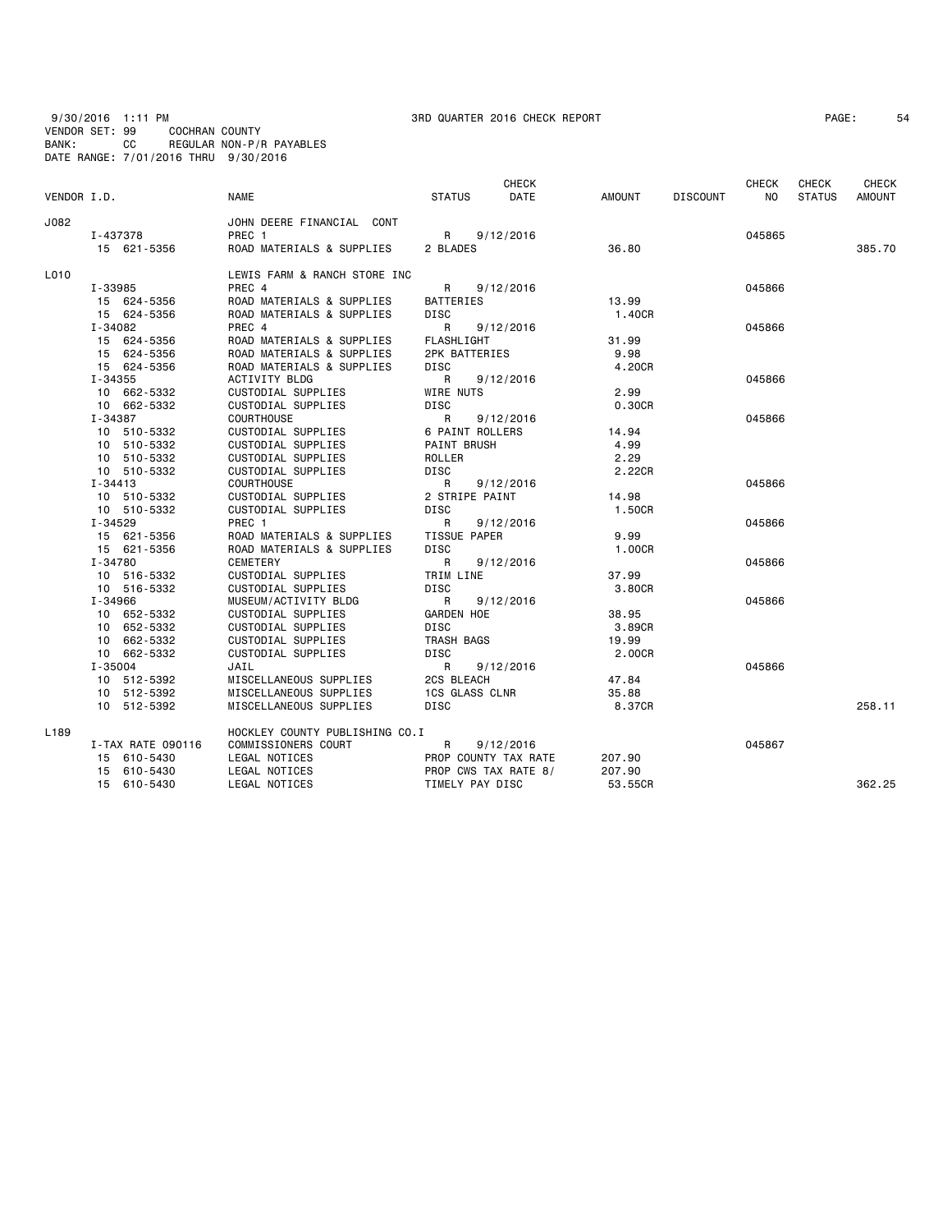9/30/2016 1:11 PM 3RD QUARTER 2016 CHECK REPORT PAGE: 54 VENDOR SET: 99 COCHRAN COUNTY BANK: CC REGULAR NON-P/R PAYABLES DATE RANGE: 7/01/2016 THRU 9/30/2016

| VENDOR I.D.      |                   | <b>NAME</b>                    | <b>STATUS</b>         | <b>CHECK</b><br>DATE | <b>AMOUNT</b> | <b>DISCOUNT</b> | <b>CHECK</b><br><b>NO</b> | <b>CHECK</b><br><b>STATUS</b> | <b>CHECK</b><br><b>AMOUNT</b> |
|------------------|-------------------|--------------------------------|-----------------------|----------------------|---------------|-----------------|---------------------------|-------------------------------|-------------------------------|
| J082             |                   | JOHN DEERE FINANCIAL CONT      |                       |                      |               |                 |                           |                               |                               |
|                  | I-437378          | PREC 1                         |                       | R 9/12/2016          |               |                 | 045865                    |                               |                               |
|                  | 15 621-5356       | ROAD MATERIALS & SUPPLIES      | 2 BLADES              |                      | 36.80         |                 |                           |                               | 385.70                        |
| L010             |                   | LEWIS FARM & RANCH STORE INC   |                       |                      |               |                 |                           |                               |                               |
|                  | I-33985           | PREC 4                         | R                     | 9/12/2016            |               |                 | 045866                    |                               |                               |
|                  | 15 624-5356       | ROAD MATERIALS & SUPPLIES      | BATTERIES             |                      | 13.99         |                 |                           |                               |                               |
|                  | 15 624-5356       | ROAD MATERIALS & SUPPLIES      | <b>DISC</b>           |                      | 1,40CR        |                 |                           |                               |                               |
|                  | I-34082           | PREC 4                         | R                     | 9/12/2016            |               |                 | 045866                    |                               |                               |
|                  | 15 624-5356       | ROAD MATERIALS & SUPPLIES      | <b>FLASHLIGHT</b>     |                      | 31.99         |                 |                           |                               |                               |
|                  | 15 624-5356       | ROAD MATERIALS & SUPPLIES      | 2PK BATTERIES         |                      | 9.98          |                 |                           |                               |                               |
|                  | 15 624-5356       | ROAD MATERIALS & SUPPLIES      | DISC                  |                      | 4.20CR        |                 |                           |                               |                               |
|                  | I-34355           | ACTIVITY BLDG                  | R                     | 9/12/2016            |               |                 | 045866                    |                               |                               |
|                  | 10 662-5332       | CUSTODIAL SUPPLIES             | WIRE NUTS             |                      | 2.99          |                 |                           |                               |                               |
|                  | 10 662-5332       | CUSTODIAL SUPPLIES             | DISC                  |                      | 0.30CR        |                 |                           |                               |                               |
|                  | I-34387           | <b>COURTHOUSE</b>              | R                     | 9/12/2016            |               |                 | 045866                    |                               |                               |
|                  | 10 510-5332       | CUSTODIAL SUPPLIES             | 6 PAINT ROLLERS       |                      | 14.94         |                 |                           |                               |                               |
|                  | 10 510-5332       | CUSTODIAL SUPPLIES             | <b>PAINT BRUSH</b>    |                      | 4.99          |                 |                           |                               |                               |
|                  | 10 510-5332       | CUSTODIAL SUPPLIES             | ROLLER                |                      | 2.29          |                 |                           |                               |                               |
|                  | 10 510-5332       | <b>CUSTODIAL SUPPLIES</b>      | <b>DISC</b>           |                      | 2.22CR        |                 |                           |                               |                               |
|                  | $I - 34413$       | COURTHOUSE                     | R                     | 9/12/2016            |               |                 | 045866                    |                               |                               |
|                  | 10 510-5332       | CUSTODIAL SUPPLIES             | 2 STRIPE PAINT        |                      | 14.98         |                 |                           |                               |                               |
|                  | 10 510-5332       | CUSTODIAL SUPPLIES             | <b>DISC</b>           |                      | 1.50CR        |                 |                           |                               |                               |
|                  | I-34529           | PREC 1                         | R                     | 9/12/2016            |               |                 | 045866                    |                               |                               |
|                  | 15 621-5356       | ROAD MATERIALS & SUPPLIES      | TISSUE PAPER          |                      | 9.99          |                 |                           |                               |                               |
|                  | 15 621-5356       | ROAD MATERIALS & SUPPLIES      | <b>DISC</b>           |                      | 1.00CR        |                 |                           |                               |                               |
|                  | I-34780           | CEMETERY                       | $\mathsf{R}$          | 9/12/2016            |               |                 | 045866                    |                               |                               |
|                  | 10 516-5332       | CUSTODIAL SUPPLIES             | TRIM LINE             |                      | 37.99         |                 |                           |                               |                               |
|                  | 10 516-5332       | CUSTODIAL SUPPLIES             | <b>DISC</b>           |                      | 3.80CR        |                 |                           |                               |                               |
|                  | I-34966           | MUSEUM/ACTIVITY BLDG           | R                     | 9/12/2016            |               |                 | 045866                    |                               |                               |
|                  | 10 652-5332       | CUSTODIAL SUPPLIES             | <b>GARDEN HOE</b>     |                      | 38.95         |                 |                           |                               |                               |
|                  | 10 652-5332       | CUSTODIAL SUPPLIES             | <b>DISC</b>           |                      | 3.89CR        |                 |                           |                               |                               |
|                  | 10 662-5332       | CUSTODIAL SUPPLIES             | TRASH BAGS            |                      | 19.99         |                 |                           |                               |                               |
|                  | 10 662-5332       | CUSTODIAL SUPPLIES             | DISC                  |                      | 2.00CR        |                 |                           |                               |                               |
|                  | $I - 35004$       | JAIL                           | R                     | 9/12/2016            |               |                 | 045866                    |                               |                               |
|                  | 10 512-5392       | MISCELLANEOUS SUPPLIES         | 2CS BLEACH            |                      | 47.84         |                 |                           |                               |                               |
|                  | 10 512-5392       | MISCELLANEOUS SUPPLIES         | <b>1CS GLASS CLNR</b> |                      | 35.88         |                 |                           |                               |                               |
|                  | 10 512-5392       | MISCELLANEOUS SUPPLIES         | <b>DISC</b>           |                      | 8.37CR        |                 |                           |                               | 258.11                        |
| L <sub>189</sub> |                   | HOCKLEY COUNTY PUBLISHING CO.I |                       |                      |               |                 |                           |                               |                               |
|                  | I-TAX RATE 090116 | <b>COMMISSIONERS COURT</b>     | $\mathsf{R}$          | 9/12/2016            |               |                 | 045867                    |                               |                               |
|                  | 15 610-5430       | LEGAL NOTICES                  |                       | PROP COUNTY TAX RATE | 207.90        |                 |                           |                               |                               |
|                  | 610-5430<br>15    | LEGAL NOTICES                  | PROP CWS TAX RATE 8/  |                      | 207.90        |                 |                           |                               |                               |
|                  | 15 610-5430       | LEGAL NOTICES                  | TIMELY PAY DISC       |                      | 53.55CR       |                 |                           |                               | 362.25                        |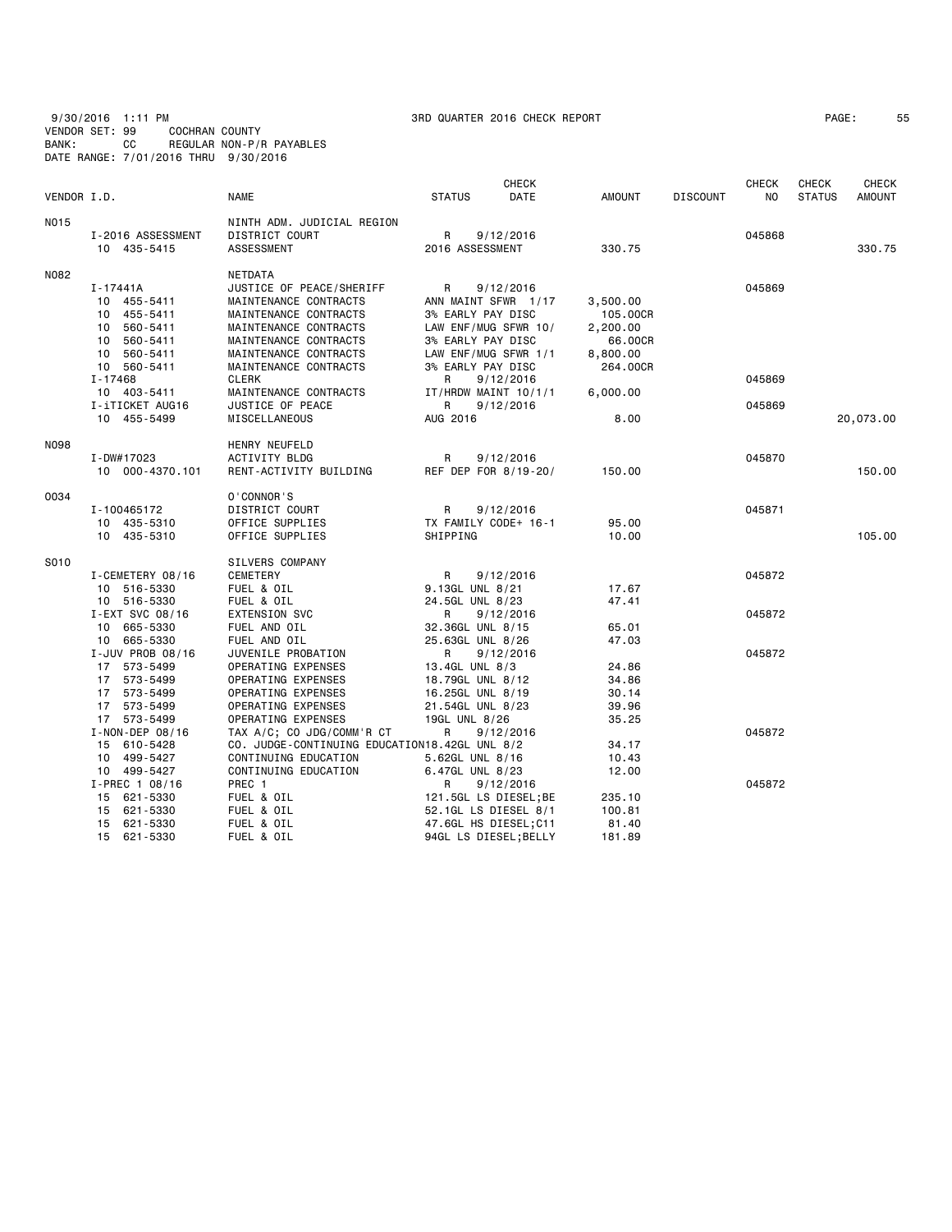9/30/2016 1:11 PM 3RD QUARTER 2016 CHECK REPORT PAGE: 55 VENDOR SET: 99 COCHRAN COUNTY BANK: CC REGULAR NON-P/R PAYABLES DATE RANGE: 7/01/2016 THRU 9/30/2016

| PAGE : | 5. |
|--------|----|
|--------|----|

|             |                            |                                               |                                      | CHECK                             |                |                 | <b>CHECK</b> | <b>CHECK</b>  | CHECK         |
|-------------|----------------------------|-----------------------------------------------|--------------------------------------|-----------------------------------|----------------|-----------------|--------------|---------------|---------------|
| VENDOR I.D. |                            | <b>NAME</b>                                   | <b>STATUS</b>                        | DATE                              | <b>AMOUNT</b>  | <b>DISCOUNT</b> | NO.          | <b>STATUS</b> | <b>AMOUNT</b> |
| <b>NO15</b> |                            | NINTH ADM. JUDICIAL REGION                    |                                      |                                   |                |                 |              |               |               |
|             | I-2016 ASSESSMENT          | DISTRICT COURT                                | R                                    | 9/12/2016                         |                |                 | 045868       |               |               |
|             | 10 435-5415                | ASSESSMENT                                    | 2016 ASSESSMENT                      |                                   | 330.75         |                 |              |               | 330.75        |
| N082        |                            | <b>NETDATA</b>                                |                                      |                                   |                |                 |              |               |               |
|             | I-17441A                   | JUSTICE OF PEACE/SHERIFF                      | R.                                   | 9/12/2016                         |                |                 | 045869       |               |               |
|             | 10 455-5411                | MAINTENANCE CONTRACTS                         |                                      | ANN MAINT SFWR 1/17               | 3,500.00       |                 |              |               |               |
|             | 10 455-5411                | MAINTENANCE CONTRACTS                         | 3% EARLY PAY DISC                    |                                   | 105.00CR       |                 |              |               |               |
|             | 10 560-5411                | MAINTENANCE CONTRACTS                         |                                      | LAW ENF/MUG SFWR 10/              | 2,200.00       |                 |              |               |               |
|             | 10 560-5411                | MAINTENANCE CONTRACTS                         | 3% EARLY PAY DISC                    |                                   | 66.00CR        |                 |              |               |               |
|             | 10 560-5411                | MAINTENANCE CONTRACTS                         | LAW ENF/MUG SFWR 1/1                 |                                   | 8,800.00       |                 |              |               |               |
|             | 10 560-5411<br>$I - 17468$ | MAINTENANCE CONTRACTS                         | 3% EARLY PAY DISC                    |                                   | 264.00CR       |                 | 045869       |               |               |
|             | 10 403-5411                | <b>CLERK</b><br>MAINTENANCE CONTRACTS         | R                                    | 9/12/2016<br>IT/HRDW MAINT 10/1/1 | 6,000.00       |                 |              |               |               |
|             | I-iTICKET AUG16            | JUSTICE OF PEACE                              | R                                    | 9/12/2016                         |                |                 | 045869       |               |               |
|             | 10 455-5499                | MISCELLANEOUS                                 | AUG 2016                             |                                   | 8,00           |                 |              |               | 20,073.00     |
|             |                            |                                               |                                      |                                   |                |                 |              |               |               |
| <b>NO98</b> | I-DW#17023                 | HENRY NEUFELD<br>ACTIVITY BLDG                | R                                    | 9/12/2016                         |                |                 | 045870       |               |               |
|             | 10 000-4370.101            | RENT-ACTIVITY BUILDING                        |                                      | REF DEP FOR 8/19-20/              | 150.00         |                 |              |               | 150.00        |
|             |                            |                                               |                                      |                                   |                |                 |              |               |               |
| 0034        |                            | 0'CONNOR'S                                    |                                      |                                   |                |                 |              |               |               |
|             | I-100465172                | DISTRICT COURT                                | R                                    | 9/12/2016                         |                |                 | 045871       |               |               |
|             | 10 435-5310                | OFFICE SUPPLIES                               |                                      | TX FAMILY CODE+ 16-1              | 95.00          |                 |              |               |               |
|             | 10 435-5310                | OFFICE SUPPLIES                               | SHIPPING                             |                                   | 10.00          |                 |              |               | 105.00        |
| S010        |                            | SILVERS COMPANY                               |                                      |                                   |                |                 |              |               |               |
|             | I-CEMETERY 08/16           | CEMETERY                                      | R                                    | 9/12/2016                         |                |                 | 045872       |               |               |
|             | 10 516-5330                | FUEL & OIL                                    | 9.13GL UNL 8/21                      |                                   | 17.67          |                 |              |               |               |
|             | 10 516-5330                | FUEL & OIL                                    | 24.5GL UNL 8/23                      |                                   | 47.41          |                 |              |               |               |
|             | I-EXT SVC 08/16            | EXTENSION SVC                                 | R                                    | 9/12/2016                         |                |                 | 045872       |               |               |
|             | 10 665-5330                | FUEL AND OIL                                  | 32.36GL UNL 8/15                     |                                   | 65.01          |                 |              |               |               |
|             | 10 665-5330                | FUEL AND OIL                                  | 25.63GL UNL 8/26                     |                                   | 47.03          |                 |              |               |               |
|             | I-JUV PROB 08/16           | JUVENILE PROBATION                            | R                                    | 9/12/2016                         |                |                 | 045872       |               |               |
|             | 17 573-5499                | OPERATING EXPENSES                            | 13.4GL UNL 8/3                       |                                   | 24.86          |                 |              |               |               |
|             | 17 573-5499<br>17 573-5499 | OPERATING EXPENSES<br>OPERATING EXPENSES      | 18.79GL UNL 8/12                     |                                   | 34.86<br>30.14 |                 |              |               |               |
|             | 17 573-5499                | OPERATING EXPENSES                            | 16.25GL UNL 8/19<br>21.54GL UNL 8/23 |                                   | 39.96          |                 |              |               |               |
|             | 17 573-5499                | OPERATING EXPENSES                            | 19GL UNL 8/26                        |                                   | 35.25          |                 |              |               |               |
|             | I-NON-DEP 08/16            | TAX A/C; CO JDG/COMM'R CT                     | R                                    | 9/12/2016                         |                |                 | 045872       |               |               |
|             | 15 610-5428                | CO. JUDGE-CONTINUING EDUCATION18.42GL UNL 8/2 |                                      |                                   | 34.17          |                 |              |               |               |
|             | 10 499-5427                | CONTINUING EDUCATION                          | 5.62GL UNL 8/16                      |                                   | 10.43          |                 |              |               |               |
|             | 10 499-5427                | CONTINUING EDUCATION                          | 6.47GL UNL 8/23                      |                                   | 12.00          |                 |              |               |               |
|             | I-PREC 1 08/16             | PREC 1                                        | R                                    | 9/12/2016                         |                |                 | 045872       |               |               |
|             | 15 621-5330                | FUEL & OIL                                    |                                      | 121.5GL LS DIESEL;BE              | 235.10         |                 |              |               |               |
|             | 15 621-5330                | FUEL & OIL                                    |                                      | 52.1GL LS DIESEL 8/1              | 100.81         |                 |              |               |               |
|             | 15 621-5330                | FUEL & OIL                                    |                                      | 47.6GL HS DIESEL; C11             | 81.40          |                 |              |               |               |
|             | 15 621-5330                | FUEL & OIL                                    |                                      | 94GL LS DIESEL; BELLY             | 181.89         |                 |              |               |               |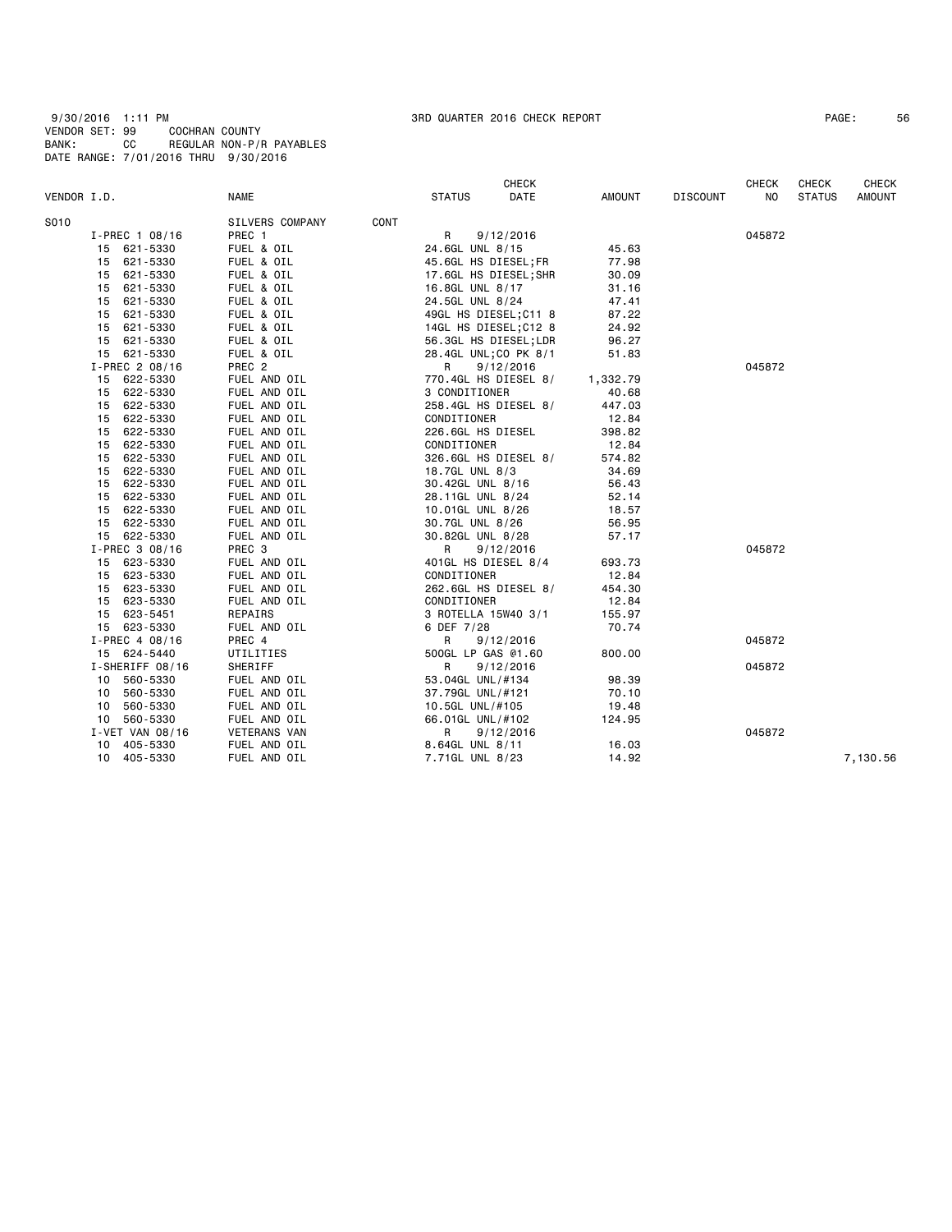9/30/2016 1:11 PM 3RD QUARTER 2016 CHECK REPORT PAGE: 56 VENDOR SET: 99 COCHRAN COUNTY BANK: CC REGULAR NON-P/R PAYABLES DATE RANGE: 7/01/2016 THRU 9/30/2016

| PAGE : | 56 |
|--------|----|
|--------|----|

| VENDOR I.D.                | <b>NAME</b>                  | <b>STATUS</b>    | <b>CHECK</b><br>DATE  | AMOUNT   | <b>DISCOUNT</b> | <b>CHECK</b><br>NO | <b>CHECK</b><br><b>STATUS</b> | <b>CHECK</b><br><b>AMOUNT</b> |
|----------------------------|------------------------------|------------------|-----------------------|----------|-----------------|--------------------|-------------------------------|-------------------------------|
| S010                       | SILVERS COMPANY              | CONT             |                       |          |                 |                    |                               |                               |
| $I-PREC$ 1 08/16           | PREC 1                       | R                | 9/12/2016             |          |                 | 045872             |                               |                               |
| 15 621-5330                | FUEL & OIL                   | 24.6GL UNL 8/15  |                       | 45.63    |                 |                    |                               |                               |
| 621-5330<br>15             | FUEL & OIL                   |                  | 45.6GL HS DIESEL;FR   | 77.98    |                 |                    |                               |                               |
| 15 621-5330                | FUEL & OIL                   |                  | 17.6GL HS DIESEL;SHR  | 30.09    |                 |                    |                               |                               |
| 621-5330<br>15             | FUEL & OIL                   | 16.8GL UNL 8/17  |                       | 31.16    |                 |                    |                               |                               |
| 621-5330<br>15             | FUEL & OIL                   | 24.5GL UNL 8/24  |                       | 47.41    |                 |                    |                               |                               |
| 621-5330<br>15             | FUEL & OIL                   |                  | 49GL HS DIESEL; C11 8 | 87.22    |                 |                    |                               |                               |
| 621-5330<br>15             | FUEL & OIL                   |                  | 14GL HS DIESEL; C12 8 | 24.92    |                 |                    |                               |                               |
| 621-5330<br>15             | FUEL & OIL                   |                  | 56.3GL HS DIESEL;LDR  | 96.27    |                 |                    |                               |                               |
| 15 621-5330                | FUEL & OIL                   |                  | 28.4GL UNL; CO PK 8/1 | 51.83    |                 |                    |                               |                               |
| I-PREC 2 08/16             | PREC <sub>2</sub>            | R                | 9/12/2016             |          |                 | 045872             |                               |                               |
| 15<br>622-5330             | FUEL AND OIL                 |                  | 770.4GL HS DIESEL 8/  | 1,332.79 |                 |                    |                               |                               |
| 15 622-5330                | FUEL AND OIL                 | 3 CONDITIONER    |                       | 40.68    |                 |                    |                               |                               |
| 622-5330                   | FUEL AND OIL                 |                  | 258.4GL HS DIESEL 8/  | 447.03   |                 |                    |                               |                               |
| 15<br>622-5330<br>15       | FUEL AND OIL                 | CONDITIONER      |                       | 12.84    |                 |                    |                               |                               |
| 15 622-5330                |                              |                  |                       | 398.82   |                 |                    |                               |                               |
| 15                         | FUEL AND OIL                 |                  | 226.6GL HS DIESEL     | 12.84    |                 |                    |                               |                               |
| 622-5330<br>622-5330<br>15 | FUEL AND OIL<br>FUEL AND OIL | CONDITIONER      | 326.6GL HS DIESEL 8/  | 574.82   |                 |                    |                               |                               |
|                            |                              |                  |                       |          |                 |                    |                               |                               |
| 622-5330<br>15             | FUEL AND OIL                 | 18.7GL UNL 8/3   |                       | 34.69    |                 |                    |                               |                               |
| 622-5330<br>15             | FUEL AND OIL                 | 30.42GL UNL 8/16 |                       | 56.43    |                 |                    |                               |                               |
| 622-5330<br>15             | FUEL AND OIL                 | 28.11GL UNL 8/24 |                       | 52.14    |                 |                    |                               |                               |
| 15 622-5330                | FUEL AND OIL                 | 10.01GL UNL 8/26 |                       | 18.57    |                 |                    |                               |                               |
| 622-5330<br>15             | FUEL AND OIL                 | 30.7GL UNL 8/26  |                       | 56.95    |                 |                    |                               |                               |
| 15 622-5330                | FUEL AND OIL                 | 30.82GL UNL 8/28 |                       | 57.17    |                 | 045872             |                               |                               |
| I-PREC 3 08/16             | PREC 3                       | R                | 9/12/2016             |          |                 |                    |                               |                               |
| 15 623-5330                | FUEL AND OIL                 |                  | 401GL HS DIESEL 8/4   | 693.73   |                 |                    |                               |                               |
| 623-5330<br>15             | FUEL AND OIL                 | CONDITIONER      |                       | 12.84    |                 |                    |                               |                               |
| 623-5330<br>15             | FUEL AND OIL                 |                  | 262.6GL HS DIESEL 8/  | 454.30   |                 |                    |                               |                               |
| 623-5330<br>15             | FUEL AND OIL                 | CONDITIONER      |                       | 12.84    |                 |                    |                               |                               |
| 15 623-5451                | REPAIRS                      |                  | 3 ROTELLA 15W40 3/1   | 155.97   |                 |                    |                               |                               |
| 15 623-5330                | FUEL AND OIL                 | 6 DEF 7/28       |                       | 70.74    |                 |                    |                               |                               |
| I-PREC 4 08/16             | PREC 4                       | R                | 9/12/2016             |          |                 | 045872             |                               |                               |
| 15 624-5440                | UTILITIES                    |                  | 500GL LP GAS @1.60    | 800.00   |                 |                    |                               |                               |
| I-SHERIFF 08/16            | SHERIFF                      | R                | 9/12/2016             |          |                 | 045872             |                               |                               |
| 10<br>560-5330             | FUEL AND OIL                 | 53.04GL UNL/#134 |                       | 98.39    |                 |                    |                               |                               |
| 560-5330<br>10             | FUEL AND OIL                 | 37.79GL UNL/#121 |                       | 70.10    |                 |                    |                               |                               |
| 560-5330<br>10             | FUEL AND OIL                 | 10.5GL UNL/#105  |                       | 19.48    |                 |                    |                               |                               |
| 560-5330<br>10             | FUEL AND OIL                 | 66.01GL UNL/#102 |                       | 124.95   |                 |                    |                               |                               |
| $I - VET$ VAN 08/16        | <b>VETERANS VAN</b>          | R                | 9/12/2016             |          |                 | 045872             |                               |                               |
| 10 405-5330                | FUEL AND OIL                 | 8.64GL UNL 8/11  |                       | 16.03    |                 |                    |                               |                               |
| 405-5330<br>10             | FUEL AND OIL                 | 7.71GL UNL 8/23  |                       | 14.92    |                 |                    |                               | 7.130.56                      |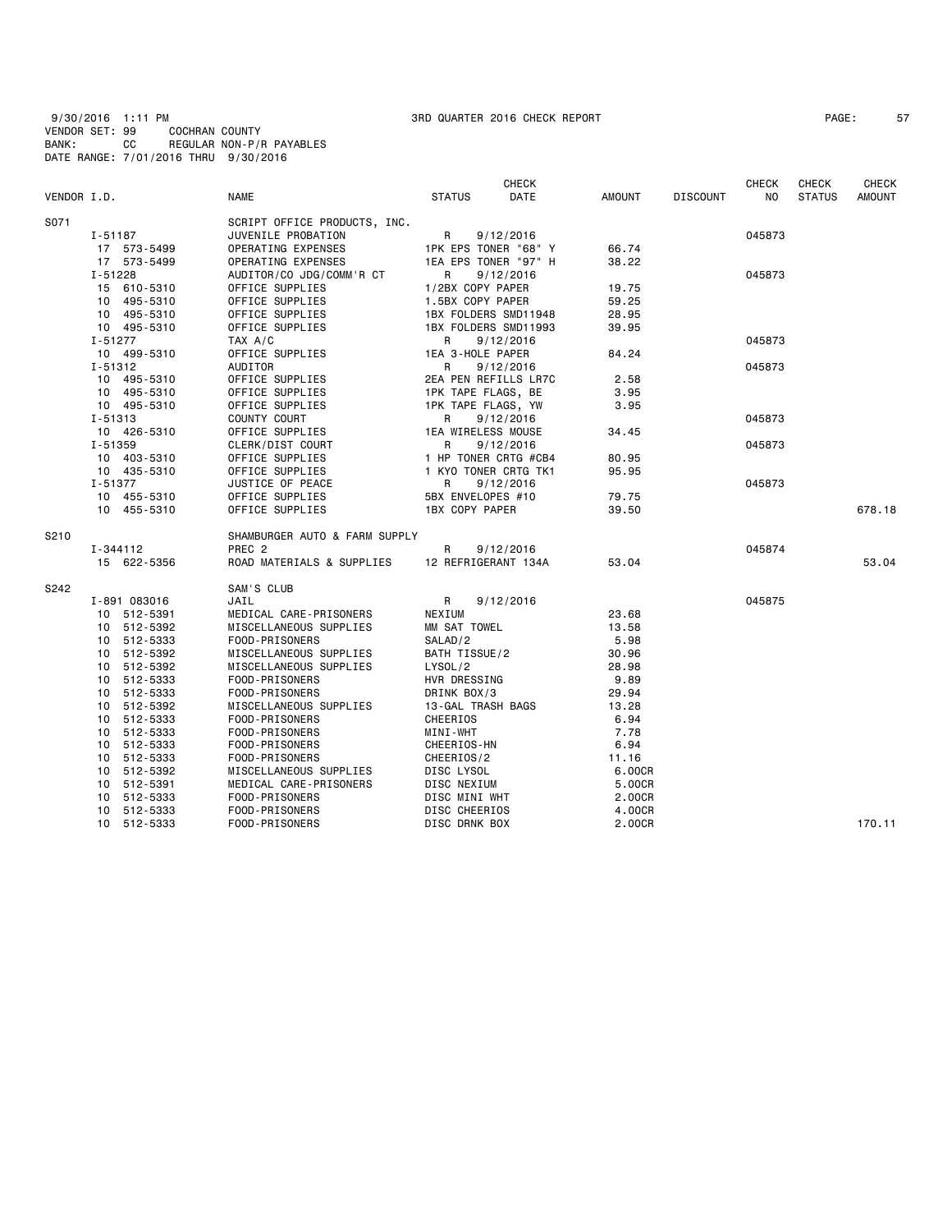9/30/2016 1:11 PM 3RD QUARTER 2016 CHECK REPORT PAGE: 57 VENDOR SET: 99 COCHRAN COUNTY BANK: CC REGULAR NON-P/R PAYABLES DATE RANGE: 7/01/2016 THRU 9/30/2016

|             |              |                               |                      | <b>CHECK</b>         |        |                 | <b>CHECK</b> | <b>CHECK</b>  | <b>CHECK</b>  |
|-------------|--------------|-------------------------------|----------------------|----------------------|--------|-----------------|--------------|---------------|---------------|
| VENDOR I.D. |              | NAME                          | <b>STATUS</b>        | DATE                 | AMOUNT | <b>DISCOUNT</b> | NO.          | <b>STATUS</b> | <b>AMOUNT</b> |
| S071        |              | SCRIPT OFFICE PRODUCTS, INC.  |                      |                      |        |                 |              |               |               |
|             | I-51187      | JUVENILE PROBATION            | R                    | 9/12/2016            |        |                 | 045873       |               |               |
|             | 17 573-5499  | OPERATING EXPENSES            |                      | 1PK EPS TONER "68" Y | 66.74  |                 |              |               |               |
|             | 17 573-5499  | OPERATING EXPENSES            | 1EA EPS TONER "97" H |                      | 38.22  |                 |              |               |               |
|             | $I - 51228$  | AUDITOR/CO JDG/COMM'R CT      | $\mathsf{R}$         | 9/12/2016            |        |                 | 045873       |               |               |
|             | 15 610-5310  | OFFICE SUPPLIES               | 1/2BX COPY PAPER     |                      | 19.75  |                 |              |               |               |
|             | 10 495-5310  | OFFICE SUPPLIES               | 1.5BX COPY PAPER     |                      | 59.25  |                 |              |               |               |
|             | 10 495-5310  | OFFICE SUPPLIES               | 1BX FOLDERS SMD11948 |                      | 28.95  |                 |              |               |               |
|             | 10 495-5310  | OFFICE SUPPLIES               | 1BX FOLDERS SMD11993 |                      | 39.95  |                 |              |               |               |
|             | $I - 51277$  | TAX A/C                       | R                    | 9/12/2016            |        |                 | 045873       |               |               |
|             | 10 499-5310  | OFFICE SUPPLIES               | 1EA 3-HOLE PAPER     |                      | 84.24  |                 |              |               |               |
|             | I-51312      | AUDITOR                       | R                    | 9/12/2016            |        |                 | 045873       |               |               |
|             | 10 495-5310  | OFFICE SUPPLIES               |                      | 2EA PEN REFILLS LR7C | 2.58   |                 |              |               |               |
|             | 10 495-5310  | OFFICE SUPPLIES               | 1PK TAPE FLAGS, BE   |                      | 3.95   |                 |              |               |               |
|             | 10 495-5310  | OFFICE SUPPLIES               | 1PK TAPE FLAGS, YW   |                      | 3.95   |                 |              |               |               |
|             | I-51313      | COUNTY COURT                  | R                    | 9/12/2016            |        |                 | 045873       |               |               |
|             | 10 426-5310  | OFFICE SUPPLIES               | 1EA WIRELESS MOUSE   |                      | 34.45  |                 |              |               |               |
|             | $I - 51359$  | CLERK/DIST COURT              | R                    | 9/12/2016            |        |                 | 045873       |               |               |
|             | 10 403-5310  | OFFICE SUPPLIES               | 1 HP TONER CRTG #CB4 |                      | 80.95  |                 |              |               |               |
|             | 10 435-5310  | OFFICE SUPPLIES               | 1 KYO TONER CRTG TK1 |                      | 95.95  |                 |              |               |               |
|             | I-51377      | JUSTICE OF PEACE              | R                    | 9/12/2016            |        |                 | 045873       |               |               |
|             | 10 455-5310  | OFFICE SUPPLIES               | 5BX ENVELOPES #10    |                      | 79.75  |                 |              |               |               |
|             | 10 455-5310  | OFFICE SUPPLIES               | 1BX COPY PAPER       |                      | 39.50  |                 |              |               | 678.18        |
| S210        |              | SHAMBURGER AUTO & FARM SUPPLY |                      |                      |        |                 |              |               |               |
|             | I-344112     | PREC <sub>2</sub>             | R                    | 9/12/2016            |        |                 | 045874       |               |               |
|             | 15 622-5356  | ROAD MATERIALS & SUPPLIES     | 12 REFRIGERANT 134A  |                      | 53.04  |                 |              |               | 53.04         |
| S242        |              | SAM'S CLUB                    |                      |                      |        |                 |              |               |               |
|             | I-891 083016 | JAIL                          | R                    | 9/12/2016            |        |                 | 045875       |               |               |
|             | 10 512-5391  | MEDICAL CARE-PRISONERS        | NEXIUM               |                      | 23.68  |                 |              |               |               |
|             | 10 512-5392  | MISCELLANEOUS SUPPLIES        | MM SAT TOWEL         |                      | 13.58  |                 |              |               |               |
|             | 10 512-5333  | FOOD-PRISONERS                | SALAD/2              |                      | 5.98   |                 |              |               |               |
|             | 10 512-5392  | MISCELLANEOUS SUPPLIES        | BATH TISSUE/2        |                      | 30.96  |                 |              |               |               |
|             | 10 512-5392  | MISCELLANEOUS SUPPLIES        | LYSOL/2              |                      | 28.98  |                 |              |               |               |
|             | 10 512-5333  | FOOD-PRISONERS                | HVR DRESSING         |                      | 9.89   |                 |              |               |               |
|             | 10 512-5333  | FOOD-PRISONERS                | DRINK BOX/3          |                      | 29.94  |                 |              |               |               |
|             | 10 512-5392  | MISCELLANEOUS SUPPLIES        | 13-GAL TRASH BAGS    |                      | 13.28  |                 |              |               |               |
|             | 10 512-5333  | FOOD-PRISONERS                | CHEERIOS             |                      | 6.94   |                 |              |               |               |
|             | 10 512-5333  | FOOD-PRISONERS                | MINI-WHT             |                      | 7.78   |                 |              |               |               |
|             | 10 512-5333  | FOOD-PRISONERS                | CHEERIOS-HN          |                      | 6.94   |                 |              |               |               |
|             | 10 512-5333  | FOOD-PRISONERS                | CHEERIOS/2           |                      | 11.16  |                 |              |               |               |
|             | 10 512-5392  | MISCELLANEOUS SUPPLIES        | DISC LYSOL           |                      | 6.00CR |                 |              |               |               |
|             | 10 512-5391  | MEDICAL CARE-PRISONERS        | DISC NEXIUM          |                      | 5.00CR |                 |              |               |               |
|             | 10 512-5333  | FOOD-PRISONERS                | DISC MINI WHT        |                      | 2.00CR |                 |              |               |               |
|             | 10 512-5333  | FOOD-PRISONERS                | DISC CHEERIOS        |                      | 4.00CR |                 |              |               |               |
|             | 10 512-5333  | FOOD-PRISONERS                | DISC DRNK BOX        |                      | 2.00CR |                 |              |               | 170.11        |
|             |              |                               |                      |                      |        |                 |              |               |               |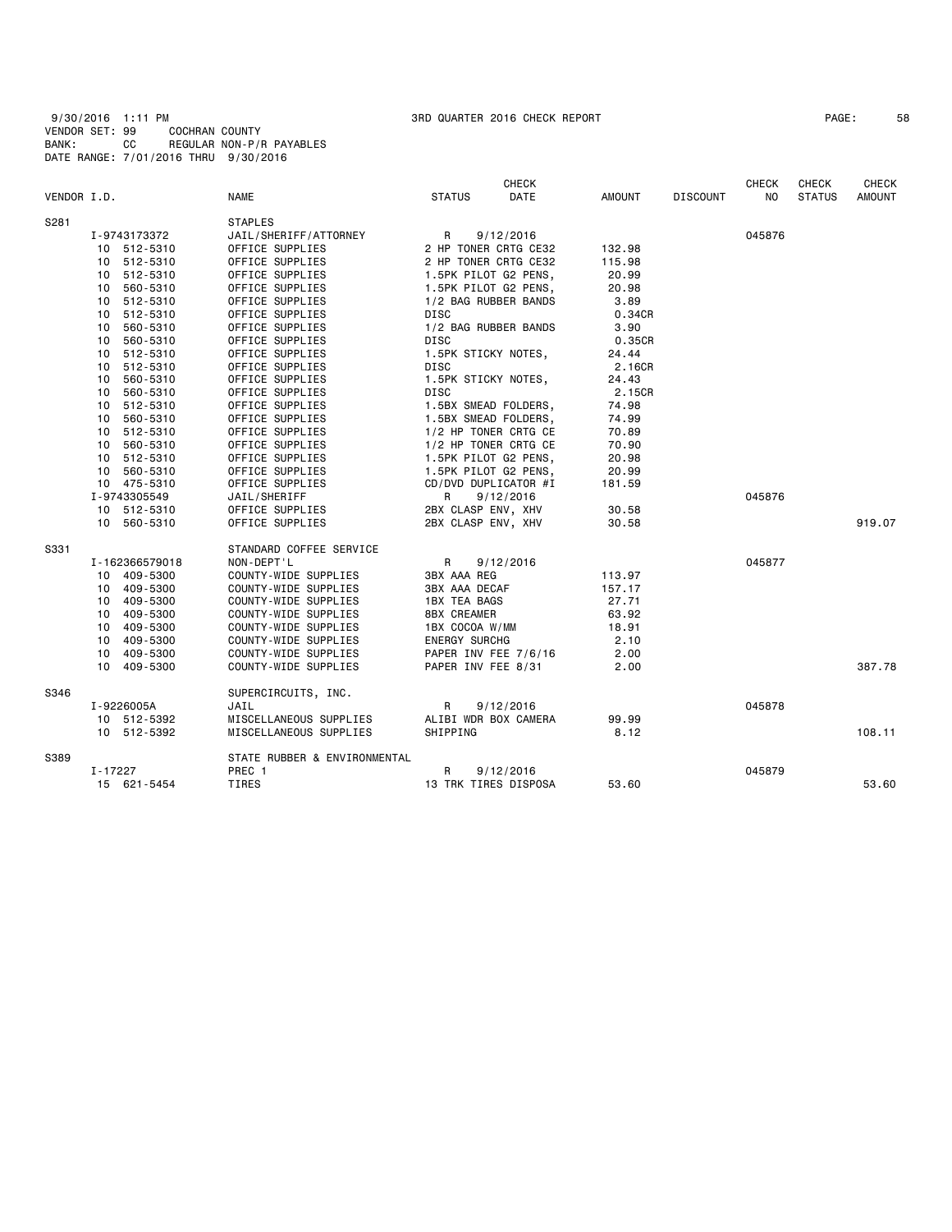| PAGE: | 58 |
|-------|----|
|-------|----|

|             |                |                              |                      | <b>CHECK</b>         |        |                 | <b>CHECK</b> | CHECK         | <b>CHECK</b> |
|-------------|----------------|------------------------------|----------------------|----------------------|--------|-----------------|--------------|---------------|--------------|
| VENDOR I.D. |                | NAME                         | <b>STATUS</b>        | DATE                 | AMOUNT | <b>DISCOUNT</b> | ΝO           | <b>STATUS</b> | AMOUNT       |
| S281        |                | <b>STAPLES</b>               |                      |                      |        |                 |              |               |              |
|             | I-9743173372   | JAIL/SHERIFF/ATTORNEY        | R                    | 9/12/2016            |        |                 | 045876       |               |              |
|             | 10 512-5310    | OFFICE SUPPLIES              | 2 HP TONER CRTG CE32 |                      | 132.98 |                 |              |               |              |
|             | 10 512-5310    | OFFICE SUPPLIES              | 2 HP TONER CRTG CE32 |                      | 115.98 |                 |              |               |              |
|             | 10 512-5310    | OFFICE SUPPLIES              | 1.5PK PILOT G2 PENS, |                      | 20.99  |                 |              |               |              |
|             | 10 560-5310    | OFFICE SUPPLIES              | 1.5PK PILOT G2 PENS, |                      | 20.98  |                 |              |               |              |
|             | 10 512-5310    | OFFICE SUPPLIES              | 1/2 BAG RUBBER BANDS |                      | 3.89   |                 |              |               |              |
|             | 10 512-5310    | OFFICE SUPPLIES              | DISC                 |                      | 0.34CR |                 |              |               |              |
|             | 10<br>560-5310 | OFFICE SUPPLIES              | 1/2 BAG RUBBER BANDS |                      | 3.90   |                 |              |               |              |
|             | 10 560-5310    | OFFICE SUPPLIES              | DISC                 |                      | 0.35CR |                 |              |               |              |
|             | 10 512-5310    | OFFICE SUPPLIES              | 1.5PK STICKY NOTES,  |                      | 24.44  |                 |              |               |              |
|             | 10 512-5310    | OFFICE SUPPLIES              | <b>DISC</b>          |                      | 2.16CR |                 |              |               |              |
|             | 10 560-5310    | OFFICE SUPPLIES              | 1.5PK STICKY NOTES,  |                      | 24.43  |                 |              |               |              |
|             | 10 560-5310    | OFFICE SUPPLIES              | DISC                 |                      | 2.15CR |                 |              |               |              |
|             | 10 512-5310    | OFFICE SUPPLIES              | 1.5BX SMEAD FOLDERS, |                      | 74.98  |                 |              |               |              |
|             | 10 560-5310    | OFFICE SUPPLIES              | 1.5BX SMEAD FOLDERS, |                      | 74.99  |                 |              |               |              |
|             | 10 512-5310    | OFFICE SUPPLIES              | 1/2 HP TONER CRTG CE |                      | 70.89  |                 |              |               |              |
|             | 10 560-5310    | OFFICE SUPPLIES              | 1/2 HP TONER CRTG CE |                      | 70.90  |                 |              |               |              |
|             | 10 512-5310    | OFFICE SUPPLIES              | 1.5PK PILOT G2 PENS, |                      | 20.98  |                 |              |               |              |
|             | 10 560-5310    | OFFICE SUPPLIES              | 1.5PK PILOT G2 PENS, |                      | 20.99  |                 |              |               |              |
|             | 10 475-5310    | OFFICE SUPPLIES              | CD/DVD DUPLICATOR #I |                      | 181.59 |                 |              |               |              |
|             | I-9743305549   | JAIL/SHERIFF                 | R                    | 9/12/2016            |        |                 | 045876       |               |              |
|             | 10 512-5310    | OFFICE SUPPLIES              | 2BX CLASP ENV, XHV   |                      | 30.58  |                 |              |               |              |
|             | 10 560-5310    | OFFICE SUPPLIES              | 2BX CLASP ENV, XHV   |                      | 30.58  |                 |              |               | 919.07       |
| S331        |                | STANDARD COFFEE SERVICE      |                      |                      |        |                 |              |               |              |
|             | I-162366579018 | NON-DEPT'L                   | R                    | 9/12/2016            |        |                 | 045877       |               |              |
|             | 10 409-5300    | COUNTY-WIDE SUPPLIES         | 3BX AAA REG          |                      | 113.97 |                 |              |               |              |
|             | 10 409-5300    | COUNTY-WIDE SUPPLIES         | 3BX AAA DECAF        |                      | 157.17 |                 |              |               |              |
|             | 10 409-5300    | COUNTY-WIDE SUPPLIES         | 1BX TEA BAGS         |                      | 27.71  |                 |              |               |              |
|             | 10 409-5300    | COUNTY-WIDE SUPPLIES         | 8BX CREAMER          |                      | 63.92  |                 |              |               |              |
|             | 10 409-5300    | COUNTY-WIDE SUPPLIES         | 1BX COCOA W/MM       |                      | 18.91  |                 |              |               |              |
|             | 10 409-5300    | COUNTY-WIDE SUPPLIES         | <b>ENERGY SURCHG</b> |                      | 2.10   |                 |              |               |              |
|             | 10 409-5300    | COUNTY-WIDE SUPPLIES         |                      | PAPER INV FEE 7/6/16 | 2.00   |                 |              |               |              |
|             | 10 409-5300    | COUNTY-WIDE SUPPLIES         | PAPER INV FEE 8/31   |                      | 2.00   |                 |              |               | 387.78       |
| S346        |                | SUPERCIRCUITS, INC.          |                      |                      |        |                 |              |               |              |
|             | I-9226005A     | JAIL                         | R                    | 9/12/2016            |        |                 | 045878       |               |              |
|             | 10 512-5392    | MISCELLANEOUS SUPPLIES       | ALIBI WDR BOX CAMERA |                      | 99.99  |                 |              |               |              |
|             | 10 512-5392    | MISCELLANEOUS SUPPLIES       | SHIPPING             |                      | 8.12   |                 |              |               | 108.11       |
| S389        |                | STATE RUBBER & ENVIRONMENTAL |                      |                      |        |                 |              |               |              |
|             | $I - 17227$    | PREC 1                       | R                    | 9/12/2016            |        |                 | 045879       |               |              |
|             | 15 621-5454    | TIRES                        | 13 TRK TIRES DISPOSA |                      | 53.60  |                 |              |               | 53.60        |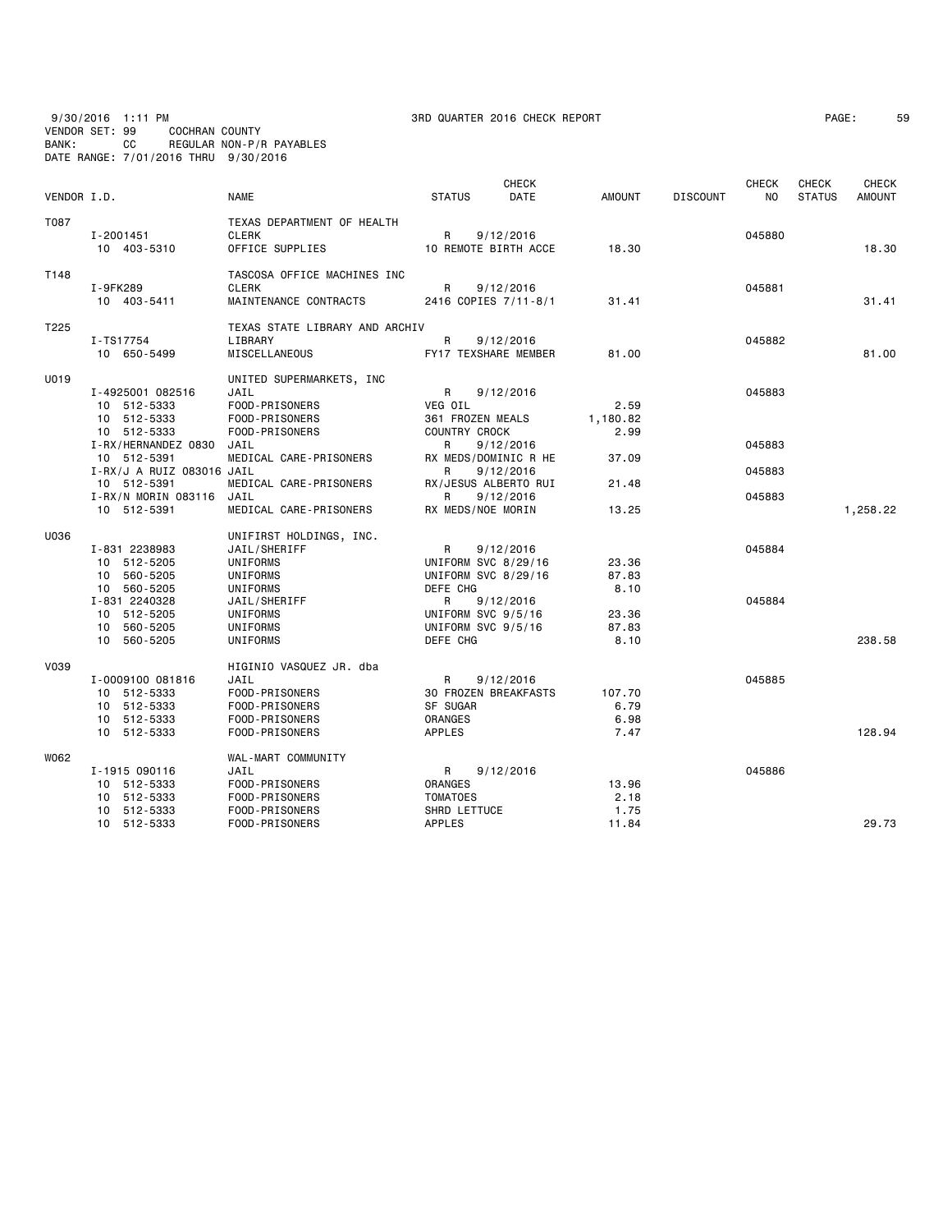VENDOR SET: 99 COCHRAN COUNTY BANK: CC REGULAR NON-P/R PAYABLES

DATE RANGE: 7/01/2016 THRU 9/30/2016

| 9/30/2016     | PM<br>1:11 |                | 3RD QUARTER 2016 CHECK REPORT | PAGE | J. |
|---------------|------------|----------------|-------------------------------|------|----|
| ENDOD CET, OO |            | COCHDAN COUNTY |                               |      |    |

|             |                                    |                                |                                 | <b>CHECK</b>         |               |                 | <b>CHECK</b> | <b>CHECK</b>  | CHECK         |
|-------------|------------------------------------|--------------------------------|---------------------------------|----------------------|---------------|-----------------|--------------|---------------|---------------|
| VENDOR I.D. |                                    | <b>NAME</b>                    | <b>STATUS</b>                   | <b>DATE</b>          | <b>AMOUNT</b> | <b>DISCOUNT</b> | NO.          | <b>STATUS</b> | <b>AMOUNT</b> |
| T087        |                                    | TEXAS DEPARTMENT OF HEALTH     |                                 |                      |               |                 |              |               |               |
|             | I-2001451                          | <b>CLERK</b>                   | R                               | 9/12/2016            |               |                 | 045880       |               |               |
|             | 10 403-5310                        | OFFICE SUPPLIES                | 10 REMOTE BIRTH ACCE            |                      | 18.30         |                 |              |               | 18.30         |
| T148        |                                    | TASCOSA OFFICE MACHINES INC    |                                 |                      |               |                 |              |               |               |
|             | I-9FK289                           | <b>CLERK</b>                   | R                               | 9/12/2016            |               |                 | 045881       |               |               |
|             | 10 403-5411                        | MAINTENANCE CONTRACTS          | 2416 COPIES 7/11-8/1            |                      | 31.41         |                 |              |               | 31.41         |
| T225        |                                    | TEXAS STATE LIBRARY AND ARCHIV |                                 |                      |               |                 |              |               |               |
|             | I-TS17754                          | LIBRARY                        | R                               | 9/12/2016            |               |                 | 045882       |               |               |
|             | 10 650-5499                        | MISCELLANEOUS                  | FY17 TEXSHARE MEMBER            |                      | 81.00         |                 |              |               | 81.00         |
| U019        |                                    | UNITED SUPERMARKETS, INC       |                                 |                      |               |                 |              |               |               |
|             | I-4925001 082516                   | JAIL                           | R                               | 9/12/2016            |               |                 | 045883       |               |               |
|             | 10 512-5333                        | FOOD-PRISONERS                 | VEG OIL                         |                      | 2.59          |                 |              |               |               |
|             | 10 512-5333                        | FOOD-PRISONERS                 | 361 FROZEN MEALS                |                      | 1,180.82      |                 |              |               |               |
|             | 10 512-5333                        | FOOD-PRISONERS                 | <b>COUNTRY CROCK</b>            |                      | 2.99          |                 |              |               |               |
|             | I-RX/HERNANDEZ 0830                | JAIL                           | R                               | 9/12/2016            |               |                 | 045883       |               |               |
|             | 10 512-5391                        | MEDICAL CARE-PRISONERS         |                                 | RX MEDS/DOMINIC R HE | 37.09         |                 |              |               |               |
|             | I-RX/J A RUIZ 083016 JAIL          |                                | R                               | 9/12/2016            |               |                 | 045883       |               |               |
|             | 10 512-5391<br>I-RX/N MORIN 083116 | MEDICAL CARE-PRISONERS<br>JAIL | RX/JESUS ALBERTO RUI<br>R       | 9/12/2016            | 21.48         |                 | 045883       |               |               |
|             | 10 512-5391                        | MEDICAL CARE-PRISONERS         | RX MEDS/NOE MORIN               |                      | 13.25         |                 |              |               | 1,258.22      |
|             |                                    |                                |                                 |                      |               |                 |              |               |               |
| U036        |                                    | UNIFIRST HOLDINGS, INC.        |                                 |                      |               |                 |              |               |               |
|             | I-831 2238983                      | JAIL/SHERIFF                   | R                               | 9/12/2016            | 23.36         |                 | 045884       |               |               |
|             | 10 512-5205<br>10 560-5205         | UNIFORMS<br>UNIFORMS           | UNIFORM SVC 8/29/16             |                      | 87.83         |                 |              |               |               |
|             | 10 560-5205                        | UNIFORMS                       | UNIFORM SVC 8/29/16<br>DEFE CHG |                      | 8.10          |                 |              |               |               |
|             | I-831 2240328                      | JAIL/SHERIFF                   | R                               | 9/12/2016            |               |                 | 045884       |               |               |
|             | 10 512-5205                        | UNIFORMS                       | UNIFORM SVC 9/5/16              |                      | 23.36         |                 |              |               |               |
|             | 10 560-5205                        | UNIFORMS                       | UNIFORM SVC 9/5/16              |                      | 87.83         |                 |              |               |               |
|             | 10 560-5205                        | <b>UNIFORMS</b>                | DEFE CHG                        |                      | 8.10          |                 |              |               | 238.58        |
| V039        |                                    | HIGINIO VASQUEZ JR. dba        |                                 |                      |               |                 |              |               |               |
|             | I-0009100 081816                   | JAIL                           | R                               | 9/12/2016            |               |                 | 045885       |               |               |
|             | 10 512-5333                        | FOOD-PRISONERS                 | <b>30 FROZEN BREAKFASTS</b>     |                      | 107.70        |                 |              |               |               |
|             | 10 512-5333                        | FOOD-PRISONERS                 | <b>SF SUGAR</b>                 |                      | 6.79          |                 |              |               |               |
|             | 10 512-5333                        | FOOD-PRISONERS                 | ORANGES                         |                      | 6.98          |                 |              |               |               |
|             | 10 512-5333                        | FOOD-PRISONERS                 | <b>APPLES</b>                   |                      | 7.47          |                 |              |               | 128.94        |
| W062        |                                    | WAL-MART COMMUNITY             |                                 |                      |               |                 |              |               |               |
|             | I-1915 090116                      | JAIL                           | R                               | 9/12/2016            |               |                 | 045886       |               |               |
|             | 10 512-5333                        | FOOD-PRISONERS                 | ORANGES                         |                      | 13.96         |                 |              |               |               |
|             | 10 512-5333                        | FOOD-PRISONERS                 | <b>TOMATOES</b>                 |                      | 2.18          |                 |              |               |               |
|             | 512-5333<br>10                     | FOOD-PRISONERS                 | SHRD LETTUCE                    |                      | 1.75          |                 |              |               |               |
|             | 10 512-5333                        | FOOD-PRISONERS                 | <b>APPLES</b>                   |                      | 11.84         |                 |              |               | 29.73         |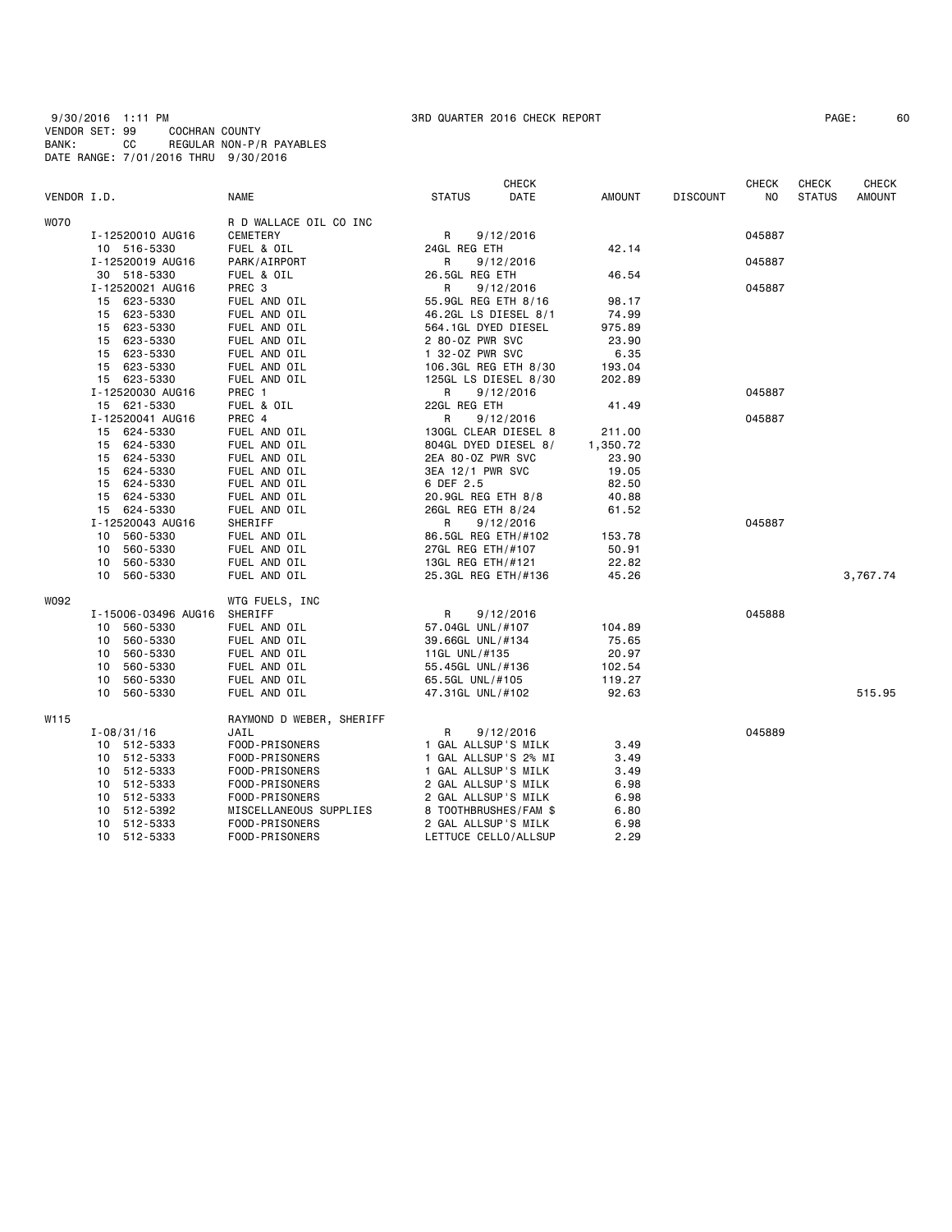9/30/2016 1:11 PM 3RD QUARTER 2016 CHECK REPORT PAGE: 60 VENDOR SET: 99 COCHRAN COUNTY BANK: CC REGULAR NON-P/R PAYABLES DATE RANGE: 7/01/2016 THRU 9/30/2016

|             |                     |                          |                       | <b>CHECK</b> |               |                 | <b>CHECK</b> | <b>CHECK</b>  | <b>CHECK</b>  |
|-------------|---------------------|--------------------------|-----------------------|--------------|---------------|-----------------|--------------|---------------|---------------|
| VENDOR I.D. |                     | <b>NAME</b>              | <b>STATUS</b>         | DATE         | <b>AMOUNT</b> | <b>DISCOUNT</b> | NO.          | <b>STATUS</b> | <b>AMOUNT</b> |
| <b>WO70</b> |                     | R D WALLACE OIL CO INC   |                       |              |               |                 |              |               |               |
|             | I-12520010 AUG16    | <b>CEMETERY</b>          | R                     | 9/12/2016    |               |                 | 045887       |               |               |
|             | 10 516-5330         | FUEL & OIL               | 24GL REG ETH          |              | 42.14         |                 |              |               |               |
|             | I-12520019 AUG16    | PARK/AIRPORT             | R                     | 9/12/2016    |               |                 | 045887       |               |               |
|             | 30 518-5330         | FUEL & OIL               | 26.5GL REG ETH        |              | 46.54         |                 |              |               |               |
|             | I-12520021 AUG16    | PREC 3                   | R                     | 9/12/2016    |               |                 | 045887       |               |               |
|             | 15 623-5330         | FUEL AND OIL             | 55.9GL REG ETH 8/16   |              | 98.17         |                 |              |               |               |
|             | 15 623-5330         | FUEL AND OIL             | 46.2GL LS DIESEL 8/1  |              | 74.99         |                 |              |               |               |
|             | 15 623-5330         | FUEL AND OIL             | 564.1GL DYED DIESEL   |              | 975.89        |                 |              |               |               |
|             | 15 623-5330         | FUEL AND OIL             | 2 80-0Z PWR SVC       |              | 23.90         |                 |              |               |               |
|             | 15 623-5330         | FUEL AND OIL             | 1 32-0Z PWR SVC       |              | 6.35          |                 |              |               |               |
|             | 15 623-5330         | FUEL AND OIL             | 106.3GL REG ETH 8/30  |              | 193.04        |                 |              |               |               |
|             | 15 623-5330         | FUEL AND OIL             | 125GL LS DIESEL 8/30  |              | 202.89        |                 |              |               |               |
|             | I-12520030 AUG16    | PREC 1                   | R                     | 9/12/2016    |               |                 | 045887       |               |               |
|             | 15 621-5330         | FUEL & OIL               | 22GL REG ETH          |              | 41.49         |                 |              |               |               |
|             | I-12520041 AUG16    | PREC 4                   | R                     | 9/12/2016    |               |                 | 045887       |               |               |
|             | 15 624-5330         | FUEL AND OIL             | 130GL CLEAR DIESEL 8  |              | 211.00        |                 |              |               |               |
|             | 15 624-5330         | FUEL AND OIL             | 804GL DYED DIESEL 8/  |              | 1,350.72      |                 |              |               |               |
|             | 15 624-5330         | FUEL AND OIL             | 2EA 80-0Z PWR SVC     |              | 23.90         |                 |              |               |               |
|             | 15 624-5330         | FUEL AND OIL             | 3EA 12/1 PWR SVC      |              | 19.05         |                 |              |               |               |
|             | 15 624-5330         | FUEL AND OIL             | 6 DEF 2.5             |              | 82.50         |                 |              |               |               |
|             | 624-5330<br>15      | FUEL AND OIL             | 20.9GL REG ETH 8/8    |              | 40.88         |                 |              |               |               |
|             | 15 624-5330         | FUEL AND OIL             | 26GL REG ETH 8/24     |              | 61.52         |                 |              |               |               |
|             | I-12520043 AUG16    | SHERIFF                  | R                     | 9/12/2016    |               |                 | 045887       |               |               |
|             | 10 560-5330         | FUEL AND OIL             | 86.5GL REG ETH/#102   |              | 153.78        |                 |              |               |               |
|             | 10 560-5330         | FUEL AND OIL             | 27GL REG ETH/#107     |              | 50.91         |                 |              |               |               |
|             | 10 560-5330         | FUEL AND OIL             | 13GL REG ETH/#121     |              | 22.82         |                 |              |               |               |
|             | 10 560-5330         | FUEL AND OIL             | 25.3GL REG ETH/#136   |              | 45.26         |                 |              |               | 3,767.74      |
| W092        |                     | WTG FUELS, INC           |                       |              |               |                 |              |               |               |
|             | I-15006-03496 AUG16 | SHERIFF                  | R                     | 9/12/2016    |               |                 | 045888       |               |               |
|             | 10 560-5330         | FUEL AND OIL             | 57.04GL UNL/#107      |              | 104.89        |                 |              |               |               |
|             | 10 560-5330         | FUEL AND OIL             | 39.66GL UNL/#134      |              | 75.65         |                 |              |               |               |
|             | 10<br>560-5330      | FUEL AND OIL             | 11GL UNL/#135         |              | 20.97         |                 |              |               |               |
|             | 560-5330<br>10      | FUEL AND OIL             | 55.45GL UNL/#136      |              | 102.54        |                 |              |               |               |
|             | 560-5330<br>10      | FUEL AND OIL             | 65.5GL UNL/#105       |              | 119.27        |                 |              |               |               |
|             | 10 560-5330         | FUEL AND OIL             | 47.31GL UNL/#102      |              | 92.63         |                 |              |               | 515.95        |
| W115        |                     | RAYMOND D WEBER, SHERIFF |                       |              |               |                 |              |               |               |
|             | $I - 08/31/16$      | JAIL                     | R                     | 9/12/2016    |               |                 | 045889       |               |               |
|             | 10 512-5333         | FOOD-PRISONERS           | 1 GAL ALLSUP'S MILK   |              | 3.49          |                 |              |               |               |
|             | 10 512-5333         | FOOD-PRISONERS           | 1 GAL ALLSUP'S 2% MI  |              | 3.49          |                 |              |               |               |
|             | 10 512-5333         | FOOD-PRISONERS           | 1 GAL ALLSUP'S MILK   |              | 3.49          |                 |              |               |               |
|             | 512-5333<br>10      | FOOD-PRISONERS           | 2 GAL ALLSUP'S MILK   |              | 6.98          |                 |              |               |               |
|             | 10 512-5333         | FOOD-PRISONERS           | 2 GAL ALLSUP'S MILK   |              | 6.98          |                 |              |               |               |
|             | 512-5392<br>10      | MISCELLANEOUS SUPPLIES   | 8 TOOTHBRUSHES/FAM \$ |              | 6.80          |                 |              |               |               |
|             | 512-5333<br>10      | FOOD-PRISONERS           | 2 GAL ALLSUP'S MILK   |              | 6.98          |                 |              |               |               |
|             | 10 512-5333         | FOOD-PRISONERS           | LETTUCE CELLO/ALLSUP  |              | 2.29          |                 |              |               |               |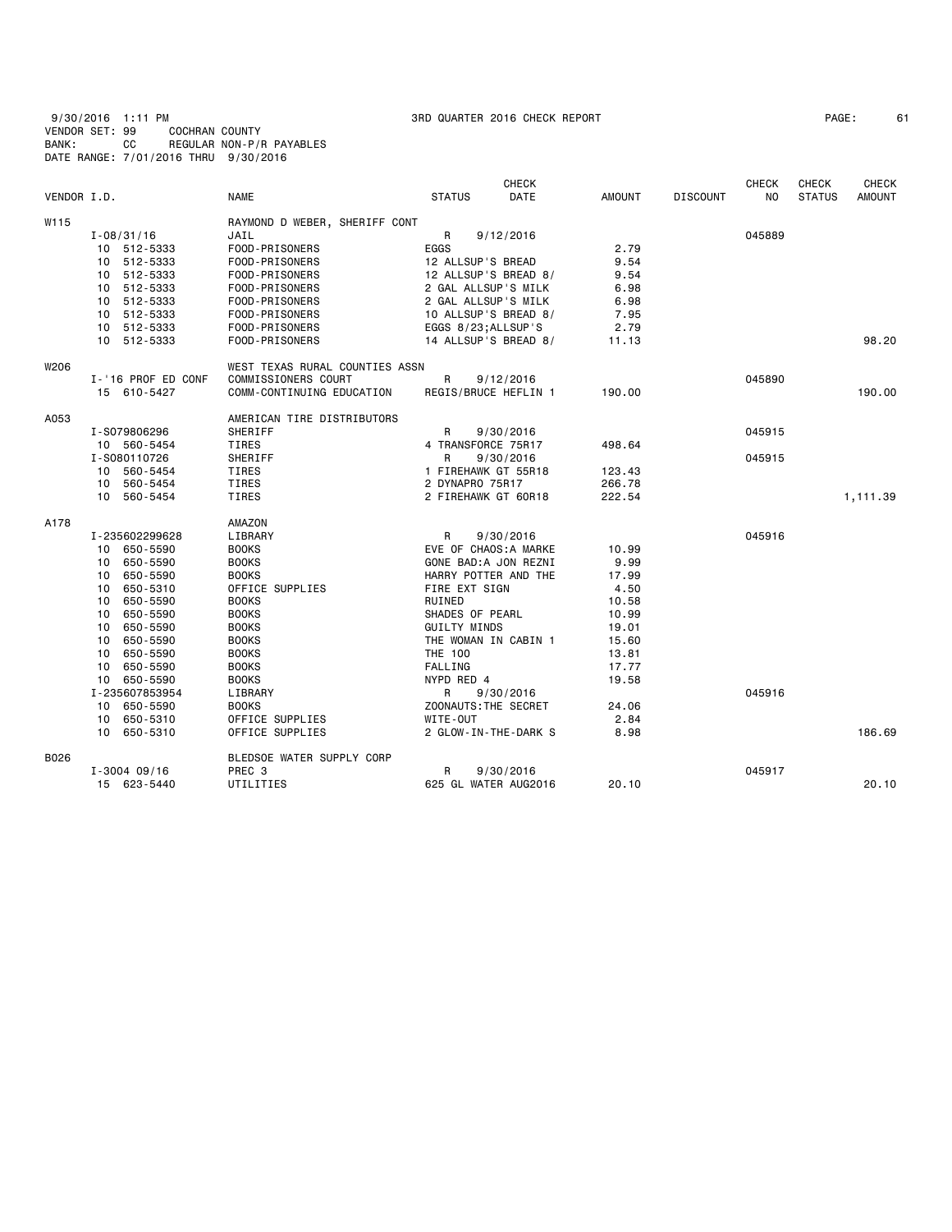9/30/2016 1:11 PM 3RD QUARTER 2016 CHECK REPORT PAGE: 61 VENDOR SET: 99 COCHRAN COUNTY BANK: CC REGULAR NON-P/R PAYABLES DATE RANGE: 7/01/2016 THRU 9/30/2016

| PAGE: |  |  |
|-------|--|--|
|-------|--|--|

|             |                    |                                |                      | <b>CHECK</b>          |               |                 | <b>CHECK</b>   | <b>CHECK</b>  | <b>CHECK</b>  |
|-------------|--------------------|--------------------------------|----------------------|-----------------------|---------------|-----------------|----------------|---------------|---------------|
| VENDOR I.D. |                    | <b>NAME</b>                    | <b>STATUS</b>        | DATE                  | <b>AMOUNT</b> | <b>DISCOUNT</b> | N <sub>0</sub> | <b>STATUS</b> | <b>AMOUNT</b> |
| W115        |                    | RAYMOND D WEBER, SHERIFF CONT  |                      |                       |               |                 |                |               |               |
|             | $I - 08/31/16$     | JAIL                           | R                    | 9/12/2016             |               |                 | 045889         |               |               |
|             | 10 512-5333        | FOOD-PRISONERS                 | EGGS                 |                       | 2.79          |                 |                |               |               |
|             | 10 512-5333        | FOOD-PRISONERS                 | 12 ALLSUP'S BREAD    |                       | 9.54          |                 |                |               |               |
|             | 512-5333<br>10     | FOOD-PRISONERS                 |                      | 12 ALLSUP'S BREAD 8/  | 9.54          |                 |                |               |               |
|             | 512-5333<br>10     | FOOD-PRISONERS                 | 2 GAL ALLSUP'S MILK  |                       | 6.98          |                 |                |               |               |
|             | 512-5333<br>10     | FOOD-PRISONERS                 | 2 GAL ALLSUP'S MILK  |                       | 6.98          |                 |                |               |               |
|             | 10 512-5333        | FOOD-PRISONERS                 |                      | 10 ALLSUP'S BREAD 8/  | 7.95          |                 |                |               |               |
|             | 10 512-5333        | FOOD-PRISONERS                 | EGGS 8/23; ALLSUP'S  |                       | 2.79          |                 |                |               |               |
|             | 10 512-5333        | FOOD-PRISONERS                 |                      | 14 ALLSUP'S BREAD 8/  | 11.13         |                 |                |               | 98.20         |
| W206        |                    | WEST TEXAS RURAL COUNTIES ASSN |                      |                       |               |                 |                |               |               |
|             | I-'16 PROF ED CONF | COMMISSIONERS COURT            | R                    | 9/12/2016             |               |                 | 045890         |               |               |
|             | 15 610-5427        | COMM-CONTINUING EDUCATION      |                      | REGIS/BRUCE HEFLIN 1  | 190.00        |                 |                |               | 190.00        |
| A053        |                    | AMERICAN TIRE DISTRIBUTORS     |                      |                       |               |                 |                |               |               |
|             | I-S079806296       | SHERIFF                        | R                    | 9/30/2016             |               |                 | 045915         |               |               |
|             | 10 560-5454        | <b>TIRES</b>                   | 4 TRANSFORCE 75R17   |                       | 498.64        |                 |                |               |               |
|             | I-S080110726       | SHERIFF                        | R                    | 9/30/2016             |               |                 | 045915         |               |               |
|             | 10 560-5454        | TIRES                          | 1 FIREHAWK GT 55R18  |                       | 123.43        |                 |                |               |               |
|             | 560-5454<br>10     | TIRES                          | 2 DYNAPRO 75R17      |                       | 266.78        |                 |                |               |               |
|             | 10 560-5454        | TIRES                          | 2 FIREHAWK GT 60R18  |                       | 222.54        |                 |                |               | 1,111.39      |
| A178        |                    | AMAZON                         |                      |                       |               |                 |                |               |               |
|             | I-235602299628     | LIBRARY                        | $\mathsf{R}$         | 9/30/2016             |               |                 | 045916         |               |               |
|             | 650-5590<br>10     | <b>BOOKS</b>                   |                      | EVE OF CHAOS: A MARKE | 10.99         |                 |                |               |               |
|             | 650-5590<br>10     | <b>BOOKS</b>                   |                      | GONE BAD:A JON REZNI  | 9.99          |                 |                |               |               |
|             | 650-5590<br>10     | <b>BOOKS</b>                   |                      | HARRY POTTER AND THE  | 17.99         |                 |                |               |               |
|             | 650-5310<br>10     | OFFICE SUPPLIES                | FIRE EXT SIGN        |                       | 4.50          |                 |                |               |               |
|             | 650-5590<br>10     | <b>BOOKS</b>                   | RUINED               |                       | 10.58         |                 |                |               |               |
|             | 650-5590<br>10     | <b>BOOKS</b>                   | SHADES OF PEARL      |                       | 10.99         |                 |                |               |               |
|             | 650-5590<br>10     | <b>BOOKS</b>                   | <b>GUILTY MINDS</b>  |                       | 19.01         |                 |                |               |               |
|             | 650-5590<br>10     | <b>BOOKS</b>                   | THE WOMAN IN CABIN 1 |                       | 15.60         |                 |                |               |               |
|             | 650-5590<br>10     | <b>BOOKS</b>                   | <b>THE 100</b>       |                       | 13.81         |                 |                |               |               |
|             | 650-5590<br>10     | <b>BOOKS</b>                   | FALLING              |                       | 17.77         |                 |                |               |               |
|             | 650-5590<br>10     | <b>BOOKS</b>                   | NYPD RED 4           |                       | 19.58         |                 |                |               |               |
|             | I-235607853954     | LIBRARY                        | R                    | 9/30/2016             |               |                 | 045916         |               |               |
|             | 10 650-5590        | <b>BOOKS</b>                   | ZOONAUTS: THE SECRET |                       | 24.06         |                 |                |               |               |
|             | 10 650-5310        | OFFICE SUPPLIES                | WITE-OUT             |                       | 2.84          |                 |                |               |               |
|             | 650-5310<br>10     | OFFICE SUPPLIES                |                      | 2 GLOW-IN-THE-DARK S  | 8.98          |                 |                |               | 186.69        |
| B026        |                    | BLEDSOE WATER SUPPLY CORP      |                      |                       |               |                 |                |               |               |
|             | $I - 3004$ 09/16   | PREC <sub>3</sub>              | R                    | 9/30/2016             |               |                 | 045917         |               |               |
|             | 15 623-5440        | UTILITIES                      |                      | 625 GL WATER AUG2016  | 20.10         |                 |                |               | 20.10         |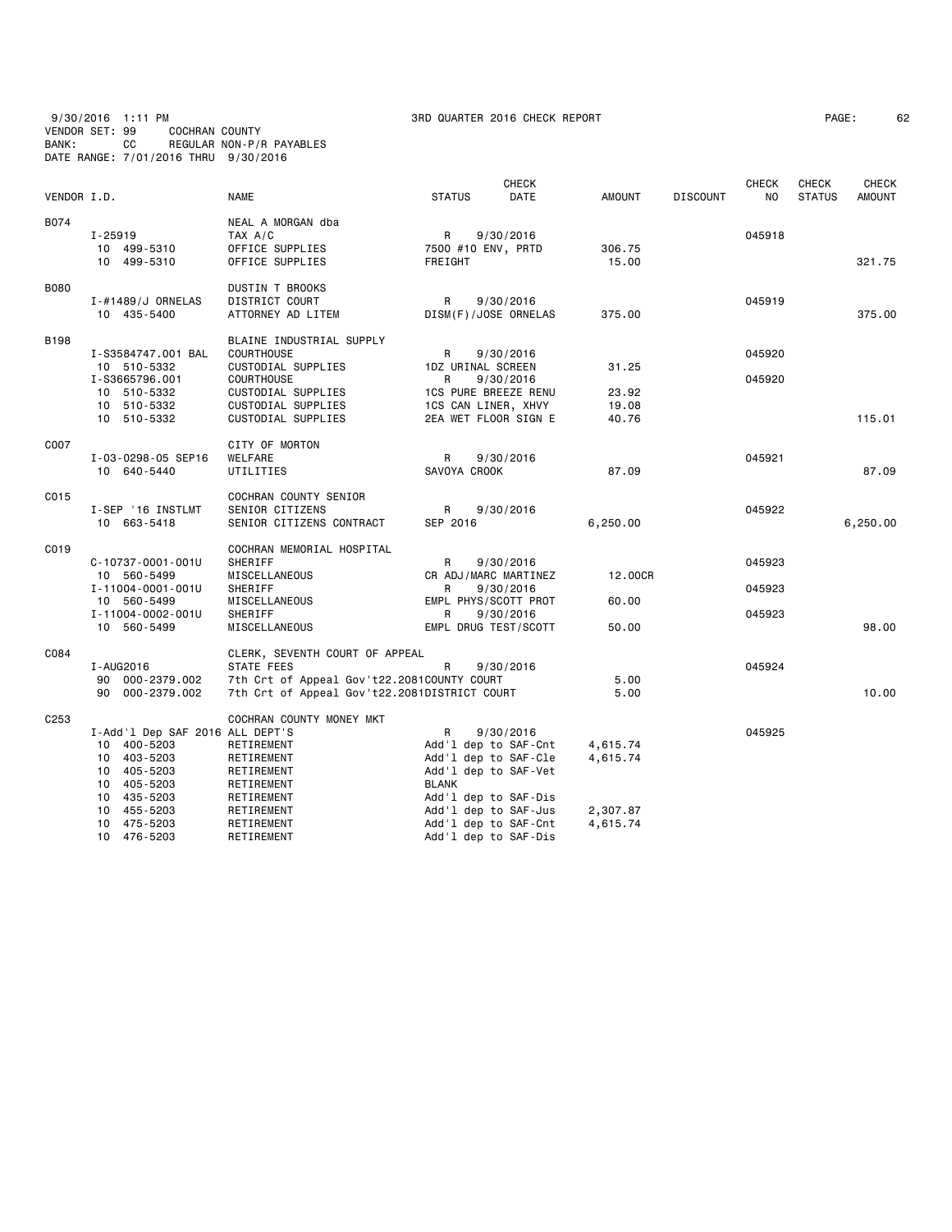## 9/30/2016 1:11 PM 3RD QUARTER 2016 CHECK REPORT PAGE: 62 VENDOR SET: 99 COCHRAN COUNTY BANK: CC REGULAR NON-P/R PAYABLES DATE RANGE: 7/01/2016 THRU 9/30/2016

| PAGE : |  | 6: |
|--------|--|----|
|--------|--|----|

|                  |                                                                                                                     |                                                                                                                                            |                                                                                                                   | <b>CHECK</b>           |                         |                 | <b>CHECK</b>     | CHECK         | CHECK         |
|------------------|---------------------------------------------------------------------------------------------------------------------|--------------------------------------------------------------------------------------------------------------------------------------------|-------------------------------------------------------------------------------------------------------------------|------------------------|-------------------------|-----------------|------------------|---------------|---------------|
| VENDOR I.D.      |                                                                                                                     | <b>NAME</b>                                                                                                                                | <b>STATUS</b>                                                                                                     | DATE                   | AMOUNT                  | <b>DISCOUNT</b> | NO               | <b>STATUS</b> | <b>AMOUNT</b> |
| B074             | I-25919<br>10 499-5310<br>10 499-5310                                                                               | NEAL A MORGAN dba<br>TAX A/C<br>OFFICE SUPPLIES<br>OFFICE SUPPLIES                                                                         | $\mathsf{R}$<br>7500 #10 ENV, PRTD<br>FREIGHT                                                                     | 9/30/2016              | 306.75<br>15.00         |                 | 045918           |               | 321.75        |
| <b>B080</b>      | I-#1489/J ORNELAS<br>10 435-5400                                                                                    | DUSTIN T BROOKS<br>DISTRICT COURT<br>ATTORNEY AD LITEM                                                                                     | R<br>DISM(F)/JOSE ORNELAS                                                                                         | 9/30/2016              | 375.00                  |                 | 045919           |               | 375.00        |
| <b>B198</b>      | I-S3584747.001 BAL<br>10 510-5332<br>I-S3665796.001                                                                 | BLAINE INDUSTRIAL SUPPLY<br><b>COURTHOUSE</b><br>CUSTODIAL SUPPLIES<br><b>COURTHOUSE</b>                                                   | R<br>1DZ URINAL SCREEN<br>R                                                                                       | 9/30/2016<br>9/30/2016 | 31.25                   |                 | 045920<br>045920 |               |               |
|                  | 10 510-5332<br>10 510-5332<br>10 510-5332                                                                           | CUSTODIAL SUPPLIES<br>CUSTODIAL SUPPLIES<br>CUSTODIAL SUPPLIES                                                                             | 1CS PURE BREEZE RENU<br>1CS CAN LINER, XHVY<br>2EA WET FLOOR SIGN E                                               |                        | 23.92<br>19.08<br>40.76 |                 |                  |               | 115.01        |
| C007             | I-03-0298-05 SEP16<br>10 640-5440                                                                                   | CITY OF MORTON<br>WELFARE<br>UTILITIES                                                                                                     | R<br>SAVOYA CROOK                                                                                                 | 9/30/2016              | 87.09                   |                 | 045921           |               | 87.09         |
| C015             | I-SEP '16 INSTLMT<br>10 663-5418                                                                                    | COCHRAN COUNTY SENIOR<br>SENIOR CITIZENS<br>SENIOR CITIZENS CONTRACT                                                                       | R<br>SEP 2016                                                                                                     | 9/30/2016              | 6,250.00                |                 | 045922           |               | 6,250.00      |
| C019             |                                                                                                                     | COCHRAN MEMORIAL HOSPITAL                                                                                                                  |                                                                                                                   |                        |                         |                 |                  |               |               |
|                  | $C - 10737 - 0001 - 001U$<br>10 560-5499                                                                            | SHERIFF<br>MISCELLANEOUS                                                                                                                   | R<br>CR ADJ/MARC MARTINEZ                                                                                         | 9/30/2016              | 12.00CR                 |                 | 045923           |               |               |
|                  | I-11004-0001-001U<br>10 560-5499<br>I-11004-0002-001U                                                               | SHERIFF<br>MISCELLANEOUS<br>SHERIFF                                                                                                        | R<br>EMPL PHYS/SCOTT PROT<br>R                                                                                    | 9/30/2016<br>9/30/2016 | 60.00                   |                 | 045923<br>045923 |               |               |
|                  | 10 560-5499                                                                                                         | MISCELLANEOUS                                                                                                                              | EMPL DRUG TEST/SCOTT                                                                                              |                        | 50.00                   |                 |                  |               | 98.00         |
| C084             | I-AUG2016<br>90 000-2379.002<br>90 000-2379.002                                                                     | CLERK, SEVENTH COURT OF APPEAL<br>STATE FEES<br>7th Crt of Appeal Gov't22.2081COUNTY COURT<br>7th Crt of Appeal Gov't22.2081DISTRICT COURT | R                                                                                                                 | 9/30/2016              | 5.00<br>5.00            |                 | 045924           |               | 10.00         |
| C <sub>253</sub> | I-Add'l Dep SAF 2016 ALL DEPT'S<br>10 400-5203<br>403-5203<br>10<br>405-5203<br>10<br>405-5203<br>10<br>10 435-5203 | COCHRAN COUNTY MONEY MKT<br>RETIREMENT<br>RETIREMENT<br>RETIREMENT<br>RETIREMENT<br>RETIREMENT                                             | R<br>Add'l dep to SAF-Cnt<br>Add'l dep to SAF-Cle<br>Add'1 dep to SAF-Vet<br><b>BLANK</b><br>Add'l dep to SAF-Dis | 9/30/2016              | 4,615.74<br>4,615.74    |                 | 045925           |               |               |
|                  | 455-5203<br>10<br>10 475-5203<br>10 476-5203                                                                        | RETIREMENT<br>RETIREMENT<br>RETIREMENT                                                                                                     | Add'l dep to SAF-Jus<br>Add'l dep to SAF-Cnt<br>Add'l dep to SAF-Dis                                              |                        | 2,307.87<br>4,615.74    |                 |                  |               |               |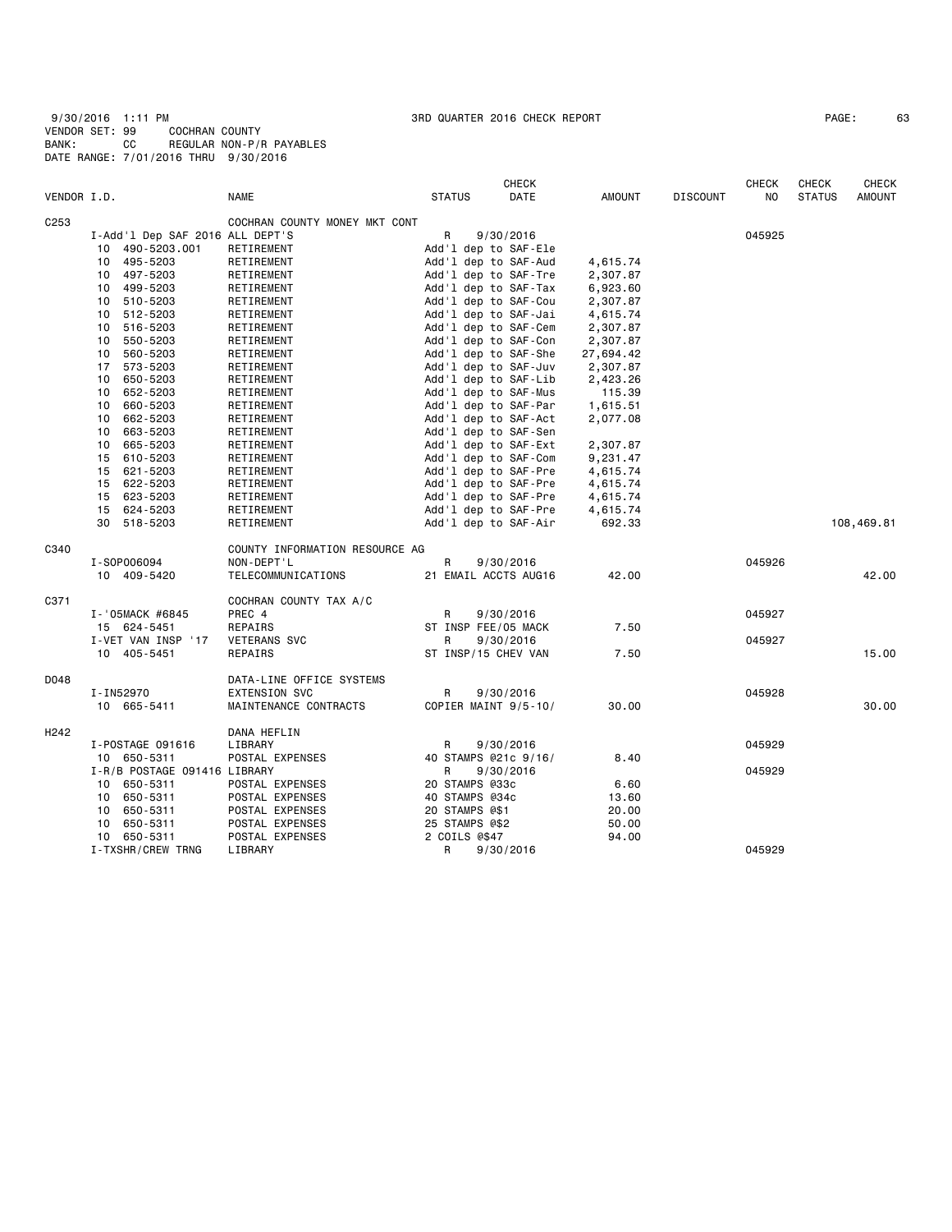| PAGE: | 6. |
|-------|----|
|       |    |

|                  |                                 |                                |                | <b>CHECK</b>         |               |                 | <b>CHECK</b> | CHECK         | CHECK         |
|------------------|---------------------------------|--------------------------------|----------------|----------------------|---------------|-----------------|--------------|---------------|---------------|
| VENDOR I.D.      |                                 | <b>NAME</b>                    | <b>STATUS</b>  | DATE                 | <b>AMOUNT</b> | <b>DISCOUNT</b> | NO.          | <b>STATUS</b> | <b>AMOUNT</b> |
| C <sub>253</sub> |                                 | COCHRAN COUNTY MONEY MKT CONT  |                |                      |               |                 |              |               |               |
|                  | I-Add'l Dep SAF 2016 ALL DEPT'S |                                | R              | 9/30/2016            |               |                 | 045925       |               |               |
|                  | 10 490-5203.001                 | RETIREMENT                     |                | Add'l dep to SAF-Ele |               |                 |              |               |               |
|                  | 10 495-5203                     | RETIREMENT                     |                | Add'1 dep to SAF-Aud | 4,615.74      |                 |              |               |               |
|                  | 10 497-5203                     | RETIREMENT                     |                | Add'l dep to SAF-Tre | 2,307.87      |                 |              |               |               |
|                  | 10 499-5203                     | RETIREMENT                     |                | Add'l dep to SAF-Tax | 6,923.60      |                 |              |               |               |
|                  | 510-5203<br>10                  | RETIREMENT                     |                | Add'1 dep to SAF-Cou | 2,307.87      |                 |              |               |               |
|                  | 10<br>512-5203                  | RETIREMENT                     |                | Add'l dep to SAF-Jai | 4,615.74      |                 |              |               |               |
|                  | 10 516-5203                     | RETIREMENT                     |                | Add'1 dep to SAF-Cem | 2,307.87      |                 |              |               |               |
|                  | 550-5203<br>10                  | RETIREMENT                     |                | Add'l dep to SAF-Con | 2,307.87      |                 |              |               |               |
|                  | 560-5203<br>10                  | RETIREMENT                     |                | Add'1 dep to SAF-She | 27,694.42     |                 |              |               |               |
|                  | 17<br>573-5203                  | RETIREMENT                     |                | Add'l dep to SAF-Juv | 2,307.87      |                 |              |               |               |
|                  | 10 650-5203                     | RETIREMENT                     |                | Add'l dep to SAF-Lib | 2,423.26      |                 |              |               |               |
|                  | 652-5203<br>10                  | RETIREMENT                     |                | Add'l dep to SAF-Mus | 115.39        |                 |              |               |               |
|                  | 10<br>660-5203                  | RETIREMENT                     |                | Add'l dep to SAF-Par | 1,615.51      |                 |              |               |               |
|                  | 662-5203<br>10                  | RETIREMENT                     |                | Add'l dep to SAF-Act | 2,077.08      |                 |              |               |               |
|                  | 663-5203<br>10                  | RETIREMENT                     |                | Add'l dep to SAF-Sen |               |                 |              |               |               |
|                  | 665-5203<br>10                  | RETIREMENT                     |                | Add'l dep to SAF-Ext | 2,307.87      |                 |              |               |               |
|                  | 15<br>610-5203                  | RETIREMENT                     |                | Add'l dep to SAF-Com | 9,231.47      |                 |              |               |               |
|                  | 15<br>621-5203                  | RETIREMENT                     |                | Add'1 dep to SAF-Pre | 4,615.74      |                 |              |               |               |
|                  | 15<br>622-5203                  | RETIREMENT                     |                | Add'1 dep to SAF-Pre | 4,615.74      |                 |              |               |               |
|                  | 15<br>623-5203                  | RETIREMENT                     |                | Add'l dep to SAF-Pre | 4,615.74      |                 |              |               |               |
|                  | 15<br>624-5203                  | RETIREMENT                     |                | Add'1 dep to SAF-Pre | 4,615.74      |                 |              |               |               |
|                  | 30 518-5203                     | RETIREMENT                     |                | Add'l dep to SAF-Air | 692.33        |                 |              |               | 108,469.81    |
| C340             |                                 | COUNTY INFORMATION RESOURCE AG |                |                      |               |                 |              |               |               |
|                  | I-S0P006094                     | NON-DEPT'L                     | R              | 9/30/2016            |               |                 | 045926       |               |               |
|                  | 10 409-5420                     | TELECOMMUNICATIONS             |                | 21 EMAIL ACCTS AUG16 | 42.00         |                 |              |               | 42.00         |
| C371             |                                 | COCHRAN COUNTY TAX A/C         |                |                      |               |                 |              |               |               |
|                  | I-'05MACK #6845                 | PREC 4                         | R              | 9/30/2016            |               |                 | 045927       |               |               |
|                  | 15 624-5451                     | REPAIRS                        |                | ST INSP FEE/05 MACK  | 7.50          |                 |              |               |               |
|                  | I-VET VAN INSP '17              | <b>VETERANS SVC</b>            | R              | 9/30/2016            |               |                 | 045927       |               |               |
|                  | 10 405-5451                     | REPAIRS                        |                | ST INSP/15 CHEV VAN  | 7.50          |                 |              |               | 15.00         |
| D048             |                                 | DATA-LINE OFFICE SYSTEMS       |                |                      |               |                 |              |               |               |
|                  | I-IN52970                       | <b>EXTENSION SVC</b>           | R              | 9/30/2016            |               |                 | 045928       |               |               |
|                  | 10 665-5411                     | MAINTENANCE CONTRACTS          |                | COPIER MAINT 9/5-10/ | 30.00         |                 |              |               | 30.00         |
| H <sub>242</sub> |                                 | DANA HEFLIN                    |                |                      |               |                 |              |               |               |
|                  | I-POSTAGE 091616                | LIBRARY                        | R              | 9/30/2016            |               |                 | 045929       |               |               |
|                  | 10 650-5311                     | POSTAL EXPENSES                |                | 40 STAMPS @21c 9/16/ | 8.40          |                 |              |               |               |
|                  | I-R/B POSTAGE 091416 LIBRARY    |                                | R              | 9/30/2016            |               |                 | 045929       |               |               |
|                  | 10 650-5311                     | POSTAL EXPENSES                | 20 STAMPS @33c |                      | 6.60          |                 |              |               |               |
|                  | 10 650-5311                     | POSTAL EXPENSES                | 40 STAMPS @34c |                      | 13.60         |                 |              |               |               |
|                  | 650-5311<br>10                  | POSTAL EXPENSES                | 20 STAMPS @\$1 |                      | 20.00         |                 |              |               |               |
|                  | 10<br>650-5311                  | POSTAL EXPENSES                | 25 STAMPS @\$2 |                      | 50.00         |                 |              |               |               |
|                  | 10 650-5311                     | POSTAL EXPENSES                | 2 COILS @\$47  |                      | 94.00         |                 |              |               |               |
|                  | I-TXSHR/CREW TRNG               | LIBRARY                        | R              | 9/30/2016            |               |                 | 045929       |               |               |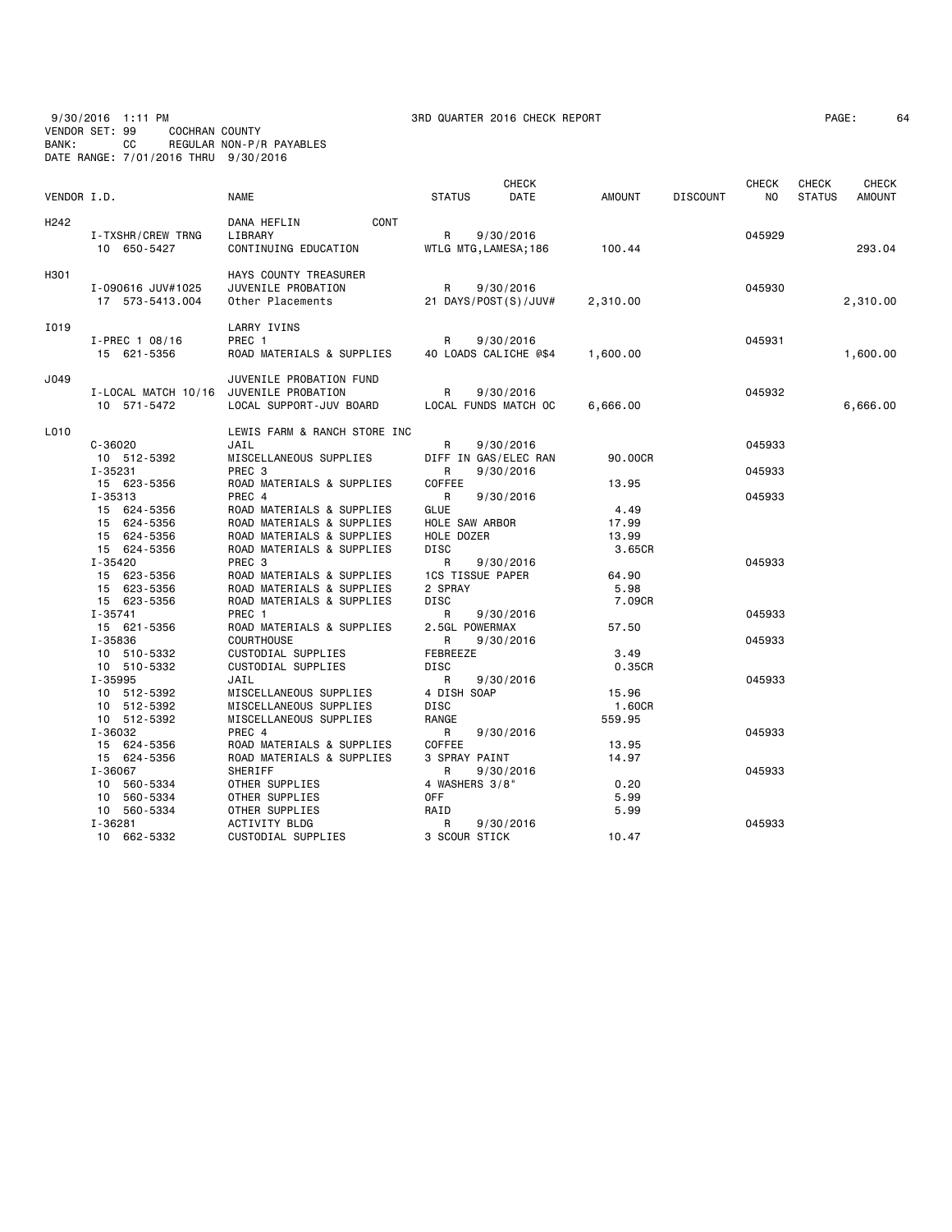9/30/2016 1:11 PM 3RD QUARTER 2016 CHECK REPORT PAGE: 64 VENDOR SET: 99 COCHRAN COUNTY BANK: CC REGULAR NON-P/R PAYABLES DATE RANGE: 7/01/2016 THRU 9/30/2016

| PAGE : |  | 6 |
|--------|--|---|
|--------|--|---|

| VENDOR I.D.      |                                                          | <b>NAME</b>                                                                                                      | <b>STATUS</b>                                              | CHECK<br>DATE                      | AMOUNT                           | <b>DISCOUNT</b> | CHECK<br>NO.     | CHECK<br><b>STATUS</b> | CHECK<br><b>AMOUNT</b> |
|------------------|----------------------------------------------------------|------------------------------------------------------------------------------------------------------------------|------------------------------------------------------------|------------------------------------|----------------------------------|-----------------|------------------|------------------------|------------------------|
| H <sub>242</sub> | I-TXSHR/CREW TRNG<br>10 650-5427                         | CONT<br>DANA HEFLIN<br>LIBRARY<br>CONTINUING EDUCATION                                                           | R<br>WTLG MTG, LAMESA; 186                                 | 9/30/2016                          | 100.44                           |                 | 045929           |                        | 293.04                 |
| H301             | I-090616 JUV#1025<br>17 573-5413.004                     | HAYS COUNTY TREASURER<br>JUVENILE PROBATION<br>Other Placements                                                  | R                                                          | 9/30/2016<br>21 DAYS/POST(S)/JUV#  | 2,310.00                         |                 | 045930           |                        | 2,310.00               |
| I019             | $I-PREC$ 1 08/16<br>15 621-5356                          | LARRY IVINS<br>PREC 1<br>ROAD MATERIALS & SUPPLIES                                                               | R                                                          | 9/30/2016<br>40 LOADS CALICHE @\$4 | 1,600.00                         |                 | 045931           |                        | 1,600.00               |
| J049             | I-LOCAL MATCH 10/16<br>10 571-5472                       | JUVENILE PROBATION FUND<br>JUVENILE PROBATION<br>LOCAL SUPPORT-JUV BOARD                                         | R                                                          | 9/30/2016<br>LOCAL FUNDS MATCH OC  | 6,666.00                         |                 | 045932           |                        | 6,666.00               |
| L010             | $C - 36020$<br>10 512-5392                               | LEWIS FARM & RANCH STORE INC<br>JAIL<br>MISCELLANEOUS SUPPLIES                                                   | R                                                          | 9/30/2016<br>DIFF IN GAS/ELEC RAN  | 90.00CR                          |                 | 045933           |                        |                        |
|                  | I-35231<br>15 623-5356<br>$I - 35313$                    | PREC 3<br>ROAD MATERIALS & SUPPLIES<br>PREC 4                                                                    | R<br>COFFEE<br>$\mathsf{R}$                                | 9/30/2016<br>9/30/2016             | 13.95                            |                 | 045933<br>045933 |                        |                        |
|                  | 15 624-5356<br>15 624-5356<br>15 624-5356<br>15 624-5356 | ROAD MATERIALS & SUPPLIES<br>ROAD MATERIALS & SUPPLIES<br>ROAD MATERIALS & SUPPLIES<br>ROAD MATERIALS & SUPPLIES | <b>GLUE</b><br>HOLE SAW ARBOR<br>HOLE DOZER<br><b>DISC</b> |                                    | 4.49<br>17.99<br>13.99<br>3.65CR |                 |                  |                        |                        |
|                  | $I - 35420$<br>15 623-5356<br>15 623-5356                | PREC 3<br>ROAD MATERIALS & SUPPLIES<br>ROAD MATERIALS & SUPPLIES                                                 | R<br><b>1CS TISSUE PAPER</b><br>2 SPRAY                    | 9/30/2016                          | 64.90<br>5.98                    |                 | 045933           |                        |                        |
|                  | 15 623-5356<br>I-35741<br>15 621-5356                    | ROAD MATERIALS & SUPPLIES<br>PREC 1<br>ROAD MATERIALS & SUPPLIES                                                 | <b>DISC</b><br>R<br>2.5GL POWERMAX                         | 9/30/2016                          | 7.09CR<br>57.50                  |                 | 045933           |                        |                        |
|                  | I-35836<br>10 510-5332<br>10 510-5332                    | <b>COURTHOUSE</b><br>CUSTODIAL SUPPLIES<br>CUSTODIAL SUPPLIES                                                    | R<br>FEBREEZE<br><b>DISC</b>                               | 9/30/2016                          | 3.49<br>0.35CR                   |                 | 045933           |                        |                        |
|                  | I-35995<br>10 512-5392<br>10 512-5392<br>10 512-5392     | JAIL<br>MISCELLANEOUS SUPPLIES<br>MISCELLANEOUS SUPPLIES<br>MISCELLANEOUS SUPPLIES                               | R<br>4 DISH SOAP<br><b>DISC</b><br>RANGE                   | 9/30/2016                          | 15.96<br>1.60CR<br>559.95        |                 | 045933           |                        |                        |
|                  | I-36032<br>15 624-5356<br>15 624-5356                    | PREC 4<br>ROAD MATERIALS & SUPPLIES<br>ROAD MATERIALS & SUPPLIES                                                 | R<br>COFFEE<br>3 SPRAY PAINT                               | 9/30/2016                          | 13.95<br>14.97                   |                 | 045933           |                        |                        |
|                  | I-36067<br>10 560-5334<br>10 560-5334                    | SHERIFF<br>OTHER SUPPLIES<br>OTHER SUPPLIES                                                                      | R<br>4 WASHERS 3/8"<br>0FF                                 | 9/30/2016                          | 0.20<br>5.99                     |                 | 045933           |                        |                        |
|                  | 10 560-5334<br>I-36281<br>10 662-5332                    | OTHER SUPPLIES<br>ACTIVITY BLDG<br>CUSTODIAL SUPPLIES                                                            | RAID<br>R<br>3 SCOUR STICK                                 | 9/30/2016                          | 5.99<br>10.47                    |                 | 045933           |                        |                        |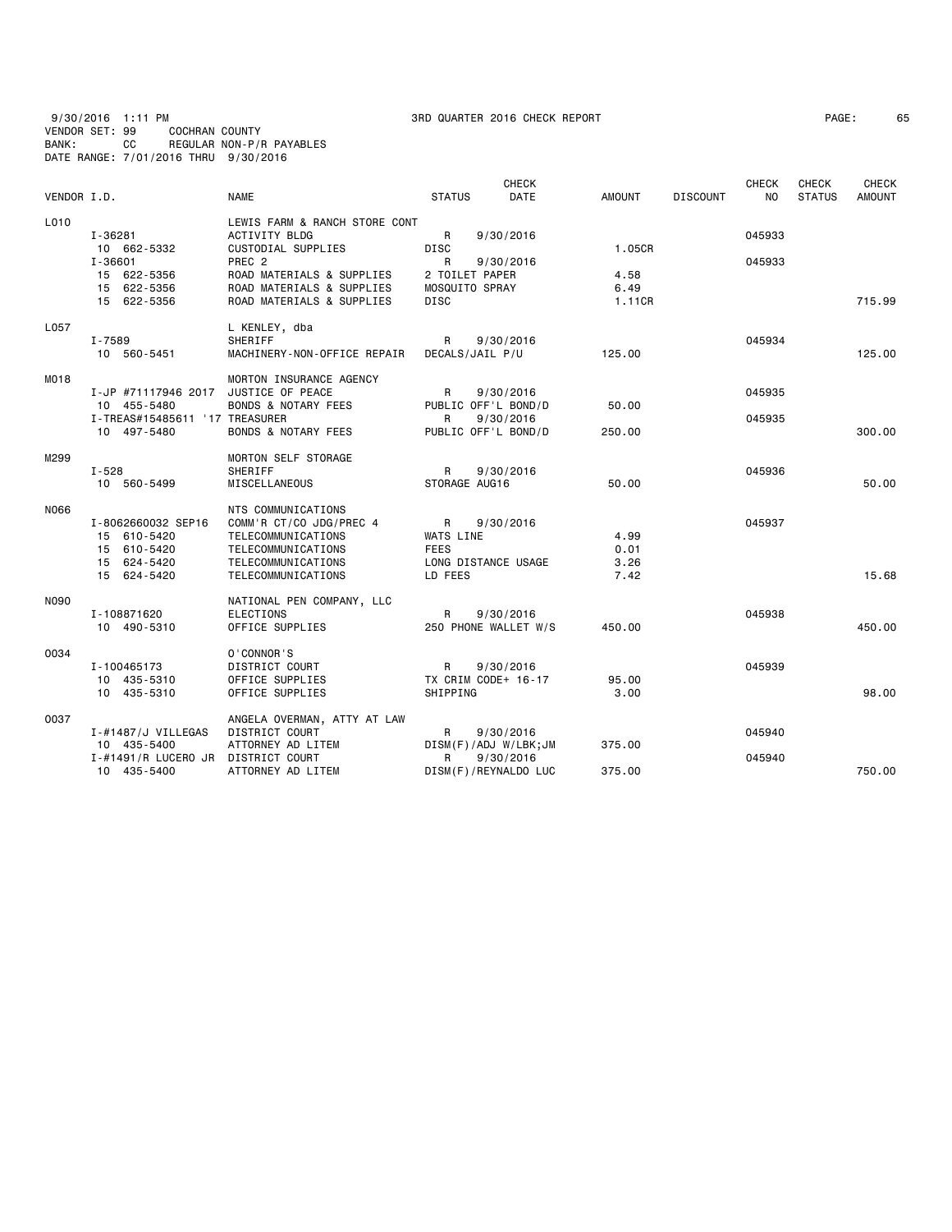9/30/2016 1:11 PM 3RD QUARTER 2016 CHECK REPORT PAGE: 65 VENDOR SET: 99 COCHRAN COUNTY BANK: CC REGULAR NON-P/R PAYABLES DATE RANGE: 7/01/2016 THRU 9/30/2016

| PAGE : |  | 6 |
|--------|--|---|
|--------|--|---|

| VENDOR I.D. |                                                                                     | <b>NAME</b>                                                                                                                                                                      | <b>STATUS</b>                                                   | <b>CHECK</b><br><b>DATE</b> | <b>AMOUNT</b>                    | <b>DISCOUNT</b> | <b>CHECK</b><br>NO. | <b>CHECK</b><br><b>STATUS</b> | <b>CHECK</b><br><b>AMOUNT</b> |
|-------------|-------------------------------------------------------------------------------------|----------------------------------------------------------------------------------------------------------------------------------------------------------------------------------|-----------------------------------------------------------------|-----------------------------|----------------------------------|-----------------|---------------------|-------------------------------|-------------------------------|
| L010        | I-36281<br>10 662-5332<br>I-36601<br>15 622-5356<br>15 622-5356<br>15 622-5356      | LEWIS FARM & RANCH STORE CONT<br>ACTIVITY BLDG<br>CUSTODIAL SUPPLIES<br>PREC <sub>2</sub><br>ROAD MATERIALS & SUPPLIES<br>ROAD MATERIALS & SUPPLIES<br>ROAD MATERIALS & SUPPLIES | R<br>DISC<br>R<br>2 TOILET PAPER<br>MOSQUITO SPRAY<br>DISC      | 9/30/2016<br>9/30/2016      | 1.05CR<br>4.58<br>6.49<br>1.11CR |                 | 045933<br>045933    |                               | 715.99                        |
| L057        | I-7589<br>10 560-5451                                                               | L KENLEY, dba<br>SHERIFF<br>MACHINERY-NON-OFFICE REPAIR                                                                                                                          | R<br>DECALS/JAIL P/U                                            | 9/30/2016                   | 125,00                           |                 | 045934              |                               | 125,00                        |
| M018        | I-JP #71117946 2017<br>10 455-5480<br>I-TREAS#15485611 '17 TREASURER<br>10 497-5480 | MORTON INSURANCE AGENCY<br>JUSTICE OF PEACE<br><b>BONDS &amp; NOTARY FEES</b><br><b>BONDS &amp; NOTARY FEES</b>                                                                  | R<br>PUBLIC OFF'L BOND/D<br>R<br>PUBLIC OFF'L BOND/D            | 9/30/2016<br>9/30/2016      | 50.00<br>250.00                  |                 | 045935<br>045935    |                               | 300.00                        |
| M299        | I-528<br>10 560-5499                                                                | MORTON SELF STORAGE<br><b>SHERIFF</b><br>MISCELLANEOUS                                                                                                                           | R<br>STORAGE AUG16                                              | 9/30/2016                   | 50.00                            |                 | 045936              |                               | 50.00                         |
| N066        | I-8062660032 SEP16<br>15 610-5420<br>15 610-5420<br>15 624-5420<br>15 624-5420      | NTS COMMUNICATIONS<br>COMM'R CT/CO JDG/PREC 4<br>TELECOMMUNICATIONS<br>TELECOMMUNICATIONS<br>TELECOMMUNICATIONS<br>TELECOMMUNICATIONS                                            | R<br>WATS LINE<br><b>FEES</b><br>LONG DISTANCE USAGE<br>LD FEES | 9/30/2016                   | 4.99<br>0.01<br>3.26<br>7.42     |                 | 045937              |                               | 15.68                         |
| N090        | I-108871620<br>10 490-5310                                                          | NATIONAL PEN COMPANY, LLC<br>ELECTIONS<br>OFFICE SUPPLIES                                                                                                                        | R<br>250 PHONE WALLET W/S                                       | 9/30/2016                   | 450.00                           |                 | 045938              |                               | 450.00                        |
| 0034        | I-100465173<br>10 435-5310<br>10 435-5310                                           | 0'CONNOR'S<br>DISTRICT COURT<br>OFFICE SUPPLIES<br>OFFICE SUPPLIES                                                                                                               | R<br>TX CRIM CODE+ 16-17<br>SHIPPING                            | 9/30/2016                   | 95.00<br>3,00                    |                 | 045939              |                               | 98,00                         |
| 0037        | I-#1487/J VILLEGAS<br>10 435-5400<br>I-#1491/R LUCERO JR                            | ANGELA OVERMAN, ATTY AT LAW<br>DISTRICT COURT<br>ATTORNEY AD LITEM<br>DISTRICT COURT                                                                                             | R<br>DISM(F)/ADJ W/LBK;JM<br>R                                  | 9/30/2016<br>9/30/2016      | 375.00                           |                 | 045940<br>045940    |                               |                               |
|             | 10 435-5400                                                                         | ATTORNEY AD LITEM                                                                                                                                                                | DISM(F)/REYNALDO LUC                                            |                             | 375.00                           |                 |                     |                               | 750.00                        |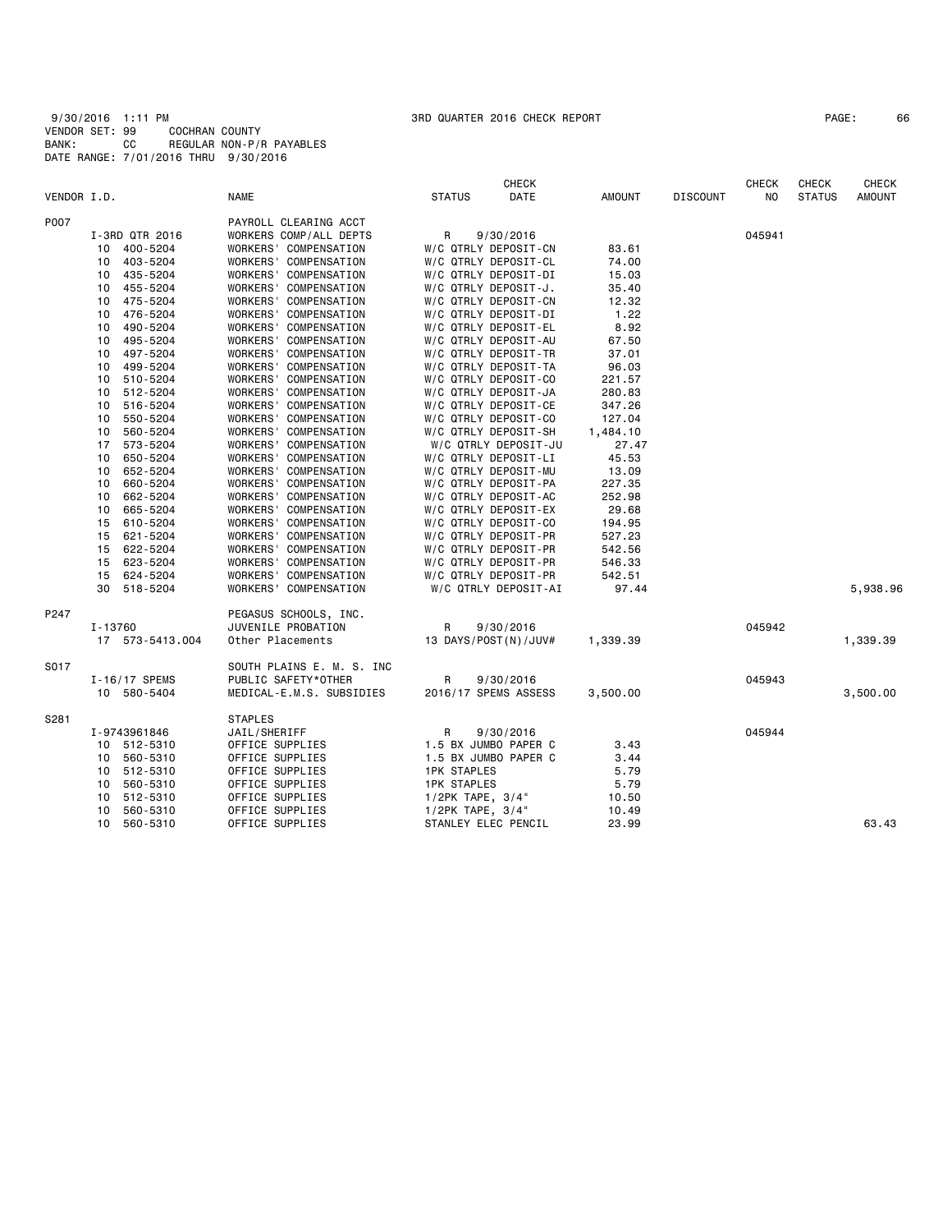| PAGE: | 66 |
|-------|----|
|-------|----|

|             |                 |                           | <b>CHECK</b>          |               |                 | <b>CHECK</b> | <b>CHECK</b>  | <b>CHECK</b>  |
|-------------|-----------------|---------------------------|-----------------------|---------------|-----------------|--------------|---------------|---------------|
| VENDOR I.D. |                 | <b>NAME</b>               | <b>STATUS</b><br>DATE | <b>AMOUNT</b> | <b>DISCOUNT</b> | NO.          | <b>STATUS</b> | <b>AMOUNT</b> |
| P007        |                 | PAYROLL CLEARING ACCT     |                       |               |                 |              |               |               |
|             | I-3RD QTR 2016  | WORKERS COMP/ALL DEPTS    | R<br>9/30/2016        |               |                 | 045941       |               |               |
|             | 10 400-5204     | WORKERS' COMPENSATION     | W/C QTRLY DEPOSIT-CN  | 83.61         |                 |              |               |               |
|             | 403-5204<br>10  | WORKERS' COMPENSATION     | W/C QTRLY DEPOSIT-CL  | 74.00         |                 |              |               |               |
|             | 435-5204<br>10  | WORKERS' COMPENSATION     | W/C QTRLY DEPOSIT-DI  | 15.03         |                 |              |               |               |
|             | 10 455-5204     | WORKERS' COMPENSATION     | W/C QTRLY DEPOSIT-J.  | 35.40         |                 |              |               |               |
|             | 475-5204<br>10  | WORKERS' COMPENSATION     | W/C QTRLY DEPOSIT-CN  | 12.32         |                 |              |               |               |
|             | 476-5204<br>10  | WORKERS' COMPENSATION     | W/C QTRLY DEPOSIT-DI  | 1.22          |                 |              |               |               |
|             | 490-5204<br>10  | WORKERS' COMPENSATION     | W/C QTRLY DEPOSIT-EL  | 8.92          |                 |              |               |               |
|             | 495-5204<br>10  | WORKERS' COMPENSATION     | W/C QTRLY DEPOSIT-AU  | 67.50         |                 |              |               |               |
|             | 497-5204<br>10  | WORKERS' COMPENSATION     | W/C QTRLY DEPOSIT-TR  | 37.01         |                 |              |               |               |
|             | 499-5204<br>10  | WORKERS' COMPENSATION     | W/C QTRLY DEPOSIT-TA  | 96.03         |                 |              |               |               |
|             | 510-5204<br>10  | WORKERS' COMPENSATION     | W/C QTRLY DEPOSIT-CO  | 221.57        |                 |              |               |               |
|             | 10 512-5204     | WORKERS' COMPENSATION     | W/C QTRLY DEPOSIT-JA  | 280.83        |                 |              |               |               |
|             | 516-5204<br>10  | WORKERS' COMPENSATION     | W/C QTRLY DEPOSIT-CE  | 347.26        |                 |              |               |               |
|             | 10<br>550-5204  | WORKERS' COMPENSATION     | W/C QTRLY DEPOSIT-CO  | 127.04        |                 |              |               |               |
|             | 560-5204<br>10  | WORKERS' COMPENSATION     | W/C QTRLY DEPOSIT-SH  | 1,484.10      |                 |              |               |               |
|             | 17 573-5204     | WORKERS' COMPENSATION     | W/C QTRLY DEPOSIT-JU  | 27.47         |                 |              |               |               |
|             | 10<br>650-5204  | WORKERS' COMPENSATION     | W/C QTRLY DEPOSIT-LI  | 45.53         |                 |              |               |               |
|             | 652-5204<br>10  | WORKERS' COMPENSATION     | W/C QTRLY DEPOSIT-MU  | 13.09         |                 |              |               |               |
|             | 660-5204<br>10  | WORKERS' COMPENSATION     | W/C QTRLY DEPOSIT-PA  | 227.35        |                 |              |               |               |
|             | 662-5204<br>10  | WORKERS' COMPENSATION     | W/C QTRLY DEPOSIT-AC  | 252.98        |                 |              |               |               |
|             | 665-5204<br>10  | WORKERS' COMPENSATION     | W/C QTRLY DEPOSIT-EX  | 29.68         |                 |              |               |               |
|             | 610-5204<br>15  | WORKERS' COMPENSATION     | W/C QTRLY DEPOSIT-CO  | 194.95        |                 |              |               |               |
|             | 15 621-5204     | WORKERS' COMPENSATION     | W/C QTRLY DEPOSIT-PR  | 527.23        |                 |              |               |               |
|             | 15 622-5204     | WORKERS' COMPENSATION     | W/C QTRLY DEPOSIT-PR  | 542.56        |                 |              |               |               |
|             | 15 623-5204     | WORKERS' COMPENSATION     | W/C QTRLY DEPOSIT-PR  | 546.33        |                 |              |               |               |
|             | 15 624-5204     | WORKERS' COMPENSATION     | W/C QTRLY DEPOSIT-PR  | 542.51        |                 |              |               |               |
|             | 518-5204<br>30  | WORKERS' COMPENSATION     | W/C QTRLY DEPOSIT-AI  | 97.44         |                 |              |               | 5,938.96      |
| P247        |                 | PEGASUS SCHOOLS, INC.     |                       |               |                 |              |               |               |
|             | I-13760         | JUVENILE PROBATION        | R<br>9/30/2016        |               |                 | 045942       |               |               |
|             | 17 573-5413.004 | Other Placements          | 13 DAYS/POST(N)/JUV#  | 1,339.39      |                 |              |               | 1,339.39      |
| S017        |                 | SOUTH PLAINS E. M. S. INC |                       |               |                 |              |               |               |
|             | I-16/17 SPEMS   | PUBLIC SAFETY*OTHER       | R<br>9/30/2016        |               |                 | 045943       |               |               |
|             | 10 580-5404     | MEDICAL-E.M.S. SUBSIDIES  | 2016/17 SPEMS ASSESS  | 3,500.00      |                 |              |               | 3,500.00      |
| S281        |                 | <b>STAPLES</b>            |                       |               |                 |              |               |               |
|             | I-9743961846    | JAIL/SHERIFF              | 9/30/2016<br>R        |               |                 | 045944       |               |               |
|             | 10 512-5310     | OFFICE SUPPLIES           | 1.5 BX JUMBO PAPER C  | 3.43          |                 |              |               |               |
|             | 10 560-5310     | OFFICE SUPPLIES           | 1.5 BX JUMBO PAPER C  | 3.44          |                 |              |               |               |
|             | 10 512-5310     | OFFICE SUPPLIES           | <b>1PK STAPLES</b>    | 5.79          |                 |              |               |               |
|             | 560-5310<br>10  | OFFICE SUPPLIES           | <b>1PK STAPLES</b>    | 5.79          |                 |              |               |               |
|             | 512-5310<br>10  | OFFICE SUPPLIES           | $1/2PK$ TAPE, $3/4$ " | 10.50         |                 |              |               |               |
|             | 560-5310<br>10  | OFFICE SUPPLIES           | 1/2PK TAPE, 3/4"      | 10.49         |                 |              |               |               |
|             | 10<br>560-5310  | OFFICE SUPPLIES           | STANLEY ELEC PENCIL   | 23.99         |                 |              |               | 63.43         |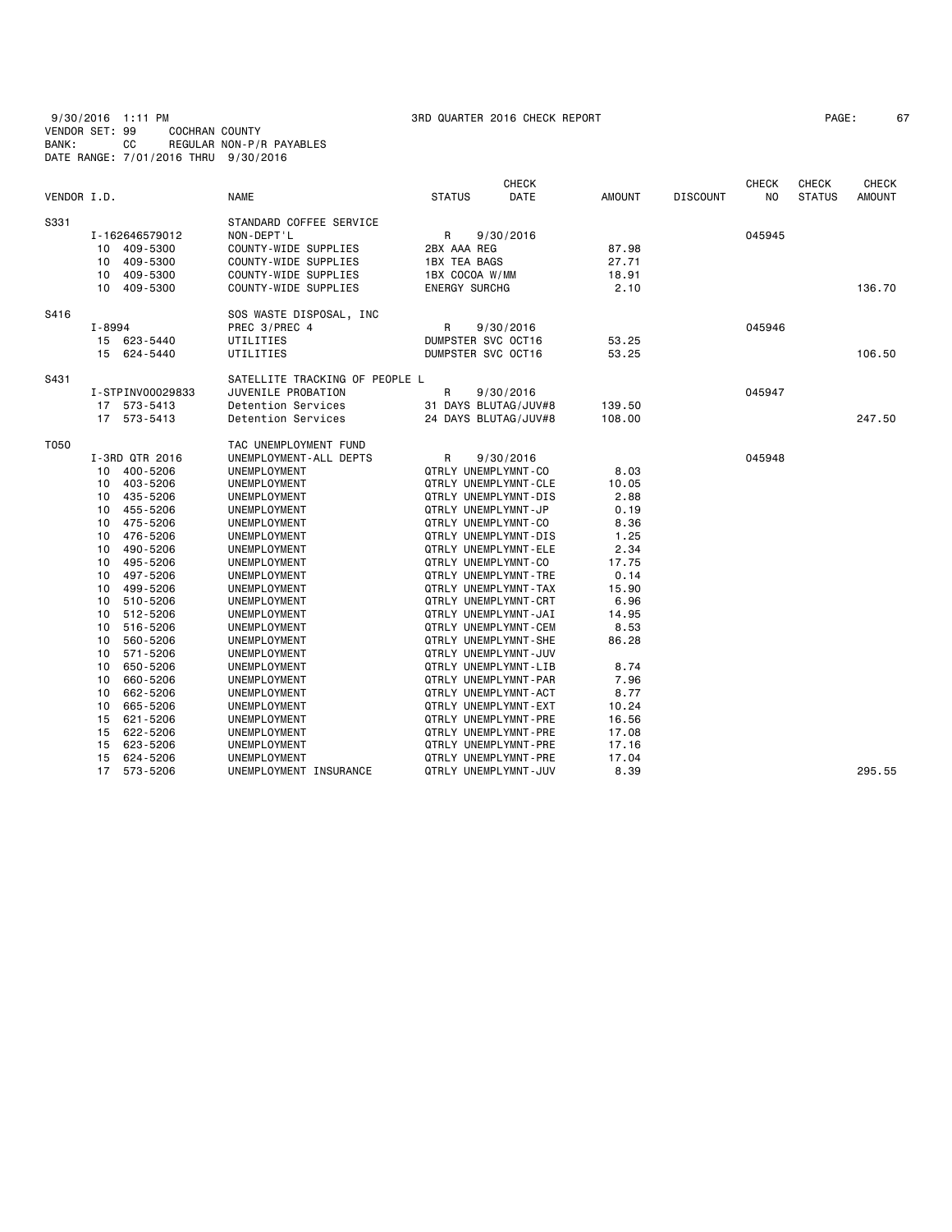| 9/30/2016 1:11 PM                    |     |  |                |                          |
|--------------------------------------|-----|--|----------------|--------------------------|
| VENDOR SET: 99                       |     |  | COCHRAN COUNTY |                          |
| BANK:                                | CC. |  |                | REGULAR NON-P/R PAYABLES |
| DATE RANGE: 7/01/2016 THRU 9/30/2016 |     |  |                |                          |

| PAGE : |  |  |
|--------|--|--|
|--------|--|--|

|             |                  |                                |                             | <b>CHECK</b> |               |                 | <b>CHECK</b> | <b>CHECK</b>  | CHECK         |
|-------------|------------------|--------------------------------|-----------------------------|--------------|---------------|-----------------|--------------|---------------|---------------|
| VENDOR I.D. |                  | <b>NAME</b>                    | <b>STATUS</b>               | DATE         | <b>AMOUNT</b> | <b>DISCOUNT</b> | NO           | <b>STATUS</b> | <b>AMOUNT</b> |
| S331        |                  | STANDARD COFFEE SERVICE        |                             |              |               |                 |              |               |               |
|             | I-162646579012   | NON-DEPT'L                     | R                           | 9/30/2016    |               |                 | 045945       |               |               |
|             | 409-5300<br>10   | COUNTY-WIDE SUPPLIES           | 2BX AAA REG                 |              | 87.98         |                 |              |               |               |
|             | 409-5300<br>10   | COUNTY-WIDE SUPPLIES           | 1BX TEA BAGS                |              | 27.71         |                 |              |               |               |
|             | 409-5300<br>10   | COUNTY-WIDE SUPPLIES           | 1BX COCOA W/MM              |              | 18.91         |                 |              |               |               |
|             | 10 409-5300      | COUNTY-WIDE SUPPLIES           | <b>ENERGY SURCHG</b>        |              | 2.10          |                 |              |               | 136.70        |
| S416        |                  | SOS WASTE DISPOSAL, INC        |                             |              |               |                 |              |               |               |
|             | I-8994           | PREC 3/PREC 4                  | R                           | 9/30/2016    |               |                 | 045946       |               |               |
|             | 15 623-5440      | UTILITIES                      | DUMPSTER SVC OCT16          |              | 53.25         |                 |              |               |               |
|             | 15 624-5440      | UTILITIES                      | DUMPSTER SVC OCT16          |              | 53.25         |                 |              |               | 106.50        |
| S431        |                  | SATELLITE TRACKING OF PEOPLE L |                             |              |               |                 |              |               |               |
|             | I-STPINV00029833 | JUVENILE PROBATION             | R                           | 9/30/2016    |               |                 | 045947       |               |               |
|             | 17 573-5413      | Detention Services             | 31 DAYS BLUTAG/JUV#8        |              | 139.50        |                 |              |               |               |
|             | 17 573-5413      | Detention Services             | 24 DAYS BLUTAG/JUV#8        |              | 108.00        |                 |              |               | 247.50        |
| T050        |                  | TAC UNEMPLOYMENT FUND          |                             |              |               |                 |              |               |               |
|             | I-3RD QTR 2016   | UNEMPLOYMENT-ALL DEPTS         | R                           | 9/30/2016    |               |                 | 045948       |               |               |
|             | 10 400-5206      | UNEMPLOYMENT                   | QTRLY UNEMPLYMNT-CO         |              | 8.03          |                 |              |               |               |
|             | 403-5206<br>10   | UNEMPLOYMENT                   | QTRLY UNEMPLYMNT-CLE        |              | 10.05         |                 |              |               |               |
|             | 435-5206<br>10   | UNEMPLOYMENT                   | QTRLY UNEMPLYMNT-DIS        |              | 2.88          |                 |              |               |               |
|             | 455-5206<br>10   | UNEMPLOYMENT                   | QTRLY UNEMPLYMNT-JP         |              | 0.19          |                 |              |               |               |
|             | 475-5206<br>10   | UNEMPLOYMENT                   | QTRLY UNEMPLYMNT-CO         |              | 8.36          |                 |              |               |               |
|             | 476-5206<br>10   | UNEMPLOYMENT                   | <b>QTRLY UNEMPLYMNT-DIS</b> |              | 1.25          |                 |              |               |               |
|             | 490-5206<br>10   | UNEMPLOYMENT                   | QTRLY UNEMPLYMNT-ELE        |              | 2.34          |                 |              |               |               |
|             | 495-5206<br>10   | UNEMPLOYMENT                   | QTRLY UNEMPLYMNT-CO         |              | 17.75         |                 |              |               |               |
|             | 497-5206<br>10   | UNEMPLOYMENT                   | QTRLY UNEMPLYMNT-TRE        |              | 0.14          |                 |              |               |               |
|             | 499-5206<br>10   | UNEMPLOYMENT                   | QTRLY UNEMPLYMNT-TAX        |              | 15.90         |                 |              |               |               |
|             | 510-5206<br>10   | UNEMPLOYMENT                   | QTRLY UNEMPLYMNT-CRT        |              | 6.96          |                 |              |               |               |
|             | 512-5206<br>10   | UNEMPLOYMENT                   | QTRLY UNEMPLYMNT-JAI        |              | 14.95         |                 |              |               |               |
|             | 516-5206<br>10   | UNEMPLOYMENT                   | QTRLY UNEMPLYMNT-CEM        |              | 8.53          |                 |              |               |               |
|             | 560-5206<br>10   | UNEMPLOYMENT                   | QTRLY UNEMPLYMNT-SHE        |              | 86.28         |                 |              |               |               |
|             | 571-5206<br>10   | UNEMPLOYMENT                   | QTRLY UNEMPLYMNT-JUV        |              |               |                 |              |               |               |
|             | 650-5206<br>10   | UNEMPLOYMENT                   | QTRLY UNEMPLYMNT-LIB        |              | 8.74          |                 |              |               |               |
|             | 660-5206<br>10   | UNEMPLOYMENT                   | QTRLY UNEMPLYMNT-PAR        |              | 7.96          |                 |              |               |               |
|             | 662-5206<br>10   | UNEMPLOYMENT                   | QTRLY UNEMPLYMNT-ACT        |              | 8.77          |                 |              |               |               |
|             | 665-5206<br>10   | UNEMPLOYMENT                   | QTRLY UNEMPLYMNT-EXT        |              | 10.24         |                 |              |               |               |
|             | 15<br>621-5206   | UNEMPLOYMENT                   | QTRLY UNEMPLYMNT-PRE        |              | 16.56         |                 |              |               |               |
|             | 622-5206<br>15   | UNEMPLOYMENT                   | QTRLY UNEMPLYMNT-PRE        |              | 17.08         |                 |              |               |               |
|             | 15<br>623-5206   | UNEMPLOYMENT                   | QTRLY UNEMPLYMNT-PRE        |              | 17.16         |                 |              |               |               |
|             | 624-5206<br>15   | UNEMPLOYMENT                   | QTRLY UNEMPLYMNT-PRE        |              | 17.04         |                 |              |               |               |
|             | 17<br>573-5206   | UNEMPLOYMENT INSURANCE         | QTRLY UNEMPLYMNT-JUV        |              | 8.39          |                 |              |               | 295.55        |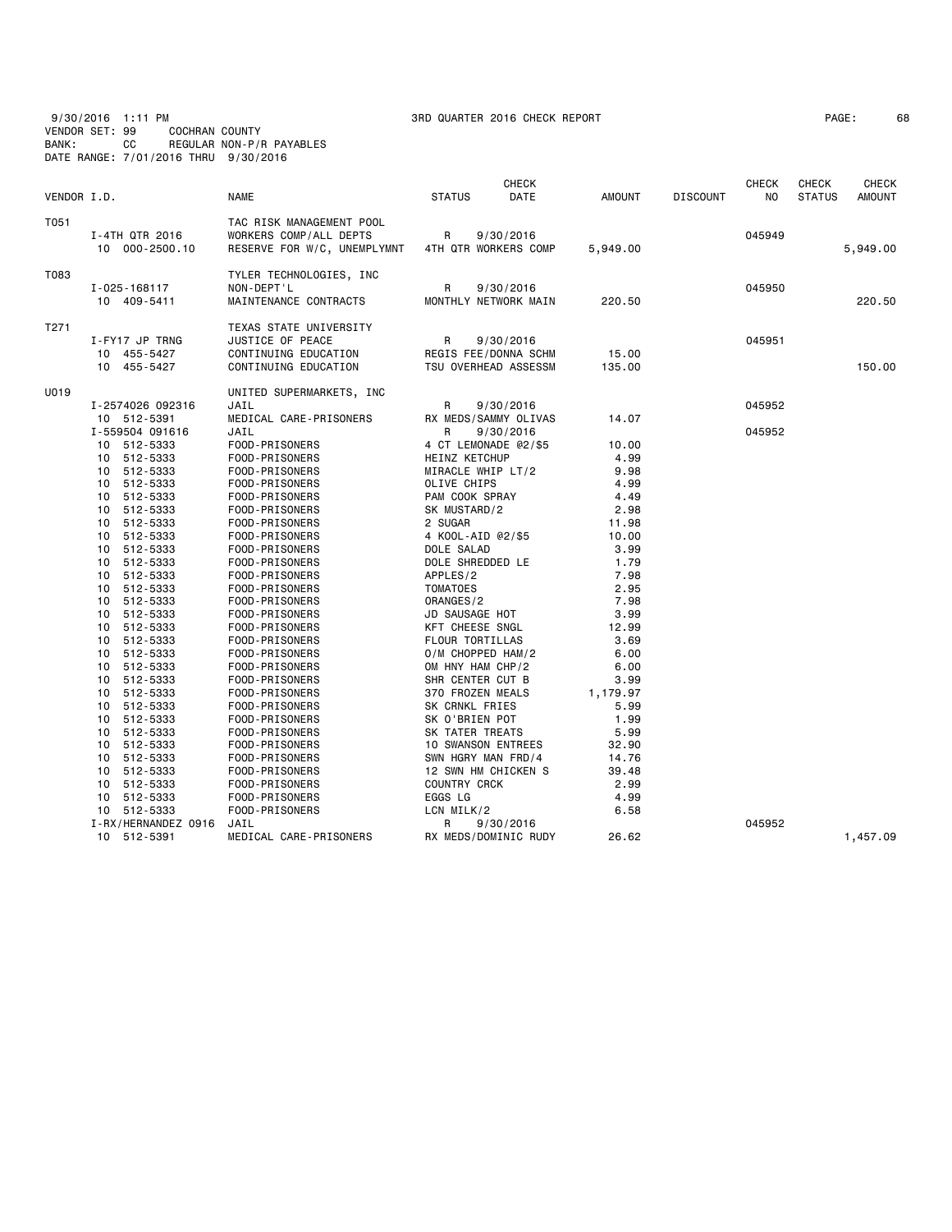9/30/2016 1:11 PM 3RD QUARTER 2016 CHECK REPORT PAGE: 68 VENDOR SET: 99 COCHRAN COUNTY BANK: CC REGULAR NON-P/R PAYABLES DATE RANGE: 7/01/2016 THRU 9/30/2016

|             |                                                    |                                                                                            | CHECK                                                          |                       |                 | <b>CHECK</b>     | CHECK         | <b>CHECK</b>  |
|-------------|----------------------------------------------------|--------------------------------------------------------------------------------------------|----------------------------------------------------------------|-----------------------|-----------------|------------------|---------------|---------------|
| VENDOR I.D. |                                                    | <b>NAME</b>                                                                                | DATE<br><b>STATUS</b>                                          | <b>AMOUNT</b>         | <b>DISCOUNT</b> | NO               | <b>STATUS</b> | <b>AMOUNT</b> |
| T051        | I-4TH QTR 2016<br>10 000-2500.10                   | TAC RISK MANAGEMENT POOL<br>WORKERS COMP/ALL DEPTS<br>RESERVE FOR W/C, UNEMPLYMNT          | R<br>9/30/2016<br>4TH QTR WORKERS COMP                         | 5,949.00              |                 | 045949           |               | 5,949.00      |
| T083        | I-025-168117<br>10 409-5411                        | TYLER TECHNOLOGIES, INC<br>NON-DEPT'L<br>MAINTENANCE CONTRACTS                             | R<br>9/30/2016<br>MONTHLY NETWORK MAIN                         | 220.50                |                 | 045950           |               | 220.50        |
| T271        | I-FY17 JP TRNG<br>10 455-5427<br>10 455-5427       | TEXAS STATE UNIVERSITY<br>JUSTICE OF PEACE<br>CONTINUING EDUCATION<br>CONTINUING EDUCATION | R<br>9/30/2016<br>REGIS FEE/DONNA SCHM<br>TSU OVERHEAD ASSESSM | 15.00<br>135.00       |                 | 045951           |               | 150.00        |
| U019        |                                                    | UNITED SUPERMARKETS, INC                                                                   |                                                                |                       |                 |                  |               |               |
|             | I-2574026 092316<br>10 512-5391<br>I-559504 091616 | JAIL<br>MEDICAL CARE-PRISONERS<br>JAIL                                                     | R<br>9/30/2016<br>RX MEDS/SAMMY OLIVAS<br>R<br>9/30/2016       | 14.07                 |                 | 045952<br>045952 |               |               |
|             | 10 512-5333<br>10 512-5333                         | FOOD-PRISONERS<br>FOOD-PRISONERS                                                           | 4 CT LEMONADE @2/\$5<br>HEINZ KETCHUP                          | 10.00<br>4.99         |                 |                  |               |               |
|             | 10 512-5333<br>512-5333<br>10                      | FOOD-PRISONERS<br>FOOD-PRISONERS                                                           | MIRACLE WHIP LT/2<br>OLIVE CHIPS                               | 9.98<br>4.99          |                 |                  |               |               |
|             | 512-5333<br>10<br>512-5333<br>10<br>10 512-5333    | FOOD-PRISONERS<br>FOOD-PRISONERS<br>FOOD-PRISONERS                                         | PAM COOK SPRAY<br>SK MUSTARD/2<br>2 SUGAR                      | 4.49<br>2.98<br>11.98 |                 |                  |               |               |
|             | 512-5333<br>10<br>512-5333<br>10                   | FOOD-PRISONERS<br>FOOD-PRISONERS                                                           | 4 KOOL-AID @2/\$5<br>DOLE SALAD                                | 10.00<br>3.99         |                 |                  |               |               |
|             | 10 512-5333<br>10 512-5333<br>10 512-5333          | FOOD-PRISONERS<br>FOOD-PRISONERS<br>FOOD-PRISONERS                                         | DOLE SHREDDED LE<br>APPLES/2<br><b>TOMATOES</b>                | 1.79<br>7.98<br>2.95  |                 |                  |               |               |
|             | 512-5333<br>10<br>512-5333<br>10                   | FOOD-PRISONERS<br>FOOD-PRISONERS                                                           | ORANGES/2<br>JD SAUSAGE HOT                                    | 7.98<br>3.99          |                 |                  |               |               |
|             | 512-5333<br>10<br>512-5333<br>10                   | FOOD-PRISONERS<br>FOOD-PRISONERS                                                           | KFT CHEESE SNGL<br>FLOUR TORTILLAS                             | 12.99<br>3.69         |                 |                  |               |               |
|             | 10<br>512-5333<br>512-5333<br>10<br>10<br>512-5333 | FOOD-PRISONERS<br>FOOD-PRISONERS<br>FOOD-PRISONERS                                         | O/M CHOPPED HAM/2<br>OM HNY HAM CHP/2<br>SHR CENTER CUT B      | 6.00<br>6.00<br>3.99  |                 |                  |               |               |
|             | 512-5333<br>10<br>10<br>512-5333                   | FOOD-PRISONERS<br>FOOD-PRISONERS                                                           | 370 FROZEN MEALS<br>SK CRNKL FRIES                             | 1,179.97<br>5.99      |                 |                  |               |               |
|             | 512-5333<br>10<br>512-5333<br>10<br>10 512-5333    | FOOD-PRISONERS<br>FOOD-PRISONERS<br>FOOD-PRISONERS                                         | SK O'BRIEN POT<br>SK TATER TREATS<br><b>10 SWANSON ENTREES</b> | 1.99<br>5.99<br>32.90 |                 |                  |               |               |
|             | 10 512-5333<br>10 512-5333                         | FOOD-PRISONERS<br>FOOD-PRISONERS                                                           | SWN HGRY MAN FRD/4<br>12 SWN HM CHICKEN S                      | 14.76<br>39.48        |                 |                  |               |               |
|             | 512-5333<br>10<br>10 512-5333                      | FOOD-PRISONERS<br>FOOD-PRISONERS                                                           | COUNTRY CRCK<br>EGGS LG                                        | 2.99<br>4.99          |                 |                  |               |               |
|             | 10 512-5333<br>I-RX/HERNANDEZ 0916<br>10 512-5391  | FOOD-PRISONERS<br>JAIL<br>MEDICAL CARE-PRISONERS                                           | LCN MILK/2<br>9/30/2016<br>R<br>RX MEDS/DOMINIC RUDY           | 6.58<br>26.62         |                 | 045952           |               | 1,457.09      |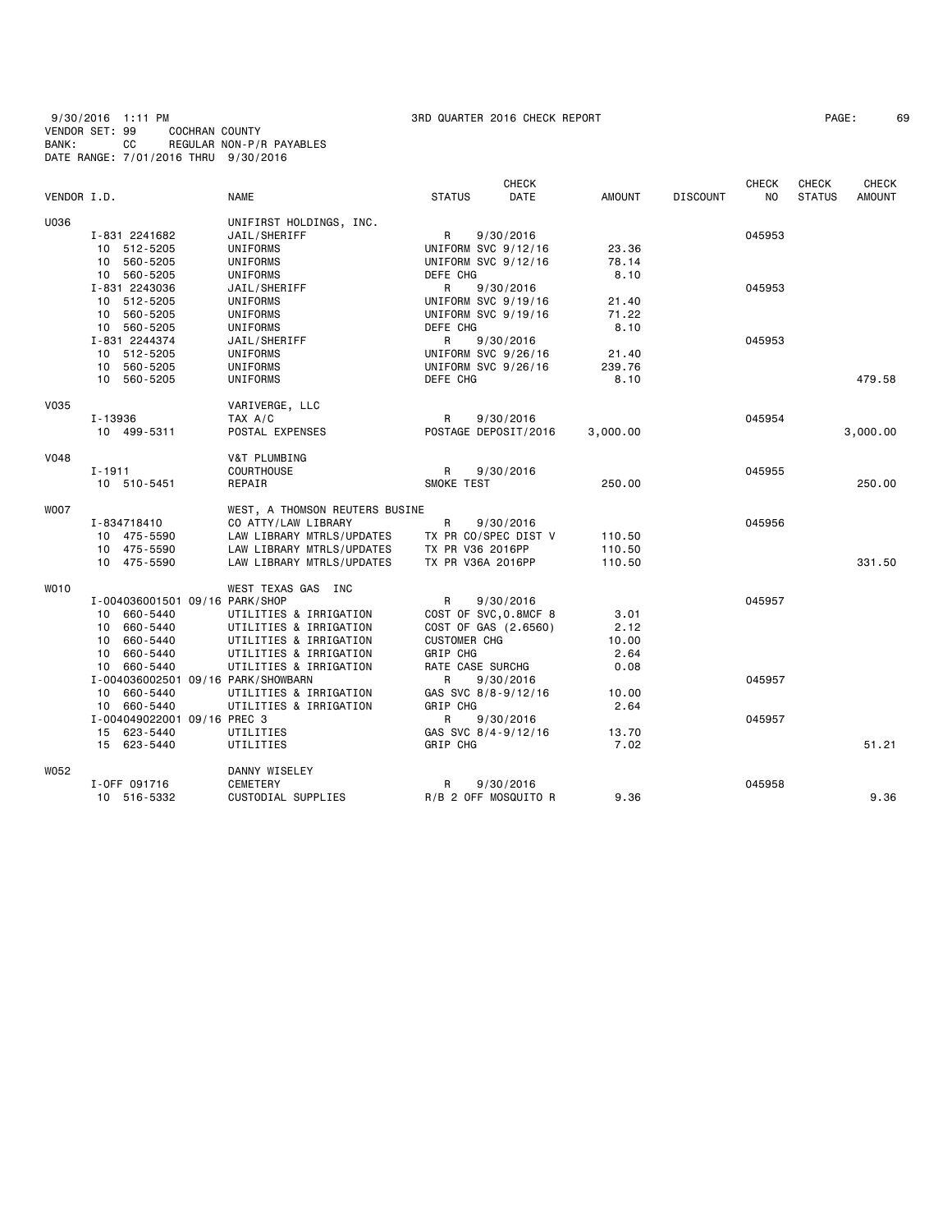## 9/30/2016 1:11 PM 3RD QUARTER 2016 CHECK REPORT PAGE: 69 VENDOR SET: 99 COCHRAN COUNTY BANK: CC REGULAR NON-P/R PAYABLES DATE RANGE: 7/01/2016 THRU 9/30/2016

| PAGE : | 69 |
|--------|----|
|--------|----|

|             |                                    |                                |                       | <b>CHECK</b> |               |                 | <b>CHECK</b>   | <b>CHECK</b>  | <b>CHECK</b>  |
|-------------|------------------------------------|--------------------------------|-----------------------|--------------|---------------|-----------------|----------------|---------------|---------------|
| VENDOR I.D. |                                    | <b>NAME</b>                    | <b>STATUS</b>         | DATE         | <b>AMOUNT</b> | <b>DISCOUNT</b> | N <sub>0</sub> | <b>STATUS</b> | <b>AMOUNT</b> |
| U036        |                                    | UNIFIRST HOLDINGS, INC.        |                       |              |               |                 |                |               |               |
|             | I-831 2241682                      | JAIL/SHERIFF                   | $\mathsf{R}$          | 9/30/2016    |               |                 | 045953         |               |               |
|             | 10 512-5205                        | UNIFORMS                       | UNIFORM SVC 9/12/16   |              | 23.36         |                 |                |               |               |
|             | 10 560-5205                        | UNIFORMS                       | UNIFORM SVC 9/12/16   |              | 78.14         |                 |                |               |               |
|             | 10 560-5205                        | UNIFORMS                       | DEFE CHG              |              | 8.10          |                 |                |               |               |
|             | I-831 2243036                      | JAIL/SHERIFF                   | $\mathsf{R}$          | 9/30/2016    |               |                 | 045953         |               |               |
|             | 10 512-5205                        | <b>UNIFORMS</b>                | UNIFORM SVC 9/19/16   |              | 21.40         |                 |                |               |               |
|             | 10 560-5205                        | UNIFORMS                       | UNIFORM SVC 9/19/16   |              | 71.22         |                 |                |               |               |
|             | 10 560-5205                        | UNIFORMS                       | DEFE CHG              |              | 8.10          |                 |                |               |               |
|             | I-831 2244374                      | JAIL/SHERIFF                   | R                     | 9/30/2016    |               |                 | 045953         |               |               |
|             | 10 512-5205                        | UNIFORMS                       | UNIFORM SVC 9/26/16   |              | 21.40         |                 |                |               |               |
|             | 10 560-5205                        | UNIFORMS                       | UNIFORM SVC 9/26/16   |              | 239.76        |                 |                |               |               |
|             | 10 560-5205                        | UNIFORMS                       | DEFE CHG              |              | 8.10          |                 |                |               | 479.58        |
| <b>V035</b> |                                    | VARIVERGE, LLC                 |                       |              |               |                 |                |               |               |
|             | I-13936                            | TAX A/C                        | R                     | 9/30/2016    |               |                 | 045954         |               |               |
|             | 10 499-5311                        | POSTAL EXPENSES                | POSTAGE DEPOSIT/2016  |              | 3,000.00      |                 |                |               | 3,000.00      |
| <b>V048</b> |                                    | V&T PLUMBING                   |                       |              |               |                 |                |               |               |
|             | $I - 1911$                         | <b>COURTHOUSE</b>              | R                     | 9/30/2016    |               |                 | 045955         |               |               |
|             | 10 510-5451                        | REPAIR                         | SMOKE TEST            |              | 250.00        |                 |                |               | 250.00        |
| <b>WOO7</b> |                                    | WEST, A THOMSON REUTERS BUSINE |                       |              |               |                 |                |               |               |
|             | I-834718410                        | CO ATTY/LAW LIBRARY            | R                     | 9/30/2016    |               |                 | 045956         |               |               |
|             | 10 475-5590                        | LAW LIBRARY MTRLS/UPDATES      | TX PR CO/SPEC DIST V  |              | 110.50        |                 |                |               |               |
|             | 10 475-5590                        | LAW LIBRARY MTRLS/UPDATES      | TX PR V36 2016PP      |              | 110.50        |                 |                |               |               |
|             | 10 475-5590                        | LAW LIBRARY MTRLS/UPDATES      | TX PR V36A 2016PP     |              | 110.50        |                 |                |               | 331.50        |
| WO10        |                                    | WEST TEXAS GAS INC             |                       |              |               |                 |                |               |               |
|             | I-004036001501 09/16 PARK/SHOP     |                                | $\mathsf{R}$          | 9/30/2016    |               |                 | 045957         |               |               |
|             | 10 660-5440                        | UTILITIES & IRRIGATION         | COST OF SVC, 0.8MCF 8 |              | 3.01          |                 |                |               |               |
|             | 10 660-5440                        | UTILITIES & IRRIGATION         | COST OF GAS (2.6560)  |              | 2.12          |                 |                |               |               |
|             | 10 660-5440                        | UTILITIES & IRRIGATION         | <b>CUSTOMER CHG</b>   |              | 10.00         |                 |                |               |               |
|             | 10 660-5440                        | UTILITIES & IRRIGATION         | GRIP CHG              |              | 2.64          |                 |                |               |               |
|             | 10 660-5440                        | UTILITIES & IRRIGATION         | RATE CASE SURCHG      |              | 0.08          |                 |                |               |               |
|             | I-004036002501 09/16 PARK/SHOWBARN |                                | R                     | 9/30/2016    |               |                 | 045957         |               |               |
|             | 10 660-5440                        | UTILITIES & IRRIGATION         | GAS SVC 8/8-9/12/16   |              | 10.00         |                 |                |               |               |
|             | 10 660-5440                        | UTILITIES & IRRIGATION         | GRIP CHG              |              | 2.64          |                 |                |               |               |
|             | I-004049022001 09/16 PREC 3        |                                | R                     | 9/30/2016    |               |                 | 045957         |               |               |
|             | 15 623-5440                        | UTILITIES                      | GAS SVC 8/4-9/12/16   |              | 13.70         |                 |                |               |               |
|             | 15 623-5440                        | UTILITIES                      | GRIP CHG              |              | 7.02          |                 |                |               | 51.21         |
| W052        |                                    | DANNY WISELEY                  |                       |              |               |                 |                |               |               |
|             | I-OFF 091716                       | CEMETERY                       | R                     | 9/30/2016    |               |                 | 045958         |               |               |
|             | 10 516-5332                        | CUSTODIAL SUPPLIES             | R/B 2 OFF MOSQUITO R  |              | 9.36          |                 |                |               | 9.36          |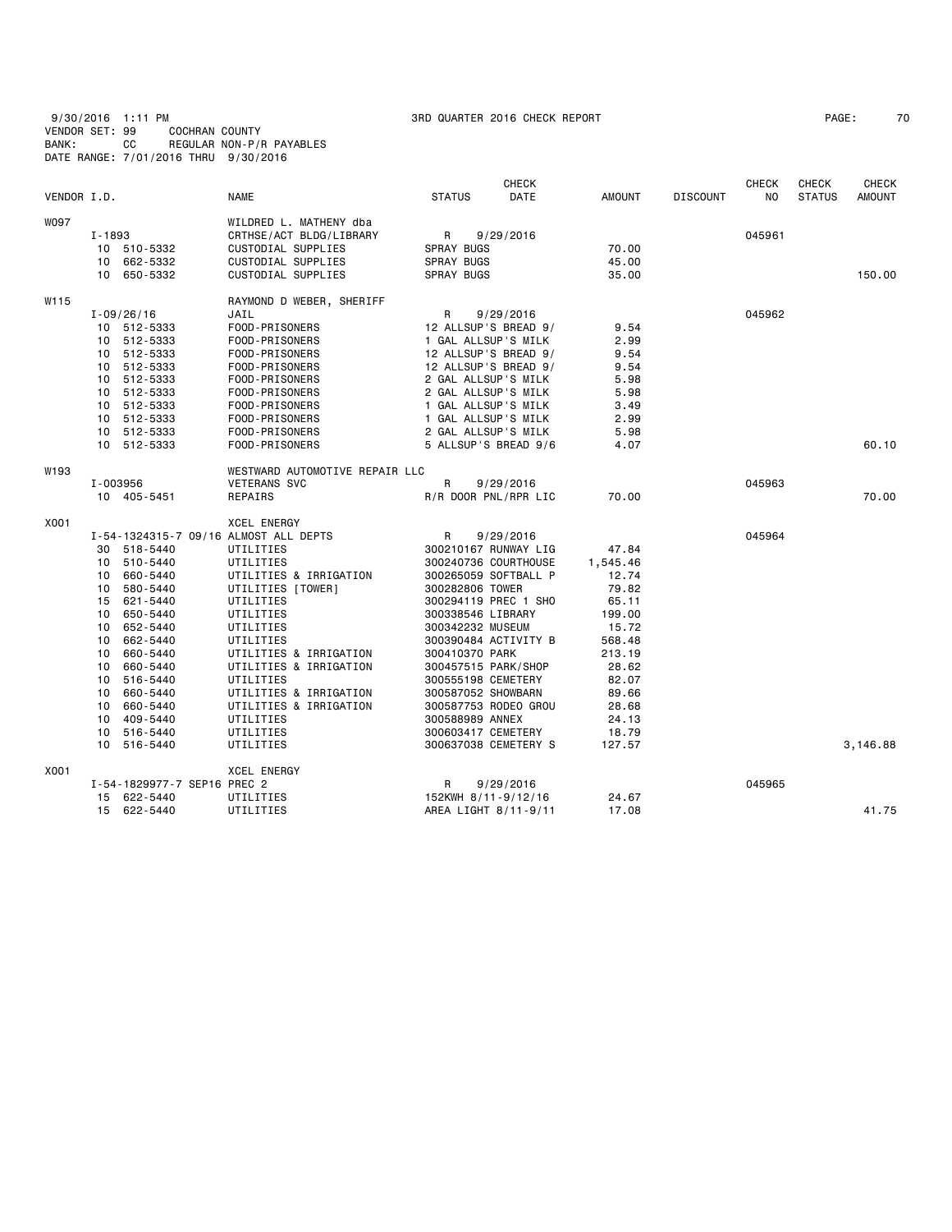| 9/30/2016 1:11 PM                    |           |                |                          |
|--------------------------------------|-----------|----------------|--------------------------|
| VENDOR SET: 99                       |           | COCHRAN COUNTY |                          |
| BANK:                                | <b>CC</b> |                | REGULAR NON-P/R PAYABLES |
| DATE RANGE: 7/01/2016 THRU 9/30/2016 |           |                |                          |

# 9/3000 3RD QUARTER 2016 CHECK REPORT And the control of the control of the PAGE: 70

|             |            |                             |                                       |                      | <b>CHECK</b> |          |                 | <b>CHECK</b> | CHECK         | <b>CHECK</b>  |
|-------------|------------|-----------------------------|---------------------------------------|----------------------|--------------|----------|-----------------|--------------|---------------|---------------|
| VENDOR I.D. |            |                             | <b>NAME</b>                           | <b>STATUS</b>        | DATE         | AMOUNT   | <b>DISCOUNT</b> | NO.          | <b>STATUS</b> | <b>AMOUNT</b> |
| W097        |            |                             | WILDRED L. MATHENY dba                |                      |              |          |                 |              |               |               |
|             | $I - 1893$ |                             | CRTHSE/ACT BLDG/LIBRARY               | R                    | 9/29/2016    |          |                 | 045961       |               |               |
|             |            | 10 510-5332                 | CUSTODIAL SUPPLIES                    | SPRAY BUGS           |              | 70.00    |                 |              |               |               |
|             |            | 10 662-5332                 | CUSTODIAL SUPPLIES                    | <b>SPRAY BUGS</b>    |              | 45.00    |                 |              |               |               |
|             |            | 10 650-5332                 | CUSTODIAL SUPPLIES                    | SPRAY BUGS           |              | 35.00    |                 |              |               | 150.00        |
| W115        |            |                             | RAYMOND D WEBER, SHERIFF              |                      |              |          |                 |              |               |               |
|             |            | $I - 09/26/16$              | JAIL                                  | R                    | 9/29/2016    |          |                 | 045962       |               |               |
|             |            | 10 512-5333                 | FOOD-PRISONERS                        | 12 ALLSUP'S BREAD 9/ |              | 9.54     |                 |              |               |               |
|             |            | 10 512-5333                 | FOOD-PRISONERS                        | 1 GAL ALLSUP'S MILK  |              | 2.99     |                 |              |               |               |
|             |            | 10 512-5333                 | FOOD-PRISONERS                        | 12 ALLSUP'S BREAD 9/ |              | 9.54     |                 |              |               |               |
|             |            | 10 512-5333                 | FOOD-PRISONERS                        | 12 ALLSUP'S BREAD 9/ |              | 9.54     |                 |              |               |               |
|             |            | 10 512-5333                 | FOOD-PRISONERS                        | 2 GAL ALLSUP'S MILK  |              | 5.98     |                 |              |               |               |
|             |            | 10 512-5333                 | FOOD-PRISONERS                        | 2 GAL ALLSUP'S MILK  |              | 5.98     |                 |              |               |               |
|             |            | 10 512-5333                 | FOOD-PRISONERS                        | 1 GAL ALLSUP'S MILK  |              | 3.49     |                 |              |               |               |
|             |            | 10 512-5333                 | FOOD-PRISONERS                        | 1 GAL ALLSUP'S MILK  |              | 2.99     |                 |              |               |               |
|             |            | 10 512-5333                 | FOOD-PRISONERS                        | 2 GAL ALLSUP'S MILK  |              | 5.98     |                 |              |               |               |
|             |            | 10 512-5333                 | FOOD-PRISONERS                        | 5 ALLSUP'S BREAD 9/6 |              | 4.07     |                 |              |               | 60.10         |
| W193        |            |                             | WESTWARD AUTOMOTIVE REPAIR LLC        |                      |              |          |                 |              |               |               |
|             | I-003956   |                             | <b>VETERANS SVC</b>                   | R                    | 9/29/2016    |          |                 | 045963       |               |               |
|             |            | 10 405-5451                 | REPAIRS                               | R/R DOOR PNL/RPR LIC |              | 70.00    |                 |              |               | 70.00         |
| X001        |            |                             | <b>XCEL ENERGY</b>                    |                      |              |          |                 |              |               |               |
|             |            |                             | I-54-1324315-7 09/16 ALMOST ALL DEPTS | R                    | 9/29/2016    |          |                 | 045964       |               |               |
|             |            | 30 518-5440                 | UTILITIES                             | 300210167 RUNWAY LIG |              | 47.84    |                 |              |               |               |
|             |            | 10 510-5440                 | UTILITIES                             | 300240736 COURTHOUSE |              | 1,545.46 |                 |              |               |               |
|             | 10         | 660-5440                    | UTILITIES & IRRIGATION                | 300265059 SOFTBALL P |              | 12.74    |                 |              |               |               |
|             | 10         | 580-5440                    | UTILITIES [TOWER]                     | 300282806 TOWER      |              | 79.82    |                 |              |               |               |
|             |            | 15 621-5440                 | UTILITIES                             | 300294119 PREC 1 SHO |              | 65.11    |                 |              |               |               |
|             |            | 10 650-5440                 | UTILITIES                             | 300338546 LIBRARY    |              | 199.00   |                 |              |               |               |
|             |            | 10 652-5440                 | UTILITIES                             | 300342232 MUSEUM     |              | 15.72    |                 |              |               |               |
|             | 10         | 662-5440                    | UTILITIES                             | 300390484 ACTIVITY B |              | 568.48   |                 |              |               |               |
|             | 10         | 660-5440                    | UTILITIES & IRRIGATION                | 300410370 PARK       |              | 213.19   |                 |              |               |               |
|             | 10         | 660-5440                    | UTILITIES & IRRIGATION                | 300457515 PARK/SHOP  |              | 28.62    |                 |              |               |               |
|             | 10         | 516-5440                    | UTILITIES                             | 300555198 CEMETERY   |              | 82.07    |                 |              |               |               |
|             |            | 10 660-5440                 | UTILITIES & IRRIGATION                | 300587052 SHOWBARN   |              | 89.66    |                 |              |               |               |
|             | 10         | 660-5440                    | UTILITIES & IRRIGATION                | 300587753 RODEO GROU |              | 28.68    |                 |              |               |               |
|             | 10         | 409-5440                    | UTILITIES                             | 300588989 ANNEX      |              | 24.13    |                 |              |               |               |
|             |            | 10 516-5440                 | UTILITIES                             | 300603417 CEMETERY   |              | 18.79    |                 |              |               |               |
|             |            | 10 516-5440                 | UTILITIES                             | 300637038 CEMETERY S |              | 127.57   |                 |              |               | 3,146.88      |
| X001        |            |                             | <b>XCEL ENERGY</b>                    |                      |              |          |                 |              |               |               |
|             |            | I-54-1829977-7 SEP16 PREC 2 |                                       | R                    | 9/29/2016    |          |                 | 045965       |               |               |
|             |            | 15 622-5440                 | UTILITIES                             | 152KWH 8/11-9/12/16  |              | 24.67    |                 |              |               |               |
|             |            | 15 622-5440                 | UTILITIES                             | AREA LIGHT 8/11-9/11 |              | 17.08    |                 |              |               | 41.75         |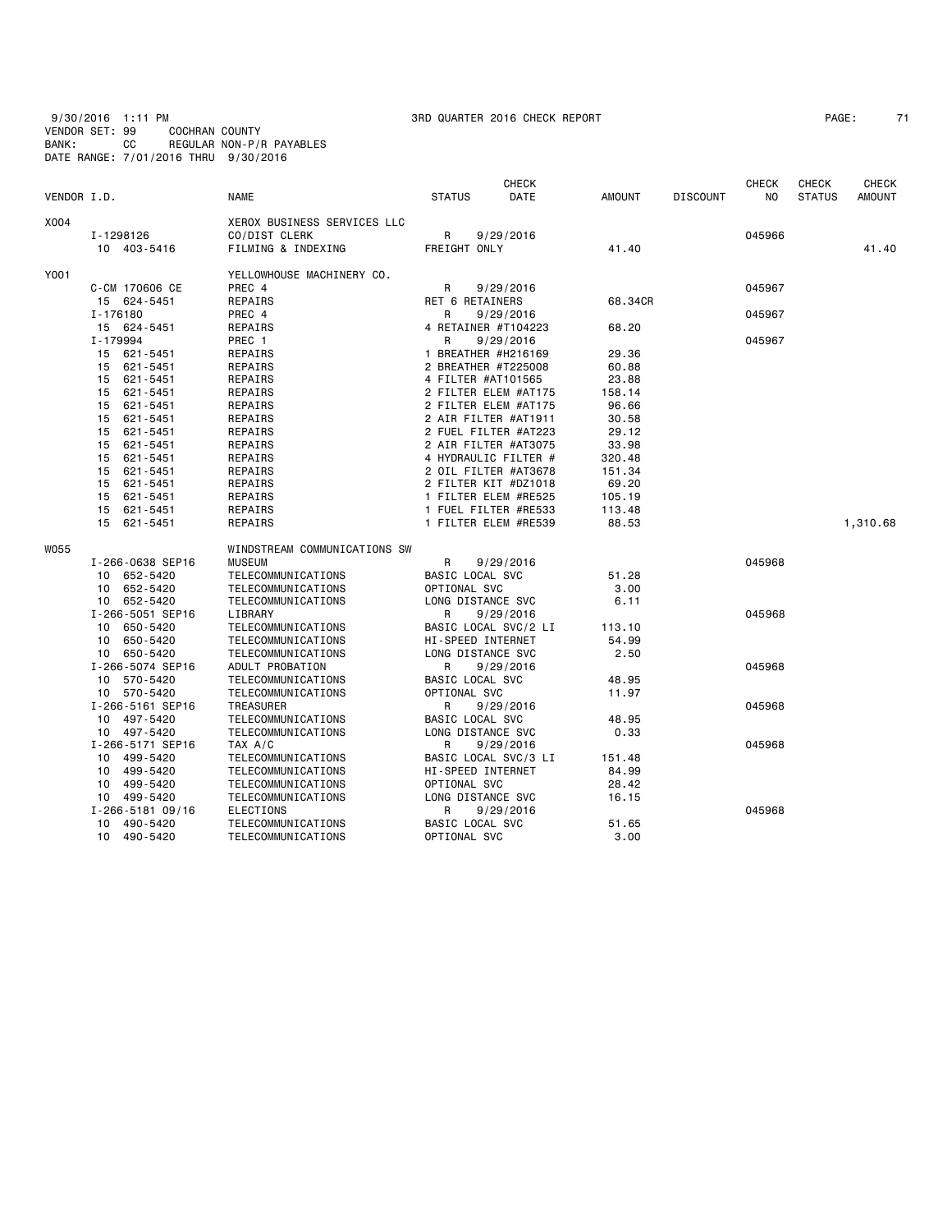9/30/2016 1:11 PM 3RD QUARTER 2016 CHECK REPORT PAGE: 71 VENDOR SET: 99 COCHRAN COUNTY BANK: CC REGULAR NON-P/R PAYABLES DATE RANGE: 7/01/2016 THRU 9/30/2016

| PAGE: |  |  |
|-------|--|--|
|-------|--|--|

| VENDOR I.D. |                                    | <b>NAME</b>                           | <b>STATUS</b>            | <b>CHECK</b><br>DATE | AMOUNT        | <b>DISCOUNT</b> | <b>CHECK</b><br>NO | <b>CHECK</b><br><b>STATUS</b> | <b>CHECK</b><br><b>AMOUNT</b> |
|-------------|------------------------------------|---------------------------------------|--------------------------|----------------------|---------------|-----------------|--------------------|-------------------------------|-------------------------------|
| X004        |                                    | XEROX BUSINESS SERVICES LLC           |                          |                      |               |                 |                    |                               |                               |
|             | I-1298126                          | CO/DIST CLERK                         | R                        | 9/29/2016            |               |                 | 045966             |                               |                               |
|             | 10 403-5416                        | FILMING & INDEXING                    | FREIGHT ONLY             |                      | 41.40         |                 |                    |                               | 41.40                         |
| Y001        |                                    | YELLOWHOUSE MACHINERY CO.             |                          |                      |               |                 |                    |                               |                               |
|             | C-CM 170606 CE                     | PREC 4                                | R                        | 9/29/2016            |               |                 | 045967             |                               |                               |
|             | 15 624-5451                        | REPAIRS                               | <b>RET 6 RETAINERS</b>   |                      | 68.34CR       |                 |                    |                               |                               |
|             | I-176180                           | PREC 4                                | R                        | 9/29/2016            |               |                 | 045967             |                               |                               |
|             | 15 624-5451                        | REPAIRS                               | 4 RETAINER #T104223      |                      | 68.20         |                 |                    |                               |                               |
|             | I-179994                           | PREC 1                                | R                        | 9/29/2016            |               |                 | 045967             |                               |                               |
|             | 15 621-5451                        | REPAIRS                               | 1 BREATHER #H216169      |                      | 29.36         |                 |                    |                               |                               |
|             | 621-5451<br>15                     | REPAIRS                               | 2 BREATHER #T225008      |                      | 60.88         |                 |                    |                               |                               |
|             | 15<br>621-5451                     | REPAIRS                               | 4 FILTER #AT101565       |                      | 23.88         |                 |                    |                               |                               |
|             | 621-5451<br>15                     | REPAIRS                               |                          | 2 FILTER ELEM #AT175 | 158.14        |                 |                    |                               |                               |
|             | 621-5451<br>15                     | REPAIRS                               |                          | 2 FILTER ELEM #AT175 | 96.66         |                 |                    |                               |                               |
|             | 621-5451<br>15                     | REPAIRS                               |                          | 2 AIR FILTER #AT1911 | 30.58         |                 |                    |                               |                               |
|             | 621-5451<br>15                     | REPAIRS                               |                          | 2 FUEL FILTER #AT223 | 29.12         |                 |                    |                               |                               |
|             | 621-5451<br>15                     | REPAIRS                               |                          | 2 AIR FILTER #AT3075 | 33.98         |                 |                    |                               |                               |
|             | 621-5451<br>15                     | REPAIRS                               |                          | 4 HYDRAULIC FILTER # | 320.48        |                 |                    |                               |                               |
|             | 621-5451<br>15                     | REPAIRS                               |                          | 2 OIL FILTER #AT3678 | 151.34        |                 |                    |                               |                               |
|             | 621-5451<br>15                     | REPAIRS                               |                          | 2 FILTER KIT #DZ1018 | 69.20         |                 |                    |                               |                               |
|             | 621-5451<br>15                     | REPAIRS                               |                          | 1 FILTER ELEM #RE525 | 105.19        |                 |                    |                               |                               |
|             | 621-5451<br>15                     | REPAIRS                               |                          | 1 FUEL FILTER #RE533 | 113.48        |                 |                    |                               |                               |
|             | 15<br>621-5451                     | REPAIRS                               |                          | 1 FILTER ELEM #RE539 | 88.53         |                 |                    |                               | 1,310.68                      |
| W055        |                                    | WINDSTREAM COMMUNICATIONS SW          |                          |                      |               |                 |                    |                               |                               |
|             | I-266-0638 SEP16                   | <b>MUSEUM</b>                         | R                        | 9/29/2016            |               |                 | 045968             |                               |                               |
|             | 652-5420<br>10                     | TELECOMMUNICATIONS                    | BASIC LOCAL SVC          |                      | 51.28         |                 |                    |                               |                               |
|             | 652-5420<br>10                     | TELECOMMUNICATIONS                    | OPTIONAL SVC             |                      | 3.00          |                 |                    |                               |                               |
|             | 10 652-5420                        | TELECOMMUNICATIONS                    | LONG DISTANCE SVC        |                      | 6.11          |                 |                    |                               |                               |
|             | I-266-5051 SEP16                   | LIBRARY                               | R                        | 9/29/2016            |               |                 | 045968             |                               |                               |
|             | 650-5420<br>10                     | TELECOMMUNICATIONS                    |                          | BASIC LOCAL SVC/2 LI | 113.10        |                 |                    |                               |                               |
|             | 650-5420<br>10                     | TELECOMMUNICATIONS                    | HI-SPEED INTERNET        |                      | 54.99<br>2.50 |                 |                    |                               |                               |
|             | 650-5420<br>10                     | TELECOMMUNICATIONS                    | LONG DISTANCE SVC        |                      |               |                 |                    |                               |                               |
|             | I-266-5074 SEP16<br>570-5420<br>10 | ADULT PROBATION<br>TELECOMMUNICATIONS | R<br>BASIC LOCAL SVC     | 9/29/2016            | 48.95         |                 | 045968             |                               |                               |
|             | 10 570-5420                        | TELECOMMUNICATIONS                    | OPTIONAL SVC             |                      | 11.97         |                 |                    |                               |                               |
|             | I-266-5161 SEP16                   | TREASURER                             | R                        | 9/29/2016            |               |                 | 045968             |                               |                               |
|             | 497-5420<br>10                     | TELECOMMUNICATIONS                    | BASIC LOCAL SVC          |                      | 48.95         |                 |                    |                               |                               |
|             | 10 497-5420                        | TELECOMMUNICATIONS                    | LONG DISTANCE SVC        |                      | 0.33          |                 |                    |                               |                               |
|             | I-266-5171 SEP16                   | TAX A/C                               | R                        | 9/29/2016            |               |                 | 045968             |                               |                               |
|             | 10 499-5420                        | TELECOMMUNICATIONS                    |                          | BASIC LOCAL SVC/3 LI | 151.48        |                 |                    |                               |                               |
|             | 499-5420<br>10                     | TELECOMMUNICATIONS                    | <b>HI-SPEED INTERNET</b> |                      | 84.99         |                 |                    |                               |                               |
|             | 499-5420<br>10                     | TELECOMMUNICATIONS                    | OPTIONAL SVC             |                      | 28.42         |                 |                    |                               |                               |
|             | 499-5420<br>10                     | TELECOMMUNICATIONS                    | LONG DISTANCE SVC        |                      | 16.15         |                 |                    |                               |                               |
|             | I-266-5181 09/16                   | ELECTIONS                             | R                        | 9/29/2016            |               |                 | 045968             |                               |                               |
|             | 490-5420<br>10                     | TELECOMMUNICATIONS                    | BASIC LOCAL SVC          |                      | 51.65         |                 |                    |                               |                               |
|             | 10 490-5420                        | TELECOMMUNICATIONS                    | OPTIONAL SVC             |                      | 3.00          |                 |                    |                               |                               |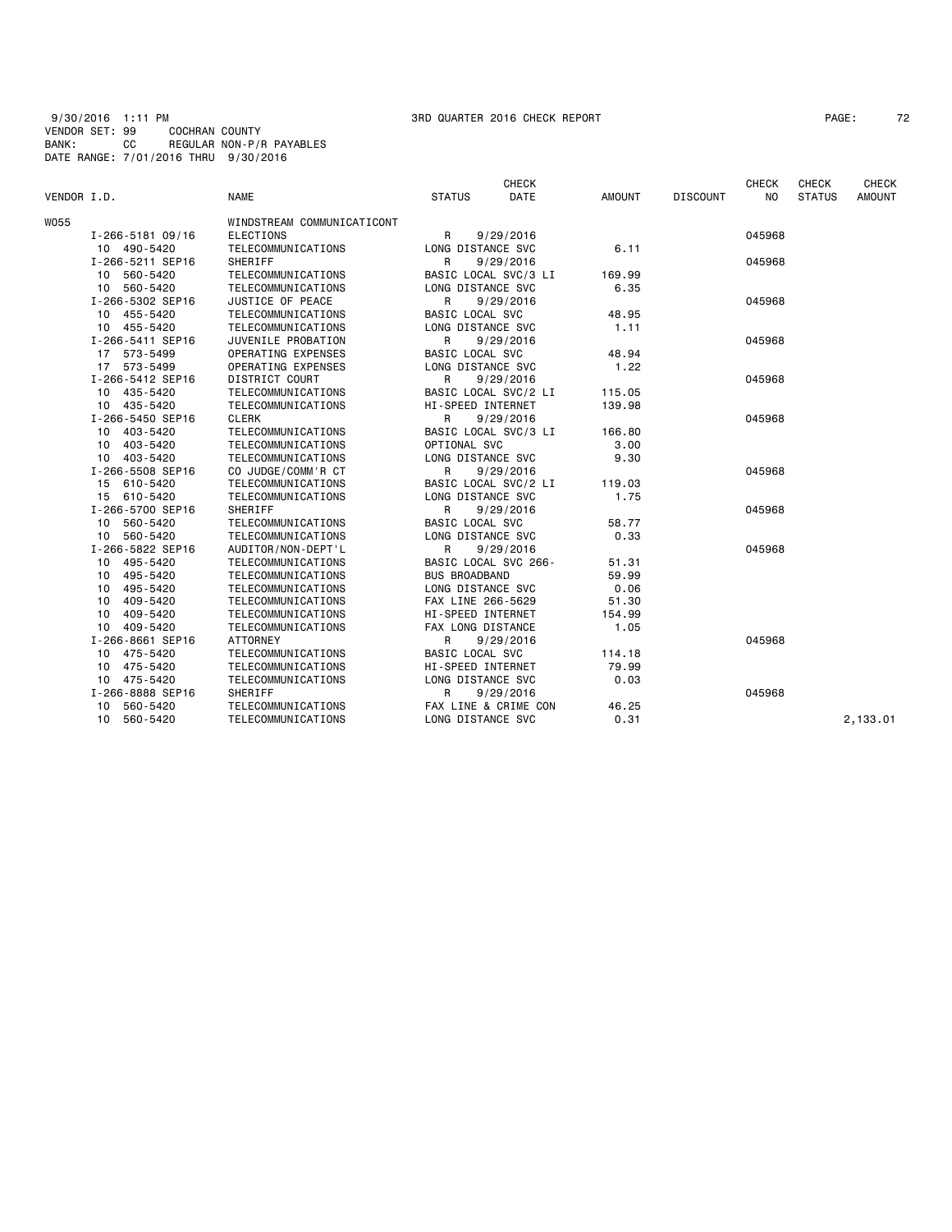9/30/2016 1:11 PM 3RD QUARTER 2016 CHECK REPORT PAGE: 72 VENDOR SET: 99 COCHRAN COUNTY BANK: CC REGULAR NON-P/R PAYABLES DATE RANGE: 7/01/2016 THRU 9/30/2016

|             |                  |                            |                           | <b>CHECK</b>         |               |                 | <b>CHECK</b>   | <b>CHECK</b>  |               |
|-------------|------------------|----------------------------|---------------------------|----------------------|---------------|-----------------|----------------|---------------|---------------|
| VENDOR I.D. |                  | <b>NAME</b>                | <b>STATUS</b>             | DATE                 | <b>AMOUNT</b> | <b>DISCOUNT</b> | N <sub>O</sub> | <b>STATUS</b> | <b>AMOUNT</b> |
| W055        |                  | WINDSTREAM COMMUNICATICONT |                           |                      |               |                 |                |               |               |
|             | I-266-5181 09/16 | <b>ELECTIONS</b>           | R<br>9/29/2016            |                      |               |                 | 045968         |               |               |
|             | 10 490-5420      | TELECOMMUNICATIONS         | LONG DISTANCE SVC         |                      | 6.11          |                 |                |               |               |
|             | I-266-5211 SEP16 | SHERIFF                    | R<br>9/29/2016            |                      |               |                 | 045968         |               |               |
|             | 10 560-5420      | TELECOMMUNICATIONS         | BASIC LOCAL SVC/3 LI      |                      | 169.99        |                 |                |               |               |
|             | 10 560-5420      | TELECOMMUNICATIONS         | LONG DISTANCE SVC         |                      | 6.35          |                 |                |               |               |
|             | I-266-5302 SEP16 | JUSTICE OF PEACE           | $\mathsf{R}$<br>9/29/2016 |                      |               |                 | 045968         |               |               |
|             | 10 455-5420      | TELECOMMUNICATIONS         | BASIC LOCAL SVC           |                      | 48.95         |                 |                |               |               |
|             | 10 455-5420      | TELECOMMUNICATIONS         | LONG DISTANCE SVC         |                      | 1.11          |                 |                |               |               |
|             | I-266-5411 SEP16 | JUVENILE PROBATION         | R                         | 9/29/2016            |               |                 | 045968         |               |               |
|             | 17 573-5499      | OPERATING EXPENSES         | BASIC LOCAL SVC           |                      | 48.94         |                 |                |               |               |
|             | 17 573-5499      | OPERATING EXPENSES         | LONG DISTANCE SVC         |                      | 1.22          |                 |                |               |               |
|             | I-266-5412 SEP16 | DISTRICT COURT             | R                         | 9/29/2016            |               |                 | 045968         |               |               |
|             | 10 435-5420      | TELECOMMUNICATIONS         |                           | BASIC LOCAL SVC/2 LI | 115.05        |                 |                |               |               |
|             | 10 435-5420      | TELECOMMUNICATIONS         | HI-SPEED INTERNET         |                      | 139.98        |                 |                |               |               |
|             | I-266-5450 SEP16 | <b>CLERK</b>               | $\mathsf{R}$              | 9/29/2016            |               |                 | 045968         |               |               |
|             | 10 403-5420      | TELECOMMUNICATIONS         |                           | BASIC LOCAL SVC/3 LI | 166.80        |                 |                |               |               |
|             | 10 403-5420      | TELECOMMUNICATIONS         | OPTIONAL SVC              |                      | 3,00          |                 |                |               |               |
|             | 10 403-5420      | TELECOMMUNICATIONS         | LONG DISTANCE SVC         |                      | 9.30          |                 |                |               |               |
|             | I-266-5508 SEP16 | CO JUDGE/COMM'R CT         | R                         | 9/29/2016            |               |                 | 045968         |               |               |
|             | 15 610-5420      | TELECOMMUNICATIONS         |                           | BASIC LOCAL SVC/2 LI | 119.03        |                 |                |               |               |
|             | 15 610-5420      | TELECOMMUNICATIONS         | LONG DISTANCE SVC         |                      | 1.75          |                 |                |               |               |
|             | I-266-5700 SEP16 | SHERIFF                    | R                         | 9/29/2016            |               |                 | 045968         |               |               |
|             | 10 560-5420      | TELECOMMUNICATIONS         | BASIC LOCAL SVC           |                      | 58.77         |                 |                |               |               |
|             | 560-5420<br>10   | TELECOMMUNICATIONS         | LONG DISTANCE SVC         |                      | 0.33          |                 |                |               |               |
|             | I-266-5822 SEP16 | AUDITOR/NON-DEPT'L         | R                         | 9/29/2016            |               |                 | 045968         |               |               |
|             | 10 495-5420      | TELECOMMUNICATIONS         | BASIC LOCAL SVC 266-      |                      | 51.31         |                 |                |               |               |
|             | 10 495-5420      | TELECOMMUNICATIONS         | <b>BUS BROADBAND</b>      |                      | 59.99         |                 |                |               |               |
|             | 495-5420<br>10   | TELECOMMUNICATIONS         | LONG DISTANCE SVC         |                      | 0.06          |                 |                |               |               |
|             | 409-5420<br>10   | TELECOMMUNICATIONS         | FAX LINE 266-5629         |                      | 51.30         |                 |                |               |               |
|             | 409-5420<br>10   | TELECOMMUNICATIONS         | HI-SPEED INTERNET         |                      | 154.99        |                 |                |               |               |
|             | 10<br>409-5420   | TELECOMMUNICATIONS         | FAX LONG DISTANCE         |                      | 1.05          |                 |                |               |               |
|             | I-266-8661 SEP16 | <b>ATTORNEY</b>            | R                         | 9/29/2016            |               |                 | 045968         |               |               |
|             | 475-5420<br>10   | TELECOMMUNICATIONS         | <b>BASIC LOCAL SVC</b>    |                      | 114.18        |                 |                |               |               |
|             | 10 475-5420      | TELECOMMUNICATIONS         | HI-SPEED INTERNET         |                      | 79.99         |                 |                |               |               |
|             | 10 475-5420      | TELECOMMUNICATIONS         | LONG DISTANCE SVC         |                      | 0.03          |                 |                |               |               |
|             | I-266-8888 SEP16 | SHERIFF                    | R                         | 9/29/2016            |               |                 | 045968         |               |               |
|             | 560-5420<br>10   | TELECOMMUNICATIONS         |                           | FAX LINE & CRIME CON | 46.25         |                 |                |               |               |
|             | 10<br>560-5420   | TELECOMMUNICATIONS         | LONG DISTANCE SVC         |                      | 0.31          |                 |                |               | 2,133.01      |
|             |                  |                            |                           |                      |               |                 |                |               |               |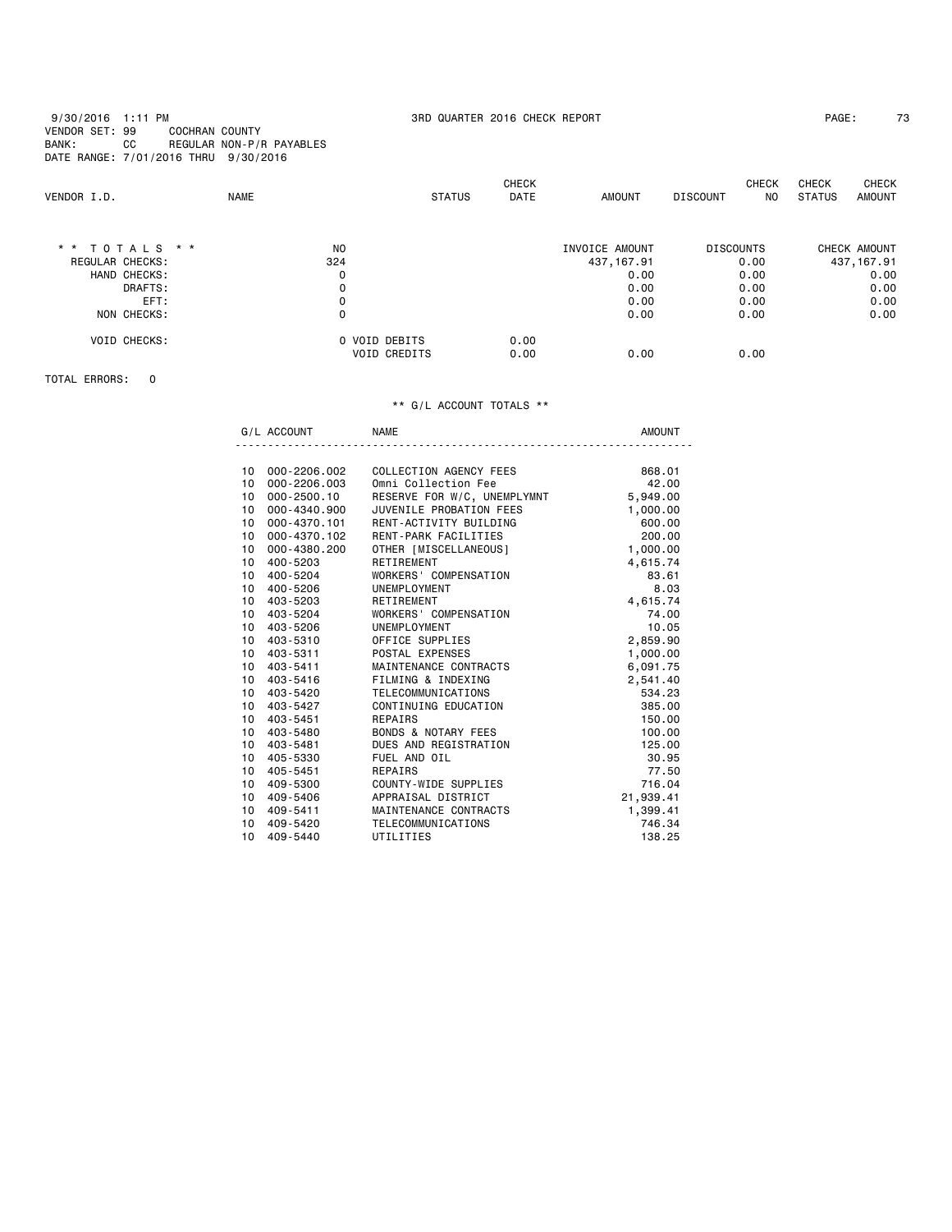| VENDOR I.D.         | <b>NAME</b>    | <b>STATUS</b>       | <b>CHECK</b><br>DATE | <b>AMOUNT</b>  | <b>CHECK</b><br><b>DISCOUNT</b><br>NO. | <b>CHECK</b><br><b>CHECK</b><br>STATUS<br><b>AMOUNT</b> |
|---------------------|----------------|---------------------|----------------------|----------------|----------------------------------------|---------------------------------------------------------|
| $*$ * TOTALS * *    | N <sub>O</sub> |                     |                      | INVOICE AMOUNT | <b>DISCOUNTS</b>                       | CHECK AMOUNT                                            |
| REGULAR CHECKS:     | 324            |                     |                      | 437, 167.91    | 0.00                                   | 437, 167.91                                             |
| HAND CHECKS:        | 0              |                     |                      | 0.00           | 0.00                                   | 0.00                                                    |
| DRAFTS:             | 0              |                     |                      | 0.00           | 0.00                                   | 0.00                                                    |
| EFT:                | 0              |                     |                      | 0.00           | 0.00                                   | 0.00                                                    |
| NON CHECKS:         | 0              |                     |                      | 0.00           | 0.00                                   | 0.00                                                    |
| <b>VOID CHECKS:</b> |                | 0 VOID DEBITS       | 0.00                 |                |                                        |                                                         |
|                     |                | <b>VOID CREDITS</b> | 0.00                 | 0.00           | 0.00                                   |                                                         |

TOTAL ERRORS: 0

|  | ⊣w∎ |  |
|--|-----|--|
|  |     |  |

| 10              | 000-2206.002 | COLLECTION AGENCY FEES      | 868,01    |
|-----------------|--------------|-----------------------------|-----------|
| 10              | 000-2206.003 | Omni Collection Fee         | 42.00     |
| 10              | 000-2500.10  | RESERVE FOR W/C, UNEMPLYMNT | 5,949.00  |
| 10 <sup>1</sup> | 000-4340.900 | JUVENILE PROBATION FEES     | 1,000.00  |
| 10              | 000-4370.101 | RENT-ACTIVITY BUILDING      | 600.00    |
| 10              | 000-4370.102 | RENT-PARK FACILITIES        | 200,00    |
| 10 <sup>1</sup> | 000-4380.200 | OTHER [MISCELLANEOUS]       | 1,000.00  |
| 10              | 400-5203     | RETIREMENT                  | 4,615.74  |
| 10              | 400-5204     | WORKERS' COMPENSATION       | 83.61     |
| 10              | 400-5206     | UNEMPLOYMENT                | 8.03      |
| 10              | 403-5203     | RETIREMENT                  | 4,615.74  |
| 10              | 403-5204     | WORKERS' COMPENSATION       | 74.00     |
| 10              | 403-5206     | UNEMPLOYMENT                | 10.05     |
| 10              | 403-5310     | OFFICE SUPPLIES             | 2,859.90  |
| 10              | 403-5311     | POSTAL EXPENSES             | 1,000.00  |
| 10              | 403-5411     | MAINTENANCE CONTRACTS       | 6,091.75  |
|                 | 10 403-5416  | FILMING & INDEXING          | 2,541.40  |
| 10 <sup>1</sup> | 403-5420     | TELECOMMUNICATIONS          | 534.23    |
| 10              | 403-5427     | CONTINUING EDUCATION        | 385,00    |
| 10              | 403-5451     | REPAIRS                     | 150.00    |
| 10              | 403-5480     | BONDS & NOTARY FEES         | 100.00    |
| 10              | 403-5481     | DUES AND REGISTRATION       | 125.00    |
| 10              | 405-5330     | FUEL AND OIL                | 30.95     |
| 10              | 405-5451     | REPAIRS                     | 77.50     |
| 10              | 409-5300     | COUNTY-WIDE SUPPLIES        | 716.04    |
| 10              | 409-5406     | APPRAISAL DISTRICT          | 21,939.41 |
| 10              | 409-5411     | MAINTENANCE CONTRACTS       | 1,399.41  |
| 10              | 409-5420     | TELECOMMUNICATIONS          | 746.34    |
| 10              | 409-5440     | UTILITIES                   | 138.25    |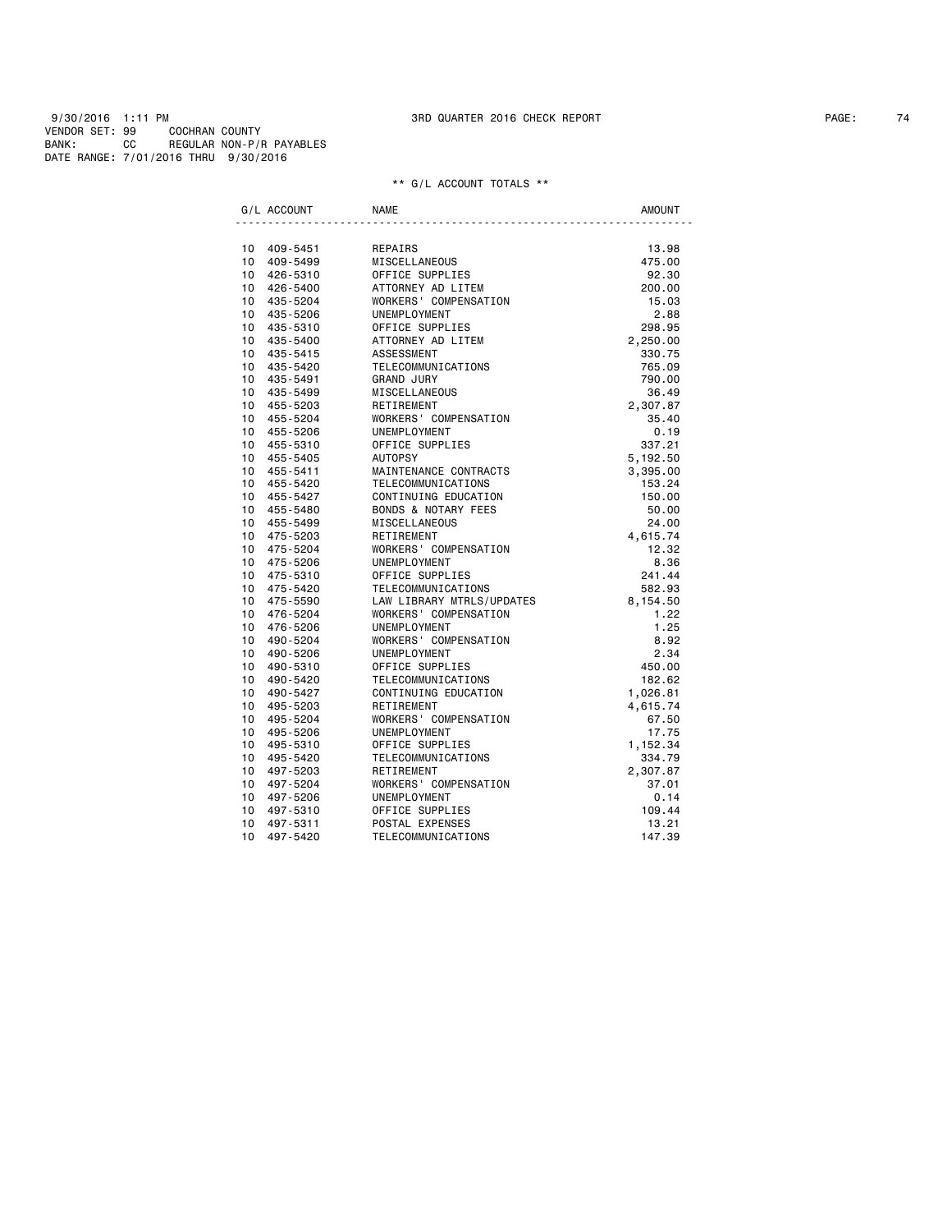9/30/2016 1:11 PM 3RD QUARTER 2016 CHECK REPORT PAGE: 74 VENDOR SET: 99 COCHRAN COUNTY BANK: CC REGULAR NON-P/R PAYABLES DATE RANGE: 7/01/2016 THRU 9/30/2016

|                 | G/L ACCOUNT                | <b>NAME</b>                                | <b>AMOUNT</b> |
|-----------------|----------------------------|--------------------------------------------|---------------|
|                 | 10 409-5451                | REPAIRS                                    | 13.98         |
|                 | 10 409-5499                | MISCELLANEOUS                              | 475.00        |
|                 | 10 426-5310                | OFFICE SUPPLIES                            | 92.30         |
|                 | 10 426-5400                |                                            | 200.00        |
|                 | 10 435-5204                | ATTORNEY AD LITEM<br>WORKERS' COMPENSATION | 15.03         |
|                 | 10 435-5206                | UNEMPLOYMENT                               | 2.88          |
|                 | 10 435-5310                | OFFICE SUPPLIES                            | 298.95        |
|                 | 10 435-5400                | ATTORNEY AD LITEM                          |               |
|                 |                            | ASSESSMENT                                 | 2,250.00      |
|                 | 10 435-5415                |                                            | 330.75        |
|                 | 10 435-5420                | TELECOMMUNICATIONS                         | 765.09        |
|                 | 10 435-5491<br>10 435-5499 | <b>GRAND JURY</b><br>MISCELLANEOUS         | 790.00        |
|                 |                            |                                            | 36.49         |
|                 | 10 455-5203                | RETIREMENT                                 | 2,307.87      |
|                 | 10 455-5204                | WORKERS' COMPENSATION                      | 35.40         |
|                 | 10 455-5206                | UNEMPLOYMENT                               | 0.19          |
|                 | 10 455-5310                | OFFICE SUPPLIES                            | 337.21        |
|                 | 10 455-5405                | AUTOPSY                                    | 5,192.50      |
|                 | 10 455-5411                | MAINTENANCE CONTRACTS                      | 3,395.00      |
|                 | 10 455-5420                | TELECOMMUNICATIONS                         | 153.24        |
|                 | 10 455-5427                | CONTINUING EDUCATION                       | 150.00        |
|                 | 10 455-5480                | BONDS & NOTARY FEES                        | 50.00         |
|                 | 10 455-5499                | MISCELLANEOUS                              | 24.00         |
|                 | 10 475-5203                | RETIREMENT                                 | 4,615.74      |
|                 | 10 475-5204                | WORKERS' COMPENSATION                      | 12.32         |
|                 | 10 475-5206                | UNEMPLOYMENT                               | 8.36          |
|                 | 10 475-5310                | OFFICE SUPPLIES                            | 241.44        |
|                 | 10 475-5420                | TELECOMMUNICATIONS                         | 582.93        |
|                 | 10 475-5590                | LAW LIBRARY MTRLS/UPDATES                  | 8,154.50      |
|                 | 10 476-5204                | WORKERS' COMPENSATION                      | 1.22          |
|                 | 10 476-5206                | UNEMPLOYMENT                               | 1.25          |
|                 | 10 490-5204                | WORKERS' COMPENSATION                      | 8.92          |
|                 | 10 490-5206                | UNEMPLOYMENT                               | 2.34          |
|                 | 10 490-5310                | OFFICE SUPPLIES                            | 450.00        |
|                 | 10 490-5420                | TELECOMMUNICATIONS                         | 182.62        |
|                 | 10 490-5427                | CONTINUING EDUCATION                       | 1,026.81      |
|                 | 10 495-5203                | RETIREMENT                                 | 4,615.74      |
|                 | 10 495-5204                | WORKERS' COMPENSATION                      | 67.50         |
|                 | 10 495-5206                | UNEMPLOYMENT                               | 17.75         |
|                 | 10 495-5310                | OFFICE SUPPLIES                            | 1,152.34      |
| 10 <sup>1</sup> | 495-5420                   | TELECOMMUNICATIONS                         | 334.79        |
|                 | 10 497-5203                | RETIREMENT                                 | 2,307.87      |
| $10-10$         | 497-5204                   | WORKERS' COMPENSATION                      | 37.01         |
|                 | 10 497-5206                | UNEMPLOYMENT                               | 0.14          |
| 10              | 497-5310                   | OFFICE SUPPLIES                            | 109.44        |
| 10              | 497-5311                   | POSTAL EXPENSES                            | 13.21         |
| 10              | 497-5420                   | TELECOMMUNICATIONS                         | 147.39        |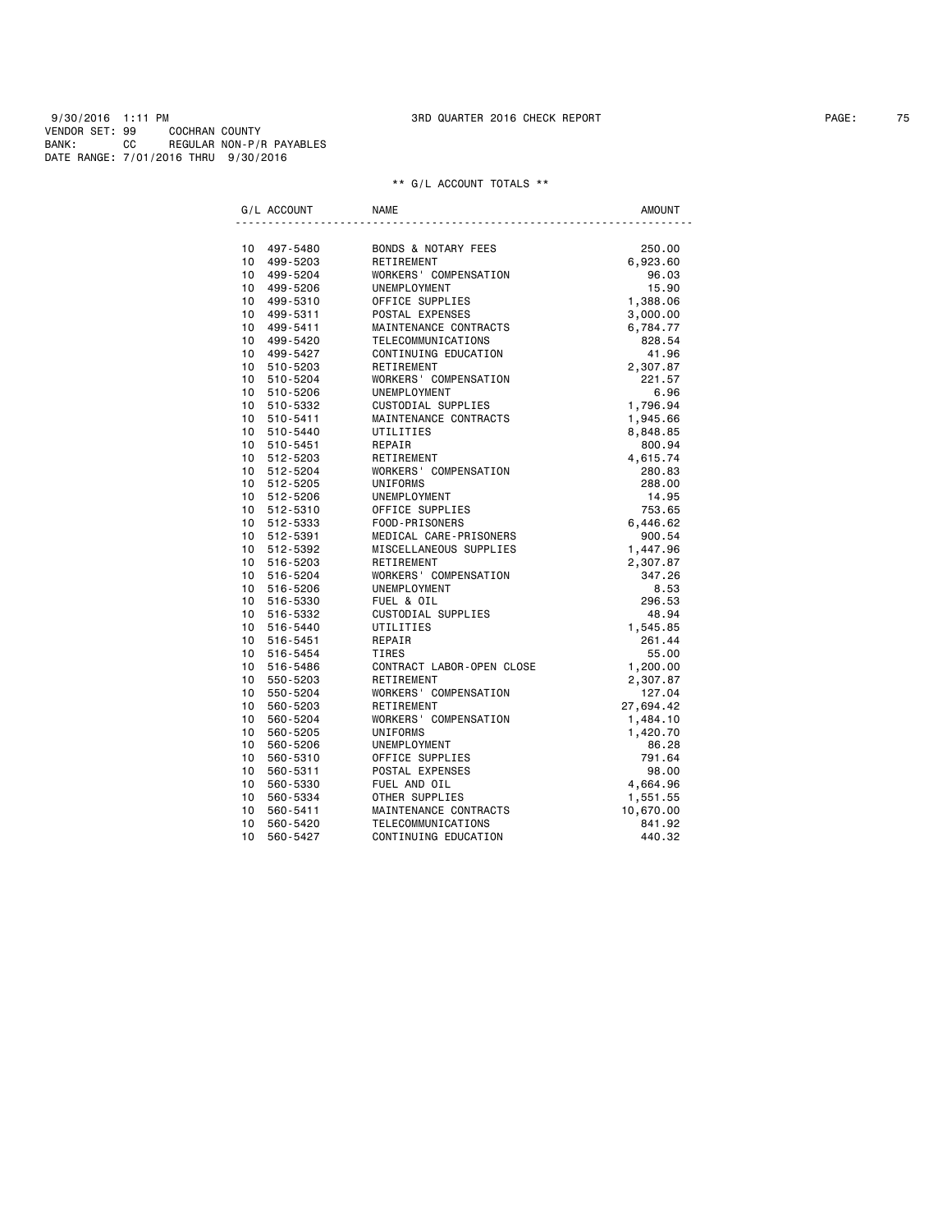9/30/2016 1:11 PM 3RD QUARTER 2016 CHECK REPORT PAGE: 75 VENDOR SET: 99 COCHRAN COUNTY BANK: CC REGULAR NON-P/R PAYABLES DATE RANGE: 7/01/2016 THRU 9/30/2016

| G/L ACCOUNT                 | <b>NAME</b>                    | <b>AMOUNT</b> |
|-----------------------------|--------------------------------|---------------|
| 10 497-5480                 | <b>BONDS &amp; NOTARY FEES</b> | 250.00        |
| 10<br>499-5203              | RETIREMENT                     | 6,923.60      |
| 10<br>499-5204              | WORKERS' COMPENSATION          | 96.03         |
| 10<br>499-5206              | UNEMPLOYMENT                   | 15.90         |
| 10<br>499-5310              | OFFICE SUPPLIES                | 1,388.06      |
| 10<br>499-5311              | POSTAL EXPENSES                | 3,000.00      |
| 10 <sup>1</sup><br>499-5411 | MAINTENANCE CONTRACTS          | 6,784.77      |
| 10<br>499-5420              | TELECOMMUNICATIONS             | 828.54        |
| 10<br>499-5427              | CONTINUING EDUCATION           | 41.96         |
| 10<br>510-5203              | RETIREMENT                     | 2,307.87      |
| 10<br>510-5204              | WORKERS' COMPENSATION          | 221.57        |
| 10<br>510-5206              | UNEMPLOYMENT                   | 6.96          |
| 10<br>510-5332              | CUSTODIAL SUPPLIES             | 1,796.94      |
| 10<br>510-5411              | MAINTENANCE CONTRACTS          | 1,945.66      |
| 10<br>510-5440              | UTILITIES                      | 8,848.85      |
| 10 <sup>1</sup><br>510-5451 | REPAIR                         | 800.94        |
| 10 512-5203                 | RETIREMENT                     | 4,615.74      |
| 10<br>512-5204              | WORKERS' COMPENSATION          | 280.83        |
| 10 512-5205                 | <b>UNIFORMS</b>                | 288.00        |
| 10 512-5206                 | UNEMPLOYMENT                   | 14.95         |
| 10 512-5310                 | OFFICE SUPPLIES                | 753.65        |
| 10 512-5333                 | FOOD-PRISONERS                 | 6,446.62      |
| 10 <sup>1</sup><br>512-5391 | MEDICAL CARE-PRISONERS         | 900.54        |
| 10 512-5392                 | MISCELLANEOUS SUPPLIES         | 1,447.96      |
| 10 <sup>1</sup><br>516-5203 | RETIREMENT                     | 2,307.87      |
| 10<br>516-5204              | WORKERS' COMPENSATION          | 347.26        |
| 10<br>516-5206              | UNEMPLOYMENT                   | 8.53          |
| 10<br>516-5330              | FUEL & OIL                     | 296.53        |
| 10<br>516-5332              | CUSTODIAL SUPPLIES             | 48.94         |
| 10<br>516-5440              | UTILITIES                      | 1,545.85      |
| 10<br>516-5451              | REPAIR                         | 261.44        |
| 10<br>516-5454              | <b>TIRES</b>                   | 55.00         |
| 10<br>516-5486              | CONTRACT LABOR-OPEN CLOSE      | 1,200.00      |
| 10 <sup>1</sup><br>550-5203 | RETIREMENT                     | 2,307.87      |
| 10<br>550-5204              | WORKERS' COMPENSATION          | 127.04        |
| 10<br>560-5203              | RETIREMENT                     | 27,694.42     |
| 10<br>560-5204              | WORKERS' COMPENSATION          | 1,484.10      |
| 10<br>560-5205              | UNIFORMS                       | 1,420.70      |
| 10 <sup>1</sup><br>560-5206 | UNEMPLOYMENT                   | 86.28         |
| 10<br>560-5310              | OFFICE SUPPLIES                | 791.64        |
| 10<br>560-5311              | POSTAL EXPENSES                | 98.00         |
| 10<br>560-5330              | FUEL AND OIL                   | 4,664.96      |
| 10<br>560-5334              | OTHER SUPPLIES                 | 1,551.55      |
| 10<br>560-5411              | MAINTENANCE CONTRACTS          | 10,670.00     |
| 10<br>560-5420              | TELECOMMUNICATIONS             | 841.92        |
| 10<br>560-5427              | CONTINUING EDUCATION           | 440.32        |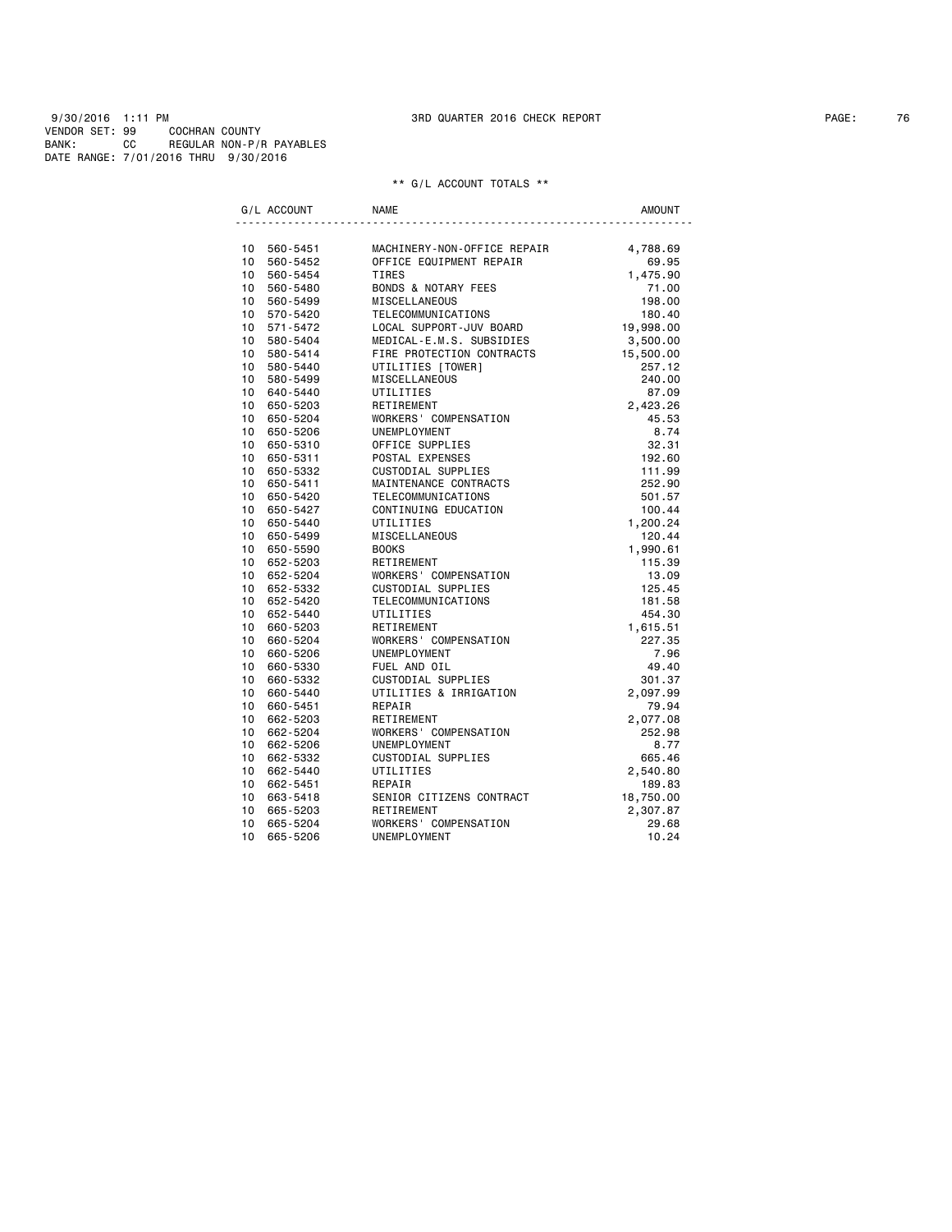9/30/2016 1:11 PM 3RD QUARTER 2016 CHECK REPORT PAGE: 76 VENDOR SET: 99 COCHRAN COUNTY BANK: CC REGULAR NON-P/R PAYABLES DATE RANGE: 7/01/2016 THRU 9/30/2016

| G/L ACCOUNT     |                      | <b>NAME</b>                                | <b>AMOUNT</b>      |
|-----------------|----------------------|--------------------------------------------|--------------------|
|                 |                      |                                            |                    |
|                 | 10 560-5451          | MACHINERY-NON-OFFICE REPAIR                | 4,788.69           |
| 10              | 560-5452             | OFFICE EQUIPMENT REPAIR                    | 69.95              |
| 10              | 560-5454             | TIRES                                      | 1,475.90           |
|                 | 10 560-5480          | BONDS & NOTARY FEES                        | 71.00              |
| 10              | 560-5499             | MISCELLANEOUS                              | 198.00             |
|                 | 10 570-5420          | TELECOMMUNICATIONS                         | 180.40             |
| 10              | 571-5472             | LOCAL SUPPORT-JUV BOARD                    | 19,998.00          |
| 10              | 580-5404             | MEDICAL-E.M.S. SUBSIDIES                   | 3,500.00           |
| 10              | 580-5414             | FIRE PROTECTION CONTRACTS                  | 15,500.00          |
| 10              | 580-5440             | UTILITIES [TOWER]                          | 257.12             |
|                 | 10 580-5499          | <b>MISCELLANEOUS</b>                       | 240.00             |
| 10              | 10 640-5440          | UTILITIES                                  | 87.09              |
| 10 <sup>1</sup> | 650-5203<br>650-5204 | RETIREMENT                                 | 2,423.26<br>45.53  |
| 10 <sup>1</sup> |                      | WORKERS' COMPENSATION<br>UNEMPLOYMENT      | 8.74               |
| 10              | 650-5206<br>650-5310 | OFFICE SUPPLIES                            | 32.31              |
| 10              |                      |                                            |                    |
| 10              | 650-5311<br>650-5332 | POSTAL EXPENSES<br>CUSTODIAL SUPPLIES      | 192.60<br>111.99   |
| 10              | 650-5411             | MAINTENANCE CONTRACTS                      | 252.90             |
| 10              |                      |                                            |                    |
| 10              | 650-5420             | TELECOMMUNICATIONS<br>CONTINUING EDUCATION | 501.57             |
| 10 <sup>1</sup> | 650-5427<br>650-5440 | UTILITIES                                  | 100.44             |
| 10              | 650-5499             | MISCELLANEOUS                              | 1,200.24<br>120.44 |
| 10              | 650-5590             | <b>BOOKS</b>                               | 1,990.61           |
|                 | 10 652-5203          | RETIREMENT                                 | 115.39             |
| 10              | 652-5204             | WORKERS' COMPENSATION                      | 13.09              |
| 10              | 652-5332             | CUSTODIAL SUPPLIES                         | 125.45             |
| 10              | 652-5420             | TELECOMMUNICATIONS                         | 181.58             |
| 10 <sup>1</sup> | 652-5440             | UTILITIES                                  | 454.30             |
| 10              | 660-5203             | RETIREMENT                                 | 1,615.51           |
| 10              | 660-5204             | WORKERS' COMPENSATION                      | 227.35             |
| 10              | 660-5206             | UNEMPLOYMENT                               | 7.96               |
| 10              | 660-5330             | FUEL AND OIL                               | 49.40              |
| 10 <sup>1</sup> | 660-5332             | CUSTODIAL SUPPLIES                         | 301.37             |
| 10              | 660-5440             | UTILITIES & IRRIGATION                     | 2,097.99           |
| 10              | 660-5451             | REPAIR                                     | 79.94              |
| 10              | 662-5203             | RETIREMENT                                 | 2,077.08           |
| 10              | 662-5204             | WORKERS' COMPENSATION                      | 252.98             |
| 10              | 662-5206             | UNEMPLOYMENT                               | 8.77               |
| 10 <sup>1</sup> | 662-5332             | CUSTODIAL SUPPLIES                         | 665.46             |
| 10 <sup>1</sup> | 662-5440             | UTILITIES                                  | 2,540.80           |
| 10 <sup>1</sup> | 662-5451             | REPAIR                                     | 189.83             |
| 10              | 663-5418             | SENIOR CITIZENS CONTRACT                   | 18,750.00          |
| 10              | 665-5203             | RETIREMENT                                 | 2,307.87           |
| 10              | 665-5204             | WORKERS' COMPENSATION                      | 29.68              |
| 10              | 665-5206             | UNEMPLOYMENT                               | 10.24              |
|                 |                      |                                            |                    |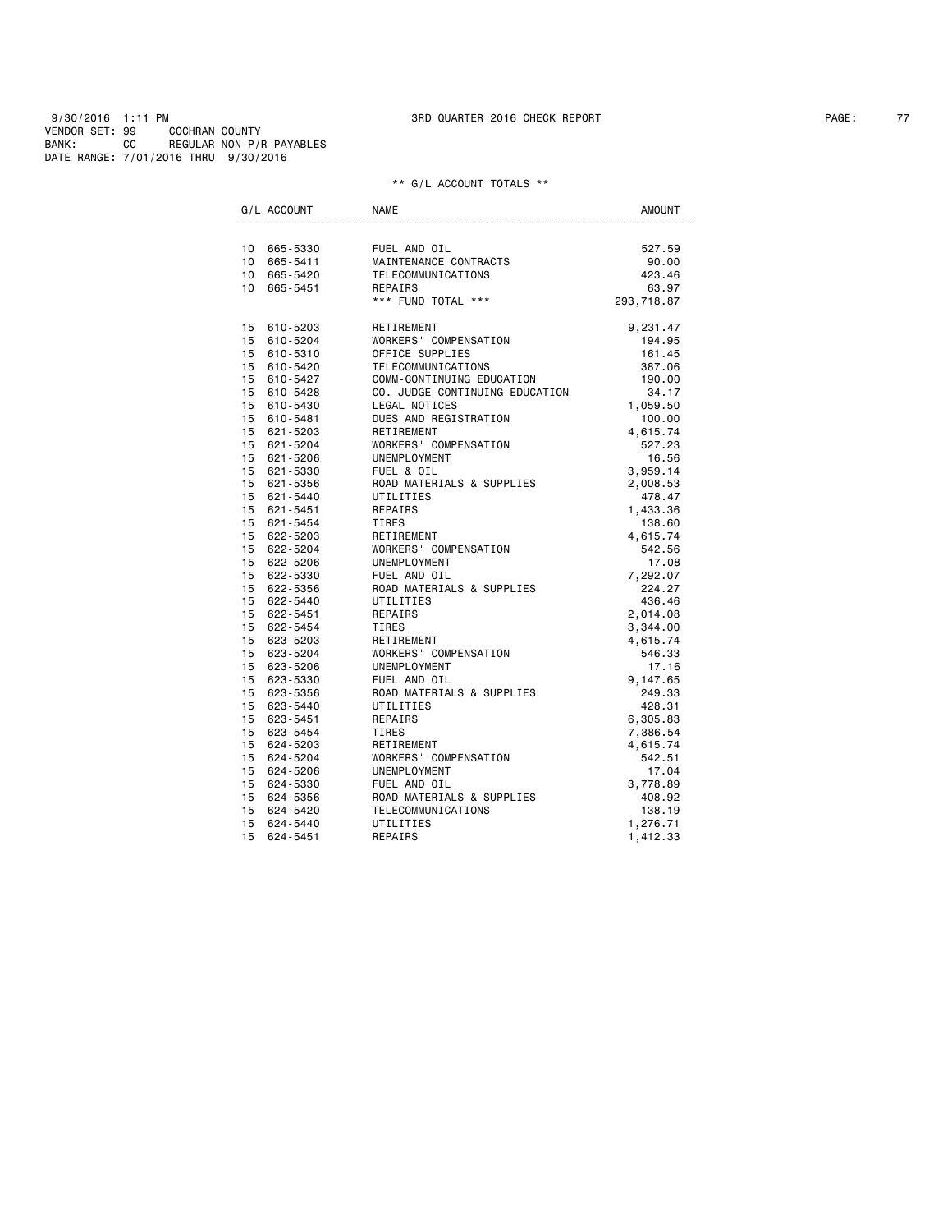9/30/2016 1:11 PM 3RD QUARTER 2016 CHECK REPORT PAGE: 77 VENDOR SET: 99 COCHRAN COUNTY BANK: CC REGULAR NON-P/R PAYABLES DATE RANGE: 7/01/2016 THRU 9/30/2016

| G/L ACCOUNT | <b>NAME</b>                                           | <b>AMOUNT</b> |
|-------------|-------------------------------------------------------|---------------|
|             |                                                       |               |
| 10 665-5330 | FUEL AND OIL                                          | 527.59        |
| 10 665-5411 | MAINTENANCE CONTRACTS                                 | 90.00         |
| 10 665-5420 | TELECOMMUNICATIONS                                    | 423.46        |
| 10 665-5451 | REPAIRS                                               | 63.97         |
|             | *** FUND TOTAL ***                                    | 293,718.87    |
| 15 610-5203 | RETIREMENT                                            | 9,231.47      |
| 15 610-5204 | WORKERS' COMPENSATION                                 | 194.95        |
| 15 610-5310 | OFFICE SUPPLIES                                       | 161.45        |
| 15 610-5420 | TELECOMMUNICATIONS                                    | 387.06        |
| 15 610-5427 | COMM-CONTINUING EDUCATION                             | 190.00        |
| 15 610-5428 | CO. JUDGE-CONTINUING EDUCATION                        | 34.17         |
| 15 610-5430 | LEGAL NOTICES                                         | 1,059.50      |
| 15 610-5481 | DUES AND REGISTRATION                                 | 100.00        |
| 15 621-5203 | RETIREMENT                                            | 4,615.74      |
| 15 621-5204 | WORKERS' COMPENSATION                                 | 527.23        |
| 15 621-5206 | UNEMPLOYMENT                                          | 16.56         |
| 15 621-5330 | FUEL & OIL                                            | 3,959.14      |
| 15 621-5356 | ROAD MATERIALS & SUPPLIES                             | 2,008.53      |
| 15 621-5440 | UTILITIES                                             | 478.47        |
| 15 621-5451 | REPAIRS                                               | 1,433.36      |
| 15 621-5454 | TIRES                                                 | 138.60        |
| 15 622-5203 | RETIREMENT                                            | 4,615.74      |
| 15 622-5204 | WORKERS' COMPENSATION                                 | 542.56        |
| 15 622-5206 | UNEMPLOYMENT                                          | 17.08         |
| 15 622-5330 | FUEL AND OIL<br>ROAD MATERIALS & SUPPLIES             | 7,292.07      |
| 15 622-5356 |                                                       | 224.27        |
| 15 622-5440 | UTILITIES                                             | 436.46        |
| 15 622-5451 | REPAIRS                                               | 2,014.08      |
| 15 622-5454 | TIRES                                                 | 3,344.00      |
| 15 623-5203 | RETIREMENT                                            | 4,615.74      |
| 15 623-5204 | WORKERS' COMPENSATION                                 | 546.33        |
| 15 623-5206 | UNEMPLOYMENT                                          | 17.16         |
| 15 623-5330 |                                                       | 9,147.65      |
| 15 623-5356 | --- AND OIL<br>ROAD MATERIALS & SUPPLIES<br>UTILITIFS | 249.33        |
| 15 623-5440 | UTILITIES                                             | 428.31        |
| 15 623-5451 | REPAIRS                                               | 6,305.83      |
| 15 623-5454 | <b>TIRES</b>                                          | 7,386.54      |
| 15 624-5203 | RETIREMENT                                            | 4,615.74      |
| 15 624-5204 | WORKERS' COMPENSATION                                 | 542.51        |
| 15 624-5206 | UNEMPLOYMENT                                          | 17.04         |
| 15 624-5330 | FUEL AND OIL                                          | 3,778.89      |
| 15 624-5356 | ROAD MATERIALS & SUPPLIES                             | 408.92        |
| 15 624-5420 | TELECOMMUNICATIONS                                    | 138.19        |
| 15 624-5440 | UTILITIES                                             | 1,276.71      |
| 15 624-5451 | REPAIRS                                               | 1,412.33      |
|             |                                                       |               |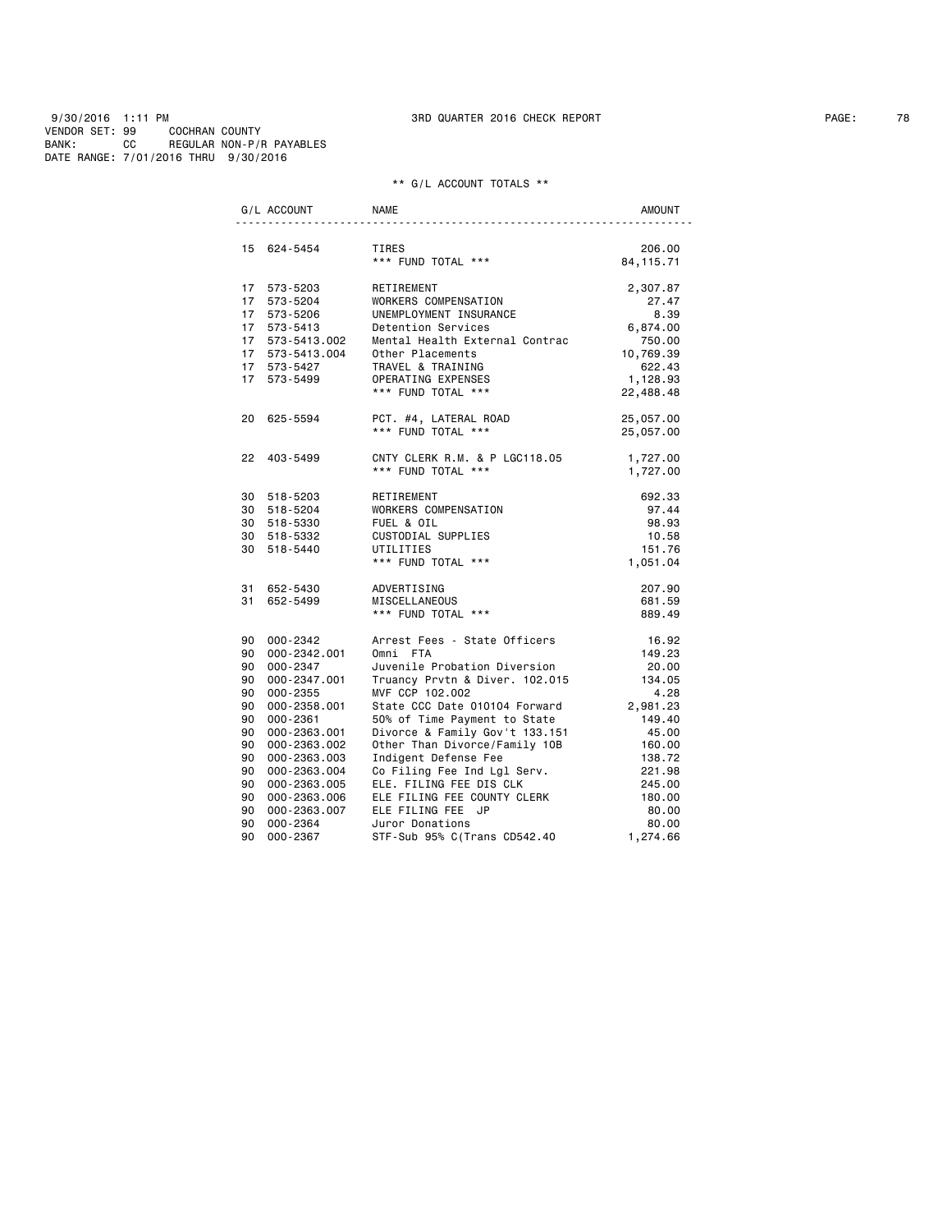9/30/2016 1:11 PM 3RD QUARTER 2016 CHECK REPORT PAGE: 78 VENDOR SET: 99 COCHRAN COUNTY BANK: CC REGULAR NON-P/R PAYABLES DATE RANGE: 7/01/2016 THRU 9/30/2016

|    | G/L ACCOUNT     | <b>NAME</b>                                                    | AMOUNT     |
|----|-----------------|----------------------------------------------------------------|------------|
|    | 15 624-5454     | TIRES                                                          | 206.00     |
|    |                 | *** FUND TOTAL ***                                             | 84, 115.71 |
|    | 17 573-5203     | RETIREMENT                                                     | 2,307.87   |
|    | 17 573-5204     | WORKERS COMPENSATION                                           | 27.47      |
|    | 17 573-5206     | UNEMPLOYMENT INSURANCE                                         | 8.39       |
|    | 17 573-5413     | Detention Services                                             | 6,874.00   |
|    | 17 573-5413.002 | Mental Health External Contrac                                 | 750.00     |
|    | 17 573-5413.004 | Other Placements                                               | 10,769.39  |
|    | 17 573-5427     | TRAVEL & TRAINING                                              | 622.43     |
|    | 17 573-5499     | OPERATING EXPENSES                                             | 1,128.93   |
|    |                 | *** FUND TOTAL ***                                             | 22,488.48  |
|    | 20 625-5594     | PCT. #4, LATERAL ROAD                                          | 25,057.00  |
|    |                 | *** FUND TOTAL ***                                             | 25,057.00  |
|    | 22 403-5499     | CNTY CLERK R.M. & P LGC118.05                                  | 1,727.00   |
|    |                 | *** FUND TOTAL ***                                             | 1,727.00   |
|    | 30 518-5203     | RETIREMENT                                                     | 692.33     |
|    | 30 518-5204     | WORKERS COMPENSATION                                           | 97.44      |
|    | 30 518-5330     | FUEL & OIL                                                     | 98.93      |
|    | 30 518-5332     | CUSTODIAL SUPPLIES                                             | 10.58      |
|    | 30 518-5440     | UTILITIES                                                      | 151.76     |
|    |                 | *** FUND TOTAL ***                                             | 1,051.04   |
|    | 31 652-5430     | ADVERTISING                                                    | 207.90     |
|    | 31 652-5499     | MISCELLANEOUS                                                  | 681.59     |
|    |                 | *** FUND TOTAL ***                                             | 889.49     |
|    | 90 000-2342     | Arrest Fees - State Officers                                   | 16.92      |
|    | 90 000-2342.001 | Omni FTA                                                       | 149.23     |
|    | 90 000-2347     | Juvenile Probation Diversion                                   | 20.00      |
|    | 90 000-2347.001 | Truancy Prvtn & Diver. 102.015                                 | 134.05     |
|    | 90 000-2355     | MVF CCP 102.002                                                | 4.28       |
|    | 90 000-2358.001 | State CCC Date 010104 Forward                                  | 2,981.23   |
|    | 90 000-2361     | 50% of Time Payment to State<br>Divorce & Family Gov't 133.151 | 149.40     |
|    | 90 000-2363.001 |                                                                | 45.00      |
|    | 90 000-2363.002 | Other Than Divorce/Family 10B                                  | 160.00     |
|    | 90 000-2363.003 | Indigent Defense Fee                                           | 138.72     |
| 90 | 000-2363.004    | Co Filing Fee Ind Lgl Serv.                                    | 221.98     |
|    | 90 000-2363.005 | ELE. FILING FEE DIS CLK                                        | 245.00     |
|    | 90 000-2363.006 | ELE FILING FEE COUNTY CLERK                                    | 180.00     |
|    | 90 000-2363.007 | ELE FILING FEE JP                                              | 80.00      |
|    | 90 000-2364     | Juror Donations                                                | 80.00      |
|    | 90 000-2367     | STF-Sub 95% C(Trans CD542.40                                   | 1,274.66   |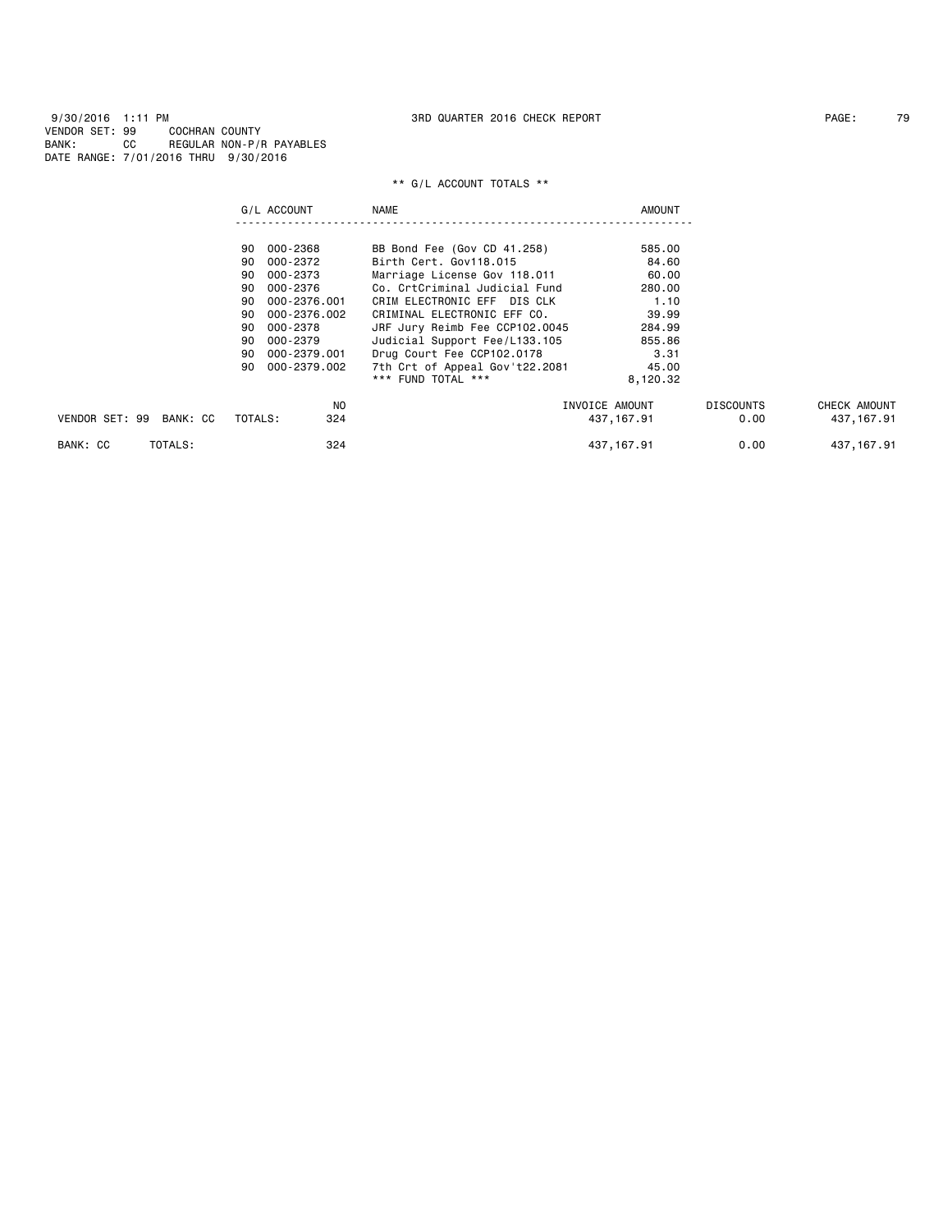|                         | G/L ACCOUNT        | <b>NAME</b>                    | <b>AMOUNT</b>  |                  |              |
|-------------------------|--------------------|--------------------------------|----------------|------------------|--------------|
|                         | 000-2368<br>90     | BB Bond Fee (Gov CD 41.258)    | 585.00         |                  |              |
|                         | 000-2372<br>90     | Birth Cert, Gov118.015         | 84.60          |                  |              |
|                         | 000-2373<br>90     | Marriage License Gov 118.011   | 60.00          |                  |              |
|                         | 000-2376<br>90     | Co. CrtCriminal Judicial Fund  | 280,00         |                  |              |
|                         | 000-2376.001<br>90 | CRIM ELECTRONIC EFF DIS CLK    | 1.10           |                  |              |
|                         | 000-2376.002<br>90 | CRIMINAL ELECTRONIC EFF CO.    | 39.99          |                  |              |
|                         | 000-2378<br>90     | JRF Jury Reimb Fee CCP102.0045 | 284.99         |                  |              |
|                         | 90<br>000-2379     | Judicial Support Fee/L133.105  | 855.86         |                  |              |
|                         | 000-2379.001<br>90 | Drug Court Fee CCP102.0178     | 3.31           |                  |              |
|                         | 000-2379.002<br>90 | 7th Crt of Appeal Gov't22.2081 | 45.00          |                  |              |
|                         |                    | *** FUND TOTAL ***             | 8,120.32       |                  |              |
|                         | NO.                |                                | INVOICE AMOUNT | <b>DISCOUNTS</b> | CHECK AMOUNT |
| VENDOR SET: 99 BANK: CC | TOTALS:<br>324     |                                | 437, 167.91    | 0.00             | 437, 167.91  |
| TOTALS:<br>BANK: CC     | 324                |                                | 437, 167.91    | 0.00             | 437, 167.91  |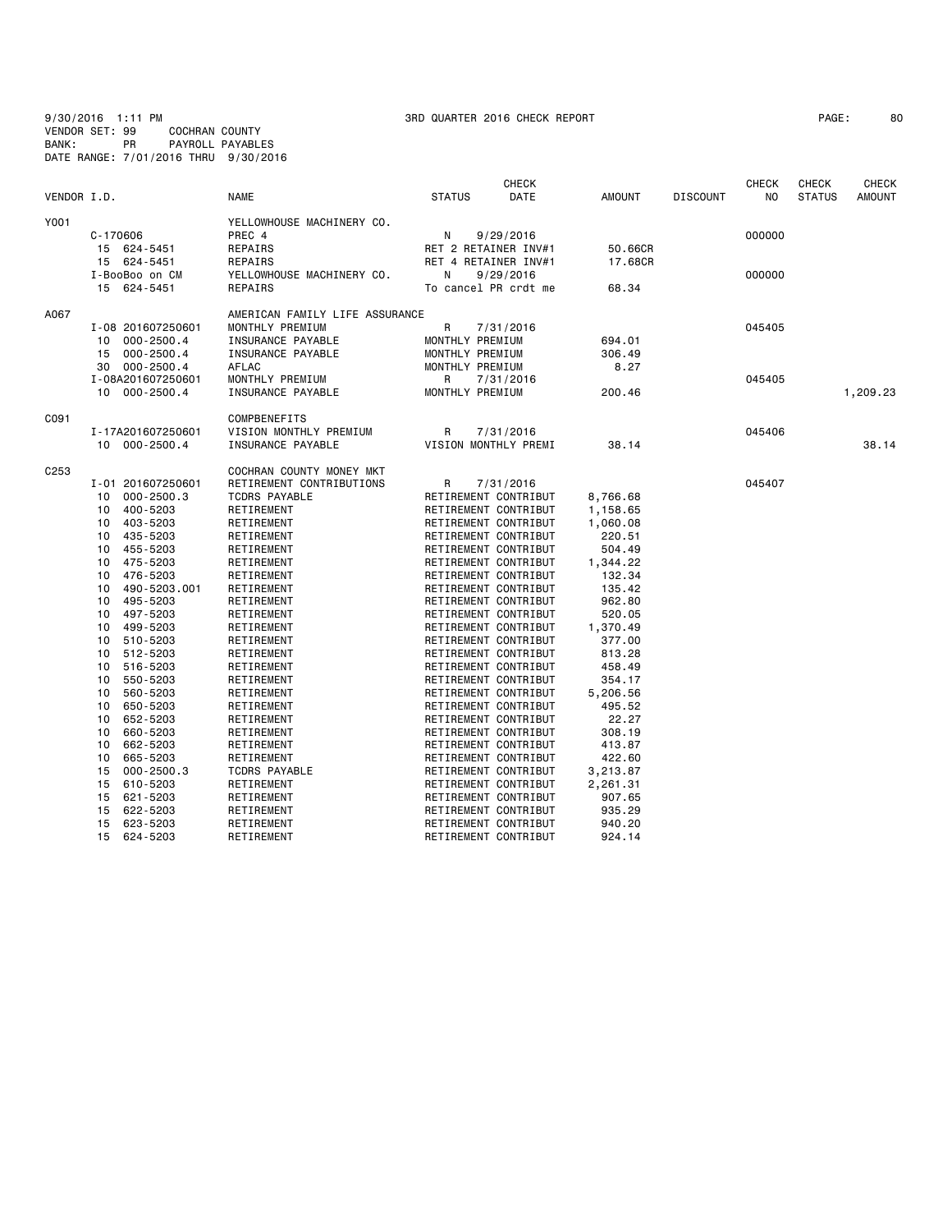9/30/2016 1:11 PM 3RD QUARTER 2016 CHECK REPORT PAGE: 80 VENDOR SET: 99 COCHRAN COUNTY BANK: PR PAYROLL PAYABLES DATE RANGE: 7/01/2016 THRU 9/30/2016

| VENDOR I.D.      |              |                                                       | <b>NAME</b>                                                                                 | <b>STATUS</b>                                     | <b>CHECK</b><br><b>DATE</b> | <b>AMOUNT</b>      | <b>DISCOUNT</b> | <b>CHECK</b><br>N <sub>0</sub> | <b>CHECK</b><br><b>STATUS</b> | <b>CHECK</b><br><b>AMOUNT</b> |
|------------------|--------------|-------------------------------------------------------|---------------------------------------------------------------------------------------------|---------------------------------------------------|-----------------------------|--------------------|-----------------|--------------------------------|-------------------------------|-------------------------------|
| Y001             | $C - 170606$ | 15 624-5451                                           | YELLOWHOUSE MACHINERY CO.<br>PREC 4<br>REPAIRS                                              | N<br>RET 2 RETAINER INV#1                         | 9/29/2016                   | 50.66CR            |                 | 000000                         |                               |                               |
|                  |              | 15 624-5451<br>I-BooBoo on CM<br>15 624-5451          | REPAIRS<br>YELLOWHOUSE MACHINERY CO.<br>REPAIRS                                             | RET 4 RETAINER INV#1<br>Ν<br>To cancel PR crdt me | 9/29/2016                   | 17,68CR<br>68.34   |                 | 000000                         |                               |                               |
| A067             | 10<br>15     | I-08 201607250601<br>$000 - 2500.4$<br>$000 - 2500.4$ | AMERICAN FAMILY LIFE ASSURANCE<br>MONTHLY PREMIUM<br>INSURANCE PAYABLE<br>INSURANCE PAYABLE | R<br>MONTHLY PREMIUM<br>MONTHLY PREMIUM           | 7/31/2016                   | 694.01<br>306.49   |                 | 045405                         |                               |                               |
|                  | 30           | $000 - 2500.4$                                        | AFLAC                                                                                       | MONTHLY PREMIUM                                   |                             | 8.27               |                 |                                |                               |                               |
|                  |              | I-08A201607250601<br>10 000-2500.4                    | MONTHLY PREMIUM<br>INSURANCE PAYABLE                                                        | R<br>MONTHLY PREMIUM                              | 7/31/2016                   | 200.46             |                 | 045405                         |                               | 1,209.23                      |
| C091             |              |                                                       | COMPBENEFITS                                                                                |                                                   |                             |                    |                 |                                |                               |                               |
|                  |              | I-17A201607250601<br>10 000-2500.4                    | VISION MONTHLY PREMIUM<br>INSURANCE PAYABLE                                                 | R<br>VISION MONTHLY PREMI                         | 7/31/2016                   | 38.14              |                 | 045406                         |                               | 38.14                         |
| C <sub>253</sub> |              |                                                       | COCHRAN COUNTY MONEY MKT                                                                    |                                                   |                             |                    |                 |                                |                               |                               |
|                  |              | I-01 201607250601                                     | RETIREMENT CONTRIBUTIONS                                                                    | R                                                 | 7/31/2016                   |                    |                 | 045407                         |                               |                               |
|                  | 10           | $000 - 2500.3$                                        | <b>TCDRS PAYABLE</b>                                                                        | RETIREMENT CONTRIBUT                              |                             | 8,766.68           |                 |                                |                               |                               |
|                  | 10           | 400-5203                                              | RETIREMENT                                                                                  | RETIREMENT CONTRIBUT                              |                             | 1,158.65           |                 |                                |                               |                               |
|                  | 10           | 403-5203                                              | RETIREMENT                                                                                  | RETIREMENT CONTRIBUT                              |                             | 1,060.08           |                 |                                |                               |                               |
|                  | 10           | 435-5203                                              | RETIREMENT                                                                                  | RETIREMENT CONTRIBUT                              |                             | 220.51             |                 |                                |                               |                               |
|                  | 10           | 455-5203                                              | RETIREMENT                                                                                  | RETIREMENT CONTRIBUT                              |                             | 504.49             |                 |                                |                               |                               |
|                  | 10           | 475-5203                                              | RETIREMENT                                                                                  | RETIREMENT CONTRIBUT                              |                             | 1,344.22           |                 |                                |                               |                               |
|                  | 10           | 476-5203                                              | RETIREMENT                                                                                  | RETIREMENT CONTRIBUT                              |                             | 132.34             |                 |                                |                               |                               |
|                  | 10           | 490-5203.001                                          | RETIREMENT                                                                                  | RETIREMENT CONTRIBUT                              |                             | 135.42             |                 |                                |                               |                               |
|                  | 10           | 495-5203<br>497-5203                                  | RETIREMENT                                                                                  | RETIREMENT CONTRIBUT<br>RETIREMENT CONTRIBUT      |                             | 962.80<br>520.05   |                 |                                |                               |                               |
|                  | 10<br>10     | 499-5203                                              | RETIREMENT<br>RETIREMENT                                                                    | RETIREMENT CONTRIBUT                              |                             |                    |                 |                                |                               |                               |
|                  | 10           | 510-5203                                              | RETIREMENT                                                                                  | RETIREMENT CONTRIBUT                              |                             | 1,370.49<br>377.00 |                 |                                |                               |                               |
|                  | 10           | 512-5203                                              | RETIREMENT                                                                                  | RETIREMENT CONTRIBUT                              |                             | 813.28             |                 |                                |                               |                               |
|                  | 10           | 516-5203                                              | RETIREMENT                                                                                  | RETIREMENT CONTRIBUT                              |                             | 458.49             |                 |                                |                               |                               |
|                  | 10           | 550-5203                                              | RETIREMENT                                                                                  | RETIREMENT CONTRIBUT                              |                             | 354.17             |                 |                                |                               |                               |
|                  | 10           | 560-5203                                              | RETIREMENT                                                                                  | RETIREMENT CONTRIBUT                              |                             | 5,206.56           |                 |                                |                               |                               |
|                  | 10           | 650-5203                                              | RETIREMENT                                                                                  | RETIREMENT CONTRIBUT                              |                             | 495.52             |                 |                                |                               |                               |
|                  | 10           | 652-5203                                              | RETIREMENT                                                                                  | RETIREMENT CONTRIBUT                              |                             | 22.27              |                 |                                |                               |                               |
|                  | 10           | 660-5203                                              | RETIREMENT                                                                                  | RETIREMENT CONTRIBUT                              |                             | 308.19             |                 |                                |                               |                               |
|                  | 10           | 662-5203                                              | RETIREMENT                                                                                  | RETIREMENT CONTRIBUT                              |                             | 413.87             |                 |                                |                               |                               |
|                  | 10           | 665-5203                                              | RETIREMENT                                                                                  | RETIREMENT CONTRIBUT                              |                             | 422.60             |                 |                                |                               |                               |
|                  | 15           | $000 - 2500.3$                                        | <b>TCDRS PAYABLE</b>                                                                        | RETIREMENT CONTRIBUT                              |                             | 3,213.87           |                 |                                |                               |                               |
|                  | 15           | 610-5203                                              | RETIREMENT                                                                                  | RETIREMENT CONTRIBUT                              |                             | 2,261.31           |                 |                                |                               |                               |
|                  | 15           | 621-5203                                              | RETIREMENT                                                                                  | RETIREMENT CONTRIBUT                              |                             | 907.65             |                 |                                |                               |                               |
|                  | 15           | 622-5203                                              | RETIREMENT                                                                                  | RETIREMENT CONTRIBUT                              |                             | 935.29             |                 |                                |                               |                               |
|                  | 15           | 623-5203                                              | RETIREMENT                                                                                  | RETIREMENT CONTRIBUT                              |                             | 940.20             |                 |                                |                               |                               |
|                  | 15           | 624-5203                                              | RETIREMENT                                                                                  | RETIREMENT CONTRIBUT                              |                             | 924.14             |                 |                                |                               |                               |
|                  |              |                                                       |                                                                                             |                                                   |                             |                    |                 |                                |                               |                               |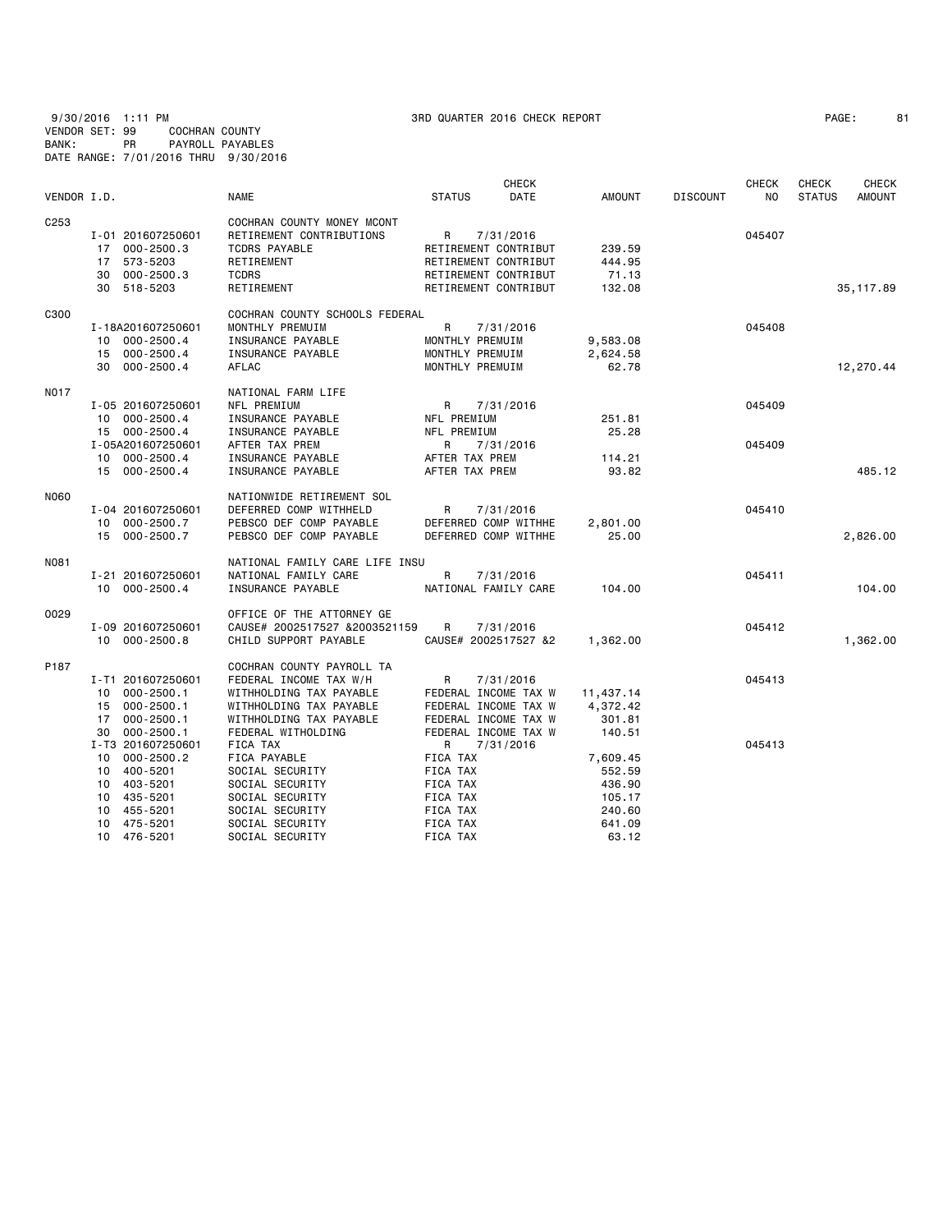9/30/2016 1:11 PM 3RD QUARTER 2016 CHECK REPORT PAGE: 81 VENDOR SET: 99 COCHRAN COUNTY BANK: PR PAYROLL PAYABLES DATE RANGE: 7/01/2016 THRU 9/30/2016

| VENDOR I.D. |                      | NAME                                                   | <b>CHECK</b><br><b>STATUS</b><br>DATE | <b>AMOUNT</b> | <b>DISCOUNT</b> | <b>CHECK</b><br>NO. | <b>CHECK</b><br><b>STATUS</b> | <b>CHECK</b><br>AMOUNT |
|-------------|----------------------|--------------------------------------------------------|---------------------------------------|---------------|-----------------|---------------------|-------------------------------|------------------------|
|             |                      |                                                        |                                       |               |                 |                     |                               |                        |
| C253        | I-01 201607250601    | COCHRAN COUNTY MONEY MCONT<br>RETIREMENT CONTRIBUTIONS | R<br>7/31/2016                        |               |                 | 045407              |                               |                        |
|             | 17 000-2500.3        | TCDRS PAYABLE                                          | RETIREMENT CONTRIBUT                  | 239.59        |                 |                     |                               |                        |
|             | 573-5203<br>17       | RETIREMENT                                             | RETIREMENT CONTRIBUT                  | 444.95        |                 |                     |                               |                        |
|             | 30 000-2500.3        | <b>TCDRS</b>                                           | RETIREMENT CONTRIBUT                  | 71.13         |                 |                     |                               |                        |
|             | 30 518-5203          | RETIREMENT                                             | RETIREMENT CONTRIBUT                  | 132.08        |                 |                     |                               | 35, 117.89             |
|             |                      |                                                        |                                       |               |                 |                     |                               |                        |
| C300        |                      | COCHRAN COUNTY SCHOOLS FEDERAL                         |                                       |               |                 |                     |                               |                        |
|             | I-18A201607250601    | MONTHLY PREMUIM                                        | R<br>7/31/2016                        |               |                 | 045408              |                               |                        |
|             | 10 000-2500.4        | INSURANCE PAYABLE                                      | MONTHLY PREMUIM                       | 9,583.08      |                 |                     |                               |                        |
|             | 15 000-2500.4        | INSURANCE PAYABLE                                      | MONTHLY PREMUIM                       | 2,624.58      |                 |                     |                               |                        |
|             | 30 000-2500.4        | AFLAC                                                  | MONTHLY PREMUIM                       | 62.78         |                 |                     |                               | 12,270.44              |
| N017        |                      | NATIONAL FARM LIFE                                     |                                       |               |                 |                     |                               |                        |
|             | I-05 201607250601    | NFL PREMIUM                                            | R<br>7/31/2016                        |               |                 | 045409              |                               |                        |
|             | 10 000-2500.4        | INSURANCE PAYABLE                                      | NFL PREMIUM                           | 251.81        |                 |                     |                               |                        |
|             | 15 000-2500.4        | INSURANCE PAYABLE                                      | NFL PREMIUM                           | 25.28         |                 |                     |                               |                        |
|             | I-05A201607250601    | AFTER TAX PREM                                         | R<br>7/31/2016                        |               |                 | 045409              |                               |                        |
|             | 10 000-2500.4        | INSURANCE PAYABLE                                      | AFTER TAX PREM                        | 114.21        |                 |                     |                               |                        |
|             | 15 000-2500.4        | INSURANCE PAYABLE                                      | AFTER TAX PREM                        | 93.82         |                 |                     |                               | 485.12                 |
| N060        |                      | NATIONWIDE RETIREMENT SOL                              |                                       |               |                 |                     |                               |                        |
|             | I-04 201607250601    | DEFERRED COMP WITHHELD                                 | R<br>7/31/2016                        |               |                 | 045410              |                               |                        |
|             | 10 000-2500.7        | PEBSCO DEF COMP PAYABLE                                | DEFERRED COMP WITHHE                  | 2,801.00      |                 |                     |                               |                        |
|             | 15 000-2500.7        | PEBSCO DEF COMP PAYABLE                                | DEFERRED COMP WITHHE                  | 25.00         |                 |                     |                               | 2,826.00               |
|             |                      |                                                        |                                       |               |                 |                     |                               |                        |
| N081        |                      | NATIONAL FAMILY CARE LIFE INSU                         |                                       |               |                 |                     |                               |                        |
|             | I-21 201607250601    | NATIONAL FAMILY CARE                                   | R<br>7/31/2016                        |               |                 | 045411              |                               |                        |
|             | 10 000-2500.4        | INSURANCE PAYABLE                                      | NATIONAL FAMILY CARE                  | 104.00        |                 |                     |                               | 104,00                 |
| 0029        |                      | OFFICE OF THE ATTORNEY GE                              |                                       |               |                 |                     |                               |                        |
|             | I-09 201607250601    | CAUSE# 2002517527 &2003521159                          | $\mathsf{R}$<br>7/31/2016             |               |                 | 045412              |                               |                        |
|             | 10 000-2500.8        | CHILD SUPPORT PAYABLE                                  | CAUSE# 2002517527 &2                  | 1,362.00      |                 |                     |                               | 1,362.00               |
| P187        |                      | COCHRAN COUNTY PAYROLL TA                              |                                       |               |                 |                     |                               |                        |
|             | I-T1 201607250601    | FEDERAL INCOME TAX W/H                                 | R<br>7/31/2016                        |               |                 | 045413              |                               |                        |
|             | 10 000-2500.1        | WITHHOLDING TAX PAYABLE                                | FEDERAL INCOME TAX W                  | 11,437.14     |                 |                     |                               |                        |
|             | 15 000-2500.1        | WITHHOLDING TAX PAYABLE                                | FEDERAL INCOME TAX W                  | 4,372.42      |                 |                     |                               |                        |
|             | 17 000-2500.1        | WITHHOLDING TAX PAYABLE                                | FEDERAL INCOME TAX W                  | 301.81        |                 |                     |                               |                        |
|             | $000 - 2500.1$<br>30 | FEDERAL WITHOLDING                                     | FEDERAL INCOME TAX W                  | 140.51        |                 |                     |                               |                        |
|             | I-T3 201607250601    | FICA TAX                                               | 7/31/2016<br>R                        |               |                 | 045413              |                               |                        |
|             | 10 000-2500.2        | FICA PAYABLE                                           | FICA TAX                              | 7,609.45      |                 |                     |                               |                        |
|             | 10 400-5201          | SOCIAL SECURITY                                        | FICA TAX                              | 552.59        |                 |                     |                               |                        |
|             | 10 403-5201          | SOCIAL SECURITY                                        | FICA TAX                              | 436.90        |                 |                     |                               |                        |
|             | 10 435-5201          | SOCIAL SECURITY                                        | FICA TAX                              | 105.17        |                 |                     |                               |                        |
|             | 10 455-5201          | SOCIAL SECURITY                                        | FICA TAX                              | 240.60        |                 |                     |                               |                        |
|             | 10 475-5201          | SOCIAL SECURITY                                        | FICA TAX                              | 641.09        |                 |                     |                               |                        |
|             |                      |                                                        |                                       |               |                 |                     |                               |                        |

10 476-5201 SOCIAL SECURITY FICA TAX 63.12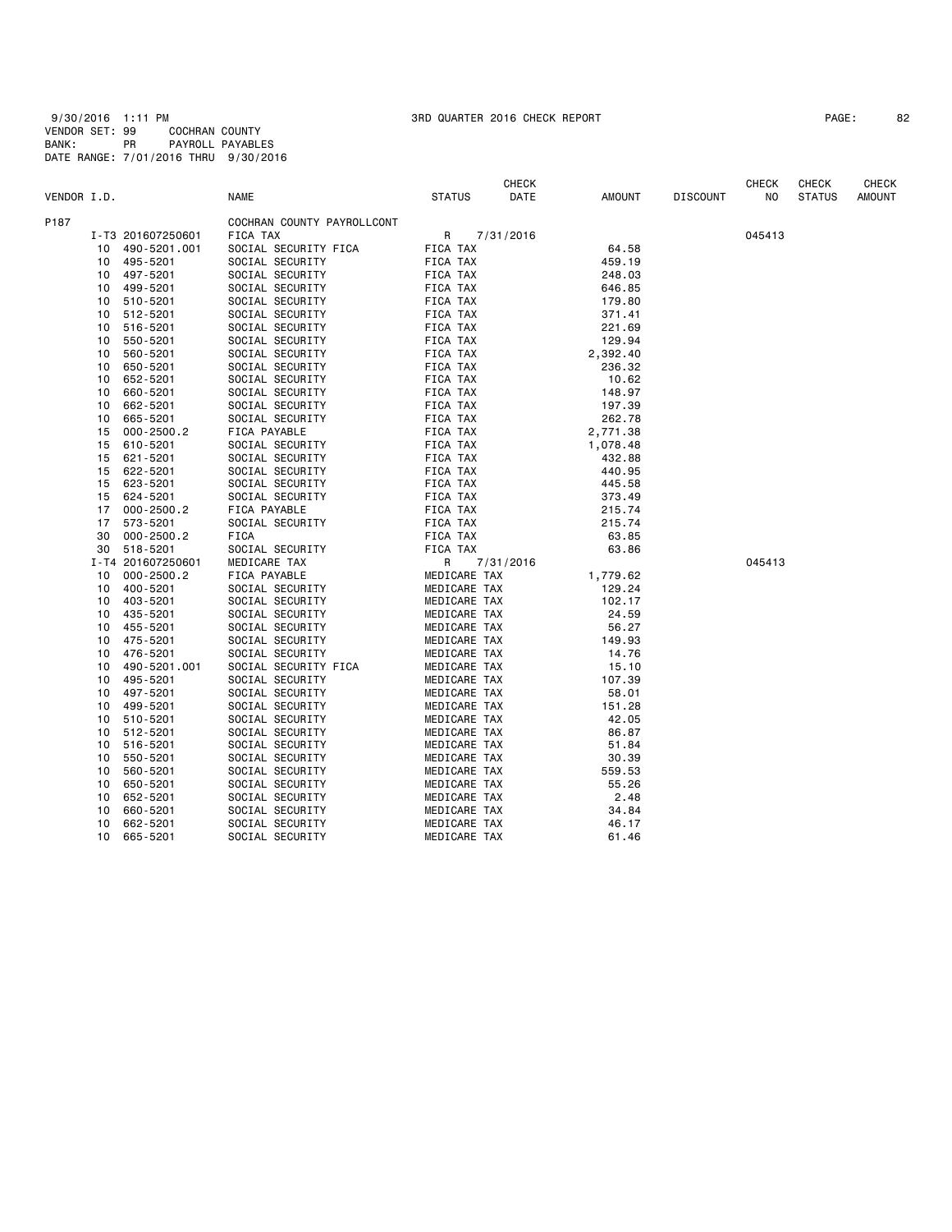9/30/2016 1:11 PM 3RD QUARTER 2016 CHECK REPORT PAGE: 82 VENDOR SET: 99 COCHRAN COUNTY BANK: PR PAYROLL PAYABLES DATE RANGE: 7/01/2016 THRU 9/30/2016

| PAGE : | 82 |  |
|--------|----|--|
|--------|----|--|

|             |    |                   |                            |               | <b>CHECK</b> |               |                 | <b>CHECK</b> | <b>CHECK</b>  | <b>CHECK</b>  |
|-------------|----|-------------------|----------------------------|---------------|--------------|---------------|-----------------|--------------|---------------|---------------|
| VENDOR I.D. |    |                   | <b>NAME</b>                | <b>STATUS</b> | DATE         | <b>AMOUNT</b> | <b>DISCOUNT</b> | NO           | <b>STATUS</b> | <b>AMOUNT</b> |
| P187        |    |                   | COCHRAN COUNTY PAYROLLCONT |               |              |               |                 |              |               |               |
|             |    | I-T3 201607250601 | FICA TAX                   | R             | 7/31/2016    |               |                 | 045413       |               |               |
|             | 10 | 490-5201.001      | SOCIAL SECURITY FICA       | FICA TAX      |              | 64.58         |                 |              |               |               |
|             | 10 | 495-5201          | SOCIAL SECURITY            | FICA TAX      |              | 459.19        |                 |              |               |               |
|             | 10 | 497-5201          | SOCIAL SECURITY            | FICA TAX      |              | 248.03        |                 |              |               |               |
|             | 10 | 499-5201          | SOCIAL SECURITY            | FICA TAX      |              | 646.85        |                 |              |               |               |
|             | 10 | 510-5201          | SOCIAL SECURITY            | FICA TAX      |              | 179.80        |                 |              |               |               |
|             | 10 | 512-5201          | SOCIAL SECURITY            | FICA TAX      |              | 371.41        |                 |              |               |               |
|             | 10 | 516-5201          | SOCIAL SECURITY            | FICA TAX      |              | 221.69        |                 |              |               |               |
|             | 10 | 550-5201          | SOCIAL SECURITY            | FICA TAX      |              | 129.94        |                 |              |               |               |
|             | 10 | 560-5201          | SOCIAL SECURITY            | FICA TAX      |              | 2,392.40      |                 |              |               |               |
|             | 10 | 650-5201          | SOCIAL SECURITY            | FICA TAX      |              | 236.32        |                 |              |               |               |
|             | 10 | 652-5201          | SOCIAL SECURITY            | FICA TAX      |              | 10.62         |                 |              |               |               |
|             | 10 | 660-5201          | SOCIAL SECURITY            | FICA TAX      |              | 148.97        |                 |              |               |               |
|             | 10 | 662-5201          | SOCIAL SECURITY            | FICA TAX      |              | 197.39        |                 |              |               |               |
|             | 10 | 665-5201          | SOCIAL SECURITY            | FICA TAX      |              | 262.78        |                 |              |               |               |
|             | 15 | $000 - 2500.2$    | FICA PAYABLE               | FICA TAX      |              | 2,771.38      |                 |              |               |               |
|             | 15 | 610-5201          | SOCIAL SECURITY            | FICA TAX      |              | 1,078.48      |                 |              |               |               |
|             | 15 | 621-5201          | SOCIAL SECURITY            | FICA TAX      |              | 432.88        |                 |              |               |               |
|             | 15 | 622-5201          | SOCIAL SECURITY            | FICA TAX      |              | 440.95        |                 |              |               |               |
|             | 15 | 623-5201          | SOCIAL SECURITY            | FICA TAX      |              | 445.58        |                 |              |               |               |
|             | 15 | 624-5201          | SOCIAL SECURITY            | FICA TAX      |              | 373.49        |                 |              |               |               |
|             | 17 | $000 - 2500.2$    | FICA PAYABLE               | FICA TAX      |              | 215.74        |                 |              |               |               |
|             | 17 | 573-5201          | SOCIAL SECURITY            | FICA TAX      |              | 215.74        |                 |              |               |               |
|             | 30 | $000 - 2500.2$    | FICA                       | FICA TAX      |              | 63.85         |                 |              |               |               |
|             | 30 | 518-5201          | SOCIAL SECURITY            | FICA TAX      |              | 63.86         |                 |              |               |               |
|             |    | I-T4 201607250601 | MEDICARE TAX               | R             | 7/31/2016    |               |                 | 045413       |               |               |
|             | 10 | $000 - 2500.2$    | FICA PAYABLE               | MEDICARE TAX  |              | 1,779.62      |                 |              |               |               |
|             | 10 | 400-5201          | SOCIAL SECURITY            | MEDICARE TAX  |              | 129.24        |                 |              |               |               |
|             | 10 | 403-5201          | SOCIAL SECURITY            | MEDICARE TAX  |              | 102.17        |                 |              |               |               |
|             | 10 | 435-5201          | SOCIAL SECURITY            | MEDICARE TAX  |              | 24.59         |                 |              |               |               |
|             | 10 | 455-5201          | SOCIAL SECURITY            | MEDICARE TAX  |              | 56.27         |                 |              |               |               |
|             | 10 | 475-5201          | SOCIAL SECURITY            | MEDICARE TAX  |              | 149.93        |                 |              |               |               |
|             | 10 | 476-5201          | SOCIAL SECURITY            | MEDICARE TAX  |              | 14.76         |                 |              |               |               |
|             | 10 | 490-5201.001      | SOCIAL SECURITY FICA       | MEDICARE TAX  |              | 15.10         |                 |              |               |               |
|             | 10 | 495-5201          | SOCIAL SECURITY            | MEDICARE TAX  |              | 107.39        |                 |              |               |               |
|             | 10 | 497-5201          | SOCIAL SECURITY            | MEDICARE TAX  |              | 58.01         |                 |              |               |               |
|             | 10 | 499-5201          | SOCIAL SECURITY            | MEDICARE TAX  |              | 151.28        |                 |              |               |               |
|             | 10 | 510-5201          | SOCIAL SECURITY            | MEDICARE TAX  |              | 42.05         |                 |              |               |               |
|             | 10 | 512-5201          | SOCIAL SECURITY            | MEDICARE TAX  |              | 86.87         |                 |              |               |               |
|             | 10 | 516-5201          | SOCIAL SECURITY            | MEDICARE TAX  |              | 51.84         |                 |              |               |               |
|             | 10 | 550-5201          | SOCIAL SECURITY            | MEDICARE TAX  |              | 30.39         |                 |              |               |               |
|             | 10 | 560-5201          | SOCIAL SECURITY            | MEDICARE TAX  |              | 559.53        |                 |              |               |               |
|             | 10 | 650-5201          | SOCIAL SECURITY            | MEDICARE TAX  |              | 55.26         |                 |              |               |               |
|             | 10 | 652-5201          | SOCIAL SECURITY            | MEDICARE TAX  |              | 2.48          |                 |              |               |               |
|             | 10 | 660-5201          | SOCIAL SECURITY            | MEDICARE TAX  |              | 34.84         |                 |              |               |               |
|             | 10 | 662-5201          | SOCIAL SECURITY            | MEDICARE TAX  |              | 46.17         |                 |              |               |               |
|             | 10 | 665-5201          | SOCIAL SECURITY            | MEDICARE TAX  |              | 61.46         |                 |              |               |               |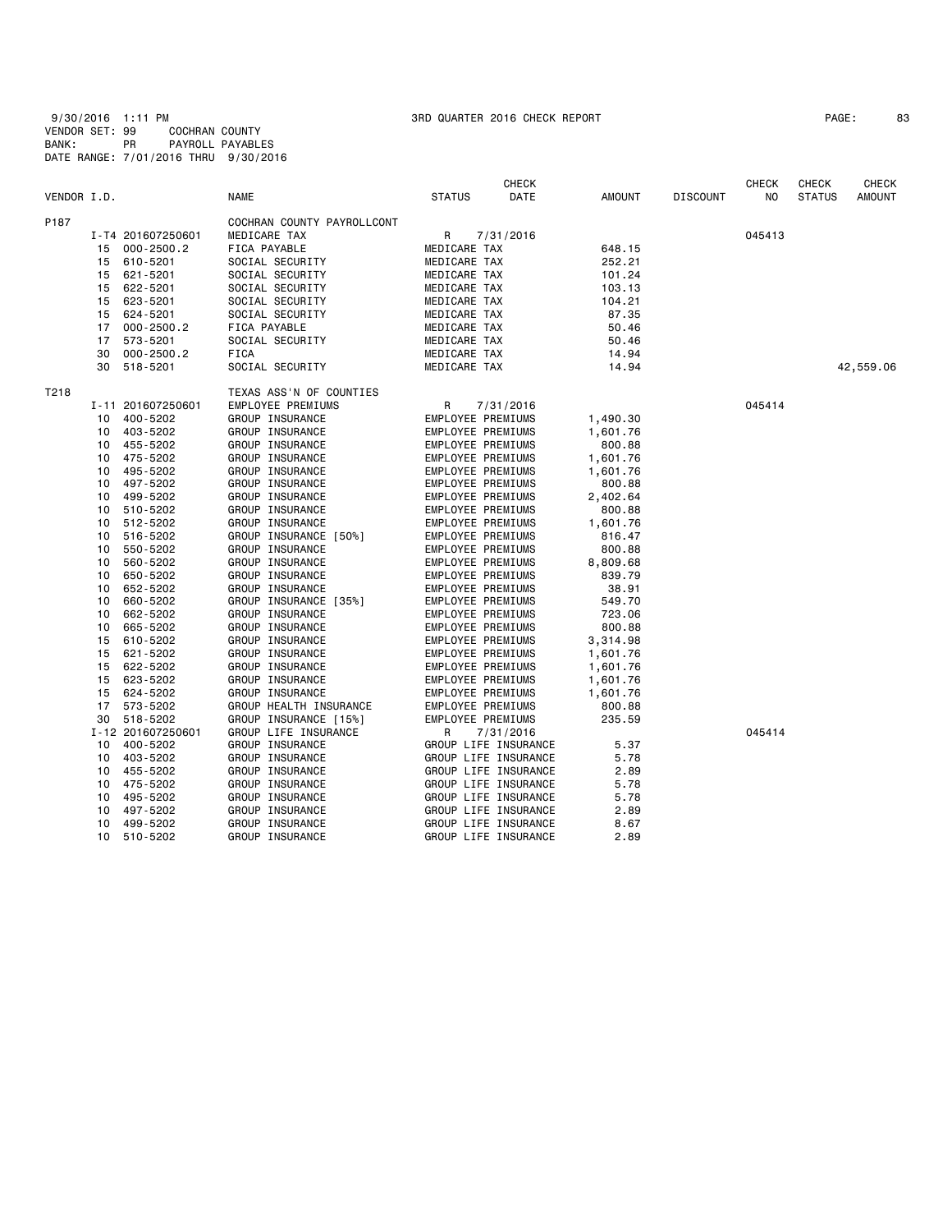| PAGE : |  | 8 |
|--------|--|---|
|--------|--|---|

|             |                      |                            |                          | <b>CHECK</b> |               |                 | <b>CHECK</b>   | <b>CHECK</b>  | <b>CHECK</b>  |
|-------------|----------------------|----------------------------|--------------------------|--------------|---------------|-----------------|----------------|---------------|---------------|
| VENDOR I.D. |                      | <b>NAME</b>                | <b>STATUS</b>            | DATE         | <b>AMOUNT</b> | <b>DISCOUNT</b> | N <sub>0</sub> | <b>STATUS</b> | <b>AMOUNT</b> |
| P187        |                      | COCHRAN COUNTY PAYROLLCONT |                          |              |               |                 |                |               |               |
|             | I-T4 201607250601    | MEDICARE TAX               | R                        | 7/31/2016    |               |                 | 045413         |               |               |
|             | $000 - 2500.2$<br>15 | FICA PAYABLE               | MEDICARE TAX             |              | 648.15        |                 |                |               |               |
|             | 610-5201<br>15       | SOCIAL SECURITY            | MEDICARE TAX             |              | 252.21        |                 |                |               |               |
|             | 621-5201<br>15       | SOCIAL SECURITY            | MEDICARE TAX             |              | 101.24        |                 |                |               |               |
|             | 622-5201<br>15       | SOCIAL SECURITY            | MEDICARE TAX             |              | 103.13        |                 |                |               |               |
|             | 15<br>623-5201       | SOCIAL SECURITY            | MEDICARE TAX             |              | 104.21        |                 |                |               |               |
|             | 15<br>624-5201       | SOCIAL SECURITY            | MEDICARE TAX             |              | 87.35         |                 |                |               |               |
|             | $000 - 2500.2$<br>17 | FICA PAYABLE               | MEDICARE TAX             |              | 50.46         |                 |                |               |               |
|             | 573-5201<br>17       | SOCIAL SECURITY            | MEDICARE TAX             |              | 50.46         |                 |                |               |               |
|             | $000 - 2500.2$<br>30 | <b>FICA</b>                | MEDICARE TAX             |              | 14.94         |                 |                |               |               |
|             | 518-5201<br>30       | SOCIAL SECURITY            | MEDICARE TAX             |              | 14.94         |                 |                |               | 42,559.06     |
| T218        |                      | TEXAS ASS'N OF COUNTIES    |                          |              |               |                 |                |               |               |
|             | I-11 201607250601    | <b>EMPLOYEE PREMIUMS</b>   | R                        | 7/31/2016    |               |                 | 045414         |               |               |
|             | 400-5202<br>10       | GROUP INSURANCE            | EMPLOYEE PREMIUMS        |              | 1,490.30      |                 |                |               |               |
|             | 403-5202<br>10       | GROUP INSURANCE            | <b>EMPLOYEE PREMIUMS</b> |              | 1,601.76      |                 |                |               |               |
|             | 455-5202<br>10       | GROUP INSURANCE            | EMPLOYEE PREMIUMS        |              | 800.88        |                 |                |               |               |
|             | 475-5202<br>10       | GROUP INSURANCE            | EMPLOYEE PREMIUMS        |              | 1,601.76      |                 |                |               |               |
|             | 495-5202<br>10       | GROUP INSURANCE            | EMPLOYEE PREMIUMS        |              | 1,601.76      |                 |                |               |               |
|             | 497-5202<br>10       | GROUP INSURANCE            | EMPLOYEE PREMIUMS        |              | 800.88        |                 |                |               |               |
|             | 499-5202<br>10       | GROUP INSURANCE            | EMPLOYEE PREMIUMS        |              | 2,402.64      |                 |                |               |               |
|             | 510-5202<br>10       | GROUP INSURANCE            | <b>EMPLOYEE PREMIUMS</b> |              | 800.88        |                 |                |               |               |
|             | 512-5202<br>10       | GROUP INSURANCE            | EMPLOYEE PREMIUMS        |              | 1,601.76      |                 |                |               |               |
|             | 516-5202<br>10       | GROUP INSURANCE [50%]      | EMPLOYEE PREMIUMS        |              | 816.47        |                 |                |               |               |
|             | 550-5202<br>10       | GROUP INSURANCE            | EMPLOYEE PREMIUMS        |              | 800.88        |                 |                |               |               |
|             | 560-5202<br>10       | GROUP INSURANCE            | EMPLOYEE PREMIUMS        |              | 8,809.68      |                 |                |               |               |
|             | 650-5202<br>10       | GROUP INSURANCE            | EMPLOYEE PREMIUMS        |              | 839.79        |                 |                |               |               |
|             | 652-5202<br>10       | GROUP INSURANCE            | EMPLOYEE PREMIUMS        |              | 38.91         |                 |                |               |               |
|             | 660-5202<br>10       | GROUP INSURANCE [35%]      | EMPLOYEE PREMIUMS        |              | 549.70        |                 |                |               |               |
|             | 662-5202<br>10       | GROUP INSURANCE            | EMPLOYEE PREMIUMS        |              | 723.06        |                 |                |               |               |
|             | 665-5202<br>10       | GROUP INSURANCE            | EMPLOYEE PREMIUMS        |              | 800.88        |                 |                |               |               |
|             | 610-5202<br>15       | GROUP INSURANCE            | EMPLOYEE PREMIUMS        |              | 3,314.98      |                 |                |               |               |
|             | 621-5202<br>15       | GROUP INSURANCE            | EMPLOYEE PREMIUMS        |              | 1,601.76      |                 |                |               |               |
|             | 622-5202<br>15       | GROUP INSURANCE            | EMPLOYEE PREMIUMS        |              | 1,601.76      |                 |                |               |               |
|             | 623-5202<br>15       | GROUP INSURANCE            | EMPLOYEE PREMIUMS        |              | 1,601.76      |                 |                |               |               |
|             | 624-5202<br>15       | GROUP INSURANCE            | EMPLOYEE PREMIUMS        |              | 1,601.76      |                 |                |               |               |
|             | 573-5202<br>17       | GROUP HEALTH INSURANCE     | EMPLOYEE PREMIUMS        |              | 800.88        |                 |                |               |               |
|             | 518-5202<br>30       | GROUP INSURANCE [15%]      | EMPLOYEE PREMIUMS        |              | 235.59        |                 |                |               |               |
|             | I-12 201607250601    | GROUP LIFE INSURANCE       | R                        | 7/31/2016    |               |                 | 045414         |               |               |
|             | 400-5202<br>10       | GROUP INSURANCE            | GROUP LIFE INSURANCE     |              | 5.37          |                 |                |               |               |
|             | 403-5202<br>10       | GROUP INSURANCE            | GROUP LIFE INSURANCE     |              | 5.78          |                 |                |               |               |
|             | 455-5202<br>10       | GROUP INSURANCE            | GROUP LIFE INSURANCE     |              | 2.89          |                 |                |               |               |
|             | 475-5202<br>10       | GROUP INSURANCE            | GROUP LIFE INSURANCE     |              | 5.78          |                 |                |               |               |
|             | 495-5202<br>10       | GROUP INSURANCE            | GROUP LIFE INSURANCE     |              | 5.78          |                 |                |               |               |
|             | 497-5202<br>10       | GROUP INSURANCE            | GROUP LIFE INSURANCE     |              | 2.89          |                 |                |               |               |
|             | 499-5202<br>10       | GROUP INSURANCE            | GROUP LIFE INSURANCE     |              | 8.67          |                 |                |               |               |
|             | 510-5202<br>10       | GROUP INSURANCE            | GROUP LIFE INSURANCE     |              | 2.89          |                 |                |               |               |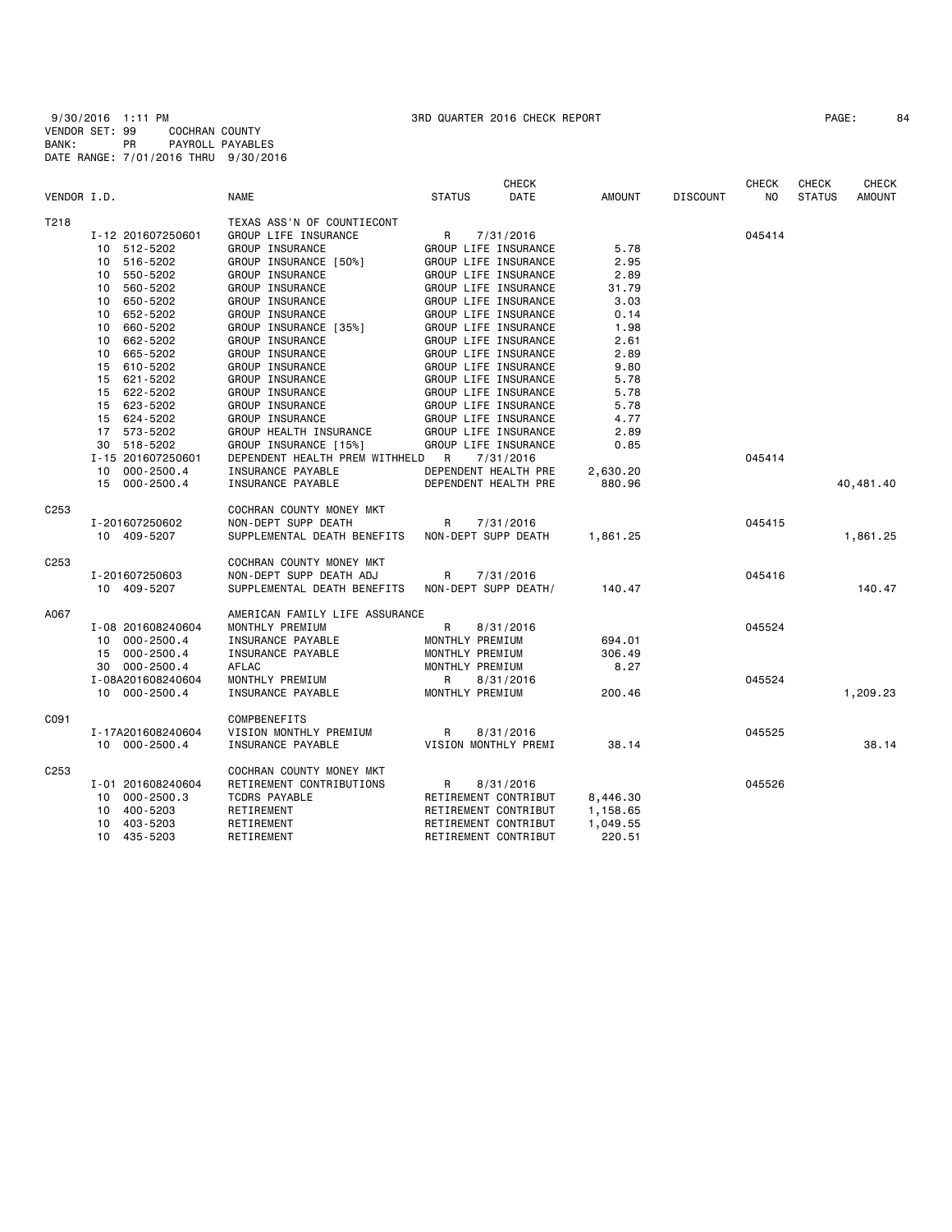|                  |                   |                                | <b>CHECK</b>          |               |                 | <b>CHECK</b>   | <b>CHECK</b>  | <b>CHECK</b>  |
|------------------|-------------------|--------------------------------|-----------------------|---------------|-----------------|----------------|---------------|---------------|
| VENDOR I.D.      |                   | <b>NAME</b>                    | <b>STATUS</b><br>DATE | <b>AMOUNT</b> | <b>DISCOUNT</b> | N <sub>O</sub> | <b>STATUS</b> | <b>AMOUNT</b> |
| T218             |                   | TEXAS ASS'N OF COUNTIECONT     |                       |               |                 |                |               |               |
|                  | I-12 201607250601 | GROUP LIFE INSURANCE           | R<br>7/31/2016        |               |                 | 045414         |               |               |
|                  | 10 512-5202       | GROUP INSURANCE                | GROUP LIFE INSURANCE  | 5.78          |                 |                |               |               |
|                  | 516-5202<br>10    | GROUP INSURANCE [50%]          | GROUP LIFE INSURANCE  | 2.95          |                 |                |               |               |
|                  | 10 550-5202       | GROUP INSURANCE                | GROUP LIFE INSURANCE  | 2.89          |                 |                |               |               |
|                  | 560-5202<br>10    | GROUP INSURANCE                | GROUP LIFE INSURANCE  | 31.79         |                 |                |               |               |
|                  | 650-5202<br>10    | GROUP INSURANCE                | GROUP LIFE INSURANCE  | 3.03          |                 |                |               |               |
|                  | 652-5202<br>10    | GROUP INSURANCE                | GROUP LIFE INSURANCE  | 0.14          |                 |                |               |               |
|                  |                   |                                |                       |               |                 |                |               |               |
|                  | 660-5202<br>10    | GROUP INSURANCE [35%]          | GROUP LIFE INSURANCE  | 1.98          |                 |                |               |               |
|                  | 662-5202<br>10    | GROUP INSURANCE                | GROUP LIFE INSURANCE  | 2.61          |                 |                |               |               |
|                  | 665-5202<br>10    | GROUP INSURANCE                | GROUP LIFE INSURANCE  | 2.89          |                 |                |               |               |
|                  | 610-5202<br>15    | GROUP INSURANCE                | GROUP LIFE INSURANCE  | 9.80          |                 |                |               |               |
|                  | 621-5202<br>15    | GROUP INSURANCE                | GROUP LIFE INSURANCE  | 5.78          |                 |                |               |               |
|                  | 622-5202<br>15    | GROUP INSURANCE                | GROUP LIFE INSURANCE  | 5.78          |                 |                |               |               |
|                  | 623-5202<br>15    | GROUP INSURANCE                | GROUP LIFE INSURANCE  | 5.78          |                 |                |               |               |
|                  | 624-5202<br>15    | GROUP INSURANCE                | GROUP LIFE INSURANCE  | 4.77          |                 |                |               |               |
|                  | 573-5202<br>17    | GROUP HEALTH INSURANCE         | GROUP LIFE INSURANCE  | 2.89          |                 |                |               |               |
|                  | 518-5202<br>30    | GROUP INSURANCE [15%]          | GROUP LIFE INSURANCE  | 0.85          |                 |                |               |               |
|                  | I-15 201607250601 | DEPENDENT HEALTH PREM WITHHELD | R<br>7/31/2016        |               |                 | 045414         |               |               |
|                  | 10 000-2500.4     | INSURANCE PAYABLE              | DEPENDENT HEALTH PRE  | 2,630.20      |                 |                |               |               |
|                  | 15 000-2500.4     | INSURANCE PAYABLE              | DEPENDENT HEALTH PRE  | 880.96        |                 |                |               | 40,481.40     |
| C <sub>253</sub> |                   | COCHRAN COUNTY MONEY MKT       |                       |               |                 |                |               |               |
|                  | I-201607250602    | NON-DEPT SUPP DEATH            | R<br>7/31/2016        |               |                 | 045415         |               |               |
|                  | 10 409-5207       | SUPPLEMENTAL DEATH BENEFITS    | NON-DEPT SUPP DEATH   | 1,861.25      |                 |                |               | 1,861.25      |
| C <sub>253</sub> |                   | COCHRAN COUNTY MONEY MKT       |                       |               |                 |                |               |               |
|                  | I-201607250603    | NON-DEPT SUPP DEATH ADJ        | R<br>7/31/2016        |               |                 | 045416         |               |               |
|                  | 10 409-5207       | SUPPLEMENTAL DEATH BENEFITS    | NON-DEPT SUPP DEATH/  | 140.47        |                 |                |               | 140.47        |
|                  |                   |                                |                       |               |                 |                |               |               |
| A067             |                   | AMERICAN FAMILY LIFE ASSURANCE |                       |               |                 |                |               |               |
|                  | I-08 201608240604 | MONTHLY PREMIUM                | R<br>8/31/2016        |               |                 | 045524         |               |               |
|                  | 10 000-2500.4     | INSURANCE PAYABLE              | MONTHLY PREMIUM       | 694.01        |                 |                |               |               |
|                  | 15 000-2500.4     | INSURANCE PAYABLE              | MONTHLY PREMIUM       | 306.49        |                 |                |               |               |
|                  | 30 000-2500.4     | <b>AFLAC</b>                   | MONTHLY PREMIUM       | 8.27          |                 |                |               |               |
|                  | I-08A201608240604 | MONTHLY PREMIUM                | R<br>8/31/2016        |               |                 | 045524         |               |               |
|                  | 10 000-2500.4     | INSURANCE PAYABLE              | MONTHLY PREMIUM       | 200.46        |                 |                |               | 1,209.23      |
| C091             |                   | COMPBENEFITS                   |                       |               |                 |                |               |               |
|                  | I-17A201608240604 | VISION MONTHLY PREMIUM         | R<br>8/31/2016        |               |                 | 045525         |               |               |
|                  | 10 000-2500.4     | INSURANCE PAYABLE              | VISION MONTHLY PREMI  | 38.14         |                 |                |               | 38.14         |
| C253             |                   | COCHRAN COUNTY MONEY MKT       |                       |               |                 |                |               |               |
|                  | I-01 201608240604 | RETIREMENT CONTRIBUTIONS       | R<br>8/31/2016        |               |                 | 045526         |               |               |
|                  | 000-2500.3<br>10  | <b>TCDRS PAYABLE</b>           | RETIREMENT CONTRIBUT  | 8,446.30      |                 |                |               |               |
|                  | 400-5203<br>10    | RETIREMENT                     | RETIREMENT CONTRIBUT  | 1,158.65      |                 |                |               |               |
|                  | 403-5203<br>10    | RETIREMENT                     | RETIREMENT CONTRIBUT  |               |                 |                |               |               |
|                  |                   |                                |                       | 1,049.55      |                 |                |               |               |
|                  | 10<br>435-5203    | RETIREMENT                     | RETIREMENT CONTRIBUT  | 220.51        |                 |                |               |               |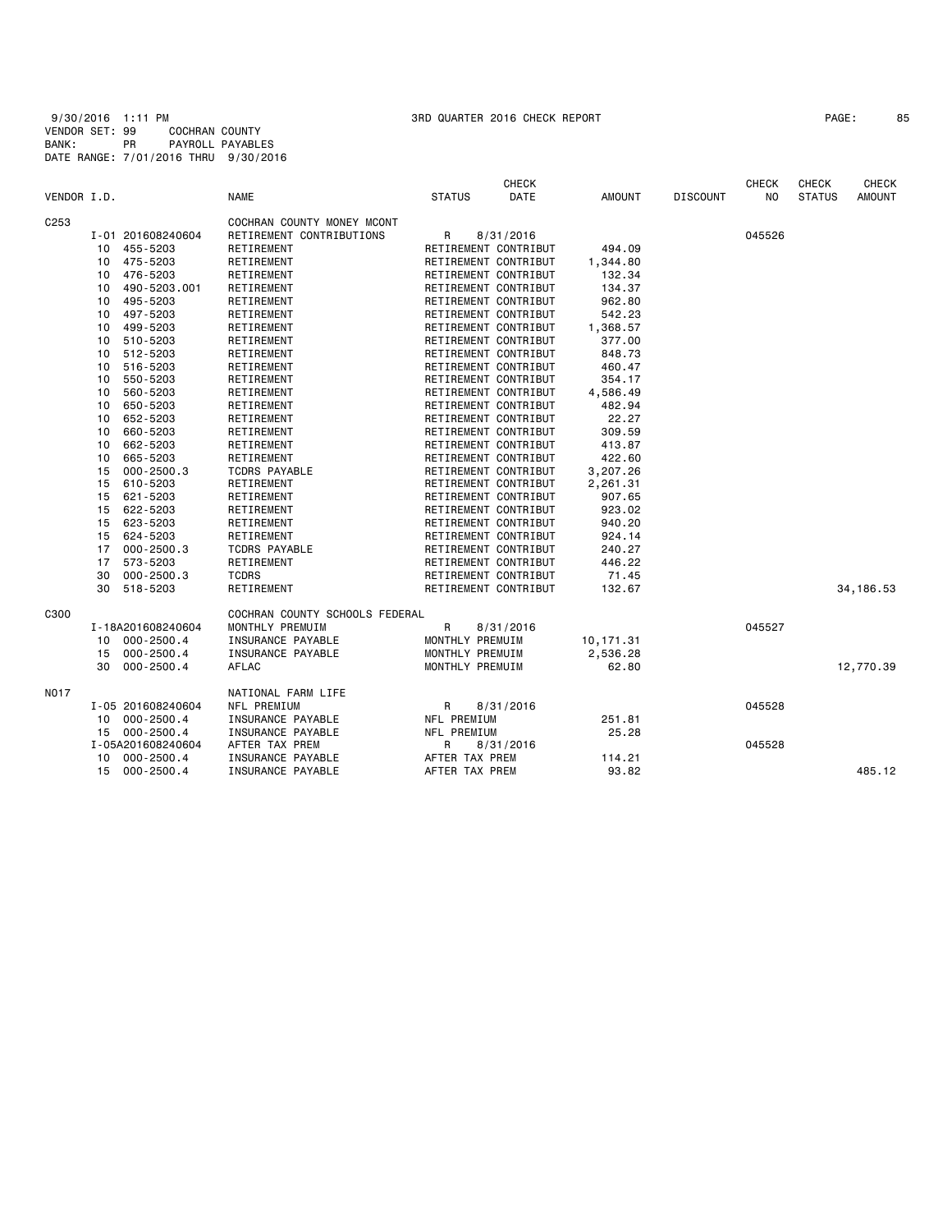| PAGE : |  | 8 |
|--------|--|---|
|--------|--|---|

| VENDOR I.D. |    |                   | <b>NAME</b>                    | <b>STATUS</b>        | <b>CHECK</b><br>DATE | <b>AMOUNT</b> | <b>DISCOUNT</b> | <b>CHECK</b><br>N <sub>O</sub> | CHECK<br><b>STATUS</b> | <b>CHECK</b><br><b>AMOUNT</b> |
|-------------|----|-------------------|--------------------------------|----------------------|----------------------|---------------|-----------------|--------------------------------|------------------------|-------------------------------|
| C253        |    |                   | COCHRAN COUNTY MONEY MCONT     |                      |                      |               |                 |                                |                        |                               |
|             |    | I-01 201608240604 | RETIREMENT CONTRIBUTIONS       | R                    | 8/31/2016            |               |                 | 045526                         |                        |                               |
|             | 10 | 455-5203          | RETIREMENT                     | RETIREMENT CONTRIBUT |                      | 494.09        |                 |                                |                        |                               |
|             | 10 | 475-5203          | RETIREMENT                     | RETIREMENT CONTRIBUT |                      | 1,344.80      |                 |                                |                        |                               |
|             | 10 | 476-5203          | RETIREMENT                     | RETIREMENT CONTRIBUT |                      | 132.34        |                 |                                |                        |                               |
|             | 10 | 490-5203.001      | RETIREMENT                     | RETIREMENT CONTRIBUT |                      | 134.37        |                 |                                |                        |                               |
|             | 10 | 495-5203          | RETIREMENT                     | RETIREMENT CONTRIBUT |                      | 962.80        |                 |                                |                        |                               |
|             | 10 | 497-5203          | RETIREMENT                     | RETIREMENT CONTRIBUT |                      | 542.23        |                 |                                |                        |                               |
|             | 10 | 499-5203          | RETIREMENT                     | RETIREMENT CONTRIBUT |                      | 1,368.57      |                 |                                |                        |                               |
|             | 10 | 510-5203          | RETIREMENT                     | RETIREMENT CONTRIBUT |                      | 377.00        |                 |                                |                        |                               |
|             | 10 | 512-5203          | RETIREMENT                     | RETIREMENT CONTRIBUT |                      | 848.73        |                 |                                |                        |                               |
|             | 10 | 516-5203          | RETIREMENT                     | RETIREMENT CONTRIBUT |                      | 460.47        |                 |                                |                        |                               |
|             | 10 | 550-5203          | RETIREMENT                     | RETIREMENT CONTRIBUT |                      | 354.17        |                 |                                |                        |                               |
|             | 10 | 560-5203          | RETIREMENT                     | RETIREMENT CONTRIBUT |                      | 4,586.49      |                 |                                |                        |                               |
|             | 10 | 650-5203          | RETIREMENT                     | RETIREMENT CONTRIBUT |                      | 482.94        |                 |                                |                        |                               |
|             | 10 | 652-5203          | RETIREMENT                     | RETIREMENT CONTRIBUT |                      | 22.27         |                 |                                |                        |                               |
|             | 10 | 660-5203          | RETIREMENT                     | RETIREMENT CONTRIBUT |                      | 309.59        |                 |                                |                        |                               |
|             | 10 | 662-5203          | RETIREMENT                     | RETIREMENT CONTRIBUT |                      | 413.87        |                 |                                |                        |                               |
|             | 10 | 665-5203          | RETIREMENT                     | RETIREMENT CONTRIBUT |                      | 422.60        |                 |                                |                        |                               |
|             | 15 | $000 - 2500.3$    | <b>TCDRS PAYABLE</b>           | RETIREMENT CONTRIBUT |                      | 3,207.26      |                 |                                |                        |                               |
|             | 15 | 610-5203          | RETIREMENT                     | RETIREMENT CONTRIBUT |                      | 2,261.31      |                 |                                |                        |                               |
|             | 15 | 621-5203          | RETIREMENT                     | RETIREMENT CONTRIBUT |                      | 907.65        |                 |                                |                        |                               |
|             | 15 | 622-5203          | RETIREMENT                     | RETIREMENT CONTRIBUT |                      | 923.02        |                 |                                |                        |                               |
|             | 15 | 623-5203          | RETIREMENT                     | RETIREMENT CONTRIBUT |                      | 940.20        |                 |                                |                        |                               |
|             | 15 | 624-5203          | RETIREMENT                     | RETIREMENT CONTRIBUT |                      | 924.14        |                 |                                |                        |                               |
|             | 17 | $000 - 2500.3$    | <b>TCDRS PAYABLE</b>           | RETIREMENT CONTRIBUT |                      | 240.27        |                 |                                |                        |                               |
|             | 17 | 573-5203          | RETIREMENT                     | RETIREMENT CONTRIBUT |                      | 446.22        |                 |                                |                        |                               |
|             | 30 | $000 - 2500.3$    | <b>TCDRS</b>                   | RETIREMENT CONTRIBUT |                      | 71.45         |                 |                                |                        |                               |
|             | 30 | 518-5203          | RETIREMENT                     | RETIREMENT CONTRIBUT |                      | 132.67        |                 |                                |                        | 34, 186.53                    |
| C300        |    |                   | COCHRAN COUNTY SCHOOLS FEDERAL |                      |                      |               |                 |                                |                        |                               |
|             |    | I-18A201608240604 | MONTHLY PREMUIM                | R                    | 8/31/2016            |               |                 | 045527                         |                        |                               |
|             | 10 | $000 - 2500.4$    | INSURANCE PAYABLE              | MONTHLY PREMUIM      |                      | 10, 171.31    |                 |                                |                        |                               |
|             | 15 | $000 - 2500.4$    | INSURANCE PAYABLE              | MONTHLY PREMUIM      |                      | 2,536.28      |                 |                                |                        |                               |
|             | 30 | $000 - 2500.4$    | AFLAC                          | MONTHLY PREMUIM      |                      | 62.80         |                 |                                |                        | 12,770.39                     |
| NO17        |    |                   | NATIONAL FARM LIFE             |                      |                      |               |                 |                                |                        |                               |
|             |    | I-05 201608240604 | NFL PREMIUM                    | R                    | 8/31/2016            |               |                 | 045528                         |                        |                               |
|             |    | 10 000-2500.4     | INSURANCE PAYABLE              | NFL PREMIUM          |                      | 251.81        |                 |                                |                        |                               |
|             |    | 15 000-2500.4     | INSURANCE PAYABLE              | NFL PREMIUM          |                      | 25.28         |                 |                                |                        |                               |
|             |    | I-05A201608240604 | AFTER TAX PREM                 | R                    | 8/31/2016            |               |                 | 045528                         |                        |                               |
|             | 10 | 000-2500.4        | INSURANCE PAYABLE              | AFTER TAX PREM       |                      | 114.21        |                 |                                |                        |                               |
|             | 15 | 000-2500.4        | INSURANCE PAYABLE              | AFTER TAX PREM       |                      | 93.82         |                 |                                |                        | 485.12                        |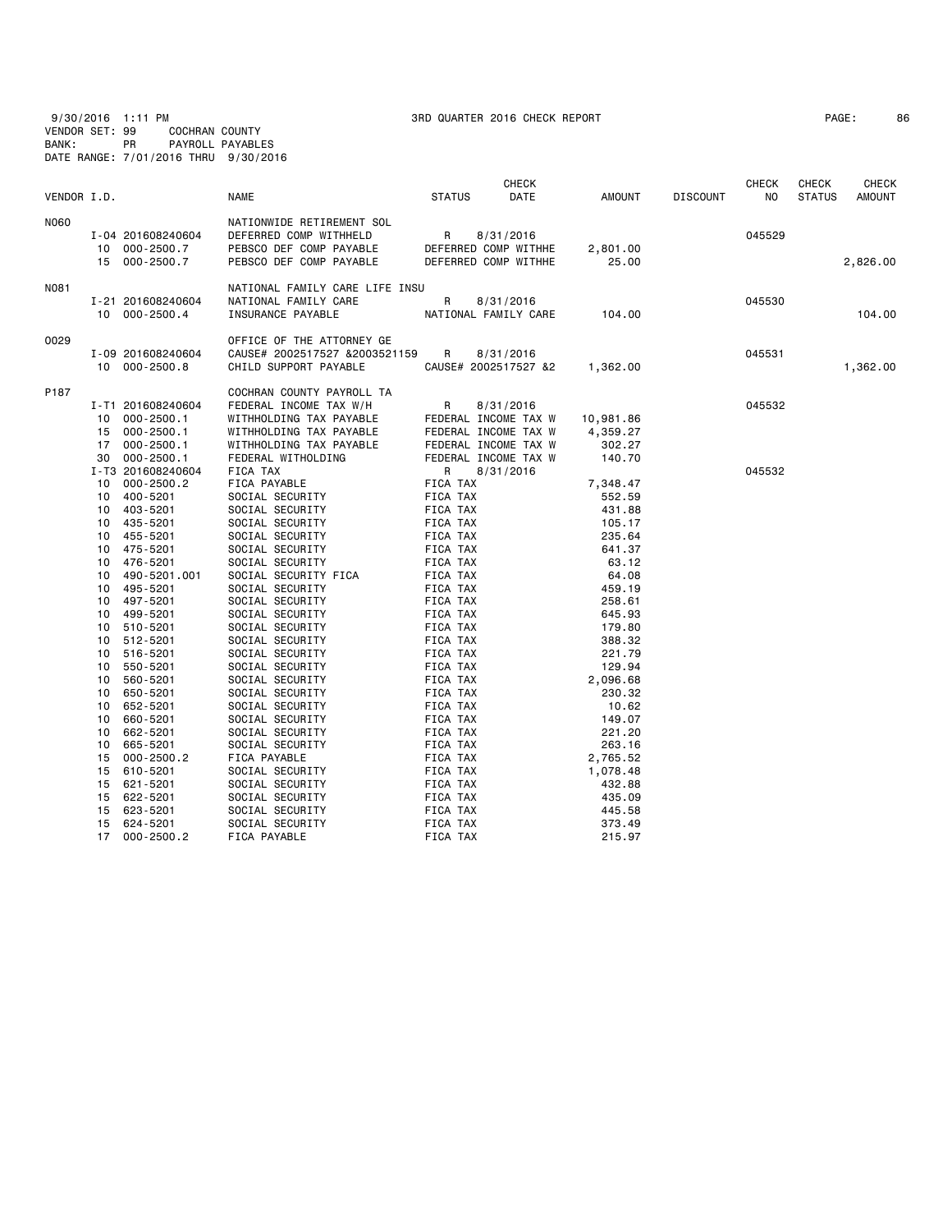9/30/2016 1:11 PM 3RD QUARTER 2016 CHECK REPORT PAGE: 86 VENDOR SET: 99 COCHRAN COUNTY BANK: PR PAYROLL PAYABLES DATE RANGE: 7/01/2016 THRU 9/30/2016

| VENDOR I.D. |                                                                                                                                           | <b>NAME</b>                                                                                                                          | <b>STATUS</b>                                                        | <b>CHECK</b><br>DATE                                                              | AMOUNT                                                     | <b>DISCOUNT</b> | <b>CHECK</b><br>ΝO | <b>CHECK</b><br><b>STATUS</b> | <b>CHECK</b><br><b>AMOUNT</b> |
|-------------|-------------------------------------------------------------------------------------------------------------------------------------------|--------------------------------------------------------------------------------------------------------------------------------------|----------------------------------------------------------------------|-----------------------------------------------------------------------------------|------------------------------------------------------------|-----------------|--------------------|-------------------------------|-------------------------------|
| <b>N060</b> | I-04 201608240604<br>10 000-2500.7<br>15 000-2500.7                                                                                       | NATIONWIDE RETIREMENT SOL<br>DEFERRED COMP WITHHELD<br>PEBSCO DEF COMP PAYABLE<br>PEBSCO DEF COMP PAYABLE                            | R                                                                    | 8/31/2016<br>DEFERRED COMP WITHHE<br>DEFERRED COMP WITHHE                         | 2,801.00<br>25.00                                          |                 | 045529             |                               | 2,826.00                      |
| N081        | I-21 201608240604<br>10 000-2500.4                                                                                                        | NATIONAL FAMILY CARE LIFE INSU<br>NATIONAL FAMILY CARE<br>INSURANCE PAYABLE                                                          | R                                                                    | 8/31/2016<br>NATIONAL FAMILY CARE                                                 | 104.00                                                     |                 | 045530             |                               | 104,00                        |
| 0029        | I-09 201608240604<br>10 000-2500.8                                                                                                        | OFFICE OF THE ATTORNEY GE<br>CAUSE# 2002517527 &2003521159<br>CHILD SUPPORT PAYABLE                                                  | R                                                                    | 8/31/2016<br>CAUSE# 2002517527 &2                                                 | 1,362.00                                                   |                 | 045531             |                               | 1,362.00                      |
| P187        | I-T1 201608240604<br>$000 - 2500.1$<br>10<br>$000 - 2500.1$<br>15<br>$000 - 2500.1$<br>17                                                 | COCHRAN COUNTY PAYROLL TA<br>FEDERAL INCOME TAX W/H<br>WITHHOLDING TAX PAYABLE<br>WITHHOLDING TAX PAYABLE<br>WITHHOLDING TAX PAYABLE | R                                                                    | 8/31/2016<br>FEDERAL INCOME TAX W<br>FEDERAL INCOME TAX W<br>FEDERAL INCOME TAX W | 10,981.86<br>4,359.27<br>302.27                            |                 | 045532             |                               |                               |
|             | $000 - 2500.1$<br>30<br>I-T3 201608240604<br>$000 - 2500.2$<br>10<br>400-5201<br>10<br>403-5201<br>10<br>10<br>435-5201<br>10<br>455-5201 | FEDERAL WITHOLDING<br>FICA TAX<br>FICA PAYABLE<br>SOCIAL SECURITY<br>SOCIAL SECURITY<br>SOCIAL SECURITY<br>SOCIAL SECURITY           | R<br>FICA TAX<br>FICA TAX<br>FICA TAX<br>FICA TAX<br>FICA TAX        | FEDERAL INCOME TAX W<br>8/31/2016                                                 | 140.70<br>7,348.47<br>552.59<br>431.88<br>105.17<br>235.64 |                 | 045532             |                               |                               |
|             | 475-5201<br>10<br>476-5201<br>10<br>490-5201.001<br>10<br>495-5201<br>10<br>497-5201<br>10<br>499-5201<br>10                              | SOCIAL SECURITY<br>SOCIAL SECURITY<br>SOCIAL SECURITY FICA<br>SOCIAL SECURITY<br>SOCIAL SECURITY<br>SOCIAL SECURITY                  | FICA TAX<br>FICA TAX<br>FICA TAX<br>FICA TAX<br>FICA TAX<br>FICA TAX |                                                                                   | 641.37<br>63.12<br>64.08<br>459.19<br>258.61<br>645.93     |                 |                    |                               |                               |
|             | 510-5201<br>10<br>512-5201<br>10<br>516-5201<br>10<br>550-5201<br>10<br>10<br>560-5201                                                    | SOCIAL SECURITY<br>SOCIAL SECURITY<br>SOCIAL SECURITY<br>SOCIAL SECURITY<br>SOCIAL SECURITY                                          | FICA TAX<br>FICA TAX<br>FICA TAX<br>FICA TAX<br>FICA TAX             |                                                                                   | 179.80<br>388.32<br>221.79<br>129.94<br>2,096.68           |                 |                    |                               |                               |
|             | 10<br>650-5201<br>10<br>652-5201<br>660-5201<br>10<br>662-5201<br>10<br>665-5201<br>10                                                    | SOCIAL SECURITY<br>SOCIAL SECURITY<br>SOCIAL SECURITY<br>SOCIAL SECURITY<br>SOCIAL SECURITY                                          | FICA TAX<br>FICA TAX<br>FICA TAX<br>FICA TAX<br>FICA TAX             |                                                                                   | 230.32<br>10.62<br>149.07<br>221.20<br>263.16              |                 |                    |                               |                               |
|             | $000 - 2500.2$<br>15<br>610-5201<br>15<br>621-5201<br>15<br>622-5201<br>15<br>623-5201<br>15                                              | FICA PAYABLE<br>SOCIAL SECURITY<br>SOCIAL SECURITY<br>SOCIAL SECURITY<br>SOCIAL SECURITY                                             | FICA TAX<br>FICA TAX<br>FICA TAX<br>FICA TAX<br>FICA TAX             |                                                                                   | 2,765.52<br>1,078.48<br>432.88<br>435.09<br>445.58         |                 |                    |                               |                               |
|             | 624-5201<br>15<br>17 <sub>1</sub><br>$000 - 2500.2$                                                                                       | SOCIAL SECURITY<br>FICA PAYABLE                                                                                                      | FICA TAX<br><b>FICA TAX</b>                                          |                                                                                   | 373.49<br>215.97                                           |                 |                    |                               |                               |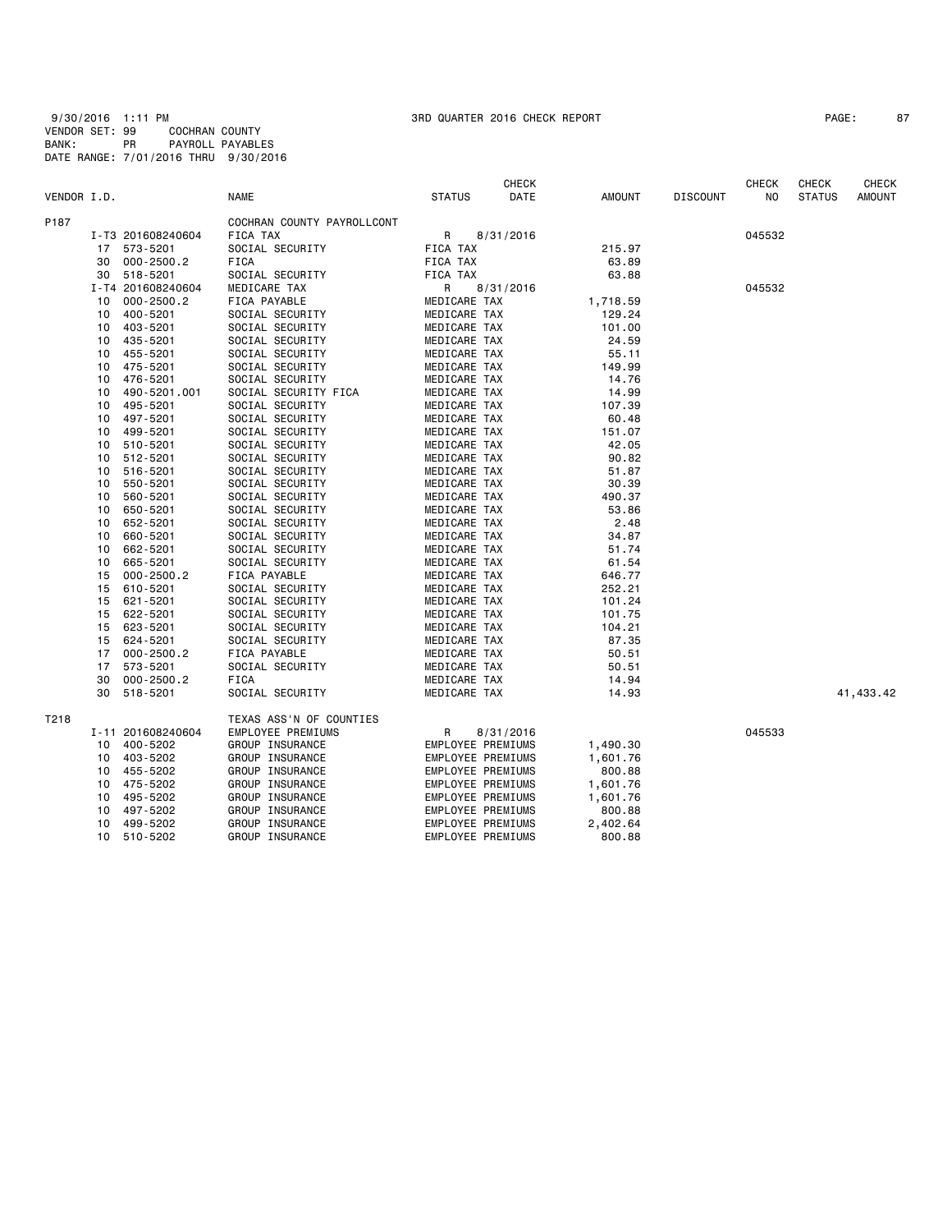9/30/2016 1:11 PM 3RD QUARTER 2016 CHECK REPORT PAGE: 87 VENDOR SET: 99 COCHRAN COUNTY BANK: PR PAYROLL PAYABLES DATE RANGE: 7/01/2016 THRU 9/30/2016

| PAGE: |  | 8 |
|-------|--|---|
|-------|--|---|

|             |    |                   |                            |                          | <b>CHECK</b> |          |                 | <b>CHECK</b> | <b>CHECK</b>  | CHECK         |
|-------------|----|-------------------|----------------------------|--------------------------|--------------|----------|-----------------|--------------|---------------|---------------|
| VENDOR I.D. |    |                   | NAME                       | <b>STATUS</b>            | DATE         | AMOUNT   | <b>DISCOUNT</b> | NO.          | <b>STATUS</b> | <b>AMOUNT</b> |
| P187        |    |                   | COCHRAN COUNTY PAYROLLCONT |                          |              |          |                 |              |               |               |
|             |    | I-T3 201608240604 | FICA TAX                   | R                        | 8/31/2016    |          |                 | 045532       |               |               |
|             |    | 17 573-5201       | SOCIAL SECURITY            | FICA TAX                 |              | 215.97   |                 |              |               |               |
|             | 30 | $000 - 2500.2$    | FICA                       | FICA TAX                 |              | 63.89    |                 |              |               |               |
|             | 30 | 518-5201          | SOCIAL SECURITY            | FICA TAX                 |              | 63.88    |                 |              |               |               |
|             |    | I-T4 201608240604 | MEDICARE TAX               | R                        | 8/31/2016    |          |                 | 045532       |               |               |
|             | 10 | $000 - 2500.2$    | FICA PAYABLE               | MEDICARE TAX             |              | 1,718.59 |                 |              |               |               |
|             | 10 | 400-5201          | SOCIAL SECURITY            | MEDICARE TAX             |              | 129.24   |                 |              |               |               |
|             | 10 | 403-5201          | SOCIAL SECURITY            | MEDICARE TAX             |              | 101.00   |                 |              |               |               |
|             | 10 | 435-5201          | SOCIAL SECURITY            | MEDICARE TAX             |              | 24.59    |                 |              |               |               |
|             | 10 | 455-5201          | SOCIAL SECURITY            | MEDICARE TAX             |              | 55.11    |                 |              |               |               |
|             | 10 | 475-5201          | SOCIAL SECURITY            | MEDICARE TAX             |              | 149.99   |                 |              |               |               |
|             | 10 | 476-5201          | SOCIAL SECURITY            | MEDICARE TAX             |              | 14.76    |                 |              |               |               |
|             | 10 | 490-5201.001      | SOCIAL SECURITY FICA       | MEDICARE TAX             |              | 14.99    |                 |              |               |               |
|             | 10 | 495-5201          | SOCIAL SECURITY            | MEDICARE TAX             |              | 107.39   |                 |              |               |               |
|             | 10 | 497-5201          | SOCIAL SECURITY            | MEDICARE TAX             |              | 60.48    |                 |              |               |               |
|             | 10 | 499-5201          | SOCIAL SECURITY            | MEDICARE TAX             |              | 151.07   |                 |              |               |               |
|             | 10 | 510-5201          | SOCIAL SECURITY            | MEDICARE TAX             |              | 42.05    |                 |              |               |               |
|             | 10 | 512-5201          | SOCIAL SECURITY            | MEDICARE TAX             |              | 90.82    |                 |              |               |               |
|             | 10 | 516-5201          | SOCIAL SECURITY            | MEDICARE TAX             |              | 51.87    |                 |              |               |               |
|             | 10 | 550-5201          | SOCIAL SECURITY            | MEDICARE TAX             |              | 30.39    |                 |              |               |               |
|             | 10 | 560-5201          | SOCIAL SECURITY            | MEDICARE TAX             |              | 490.37   |                 |              |               |               |
|             | 10 | 650-5201          | SOCIAL SECURITY            | MEDICARE TAX             |              | 53.86    |                 |              |               |               |
|             | 10 | 652-5201          | SOCIAL SECURITY            | MEDICARE TAX             |              | 2.48     |                 |              |               |               |
|             | 10 | 660-5201          | SOCIAL SECURITY            | MEDICARE TAX             |              | 34.87    |                 |              |               |               |
|             | 10 | 662-5201          | SOCIAL SECURITY            | MEDICARE TAX             |              | 51.74    |                 |              |               |               |
|             | 10 | 665-5201          | SOCIAL SECURITY            | MEDICARE TAX             |              | 61.54    |                 |              |               |               |
|             | 15 | $000 - 2500.2$    | FICA PAYABLE               | MEDICARE TAX             |              | 646.77   |                 |              |               |               |
|             | 15 | 610-5201          | SOCIAL SECURITY            | MEDICARE TAX             |              | 252.21   |                 |              |               |               |
|             | 15 | 621-5201          | SOCIAL SECURITY            | MEDICARE TAX             |              | 101.24   |                 |              |               |               |
|             | 15 | 622-5201          | SOCIAL SECURITY            | MEDICARE TAX             |              | 101.75   |                 |              |               |               |
|             | 15 | 623-5201          | SOCIAL SECURITY            | MEDICARE TAX             |              | 104.21   |                 |              |               |               |
|             | 15 | 624-5201          | SOCIAL SECURITY            | MEDICARE TAX             |              | 87.35    |                 |              |               |               |
|             | 17 | $000 - 2500.2$    | FICA PAYABLE               | MEDICARE TAX             |              | 50.51    |                 |              |               |               |
|             | 17 | 573-5201          | SOCIAL SECURITY            | MEDICARE TAX             |              | 50.51    |                 |              |               |               |
|             | 30 | $000 - 2500.2$    | FICA                       | MEDICARE TAX             |              | 14.94    |                 |              |               |               |
|             | 30 | 518-5201          | SOCIAL SECURITY            | MEDICARE TAX             |              | 14.93    |                 |              |               | 41,433.42     |
| T218        |    |                   | TEXAS ASS'N OF COUNTIES    |                          |              |          |                 |              |               |               |
|             |    | I-11 201608240604 | EMPLOYEE PREMIUMS          | R                        | 8/31/2016    |          |                 | 045533       |               |               |
|             | 10 | 400-5202          | GROUP INSURANCE            | EMPLOYEE PREMIUMS        |              | 1,490.30 |                 |              |               |               |
|             | 10 | 403-5202          | GROUP INSURANCE            | EMPLOYEE PREMIUMS        |              | 1,601.76 |                 |              |               |               |
|             | 10 | 455-5202          | GROUP INSURANCE            | <b>EMPLOYEE PREMIUMS</b> |              | 800.88   |                 |              |               |               |
|             | 10 | 475-5202          | GROUP INSURANCE            | EMPLOYEE PREMIUMS        |              | 1,601.76 |                 |              |               |               |
|             | 10 | 495-5202          | GROUP INSURANCE            | EMPLOYEE PREMIUMS        |              | 1,601.76 |                 |              |               |               |
|             | 10 | 497-5202          | GROUP INSURANCE            | EMPLOYEE PREMIUMS        |              | 800.88   |                 |              |               |               |
|             | 10 | 499-5202          | GROUP INSURANCE            | EMPLOYEE PREMIUMS        |              | 2,402.64 |                 |              |               |               |
|             | 10 | 510-5202          |                            |                          |              | 800.88   |                 |              |               |               |
|             |    |                   | GROUP INSURANCE            | EMPLOYEE PREMIUMS        |              |          |                 |              |               |               |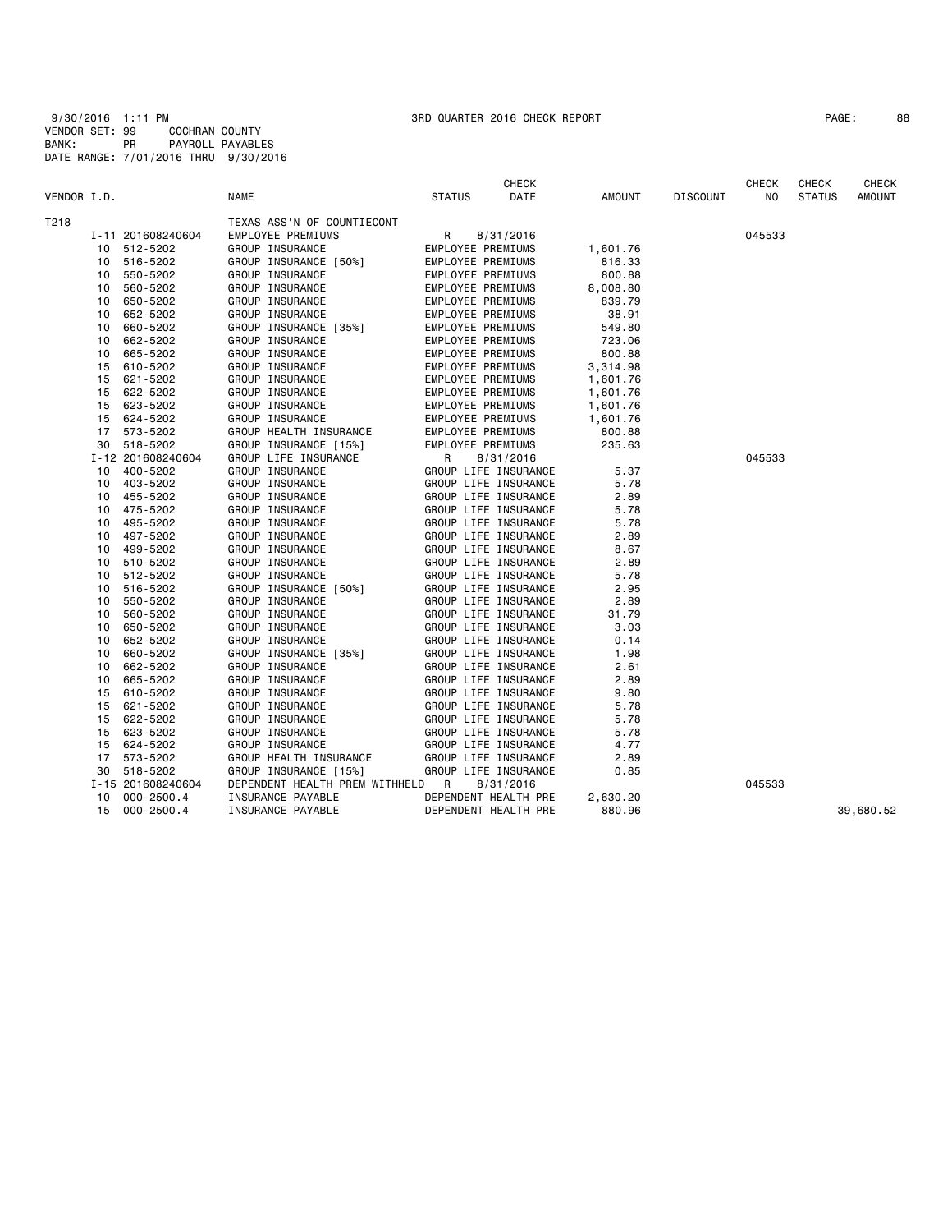| PAGE : | 88 |
|--------|----|
|--------|----|

| VENDOR I.D. |    |                   | <b>NAME</b>                      | <b>STATUS</b> | <b>CHECK</b><br>DATE     | <b>AMOUNT</b> | <b>DISCOUNT</b> | <b>CHECK</b><br>NO. | <b>CHECK</b><br><b>STATUS</b> | <b>CHECK</b><br>AMOUNT |
|-------------|----|-------------------|----------------------------------|---------------|--------------------------|---------------|-----------------|---------------------|-------------------------------|------------------------|
| T218        |    |                   | TEXAS ASS'N OF COUNTIECONT       |               |                          |               |                 |                     |                               |                        |
|             |    | I-11 201608240604 | EMPLOYEE PREMIUMS                | R             | 8/31/2016                |               |                 | 045533              |                               |                        |
|             |    | 10 512-5202       | GROUP INSURANCE                  |               | EMPLOYEE PREMIUMS        | 1,601.76      |                 |                     |                               |                        |
|             | 10 | 516-5202          | GROUP INSURANCE [50%]            |               | EMPLOYEE PREMIUMS        | 816.33        |                 |                     |                               |                        |
|             | 10 | 550-5202          | GROUP INSURANCE                  |               | EMPLOYEE PREMIUMS        | 800.88        |                 |                     |                               |                        |
|             | 10 | 560-5202          | GROUP INSURANCE                  |               | EMPLOYEE PREMIUMS        | 8,008.80      |                 |                     |                               |                        |
|             | 10 | 650-5202          | GROUP INSURANCE                  |               | EMPLOYEE PREMIUMS        | 839.79        |                 |                     |                               |                        |
|             | 10 | 652-5202          | GROUP INSURANCE                  |               | EMPLOYEE PREMIUMS        | 38.91         |                 |                     |                               |                        |
|             | 10 | 660-5202          | GROUP INSURANCE [35%]            |               | EMPLOYEE PREMIUMS        | 549.80        |                 |                     |                               |                        |
|             | 10 | 662-5202          | GROUP INSURANCE                  |               | EMPLOYEE PREMIUMS        | 723.06        |                 |                     |                               |                        |
|             | 10 | 665-5202          | GROUP INSURANCE                  |               | <b>EMPLOYEE PREMIUMS</b> | 800.88        |                 |                     |                               |                        |
|             | 15 | 610-5202          | GROUP INSURANCE                  |               | EMPLOYEE PREMIUMS        | 3,314.98      |                 |                     |                               |                        |
|             | 15 | 621-5202          | GROUP INSURANCE                  |               | EMPLOYEE PREMIUMS        | 1,601.76      |                 |                     |                               |                        |
|             | 15 | 622-5202          | GROUP INSURANCE                  |               | EMPLOYEE PREMIUMS        | 1,601.76      |                 |                     |                               |                        |
|             | 15 | 623-5202          | GROUP INSURANCE                  |               | EMPLOYEE PREMIUMS        | 1,601.76      |                 |                     |                               |                        |
|             | 15 | 624-5202          | GROUP INSURANCE                  |               | EMPLOYEE PREMIUMS        | 1,601.76      |                 |                     |                               |                        |
|             | 17 | 573-5202          | GROUP HEALTH INSURANCE           |               | EMPLOYEE PREMIUMS        | 800.88        |                 |                     |                               |                        |
|             |    | 30 518-5202       | GROUP INSURANCE [15%]            |               | <b>EMPLOYEE PREMIUMS</b> | 235.63        |                 |                     |                               |                        |
|             |    | I-12 201608240604 | GROUP LIFE INSURANCE             | R             | 8/31/2016                |               |                 | 045533              |                               |                        |
|             | 10 | 400-5202          | GROUP INSURANCE                  |               | GROUP LIFE INSURANCE     | 5.37          |                 |                     |                               |                        |
|             | 10 | 403-5202          | GROUP INSURANCE                  |               | GROUP LIFE INSURANCE     | 5.78          |                 |                     |                               |                        |
|             | 10 | 455-5202          | GROUP INSURANCE                  |               | GROUP LIFE INSURANCE     | 2.89          |                 |                     |                               |                        |
|             | 10 | 475-5202          | GROUP INSURANCE                  |               | GROUP LIFE INSURANCE     | 5.78          |                 |                     |                               |                        |
|             | 10 | 495-5202          | GROUP INSURANCE                  |               | GROUP LIFE INSURANCE     | 5.78          |                 |                     |                               |                        |
|             | 10 | 497-5202          | GROUP INSURANCE                  |               | GROUP LIFE INSURANCE     | 2.89          |                 |                     |                               |                        |
|             | 10 | 499-5202          | GROUP INSURANCE                  |               | GROUP LIFE INSURANCE     | 8.67          |                 |                     |                               |                        |
|             | 10 | 510-5202          | GROUP INSURANCE                  |               | GROUP LIFE INSURANCE     | 2.89          |                 |                     |                               |                        |
|             | 10 | 512-5202          | GROUP INSURANCE                  |               | GROUP LIFE INSURANCE     | 5.78          |                 |                     |                               |                        |
|             | 10 | 516-5202          | GROUP INSURANCE [50%]            |               | GROUP LIFE INSURANCE     | 2.95          |                 |                     |                               |                        |
|             | 10 | 550-5202          | GROUP INSURANCE                  |               | GROUP LIFE INSURANCE     | 2.89          |                 |                     |                               |                        |
|             | 10 | 560-5202          | GROUP INSURANCE                  |               | GROUP LIFE INSURANCE     | 31.79         |                 |                     |                               |                        |
|             | 10 | 650-5202          | GROUP INSURANCE                  |               | GROUP LIFE INSURANCE     | 3.03          |                 |                     |                               |                        |
|             | 10 | 652-5202          | GROUP INSURANCE                  |               | GROUP LIFE INSURANCE     | 0.14          |                 |                     |                               |                        |
|             | 10 | 660-5202          | GROUP INSURANCE [35%]            |               | GROUP LIFE INSURANCE     | 1.98          |                 |                     |                               |                        |
|             | 10 | 662-5202          | GROUP INSURANCE                  |               | GROUP LIFE INSURANCE     | 2.61          |                 |                     |                               |                        |
|             | 10 | 665-5202          | GROUP INSURANCE                  |               | GROUP LIFE INSURANCE     | 2.89          |                 |                     |                               |                        |
|             | 15 | 610-5202          | GROUP INSURANCE                  |               | GROUP LIFE INSURANCE     | 9.80          |                 |                     |                               |                        |
|             | 15 | 621-5202          | GROUP INSURANCE                  |               | GROUP LIFE INSURANCE     | 5.78          |                 |                     |                               |                        |
|             | 15 | 622-5202          | GROUP INSURANCE                  |               | GROUP LIFE INSURANCE     | 5.78          |                 |                     |                               |                        |
|             | 15 | 623-5202          | GROUP INSURANCE                  |               | GROUP LIFE INSURANCE     | 5.78          |                 |                     |                               |                        |
|             | 15 | 624-5202          | GROUP INSURANCE                  |               | GROUP LIFE INSURANCE     | 4.77          |                 |                     |                               |                        |
|             | 17 | 573-5202          | GROUP HEALTH INSURANCE           |               | GROUP LIFE INSURANCE     | 2.89          |                 |                     |                               |                        |
|             | 30 | 518-5202          | GROUP INSURANCE [15%]            |               | GROUP LIFE INSURANCE     | 0.85          |                 |                     |                               |                        |
|             |    | I-15 201608240604 | DEPENDENT HEALTH PREM WITHHELD R |               | 8/31/2016                |               |                 | 045533              |                               |                        |
|             | 10 | $000 - 2500.4$    | INSURANCE PAYABLE                |               | DEPENDENT HEALTH PRE     | 2,630.20      |                 |                     |                               |                        |
|             | 15 | $000 - 2500.4$    | INSURANCE PAYABLE                |               | DEPENDENT HEALTH PRE     | 880.96        |                 |                     |                               | 39,680.52              |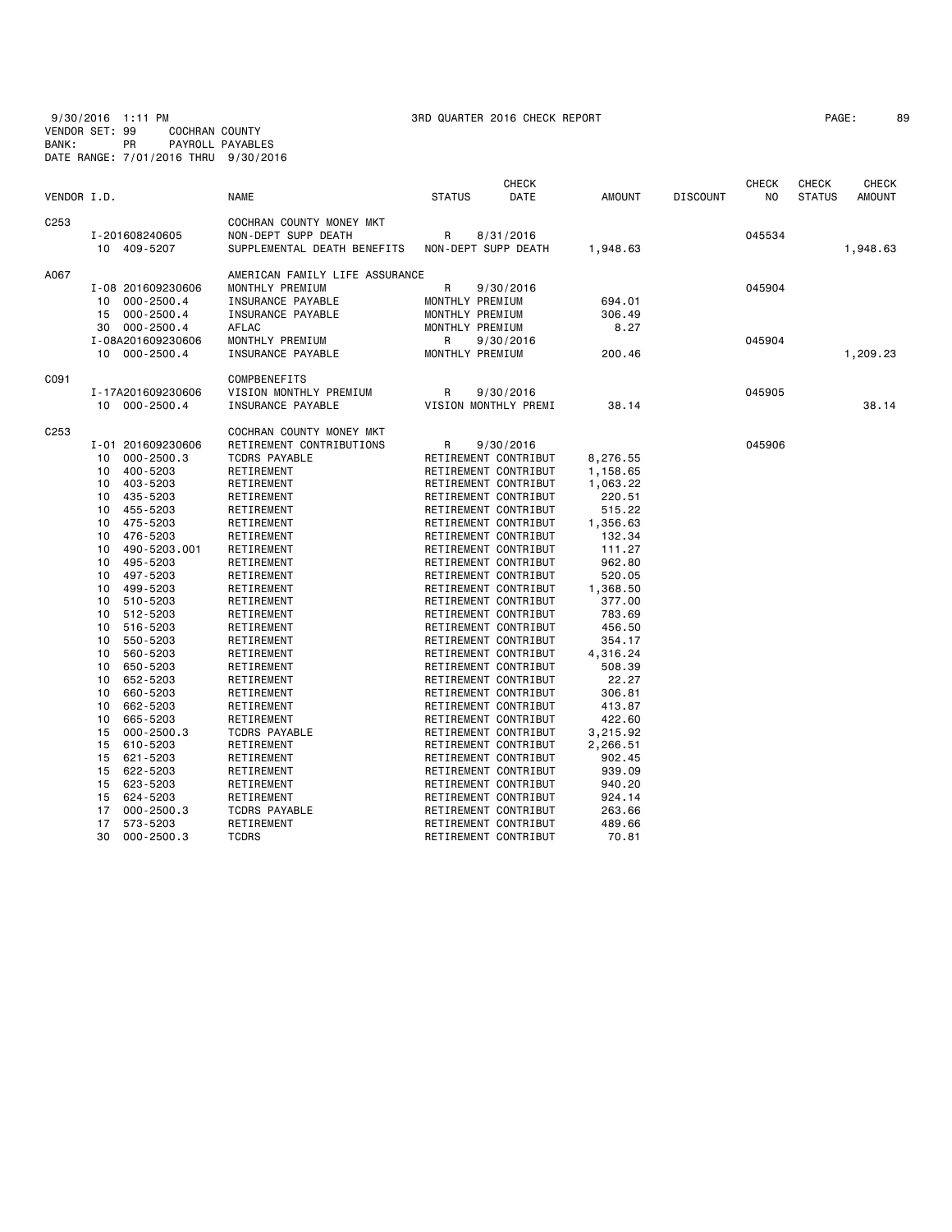9/30/2016 1:11 PM 3RD QUARTER 2016 CHECK REPORT PAGE: 89 VENDOR SET: 99 COCHRAN COUNTY BANK: PR PAYROLL PAYABLES DATE RANGE: 7/01/2016 THRU 9/30/2016

|             |                                                                                                                                                                                                                                                                                                                                                                                                                                                                                                                                                                 |                                                                                                                                                                                                                                                                                                                                                                                                                                                                                            |                                                                 | <b>CHECK</b>                                                                                                                                                                                                                                                                                                                                                                                                                                                                                                                                                                                                                                                                      |                                                                                                                                                                                                                                                                                                     |                 | <b>CHECK</b>     | <b>CHECK</b>  | <b>CHECK</b>  |
|-------------|-----------------------------------------------------------------------------------------------------------------------------------------------------------------------------------------------------------------------------------------------------------------------------------------------------------------------------------------------------------------------------------------------------------------------------------------------------------------------------------------------------------------------------------------------------------------|--------------------------------------------------------------------------------------------------------------------------------------------------------------------------------------------------------------------------------------------------------------------------------------------------------------------------------------------------------------------------------------------------------------------------------------------------------------------------------------------|-----------------------------------------------------------------|-----------------------------------------------------------------------------------------------------------------------------------------------------------------------------------------------------------------------------------------------------------------------------------------------------------------------------------------------------------------------------------------------------------------------------------------------------------------------------------------------------------------------------------------------------------------------------------------------------------------------------------------------------------------------------------|-----------------------------------------------------------------------------------------------------------------------------------------------------------------------------------------------------------------------------------------------------------------------------------------------------|-----------------|------------------|---------------|---------------|
| VENDOR I.D. |                                                                                                                                                                                                                                                                                                                                                                                                                                                                                                                                                                 | <b>NAME</b>                                                                                                                                                                                                                                                                                                                                                                                                                                                                                | <b>STATUS</b>                                                   | DATE                                                                                                                                                                                                                                                                                                                                                                                                                                                                                                                                                                                                                                                                              | <b>AMOUNT</b>                                                                                                                                                                                                                                                                                       | <b>DISCOUNT</b> | N <sub>O</sub>   | <b>STATUS</b> | <b>AMOUNT</b> |
| C253        | I-201608240605<br>10 409-5207                                                                                                                                                                                                                                                                                                                                                                                                                                                                                                                                   | COCHRAN COUNTY MONEY MKT<br>NON-DEPT SUPP DEATH<br>SUPPLEMENTAL DEATH BENEFITS                                                                                                                                                                                                                                                                                                                                                                                                             | R<br>NON-DEPT SUPP DEATH                                        | 8/31/2016                                                                                                                                                                                                                                                                                                                                                                                                                                                                                                                                                                                                                                                                         | 1,948.63                                                                                                                                                                                                                                                                                            |                 | 045534           |               | 1,948.63      |
| A067        | I-08 201609230606<br>10 000-2500.4<br>$000 - 2500.4$<br>15<br>30<br>$000 - 2500.4$<br>I-08A201609230606                                                                                                                                                                                                                                                                                                                                                                                                                                                         | AMERICAN FAMILY LIFE ASSURANCE<br>MONTHLY PREMIUM<br>INSURANCE PAYABLE<br>INSURANCE PAYABLE<br>AFLAC<br>MONTHLY PREMIUM                                                                                                                                                                                                                                                                                                                                                                    | R<br>MONTHLY PREMIUM<br>MONTHLY PREMIUM<br>MONTHLY PREMIUM<br>R | 9/30/2016<br>9/30/2016                                                                                                                                                                                                                                                                                                                                                                                                                                                                                                                                                                                                                                                            | 694.01<br>306.49<br>8.27                                                                                                                                                                                                                                                                            |                 | 045904<br>045904 |               |               |
|             | 000-2500.4<br>10                                                                                                                                                                                                                                                                                                                                                                                                                                                                                                                                                | INSURANCE PAYABLE                                                                                                                                                                                                                                                                                                                                                                                                                                                                          | MONTHLY PREMIUM                                                 |                                                                                                                                                                                                                                                                                                                                                                                                                                                                                                                                                                                                                                                                                   | 200.46                                                                                                                                                                                                                                                                                              |                 |                  |               | 1,209.23      |
| C091        | I-17A201609230606<br>10 000-2500.4                                                                                                                                                                                                                                                                                                                                                                                                                                                                                                                              | COMPBENEFITS<br>VISION MONTHLY PREMIUM<br>INSURANCE PAYABLE                                                                                                                                                                                                                                                                                                                                                                                                                                | R                                                               | 9/30/2016<br>VISION MONTHLY PREMI                                                                                                                                                                                                                                                                                                                                                                                                                                                                                                                                                                                                                                                 | 38.14                                                                                                                                                                                                                                                                                               |                 | 045905           |               | 38.14         |
| C253        | I-01 201609230606<br>$000 - 2500.3$<br>10<br>400-5203<br>10<br>403-5203<br>10<br>435-5203<br>10<br>455-5203<br>10<br>475-5203<br>10<br>476-5203<br>10<br>490-5203.001<br>10<br>495-5203<br>10<br>497-5203<br>10<br>499-5203<br>10<br>510-5203<br>10<br>512-5203<br>10<br>516-5203<br>10<br>550-5203<br>10<br>560-5203<br>10<br>650-5203<br>10<br>652-5203<br>10<br>660-5203<br>10<br>662-5203<br>10<br>665-5203<br>10<br>$000 - 2500.3$<br>15<br>610-5203<br>15<br>621-5203<br>15<br>622-5203<br>15<br>623-5203<br>15<br>624-5203<br>15<br>$000 - 2500.3$<br>17 | COCHRAN COUNTY MONEY MKT<br>RETIREMENT CONTRIBUTIONS<br><b>TCDRS PAYABLE</b><br>RETIREMENT<br>RETIREMENT<br>RETIREMENT<br>RETIREMENT<br>RETIREMENT<br>RETIREMENT<br>RETIREMENT<br>RETIREMENT<br>RETIREMENT<br>RETIREMENT<br>RETIREMENT<br>RETIREMENT<br>RETIREMENT<br>RETIREMENT<br>RETIREMENT<br>RETIREMENT<br>RETIREMENT<br>RETIREMENT<br>RETIREMENT<br>RETIREMENT<br><b>TCDRS PAYABLE</b><br>RETIREMENT<br>RETIREMENT<br>RETIREMENT<br>RETIREMENT<br>RETIREMENT<br><b>TCDRS PAYABLE</b> | R<br>RETIREMENT CONTRIBUT                                       | 9/30/2016<br>RETIREMENT CONTRIBUT<br>RETIREMENT CONTRIBUT<br>RETIREMENT CONTRIBUT<br>RETIREMENT CONTRIBUT<br>RETIREMENT CONTRIBUT<br>RETIREMENT CONTRIBUT<br>RETIREMENT CONTRIBUT<br>RETIREMENT CONTRIBUT<br>RETIREMENT CONTRIBUT<br>RETIREMENT CONTRIBUT<br>RETIREMENT CONTRIBUT<br>RETIREMENT CONTRIBUT<br>RETIREMENT CONTRIBUT<br>RETIREMENT CONTRIBUT<br>RETIREMENT CONTRIBUT<br>RETIREMENT CONTRIBUT<br>RETIREMENT CONTRIBUT<br>RETIREMENT CONTRIBUT<br>RETIREMENT CONTRIBUT<br>RETIREMENT CONTRIBUT<br>RETIREMENT CONTRIBUT<br>RETIREMENT CONTRIBUT<br>RETIREMENT CONTRIBUT<br>RETIREMENT CONTRIBUT<br>RETIREMENT CONTRIBUT<br>RETIREMENT CONTRIBUT<br>RETIREMENT CONTRIBUT | 8,276.55<br>1,158.65<br>1,063.22<br>220.51<br>515.22<br>1,356.63<br>132.34<br>111.27<br>962.80<br>520.05<br>1,368.50<br>377.00<br>783.69<br>456.50<br>354.17<br>4,316.24<br>508.39<br>22.27<br>306.81<br>413.87<br>422.60<br>3,215.92<br>2,266.51<br>902.45<br>939.09<br>940.20<br>924.14<br>263.66 |                 | 045906           |               |               |
|             | 17<br>573-5203<br>30<br>$000 - 2500.3$                                                                                                                                                                                                                                                                                                                                                                                                                                                                                                                          | RETIREMENT<br><b>TCDRS</b>                                                                                                                                                                                                                                                                                                                                                                                                                                                                 |                                                                 | RETIREMENT CONTRIBUT<br>RETIREMENT CONTRIBUT                                                                                                                                                                                                                                                                                                                                                                                                                                                                                                                                                                                                                                      | 489.66<br>70.81                                                                                                                                                                                                                                                                                     |                 |                  |               |               |
|             |                                                                                                                                                                                                                                                                                                                                                                                                                                                                                                                                                                 |                                                                                                                                                                                                                                                                                                                                                                                                                                                                                            |                                                                 |                                                                                                                                                                                                                                                                                                                                                                                                                                                                                                                                                                                                                                                                                   |                                                                                                                                                                                                                                                                                                     |                 |                  |               |               |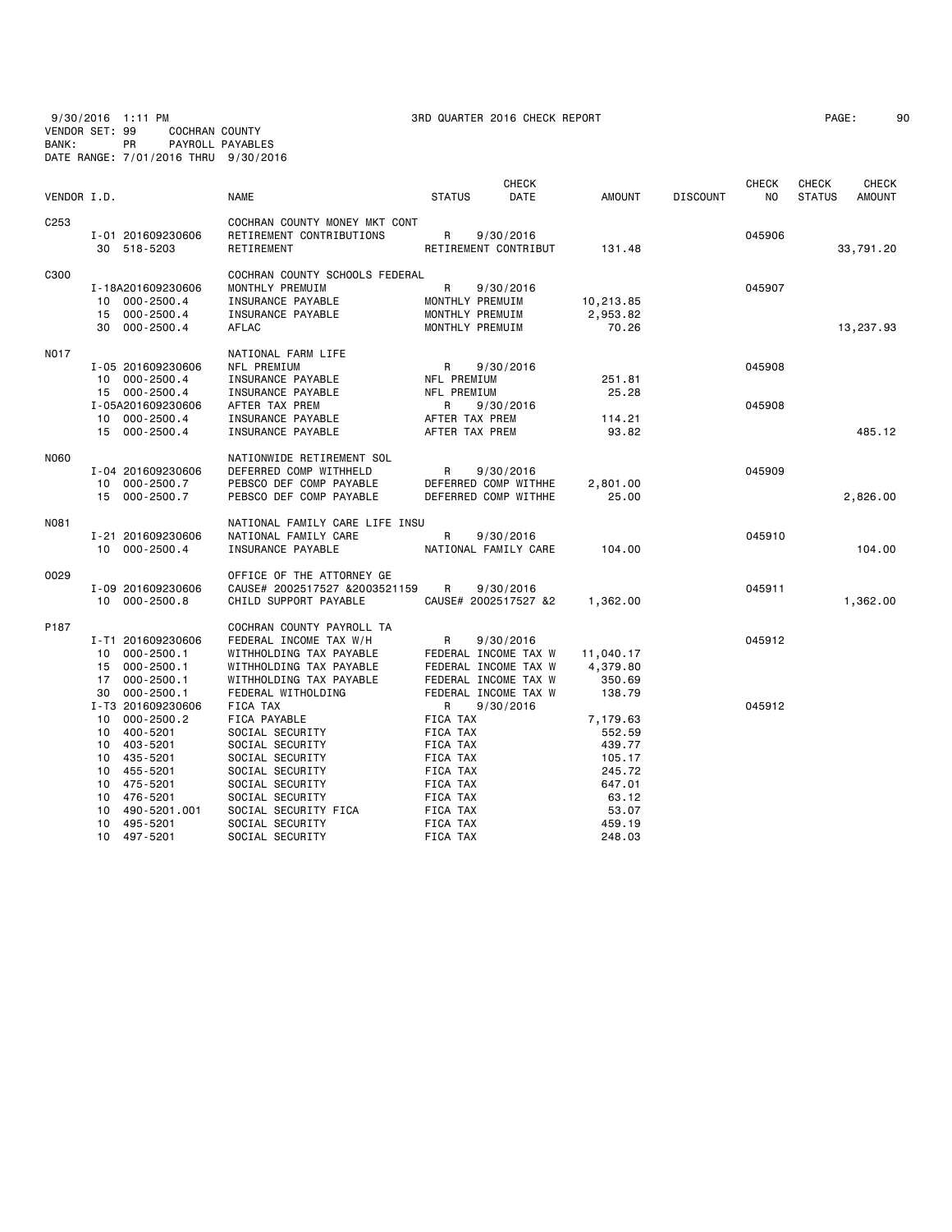9/30/2016 1:11 PM 3RD QUARTER 2016 CHECK REPORT PAGE: 90 VENDOR SET: 99 COCHRAN COUNTY BANK: PR PAYROLL PAYABLES DATE RANGE: 7/01/2016 THRU 9/30/2016

| PAGE : |  | 9 |
|--------|--|---|
|--------|--|---|

|                  |    |                                  |                                        |                 | <b>CHECK</b>                      |           |                 | <b>CHECK</b> | <b>CHECK</b>  | <b>CHECK</b>  |
|------------------|----|----------------------------------|----------------------------------------|-----------------|-----------------------------------|-----------|-----------------|--------------|---------------|---------------|
| VENDOR I.D.      |    |                                  | <b>NAME</b>                            | <b>STATUS</b>   | DATE                              | AMOUNT    | <b>DISCOUNT</b> | NO.          | <b>STATUS</b> | <b>AMOUNT</b> |
| C <sub>253</sub> |    |                                  | COCHRAN COUNTY MONEY MKT CONT          |                 |                                   |           |                 |              |               |               |
|                  |    | I-01 201609230606<br>30 518-5203 | RETIREMENT CONTRIBUTIONS<br>RETIREMENT | R               | 9/30/2016<br>RETIREMENT CONTRIBUT | 131.48    |                 | 045906       |               | 33,791.20     |
| C300             |    |                                  | COCHRAN COUNTY SCHOOLS FEDERAL         |                 |                                   |           |                 |              |               |               |
|                  |    | I-18A201609230606                | MONTHLY PREMUIM                        | R               | 9/30/2016                         |           |                 | 045907       |               |               |
|                  |    | 10 000-2500.4                    | INSURANCE PAYABLE                      | MONTHLY PREMUIM |                                   | 10,213.85 |                 |              |               |               |
|                  |    | 15 000-2500.4                    | INSURANCE PAYABLE                      |                 | MONTHLY PREMUIM                   | 2,953.82  |                 |              |               |               |
|                  |    | 30 000-2500.4                    | AFLAC                                  |                 | MONTHLY PREMUIM                   | 70.26     |                 |              |               | 13,237.93     |
| N017             |    |                                  | NATIONAL FARM LIFE                     |                 |                                   |           |                 |              |               |               |
|                  |    | I-05 201609230606                | NFL PREMIUM                            | $\mathsf{R}$    | 9/30/2016                         |           |                 | 045908       |               |               |
|                  |    | 10 000-2500.4                    | INSURANCE PAYABLE                      | NFL PREMIUM     |                                   | 251.81    |                 |              |               |               |
|                  |    | 15 000-2500.4                    | INSURANCE PAYABLE                      | NFL PREMIUM     |                                   | 25.28     |                 |              |               |               |
|                  |    | I-05A201609230606                | AFTER TAX PREM                         | R               | 9/30/2016                         |           |                 | 045908       |               |               |
|                  |    | 10 000-2500.4                    | INSURANCE PAYABLE                      | AFTER TAX PREM  |                                   | 114.21    |                 |              |               |               |
|                  |    | 15 000-2500.4                    | INSURANCE PAYABLE                      | AFTER TAX PREM  |                                   | 93.82     |                 |              |               | 485.12        |
| <b>NO60</b>      |    |                                  | NATIONWIDE RETIREMENT SOL              |                 |                                   |           |                 |              |               |               |
|                  |    | I-04 201609230606                | DEFERRED COMP WITHHELD                 | R               | 9/30/2016                         |           |                 | 045909       |               |               |
|                  |    | 10 000-2500.7                    | PEBSCO DEF COMP PAYABLE                |                 | DEFERRED COMP WITHHE              | 2,801.00  |                 |              |               |               |
|                  |    | 15 000-2500.7                    | PEBSCO DEF COMP PAYABLE                |                 | DEFERRED COMP WITHHE              | 25.00     |                 |              |               | 2,826.00      |
| N081             |    |                                  | NATIONAL FAMILY CARE LIFE INSU         |                 |                                   |           |                 |              |               |               |
|                  |    | I-21 201609230606                | NATIONAL FAMILY CARE                   | R               | 9/30/2016                         |           |                 | 045910       |               |               |
|                  |    | 10 000-2500.4                    | INSURANCE PAYABLE                      |                 | NATIONAL FAMILY CARE              | 104,00    |                 |              |               | 104.00        |
| 0029             |    |                                  | OFFICE OF THE ATTORNEY GE              |                 |                                   |           |                 |              |               |               |
|                  |    | I-09 201609230606                | CAUSE# 2002517527 &2003521159          | R               | 9/30/2016                         |           |                 | 045911       |               |               |
|                  |    | 10 000-2500.8                    | CHILD SUPPORT PAYABLE                  |                 | CAUSE# 2002517527 &2              | 1,362.00  |                 |              |               | 1,362.00      |
| P187             |    |                                  | COCHRAN COUNTY PAYROLL TA              |                 |                                   |           |                 |              |               |               |
|                  |    | I-T1 201609230606                | FEDERAL INCOME TAX W/H                 | R               | 9/30/2016                         |           |                 | 045912       |               |               |
|                  | 10 | $000 - 2500.1$                   | WITHHOLDING TAX PAYABLE                |                 | FEDERAL INCOME TAX W              | 11,040.17 |                 |              |               |               |
|                  | 15 | $000 - 2500.1$                   | WITHHOLDING TAX PAYABLE                |                 | FEDERAL INCOME TAX W              | 4,379.80  |                 |              |               |               |
|                  | 17 | $000 - 2500.1$                   | WITHHOLDING TAX PAYABLE                |                 | FEDERAL INCOME TAX W              | 350.69    |                 |              |               |               |
|                  | 30 | $000 - 2500.1$                   | FEDERAL WITHOLDING                     |                 | FEDERAL INCOME TAX W              | 138.79    |                 |              |               |               |
|                  |    | I-T3 201609230606                | FICA TAX                               | R               | 9/30/2016                         |           |                 | 045912       |               |               |
|                  | 10 | $000 - 2500.2$                   | FICA PAYABLE                           | FICA TAX        |                                   | 7,179.63  |                 |              |               |               |
|                  | 10 | 400-5201                         | SOCIAL SECURITY                        | <b>FICA TAX</b> |                                   | 552.59    |                 |              |               |               |
|                  | 10 | 403-5201                         | SOCIAL SECURITY                        | FICA TAX        |                                   | 439.77    |                 |              |               |               |
|                  | 10 | 435-5201                         | SOCIAL SECURITY                        | FICA TAX        |                                   | 105.17    |                 |              |               |               |
|                  | 10 | 455-5201                         | SOCIAL SECURITY                        | FICA TAX        |                                   | 245.72    |                 |              |               |               |
|                  | 10 | 475-5201                         | SOCIAL SECURITY                        | FICA TAX        |                                   | 647.01    |                 |              |               |               |
|                  | 10 | 476-5201                         | SOCIAL SECURITY                        | FICA TAX        |                                   | 63.12     |                 |              |               |               |
|                  | 10 | 490-5201.001                     | SOCIAL SECURITY FICA                   | FICA TAX        |                                   | 53.07     |                 |              |               |               |
|                  | 10 | 495-5201                         | SOCIAL SECURITY                        | FICA TAX        |                                   | 459.19    |                 |              |               |               |

10 497-5201 SOCIAL SECURITY FICA TAX 248.03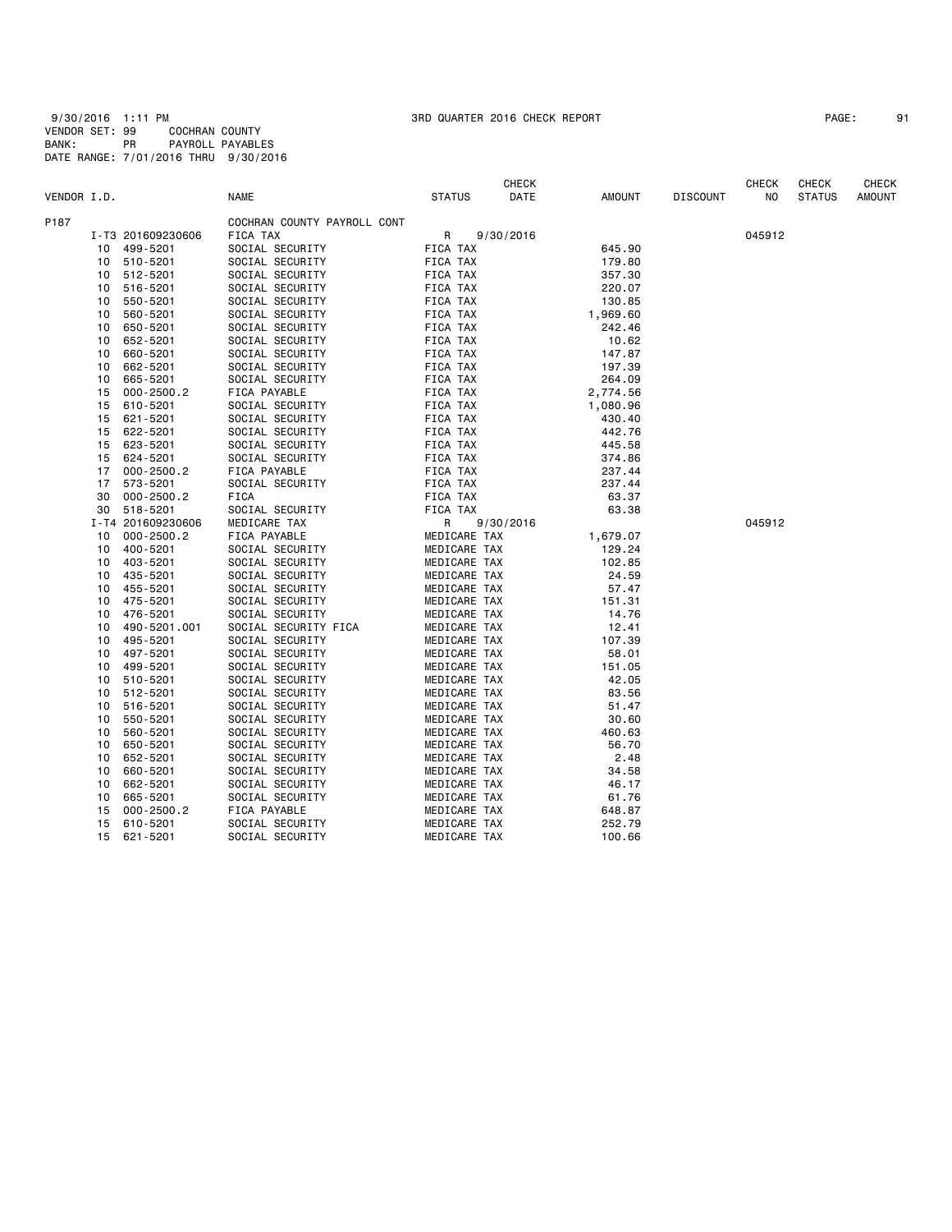9/30/2016 1:11 PM 3RD QUARTER 2016 CHECK REPORT PAGE: 91 VENDOR SET: 99 COCHRAN COUNTY BANK: PR PAYROLL PAYABLES DATE RANGE: 7/01/2016 THRU 9/30/2016

| PAGE: |  |
|-------|--|
|-------|--|

|             |    |                   |                             |               | <b>CHECK</b> |               |                 | <b>CHECK</b> | <b>CHECK</b>  | <b>CHECK</b>  |
|-------------|----|-------------------|-----------------------------|---------------|--------------|---------------|-----------------|--------------|---------------|---------------|
| VENDOR I.D. |    |                   | <b>NAME</b>                 | <b>STATUS</b> | DATE         | <b>AMOUNT</b> | <b>DISCOUNT</b> | NO           | <b>STATUS</b> | <b>AMOUNT</b> |
| P187        |    |                   | COCHRAN COUNTY PAYROLL CONT |               |              |               |                 |              |               |               |
|             |    | I-T3 201609230606 | FICA TAX                    | R             | 9/30/2016    |               |                 | 045912       |               |               |
|             | 10 | 499-5201          | SOCIAL SECURITY             | FICA TAX      |              | 645.90        |                 |              |               |               |
|             | 10 | 510-5201          | SOCIAL SECURITY             | FICA TAX      |              | 179.80        |                 |              |               |               |
|             | 10 | 512-5201          | SOCIAL SECURITY             | FICA TAX      |              | 357.30        |                 |              |               |               |
|             | 10 | 516-5201          | SOCIAL SECURITY             | FICA TAX      |              | 220.07        |                 |              |               |               |
|             | 10 | 550-5201          | SOCIAL SECURITY             | FICA TAX      |              | 130.85        |                 |              |               |               |
|             | 10 | 560-5201          | SOCIAL SECURITY             | FICA TAX      |              | 1,969.60      |                 |              |               |               |
|             | 10 | 650-5201          | SOCIAL SECURITY             | FICA TAX      |              | 242.46        |                 |              |               |               |
|             | 10 | 652-5201          | SOCIAL SECURITY             | FICA TAX      |              | 10.62         |                 |              |               |               |
|             | 10 | 660-5201          | SOCIAL SECURITY             | FICA TAX      |              | 147.87        |                 |              |               |               |
|             | 10 | 662-5201          | SOCIAL SECURITY             | FICA TAX      |              | 197.39        |                 |              |               |               |
|             | 10 | 665-5201          | SOCIAL SECURITY             | FICA TAX      |              | 264.09        |                 |              |               |               |
|             | 15 | $000 - 2500.2$    | FICA PAYABLE                | FICA TAX      |              | 2,774.56      |                 |              |               |               |
|             | 15 | 610-5201          | SOCIAL SECURITY             | FICA TAX      |              | 1,080.96      |                 |              |               |               |
|             | 15 | 621-5201          | SOCIAL SECURITY             | FICA TAX      |              | 430.40        |                 |              |               |               |
|             | 15 | 622-5201          | SOCIAL SECURITY             | FICA TAX      |              | 442.76        |                 |              |               |               |
|             | 15 | 623-5201          | SOCIAL SECURITY             | FICA TAX      |              | 445.58        |                 |              |               |               |
|             | 15 | 624-5201          | SOCIAL SECURITY             | FICA TAX      |              | 374.86        |                 |              |               |               |
|             | 17 | $000 - 2500.2$    | FICA PAYABLE                | FICA TAX      |              | 237.44        |                 |              |               |               |
|             | 17 | 573-5201          | SOCIAL SECURITY             | FICA TAX      |              | 237.44        |                 |              |               |               |
|             | 30 | $000 - 2500.2$    | FICA                        | FICA TAX      |              | 63.37         |                 |              |               |               |
|             | 30 | 518-5201          | SOCIAL SECURITY             | FICA TAX      |              | 63.38         |                 |              |               |               |
|             |    | I-T4 201609230606 | MEDICARE TAX                | R             | 9/30/2016    |               |                 | 045912       |               |               |
|             | 10 | $000 - 2500.2$    | FICA PAYABLE                | MEDICARE TAX  |              | 1,679.07      |                 |              |               |               |
|             | 10 | 400-5201          | SOCIAL SECURITY             | MEDICARE TAX  |              | 129.24        |                 |              |               |               |
|             | 10 | 403-5201          | SOCIAL SECURITY             | MEDICARE TAX  |              | 102.85        |                 |              |               |               |
|             | 10 | 435-5201          | SOCIAL SECURITY             | MEDICARE TAX  |              | 24.59         |                 |              |               |               |
|             | 10 | 455-5201          | SOCIAL SECURITY             | MEDICARE TAX  |              | 57.47         |                 |              |               |               |
|             | 10 | 475-5201          | SOCIAL SECURITY             | MEDICARE TAX  |              | 151.31        |                 |              |               |               |
|             | 10 | 476-5201          | SOCIAL SECURITY             | MEDICARE TAX  |              | 14.76         |                 |              |               |               |
|             | 10 | 490-5201.001      | SOCIAL SECURITY FICA        | MEDICARE TAX  |              | 12.41         |                 |              |               |               |
|             | 10 | 495-5201          | SOCIAL SECURITY             | MEDICARE TAX  |              | 107.39        |                 |              |               |               |
|             | 10 | 497-5201          | SOCIAL SECURITY             | MEDICARE TAX  |              | 58.01         |                 |              |               |               |
|             | 10 | 499-5201          | SOCIAL SECURITY             | MEDICARE TAX  |              | 151.05        |                 |              |               |               |
|             | 10 | 510-5201          | SOCIAL SECURITY             | MEDICARE TAX  |              | 42.05         |                 |              |               |               |
|             | 10 | 512-5201          | SOCIAL SECURITY             | MEDICARE TAX  |              | 83.56         |                 |              |               |               |
|             | 10 | 516-5201          | SOCIAL SECURITY             | MEDICARE TAX  |              | 51.47         |                 |              |               |               |
|             | 10 | 550-5201          | SOCIAL SECURITY             | MEDICARE TAX  |              | 30.60         |                 |              |               |               |
|             | 10 | 560-5201          | SOCIAL SECURITY             | MEDICARE TAX  |              | 460.63        |                 |              |               |               |
|             | 10 | 650-5201          | SOCIAL SECURITY             | MEDICARE TAX  |              | 56.70         |                 |              |               |               |
|             | 10 | 652-5201          | SOCIAL SECURITY             | MEDICARE TAX  |              | 2.48          |                 |              |               |               |
|             | 10 | 660-5201          | SOCIAL SECURITY             | MEDICARE TAX  |              | 34.58         |                 |              |               |               |
|             | 10 | 662-5201          | SOCIAL SECURITY             | MEDICARE TAX  |              | 46.17         |                 |              |               |               |
|             | 10 | 665-5201          | SOCIAL SECURITY             | MEDICARE TAX  |              | 61.76         |                 |              |               |               |
|             | 15 | $000 - 2500.2$    | FICA PAYABLE                | MEDICARE TAX  |              | 648.87        |                 |              |               |               |
|             | 15 | 610-5201          | SOCIAL SECURITY             | MEDICARE TAX  |              | 252.79        |                 |              |               |               |
|             | 15 | 621-5201          | SOCIAL SECURITY             | MEDICARE TAX  |              | 100.66        |                 |              |               |               |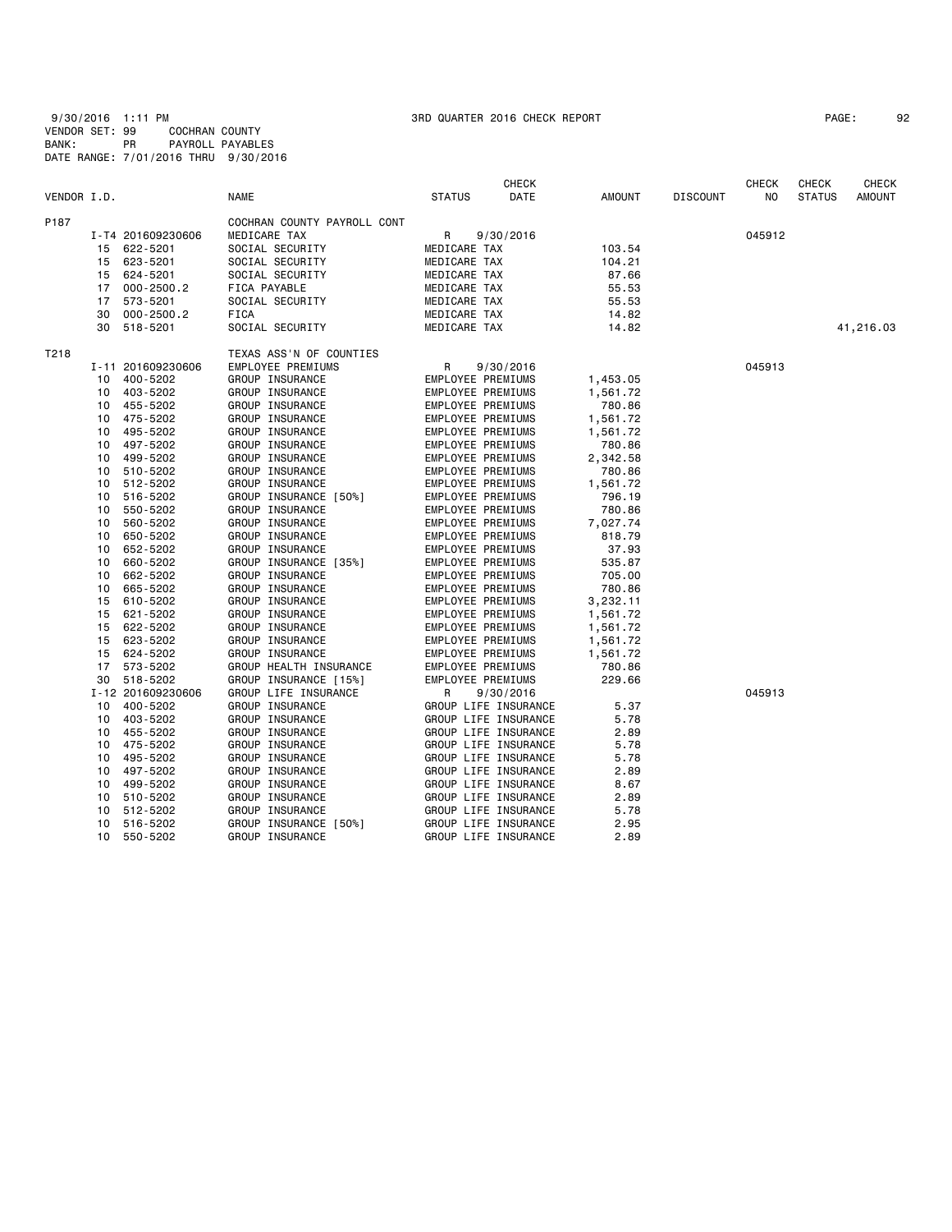9/30/2016 1:11 PM 3RD QUARTER 2016 CHECK REPORT PAGE: 92 VENDOR SET: 99 COCHRAN COUNTY BANK: PR PAYROLL PAYABLES DATE RANGE: 7/01/2016 THRU 9/30/2016

| PAGE: | 92 |
|-------|----|
|-------|----|

|             |    |                   |                             |                   | <b>CHECK</b>         |          |                 | <b>CHECK</b> | <b>CHECK</b>  | CHECK         |
|-------------|----|-------------------|-----------------------------|-------------------|----------------------|----------|-----------------|--------------|---------------|---------------|
| VENDOR I.D. |    |                   | <b>NAME</b>                 | <b>STATUS</b>     | DATE                 | AMOUNT   | <b>DISCOUNT</b> | NO.          | <b>STATUS</b> | <b>AMOUNT</b> |
| P187        |    |                   | COCHRAN COUNTY PAYROLL CONT |                   |                      |          |                 |              |               |               |
|             |    | I-T4 201609230606 | MEDICARE TAX                | R                 | 9/30/2016            |          |                 | 045912       |               |               |
|             | 15 | 622-5201          | SOCIAL SECURITY             | MEDICARE TAX      |                      | 103.54   |                 |              |               |               |
|             | 15 | 623-5201          | SOCIAL SECURITY             | MEDICARE TAX      |                      | 104.21   |                 |              |               |               |
|             | 15 | 624-5201          | SOCIAL SECURITY             | MEDICARE TAX      |                      | 87.66    |                 |              |               |               |
|             | 17 | $000 - 2500.2$    | FICA PAYABLE                | MEDICARE TAX      |                      | 55.53    |                 |              |               |               |
|             | 17 | 573-5201          | SOCIAL SECURITY             | MEDICARE TAX      |                      | 55.53    |                 |              |               |               |
|             | 30 | $000 - 2500.2$    | FICA                        | MEDICARE TAX      |                      | 14.82    |                 |              |               |               |
|             | 30 | 518-5201          | SOCIAL SECURITY             | MEDICARE TAX      |                      | 14.82    |                 |              |               | 41,216.03     |
| T218        |    |                   |                             |                   |                      |          |                 |              |               |               |
|             |    |                   | TEXAS ASS'N OF COUNTIES     |                   |                      |          |                 | 045913       |               |               |
|             |    | I-11 201609230606 | EMPLOYEE PREMIUMS           | R                 | 9/30/2016            |          |                 |              |               |               |
|             | 10 | 400-5202          | GROUP INSURANCE             | EMPLOYEE PREMIUMS |                      | 1,453.05 |                 |              |               |               |
|             | 10 | 403-5202          | GROUP INSURANCE             | EMPLOYEE PREMIUMS |                      | 1,561.72 |                 |              |               |               |
|             | 10 | 455-5202          | GROUP INSURANCE             | EMPLOYEE PREMIUMS |                      | 780.86   |                 |              |               |               |
|             | 10 | 475-5202          | GROUP INSURANCE             | EMPLOYEE PREMIUMS |                      | 1,561.72 |                 |              |               |               |
|             | 10 | 495-5202          | GROUP INSURANCE             | EMPLOYEE PREMIUMS |                      | 1,561.72 |                 |              |               |               |
|             | 10 | 497-5202          | GROUP INSURANCE             | EMPLOYEE PREMIUMS |                      | 780.86   |                 |              |               |               |
|             | 10 | 499-5202          | GROUP INSURANCE             | EMPLOYEE PREMIUMS |                      | 2,342.58 |                 |              |               |               |
|             | 10 | 510-5202          | GROUP INSURANCE             | EMPLOYEE PREMIUMS |                      | 780.86   |                 |              |               |               |
|             | 10 | 512-5202          | GROUP INSURANCE             | EMPLOYEE PREMIUMS |                      | 1,561.72 |                 |              |               |               |
|             | 10 | 516-5202          | GROUP INSURANCE [50%]       | EMPLOYEE PREMIUMS |                      | 796.19   |                 |              |               |               |
|             | 10 | 550-5202          | GROUP INSURANCE             | EMPLOYEE PREMIUMS |                      | 780.86   |                 |              |               |               |
|             | 10 | 560-5202          | GROUP INSURANCE             | EMPLOYEE PREMIUMS |                      | 7,027.74 |                 |              |               |               |
|             | 10 | 650-5202          | GROUP INSURANCE             | EMPLOYEE PREMIUMS |                      | 818.79   |                 |              |               |               |
|             | 10 | 652-5202          | GROUP INSURANCE             | EMPLOYEE PREMIUMS |                      | 37.93    |                 |              |               |               |
|             | 10 | 660-5202          | GROUP INSURANCE [35%]       | EMPLOYEE PREMIUMS |                      | 535.87   |                 |              |               |               |
|             | 10 | 662-5202          | GROUP INSURANCE             | EMPLOYEE PREMIUMS |                      | 705.00   |                 |              |               |               |
|             | 10 | 665-5202          | GROUP INSURANCE             | EMPLOYEE PREMIUMS |                      | 780.86   |                 |              |               |               |
|             | 15 | 610-5202          | GROUP INSURANCE             | EMPLOYEE PREMIUMS |                      | 3,232.11 |                 |              |               |               |
|             | 15 | 621-5202          | GROUP INSURANCE             | EMPLOYEE PREMIUMS |                      | 1,561.72 |                 |              |               |               |
|             | 15 | 622-5202          | GROUP INSURANCE             | EMPLOYEE PREMIUMS |                      | 1,561.72 |                 |              |               |               |
|             | 15 | 623-5202          | GROUP INSURANCE             | EMPLOYEE PREMIUMS |                      | 1,561.72 |                 |              |               |               |
|             | 15 | 624-5202          | GROUP INSURANCE             | EMPLOYEE PREMIUMS |                      | 1,561.72 |                 |              |               |               |
|             | 17 | 573-5202          | GROUP HEALTH INSURANCE      | EMPLOYEE PREMIUMS |                      | 780.86   |                 |              |               |               |
|             | 30 | 518-5202          | GROUP INSURANCE [15%]       | EMPLOYEE PREMIUMS |                      | 229.66   |                 |              |               |               |
|             |    | I-12 201609230606 | GROUP LIFE INSURANCE        | R                 | 9/30/2016            |          |                 | 045913       |               |               |
|             | 10 | 400-5202          | GROUP INSURANCE             |                   | GROUP LIFE INSURANCE | 5.37     |                 |              |               |               |
|             | 10 | 403-5202          | GROUP INSURANCE             |                   | GROUP LIFE INSURANCE | 5.78     |                 |              |               |               |
|             | 10 | 455-5202          | GROUP INSURANCE             |                   | GROUP LIFE INSURANCE | 2.89     |                 |              |               |               |
|             |    |                   |                             |                   |                      | 5.78     |                 |              |               |               |
|             | 10 | 475-5202          | GROUP INSURANCE             |                   | GROUP LIFE INSURANCE |          |                 |              |               |               |
|             | 10 | 495-5202          | GROUP INSURANCE             |                   | GROUP LIFE INSURANCE | 5.78     |                 |              |               |               |
|             | 10 | 497-5202          | GROUP INSURANCE             |                   | GROUP LIFE INSURANCE | 2.89     |                 |              |               |               |
|             | 10 | 499-5202          | GROUP INSURANCE             |                   | GROUP LIFE INSURANCE | 8.67     |                 |              |               |               |
|             | 10 | 510-5202          | GROUP INSURANCE             |                   | GROUP LIFE INSURANCE | 2.89     |                 |              |               |               |
|             | 10 | 512-5202          | GROUP INSURANCE             |                   | GROUP LIFE INSURANCE | 5.78     |                 |              |               |               |
|             | 10 | 516-5202          | GROUP INSURANCE [50%]       |                   | GROUP LIFE INSURANCE | 2.95     |                 |              |               |               |
|             | 10 | 550-5202          | GROUP INSURANCE             |                   | GROUP LIFE INSURANCE | 2.89     |                 |              |               |               |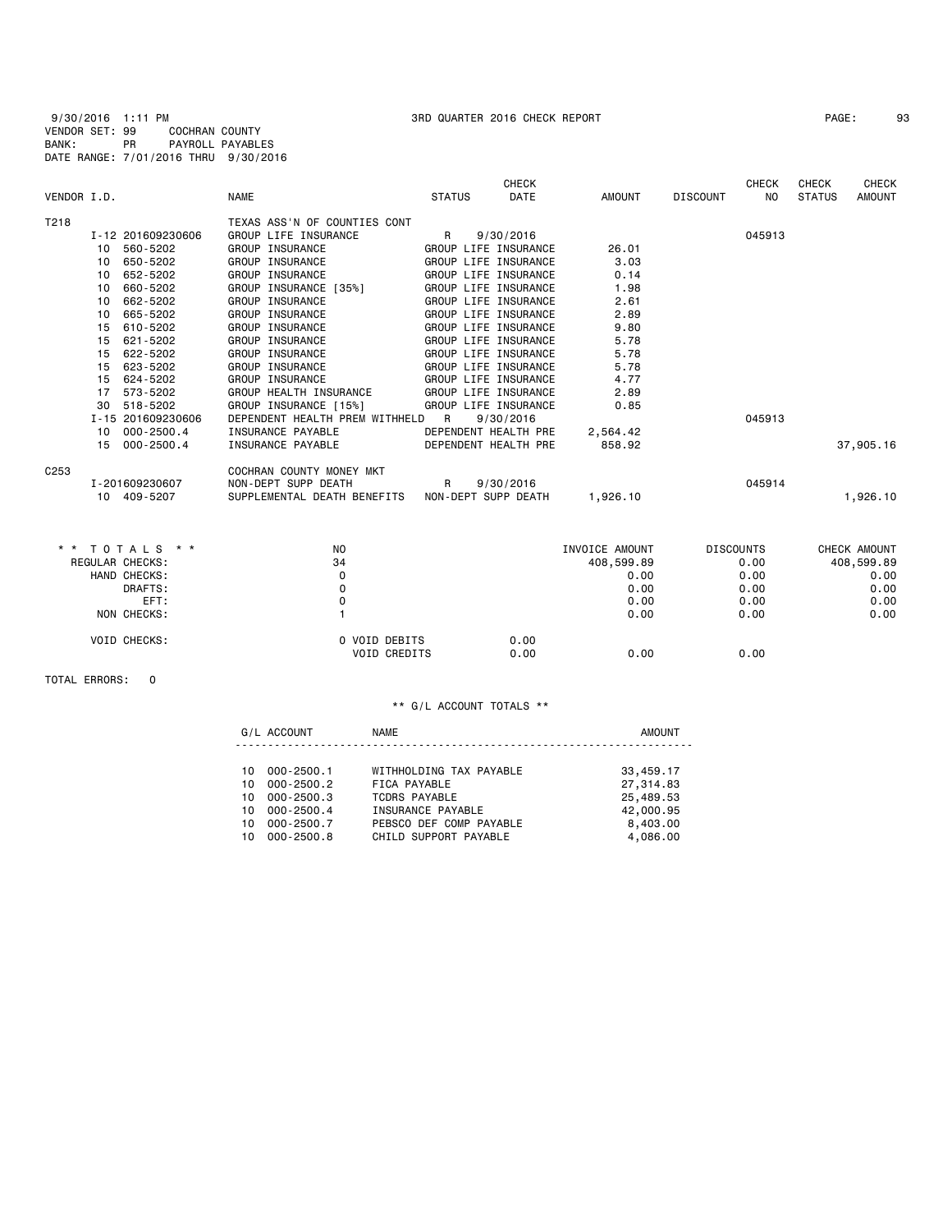9/30/2016 1:11 PM 3RD QUARTER 2016 CHECK REPORT PAGE: 93 VENDOR SET: 99 COCHRAN COUNTY BANK: PR PAYROLL PAYABLES DATE RANGE: 7/01/2016 THRU 9/30/2016

|                  |                      |                                |                      | <b>CHECK</b>         |                |                 | <b>CHECK</b>     | <b>CHECK</b>  | <b>CHECK</b>  |
|------------------|----------------------|--------------------------------|----------------------|----------------------|----------------|-----------------|------------------|---------------|---------------|
| VENDOR I.D.      |                      | <b>NAME</b>                    | <b>STATUS</b>        | <b>DATE</b>          | <b>AMOUNT</b>  | <b>DISCOUNT</b> | N <sub>0</sub>   | <b>STATUS</b> | <b>AMOUNT</b> |
| T218             |                      | TEXAS ASS'N OF COUNTIES CONT   |                      |                      |                |                 |                  |               |               |
|                  | I-12 201609230606    | GROUP LIFE INSURANCE           | R                    | 9/30/2016            |                |                 | 045913           |               |               |
|                  | 560-5202<br>10       | <b>GROUP INSURANCE</b>         |                      | GROUP LIFE INSURANCE | 26.01          |                 |                  |               |               |
|                  | 650-5202<br>10       | GROUP INSURANCE                |                      | GROUP LIFE INSURANCE | 3.03           |                 |                  |               |               |
|                  | 652-5202<br>10       | GROUP INSURANCE                |                      | GROUP LIFE INSURANCE | 0.14           |                 |                  |               |               |
|                  | 660-5202<br>10       | GROUP INSURANCE [35%]          |                      | GROUP LIFE INSURANCE | 1.98           |                 |                  |               |               |
|                  | 662-5202<br>10       | GROUP INSURANCE                |                      | GROUP LIFE INSURANCE | 2.61           |                 |                  |               |               |
|                  | 665-5202<br>10       | GROUP INSURANCE                |                      | GROUP LIFE INSURANCE | 2.89           |                 |                  |               |               |
|                  | 610-5202<br>15       | <b>GROUP INSURANCE</b>         |                      | GROUP LIFE INSURANCE | 9.80           |                 |                  |               |               |
|                  | 621-5202<br>15       | <b>GROUP INSURANCE</b>         |                      | GROUP LIFE INSURANCE | 5.78           |                 |                  |               |               |
|                  | 622-5202<br>15       | GROUP INSURANCE                | GROUP LIFE INSURANCE |                      | 5.78           |                 |                  |               |               |
|                  | 623-5202<br>15       | GROUP INSURANCE                | GROUP LIFE INSURANCE |                      | 5.78           |                 |                  |               |               |
|                  | 624-5202<br>15       | GROUP INSURANCE                | GROUP LIFE INSURANCE |                      | 4.77           |                 |                  |               |               |
|                  | 573-5202<br>17       | GROUP HEALTH INSURANCE         | GROUP LIFE INSURANCE |                      | 2.89           |                 |                  |               |               |
|                  | 518-5202<br>30       | GROUP INSURANCE [15%]          |                      | GROUP LIFE INSURANCE | 0.85           |                 |                  |               |               |
|                  | I-15 201609230606    | DEPENDENT HEALTH PREM WITHHELD | R                    | 9/30/2016            |                |                 | 045913           |               |               |
|                  | $000 - 2500.4$<br>10 | INSURANCE PAYABLE              |                      | DEPENDENT HEALTH PRE | 2,564.42       |                 |                  |               |               |
|                  | $000 - 2500.4$<br>15 | INSURANCE PAYABLE              |                      | DEPENDENT HEALTH PRE | 858.92         |                 |                  |               | 37,905.16     |
| C <sub>253</sub> |                      | COCHRAN COUNTY MONEY MKT       |                      |                      |                |                 |                  |               |               |
|                  | I-201609230607       | NON-DEPT SUPP DEATH            | R                    | 9/30/2016            |                |                 | 045914           |               |               |
|                  | 10 409-5207          | SUPPLEMENTAL DEATH BENEFITS    | NON-DEPT SUPP DEATH  |                      | 1,926.10       |                 |                  |               | 1,926.10      |
|                  |                      |                                |                      |                      |                |                 |                  |               |               |
|                  | * * TOTALS * *       | NO                             |                      |                      | INVOICE AMOUNT |                 | <b>DISCOUNTS</b> |               | CHECK AMOUNT  |
|                  | REGULAR CHECKS:      | 34                             |                      |                      | 408,599.89     |                 | 0.00             |               | 408,599.89    |
|                  | HAND CHECKS:         | $\Omega$                       |                      |                      | 0.00           |                 | 0.00             |               | 0.00          |
|                  | DRAFTS:              | 0                              |                      |                      | 0.00           |                 | 0.00             |               | 0.00          |
|                  | EFT:                 | $\mathsf 0$                    |                      |                      | 0.00           |                 | 0.00             |               | 0.00          |
|                  | NON CHECKS:          |                                |                      |                      | 0.00           |                 | 0.00             |               | 0.00          |
|                  | VOID CHECKS:         | 0 VOID DEBITS                  |                      | 0.00                 |                |                 |                  |               |               |
|                  |                      | <b>VOID CREDITS</b>            |                      | 0.00                 | 0.00           |                 | 0.00             |               |               |

TOTAL ERRORS: 0

## \*\* G/L ACCOUNT TOTALS \*\*

G/L ACCOUNT NAME NAME AMOUNT ----------------------------------------------------------------------

| WITHHOLDING TAX PAYABLE                                                                            | 33,459.17 |
|----------------------------------------------------------------------------------------------------|-----------|
| FICA PAYABLE                                                                                       | 27,314.83 |
| TCDRS PAYABLE                                                                                      | 25,489.53 |
| INSURANCE PAYABLE                                                                                  | 42,000.95 |
| PEBSCO DEF COMP PAYABLE                                                                            | 8,403,00  |
| CHILD SUPPORT PAYABLE                                                                              | 4.086.00  |
| 10 000-2500.1<br>10 000-2500.2<br>10 000-2500.3<br>10 000-2500.4<br>10 000-2500.7<br>10 000-2500.8 |           |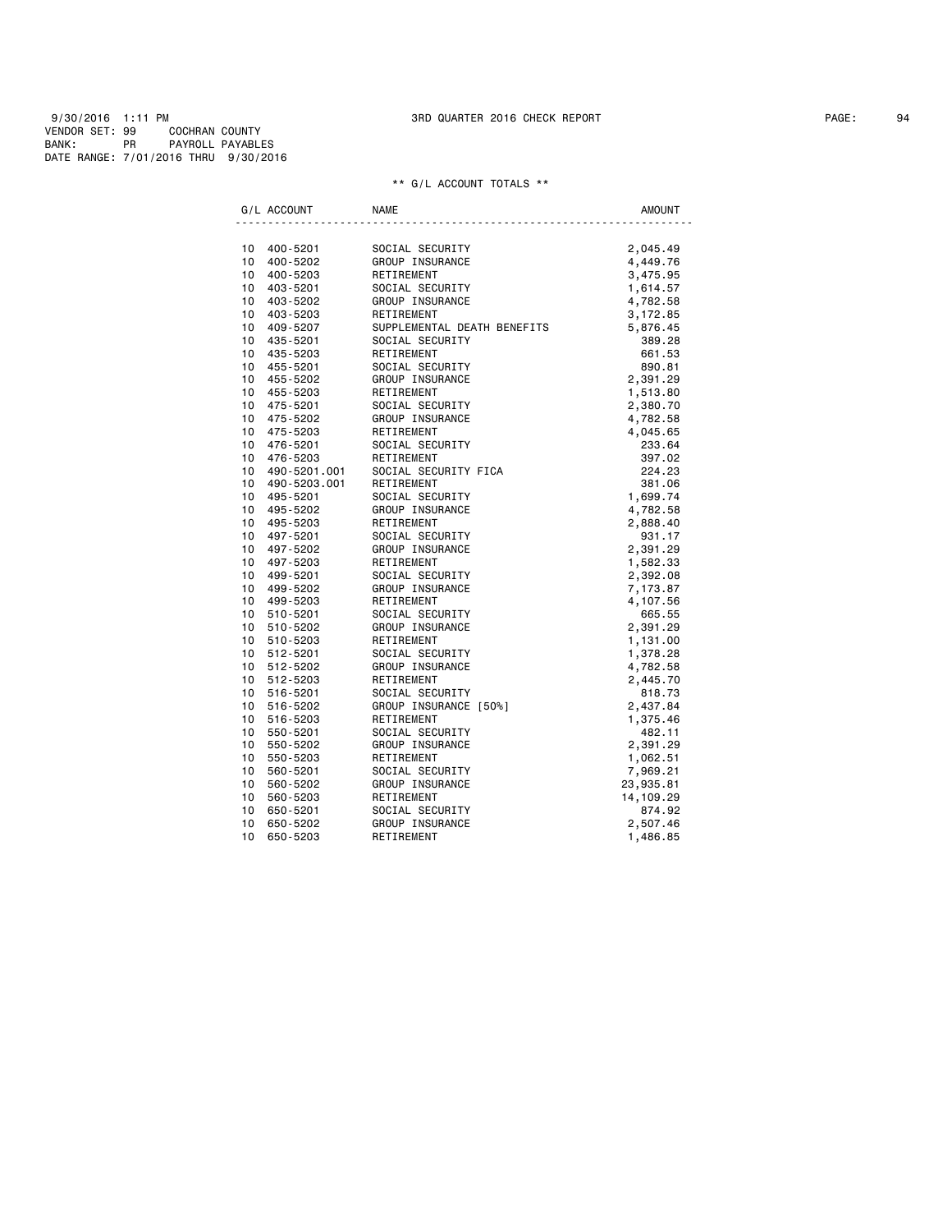9/30/2016 1:11 PM 3RD QUARTER 2016 CHECK REPORT PAGE: 94 VENDOR SET: 99 COCHRAN COUNTY BANK: PR PAYROLL PAYABLES DATE RANGE: 7/01/2016 THRU 9/30/2016

|                 | G/L ACCOUNT                               | <b>NAME</b>                                                         | <b>AMOUNT</b>    |
|-----------------|-------------------------------------------|---------------------------------------------------------------------|------------------|
|                 |                                           |                                                                     |                  |
|                 | 10 400-5201                               | SOCIAL SECURITY<br>GROUP INSURANCE<br>RETIREMENT<br>SOCIAL SECURITY | 2,045.49         |
|                 | 10 400-5202                               |                                                                     | 4,449.76         |
|                 | 10 400-5203                               |                                                                     | 3,475.95         |
|                 | 10 403-5201                               |                                                                     | 1,614.57         |
|                 | 10 403-5202                               | GROUP INSURANCE                                                     | 4,782.58         |
|                 | 10 403-5203                               | RETIREMENT                                                          | 3,172.85         |
|                 | 10 409-5207                               | SUPPLEMENTAL DEATH BENEFITS<br>SOCIAL SECURITY                      | 5,876.45         |
|                 | 10 435-5201<br>10 435-5203                | RETIREMENT                                                          | 389.28           |
|                 | 10 455-5201                               | SOCIAL SECURITY                                                     | 661.53<br>890.81 |
|                 | 10 455-5202                               | GROUP INSURANCE                                                     | 2,391.29         |
|                 | 10 455-5203                               | RETIREMENT                                                          | 1,513.80         |
|                 | 10 475-5201                               | SOCIAL SECURITY                                                     | 2,380.70         |
|                 | 10 475-5202                               |                                                                     | 4,782.58         |
|                 | 10 475-5203                               | GROUP INSURANCE<br>RETIREMENT                                       | 4,045.65         |
|                 | 10 476-5201                               | SOCIAL SECURITY                                                     | 233.64           |
|                 | 10 476-5203                               | RETIREMENT                                                          | 397.02           |
|                 |                                           | SOCIAL SECURITY FICA                                                | 224.23           |
|                 | 10     490-5201.001<br>10    490-5203.001 | RETIREMENT                                                          | 381.06           |
|                 | 10 495-5201                               | SOCIAL SECURITY                                                     | 1,699.74         |
|                 | 10 495-5202                               | GROUP INSURANCE                                                     | 4,782.58         |
|                 | 10 495-5203                               | RETIREMENT                                                          | 2,888.40         |
|                 | 10 497-5201                               | SOCIAL SECURITY                                                     | 931.17           |
|                 | 10 497-5202                               | GROUP INSURANCE                                                     | 2,391.29         |
|                 | 10 497-5203                               | RETIREMENT                                                          | 1,582.33         |
|                 | 10 499-5201                               | SOCIAL SECURITY                                                     | 2,392.08         |
|                 | 10 499-5202                               | GROUP INSURANCE<br>PETTREMENT                                       | 7,173.87         |
|                 | 10 499-5203                               |                                                                     | 4,107.56         |
|                 | 10 510-5201                               | SOCIAL SECURITY                                                     | 665.55           |
|                 | 10 510-5202                               | GROUP INSURANCE                                                     | 2,391.29         |
|                 | 10 510-5203                               | RETIREMENT                                                          | 1,131.00         |
|                 | 10 512-5201                               | SOCIAL SECURITY                                                     | 1,378.28         |
|                 | 10 512-5202                               | GROUP INSURANCE                                                     | 4,782.58         |
|                 | 10 512-5203                               | RETIREMENT                                                          | 2,445.70         |
|                 | 10 516-5201                               | SOCIAL SECURITY                                                     | 818.73           |
|                 | 10 516-5202                               | GROUP INSURANCE [50%]                                               | 2,437.84         |
| 10 <sub>1</sub> | 516-5203                                  | RETIREMENT                                                          | 1,375.46         |
|                 | 10 550-5201                               | SOCIAL SECURITY                                                     | 482.11           |
|                 | 10 550-5202                               | GROUP INSURANCE                                                     | 2,391.29         |
|                 | 10 550-5203                               | RETIREMENT                                                          | 1,062.51         |
| 10              | 560-5201                                  |                                                                     | 7,969.21         |
| 10              | 560-5202                                  | SOCIAL SECURITY<br>GROUP INSURANCE<br>RETIREMENT                    | 23,935.81        |
| 10              | 560-5203                                  |                                                                     | 14,109.29        |
| 10              | 650-5201                                  | SOCIAL SECURITY                                                     | 874.92           |
| 10              | 650-5202                                  | GROUP INSURANCE                                                     | 2,507.46         |
| 10              | 650-5203                                  | RETIREMENT                                                          | 1,486.85         |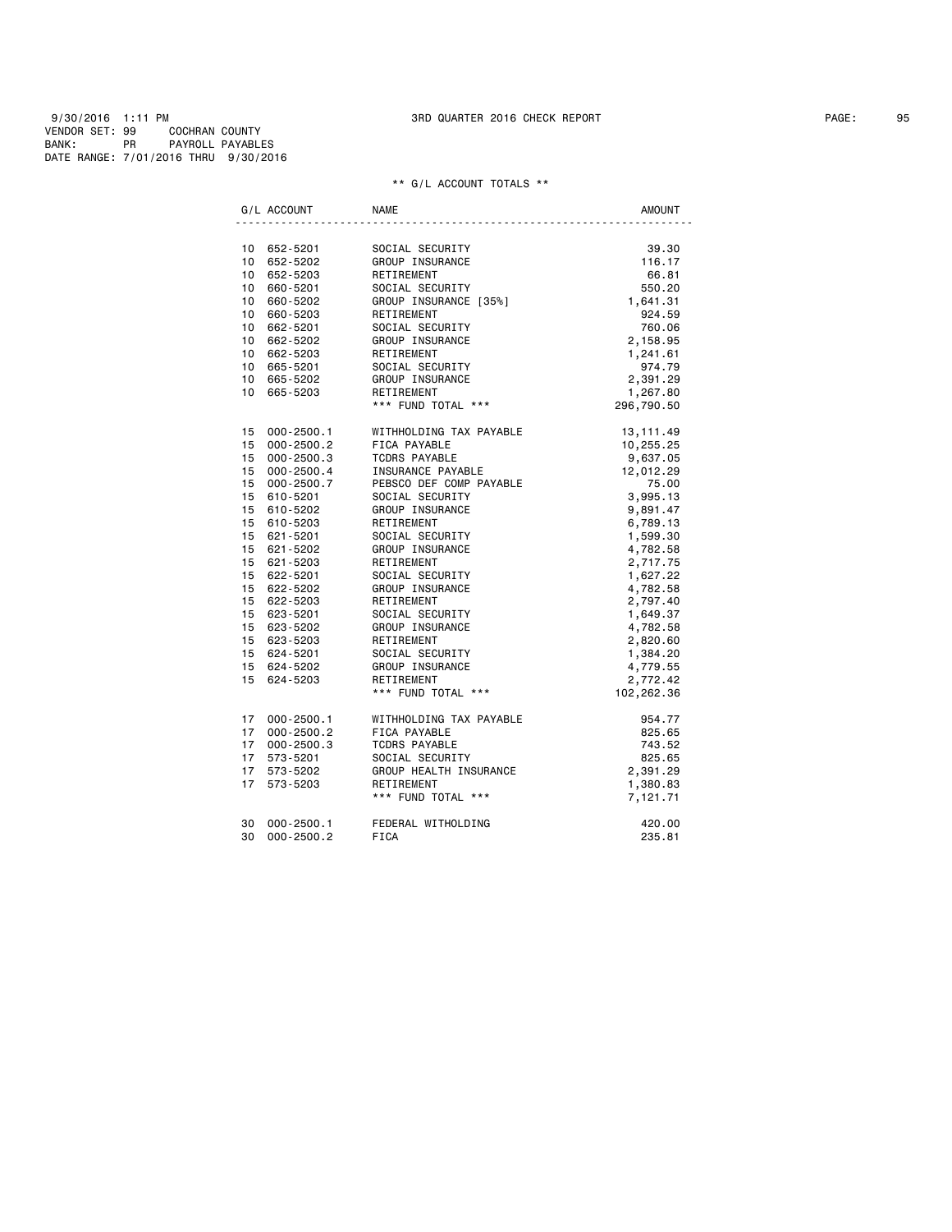9/30/2016 1:11 PM 3RD QUARTER 2016 CHECK REPORT PAGE: 95 VENDOR SET: 99 COCHRAN COUNTY BANK: PR PAYROLL PAYABLES DATE RANGE: 7/01/2016 THRU 9/30/2016

| G/L ACCOUNT                          | <b>NAME</b>                                                                                                                                                                                                                                                                                                                                                                                                                                                     | <b>AMOUNT</b>                 |
|--------------------------------------|-----------------------------------------------------------------------------------------------------------------------------------------------------------------------------------------------------------------------------------------------------------------------------------------------------------------------------------------------------------------------------------------------------------------------------------------------------------------|-------------------------------|
|                                      |                                                                                                                                                                                                                                                                                                                                                                                                                                                                 |                               |
| 10 652-5201                          | SOCIAL SECURITY<br>GROUP INSURANCE<br>RETIREMENT<br>SOCIAL SECURITY<br>GROUP INSURANCE<br>GROUP INSURANCE<br>GROUP INSURANCE [35%]<br>GROUP INSURANCE [35%]<br>1,641.31<br>$1.641.31$<br>550.20<br>1,6424.59                                                                                                                                                                                                                                                    |                               |
| 10 652-5202                          |                                                                                                                                                                                                                                                                                                                                                                                                                                                                 |                               |
| $10 652 - 5203$                      |                                                                                                                                                                                                                                                                                                                                                                                                                                                                 |                               |
| 10 660-5201                          |                                                                                                                                                                                                                                                                                                                                                                                                                                                                 |                               |
| 10 660-5202                          |                                                                                                                                                                                                                                                                                                                                                                                                                                                                 |                               |
| 10 660-5203                          | RETIREMENT                                                                                                                                                                                                                                                                                                                                                                                                                                                      | 924.59                        |
| 10 662-5201                          |                                                                                                                                                                                                                                                                                                                                                                                                                                                                 | 760.06<br>2,158.95            |
| 10 662-5202                          |                                                                                                                                                                                                                                                                                                                                                                                                                                                                 |                               |
| 10 662-5203                          |                                                                                                                                                                                                                                                                                                                                                                                                                                                                 | 1,241.61                      |
| 10 665-5201                          |                                                                                                                                                                                                                                                                                                                                                                                                                                                                 | 974.79                        |
| 10 665-5202                          |                                                                                                                                                                                                                                                                                                                                                                                                                                                                 | 2,391.29                      |
| 10 665-5203                          |                                                                                                                                                                                                                                                                                                                                                                                                                                                                 | 1,267.80                      |
|                                      | SOCIAL SECURITY<br>GROUP INSURANCE<br>RETIREMENT<br>SOCIAL SECURITY<br>GROUP INSURANCE<br>RETIREMENT<br>*** FUND TOTAL ***                                                                                                                                                                                                                                                                                                                                      | 296,790.50                    |
| 15 000-2500.1                        | WITHHOLDING TAX PAYABLE 13,111.49                                                                                                                                                                                                                                                                                                                                                                                                                               |                               |
| 15 000-2500.2                        |                                                                                                                                                                                                                                                                                                                                                                                                                                                                 |                               |
| 15 $000 - 2000 - 3$<br>15 000-2500.3 |                                                                                                                                                                                                                                                                                                                                                                                                                                                                 |                               |
| 15 000-2500.4                        |                                                                                                                                                                                                                                                                                                                                                                                                                                                                 |                               |
| 15 000-2500.7                        |                                                                                                                                                                                                                                                                                                                                                                                                                                                                 |                               |
| 15 610-5201                          | WITHHOLDING TAX FORE-<br>FICA PAYABLE<br>TCDRS PAYABLE<br>INSURANCE PAYABLE<br>INSURANCE PAYABLE<br>PEBSCO DEF COMP PAYABLE<br>TAX COMP PAYABLE<br>TAX 3,995.13<br>3,995.13<br>2014<br>PEBSCO DEF COMP PAYABLE<br>SOCIAL SECURITY<br>GROUP INSURANCE<br>RETIREMENT<br>SOCIAL SECURITY<br>GROUP INSURANCE<br>RETIREMENT<br>SOCIAL SECURITY<br>GROUP INSURANCE<br>RETIREMENT<br>SOCIAL SECURITY<br>GROUP INSURANCE<br>RETIREMENT<br>SOCIAL SECURITY<br>SOCIAL SEC |                               |
| 15 610-5202                          |                                                                                                                                                                                                                                                                                                                                                                                                                                                                 | 。,。<br>9,891 .47<br>^ 789 .13 |
| 15 610-5203                          |                                                                                                                                                                                                                                                                                                                                                                                                                                                                 | 6,789.13                      |
| 15 621-5201                          |                                                                                                                                                                                                                                                                                                                                                                                                                                                                 | 1,599.30                      |
| 15 621-5202                          |                                                                                                                                                                                                                                                                                                                                                                                                                                                                 | 4,782.58                      |
| 15 621-5203                          |                                                                                                                                                                                                                                                                                                                                                                                                                                                                 | 2,717.75                      |
| 15 622-5201                          |                                                                                                                                                                                                                                                                                                                                                                                                                                                                 | 1,627.22                      |
| 15 622-5202                          |                                                                                                                                                                                                                                                                                                                                                                                                                                                                 | 4,782.58                      |
| 15 622-5203                          |                                                                                                                                                                                                                                                                                                                                                                                                                                                                 | 2,797.40                      |
| 15 623-5201                          |                                                                                                                                                                                                                                                                                                                                                                                                                                                                 | 1,649.37                      |
| 15 623-5202                          |                                                                                                                                                                                                                                                                                                                                                                                                                                                                 | 4,782.58                      |
| 15 623-5203                          |                                                                                                                                                                                                                                                                                                                                                                                                                                                                 | 2,820.60                      |
| 15 624-5201                          |                                                                                                                                                                                                                                                                                                                                                                                                                                                                 |                               |
| 15 624-5202                          |                                                                                                                                                                                                                                                                                                                                                                                                                                                                 | 1,384.20<br>4,779.55          |
| 15 624-5203                          | <b>SETIREMENT<br/>SOCIAL SECURITY<br/>GROUP INSURANCE<br/>TILEMENT</b>                                                                                                                                                                                                                                                                                                                                                                                          | 2,772.42                      |
|                                      | *** FUND TOTAL ***                                                                                                                                                                                                                                                                                                                                                                                                                                              | 102,262.36                    |
| 17 000-2500.1                        | WITHHOLDING TAX PAYABLE                                                                                                                                                                                                                                                                                                                                                                                                                                         | 954.77                        |
| 17 000-2500.2                        | FICA PAYABLE                                                                                                                                                                                                                                                                                                                                                                                                                                                    | 825.65                        |
| 17 000-2500.3                        | <b>TCDRS PAYABLE</b>                                                                                                                                                                                                                                                                                                                                                                                                                                            | 743.52                        |
| 17 573-5201                          | SOCIAL SECURITY                                                                                                                                                                                                                                                                                                                                                                                                                                                 |                               |
| 17 573-5202                          |                                                                                                                                                                                                                                                                                                                                                                                                                                                                 | 820<br>2,391.29<br>090.83     |
| 17 573-5203                          | GROUP HEALTH INSURANCE<br>BETIBEMENT<br>RETIREMENT                                                                                                                                                                                                                                                                                                                                                                                                              |                               |
|                                      | *** FUND TOTAL ***                                                                                                                                                                                                                                                                                                                                                                                                                                              | 7,121.71                      |
| 30 000-2500.1                        | FEDERAL WITHOLDING                                                                                                                                                                                                                                                                                                                                                                                                                                              | 420.00                        |
| 30 000-2500.2                        | <b>FICA</b>                                                                                                                                                                                                                                                                                                                                                                                                                                                     | 235.81                        |
|                                      |                                                                                                                                                                                                                                                                                                                                                                                                                                                                 |                               |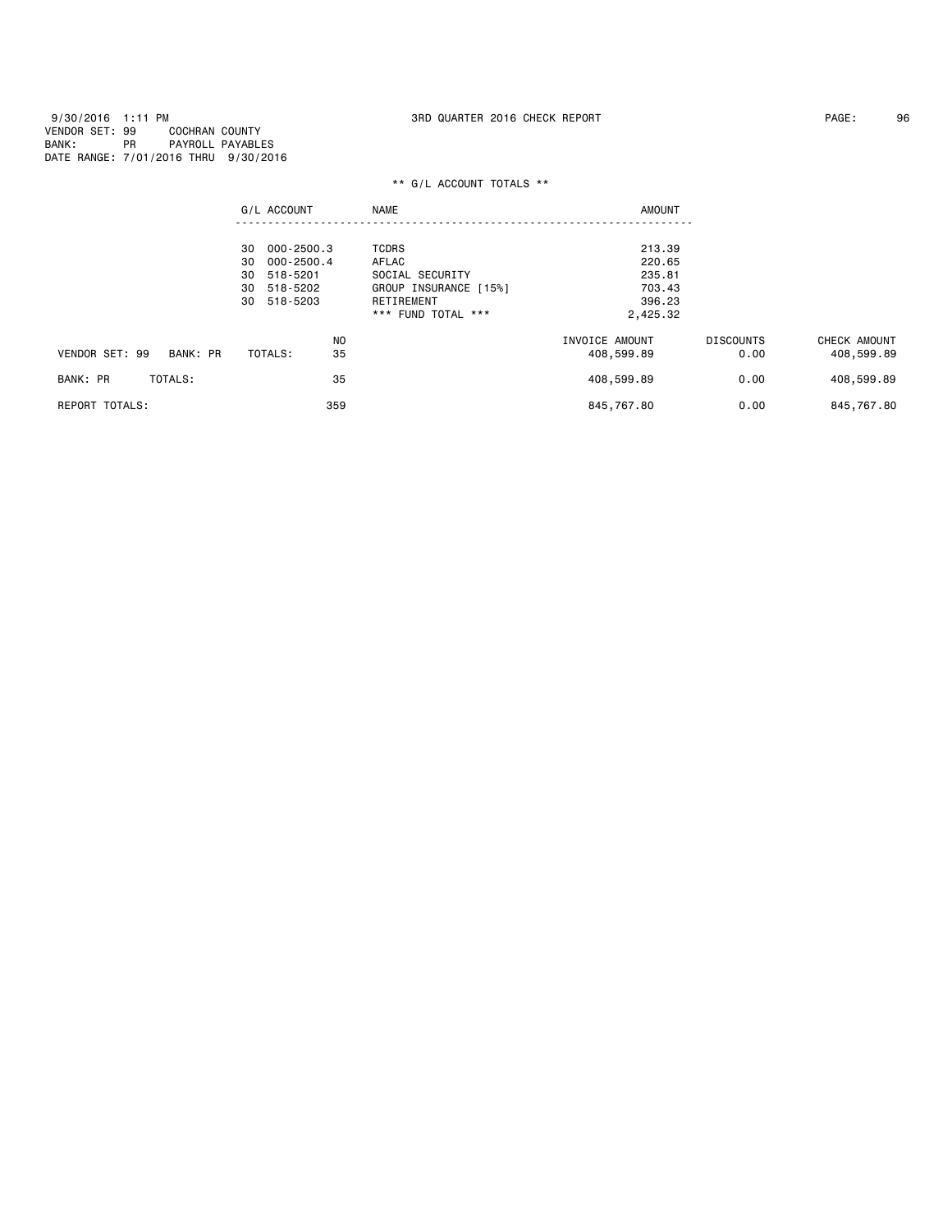9/30/2016 1:11 PM 3RD QUARTER 2016 CHECK REPORT PAGE: 96 VENDOR SET: 99 COCHRAN COUNTY BANK: PR PAYROLL PAYABLES DATE RANGE: 7/01/2016 THRU 9/30/2016

|                            | G/L ACCOUNT                        | <b>NAME</b>                      | <b>AMOUNT</b>      |                  |              |
|----------------------------|------------------------------------|----------------------------------|--------------------|------------------|--------------|
|                            | 000-2500.3<br>30                   | <b>TCDRS</b>                     | 213.39             |                  |              |
|                            | 000-2500.4<br>30<br>518-5201<br>30 | AFLAC<br>SOCIAL SECURITY         | 220.65<br>235.81   |                  |              |
|                            | 30 518-5202                        | GROUP INSURANCE [15%]            | 703.43             |                  |              |
|                            | 518-5203<br>30                     | RETIREMENT<br>*** FUND TOTAL *** | 396.23<br>2,425.32 |                  |              |
|                            | N <sub>0</sub>                     |                                  | INVOICE AMOUNT     | <b>DISCOUNTS</b> | CHECK AMOUNT |
| VENDOR SET: 99<br>BANK: PR | 35<br>TOTALS:                      |                                  | 408,599.89         | 0.00             | 408,599.89   |
| BANK: PR<br>TOTALS:        | 35                                 |                                  | 408,599.89         | 0.00             | 408,599.89   |
| <b>REPORT TOTALS:</b>      | 359                                |                                  | 845,767.80         | 0.00             | 845,767.80   |